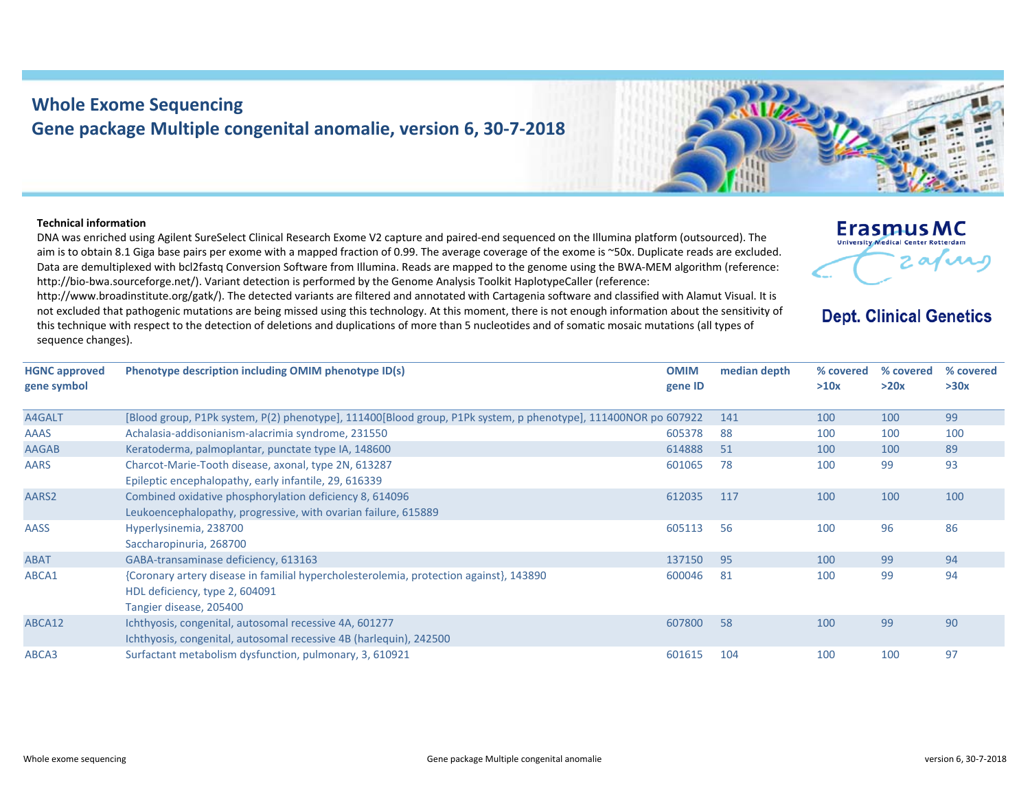## **Whole Exome Sequencing Gene package Multiple congenital anomalie, version 6, 30‐7‐2018**

ABCA1 {Coronary artery disease in familial hypercholesterolemia, protection against}, 143890

Ichthyosis, congenital, autosomal recessive 4B (harlequin), 242500

## **Technical information**

AASS Hyperlysinemia, 238700

Saccharopinuria, 268700

HDL deficiency, type 2, 604091 Tangier disease, 205400

ABCA12 Ichthyosis, congenital, autosomal recessive 4A, 601277

DNA was enriched using Agilent SureSelect Clinical Research Exome V2 capture and paired‐end sequenced on the Illumina platform (outsourced). The aim is to obtain 8.1 Giga base pairs per exome with <sup>a</sup> mapped fraction of 0.99. The average coverage of the exome is ~50x. Duplicate reads are excluded. Data are demultiplexed with bcl2fastq Conversion Software from Illumina. Reads are mapped to the genome using the BWA‐MEM algorithm (reference: http://bio-bwa.sourceforge.net/). Variant detection is performed by the Genome Analysis Toolkit HaplotypeCaller (reference:

http://www.broadinstitute.org/gatk/). The detected variants are filtered and annotated with Cartagenia software and classified with Alamut Visual. It is not excluded that pathogenic mutations are being missed using this technology. At this moment, there is not enough information about the sensitivity of this technique with respect to the detection of deletions and duplications of more than 5 nucleotides and of somatic mosaic mutations (all types of sequence changes).

| <b>HGNC</b> approved<br>gene symbol | Phenotype description including OMIM phenotype ID(s)                                                                      | <b>OMIM</b><br>gene ID | median depth | % covered<br>>10x | $\%$ covered<br>>20x | % с<br>>30 |
|-------------------------------------|---------------------------------------------------------------------------------------------------------------------------|------------------------|--------------|-------------------|----------------------|------------|
| A4GALT                              | [Blood group, P1Pk system, P(2) phenotype], 111400[Blood group, P1Pk system, p phenotype], 111400NOR po 607922            |                        | -141         | 100               | 100                  | 99         |
| <b>AAAS</b>                         | Achalasia-addisonianism-alacrimia syndrome, 231550                                                                        | 605378                 | -88          | 100               | 100                  | 100        |
| <b>AAGAB</b>                        | Keratoderma, palmoplantar, punctate type IA, 148600                                                                       | 614888                 | -51          | 100               | 100                  | 89         |
| <b>AARS</b>                         | Charcot-Marie-Tooth disease, axonal, type 2N, 613287<br>Epileptic encephalopathy, early infantile, 29, 616339             | 601065                 | 78           | 100               | 99                   | 93         |
| AARS2                               | Combined oxidative phosphorylation deficiency 8, 614096<br>Leukoencephalopathy, progressive, with ovarian failure, 615889 | 612035                 | 117          | 100               | 100                  | 100        |

ABAT GABA‐transaminase deficiency, 613163 137150 95 100 99 94

ABCA3 Surfactant metabolism dysfunction, pulmonary, 3, 610921 601615 104 100 100 97



605113 56 100 96 86

600046 81 100 99 94

607800 58 100 99 90

## **Erasmus MC University Medical Center Rotterdan**

**Dept. Clinical Genetics** 

**% covered >30x**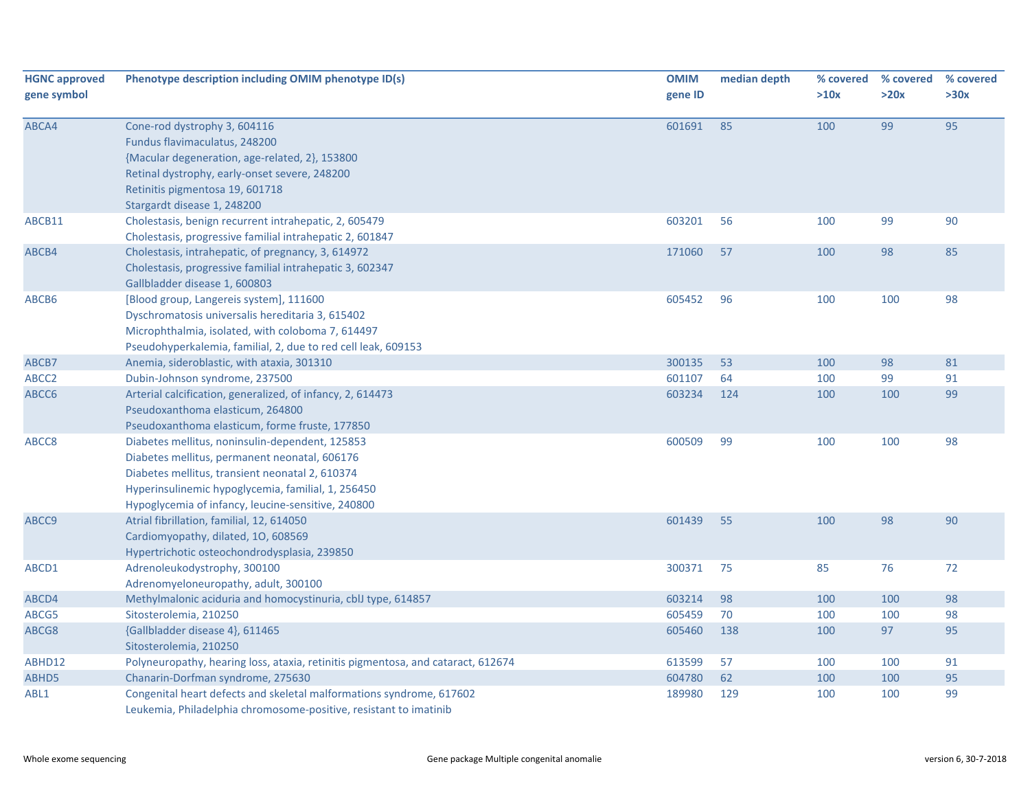| <b>HGNC approved</b><br>gene symbol | Phenotype description including OMIM phenotype ID(s)                                                                                                                                                                                                            | <b>OMIM</b><br>gene ID | median depth | % covered<br>>10x | % covered<br>>20x | % covered<br>>30x |
|-------------------------------------|-----------------------------------------------------------------------------------------------------------------------------------------------------------------------------------------------------------------------------------------------------------------|------------------------|--------------|-------------------|-------------------|-------------------|
| ABCA4                               | Cone-rod dystrophy 3, 604116<br>Fundus flavimaculatus, 248200<br>{Macular degeneration, age-related, 2}, 153800<br>Retinal dystrophy, early-onset severe, 248200<br>Retinitis pigmentosa 19, 601718<br>Stargardt disease 1, 248200                              | 601691                 | 85           | 100               | 99                | 95                |
| ABCB11                              | Cholestasis, benign recurrent intrahepatic, 2, 605479<br>Cholestasis, progressive familial intrahepatic 2, 601847                                                                                                                                               | 603201                 | 56           | 100               | 99                | 90                |
| ABCB4                               | Cholestasis, intrahepatic, of pregnancy, 3, 614972<br>Cholestasis, progressive familial intrahepatic 3, 602347<br>Gallbladder disease 1, 600803                                                                                                                 | 171060                 | 57           | 100               | 98                | 85                |
| ABCB6                               | [Blood group, Langereis system], 111600<br>Dyschromatosis universalis hereditaria 3, 615402<br>Microphthalmia, isolated, with coloboma 7, 614497<br>Pseudohyperkalemia, familial, 2, due to red cell leak, 609153                                               | 605452                 | 96           | 100               | 100               | 98                |
| ABCB7                               | Anemia, sideroblastic, with ataxia, 301310                                                                                                                                                                                                                      | 300135                 | 53           | 100               | 98                | 81                |
| ABCC <sub>2</sub>                   | Dubin-Johnson syndrome, 237500                                                                                                                                                                                                                                  | 601107                 | 64           | 100               | 99                | 91                |
| ABCC6                               | Arterial calcification, generalized, of infancy, 2, 614473<br>Pseudoxanthoma elasticum, 264800<br>Pseudoxanthoma elasticum, forme fruste, 177850                                                                                                                | 603234                 | 124          | 100               | 100               | 99                |
| ABCC8                               | Diabetes mellitus, noninsulin-dependent, 125853<br>Diabetes mellitus, permanent neonatal, 606176<br>Diabetes mellitus, transient neonatal 2, 610374<br>Hyperinsulinemic hypoglycemia, familial, 1, 256450<br>Hypoglycemia of infancy, leucine-sensitive, 240800 | 600509                 | 99           | 100               | 100               | 98                |
| ABCC9                               | Atrial fibrillation, familial, 12, 614050<br>Cardiomyopathy, dilated, 10, 608569<br>Hypertrichotic osteochondrodysplasia, 239850                                                                                                                                | 601439                 | 55           | 100               | 98                | 90                |
| ABCD1                               | Adrenoleukodystrophy, 300100<br>Adrenomyeloneuropathy, adult, 300100                                                                                                                                                                                            | 300371                 | 75           | 85                | 76                | 72                |
| ABCD4                               | Methylmalonic aciduria and homocystinuria, cblJ type, 614857                                                                                                                                                                                                    | 603214                 | 98           | 100               | 100               | 98                |
| ABCG5                               | Sitosterolemia, 210250                                                                                                                                                                                                                                          | 605459                 | 70           | 100               | 100               | 98                |
| ABCG8                               | {Gallbladder disease 4}, 611465<br>Sitosterolemia, 210250                                                                                                                                                                                                       | 605460                 | 138          | 100               | 97                | 95                |
| ABHD12                              | Polyneuropathy, hearing loss, ataxia, retinitis pigmentosa, and cataract, 612674                                                                                                                                                                                | 613599                 | 57           | 100               | 100               | 91                |
| ABHD5                               | Chanarin-Dorfman syndrome, 275630                                                                                                                                                                                                                               | 604780                 | 62           | 100               | 100               | 95                |
| ABL1                                | Congenital heart defects and skeletal malformations syndrome, 617602<br>Leukemia, Philadelphia chromosome-positive, resistant to imatinib                                                                                                                       | 189980                 | 129          | 100               | 100               | 99                |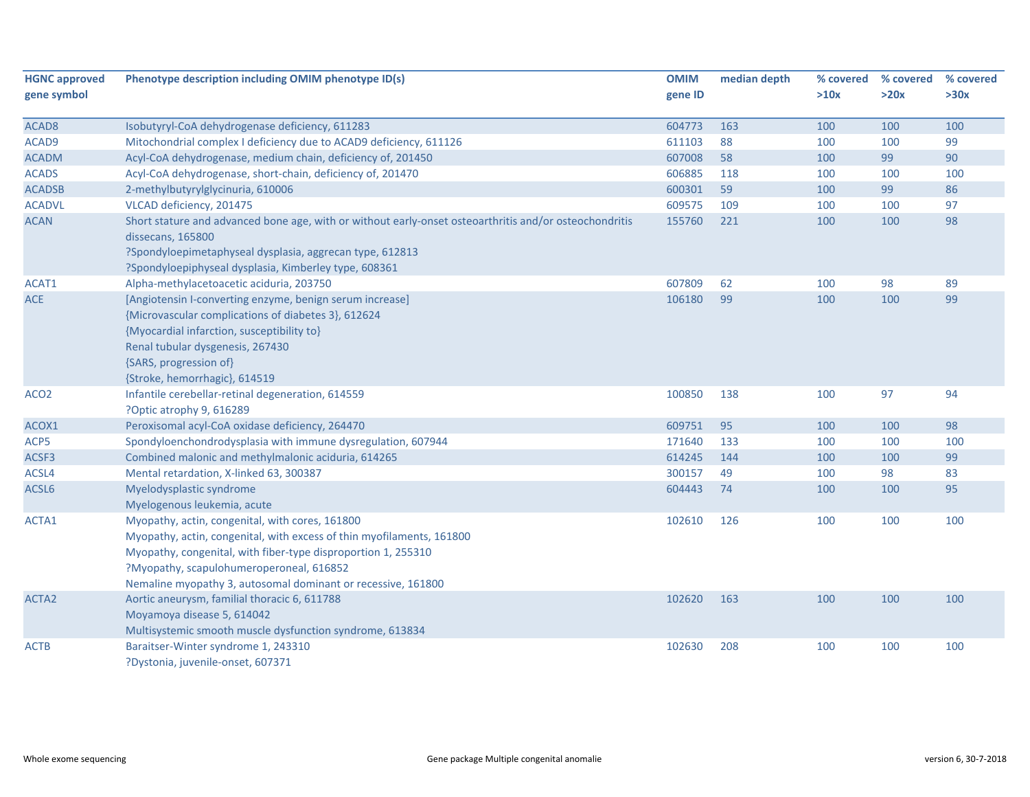| <b>HGNC approved</b> | Phenotype description including OMIM phenotype ID(s)                                                                                                                                                                                                                                                  | <b>OMIM</b> | median depth | % covered | % covered | % covered |
|----------------------|-------------------------------------------------------------------------------------------------------------------------------------------------------------------------------------------------------------------------------------------------------------------------------------------------------|-------------|--------------|-----------|-----------|-----------|
| gene symbol          |                                                                                                                                                                                                                                                                                                       | gene ID     |              | >10x      | >20x      | >30x      |
| ACAD <sub>8</sub>    | Isobutyryl-CoA dehydrogenase deficiency, 611283                                                                                                                                                                                                                                                       | 604773      | 163          | 100       | 100       | 100       |
| ACAD9                | Mitochondrial complex I deficiency due to ACAD9 deficiency, 611126                                                                                                                                                                                                                                    | 611103      | 88           | 100       | 100       | 99        |
| <b>ACADM</b>         | Acyl-CoA dehydrogenase, medium chain, deficiency of, 201450                                                                                                                                                                                                                                           | 607008      | 58           | 100       | 99        | 90        |
| <b>ACADS</b>         | Acyl-CoA dehydrogenase, short-chain, deficiency of, 201470                                                                                                                                                                                                                                            | 606885      | 118          | 100       | 100       | 100       |
| <b>ACADSB</b>        | 2-methylbutyrylglycinuria, 610006                                                                                                                                                                                                                                                                     | 600301      | 59           | 100       | 99        | 86        |
| <b>ACADVL</b>        | VLCAD deficiency, 201475                                                                                                                                                                                                                                                                              | 609575      | 109          | 100       | 100       | 97        |
| <b>ACAN</b>          | Short stature and advanced bone age, with or without early-onset osteoarthritis and/or osteochondritis<br>dissecans, 165800                                                                                                                                                                           | 155760      | 221          | 100       | 100       | 98        |
|                      | ?Spondyloepimetaphyseal dysplasia, aggrecan type, 612813<br>?Spondyloepiphyseal dysplasia, Kimberley type, 608361                                                                                                                                                                                     |             |              |           |           |           |
| ACAT1                | Alpha-methylacetoacetic aciduria, 203750                                                                                                                                                                                                                                                              | 607809      | 62           | 100       | 98        | 89        |
| <b>ACE</b>           | [Angiotensin I-converting enzyme, benign serum increase]<br>{Microvascular complications of diabetes 3}, 612624<br>{Myocardial infarction, susceptibility to}<br>Renal tubular dysgenesis, 267430<br>{SARS, progression of}<br>{Stroke, hemorrhagic}, 614519                                          | 106180      | 99           | 100       | 100       | 99        |
| ACO <sub>2</sub>     | Infantile cerebellar-retinal degeneration, 614559                                                                                                                                                                                                                                                     | 100850      | 138          | 100       | 97        | 94        |
|                      | ?Optic atrophy 9, 616289                                                                                                                                                                                                                                                                              |             |              |           |           |           |
| ACOX1                | Peroxisomal acyl-CoA oxidase deficiency, 264470                                                                                                                                                                                                                                                       | 609751      | 95           | 100       | 100       | 98        |
| ACP5                 | Spondyloenchondrodysplasia with immune dysregulation, 607944                                                                                                                                                                                                                                          | 171640      | 133          | 100       | 100       | 100       |
| ACSF3                | Combined malonic and methylmalonic aciduria, 614265                                                                                                                                                                                                                                                   | 614245      | 144          | 100       | 100       | 99        |
| ACSL4                | Mental retardation, X-linked 63, 300387                                                                                                                                                                                                                                                               | 300157      | 49           | 100       | 98        | 83        |
| ACSL6                | Myelodysplastic syndrome<br>Myelogenous leukemia, acute                                                                                                                                                                                                                                               | 604443      | 74           | 100       | 100       | 95        |
| ACTA1                | Myopathy, actin, congenital, with cores, 161800<br>Myopathy, actin, congenital, with excess of thin myofilaments, 161800<br>Myopathy, congenital, with fiber-type disproportion 1, 255310<br>?Myopathy, scapulohumeroperoneal, 616852<br>Nemaline myopathy 3, autosomal dominant or recessive, 161800 | 102610      | 126          | 100       | 100       | 100       |
| ACTA <sub>2</sub>    | Aortic aneurysm, familial thoracic 6, 611788<br>Moyamoya disease 5, 614042<br>Multisystemic smooth muscle dysfunction syndrome, 613834                                                                                                                                                                | 102620      | 163          | 100       | 100       | 100       |
| ACTB                 | Baraitser-Winter syndrome 1, 243310<br>?Dystonia, juvenile-onset, 607371                                                                                                                                                                                                                              | 102630      | 208          | 100       | 100       | 100       |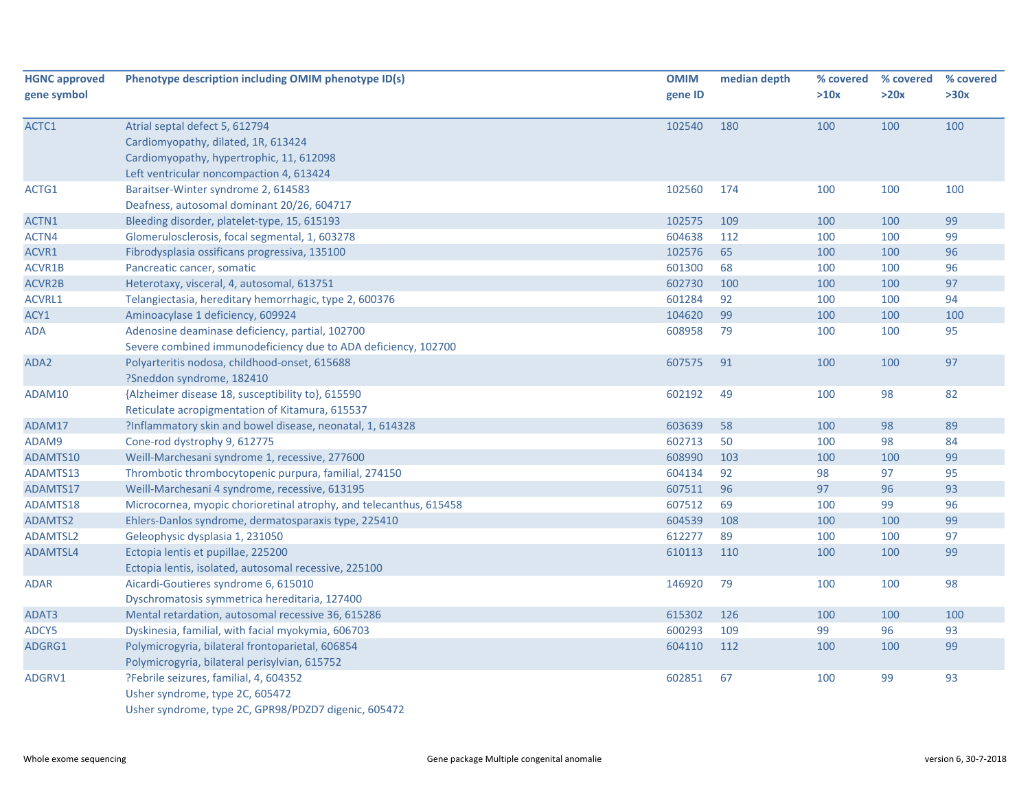| <b>HGNC approved</b><br>gene symbol | Phenotype description including OMIM phenotype ID(s)                                                                                                          | <b>OMIM</b><br>gene ID | median depth | % covered<br>>10x | % covered<br>>20x | % covered<br>>30x |
|-------------------------------------|---------------------------------------------------------------------------------------------------------------------------------------------------------------|------------------------|--------------|-------------------|-------------------|-------------------|
| ACTC1                               | Atrial septal defect 5, 612794<br>Cardiomyopathy, dilated, 1R, 613424<br>Cardiomyopathy, hypertrophic, 11, 612098<br>Left ventricular noncompaction 4, 613424 | 102540                 | 180          | 100               | 100               | 100               |
| ACTG1                               | Baraitser-Winter syndrome 2, 614583<br>Deafness, autosomal dominant 20/26, 604717                                                                             | 102560                 | 174          | 100               | 100               | 100               |
| ACTN1                               | Bleeding disorder, platelet-type, 15, 615193                                                                                                                  | 102575                 | 109          | 100               | 100               | 99                |
| ACTN4                               | Glomerulosclerosis, focal segmental, 1, 603278                                                                                                                | 604638                 | 112          | 100               | 100               | 99                |
| ACVR1                               | Fibrodysplasia ossificans progressiva, 135100                                                                                                                 | 102576                 | 65           | 100               | 100               | 96                |
| ACVR1B                              | Pancreatic cancer, somatic                                                                                                                                    | 601300                 | 68           | 100               | 100               | 96                |
| ACVR2B                              | Heterotaxy, visceral, 4, autosomal, 613751                                                                                                                    | 602730                 | 100          | 100               | 100               | 97                |
| <b>ACVRL1</b>                       | Telangiectasia, hereditary hemorrhagic, type 2, 600376                                                                                                        | 601284                 | 92           | 100               | 100               | 94                |
| ACY1                                | Aminoacylase 1 deficiency, 609924                                                                                                                             | 104620                 | 99           | 100               | 100               | 100               |
| <b>ADA</b>                          | Adenosine deaminase deficiency, partial, 102700<br>Severe combined immunodeficiency due to ADA deficiency, 102700                                             | 608958                 | 79           | 100               | 100               | 95                |
| ADA2                                | Polyarteritis nodosa, childhood-onset, 615688<br>?Sneddon syndrome, 182410                                                                                    | 607575                 | 91           | 100               | 100               | 97                |
| ADAM10                              | {Alzheimer disease 18, susceptibility to}, 615590<br>Reticulate acropigmentation of Kitamura, 615537                                                          | 602192                 | 49           | 100               | 98                | 82                |
| ADAM17                              | ?Inflammatory skin and bowel disease, neonatal, 1, 614328                                                                                                     | 603639                 | 58           | 100               | 98                | 89                |
| ADAM9                               | Cone-rod dystrophy 9, 612775                                                                                                                                  | 602713                 | 50           | 100               | 98                | 84                |
| ADAMTS10                            | Weill-Marchesani syndrome 1, recessive, 277600                                                                                                                | 608990                 | 103          | 100               | 100               | 99                |
| ADAMTS13                            | Thrombotic thrombocytopenic purpura, familial, 274150                                                                                                         | 604134                 | 92           | 98                | 97                | 95                |
| ADAMTS17                            | Weill-Marchesani 4 syndrome, recessive, 613195                                                                                                                | 607511                 | 96           | 97                | 96                | 93                |
| ADAMTS18                            | Microcornea, myopic chorioretinal atrophy, and telecanthus, 615458                                                                                            | 607512                 | 69           | 100               | 99                | 96                |
| ADAMTS2                             | Ehlers-Danlos syndrome, dermatosparaxis type, 225410                                                                                                          | 604539                 | 108          | 100               | 100               | 99                |
| <b>ADAMTSL2</b>                     | Geleophysic dysplasia 1, 231050                                                                                                                               | 612277                 | 89           | 100               | 100               | 97                |
| ADAMTSL4                            | Ectopia lentis et pupillae, 225200<br>Ectopia lentis, isolated, autosomal recessive, 225100                                                                   | 610113                 | 110          | 100               | 100               | 99                |
| <b>ADAR</b>                         | Aicardi-Goutieres syndrome 6, 615010<br>Dyschromatosis symmetrica hereditaria, 127400                                                                         | 146920                 | 79           | 100               | 100               | 98                |
| ADAT3                               | Mental retardation, autosomal recessive 36, 615286                                                                                                            | 615302                 | 126          | 100               | 100               | 100               |
| ADCY5                               | Dyskinesia, familial, with facial myokymia, 606703                                                                                                            | 600293                 | 109          | 99                | 96                | 93                |
| ADGRG1                              | Polymicrogyria, bilateral frontoparietal, 606854<br>Polymicrogyria, bilateral perisylvian, 615752                                                             | 604110                 | 112          | 100               | 100               | 99                |
| ADGRV1                              | ?Febrile seizures, familial, 4, 604352<br>Usher syndrome, type 2C, 605472<br>Usher syndrome, type 2C, GPR98/PDZD7 digenic, 605472                             | 602851                 | 67           | 100               | 99                | 93                |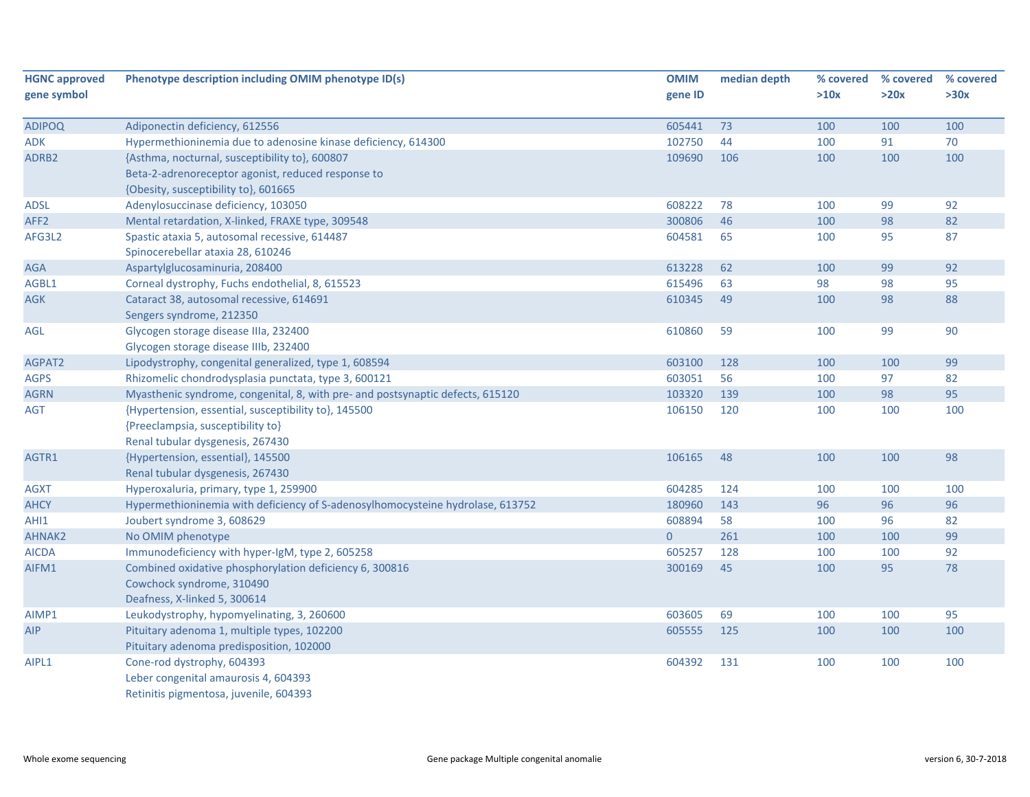| <b>HGNC approved</b> | Phenotype description including OMIM phenotype ID(s)                           | <b>OMIM</b>    | median depth | % covered | % covered | % covered |
|----------------------|--------------------------------------------------------------------------------|----------------|--------------|-----------|-----------|-----------|
| gene symbol          |                                                                                | gene ID        |              | >10x      | >20x      | >30x      |
| <b>ADIPOQ</b>        | Adiponectin deficiency, 612556                                                 | 605441         | 73           | 100       | 100       | 100       |
| <b>ADK</b>           | Hypermethioninemia due to adenosine kinase deficiency, 614300                  | 102750         | 44           | 100       | 91        | 70        |
| ADRB2                | {Asthma, nocturnal, susceptibility to}, 600807                                 | 109690         | 106          | 100       | 100       | 100       |
|                      | Beta-2-adrenoreceptor agonist, reduced response to                             |                |              |           |           |           |
|                      | {Obesity, susceptibility to}, 601665                                           |                |              |           |           |           |
| <b>ADSL</b>          | Adenylosuccinase deficiency, 103050                                            | 608222         | 78           | 100       | 99        | 92        |
| AFF <sub>2</sub>     | Mental retardation, X-linked, FRAXE type, 309548                               | 300806         | 46           | 100       | 98        | 82        |
| AFG3L2               | Spastic ataxia 5, autosomal recessive, 614487                                  | 604581         | 65           | 100       | 95        | 87        |
|                      | Spinocerebellar ataxia 28, 610246                                              |                |              |           |           |           |
| <b>AGA</b>           | Aspartylglucosaminuria, 208400                                                 | 613228         | 62           | 100       | 99        | 92        |
| AGBL1                | Corneal dystrophy, Fuchs endothelial, 8, 615523                                | 615496         | 63           | 98        | 98        | 95        |
| <b>AGK</b>           | Cataract 38, autosomal recessive, 614691                                       | 610345         | 49           | 100       | 98        | 88        |
|                      | Sengers syndrome, 212350                                                       |                |              |           |           |           |
| AGL                  | Glycogen storage disease IIIa, 232400                                          | 610860         | 59           | 100       | 99        | 90        |
|                      | Glycogen storage disease IIIb, 232400                                          |                |              |           |           |           |
| AGPAT2               | Lipodystrophy, congenital generalized, type 1, 608594                          | 603100         | 128          | 100       | 100       | 99        |
| <b>AGPS</b>          | Rhizomelic chondrodysplasia punctata, type 3, 600121                           | 603051         | 56           | 100       | 97        | 82        |
| <b>AGRN</b>          | Myasthenic syndrome, congenital, 8, with pre- and postsynaptic defects, 615120 | 103320         | 139          | 100       | 98        | 95        |
| <b>AGT</b>           | {Hypertension, essential, susceptibility to}, 145500                           | 106150         | 120          | 100       | 100       | 100       |
|                      | {Preeclampsia, susceptibility to}                                              |                |              |           |           |           |
|                      | Renal tubular dysgenesis, 267430                                               |                |              |           |           |           |
| AGTR1                | {Hypertension, essential}, 145500                                              | 106165         | 48           | 100       | 100       | 98        |
|                      | Renal tubular dysgenesis, 267430                                               |                |              |           |           |           |
| <b>AGXT</b>          | Hyperoxaluria, primary, type 1, 259900                                         | 604285         | 124          | 100       | 100       | 100       |
| <b>AHCY</b>          | Hypermethioninemia with deficiency of S-adenosylhomocysteine hydrolase, 613752 | 180960         | 143          | 96        | 96        | 96        |
| AHI1                 | Joubert syndrome 3, 608629                                                     | 608894         | 58           | 100       | 96        | 82        |
| AHNAK2               | No OMIM phenotype                                                              | $\overline{0}$ | 261          | 100       | 100       | 99        |
| <b>AICDA</b>         | Immunodeficiency with hyper-IgM, type 2, 605258                                | 605257         | 128          | 100       | 100       | 92        |
| AIFM1                | Combined oxidative phosphorylation deficiency 6, 300816                        | 300169         | 45           | 100       | 95        | 78        |
|                      | Cowchock syndrome, 310490                                                      |                |              |           |           |           |
|                      | Deafness, X-linked 5, 300614                                                   |                |              |           |           |           |
| AIMP1                | Leukodystrophy, hypomyelinating, 3, 260600                                     | 603605         | 69           | 100       | 100       | 95        |
| <b>AIP</b>           | Pituitary adenoma 1, multiple types, 102200                                    | 605555         | 125          | 100       | 100       | 100       |
|                      | Pituitary adenoma predisposition, 102000                                       |                |              |           |           |           |
| AIPL1                | Cone-rod dystrophy, 604393                                                     | 604392         | 131          | 100       | 100       | 100       |
|                      | Leber congenital amaurosis 4, 604393                                           |                |              |           |           |           |
|                      | Retinitis pigmentosa, juvenile, 604393                                         |                |              |           |           |           |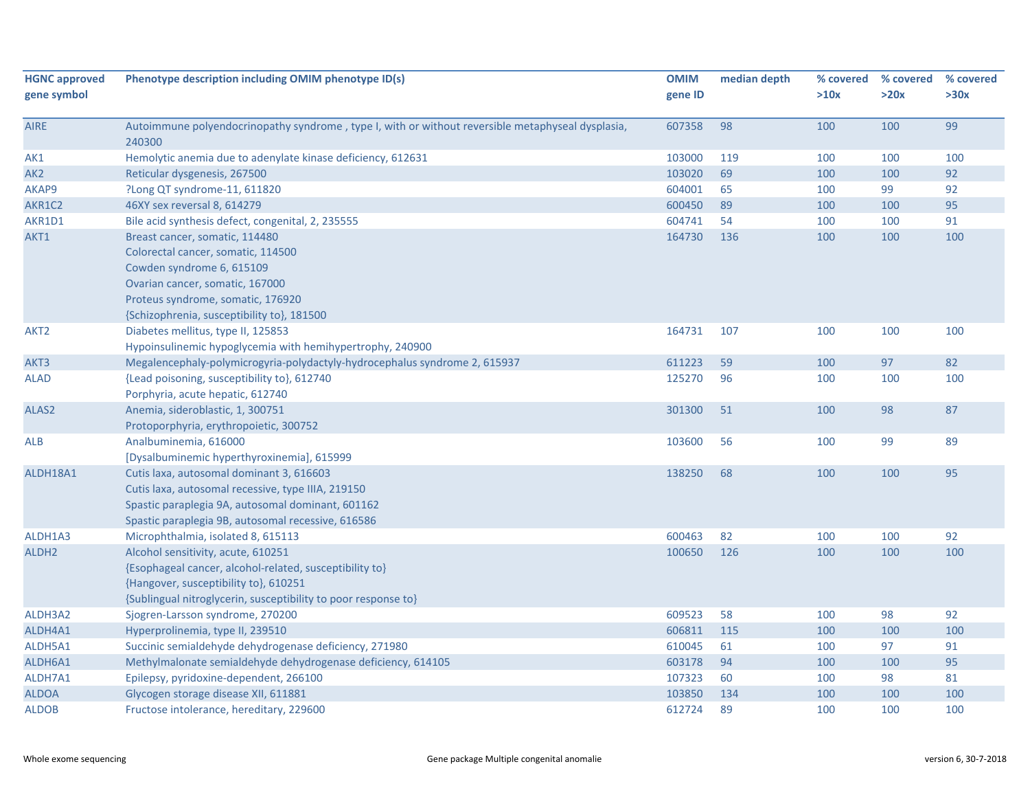| <b>HGNC approved</b><br>gene symbol | Phenotype description including OMIM phenotype ID(s)                                                        | <b>OMIM</b><br>gene ID | median depth | % covered<br>>10x | % covered<br>>20x | % covered<br>>30x |
|-------------------------------------|-------------------------------------------------------------------------------------------------------------|------------------------|--------------|-------------------|-------------------|-------------------|
| <b>AIRE</b>                         | Autoimmune polyendocrinopathy syndrome, type I, with or without reversible metaphyseal dysplasia,<br>240300 | 607358                 | 98           | 100               | 100               | 99                |
| AK1                                 | Hemolytic anemia due to adenylate kinase deficiency, 612631                                                 | 103000                 | 119          | 100               | 100               | 100               |
| AK <sub>2</sub>                     | Reticular dysgenesis, 267500                                                                                | 103020                 | 69           | 100               | 100               | 92                |
| AKAP9                               | ?Long QT syndrome-11, 611820                                                                                | 604001                 | 65           | 100               | 99                | 92                |
| AKR1C2                              | 46XY sex reversal 8, 614279                                                                                 | 600450                 | 89           | 100               | 100               | 95                |
| AKR1D1                              | Bile acid synthesis defect, congenital, 2, 235555                                                           | 604741                 | 54           | 100               | 100               | 91                |
| AKT1                                | Breast cancer, somatic, 114480                                                                              | 164730                 | 136          | 100               | 100               | 100               |
|                                     | Colorectal cancer, somatic, 114500                                                                          |                        |              |                   |                   |                   |
|                                     | Cowden syndrome 6, 615109                                                                                   |                        |              |                   |                   |                   |
|                                     | Ovarian cancer, somatic, 167000                                                                             |                        |              |                   |                   |                   |
|                                     | Proteus syndrome, somatic, 176920                                                                           |                        |              |                   |                   |                   |
|                                     | {Schizophrenia, susceptibility to}, 181500                                                                  |                        |              |                   |                   |                   |
| AKT <sub>2</sub>                    | Diabetes mellitus, type II, 125853                                                                          | 164731                 | 107          | 100               | 100               | 100               |
|                                     | Hypoinsulinemic hypoglycemia with hemihypertrophy, 240900                                                   |                        |              |                   |                   |                   |
| AKT3                                | Megalencephaly-polymicrogyria-polydactyly-hydrocephalus syndrome 2, 615937                                  | 611223                 | 59           | 100               | 97                | 82                |
| <b>ALAD</b>                         | {Lead poisoning, susceptibility to}, 612740                                                                 | 125270                 | 96           | 100               | 100               | 100               |
|                                     | Porphyria, acute hepatic, 612740                                                                            |                        |              |                   |                   |                   |
| ALAS2                               | Anemia, sideroblastic, 1, 300751                                                                            | 301300                 | 51           | 100               | 98                | 87                |
|                                     | Protoporphyria, erythropoietic, 300752                                                                      |                        |              |                   |                   |                   |
| <b>ALB</b>                          | Analbuminemia, 616000                                                                                       | 103600                 | 56           | 100               | 99                | 89                |
|                                     | [Dysalbuminemic hyperthyroxinemia], 615999                                                                  |                        |              |                   |                   |                   |
| ALDH18A1                            | Cutis laxa, autosomal dominant 3, 616603                                                                    | 138250                 | 68           | 100               | 100               | 95                |
|                                     | Cutis laxa, autosomal recessive, type IIIA, 219150                                                          |                        |              |                   |                   |                   |
|                                     | Spastic paraplegia 9A, autosomal dominant, 601162                                                           |                        |              |                   |                   |                   |
|                                     | Spastic paraplegia 9B, autosomal recessive, 616586                                                          |                        |              |                   |                   |                   |
| ALDH1A3                             | Microphthalmia, isolated 8, 615113                                                                          | 600463                 | 82           | 100               | 100               | 92                |
| ALDH <sub>2</sub>                   | Alcohol sensitivity, acute, 610251                                                                          | 100650                 | 126          | 100               | 100               | 100               |
|                                     | {Esophageal cancer, alcohol-related, susceptibility to}                                                     |                        |              |                   |                   |                   |
|                                     | {Hangover, susceptibility to}, 610251                                                                       |                        |              |                   |                   |                   |
|                                     | {Sublingual nitroglycerin, susceptibility to poor response to}                                              |                        |              |                   |                   |                   |
| ALDH3A2                             | Sjogren-Larsson syndrome, 270200                                                                            | 609523                 | 58           | 100               | 98                | 92                |
| ALDH4A1                             | Hyperprolinemia, type II, 239510                                                                            | 606811                 | 115          | 100               | 100               | 100               |
| ALDH5A1                             | Succinic semialdehyde dehydrogenase deficiency, 271980                                                      | 610045                 | 61           | 100               | 97                | 91                |
| ALDH6A1                             | Methylmalonate semialdehyde dehydrogenase deficiency, 614105                                                | 603178                 | 94           | 100               | 100               | 95                |
| ALDH7A1                             | Epilepsy, pyridoxine-dependent, 266100                                                                      | 107323                 | 60           | 100               | 98                | 81                |
| <b>ALDOA</b>                        | Glycogen storage disease XII, 611881                                                                        | 103850                 | 134          | 100               | 100               | 100               |
| <b>ALDOB</b>                        | Fructose intolerance, hereditary, 229600                                                                    | 612724                 | 89           | 100               | 100               | 100               |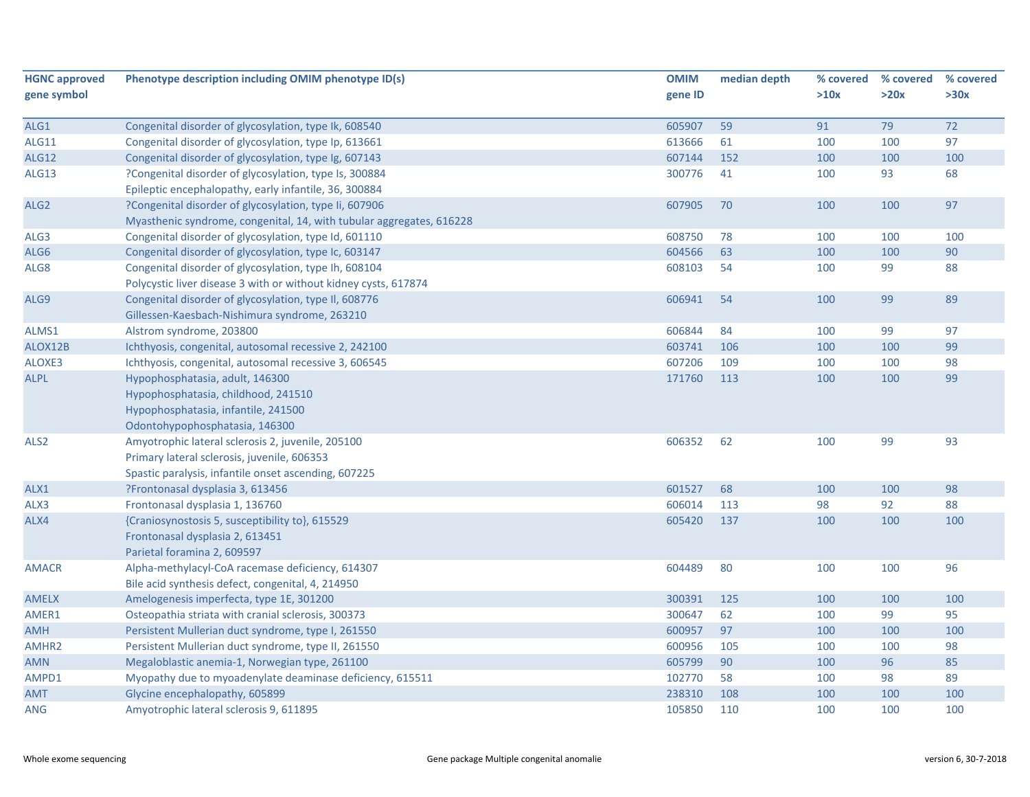| <b>HGNC approved</b><br>gene symbol | Phenotype description including OMIM phenotype ID(s)                 | <b>OMIM</b><br>gene ID | median depth | % covered<br>>10x | % covered<br>>20x | % covered<br>>30x |
|-------------------------------------|----------------------------------------------------------------------|------------------------|--------------|-------------------|-------------------|-------------------|
| ALG1                                | Congenital disorder of glycosylation, type Ik, 608540                | 605907                 | 59           | 91                | 79                | 72                |
| <b>ALG11</b>                        | Congenital disorder of glycosylation, type Ip, 613661                | 613666                 | 61           | 100               | 100               | 97                |
| ALG12                               | Congenital disorder of glycosylation, type Ig, 607143                | 607144                 | 152          | 100               | 100               | 100               |
| ALG13                               | ?Congenital disorder of glycosylation, type Is, 300884               | 300776                 | 41           | 100               | 93                | 68                |
|                                     | Epileptic encephalopathy, early infantile, 36, 300884                |                        |              |                   |                   |                   |
| ALG <sub>2</sub>                    | ?Congenital disorder of glycosylation, type Ii, 607906               | 607905                 | 70           | 100               | 100               | 97                |
|                                     | Myasthenic syndrome, congenital, 14, with tubular aggregates, 616228 |                        |              |                   |                   |                   |
| ALG3                                | Congenital disorder of glycosylation, type Id, 601110                | 608750                 | 78           | 100               | 100               | 100               |
| ALG6                                | Congenital disorder of glycosylation, type Ic, 603147                | 604566                 | 63           | 100               | 100               | 90                |
| ALG8                                | Congenital disorder of glycosylation, type Ih, 608104                | 608103                 | 54           | 100               | 99                | 88                |
|                                     | Polycystic liver disease 3 with or without kidney cysts, 617874      |                        |              |                   |                   |                   |
| ALG9                                | Congenital disorder of glycosylation, type II, 608776                | 606941                 | 54           | 100               | 99                | 89                |
|                                     | Gillessen-Kaesbach-Nishimura syndrome, 263210                        |                        |              |                   |                   |                   |
| ALMS1                               | Alstrom syndrome, 203800                                             | 606844                 | 84           | 100               | 99                | 97                |
| ALOX12B                             | Ichthyosis, congenital, autosomal recessive 2, 242100                | 603741                 | 106          | 100               | 100               | 99                |
| ALOXE3                              | Ichthyosis, congenital, autosomal recessive 3, 606545                | 607206                 | 109          | 100               | 100               | 98                |
| <b>ALPL</b>                         | Hypophosphatasia, adult, 146300                                      | 171760                 | 113          | 100               | 100               | 99                |
|                                     | Hypophosphatasia, childhood, 241510                                  |                        |              |                   |                   |                   |
|                                     | Hypophosphatasia, infantile, 241500                                  |                        |              |                   |                   |                   |
|                                     | Odontohypophosphatasia, 146300                                       |                        |              |                   |                   |                   |
| ALS <sub>2</sub>                    | Amyotrophic lateral sclerosis 2, juvenile, 205100                    | 606352                 | 62           | 100               | 99                | 93                |
|                                     | Primary lateral sclerosis, juvenile, 606353                          |                        |              |                   |                   |                   |
|                                     | Spastic paralysis, infantile onset ascending, 607225                 |                        |              |                   |                   |                   |
| ALX1                                | ?Frontonasal dysplasia 3, 613456                                     | 601527                 | 68           | 100               | 100               | 98                |
| ALX3                                | Frontonasal dysplasia 1, 136760                                      | 606014                 | 113          | 98                | 92                | 88                |
| ALX4                                | {Craniosynostosis 5, susceptibility to}, 615529                      | 605420                 | 137          | 100               | 100               | 100               |
|                                     | Frontonasal dysplasia 2, 613451                                      |                        |              |                   |                   |                   |
|                                     | Parietal foramina 2, 609597                                          |                        |              |                   |                   |                   |
| <b>AMACR</b>                        | Alpha-methylacyl-CoA racemase deficiency, 614307                     | 604489                 | 80           | 100               | 100               | 96                |
|                                     | Bile acid synthesis defect, congenital, 4, 214950                    |                        |              |                   |                   |                   |
| <b>AMELX</b>                        | Amelogenesis imperfecta, type 1E, 301200                             | 300391                 | 125          | 100               | 100               | 100               |
| AMER1                               | Osteopathia striata with cranial sclerosis, 300373                   | 300647                 | 62           | 100               | 99                | 95                |
| <b>AMH</b>                          | Persistent Mullerian duct syndrome, type I, 261550                   | 600957                 | 97           | 100               | 100               | 100               |
| AMHR <sub>2</sub>                   | Persistent Mullerian duct syndrome, type II, 261550                  | 600956                 | 105          | 100               | 100               | 98                |
| <b>AMN</b>                          | Megaloblastic anemia-1, Norwegian type, 261100                       | 605799                 | 90           | 100               | 96                | 85                |
| AMPD1                               | Myopathy due to myoadenylate deaminase deficiency, 615511            | 102770                 | 58           | 100               | 98                | 89                |
| <b>AMT</b>                          | Glycine encephalopathy, 605899                                       | 238310                 | 108          | 100               | 100               | 100               |
| <b>ANG</b>                          | Amyotrophic lateral sclerosis 9, 611895                              | 105850                 | 110          | 100               | 100               | 100               |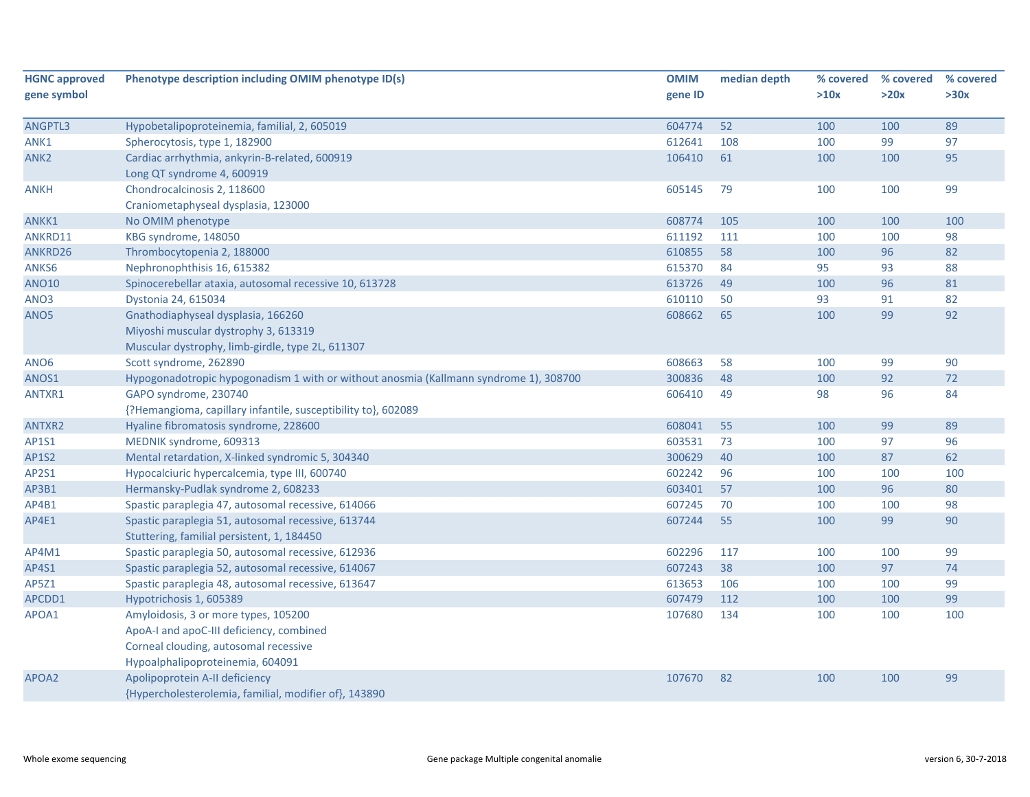| <b>HGNC approved</b> | Phenotype description including OMIM phenotype ID(s)                                  | <b>OMIM</b> | median depth | % covered | % covered | % covered |
|----------------------|---------------------------------------------------------------------------------------|-------------|--------------|-----------|-----------|-----------|
| gene symbol          |                                                                                       | gene ID     |              | >10x      | >20x      | >30x      |
|                      |                                                                                       |             |              |           |           |           |
| ANGPTL3              | Hypobetalipoproteinemia, familial, 2, 605019                                          | 604774      | 52           | 100       | 100       | 89        |
| ANK1                 | Spherocytosis, type 1, 182900                                                         | 612641      | 108          | 100       | 99        | 97        |
| ANK <sub>2</sub>     | Cardiac arrhythmia, ankyrin-B-related, 600919                                         | 106410      | 61           | 100       | 100       | 95        |
|                      | Long QT syndrome 4, 600919                                                            |             |              |           |           |           |
| ANKH                 | Chondrocalcinosis 2, 118600                                                           | 605145      | 79           | 100       | 100       | 99        |
|                      | Craniometaphyseal dysplasia, 123000                                                   |             |              |           |           |           |
| ANKK1                | No OMIM phenotype                                                                     | 608774      | 105          | 100       | 100       | 100       |
| ANKRD11              | KBG syndrome, 148050                                                                  | 611192      | 111          | 100       | 100       | 98        |
| ANKRD26              | Thrombocytopenia 2, 188000                                                            | 610855      | 58           | 100       | 96        | 82        |
| ANKS6                | Nephronophthisis 16, 615382                                                           | 615370      | 84           | 95        | 93        | 88        |
| <b>ANO10</b>         | Spinocerebellar ataxia, autosomal recessive 10, 613728                                | 613726      | 49           | 100       | 96        | 81        |
| ANO3                 | Dystonia 24, 615034                                                                   | 610110      | 50           | 93        | 91        | 82        |
| ANO <sub>5</sub>     | Gnathodiaphyseal dysplasia, 166260                                                    | 608662      | 65           | 100       | 99        | 92        |
|                      | Miyoshi muscular dystrophy 3, 613319                                                  |             |              |           |           |           |
|                      | Muscular dystrophy, limb-girdle, type 2L, 611307                                      |             |              |           |           |           |
| ANO <sub>6</sub>     | Scott syndrome, 262890                                                                | 608663      | 58           | 100       | 99        | 90        |
| ANOS1                | Hypogonadotropic hypogonadism 1 with or without anosmia (Kallmann syndrome 1), 308700 | 300836      | 48           | 100       | 92        | 72        |
| ANTXR1               | GAPO syndrome, 230740                                                                 | 606410      | 49           | 98        | 96        | 84        |
|                      | {?Hemangioma, capillary infantile, susceptibility to}, 602089                         |             |              |           |           |           |
| ANTXR2               | Hyaline fibromatosis syndrome, 228600                                                 | 608041      | 55           | 100       | 99        | 89        |
| AP1S1                | MEDNIK syndrome, 609313                                                               | 603531      | 73           | 100       | 97        | 96        |
| <b>AP1S2</b>         | Mental retardation, X-linked syndromic 5, 304340                                      | 300629      | 40           | 100       | 87        | 62        |
| AP2S1                | Hypocalciuric hypercalcemia, type III, 600740                                         | 602242      | 96           | 100       | 100       | 100       |
| AP3B1                | Hermansky-Pudlak syndrome 2, 608233                                                   | 603401      | 57           | 100       | 96        | 80        |
| AP4B1                | Spastic paraplegia 47, autosomal recessive, 614066                                    | 607245      | 70           | 100       | 100       | 98        |
| AP4E1                | Spastic paraplegia 51, autosomal recessive, 613744                                    | 607244      | 55           | 100       | 99        | 90        |
|                      | Stuttering, familial persistent, 1, 184450                                            |             |              |           |           |           |
| AP4M1                | Spastic paraplegia 50, autosomal recessive, 612936                                    | 602296      | 117          | 100       | 100       | 99        |
| AP4S1                | Spastic paraplegia 52, autosomal recessive, 614067                                    | 607243      | 38           | 100       | 97        | 74        |
| AP5Z1                | Spastic paraplegia 48, autosomal recessive, 613647                                    | 613653      | 106          | 100       | 100       | 99        |
| APCDD1               | Hypotrichosis 1, 605389                                                               | 607479      | 112          | 100       | 100       | 99        |
| APOA1                | Amyloidosis, 3 or more types, 105200                                                  | 107680      | 134          | 100       | 100       | 100       |
|                      | ApoA-I and apoC-III deficiency, combined                                              |             |              |           |           |           |
|                      | Corneal clouding, autosomal recessive                                                 |             |              |           |           |           |
|                      | Hypoalphalipoproteinemia, 604091                                                      |             |              |           |           |           |
| APOA2                | Apolipoprotein A-II deficiency                                                        | 107670      | 82           | 100       | 100       | 99        |
|                      | {Hypercholesterolemia, familial, modifier of}, 143890                                 |             |              |           |           |           |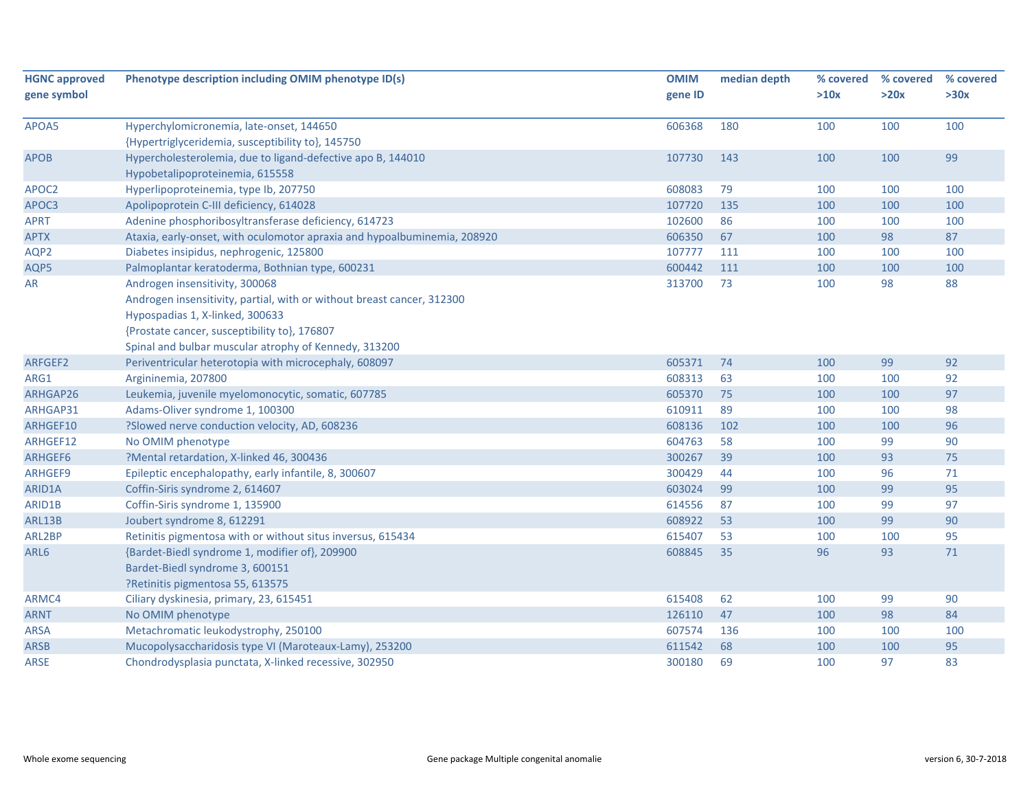| <b>HGNC approved</b> | Phenotype description including OMIM phenotype ID(s)                     | <b>OMIM</b> | median depth | % covered | % covered | % covered |
|----------------------|--------------------------------------------------------------------------|-------------|--------------|-----------|-----------|-----------|
| gene symbol          |                                                                          | gene ID     |              | >10x      | >20x      | >30x      |
|                      |                                                                          |             |              |           |           |           |
| APOA5                | Hyperchylomicronemia, late-onset, 144650                                 | 606368      | 180          | 100       | 100       | 100       |
|                      | {Hypertriglyceridemia, susceptibility to}, 145750                        |             |              |           |           |           |
| <b>APOB</b>          | Hypercholesterolemia, due to ligand-defective apo B, 144010              | 107730      | 143          | 100       | 100       | 99        |
|                      | Hypobetalipoproteinemia, 615558                                          |             |              |           |           |           |
| APOC2                | Hyperlipoproteinemia, type Ib, 207750                                    | 608083      | 79           | 100       | 100       | 100       |
| APOC3                | Apolipoprotein C-III deficiency, 614028                                  | 107720      | 135          | 100       | 100       | 100       |
| <b>APRT</b>          | Adenine phosphoribosyltransferase deficiency, 614723                     | 102600      | 86           | 100       | 100       | 100       |
| <b>APTX</b>          | Ataxia, early-onset, with oculomotor apraxia and hypoalbuminemia, 208920 | 606350      | 67           | 100       | 98        | 87        |
| AQP2                 | Diabetes insipidus, nephrogenic, 125800                                  | 107777      | 111          | 100       | 100       | 100       |
| AQP5                 | Palmoplantar keratoderma, Bothnian type, 600231                          | 600442      | 111          | 100       | 100       | 100       |
| AR                   | Androgen insensitivity, 300068                                           | 313700      | 73           | 100       | 98        | 88        |
|                      | Androgen insensitivity, partial, with or without breast cancer, 312300   |             |              |           |           |           |
|                      | Hypospadias 1, X-linked, 300633                                          |             |              |           |           |           |
|                      | {Prostate cancer, susceptibility to}, 176807                             |             |              |           |           |           |
|                      | Spinal and bulbar muscular atrophy of Kennedy, 313200                    |             |              |           |           |           |
| ARFGEF2              | Periventricular heterotopia with microcephaly, 608097                    | 605371      | 74           | 100       | 99        | 92        |
| ARG1                 | Argininemia, 207800                                                      | 608313      | 63           | 100       | 100       | 92        |
| ARHGAP26             | Leukemia, juvenile myelomonocytic, somatic, 607785                       | 605370      | 75           | 100       | 100       | 97        |
| ARHGAP31             | Adams-Oliver syndrome 1, 100300                                          | 610911      | 89           | 100       | 100       | 98        |
| ARHGEF10             | ?Slowed nerve conduction velocity, AD, 608236                            | 608136      | 102          | 100       | 100       | 96        |
| ARHGEF12             | No OMIM phenotype                                                        | 604763      | 58           | 100       | 99        | 90        |
| ARHGEF6              | ?Mental retardation, X-linked 46, 300436                                 | 300267      | 39           | 100       | 93        | 75        |
| ARHGEF9              | Epileptic encephalopathy, early infantile, 8, 300607                     | 300429      | 44           | 100       | 96        | $71\,$    |
| ARID1A               | Coffin-Siris syndrome 2, 614607                                          | 603024      | 99           | 100       | 99        | 95        |
| ARID1B               | Coffin-Siris syndrome 1, 135900                                          | 614556      | 87           | 100       | 99        | 97        |
| ARL13B               | Joubert syndrome 8, 612291                                               | 608922      | 53           | 100       | 99        | 90        |
| ARL2BP               | Retinitis pigmentosa with or without situs inversus, 615434              | 615407      | 53           | 100       | 100       | 95        |
| ARL6                 | {Bardet-Biedl syndrome 1, modifier of}, 209900                           | 608845      | 35           | 96        | 93        | $71$      |
|                      | Bardet-Biedl syndrome 3, 600151                                          |             |              |           |           |           |
|                      | ?Retinitis pigmentosa 55, 613575                                         |             |              |           |           |           |
| ARMC4                | Ciliary dyskinesia, primary, 23, 615451                                  | 615408      | 62           | 100       | 99        | 90        |
| <b>ARNT</b>          | No OMIM phenotype                                                        | 126110      | 47           | 100       | 98        | 84        |
| <b>ARSA</b>          | Metachromatic leukodystrophy, 250100                                     | 607574      | 136          | 100       | 100       | 100       |
| <b>ARSB</b>          | Mucopolysaccharidosis type VI (Maroteaux-Lamy), 253200                   | 611542      | 68           | 100       | 100       | 95        |
| <b>ARSE</b>          | Chondrodysplasia punctata, X-linked recessive, 302950                    | 300180      | 69           | 100       | 97        | 83        |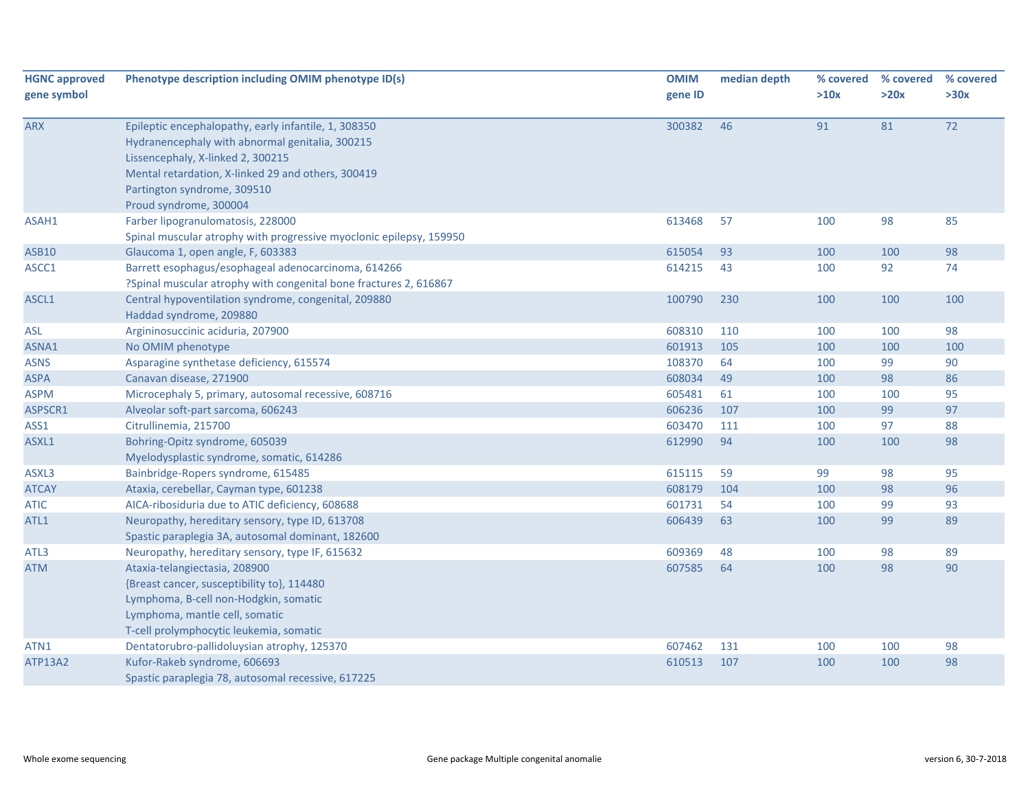| <b>HGNC approved</b> | Phenotype description including OMIM phenotype ID(s)                | <b>OMIM</b> | median depth | % covered<br>>10x | % covered<br>>20x | % covered<br>>30x |
|----------------------|---------------------------------------------------------------------|-------------|--------------|-------------------|-------------------|-------------------|
| gene symbol          |                                                                     | gene ID     |              |                   |                   |                   |
| <b>ARX</b>           | Epileptic encephalopathy, early infantile, 1, 308350                | 300382      | 46           | 91                | 81                | 72                |
|                      | Hydranencephaly with abnormal genitalia, 300215                     |             |              |                   |                   |                   |
|                      | Lissencephaly, X-linked 2, 300215                                   |             |              |                   |                   |                   |
|                      | Mental retardation, X-linked 29 and others, 300419                  |             |              |                   |                   |                   |
|                      | Partington syndrome, 309510                                         |             |              |                   |                   |                   |
|                      | Proud syndrome, 300004                                              |             |              |                   |                   |                   |
| ASAH1                | Farber lipogranulomatosis, 228000                                   | 613468      | 57           | 100               | 98                | 85                |
|                      | Spinal muscular atrophy with progressive myoclonic epilepsy, 159950 |             |              |                   |                   |                   |
| <b>ASB10</b>         | Glaucoma 1, open angle, F, 603383                                   | 615054      | 93           | 100               | 100               | 98                |
| ASCC1                | Barrett esophagus/esophageal adenocarcinoma, 614266                 | 614215      | 43           | 100               | 92                | 74                |
|                      | ?Spinal muscular atrophy with congenital bone fractures 2, 616867   |             |              |                   |                   |                   |
| ASCL1                | Central hypoventilation syndrome, congenital, 209880                | 100790      | 230          | 100               | 100               | 100               |
|                      | Haddad syndrome, 209880                                             |             |              |                   |                   |                   |
| ASL                  | Argininosuccinic aciduria, 207900                                   | 608310      | 110          | 100               | 100               | 98                |
| ASNA1                | No OMIM phenotype                                                   | 601913      | 105          | 100               | 100               | 100               |
| <b>ASNS</b>          | Asparagine synthetase deficiency, 615574                            | 108370      | 64           | 100               | 99                | 90                |
| <b>ASPA</b>          | Canavan disease, 271900                                             | 608034      | 49           | 100               | 98                | 86                |
| <b>ASPM</b>          | Microcephaly 5, primary, autosomal recessive, 608716                | 605481      | 61           | 100               | 100               | 95                |
| ASPSCR1              | Alveolar soft-part sarcoma, 606243                                  | 606236      | 107          | 100               | 99                | 97                |
| ASS1                 | Citrullinemia, 215700                                               | 603470      | 111          | 100               | 97                | 88                |
| ASXL1                | Bohring-Opitz syndrome, 605039                                      | 612990      | 94           | 100               | 100               | 98                |
|                      | Myelodysplastic syndrome, somatic, 614286                           |             |              |                   |                   |                   |
| ASXL3                | Bainbridge-Ropers syndrome, 615485                                  | 615115      | 59           | 99                | 98                | 95                |
| <b>ATCAY</b>         | Ataxia, cerebellar, Cayman type, 601238                             | 608179      | 104          | 100               | 98                | 96                |
| <b>ATIC</b>          | AICA-ribosiduria due to ATIC deficiency, 608688                     | 601731      | 54           | 100               | 99                | 93                |
| ATL1                 | Neuropathy, hereditary sensory, type ID, 613708                     | 606439      | 63           | 100               | 99                | 89                |
|                      | Spastic paraplegia 3A, autosomal dominant, 182600                   |             |              |                   |                   |                   |
| ATL3                 | Neuropathy, hereditary sensory, type IF, 615632                     | 609369      | 48           | 100               | 98                | 89                |
| <b>ATM</b>           | Ataxia-telangiectasia, 208900                                       | 607585      | 64           | 100               | 98                | 90                |
|                      | {Breast cancer, susceptibility to}, 114480                          |             |              |                   |                   |                   |
|                      | Lymphoma, B-cell non-Hodgkin, somatic                               |             |              |                   |                   |                   |
|                      | Lymphoma, mantle cell, somatic                                      |             |              |                   |                   |                   |
|                      | T-cell prolymphocytic leukemia, somatic                             |             |              |                   |                   |                   |
| ATN1                 | Dentatorubro-pallidoluysian atrophy, 125370                         | 607462      | 131          | 100               | 100               | 98                |
| ATP13A2              | Kufor-Rakeb syndrome, 606693                                        | 610513      | 107          | 100               | 100               | 98                |
|                      | Spastic paraplegia 78, autosomal recessive, 617225                  |             |              |                   |                   |                   |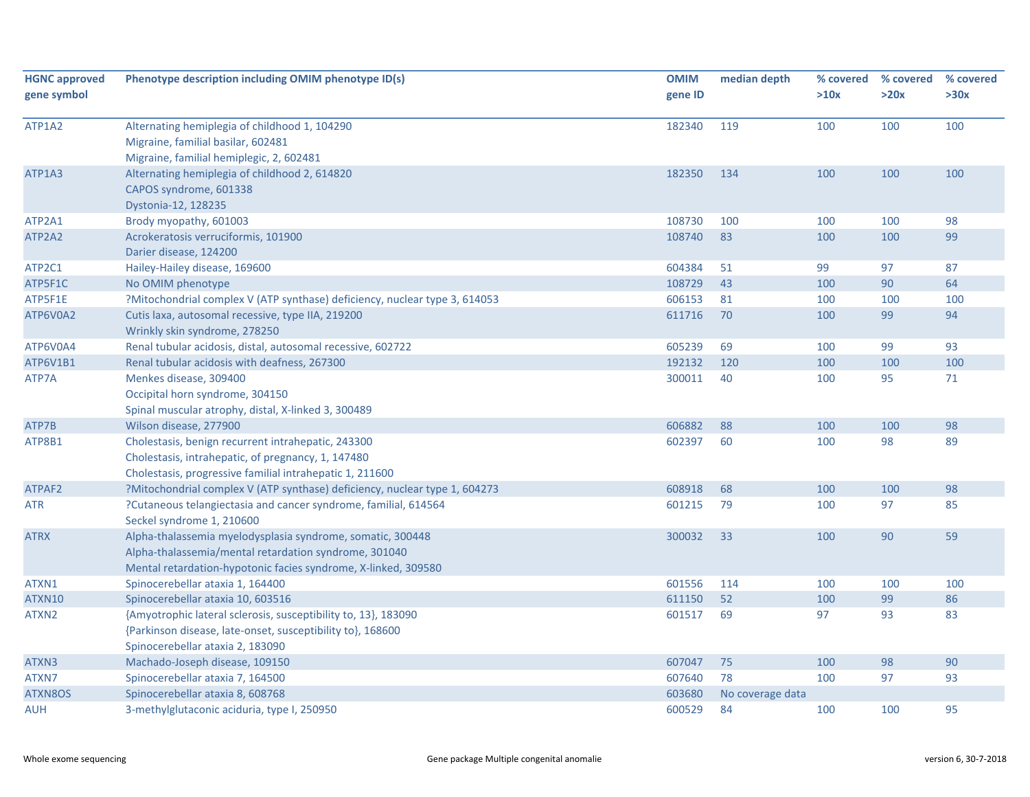| <b>HGNC approved</b><br>gene symbol | Phenotype description including OMIM phenotype ID(s)                                                                                                                                  | <b>OMIM</b><br>gene ID | median depth     | % covered<br>>10x | % covered<br>>20x | % covered<br>>30x |
|-------------------------------------|---------------------------------------------------------------------------------------------------------------------------------------------------------------------------------------|------------------------|------------------|-------------------|-------------------|-------------------|
| ATP1A2                              | Alternating hemiplegia of childhood 1, 104290<br>Migraine, familial basilar, 602481<br>Migraine, familial hemiplegic, 2, 602481                                                       | 182340                 | 119              | 100               | 100               | 100               |
| ATP1A3                              | Alternating hemiplegia of childhood 2, 614820<br>CAPOS syndrome, 601338<br>Dystonia-12, 128235                                                                                        | 182350                 | 134              | 100               | 100               | 100               |
| ATP2A1                              | Brody myopathy, 601003                                                                                                                                                                | 108730                 | 100              | 100               | 100               | 98                |
| ATP2A2                              | Acrokeratosis verruciformis, 101900<br>Darier disease, 124200                                                                                                                         | 108740                 | 83               | 100               | 100               | 99                |
| ATP2C1                              | Hailey-Hailey disease, 169600                                                                                                                                                         | 604384                 | 51               | 99                | 97                | 87                |
| ATP5F1C                             | No OMIM phenotype                                                                                                                                                                     | 108729                 | 43               | 100               | 90                | 64                |
| ATP5F1E                             | ?Mitochondrial complex V (ATP synthase) deficiency, nuclear type 3, 614053                                                                                                            | 606153                 | 81               | 100               | 100               | 100               |
| ATP6V0A2                            | Cutis laxa, autosomal recessive, type IIA, 219200<br>Wrinkly skin syndrome, 278250                                                                                                    | 611716                 | 70               | 100               | 99                | 94                |
| ATP6V0A4                            | Renal tubular acidosis, distal, autosomal recessive, 602722                                                                                                                           | 605239                 | 69               | 100               | 99                | 93                |
| ATP6V1B1                            | Renal tubular acidosis with deafness, 267300                                                                                                                                          | 192132                 | 120              | 100               | 100               | 100               |
| ATP7A                               | Menkes disease, 309400<br>Occipital horn syndrome, 304150<br>Spinal muscular atrophy, distal, X-linked 3, 300489                                                                      | 300011                 | 40               | 100               | 95                | 71                |
| ATP7B                               | Wilson disease, 277900                                                                                                                                                                | 606882                 | 88               | 100               | 100               | 98                |
| ATP8B1                              | Cholestasis, benign recurrent intrahepatic, 243300<br>Cholestasis, intrahepatic, of pregnancy, 1, 147480<br>Cholestasis, progressive familial intrahepatic 1, 211600                  | 602397                 | 60               | 100               | 98                | 89                |
| ATPAF2                              | ?Mitochondrial complex V (ATP synthase) deficiency, nuclear type 1, 604273                                                                                                            | 608918                 | 68               | 100               | 100               | 98                |
| <b>ATR</b>                          | ?Cutaneous telangiectasia and cancer syndrome, familial, 614564<br>Seckel syndrome 1, 210600                                                                                          | 601215                 | 79               | 100               | 97                | 85                |
| <b>ATRX</b>                         | Alpha-thalassemia myelodysplasia syndrome, somatic, 300448<br>Alpha-thalassemia/mental retardation syndrome, 301040<br>Mental retardation-hypotonic facies syndrome, X-linked, 309580 | 300032                 | 33               | 100               | 90                | 59                |
| ATXN1                               | Spinocerebellar ataxia 1, 164400                                                                                                                                                      | 601556                 | 114              | 100               | 100               | 100               |
| ATXN10                              | Spinocerebellar ataxia 10, 603516                                                                                                                                                     | 611150                 | 52               | 100               | 99                | 86                |
| ATXN2                               | {Amyotrophic lateral sclerosis, susceptibility to, 13}, 183090<br>{Parkinson disease, late-onset, susceptibility to}, 168600<br>Spinocerebellar ataxia 2, 183090                      | 601517                 | 69               | 97                | 93                | 83                |
| ATXN3                               | Machado-Joseph disease, 109150                                                                                                                                                        | 607047                 | 75               | 100               | 98                | $90\,$            |
| ATXN7                               | Spinocerebellar ataxia 7, 164500                                                                                                                                                      | 607640                 | 78               | 100               | 97                | 93                |
| ATXN8OS                             | Spinocerebellar ataxia 8, 608768                                                                                                                                                      | 603680                 | No coverage data |                   |                   |                   |
| AUH                                 | 3-methylglutaconic aciduria, type I, 250950                                                                                                                                           | 600529                 | 84               | 100               | 100               | 95                |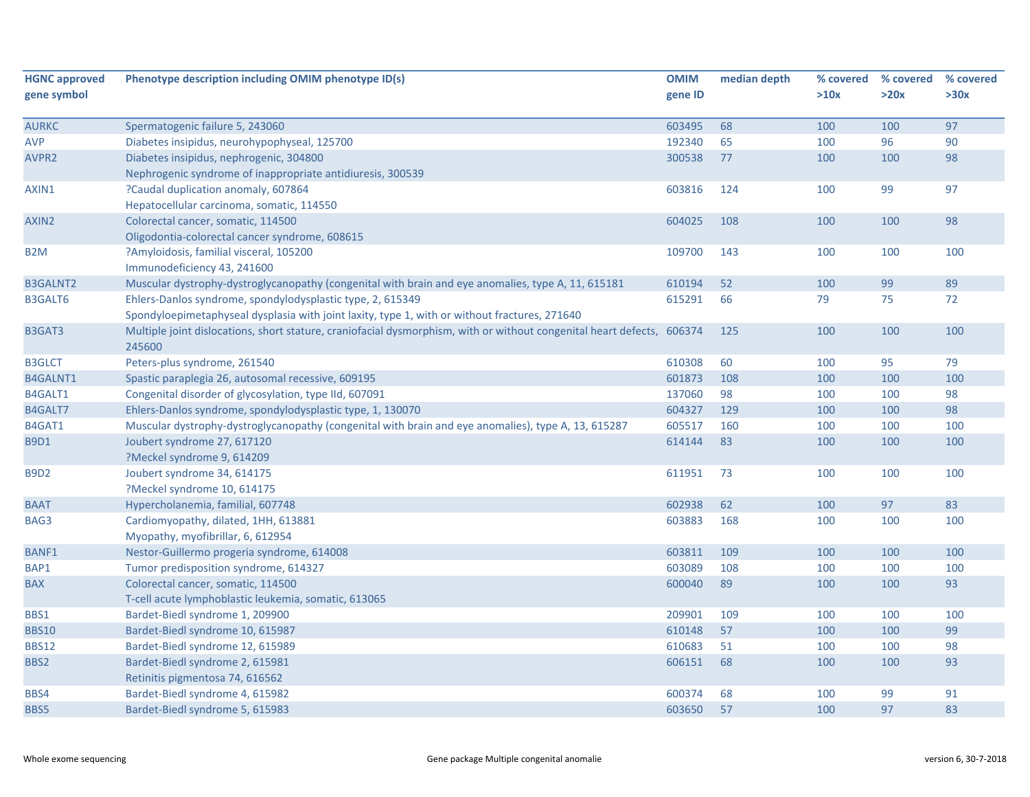| <b>HGNC approved</b> | Phenotype description including OMIM phenotype ID(s)                                                                             | <b>OMIM</b> | median depth | % covered | % covered | % covered |
|----------------------|----------------------------------------------------------------------------------------------------------------------------------|-------------|--------------|-----------|-----------|-----------|
| gene symbol          |                                                                                                                                  | gene ID     |              | >10x      | >20x      | >30x      |
| <b>AURKC</b>         | Spermatogenic failure 5, 243060                                                                                                  | 603495      | 68           | 100       | 100       | 97        |
| <b>AVP</b>           | Diabetes insipidus, neurohypophyseal, 125700                                                                                     | 192340      | 65           | 100       | 96        | 90        |
| AVPR <sub>2</sub>    | Diabetes insipidus, nephrogenic, 304800                                                                                          | 300538      | 77           | 100       | 100       | 98        |
|                      | Nephrogenic syndrome of inappropriate antidiuresis, 300539                                                                       |             |              |           |           |           |
| AXIN1                | ?Caudal duplication anomaly, 607864                                                                                              | 603816      | 124          | 100       | 99        | 97        |
|                      | Hepatocellular carcinoma, somatic, 114550                                                                                        |             |              |           |           |           |
| AXIN <sub>2</sub>    | Colorectal cancer, somatic, 114500                                                                                               | 604025      | 108          | 100       | 100       | 98        |
|                      | Oligodontia-colorectal cancer syndrome, 608615                                                                                   |             |              |           |           |           |
| B2M                  | ?Amyloidosis, familial visceral, 105200                                                                                          | 109700      | 143          | 100       | 100       | 100       |
|                      | Immunodeficiency 43, 241600                                                                                                      |             |              |           |           |           |
| <b>B3GALNT2</b>      | Muscular dystrophy-dystroglycanopathy (congenital with brain and eye anomalies, type A, 11, 615181                               | 610194      | 52           | 100       | 99        | 89        |
| <b>B3GALT6</b>       | Ehlers-Danlos syndrome, spondylodysplastic type, 2, 615349                                                                       | 615291      | 66           | 79        | 75        | 72        |
|                      | Spondyloepimetaphyseal dysplasia with joint laxity, type 1, with or without fractures, 271640                                    |             |              |           |           |           |
| B3GAT3               | Multiple joint dislocations, short stature, craniofacial dysmorphism, with or without congenital heart defects, 606374<br>245600 |             | 125          | 100       | 100       | 100       |
| <b>B3GLCT</b>        | Peters-plus syndrome, 261540                                                                                                     | 610308      | 60           | 100       | 95        | 79        |
| <b>B4GALNT1</b>      | Spastic paraplegia 26, autosomal recessive, 609195                                                                               | 601873      | 108          | 100       | 100       | 100       |
| B4GALT1              | Congenital disorder of glycosylation, type IId, 607091                                                                           | 137060      | 98           | 100       | 100       | 98        |
| B4GALT7              | Ehlers-Danlos syndrome, spondylodysplastic type, 1, 130070                                                                       | 604327      | 129          | 100       | 100       | 98        |
| B4GAT1               | Muscular dystrophy-dystroglycanopathy (congenital with brain and eye anomalies), type A, 13, 615287                              | 605517      | 160          | 100       | 100       | 100       |
| <b>B9D1</b>          | Joubert syndrome 27, 617120                                                                                                      | 614144      | 83           | 100       | 100       | 100       |
|                      | ?Meckel syndrome 9, 614209                                                                                                       |             |              |           |           |           |
| <b>B9D2</b>          | Joubert syndrome 34, 614175                                                                                                      | 611951      | 73           | 100       | 100       | 100       |
|                      | ?Meckel syndrome 10, 614175                                                                                                      |             |              |           |           |           |
| <b>BAAT</b>          | Hypercholanemia, familial, 607748                                                                                                | 602938      | 62           | 100       | 97        | 83        |
| BAG3                 | Cardiomyopathy, dilated, 1HH, 613881                                                                                             | 603883      | 168          | 100       | 100       | 100       |
|                      | Myopathy, myofibrillar, 6, 612954                                                                                                |             |              |           |           |           |
| <b>BANF1</b>         | Nestor-Guillermo progeria syndrome, 614008                                                                                       | 603811      | 109          | 100       | 100       | 100       |
| BAP1                 | Tumor predisposition syndrome, 614327                                                                                            | 603089      | 108          | 100       | 100       | 100       |
| <b>BAX</b>           | Colorectal cancer, somatic, 114500                                                                                               | 600040      | 89           | 100       | 100       | 93        |
|                      | T-cell acute lymphoblastic leukemia, somatic, 613065                                                                             |             |              |           |           |           |
| BBS1                 | Bardet-Biedl syndrome 1, 209900                                                                                                  | 209901      | 109          | 100       | 100       | 100       |
| <b>BBS10</b>         | Bardet-Biedl syndrome 10, 615987                                                                                                 | 610148      | 57           | 100       | 100       | 99        |
| <b>BBS12</b>         | Bardet-Biedl syndrome 12, 615989                                                                                                 | 610683      | 51           | 100       | 100       | 98        |
| BBS2                 | Bardet-Biedl syndrome 2, 615981                                                                                                  | 606151      | 68           | 100       | 100       | 93        |
|                      | Retinitis pigmentosa 74, 616562                                                                                                  |             |              |           |           |           |
| BBS4                 | Bardet-Biedl syndrome 4, 615982                                                                                                  | 600374      | 68           | 100       | 99        | 91        |
| BBS5                 | Bardet-Biedl syndrome 5, 615983                                                                                                  | 603650      | 57           | 100       | 97        | 83        |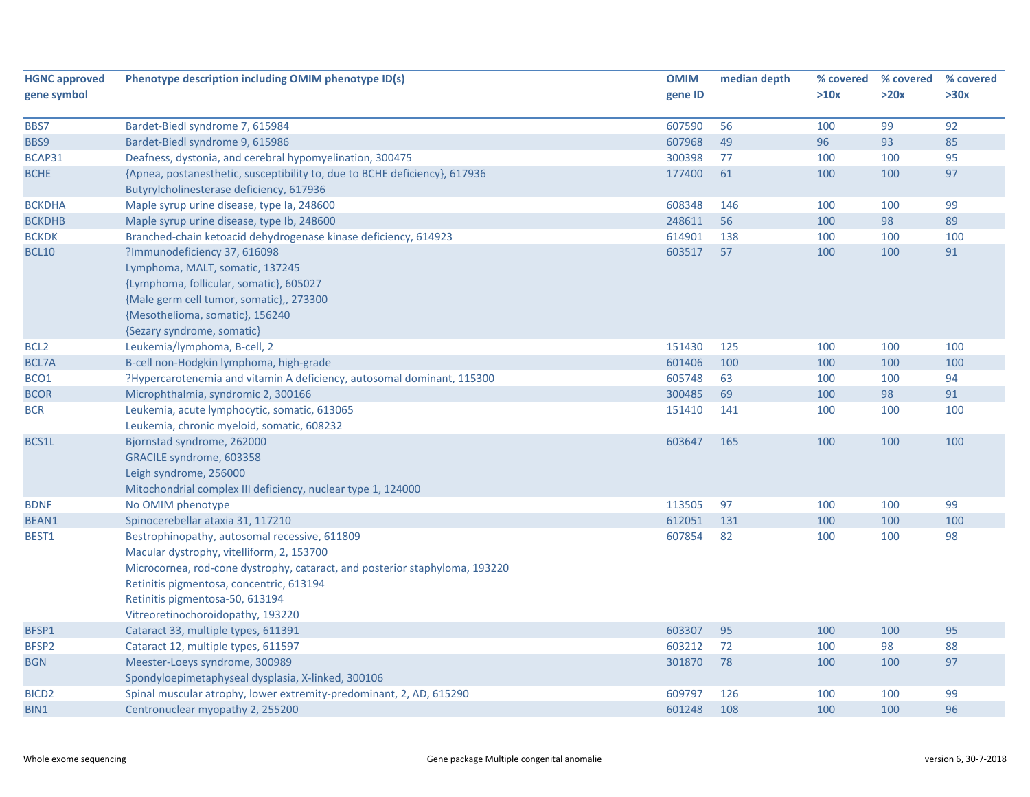| <b>HGNC approved</b><br>gene symbol | Phenotype description including OMIM phenotype ID(s)                        | <b>OMIM</b><br>gene ID | median depth | % covered<br>>10x | % covered<br>>20x | % covered<br>>30x |
|-------------------------------------|-----------------------------------------------------------------------------|------------------------|--------------|-------------------|-------------------|-------------------|
|                                     |                                                                             |                        |              |                   |                   |                   |
| BBS7                                | Bardet-Biedl syndrome 7, 615984                                             | 607590                 | 56           | 100               | 99                | 92                |
| BBS9                                | Bardet-Biedl syndrome 9, 615986                                             | 607968                 | 49           | 96                | 93                | 85                |
| BCAP31                              | Deafness, dystonia, and cerebral hypomyelination, 300475                    | 300398                 | 77           | 100               | 100               | 95                |
| <b>BCHE</b>                         | {Apnea, postanesthetic, susceptibility to, due to BCHE deficiency}, 617936  | 177400                 | 61           | 100               | 100               | 97                |
|                                     | Butyrylcholinesterase deficiency, 617936                                    |                        |              |                   |                   |                   |
| <b>BCKDHA</b>                       | Maple syrup urine disease, type Ia, 248600                                  | 608348                 | 146          | 100               | 100               | 99                |
| <b>BCKDHB</b>                       | Maple syrup urine disease, type Ib, 248600                                  | 248611                 | 56           | 100               | 98                | 89                |
| <b>BCKDK</b>                        | Branched-chain ketoacid dehydrogenase kinase deficiency, 614923             | 614901                 | 138          | 100               | 100               | 100               |
| <b>BCL10</b>                        | ?Immunodeficiency 37, 616098                                                | 603517                 | 57           | 100               | 100               | 91                |
|                                     | Lymphoma, MALT, somatic, 137245                                             |                        |              |                   |                   |                   |
|                                     | {Lymphoma, follicular, somatic}, 605027                                     |                        |              |                   |                   |                   |
|                                     | {Male germ cell tumor, somatic},, 273300                                    |                        |              |                   |                   |                   |
|                                     | {Mesothelioma, somatic}, 156240                                             |                        |              |                   |                   |                   |
|                                     | {Sezary syndrome, somatic}                                                  |                        |              |                   |                   |                   |
| BCL <sub>2</sub>                    | Leukemia/lymphoma, B-cell, 2                                                | 151430                 | 125          | 100               | 100               | 100               |
| BCL7A                               | B-cell non-Hodgkin lymphoma, high-grade                                     | 601406                 | 100          | 100               | 100               | 100               |
| BCO <sub>1</sub>                    | ?Hypercarotenemia and vitamin A deficiency, autosomal dominant, 115300      | 605748                 | 63           | 100               | 100               | 94                |
| <b>BCOR</b>                         | Microphthalmia, syndromic 2, 300166                                         | 300485                 | 69           | 100               | 98                | 91                |
| <b>BCR</b>                          | Leukemia, acute lymphocytic, somatic, 613065                                | 151410                 | 141          | 100               | 100               | 100               |
|                                     | Leukemia, chronic myeloid, somatic, 608232                                  |                        |              |                   |                   |                   |
| BCS1L                               | Bjornstad syndrome, 262000                                                  | 603647                 | 165          | 100               | 100               | 100               |
|                                     | GRACILE syndrome, 603358                                                    |                        |              |                   |                   |                   |
|                                     | Leigh syndrome, 256000                                                      |                        |              |                   |                   |                   |
|                                     | Mitochondrial complex III deficiency, nuclear type 1, 124000                |                        |              |                   |                   |                   |
| <b>BDNF</b>                         | No OMIM phenotype                                                           | 113505                 | 97           | 100               | 100               | 99                |
| BEAN1                               | Spinocerebellar ataxia 31, 117210                                           | 612051                 | 131          | 100               | 100               | 100               |
| BEST1                               | Bestrophinopathy, autosomal recessive, 611809                               | 607854                 | 82           | 100               | 100               | 98                |
|                                     | Macular dystrophy, vitelliform, 2, 153700                                   |                        |              |                   |                   |                   |
|                                     | Microcornea, rod-cone dystrophy, cataract, and posterior staphyloma, 193220 |                        |              |                   |                   |                   |
|                                     | Retinitis pigmentosa, concentric, 613194                                    |                        |              |                   |                   |                   |
|                                     | Retinitis pigmentosa-50, 613194                                             |                        |              |                   |                   |                   |
|                                     | Vitreoretinochoroidopathy, 193220                                           |                        |              |                   |                   |                   |
| BFSP1                               | Cataract 33, multiple types, 611391                                         | 603307                 | 95           | 100               | 100               | 95                |
| BFSP2                               | Cataract 12, multiple types, 611597                                         | 603212                 | 72           | 100               | 98                | 88                |
| <b>BGN</b>                          | Meester-Loeys syndrome, 300989                                              | 301870                 | 78           | 100               | 100               | 97                |
|                                     | Spondyloepimetaphyseal dysplasia, X-linked, 300106                          |                        |              |                   |                   |                   |
| BICD <sub>2</sub>                   | Spinal muscular atrophy, lower extremity-predominant, 2, AD, 615290         | 609797                 | 126          | 100               | 100               | 99                |
| BIN1                                | Centronuclear myopathy 2, 255200                                            | 601248                 | 108          | 100               | 100               | 96                |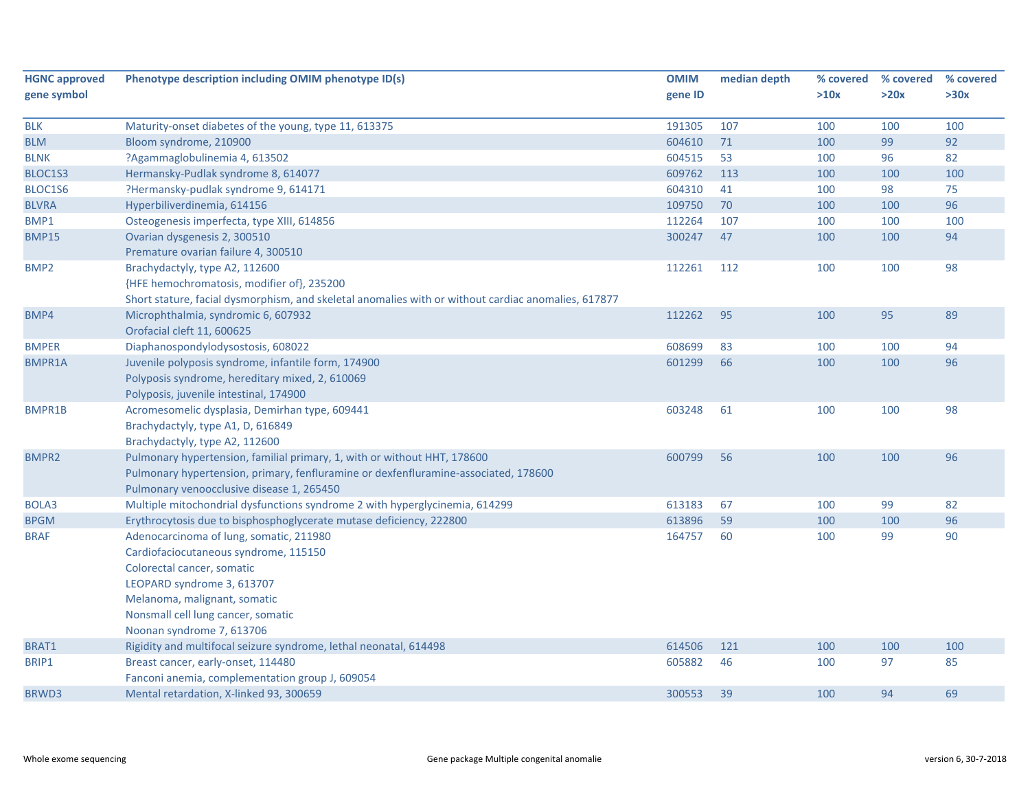| <b>HGNC approved</b> | Phenotype description including OMIM phenotype ID(s)                                                | <b>OMIM</b> | median depth | % covered | % covered | % covered |
|----------------------|-----------------------------------------------------------------------------------------------------|-------------|--------------|-----------|-----------|-----------|
| gene symbol          |                                                                                                     | gene ID     |              | >10x      | >20x      | >30x      |
|                      |                                                                                                     |             |              |           |           |           |
| <b>BLK</b>           | Maturity-onset diabetes of the young, type 11, 613375                                               | 191305      | 107          | 100       | 100       | 100       |
| <b>BLM</b>           | Bloom syndrome, 210900                                                                              | 604610      | 71           | 100       | 99        | 92        |
| <b>BLNK</b>          | ?Agammaglobulinemia 4, 613502                                                                       | 604515      | 53           | 100       | 96        | 82        |
| BLOC1S3              | Hermansky-Pudlak syndrome 8, 614077                                                                 | 609762      | 113          | 100       | 100       | 100       |
| BLOC1S6              | ?Hermansky-pudlak syndrome 9, 614171                                                                | 604310      | 41           | 100       | 98        | 75        |
| <b>BLVRA</b>         | Hyperbiliverdinemia, 614156                                                                         | 109750      | 70           | 100       | 100       | 96        |
| BMP1                 | Osteogenesis imperfecta, type XIII, 614856                                                          | 112264      | 107          | 100       | 100       | 100       |
| <b>BMP15</b>         | Ovarian dysgenesis 2, 300510                                                                        | 300247      | 47           | 100       | 100       | 94        |
|                      | Premature ovarian failure 4, 300510                                                                 |             |              |           |           |           |
| BMP <sub>2</sub>     | Brachydactyly, type A2, 112600                                                                      | 112261      | 112          | 100       | 100       | 98        |
|                      | {HFE hemochromatosis, modifier of}, 235200                                                          |             |              |           |           |           |
|                      | Short stature, facial dysmorphism, and skeletal anomalies with or without cardiac anomalies, 617877 |             |              |           |           |           |
| BMP4                 | Microphthalmia, syndromic 6, 607932                                                                 | 112262      | 95           | 100       | 95        | 89        |
|                      | Orofacial cleft 11, 600625                                                                          |             |              |           |           |           |
| <b>BMPER</b>         | Diaphanospondylodysostosis, 608022                                                                  | 608699      | 83           | 100       | 100       | 94        |
| <b>BMPR1A</b>        | Juvenile polyposis syndrome, infantile form, 174900                                                 | 601299      | 66           | 100       | 100       | 96        |
|                      | Polyposis syndrome, hereditary mixed, 2, 610069                                                     |             |              |           |           |           |
|                      | Polyposis, juvenile intestinal, 174900                                                              |             |              |           |           |           |
| BMPR1B               | Acromesomelic dysplasia, Demirhan type, 609441                                                      | 603248      | 61           | 100       | 100       | 98        |
|                      | Brachydactyly, type A1, D, 616849                                                                   |             |              |           |           |           |
|                      | Brachydactyly, type A2, 112600                                                                      |             |              |           |           |           |
| <b>BMPR2</b>         | Pulmonary hypertension, familial primary, 1, with or without HHT, 178600                            | 600799      | 56           | 100       | 100       | 96        |
|                      | Pulmonary hypertension, primary, fenfluramine or dexfenfluramine-associated, 178600                 |             |              |           |           |           |
|                      | Pulmonary venoocclusive disease 1, 265450                                                           |             |              |           |           |           |
| BOLA3                | Multiple mitochondrial dysfunctions syndrome 2 with hyperglycinemia, 614299                         | 613183      | 67           | 100       | 99        | 82        |
| <b>BPGM</b>          | Erythrocytosis due to bisphosphoglycerate mutase deficiency, 222800                                 | 613896      | 59           | 100       | 100       | 96        |
| <b>BRAF</b>          | Adenocarcinoma of lung, somatic, 211980                                                             | 164757      | 60           | 100       | 99        | 90        |
|                      | Cardiofaciocutaneous syndrome, 115150                                                               |             |              |           |           |           |
|                      | Colorectal cancer, somatic                                                                          |             |              |           |           |           |
|                      | LEOPARD syndrome 3, 613707                                                                          |             |              |           |           |           |
|                      | Melanoma, malignant, somatic                                                                        |             |              |           |           |           |
|                      | Nonsmall cell lung cancer, somatic                                                                  |             |              |           |           |           |
|                      | Noonan syndrome 7, 613706                                                                           |             |              |           |           |           |
| BRAT1                | Rigidity and multifocal seizure syndrome, lethal neonatal, 614498                                   | 614506      | 121          | 100       | 100       | 100       |
| BRIP1                | Breast cancer, early-onset, 114480                                                                  | 605882      | 46           | 100       | 97        | 85        |
|                      | Fanconi anemia, complementation group J, 609054                                                     |             |              |           |           |           |
| BRWD3                | Mental retardation, X-linked 93, 300659                                                             | 300553      | 39           | 100       | 94        | 69        |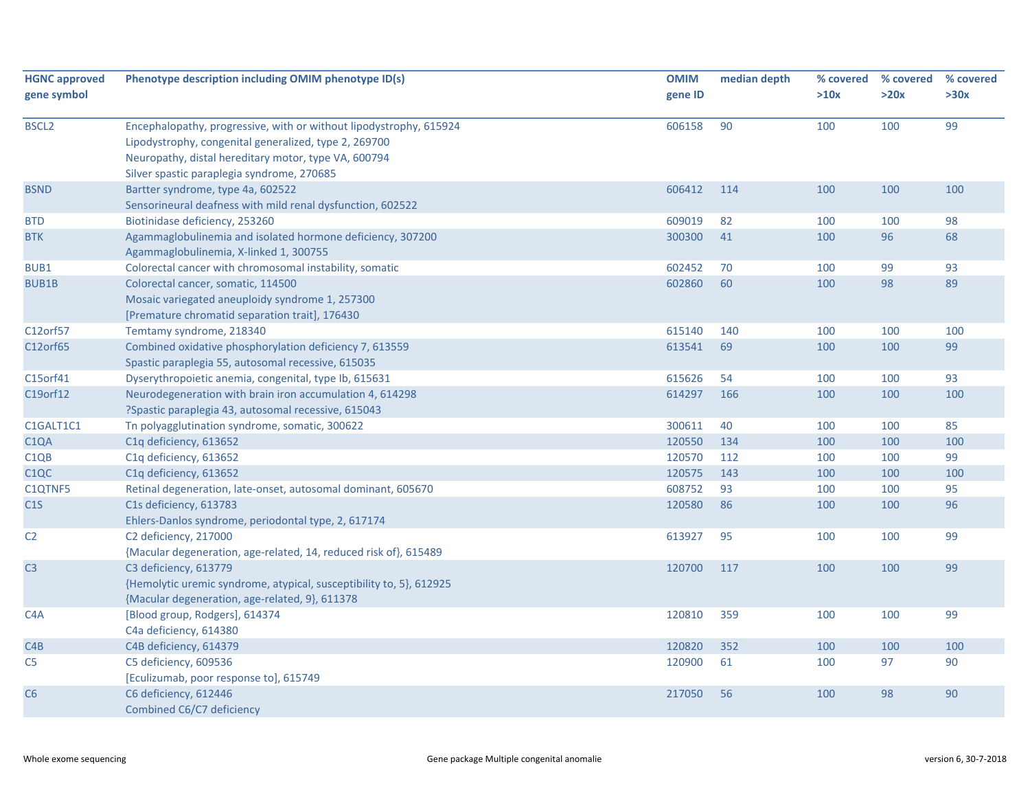| <b>HGNC approved</b> | Phenotype description including OMIM phenotype ID(s)                                                                                                                                                                              | <b>OMIM</b> | median depth | % covered | % covered | % covered |
|----------------------|-----------------------------------------------------------------------------------------------------------------------------------------------------------------------------------------------------------------------------------|-------------|--------------|-----------|-----------|-----------|
| gene symbol          |                                                                                                                                                                                                                                   | gene ID     |              | >10x      | >20x      | >30x      |
| <b>BSCL2</b>         | Encephalopathy, progressive, with or without lipodystrophy, 615924<br>Lipodystrophy, congenital generalized, type 2, 269700<br>Neuropathy, distal hereditary motor, type VA, 600794<br>Silver spastic paraplegia syndrome, 270685 | 606158      | 90           | 100       | 100       | 99        |
| <b>BSND</b>          | Bartter syndrome, type 4a, 602522<br>Sensorineural deafness with mild renal dysfunction, 602522                                                                                                                                   | 606412      | 114          | 100       | 100       | 100       |
| <b>BTD</b>           | Biotinidase deficiency, 253260                                                                                                                                                                                                    | 609019      | 82           | 100       | 100       | 98        |
| <b>BTK</b>           | Agammaglobulinemia and isolated hormone deficiency, 307200<br>Agammaglobulinemia, X-linked 1, 300755                                                                                                                              | 300300      | 41           | 100       | 96        | 68        |
| BUB1                 | Colorectal cancer with chromosomal instability, somatic                                                                                                                                                                           | 602452      | 70           | 100       | 99        | 93        |
| <b>BUB1B</b>         | Colorectal cancer, somatic, 114500<br>Mosaic variegated aneuploidy syndrome 1, 257300<br>[Premature chromatid separation trait], 176430                                                                                           | 602860      | 60           | 100       | 98        | 89        |
| C12orf57             | Temtamy syndrome, 218340                                                                                                                                                                                                          | 615140      | 140          | 100       | 100       | 100       |
| C12orf65             | Combined oxidative phosphorylation deficiency 7, 613559<br>Spastic paraplegia 55, autosomal recessive, 615035                                                                                                                     | 613541      | 69           | 100       | 100       | 99        |
| C15orf41             | Dyserythropoietic anemia, congenital, type Ib, 615631                                                                                                                                                                             | 615626      | 54           | 100       | 100       | 93        |
| C19orf12             | Neurodegeneration with brain iron accumulation 4, 614298<br>?Spastic paraplegia 43, autosomal recessive, 615043                                                                                                                   | 614297      | 166          | 100       | 100       | 100       |
| C1GALT1C1            | Tn polyagglutination syndrome, somatic, 300622                                                                                                                                                                                    | 300611      | 40           | 100       | 100       | 85        |
| C <sub>1</sub> QA    | C1q deficiency, 613652                                                                                                                                                                                                            | 120550      | 134          | 100       | 100       | 100       |
| C <sub>1QB</sub>     | C1q deficiency, 613652                                                                                                                                                                                                            | 120570      | 112          | 100       | 100       | 99        |
| C <sub>1</sub> QC    | C1q deficiency, 613652                                                                                                                                                                                                            | 120575      | 143          | 100       | 100       | 100       |
| C1QTNF5              | Retinal degeneration, late-onset, autosomal dominant, 605670                                                                                                                                                                      | 608752      | 93           | 100       | 100       | 95        |
| C1S                  | C1s deficiency, 613783<br>Ehlers-Danlos syndrome, periodontal type, 2, 617174                                                                                                                                                     | 120580      | 86           | 100       | 100       | 96        |
| C <sub>2</sub>       | C2 deficiency, 217000<br>{Macular degeneration, age-related, 14, reduced risk of}, 615489                                                                                                                                         | 613927      | 95           | 100       | 100       | 99        |
| C <sub>3</sub>       | C3 deficiency, 613779<br>{Hemolytic uremic syndrome, atypical, susceptibility to, 5}, 612925<br>{Macular degeneration, age-related, 9}, 611378                                                                                    | 120700      | 117          | 100       | 100       | 99        |
| C <sub>4</sub> A     | [Blood group, Rodgers], 614374<br>C4a deficiency, 614380                                                                                                                                                                          | 120810      | 359          | 100       | 100       | 99        |
| C4B                  | C4B deficiency, 614379                                                                                                                                                                                                            | 120820      | 352          | 100       | 100       | 100       |
| C5                   | C5 deficiency, 609536<br>[Eculizumab, poor response to], 615749                                                                                                                                                                   | 120900      | 61           | 100       | 97        | 90        |
| C <sub>6</sub>       | C6 deficiency, 612446<br>Combined C6/C7 deficiency                                                                                                                                                                                | 217050      | 56           | 100       | 98        | 90        |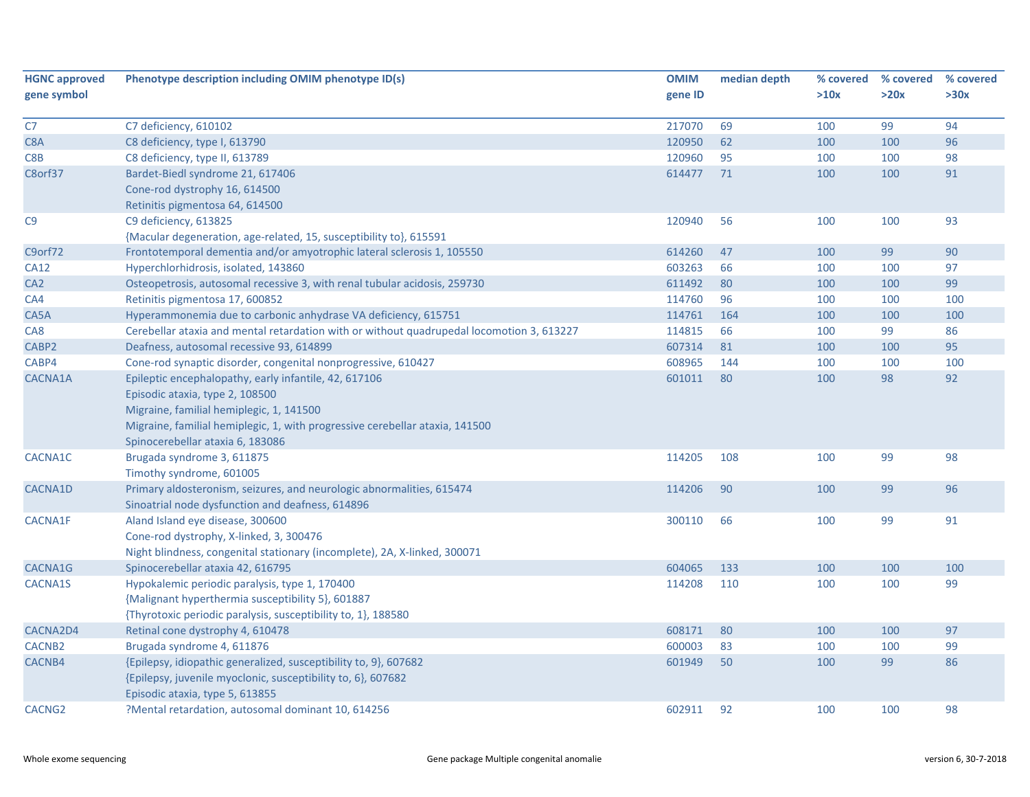| <b>HGNC approved</b> | Phenotype description including OMIM phenotype ID(s)                                      | <b>OMIM</b> | median depth | % covered | % covered | % covered |
|----------------------|-------------------------------------------------------------------------------------------|-------------|--------------|-----------|-----------|-----------|
| gene symbol          |                                                                                           | gene ID     |              | >10x      | >20x      | >30x      |
| C7                   | C7 deficiency, 610102                                                                     | 217070      | 69           | 100       | 99        | 94        |
| C8A                  | C8 deficiency, type I, 613790                                                             | 120950      | 62           | 100       | 100       | 96        |
| C8B                  | C8 deficiency, type II, 613789                                                            | 120960      | 95           | 100       | 100       | 98        |
| C8orf37              | Bardet-Biedl syndrome 21, 617406                                                          | 614477      | 71           | 100       | 100       | 91        |
|                      | Cone-rod dystrophy 16, 614500                                                             |             |              |           |           |           |
|                      | Retinitis pigmentosa 64, 614500                                                           |             |              |           |           |           |
| C <sub>9</sub>       | C9 deficiency, 613825                                                                     | 120940      | 56           | 100       | 100       | 93        |
|                      | {Macular degeneration, age-related, 15, susceptibility to}, 615591                        |             |              |           |           |           |
| C9orf72              | Frontotemporal dementia and/or amyotrophic lateral sclerosis 1, 105550                    | 614260      | 47           | 100       | 99        | 90        |
| <b>CA12</b>          | Hyperchlorhidrosis, isolated, 143860                                                      | 603263      | 66           | 100       | 100       | 97        |
| CA <sub>2</sub>      | Osteopetrosis, autosomal recessive 3, with renal tubular acidosis, 259730                 | 611492      | 80           | 100       | 100       | 99        |
| CA4                  | Retinitis pigmentosa 17, 600852                                                           | 114760      | 96           | 100       | 100       | 100       |
| CA5A                 | Hyperammonemia due to carbonic anhydrase VA deficiency, 615751                            | 114761      | 164          | 100       | 100       | 100       |
| CA <sub>8</sub>      | Cerebellar ataxia and mental retardation with or without quadrupedal locomotion 3, 613227 | 114815      | 66           | 100       | 99        | 86        |
| CABP2                | Deafness, autosomal recessive 93, 614899                                                  | 607314      | 81           | 100       | 100       | 95        |
| CABP4                | Cone-rod synaptic disorder, congenital nonprogressive, 610427                             | 608965      | 144          | 100       | 100       | 100       |
| CACNA1A              | Epileptic encephalopathy, early infantile, 42, 617106                                     | 601011      | 80           | 100       | 98        | 92        |
|                      | Episodic ataxia, type 2, 108500                                                           |             |              |           |           |           |
|                      | Migraine, familial hemiplegic, 1, 141500                                                  |             |              |           |           |           |
|                      | Migraine, familial hemiplegic, 1, with progressive cerebellar ataxia, 141500              |             |              |           |           |           |
|                      | Spinocerebellar ataxia 6, 183086                                                          |             |              |           |           |           |
| CACNA1C              | Brugada syndrome 3, 611875                                                                | 114205      | 108          | 100       | 99        | 98        |
|                      | Timothy syndrome, 601005                                                                  |             |              |           |           |           |
| CACNA1D              | Primary aldosteronism, seizures, and neurologic abnormalities, 615474                     | 114206      | 90           | 100       | 99        | 96        |
|                      | Sinoatrial node dysfunction and deafness, 614896                                          |             |              |           |           |           |
| CACNA1F              | Aland Island eye disease, 300600                                                          | 300110      | 66           | 100       | 99        | 91        |
|                      | Cone-rod dystrophy, X-linked, 3, 300476                                                   |             |              |           |           |           |
|                      | Night blindness, congenital stationary (incomplete), 2A, X-linked, 300071                 |             |              |           |           |           |
| CACNA1G              | Spinocerebellar ataxia 42, 616795                                                         | 604065      | 133          | 100       | 100       | 100       |
| <b>CACNA1S</b>       | Hypokalemic periodic paralysis, type 1, 170400                                            | 114208      | 110          | 100       | 100       | 99        |
|                      | {Malignant hyperthermia susceptibility 5}, 601887                                         |             |              |           |           |           |
|                      | {Thyrotoxic periodic paralysis, susceptibility to, 1}, 188580                             |             |              |           |           |           |
| CACNA2D4             | Retinal cone dystrophy 4, 610478                                                          | 608171      | 80           | 100       | 100       | 97        |
| CACNB <sub>2</sub>   | Brugada syndrome 4, 611876                                                                | 600003      | 83           | 100       | 100       | 99        |
| CACNB4               | {Epilepsy, idiopathic generalized, susceptibility to, 9}, 607682                          | 601949      | 50           | 100       | 99        | 86        |
|                      | {Epilepsy, juvenile myoclonic, susceptibility to, 6}, 607682                              |             |              |           |           |           |
|                      | Episodic ataxia, type 5, 613855                                                           |             |              |           |           |           |
| CACNG <sub>2</sub>   | ?Mental retardation, autosomal dominant 10, 614256                                        | 602911      | 92           | 100       | 100       | 98        |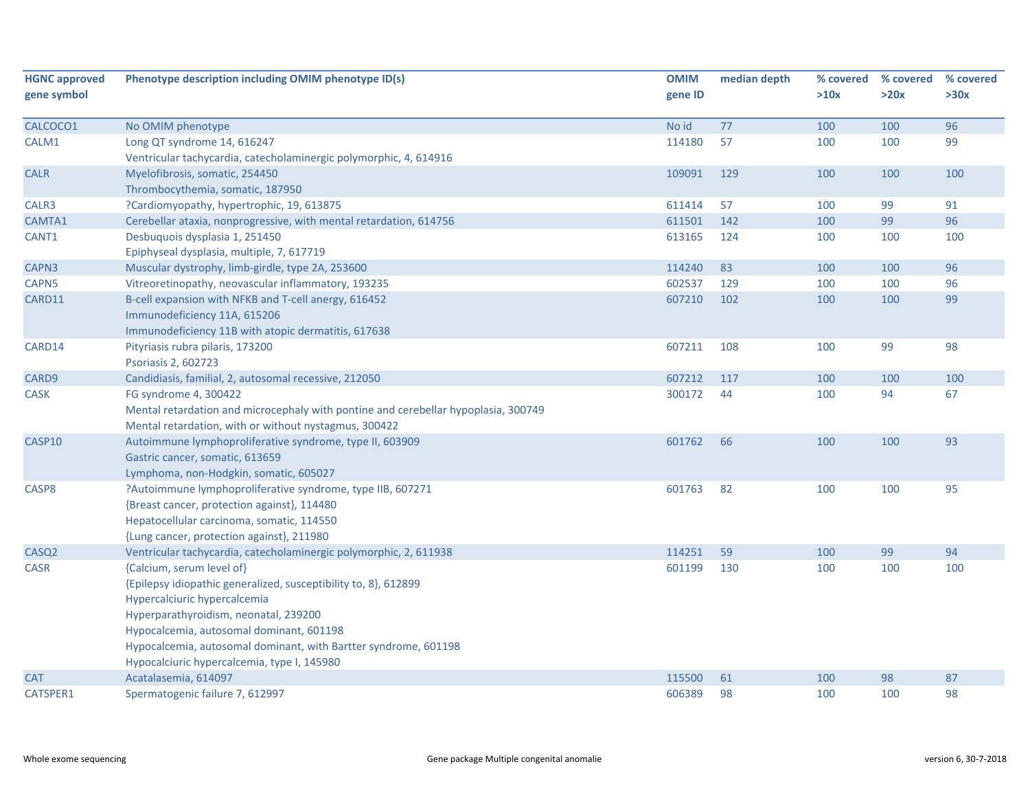| <b>HGNC approved</b><br>gene symbol | Phenotype description including OMIM phenotype ID(s)                               | <b>OMIM</b><br>gene ID | median depth | % covered<br>>10x | % covered<br>>20x | % covered<br>>30x |
|-------------------------------------|------------------------------------------------------------------------------------|------------------------|--------------|-------------------|-------------------|-------------------|
| CALCOCO1                            | No OMIM phenotype                                                                  | No id                  | 77           | 100               | 100               | 96                |
| CALM1                               | Long QT syndrome 14, 616247                                                        | 114180                 | 57           | 100               | 100               | 99                |
|                                     | Ventricular tachycardia, catecholaminergic polymorphic, 4, 614916                  |                        |              |                   |                   |                   |
| <b>CALR</b>                         | Myelofibrosis, somatic, 254450<br>Thrombocythemia, somatic, 187950                 | 109091                 | 129          | 100               | 100               | 100               |
| CALR3                               | ?Cardiomyopathy, hypertrophic, 19, 613875                                          | 611414                 | 57           | 100               | 99                | 91                |
| CAMTA1                              | Cerebellar ataxia, nonprogressive, with mental retardation, 614756                 | 611501                 | 142          | 100               | 99                | 96                |
| CANT1                               | Desbuquois dysplasia 1, 251450                                                     | 613165                 | 124          | 100               | 100               | 100               |
|                                     | Epiphyseal dysplasia, multiple, 7, 617719                                          |                        |              |                   |                   |                   |
| CAPN3                               | Muscular dystrophy, limb-girdle, type 2A, 253600                                   | 114240                 | 83           | 100               | 100               | 96                |
| CAPN5                               | Vitreoretinopathy, neovascular inflammatory, 193235                                | 602537                 | 129          | 100               | 100               | 96                |
| CARD11                              | B-cell expansion with NFKB and T-cell anergy, 616452                               | 607210                 | 102          | 100               | 100               | 99                |
|                                     | Immunodeficiency 11A, 615206                                                       |                        |              |                   |                   |                   |
|                                     | Immunodeficiency 11B with atopic dermatitis, 617638                                |                        |              |                   |                   |                   |
| CARD14                              | Pityriasis rubra pilaris, 173200                                                   | 607211                 | 108          | 100               | 99                | 98                |
|                                     | Psoriasis 2, 602723                                                                |                        |              |                   |                   |                   |
| CARD9                               | Candidiasis, familial, 2, autosomal recessive, 212050                              | 607212                 | 117          | 100               | 100               | 100               |
| CASK                                | FG syndrome 4, 300422                                                              | 300172                 | 44           | 100               | 94                | 67                |
|                                     | Mental retardation and microcephaly with pontine and cerebellar hypoplasia, 300749 |                        |              |                   |                   |                   |
|                                     | Mental retardation, with or without nystagmus, 300422                              |                        |              |                   |                   |                   |
| CASP10                              | Autoimmune lymphoproliferative syndrome, type II, 603909                           | 601762                 | 66           | 100               | 100               | 93                |
|                                     | Gastric cancer, somatic, 613659                                                    |                        |              |                   |                   |                   |
|                                     | Lymphoma, non-Hodgkin, somatic, 605027                                             |                        |              |                   |                   |                   |
| CASP8                               | ?Autoimmune lymphoproliferative syndrome, type IIB, 607271                         | 601763                 | 82           | 100               | 100               | 95                |
|                                     | {Breast cancer, protection against}, 114480                                        |                        |              |                   |                   |                   |
|                                     | Hepatocellular carcinoma, somatic, 114550                                          |                        |              |                   |                   |                   |
|                                     | {Lung cancer, protection against}, 211980                                          |                        |              |                   |                   |                   |
| CASQ <sub>2</sub>                   | Ventricular tachycardia, catecholaminergic polymorphic, 2, 611938                  | 114251                 | 59           | 100               | 99                | 94                |
| CASR                                | {Calcium, serum level of}                                                          | 601199                 | 130          | 100               | 100               | 100               |
|                                     | {Epilepsy idiopathic generalized, susceptibility to, 8}, 612899                    |                        |              |                   |                   |                   |
|                                     | Hypercalciuric hypercalcemia                                                       |                        |              |                   |                   |                   |
|                                     | Hyperparathyroidism, neonatal, 239200                                              |                        |              |                   |                   |                   |
|                                     | Hypocalcemia, autosomal dominant, 601198                                           |                        |              |                   |                   |                   |
|                                     | Hypocalcemia, autosomal dominant, with Bartter syndrome, 601198                    |                        |              |                   |                   |                   |
|                                     | Hypocalciuric hypercalcemia, type I, 145980                                        |                        |              |                   |                   |                   |
| <b>CAT</b>                          | Acatalasemia, 614097                                                               | 115500                 | 61           | 100               | 98                | 87                |
| CATSPER1                            | Spermatogenic failure 7, 612997                                                    | 606389                 | 98           | 100               | 100               | 98                |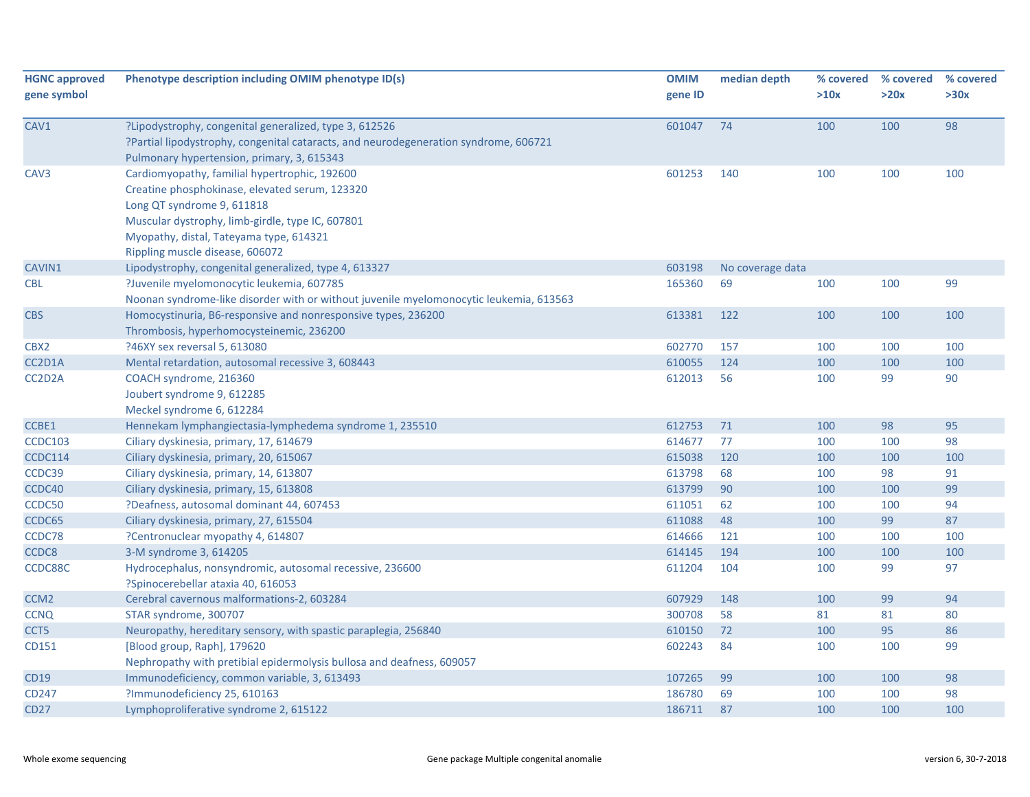| <b>HGNC approved</b> | Phenotype description including OMIM phenotype ID(s)                                   | <b>OMIM</b> | median depth     | % covered | % covered | % covered |
|----------------------|----------------------------------------------------------------------------------------|-------------|------------------|-----------|-----------|-----------|
| gene symbol          |                                                                                        | gene ID     |                  | >10x      | >20x      | >30x      |
|                      |                                                                                        |             |                  |           |           |           |
| CAV1                 | ?Lipodystrophy, congenital generalized, type 3, 612526                                 | 601047      | 74               | 100       | 100       | 98        |
|                      | ?Partial lipodystrophy, congenital cataracts, and neurodegeneration syndrome, 606721   |             |                  |           |           |           |
|                      | Pulmonary hypertension, primary, 3, 615343                                             |             |                  |           |           |           |
| CAV3                 | Cardiomyopathy, familial hypertrophic, 192600                                          | 601253      | 140              | 100       | 100       | 100       |
|                      | Creatine phosphokinase, elevated serum, 123320                                         |             |                  |           |           |           |
|                      | Long QT syndrome 9, 611818                                                             |             |                  |           |           |           |
|                      | Muscular dystrophy, limb-girdle, type IC, 607801                                       |             |                  |           |           |           |
|                      | Myopathy, distal, Tateyama type, 614321                                                |             |                  |           |           |           |
|                      | Rippling muscle disease, 606072                                                        |             |                  |           |           |           |
| CAVIN1               | Lipodystrophy, congenital generalized, type 4, 613327                                  | 603198      | No coverage data |           |           |           |
| <b>CBL</b>           | ?Juvenile myelomonocytic leukemia, 607785                                              | 165360      | 69               | 100       | 100       | 99        |
|                      | Noonan syndrome-like disorder with or without juvenile myelomonocytic leukemia, 613563 |             |                  |           |           |           |
| <b>CBS</b>           | Homocystinuria, B6-responsive and nonresponsive types, 236200                          | 613381      | 122              | 100       | 100       | 100       |
|                      | Thrombosis, hyperhomocysteinemic, 236200                                               |             |                  |           |           |           |
| CBX2                 | ?46XY sex reversal 5, 613080                                                           | 602770      | 157              | 100       | 100       | 100       |
| CC2D1A               | Mental retardation, autosomal recessive 3, 608443                                      | 610055      | 124              | 100       | 100       | 100       |
| CC2D2A               | COACH syndrome, 216360                                                                 | 612013      | 56               | 100       | 99        | 90        |
|                      | Joubert syndrome 9, 612285                                                             |             |                  |           |           |           |
|                      | Meckel syndrome 6, 612284                                                              |             |                  |           |           |           |
| CCBE1                | Hennekam lymphangiectasia-lymphedema syndrome 1, 235510                                | 612753      | 71               | 100       | 98        | 95        |
| <b>CCDC103</b>       | Ciliary dyskinesia, primary, 17, 614679                                                | 614677      | 77               | 100       | 100       | 98        |
| CCDC114              | Ciliary dyskinesia, primary, 20, 615067                                                | 615038      | 120              | 100       | 100       | 100       |
| CCDC39               | Ciliary dyskinesia, primary, 14, 613807                                                | 613798      | 68               | 100       | 98        | 91        |
| CCDC40               | Ciliary dyskinesia, primary, 15, 613808                                                | 613799      | 90               | 100       | 100       | 99        |
| CCDC50               | ?Deafness, autosomal dominant 44, 607453                                               | 611051      | 62               | 100       | 100       | 94        |
| CCDC65               | Ciliary dyskinesia, primary, 27, 615504                                                | 611088      | 48               | 100       | 99        | 87        |
| CCDC78               | ?Centronuclear myopathy 4, 614807                                                      | 614666      | 121              | 100       | 100       | 100       |
| CCDC8                | 3-M syndrome 3, 614205                                                                 | 614145      | 194              | 100       | 100       | 100       |
| CCDC88C              | Hydrocephalus, nonsyndromic, autosomal recessive, 236600                               | 611204      | 104              | 100       | 99        | 97        |
|                      | ?Spinocerebellar ataxia 40, 616053                                                     |             |                  |           |           |           |
| CCM <sub>2</sub>     | Cerebral cavernous malformations-2, 603284                                             | 607929      | 148              | 100       | 99        | 94        |
| <b>CCNQ</b>          | STAR syndrome, 300707                                                                  | 300708      | 58               | 81        | 81        | 80        |
| CCT5                 | Neuropathy, hereditary sensory, with spastic paraplegia, 256840                        | 610150      | 72               | 100       | 95        | 86        |
| CD151                | [Blood group, Raph], 179620                                                            | 602243      | 84               | 100       | 100       | 99        |
|                      | Nephropathy with pretibial epidermolysis bullosa and deafness, 609057                  |             |                  |           |           |           |
| CD19                 | Immunodeficiency, common variable, 3, 613493                                           | 107265      | 99               | 100       | 100       | 98        |
| CD247                | ?Immunodeficiency 25, 610163                                                           | 186780      | 69               | 100       | 100       | 98        |
| <b>CD27</b>          | Lymphoproliferative syndrome 2, 615122                                                 | 186711      | 87               | 100       | 100       | 100       |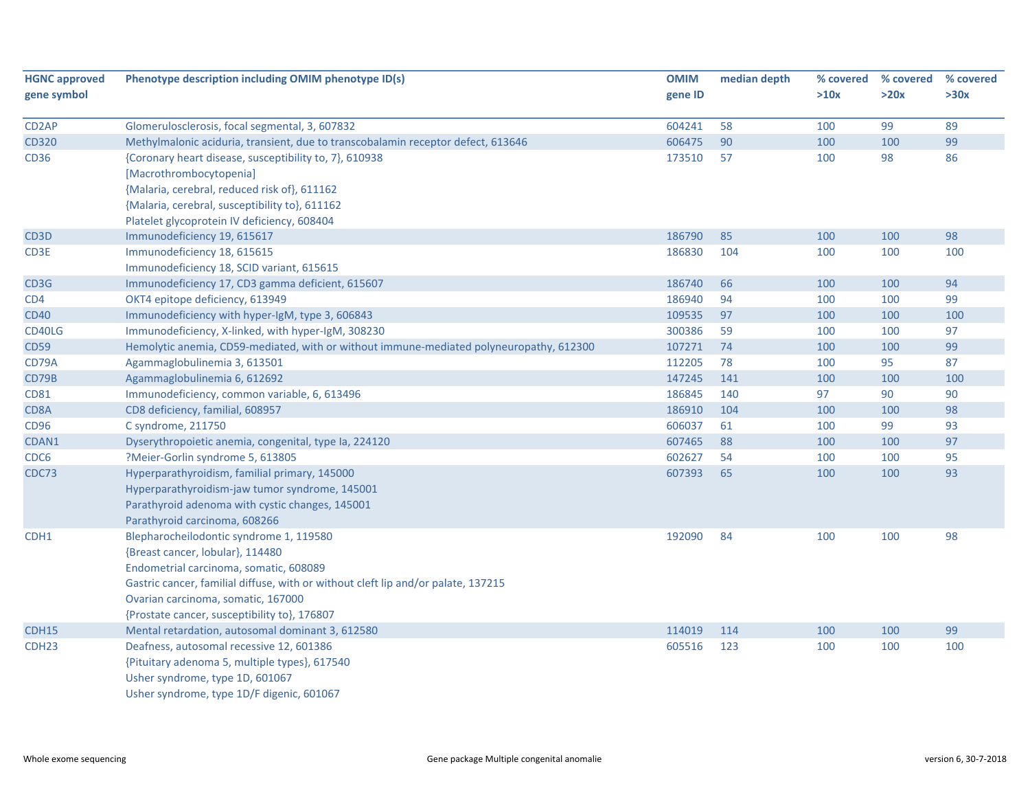| <b>HGNC approved</b> | Phenotype description including OMIM phenotype ID(s)                                    | <b>OMIM</b> | median depth | % covered | % covered | % covered |
|----------------------|-----------------------------------------------------------------------------------------|-------------|--------------|-----------|-----------|-----------|
| gene symbol          |                                                                                         | gene ID     |              | >10x      | >20x      | >30x      |
| CD <sub>2</sub> AP   | Glomerulosclerosis, focal segmental, 3, 607832                                          | 604241      | 58           | 100       | 99        | 89        |
| <b>CD320</b>         | Methylmalonic aciduria, transient, due to transcobalamin receptor defect, 613646        | 606475      | 90           | 100       | 100       | 99        |
| <b>CD36</b>          | {Coronary heart disease, susceptibility to, 7}, 610938                                  | 173510      | 57           | 100       | 98        | 86        |
|                      | [Macrothrombocytopenia]                                                                 |             |              |           |           |           |
|                      | {Malaria, cerebral, reduced risk of}, 611162                                            |             |              |           |           |           |
|                      | {Malaria, cerebral, susceptibility to}, 611162                                          |             |              |           |           |           |
|                      | Platelet glycoprotein IV deficiency, 608404                                             |             |              |           |           |           |
| CD <sub>3</sub> D    | Immunodeficiency 19, 615617                                                             | 186790      | 85           | 100       | 100       | 98        |
| CD3E                 | Immunodeficiency 18, 615615                                                             | 186830      | 104          | 100       | 100       | 100       |
|                      | Immunodeficiency 18, SCID variant, 615615                                               |             |              |           |           |           |
| CD3G                 | Immunodeficiency 17, CD3 gamma deficient, 615607                                        | 186740      | 66           | 100       | 100       | 94        |
| CD4                  | OKT4 epitope deficiency, 613949                                                         | 186940      | 94           | 100       | 100       | 99        |
| <b>CD40</b>          | Immunodeficiency with hyper-IgM, type 3, 606843                                         | 109535      | 97           | 100       | 100       | 100       |
| CD40LG               | Immunodeficiency, X-linked, with hyper-IgM, 308230                                      | 300386      | 59           | 100       | 100       | 97        |
| <b>CD59</b>          | Hemolytic anemia, CD59-mediated, with or without immune-mediated polyneuropathy, 612300 | 107271      | 74           | 100       | 100       | 99        |
| CD79A                | Agammaglobulinemia 3, 613501                                                            | 112205      | 78           | 100       | 95        | 87        |
| CD79B                | Agammaglobulinemia 6, 612692                                                            | 147245      | 141          | 100       | 100       | 100       |
| <b>CD81</b>          | Immunodeficiency, common variable, 6, 613496                                            | 186845      | 140          | 97        | 90        | 90        |
| CD8A                 | CD8 deficiency, familial, 608957                                                        | 186910      | 104          | 100       | 100       | 98        |
| CD96                 | C syndrome, 211750                                                                      | 606037      | 61           | 100       | 99        | 93        |
| CDAN1                | Dyserythropoietic anemia, congenital, type Ia, 224120                                   | 607465      | 88           | 100       | 100       | 97        |
| CDC6                 | ?Meier-Gorlin syndrome 5, 613805                                                        | 602627      | 54           | 100       | 100       | 95        |
| CDC73                | Hyperparathyroidism, familial primary, 145000                                           | 607393      | 65           | 100       | 100       | 93        |
|                      | Hyperparathyroidism-jaw tumor syndrome, 145001                                          |             |              |           |           |           |
|                      | Parathyroid adenoma with cystic changes, 145001                                         |             |              |           |           |           |
|                      | Parathyroid carcinoma, 608266                                                           |             |              |           |           |           |
| CDH1                 | Blepharocheilodontic syndrome 1, 119580                                                 | 192090      | 84           | 100       | 100       | 98        |
|                      | {Breast cancer, lobular}, 114480                                                        |             |              |           |           |           |
|                      | Endometrial carcinoma, somatic, 608089                                                  |             |              |           |           |           |
|                      | Gastric cancer, familial diffuse, with or without cleft lip and/or palate, 137215       |             |              |           |           |           |
|                      | Ovarian carcinoma, somatic, 167000                                                      |             |              |           |           |           |
|                      | {Prostate cancer, susceptibility to}, 176807                                            |             |              |           |           |           |
| CDH15                | Mental retardation, autosomal dominant 3, 612580                                        | 114019      | 114          | 100       | 100       | 99        |
| CDH <sub>23</sub>    | Deafness, autosomal recessive 12, 601386                                                | 605516      | 123          | 100       | 100       | 100       |
|                      | {Pituitary adenoma 5, multiple types}, 617540                                           |             |              |           |           |           |
|                      | Usher syndrome, type 1D, 601067                                                         |             |              |           |           |           |
|                      | Usher syndrome, type 1D/F digenic, 601067                                               |             |              |           |           |           |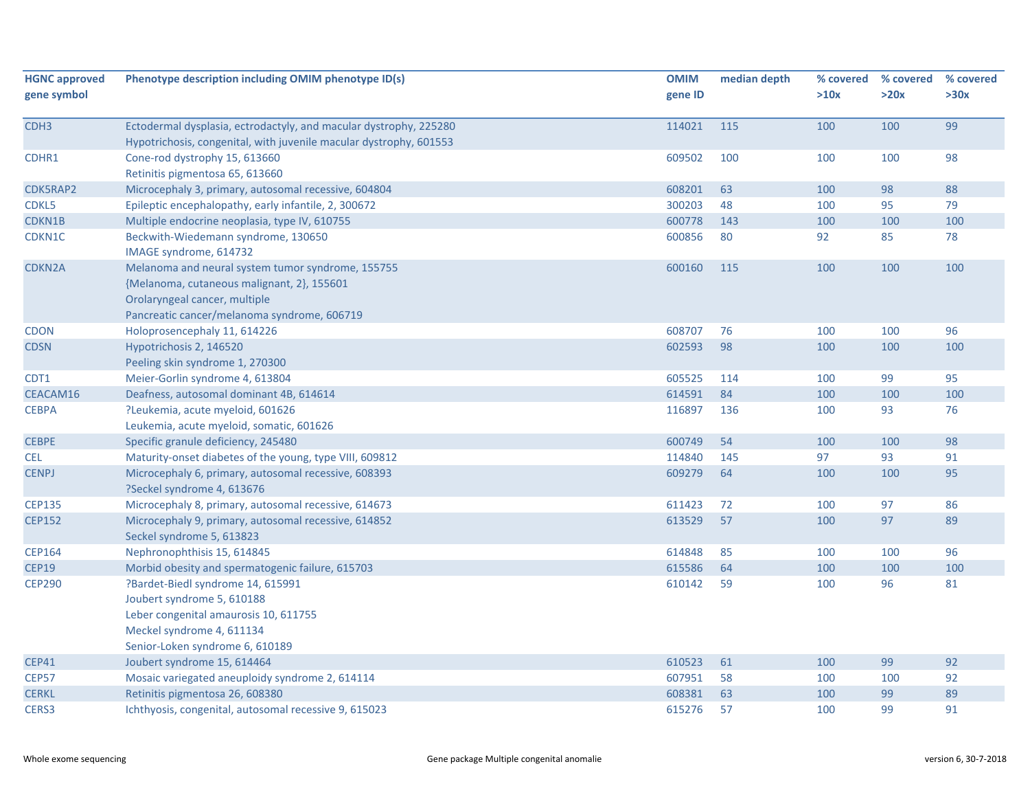| <b>HGNC approved</b> | Phenotype description including OMIM phenotype ID(s)               | <b>OMIM</b> | median depth | % covered | % covered | % covered |
|----------------------|--------------------------------------------------------------------|-------------|--------------|-----------|-----------|-----------|
| gene symbol          |                                                                    | gene ID     |              | >10x      | >20x      | >30x      |
|                      |                                                                    |             |              |           |           |           |
| CDH <sub>3</sub>     | Ectodermal dysplasia, ectrodactyly, and macular dystrophy, 225280  | 114021      | 115          | 100       | 100       | 99        |
|                      | Hypotrichosis, congenital, with juvenile macular dystrophy, 601553 |             |              |           |           |           |
| CDHR1                | Cone-rod dystrophy 15, 613660                                      | 609502      | 100          | 100       | 100       | 98        |
|                      | Retinitis pigmentosa 65, 613660                                    |             |              |           |           |           |
| CDK5RAP2             | Microcephaly 3, primary, autosomal recessive, 604804               | 608201      | 63           | 100       | 98        | 88        |
| CDKL5                | Epileptic encephalopathy, early infantile, 2, 300672               | 300203      | 48           | 100       | 95        | 79        |
| CDKN1B               | Multiple endocrine neoplasia, type IV, 610755                      | 600778      | 143          | 100       | 100       | 100       |
| CDKN1C               | Beckwith-Wiedemann syndrome, 130650                                | 600856      | 80           | 92        | 85        | 78        |
|                      | IMAGE syndrome, 614732                                             |             |              |           |           |           |
| <b>CDKN2A</b>        | Melanoma and neural system tumor syndrome, 155755                  | 600160      | 115          | 100       | 100       | 100       |
|                      | {Melanoma, cutaneous malignant, 2}, 155601                         |             |              |           |           |           |
|                      | Orolaryngeal cancer, multiple                                      |             |              |           |           |           |
|                      | Pancreatic cancer/melanoma syndrome, 606719                        |             |              |           |           |           |
| <b>CDON</b>          | Holoprosencephaly 11, 614226                                       | 608707      | 76           | 100       | 100       | 96        |
| <b>CDSN</b>          | Hypotrichosis 2, 146520                                            | 602593      | 98           | 100       | 100       | 100       |
|                      | Peeling skin syndrome 1, 270300                                    |             |              |           |           |           |
| CDT1                 | Meier-Gorlin syndrome 4, 613804                                    | 605525      | 114          | 100       | 99        | 95        |
| CEACAM16             | Deafness, autosomal dominant 4B, 614614                            | 614591      | 84           | 100       | 100       | 100       |
| <b>CEBPA</b>         | ?Leukemia, acute myeloid, 601626                                   | 116897      | 136          | 100       | 93        | 76        |
|                      | Leukemia, acute myeloid, somatic, 601626                           |             |              |           |           |           |
| <b>CEBPE</b>         | Specific granule deficiency, 245480                                | 600749      | 54           | 100       | 100       | 98        |
| <b>CEL</b>           | Maturity-onset diabetes of the young, type VIII, 609812            | 114840      | 145          | 97        | 93        | 91        |
| <b>CENPJ</b>         | Microcephaly 6, primary, autosomal recessive, 608393               | 609279      | 64           | 100       | 100       | 95        |
|                      | ?Seckel syndrome 4, 613676                                         |             |              |           |           |           |
| <b>CEP135</b>        | Microcephaly 8, primary, autosomal recessive, 614673               | 611423      | 72           | 100       | 97        | 86        |
| <b>CEP152</b>        | Microcephaly 9, primary, autosomal recessive, 614852               | 613529      | 57           | 100       | 97        | 89        |
|                      | Seckel syndrome 5, 613823                                          |             |              |           |           |           |
| <b>CEP164</b>        | Nephronophthisis 15, 614845                                        | 614848      | 85           | 100       | 100       | 96        |
| <b>CEP19</b>         | Morbid obesity and spermatogenic failure, 615703                   | 615586      | 64           | 100       | 100       | 100       |
| <b>CEP290</b>        | ?Bardet-Biedl syndrome 14, 615991                                  | 610142      | 59           | 100       | 96        | 81        |
|                      | Joubert syndrome 5, 610188                                         |             |              |           |           |           |
|                      | Leber congenital amaurosis 10, 611755                              |             |              |           |           |           |
|                      | Meckel syndrome 4, 611134                                          |             |              |           |           |           |
|                      | Senior-Loken syndrome 6, 610189                                    |             |              |           |           |           |
| <b>CEP41</b>         | Joubert syndrome 15, 614464                                        | 610523      | 61           | 100       | 99        | 92        |
| <b>CEP57</b>         | Mosaic variegated aneuploidy syndrome 2, 614114                    | 607951      | 58           | 100       | 100       | 92        |
| <b>CERKL</b>         | Retinitis pigmentosa 26, 608380                                    | 608381      | 63           | 100       | 99        | 89        |
| CERS3                | Ichthyosis, congenital, autosomal recessive 9, 615023              | 615276      | 57           | 100       | 99        | 91        |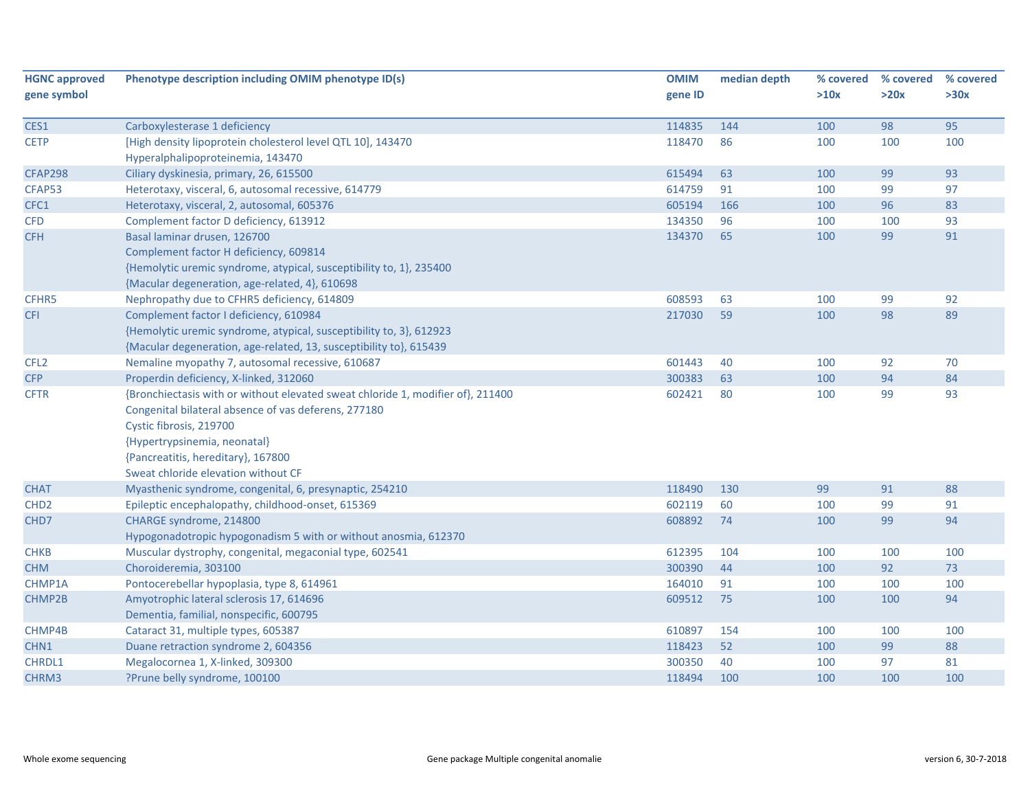| <b>HGNC approved</b> | Phenotype description including OMIM phenotype ID(s)                            | <b>OMIM</b> | median depth | % covered | % covered | % covered |
|----------------------|---------------------------------------------------------------------------------|-------------|--------------|-----------|-----------|-----------|
| gene symbol          |                                                                                 | gene ID     |              | >10x      | >20x      | >30x      |
|                      |                                                                                 |             |              |           |           |           |
| CES1                 | Carboxylesterase 1 deficiency                                                   | 114835      | 144          | 100       | 98        | 95        |
| <b>CETP</b>          | [High density lipoprotein cholesterol level QTL 10], 143470                     | 118470      | 86           | 100       | 100       | 100       |
|                      | Hyperalphalipoproteinemia, 143470                                               |             |              |           |           |           |
| <b>CFAP298</b>       | Ciliary dyskinesia, primary, 26, 615500                                         | 615494      | 63           | 100       | 99        | 93        |
| CFAP53               | Heterotaxy, visceral, 6, autosomal recessive, 614779                            | 614759      | 91           | 100       | 99        | 97        |
| CFC1                 | Heterotaxy, visceral, 2, autosomal, 605376                                      | 605194      | 166          | 100       | 96        | 83        |
| <b>CFD</b>           | Complement factor D deficiency, 613912                                          | 134350      | 96           | 100       | 100       | 93        |
| <b>CFH</b>           | Basal laminar drusen, 126700                                                    | 134370      | 65           | 100       | 99        | 91        |
|                      | Complement factor H deficiency, 609814                                          |             |              |           |           |           |
|                      | {Hemolytic uremic syndrome, atypical, susceptibility to, 1}, 235400             |             |              |           |           |           |
|                      | {Macular degeneration, age-related, 4}, 610698                                  |             |              |           |           |           |
| CFHR5                | Nephropathy due to CFHR5 deficiency, 614809                                     | 608593      | 63           | 100       | 99        | 92        |
| <b>CFI</b>           | Complement factor I deficiency, 610984                                          | 217030      | 59           | 100       | 98        | 89        |
|                      | {Hemolytic uremic syndrome, atypical, susceptibility to, 3}, 612923             |             |              |           |           |           |
|                      | {Macular degeneration, age-related, 13, susceptibility to}, 615439              |             |              |           |           |           |
| CFL <sub>2</sub>     | Nemaline myopathy 7, autosomal recessive, 610687                                | 601443      | 40           | 100       | 92        | 70        |
| <b>CFP</b>           | Properdin deficiency, X-linked, 312060                                          | 300383      | 63           | 100       | 94        | 84        |
| <b>CFTR</b>          | {Bronchiectasis with or without elevated sweat chloride 1, modifier of}, 211400 | 602421      | 80           | 100       | 99        | 93        |
|                      | Congenital bilateral absence of vas deferens, 277180                            |             |              |           |           |           |
|                      | Cystic fibrosis, 219700                                                         |             |              |           |           |           |
|                      | {Hypertrypsinemia, neonatal}                                                    |             |              |           |           |           |
|                      | {Pancreatitis, hereditary}, 167800                                              |             |              |           |           |           |
|                      | Sweat chloride elevation without CF                                             |             |              |           |           |           |
| <b>CHAT</b>          | Myasthenic syndrome, congenital, 6, presynaptic, 254210                         | 118490      | 130          | 99        | 91        | 88        |
| CHD <sub>2</sub>     | Epileptic encephalopathy, childhood-onset, 615369                               | 602119      | 60           | 100       | 99        | 91        |
| CHD7                 | CHARGE syndrome, 214800                                                         | 608892      | 74           | 100       | 99        | 94        |
|                      | Hypogonadotropic hypogonadism 5 with or without anosmia, 612370                 |             |              |           |           |           |
| <b>CHKB</b>          | Muscular dystrophy, congenital, megaconial type, 602541                         | 612395      | 104          | 100       | 100       | 100       |
| <b>CHM</b>           | Choroideremia, 303100                                                           | 300390      | 44           | 100       | 92        | 73        |
| CHMP1A               | Pontocerebellar hypoplasia, type 8, 614961                                      | 164010      | 91           | 100       | 100       | 100       |
| CHMP2B               | Amyotrophic lateral sclerosis 17, 614696                                        | 609512      | 75           | 100       | 100       | 94        |
|                      | Dementia, familial, nonspecific, 600795                                         |             |              |           |           |           |
| CHMP4B               | Cataract 31, multiple types, 605387                                             | 610897      | 154          | 100       | 100       | 100       |
| CHN1                 | Duane retraction syndrome 2, 604356                                             | 118423      | 52           | 100       | 99        | 88        |
| CHRDL1               | Megalocornea 1, X-linked, 309300                                                | 300350      | 40           | 100       | 97        | 81        |
| CHRM3                | ?Prune belly syndrome, 100100                                                   | 118494      | 100          | 100       | 100       | 100       |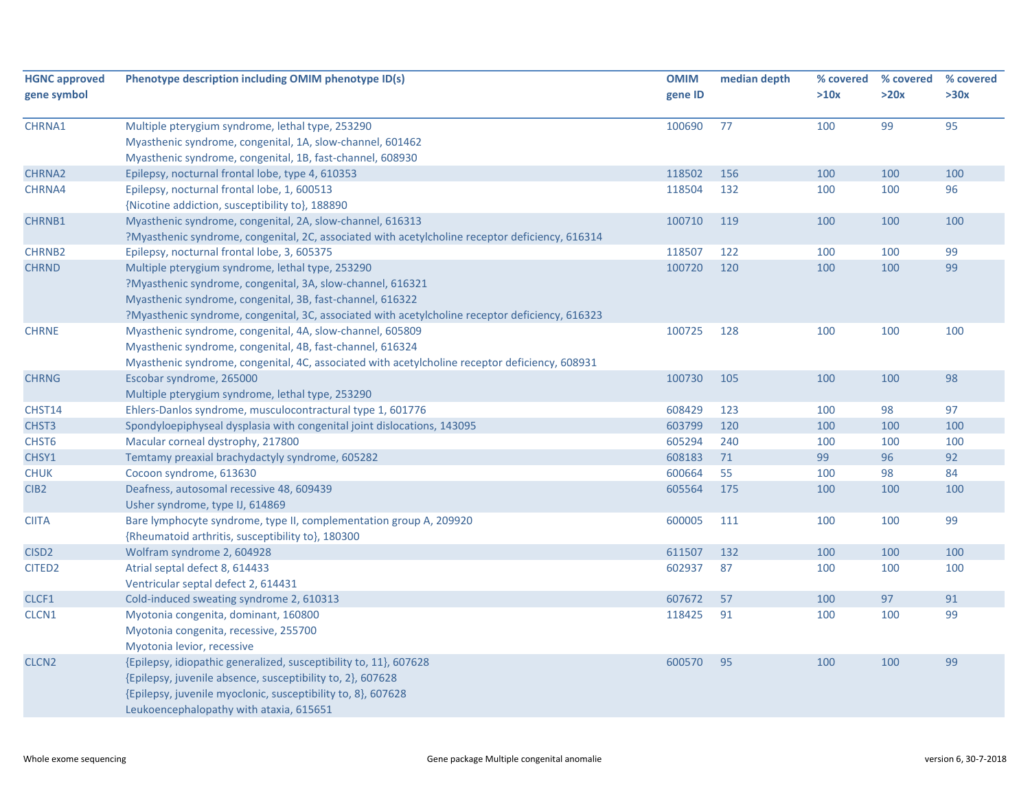| <b>HGNC approved</b><br>gene symbol | Phenotype description including OMIM phenotype ID(s)                                                                                                                                                                                                                           | <b>OMIM</b><br>gene ID | median depth | % covered<br>>10x | % covered<br>>20x | % covered<br>>30x |
|-------------------------------------|--------------------------------------------------------------------------------------------------------------------------------------------------------------------------------------------------------------------------------------------------------------------------------|------------------------|--------------|-------------------|-------------------|-------------------|
| CHRNA1                              | Multiple pterygium syndrome, lethal type, 253290<br>Myasthenic syndrome, congenital, 1A, slow-channel, 601462<br>Myasthenic syndrome, congenital, 1B, fast-channel, 608930                                                                                                     | 100690                 | 77           | 100               | 99                | 95                |
| CHRNA2                              | Epilepsy, nocturnal frontal lobe, type 4, 610353                                                                                                                                                                                                                               | 118502                 | 156          | 100               | 100               | 100               |
| CHRNA4                              | Epilepsy, nocturnal frontal lobe, 1, 600513<br>{Nicotine addiction, susceptibility to}, 188890                                                                                                                                                                                 | 118504                 | 132          | 100               | 100               | 96                |
| CHRNB1                              | Myasthenic syndrome, congenital, 2A, slow-channel, 616313<br>?Myasthenic syndrome, congenital, 2C, associated with acetylcholine receptor deficiency, 616314                                                                                                                   | 100710                 | 119          | 100               | 100               | 100               |
| <b>CHRNB2</b>                       | Epilepsy, nocturnal frontal lobe, 3, 605375                                                                                                                                                                                                                                    | 118507                 | 122          | 100               | 100               | 99                |
| <b>CHRND</b>                        | Multiple pterygium syndrome, lethal type, 253290<br>?Myasthenic syndrome, congenital, 3A, slow-channel, 616321<br>Myasthenic syndrome, congenital, 3B, fast-channel, 616322<br>?Myasthenic syndrome, congenital, 3C, associated with acetylcholine receptor deficiency, 616323 | 100720                 | 120          | 100               | 100               | 99                |
| <b>CHRNE</b>                        | Myasthenic syndrome, congenital, 4A, slow-channel, 605809<br>Myasthenic syndrome, congenital, 4B, fast-channel, 616324<br>Myasthenic syndrome, congenital, 4C, associated with acetylcholine receptor deficiency, 608931                                                       | 100725                 | 128          | 100               | 100               | 100               |
| <b>CHRNG</b>                        | Escobar syndrome, 265000<br>Multiple pterygium syndrome, lethal type, 253290                                                                                                                                                                                                   | 100730                 | 105          | 100               | 100               | 98                |
| CHST14                              | Ehlers-Danlos syndrome, musculocontractural type 1, 601776                                                                                                                                                                                                                     | 608429                 | 123          | 100               | 98                | 97                |
| CHST3                               | Spondyloepiphyseal dysplasia with congenital joint dislocations, 143095                                                                                                                                                                                                        | 603799                 | 120          | 100               | 100               | 100               |
| CHST6                               | Macular corneal dystrophy, 217800                                                                                                                                                                                                                                              | 605294                 | 240          | 100               | 100               | 100               |
| CHSY1                               | Temtamy preaxial brachydactyly syndrome, 605282                                                                                                                                                                                                                                | 608183                 | 71           | 99                | 96                | 92                |
| <b>CHUK</b>                         | Cocoon syndrome, 613630                                                                                                                                                                                                                                                        | 600664                 | 55           | 100               | 98                | 84                |
| CIB <sub>2</sub>                    | Deafness, autosomal recessive 48, 609439<br>Usher syndrome, type IJ, 614869                                                                                                                                                                                                    | 605564                 | 175          | 100               | 100               | 100               |
| <b>CIITA</b>                        | Bare lymphocyte syndrome, type II, complementation group A, 209920<br>{Rheumatoid arthritis, susceptibility to}, 180300                                                                                                                                                        | 600005                 | 111          | 100               | 100               | 99                |
| CISD <sub>2</sub>                   | Wolfram syndrome 2, 604928                                                                                                                                                                                                                                                     | 611507                 | 132          | 100               | 100               | 100               |
| CITED <sub>2</sub>                  | Atrial septal defect 8, 614433<br>Ventricular septal defect 2, 614431                                                                                                                                                                                                          | 602937                 | 87           | 100               | 100               | 100               |
| CLCF1                               | Cold-induced sweating syndrome 2, 610313                                                                                                                                                                                                                                       | 607672                 | 57           | 100               | 97                | 91                |
| CLCN1                               | Myotonia congenita, dominant, 160800<br>Myotonia congenita, recessive, 255700<br>Myotonia levior, recessive                                                                                                                                                                    | 118425                 | 91           | 100               | 100               | 99                |
| CLCN <sub>2</sub>                   | {Epilepsy, idiopathic generalized, susceptibility to, 11}, 607628<br>{Epilepsy, juvenile absence, susceptibility to, 2}, 607628<br>{Epilepsy, juvenile myoclonic, susceptibility to, 8}, 607628<br>Leukoencephalopathy with ataxia, 615651                                     | 600570                 | 95           | 100               | 100               | 99                |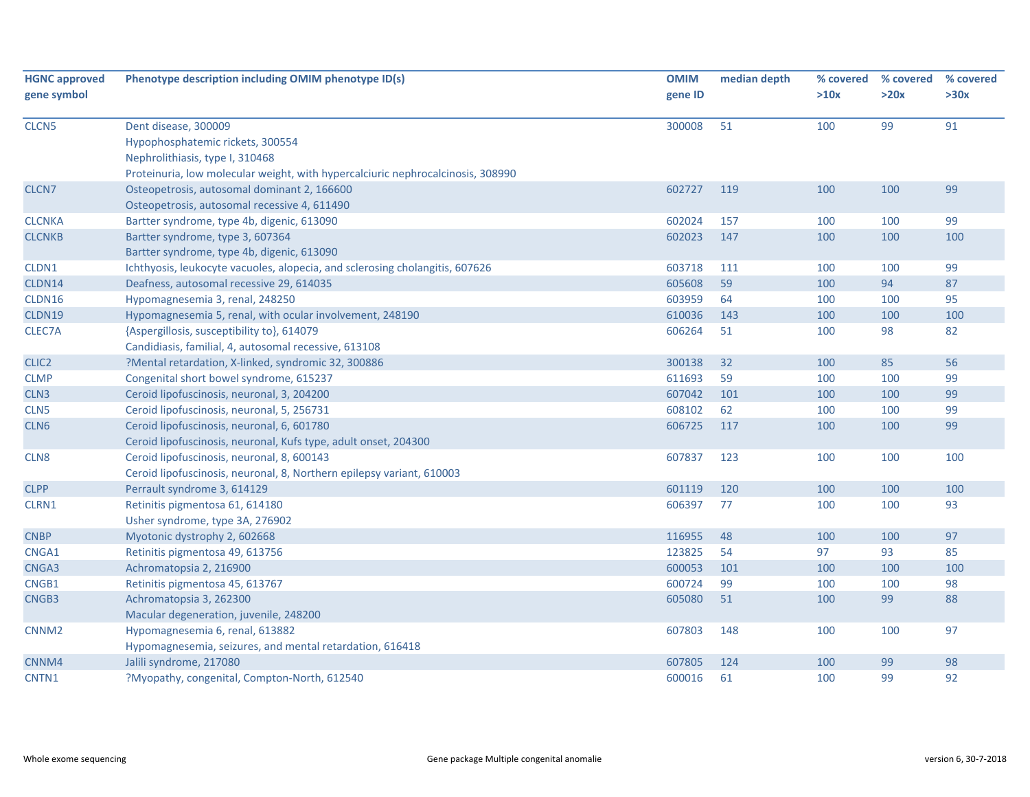| <b>HGNC approved</b> | Phenotype description including OMIM phenotype ID(s)                            | <b>OMIM</b> | median depth | % covered | % covered | % covered |
|----------------------|---------------------------------------------------------------------------------|-------------|--------------|-----------|-----------|-----------|
| gene symbol          |                                                                                 | gene ID     |              | >10x      | >20x      | >30x      |
|                      |                                                                                 |             |              |           |           |           |
| CLCN <sub>5</sub>    | Dent disease, 300009                                                            | 300008      | 51           | 100       | 99        | 91        |
|                      | Hypophosphatemic rickets, 300554                                                |             |              |           |           |           |
|                      | Nephrolithiasis, type I, 310468                                                 |             |              |           |           |           |
|                      | Proteinuria, low molecular weight, with hypercalciuric nephrocalcinosis, 308990 |             |              |           |           |           |
| CLCN7                | Osteopetrosis, autosomal dominant 2, 166600                                     | 602727      | 119          | 100       | 100       | 99        |
|                      | Osteopetrosis, autosomal recessive 4, 611490                                    |             |              |           |           |           |
| <b>CLCNKA</b>        | Bartter syndrome, type 4b, digenic, 613090                                      | 602024      | 157          | 100       | 100       | 99        |
| <b>CLCNKB</b>        | Bartter syndrome, type 3, 607364                                                | 602023      | 147          | 100       | 100       | 100       |
|                      | Bartter syndrome, type 4b, digenic, 613090                                      |             |              |           |           |           |
| CLDN1                | Ichthyosis, leukocyte vacuoles, alopecia, and sclerosing cholangitis, 607626    | 603718      | 111          | 100       | 100       | 99        |
| CLDN14               | Deafness, autosomal recessive 29, 614035                                        | 605608      | 59           | 100       | 94        | 87        |
| CLDN16               | Hypomagnesemia 3, renal, 248250                                                 | 603959      | 64           | 100       | 100       | 95        |
| CLDN19               | Hypomagnesemia 5, renal, with ocular involvement, 248190                        | 610036      | 143          | 100       | 100       | 100       |
| CLEC7A               | {Aspergillosis, susceptibility to}, 614079                                      | 606264      | 51           | 100       | 98        | 82        |
|                      | Candidiasis, familial, 4, autosomal recessive, 613108                           |             |              |           |           |           |
| CLIC <sub>2</sub>    | ?Mental retardation, X-linked, syndromic 32, 300886                             | 300138      | 32           | 100       | 85        | 56        |
| <b>CLMP</b>          | Congenital short bowel syndrome, 615237                                         | 611693      | 59           | 100       | 100       | 99        |
| CLN3                 | Ceroid lipofuscinosis, neuronal, 3, 204200                                      | 607042      | 101          | 100       | 100       | 99        |
| CLN <sub>5</sub>     | Ceroid lipofuscinosis, neuronal, 5, 256731                                      | 608102      | 62           | 100       | 100       | 99        |
| CLN6                 | Ceroid lipofuscinosis, neuronal, 6, 601780                                      | 606725      | 117          | 100       | 100       | 99        |
|                      | Ceroid lipofuscinosis, neuronal, Kufs type, adult onset, 204300                 |             |              |           |           |           |
| CLN8                 | Ceroid lipofuscinosis, neuronal, 8, 600143                                      | 607837      | 123          | 100       | 100       | 100       |
|                      | Ceroid lipofuscinosis, neuronal, 8, Northern epilepsy variant, 610003           |             |              |           |           |           |
| <b>CLPP</b>          | Perrault syndrome 3, 614129                                                     | 601119      | 120          | 100       | 100       | 100       |
| CLRN1                | Retinitis pigmentosa 61, 614180                                                 | 606397      | 77           | 100       | 100       | 93        |
|                      | Usher syndrome, type 3A, 276902                                                 |             |              |           |           |           |
| <b>CNBP</b>          | Myotonic dystrophy 2, 602668                                                    | 116955      | 48           | 100       | 100       | 97        |
| CNGA1                | Retinitis pigmentosa 49, 613756                                                 | 123825      | 54           | 97        | 93        | 85        |
| CNGA3                | Achromatopsia 2, 216900                                                         | 600053      | 101          | 100       | 100       | 100       |
| CNGB1                | Retinitis pigmentosa 45, 613767                                                 | 600724      | 99           | 100       | 100       | 98        |
| CNGB3                | Achromatopsia 3, 262300                                                         | 605080      | 51           | 100       | 99        | 88        |
|                      | Macular degeneration, juvenile, 248200                                          |             |              |           |           |           |
| CNNM <sub>2</sub>    | Hypomagnesemia 6, renal, 613882                                                 | 607803      | 148          | 100       | 100       | 97        |
|                      | Hypomagnesemia, seizures, and mental retardation, 616418                        |             |              |           |           |           |
| CNNM4                | Jalili syndrome, 217080                                                         | 607805      | 124          | 100       | 99        | 98        |
| CNTN1                | ?Myopathy, congenital, Compton-North, 612540                                    | 600016      | 61           | 100       | 99        | 92        |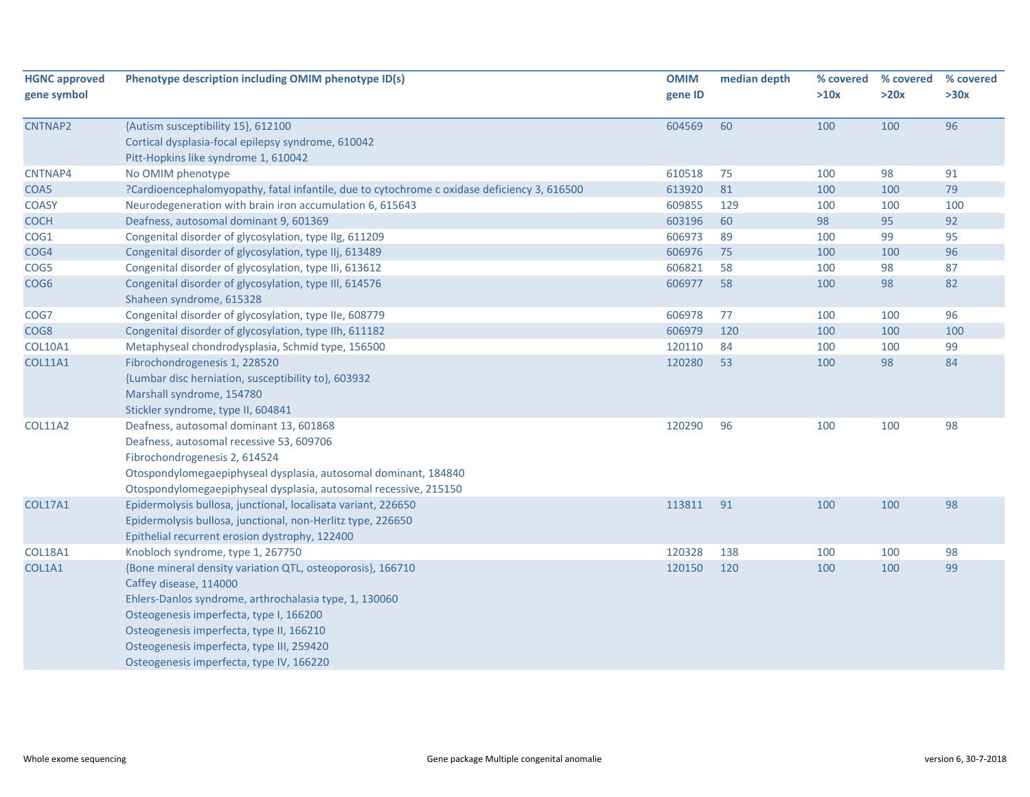| <b>HGNC approved</b> | Phenotype description including OMIM phenotype ID(s)                                        | <b>OMIM</b> | median depth | % covered | % covered | % covered |
|----------------------|---------------------------------------------------------------------------------------------|-------------|--------------|-----------|-----------|-----------|
| gene symbol          |                                                                                             | gene ID     |              | >10x      | >20x      | >30x      |
|                      |                                                                                             |             |              |           |           |           |
| CNTNAP2              | {Autism susceptibility 15}, 612100                                                          | 604569      | 60           | 100       | 100       | 96        |
|                      | Cortical dysplasia-focal epilepsy syndrome, 610042                                          |             |              |           |           |           |
|                      | Pitt-Hopkins like syndrome 1, 610042                                                        |             |              |           |           |           |
| CNTNAP4              | No OMIM phenotype                                                                           | 610518      | 75           | 100       | 98        | 91        |
| COA5                 | ?Cardioencephalomyopathy, fatal infantile, due to cytochrome c oxidase deficiency 3, 616500 | 613920      | 81           | 100       | 100       | 79        |
| <b>COASY</b>         | Neurodegeneration with brain iron accumulation 6, 615643                                    | 609855      | 129          | 100       | 100       | 100       |
| <b>COCH</b>          | Deafness, autosomal dominant 9, 601369                                                      | 603196      | 60           | 98        | 95        | 92        |
| COG1                 | Congenital disorder of glycosylation, type IIg, 611209                                      | 606973      | 89           | 100       | 99        | 95        |
| COG4                 | Congenital disorder of glycosylation, type IIj, 613489                                      | 606976      | 75           | 100       | 100       | 96        |
| COG5                 | Congenital disorder of glycosylation, type IIi, 613612                                      | 606821      | 58           | 100       | 98        | 87        |
| COG <sub>6</sub>     | Congenital disorder of glycosylation, type III, 614576<br>Shaheen syndrome, 615328          | 606977      | 58           | 100       | 98        | 82        |
| COG7                 | Congenital disorder of glycosylation, type IIe, 608779                                      | 606978      | 77           | 100       | 100       | 96        |
| COG8                 | Congenital disorder of glycosylation, type IIh, 611182                                      | 606979      | 120          | 100       | 100       | 100       |
| <b>COL10A1</b>       | Metaphyseal chondrodysplasia, Schmid type, 156500                                           | 120110      | 84           | 100       | 100       | 99        |
| <b>COL11A1</b>       | Fibrochondrogenesis 1, 228520                                                               | 120280      | 53           | 100       | 98        | 84        |
|                      | {Lumbar disc herniation, susceptibility to}, 603932                                         |             |              |           |           |           |
|                      | Marshall syndrome, 154780                                                                   |             |              |           |           |           |
|                      | Stickler syndrome, type II, 604841                                                          |             |              |           |           |           |
| <b>COL11A2</b>       | Deafness, autosomal dominant 13, 601868                                                     | 120290      | 96           | 100       | 100       | 98        |
|                      | Deafness, autosomal recessive 53, 609706                                                    |             |              |           |           |           |
|                      | Fibrochondrogenesis 2, 614524                                                               |             |              |           |           |           |
|                      | Otospondylomegaepiphyseal dysplasia, autosomal dominant, 184840                             |             |              |           |           |           |
|                      | Otospondylomegaepiphyseal dysplasia, autosomal recessive, 215150                            |             |              |           |           |           |
| <b>COL17A1</b>       | Epidermolysis bullosa, junctional, localisata variant, 226650                               | 113811      | 91           | 100       | 100       | 98        |
|                      | Epidermolysis bullosa, junctional, non-Herlitz type, 226650                                 |             |              |           |           |           |
|                      | Epithelial recurrent erosion dystrophy, 122400                                              |             |              |           |           |           |
| <b>COL18A1</b>       | Knobloch syndrome, type 1, 267750                                                           | 120328      | 138          | 100       | 100       | 98        |
| COL1A1               | {Bone mineral density variation QTL, osteoporosis}, 166710                                  | 120150      | 120          | 100       | 100       | 99        |
|                      | Caffey disease, 114000                                                                      |             |              |           |           |           |
|                      | Ehlers-Danlos syndrome, arthrochalasia type, 1, 130060                                      |             |              |           |           |           |
|                      | Osteogenesis imperfecta, type I, 166200                                                     |             |              |           |           |           |
|                      | Osteogenesis imperfecta, type II, 166210                                                    |             |              |           |           |           |
|                      | Osteogenesis imperfecta, type III, 259420                                                   |             |              |           |           |           |
|                      | Osteogenesis imperfecta, type IV, 166220                                                    |             |              |           |           |           |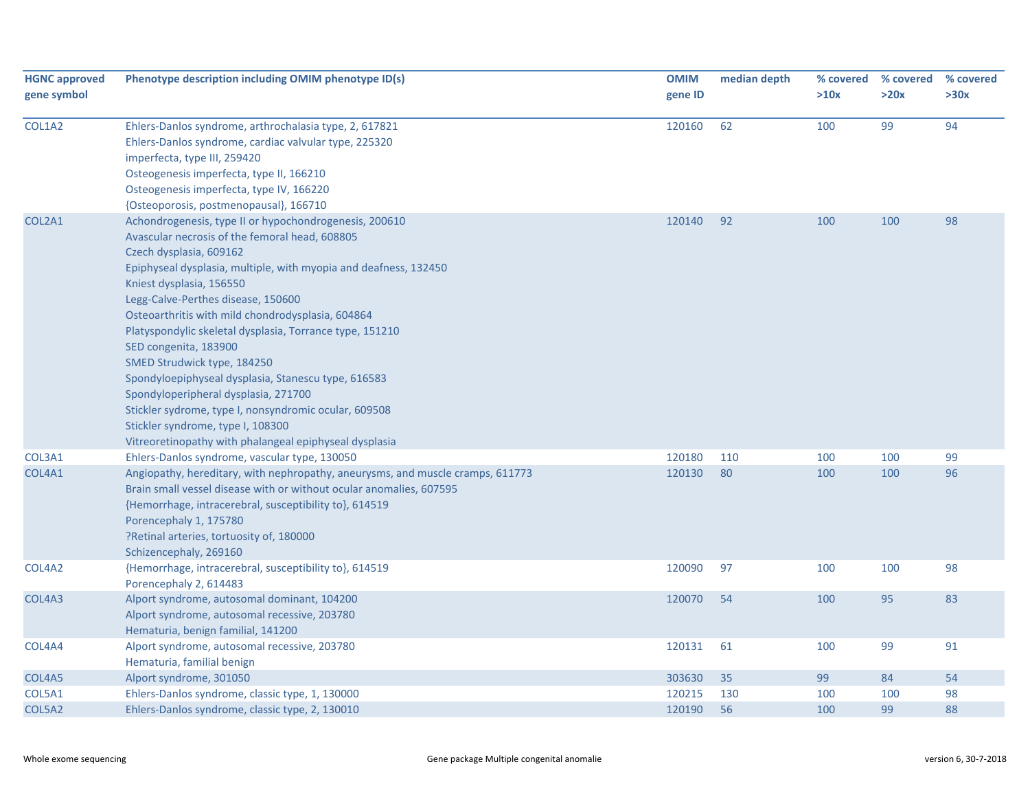| <b>HGNC approved</b><br>gene symbol | Phenotype description including OMIM phenotype ID(s)                                                                                                                                                                                                                                                                                                                                                                                                                                                                                                                                                                                                                                                      | <b>OMIM</b><br>gene ID | median depth | % covered<br>>10x | % covered<br>>20x | % covered<br>>30x |
|-------------------------------------|-----------------------------------------------------------------------------------------------------------------------------------------------------------------------------------------------------------------------------------------------------------------------------------------------------------------------------------------------------------------------------------------------------------------------------------------------------------------------------------------------------------------------------------------------------------------------------------------------------------------------------------------------------------------------------------------------------------|------------------------|--------------|-------------------|-------------------|-------------------|
| COL1A2                              | Ehlers-Danlos syndrome, arthrochalasia type, 2, 617821<br>Ehlers-Danlos syndrome, cardiac valvular type, 225320<br>imperfecta, type III, 259420<br>Osteogenesis imperfecta, type II, 166210<br>Osteogenesis imperfecta, type IV, 166220<br>{Osteoporosis, postmenopausal}, 166710                                                                                                                                                                                                                                                                                                                                                                                                                         | 120160                 | 62           | 100               | 99                | 94                |
| COL2A1                              | Achondrogenesis, type II or hypochondrogenesis, 200610<br>Avascular necrosis of the femoral head, 608805<br>Czech dysplasia, 609162<br>Epiphyseal dysplasia, multiple, with myopia and deafness, 132450<br>Kniest dysplasia, 156550<br>Legg-Calve-Perthes disease, 150600<br>Osteoarthritis with mild chondrodysplasia, 604864<br>Platyspondylic skeletal dysplasia, Torrance type, 151210<br>SED congenita, 183900<br>SMED Strudwick type, 184250<br>Spondyloepiphyseal dysplasia, Stanescu type, 616583<br>Spondyloperipheral dysplasia, 271700<br>Stickler sydrome, type I, nonsyndromic ocular, 609508<br>Stickler syndrome, type I, 108300<br>Vitreoretinopathy with phalangeal epiphyseal dysplasia | 120140                 | 92           | 100               | 100               | 98                |
| COL3A1                              | Ehlers-Danlos syndrome, vascular type, 130050                                                                                                                                                                                                                                                                                                                                                                                                                                                                                                                                                                                                                                                             | 120180                 | 110          | 100               | 100               | 99                |
| COL4A1                              | Angiopathy, hereditary, with nephropathy, aneurysms, and muscle cramps, 611773<br>Brain small vessel disease with or without ocular anomalies, 607595<br>{Hemorrhage, intracerebral, susceptibility to}, 614519<br>Porencephaly 1, 175780<br>?Retinal arteries, tortuosity of, 180000<br>Schizencephaly, 269160                                                                                                                                                                                                                                                                                                                                                                                           | 120130                 | 80           | 100               | 100               | 96                |
| COL4A2                              | {Hemorrhage, intracerebral, susceptibility to}, 614519<br>Porencephaly 2, 614483                                                                                                                                                                                                                                                                                                                                                                                                                                                                                                                                                                                                                          | 120090                 | 97           | 100               | 100               | 98                |
| COL4A3                              | Alport syndrome, autosomal dominant, 104200<br>Alport syndrome, autosomal recessive, 203780<br>Hematuria, benign familial, 141200                                                                                                                                                                                                                                                                                                                                                                                                                                                                                                                                                                         | 120070                 | 54           | 100               | 95                | 83                |
| COL4A4                              | Alport syndrome, autosomal recessive, 203780<br>Hematuria, familial benign                                                                                                                                                                                                                                                                                                                                                                                                                                                                                                                                                                                                                                | 120131                 | 61           | 100               | 99                | 91                |
| COL4A5                              | Alport syndrome, 301050                                                                                                                                                                                                                                                                                                                                                                                                                                                                                                                                                                                                                                                                                   | 303630                 | 35           | 99                | 84                | 54                |
| COL5A1                              | Ehlers-Danlos syndrome, classic type, 1, 130000                                                                                                                                                                                                                                                                                                                                                                                                                                                                                                                                                                                                                                                           | 120215                 | 130          | 100               | 100               | 98                |
| COL5A2                              | Ehlers-Danlos syndrome, classic type, 2, 130010                                                                                                                                                                                                                                                                                                                                                                                                                                                                                                                                                                                                                                                           | 120190                 | 56           | 100               | 99                | 88                |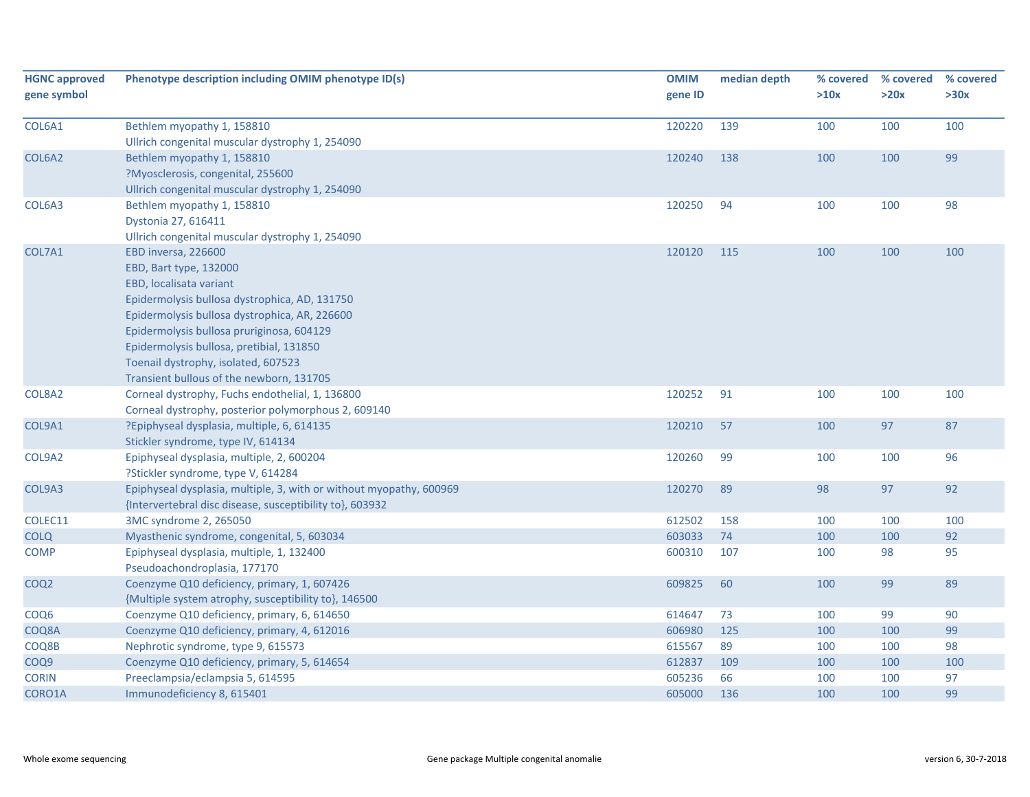| <b>HGNC approved</b><br>gene symbol | Phenotype description including OMIM phenotype ID(s)                | <b>OMIM</b><br>gene ID | median depth | % covered<br>>10x | % covered<br>>20x | % covered<br>>30x |
|-------------------------------------|---------------------------------------------------------------------|------------------------|--------------|-------------------|-------------------|-------------------|
|                                     |                                                                     |                        |              |                   |                   |                   |
| COL6A1                              | Bethlem myopathy 1, 158810                                          | 120220                 | 139          | 100               | 100               | 100               |
|                                     | Ullrich congenital muscular dystrophy 1, 254090                     | 120240                 | 138          | 100               | 100               | 99                |
| COL6A2                              | Bethlem myopathy 1, 158810<br>?Myosclerosis, congenital, 255600     |                        |              |                   |                   |                   |
|                                     | Ullrich congenital muscular dystrophy 1, 254090                     |                        |              |                   |                   |                   |
| COL6A3                              | Bethlem myopathy 1, 158810                                          | 120250                 | 94           | 100               | 100               | 98                |
|                                     | Dystonia 27, 616411                                                 |                        |              |                   |                   |                   |
|                                     | Ullrich congenital muscular dystrophy 1, 254090                     |                        |              |                   |                   |                   |
| COL7A1                              | EBD inversa, 226600                                                 | 120120                 | 115          | 100               | 100               | 100               |
|                                     | EBD, Bart type, 132000                                              |                        |              |                   |                   |                   |
|                                     | EBD, localisata variant                                             |                        |              |                   |                   |                   |
|                                     | Epidermolysis bullosa dystrophica, AD, 131750                       |                        |              |                   |                   |                   |
|                                     | Epidermolysis bullosa dystrophica, AR, 226600                       |                        |              |                   |                   |                   |
|                                     | Epidermolysis bullosa pruriginosa, 604129                           |                        |              |                   |                   |                   |
|                                     | Epidermolysis bullosa, pretibial, 131850                            |                        |              |                   |                   |                   |
|                                     | Toenail dystrophy, isolated, 607523                                 |                        |              |                   |                   |                   |
|                                     | Transient bullous of the newborn, 131705                            |                        |              |                   |                   |                   |
| COL8A2                              | Corneal dystrophy, Fuchs endothelial, 1, 136800                     | 120252                 | 91           | 100               | 100               | 100               |
|                                     | Corneal dystrophy, posterior polymorphous 2, 609140                 |                        |              |                   |                   |                   |
| COL9A1                              | ?Epiphyseal dysplasia, multiple, 6, 614135                          | 120210                 | 57           | 100               | 97                | 87                |
|                                     | Stickler syndrome, type IV, 614134                                  |                        |              |                   |                   |                   |
| COL9A2                              | Epiphyseal dysplasia, multiple, 2, 600204                           | 120260                 | 99           | 100               | 100               | 96                |
|                                     | ?Stickler syndrome, type V, 614284                                  |                        |              |                   |                   |                   |
| COL9A3                              | Epiphyseal dysplasia, multiple, 3, with or without myopathy, 600969 | 120270                 | 89           | 98                | 97                | 92                |
|                                     | {Intervertebral disc disease, susceptibility to}, 603932            |                        |              |                   |                   |                   |
| COLEC11                             | 3MC syndrome 2, 265050                                              | 612502                 | 158          | 100               | 100               | 100               |
| <b>COLQ</b>                         | Myasthenic syndrome, congenital, 5, 603034                          | 603033                 | 74           | 100               | 100               | 92                |
| <b>COMP</b>                         | Epiphyseal dysplasia, multiple, 1, 132400                           | 600310                 | 107          | 100               | 98                | 95                |
|                                     | Pseudoachondroplasia, 177170                                        |                        |              |                   |                   |                   |
| COQ <sub>2</sub>                    | Coenzyme Q10 deficiency, primary, 1, 607426                         | 609825                 | 60           | 100               | 99                | 89                |
|                                     | {Multiple system atrophy, susceptibility to}, 146500                |                        |              |                   |                   |                   |
| COQ <sub>6</sub>                    | Coenzyme Q10 deficiency, primary, 6, 614650                         | 614647                 | 73           | 100               | 99                | 90                |
| COQ8A                               | Coenzyme Q10 deficiency, primary, 4, 612016                         | 606980                 | 125          | 100               | 100               | 99                |
| COQ8B                               | Nephrotic syndrome, type 9, 615573                                  | 615567                 | 89           | 100               | 100               | 98                |
| COQ9                                | Coenzyme Q10 deficiency, primary, 5, 614654                         | 612837                 | 109          | 100               | 100               | 100               |
| <b>CORIN</b>                        | Preeclampsia/eclampsia 5, 614595                                    | 605236                 | 66           | 100               | 100               | 97<br>99          |
| CORO1A                              | Immunodeficiency 8, 615401                                          | 605000                 | 136          | 100               | 100               |                   |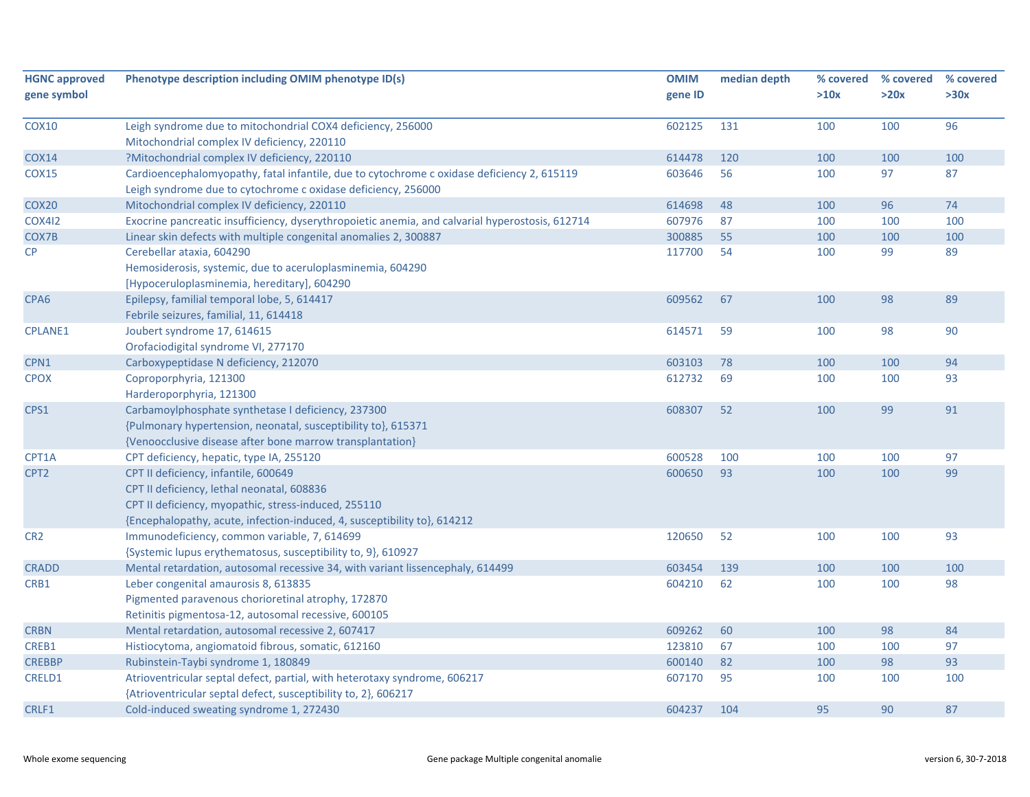| <b>HGNC approved</b><br>gene symbol | Phenotype description including OMIM phenotype ID(s)                                                                                                                                                                   | <b>OMIM</b><br>gene ID | median depth | % covered<br>>10x | % covered<br>>20x | % covered<br>>30x |
|-------------------------------------|------------------------------------------------------------------------------------------------------------------------------------------------------------------------------------------------------------------------|------------------------|--------------|-------------------|-------------------|-------------------|
| <b>COX10</b>                        | Leigh syndrome due to mitochondrial COX4 deficiency, 256000<br>Mitochondrial complex IV deficiency, 220110                                                                                                             | 602125                 | 131          | 100               | 100               | 96                |
| <b>COX14</b>                        | ?Mitochondrial complex IV deficiency, 220110                                                                                                                                                                           | 614478                 | 120          | 100               | 100               | 100               |
| <b>COX15</b>                        | Cardioencephalomyopathy, fatal infantile, due to cytochrome c oxidase deficiency 2, 615119<br>Leigh syndrome due to cytochrome c oxidase deficiency, 256000                                                            | 603646                 | 56           | 100               | 97                | 87                |
| COX <sub>20</sub>                   | Mitochondrial complex IV deficiency, 220110                                                                                                                                                                            | 614698                 | 48           | 100               | 96                | 74                |
| <b>COX412</b>                       | Exocrine pancreatic insufficiency, dyserythropoietic anemia, and calvarial hyperostosis, 612714                                                                                                                        | 607976                 | 87           | 100               | 100               | 100               |
| COX7B                               | Linear skin defects with multiple congenital anomalies 2, 300887                                                                                                                                                       | 300885                 | 55           | 100               | 100               | 100               |
| $\mathsf{CP}$                       | Cerebellar ataxia, 604290<br>Hemosiderosis, systemic, due to aceruloplasminemia, 604290<br>[Hypoceruloplasminemia, hereditary], 604290                                                                                 | 117700                 | 54           | 100               | 99                | 89                |
| CPA <sub>6</sub>                    | Epilepsy, familial temporal lobe, 5, 614417<br>Febrile seizures, familial, 11, 614418                                                                                                                                  | 609562                 | 67           | 100               | 98                | 89                |
| <b>CPLANE1</b>                      | Joubert syndrome 17, 614615<br>Orofaciodigital syndrome VI, 277170                                                                                                                                                     | 614571                 | 59           | 100               | 98                | 90                |
| CPN1                                | Carboxypeptidase N deficiency, 212070                                                                                                                                                                                  | 603103                 | 78           | 100               | 100               | 94                |
| <b>CPOX</b>                         | Coproporphyria, 121300<br>Harderoporphyria, 121300                                                                                                                                                                     | 612732                 | 69           | 100               | 100               | 93                |
| CPS1                                | Carbamoylphosphate synthetase I deficiency, 237300<br>{Pulmonary hypertension, neonatal, susceptibility to}, 615371<br>{Venoocclusive disease after bone marrow transplantation}                                       | 608307                 | 52           | 100               | 99                | 91                |
| CPT1A                               | CPT deficiency, hepatic, type IA, 255120                                                                                                                                                                               | 600528                 | 100          | 100               | 100               | 97                |
| CPT <sub>2</sub>                    | CPT II deficiency, infantile, 600649<br>CPT II deficiency, lethal neonatal, 608836<br>CPT II deficiency, myopathic, stress-induced, 255110<br>{Encephalopathy, acute, infection-induced, 4, susceptibility to}, 614212 | 600650                 | 93           | 100               | 100               | 99                |
| CR <sub>2</sub>                     | Immunodeficiency, common variable, 7, 614699<br>{Systemic lupus erythematosus, susceptibility to, 9}, 610927                                                                                                           | 120650                 | 52           | 100               | 100               | 93                |
| <b>CRADD</b>                        | Mental retardation, autosomal recessive 34, with variant lissencephaly, 614499                                                                                                                                         | 603454                 | 139          | 100               | 100               | 100               |
| CRB1                                | Leber congenital amaurosis 8, 613835<br>Pigmented paravenous chorioretinal atrophy, 172870<br>Retinitis pigmentosa-12, autosomal recessive, 600105                                                                     | 604210                 | 62           | 100               | 100               | 98                |
| <b>CRBN</b>                         | Mental retardation, autosomal recessive 2, 607417                                                                                                                                                                      | 609262                 | 60           | 100               | 98                | 84                |
| CREB1                               | Histiocytoma, angiomatoid fibrous, somatic, 612160                                                                                                                                                                     | 123810                 | 67           | 100               | 100               | 97                |
| <b>CREBBP</b>                       | Rubinstein-Taybi syndrome 1, 180849                                                                                                                                                                                    | 600140                 | 82           | 100               | 98                | 93                |
| CRELD1                              | Atrioventricular septal defect, partial, with heterotaxy syndrome, 606217<br>{Atrioventricular septal defect, susceptibility to, 2}, 606217                                                                            | 607170                 | 95           | 100               | 100               | 100               |
| CRLF1                               | Cold-induced sweating syndrome 1, 272430                                                                                                                                                                               | 604237                 | 104          | 95                | 90                | 87                |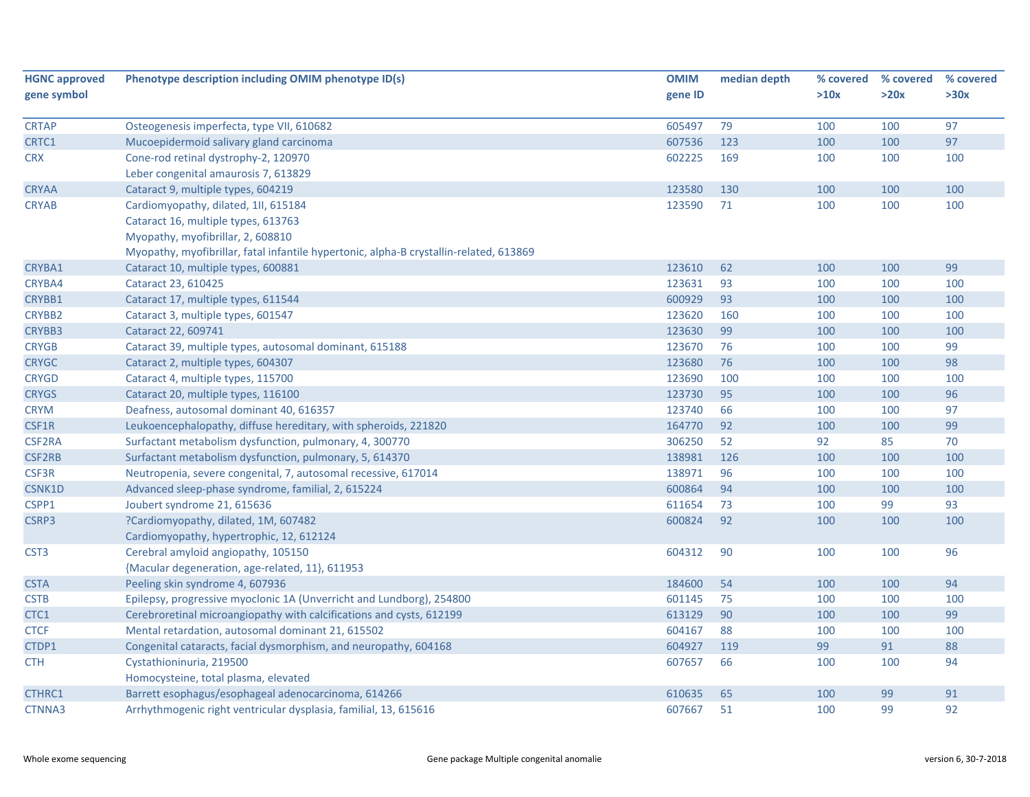| <b>HGNC approved</b> | Phenotype description including OMIM phenotype ID(s)                                   | <b>OMIM</b> | median depth | % covered | % covered | % covered |
|----------------------|----------------------------------------------------------------------------------------|-------------|--------------|-----------|-----------|-----------|
| gene symbol          |                                                                                        | gene ID     |              | >10x      | >20x      | >30x      |
|                      |                                                                                        |             |              |           |           |           |
| <b>CRTAP</b>         | Osteogenesis imperfecta, type VII, 610682                                              | 605497      | 79           | 100       | 100       | 97        |
| CRTC1                | Mucoepidermoid salivary gland carcinoma                                                | 607536      | 123          | 100       | 100       | 97        |
| <b>CRX</b>           | Cone-rod retinal dystrophy-2, 120970                                                   | 602225      | 169          | 100       | 100       | 100       |
|                      | Leber congenital amaurosis 7, 613829                                                   |             |              |           |           |           |
| <b>CRYAA</b>         | Cataract 9, multiple types, 604219                                                     | 123580      | 130          | 100       | 100       | 100       |
| <b>CRYAB</b>         | Cardiomyopathy, dilated, 1II, 615184                                                   | 123590      | 71           | 100       | 100       | 100       |
|                      | Cataract 16, multiple types, 613763                                                    |             |              |           |           |           |
|                      | Myopathy, myofibrillar, 2, 608810                                                      |             |              |           |           |           |
|                      | Myopathy, myofibrillar, fatal infantile hypertonic, alpha-B crystallin-related, 613869 |             |              |           |           |           |
| CRYBA1               | Cataract 10, multiple types, 600881                                                    | 123610      | 62           | 100       | 100       | 99        |
| CRYBA4               | Cataract 23, 610425                                                                    | 123631      | 93           | 100       | 100       | 100       |
| CRYBB1               | Cataract 17, multiple types, 611544                                                    | 600929      | 93           | 100       | 100       | 100       |
| CRYBB2               | Cataract 3, multiple types, 601547                                                     | 123620      | 160          | 100       | 100       | 100       |
| CRYBB3               | Cataract 22, 609741                                                                    | 123630      | 99           | 100       | 100       | 100       |
| <b>CRYGB</b>         | Cataract 39, multiple types, autosomal dominant, 615188                                | 123670      | 76           | 100       | 100       | 99        |
| <b>CRYGC</b>         | Cataract 2, multiple types, 604307                                                     | 123680      | 76           | 100       | 100       | 98        |
| <b>CRYGD</b>         | Cataract 4, multiple types, 115700                                                     | 123690      | 100          | 100       | 100       | 100       |
| <b>CRYGS</b>         | Cataract 20, multiple types, 116100                                                    | 123730      | 95           | 100       | 100       | 96        |
| <b>CRYM</b>          | Deafness, autosomal dominant 40, 616357                                                | 123740      | 66           | 100       | 100       | 97        |
| CSF1R                | Leukoencephalopathy, diffuse hereditary, with spheroids, 221820                        | 164770      | 92           | 100       | 100       | 99        |
| CSF2RA               | Surfactant metabolism dysfunction, pulmonary, 4, 300770                                | 306250      | 52           | 92        | 85        | 70        |
| CSF2RB               | Surfactant metabolism dysfunction, pulmonary, 5, 614370                                | 138981      | 126          | 100       | 100       | 100       |
| CSF3R                | Neutropenia, severe congenital, 7, autosomal recessive, 617014                         | 138971      | 96           | 100       | 100       | 100       |
| <b>CSNK1D</b>        | Advanced sleep-phase syndrome, familial, 2, 615224                                     | 600864      | 94           | 100       | 100       | 100       |
| CSPP1                | Joubert syndrome 21, 615636                                                            | 611654      | 73           | 100       | 99        | 93        |
| CSRP3                | ?Cardiomyopathy, dilated, 1M, 607482                                                   | 600824      | 92           | 100       | 100       | 100       |
|                      | Cardiomyopathy, hypertrophic, 12, 612124                                               |             |              |           |           |           |
| CST <sub>3</sub>     | Cerebral amyloid angiopathy, 105150                                                    | 604312      | 90           | 100       | 100       | 96        |
|                      | {Macular degeneration, age-related, 11}, 611953                                        |             |              |           |           |           |
| <b>CSTA</b>          | Peeling skin syndrome 4, 607936                                                        | 184600      | 54           | 100       | 100       | 94        |
| <b>CSTB</b>          | Epilepsy, progressive myoclonic 1A (Unverricht and Lundborg), 254800                   | 601145      | 75           | 100       | 100       | 100       |
| CTC1                 | Cerebroretinal microangiopathy with calcifications and cysts, 612199                   | 613129      | 90           | 100       | 100       | 99        |
| <b>CTCF</b>          | Mental retardation, autosomal dominant 21, 615502                                      | 604167      | 88           | 100       | 100       | 100       |
| CTDP1                | Congenital cataracts, facial dysmorphism, and neuropathy, 604168                       | 604927      | 119          | 99        | 91        | 88        |
| <b>CTH</b>           | Cystathioninuria, 219500                                                               | 607657      | 66           | 100       | 100       | 94        |
|                      | Homocysteine, total plasma, elevated                                                   |             |              |           |           |           |
| <b>CTHRC1</b>        | Barrett esophagus/esophageal adenocarcinoma, 614266                                    | 610635      | 65           | 100       | 99        | 91        |
| CTNNA3               | Arrhythmogenic right ventricular dysplasia, familial, 13, 615616                       | 607667      | 51           | 100       | 99        | 92        |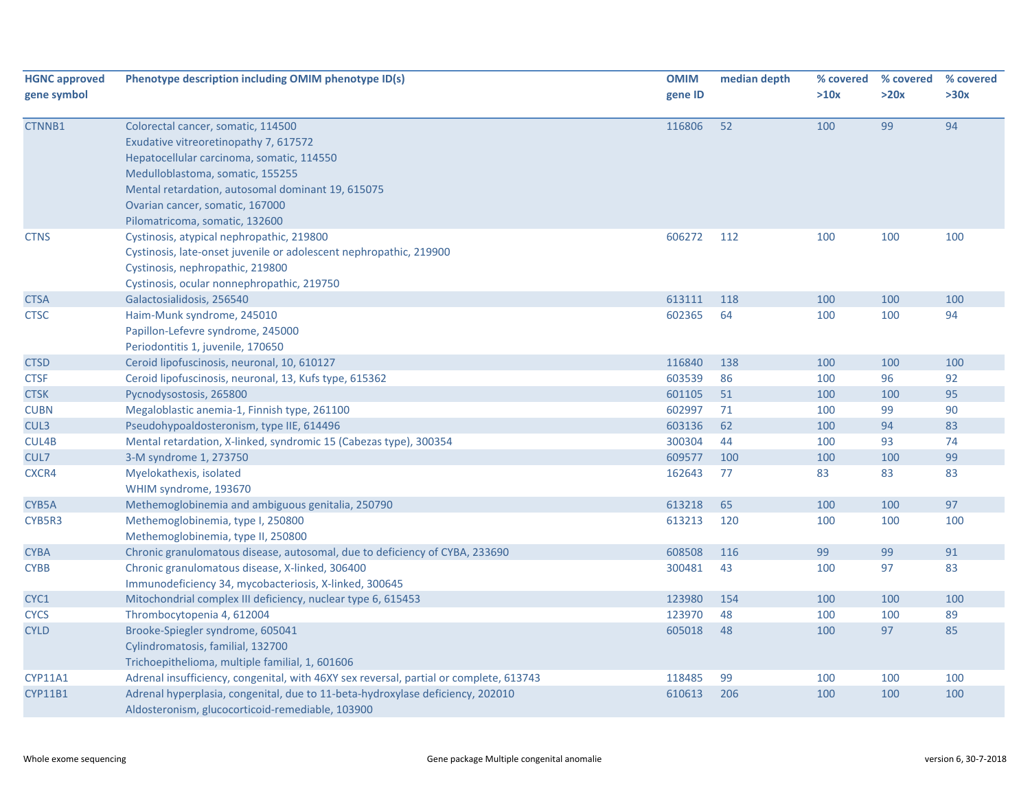| <b>HGNC approved</b><br>gene symbol | Phenotype description including OMIM phenotype ID(s)                                                                                                                                                                                                                                   | <b>OMIM</b><br>gene ID | median depth | % covered<br>>10x | % covered<br>>20x | % covered<br>>30x |
|-------------------------------------|----------------------------------------------------------------------------------------------------------------------------------------------------------------------------------------------------------------------------------------------------------------------------------------|------------------------|--------------|-------------------|-------------------|-------------------|
| CTNNB1                              | Colorectal cancer, somatic, 114500<br>Exudative vitreoretinopathy 7, 617572<br>Hepatocellular carcinoma, somatic, 114550<br>Medulloblastoma, somatic, 155255<br>Mental retardation, autosomal dominant 19, 615075<br>Ovarian cancer, somatic, 167000<br>Pilomatricoma, somatic, 132600 | 116806                 | 52           | 100               | 99                | 94                |
| <b>CTNS</b>                         | Cystinosis, atypical nephropathic, 219800<br>Cystinosis, late-onset juvenile or adolescent nephropathic, 219900<br>Cystinosis, nephropathic, 219800<br>Cystinosis, ocular nonnephropathic, 219750                                                                                      | 606272                 | 112          | 100               | 100               | 100               |
| <b>CTSA</b>                         | Galactosialidosis, 256540                                                                                                                                                                                                                                                              | 613111                 | 118          | 100               | 100               | 100               |
| <b>CTSC</b>                         | Haim-Munk syndrome, 245010<br>Papillon-Lefevre syndrome, 245000<br>Periodontitis 1, juvenile, 170650                                                                                                                                                                                   | 602365                 | 64           | 100               | 100               | 94                |
| <b>CTSD</b>                         | Ceroid lipofuscinosis, neuronal, 10, 610127                                                                                                                                                                                                                                            | 116840                 | 138          | 100               | 100               | 100               |
| <b>CTSF</b>                         | Ceroid lipofuscinosis, neuronal, 13, Kufs type, 615362                                                                                                                                                                                                                                 | 603539                 | 86           | 100               | 96                | 92                |
| <b>CTSK</b>                         | Pycnodysostosis, 265800                                                                                                                                                                                                                                                                | 601105                 | 51           | 100               | 100               | 95                |
| <b>CUBN</b>                         | Megaloblastic anemia-1, Finnish type, 261100                                                                                                                                                                                                                                           | 602997                 | 71           | 100               | 99                | 90                |
| CUL3                                | Pseudohypoaldosteronism, type IIE, 614496                                                                                                                                                                                                                                              | 603136                 | 62           | 100               | 94                | 83                |
| CUL4B                               | Mental retardation, X-linked, syndromic 15 (Cabezas type), 300354                                                                                                                                                                                                                      | 300304                 | 44           | 100               | 93                | 74                |
| CUL7                                | 3-M syndrome 1, 273750                                                                                                                                                                                                                                                                 | 609577                 | 100          | 100               | 100               | 99                |
| CXCR4                               | Myelokathexis, isolated<br>WHIM syndrome, 193670                                                                                                                                                                                                                                       | 162643                 | 77           | 83                | 83                | 83                |
| CYB5A                               | Methemoglobinemia and ambiguous genitalia, 250790                                                                                                                                                                                                                                      | 613218                 | 65           | 100               | 100               | 97                |
| CYB5R3                              | Methemoglobinemia, type I, 250800<br>Methemoglobinemia, type II, 250800                                                                                                                                                                                                                | 613213                 | 120          | 100               | 100               | 100               |
| <b>CYBA</b>                         | Chronic granulomatous disease, autosomal, due to deficiency of CYBA, 233690                                                                                                                                                                                                            | 608508                 | 116          | 99                | 99                | 91                |
| <b>CYBB</b>                         | Chronic granulomatous disease, X-linked, 306400<br>Immunodeficiency 34, mycobacteriosis, X-linked, 300645                                                                                                                                                                              | 300481                 | 43           | 100               | 97                | 83                |
| CYC1                                | Mitochondrial complex III deficiency, nuclear type 6, 615453                                                                                                                                                                                                                           | 123980                 | 154          | 100               | 100               | 100               |
| <b>CYCS</b>                         | Thrombocytopenia 4, 612004                                                                                                                                                                                                                                                             | 123970                 | 48           | 100               | 100               | 89                |
| <b>CYLD</b>                         | Brooke-Spiegler syndrome, 605041<br>Cylindromatosis, familial, 132700<br>Trichoepithelioma, multiple familial, 1, 601606                                                                                                                                                               | 605018                 | 48           | 100               | 97                | 85                |
| <b>CYP11A1</b>                      | Adrenal insufficiency, congenital, with 46XY sex reversal, partial or complete, 613743                                                                                                                                                                                                 | 118485                 | 99           | 100               | 100               | 100               |
| <b>CYP11B1</b>                      | Adrenal hyperplasia, congenital, due to 11-beta-hydroxylase deficiency, 202010<br>Aldosteronism, glucocorticoid-remediable, 103900                                                                                                                                                     | 610613                 | 206          | 100               | 100               | 100               |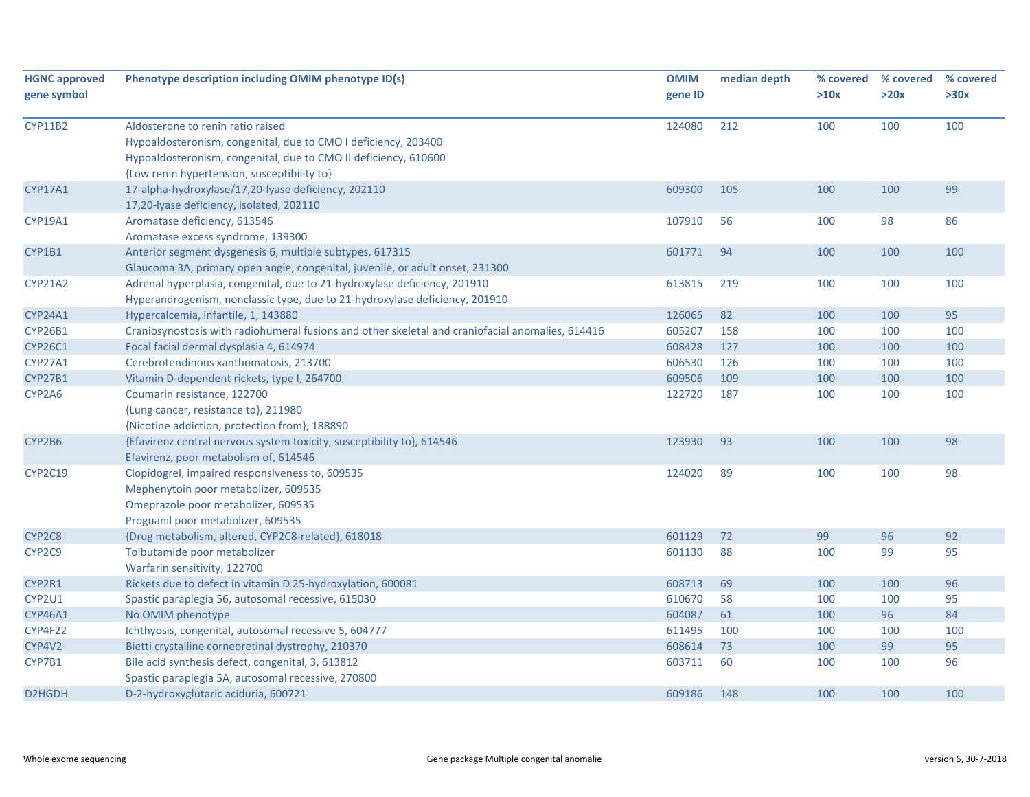| <b>HGNC approved</b><br>gene symbol | Phenotype description including OMIM phenotype ID(s)                                                                                                                                                                  | <b>OMIM</b><br>gene ID | median depth | % covered<br>>10x | % covered<br>>20x | % covered<br>>30x |
|-------------------------------------|-----------------------------------------------------------------------------------------------------------------------------------------------------------------------------------------------------------------------|------------------------|--------------|-------------------|-------------------|-------------------|
| <b>CYP11B2</b>                      | Aldosterone to renin ratio raised<br>Hypoaldosteronism, congenital, due to CMO I deficiency, 203400<br>Hypoaldosteronism, congenital, due to CMO II deficiency, 610600<br>{Low renin hypertension, susceptibility to} | 124080                 | 212          | 100               | 100               | 100               |
| CYP17A1                             | 17-alpha-hydroxylase/17,20-lyase deficiency, 202110<br>17,20-lyase deficiency, isolated, 202110                                                                                                                       | 609300                 | 105          | 100               | 100               | 99                |
| CYP19A1                             | Aromatase deficiency, 613546<br>Aromatase excess syndrome, 139300                                                                                                                                                     | 107910                 | 56           | 100               | 98                | 86                |
| CYP1B1                              | Anterior segment dysgenesis 6, multiple subtypes, 617315<br>Glaucoma 3A, primary open angle, congenital, juvenile, or adult onset, 231300                                                                             | 601771                 | 94           | 100               | 100               | 100               |
| <b>CYP21A2</b>                      | Adrenal hyperplasia, congenital, due to 21-hydroxylase deficiency, 201910<br>Hyperandrogenism, nonclassic type, due to 21-hydroxylase deficiency, 201910                                                              | 613815                 | 219          | 100               | 100               | 100               |
| <b>CYP24A1</b>                      | Hypercalcemia, infantile, 1, 143880                                                                                                                                                                                   | 126065                 | 82           | 100               | 100               | 95                |
| <b>CYP26B1</b>                      | Craniosynostosis with radiohumeral fusions and other skeletal and craniofacial anomalies, 614416                                                                                                                      | 605207                 | 158          | 100               | 100               | 100               |
| <b>CYP26C1</b>                      | Focal facial dermal dysplasia 4, 614974                                                                                                                                                                               | 608428                 | 127          | 100               | 100               | 100               |
| <b>CYP27A1</b>                      | Cerebrotendinous xanthomatosis, 213700                                                                                                                                                                                | 606530                 | 126          | 100               | 100               | 100               |
| CYP27B1                             | Vitamin D-dependent rickets, type I, 264700                                                                                                                                                                           | 609506                 | 109          | 100               | 100               | 100               |
| CYP2A6                              | Coumarin resistance, 122700<br>{Lung cancer, resistance to}, 211980<br>{Nicotine addiction, protection from}, 188890                                                                                                  | 122720                 | 187          | 100               | 100               | 100               |
| CYP2B6                              | {Efavirenz central nervous system toxicity, susceptibility to}, 614546<br>Efavirenz, poor metabolism of, 614546                                                                                                       | 123930                 | 93           | 100               | 100               | 98                |
| <b>CYP2C19</b>                      | Clopidogrel, impaired responsiveness to, 609535<br>Mephenytoin poor metabolizer, 609535<br>Omeprazole poor metabolizer, 609535<br>Proguanil poor metabolizer, 609535                                                  | 124020                 | 89           | 100               | 100               | 98                |
| CYP2C8                              | {Drug metabolism, altered, CYP2C8-related}, 618018                                                                                                                                                                    | 601129                 | 72           | 99                | 96                | 92                |
| CYP2C9                              | Tolbutamide poor metabolizer<br>Warfarin sensitivity, 122700                                                                                                                                                          | 601130                 | 88           | 100               | 99                | 95                |
| CYP2R1                              | Rickets due to defect in vitamin D 25-hydroxylation, 600081                                                                                                                                                           | 608713                 | 69           | 100               | 100               | 96                |
| CYP2U1                              | Spastic paraplegia 56, autosomal recessive, 615030                                                                                                                                                                    | 610670                 | 58           | 100               | 100               | 95                |
| <b>CYP46A1</b>                      | No OMIM phenotype                                                                                                                                                                                                     | 604087                 | 61           | 100               | 96                | 84                |
| CYP4F22                             | Ichthyosis, congenital, autosomal recessive 5, 604777                                                                                                                                                                 | 611495                 | 100          | 100               | 100               | 100               |
| CYP4V2                              | Bietti crystalline corneoretinal dystrophy, 210370                                                                                                                                                                    | 608614                 | 73           | 100               | 99                | 95                |
| CYP7B1                              | Bile acid synthesis defect, congenital, 3, 613812<br>Spastic paraplegia 5A, autosomal recessive, 270800                                                                                                               | 603711                 | 60           | 100               | 100               | 96                |
| D2HGDH                              | D-2-hydroxyglutaric aciduria, 600721                                                                                                                                                                                  | 609186                 | 148          | 100               | 100               | 100               |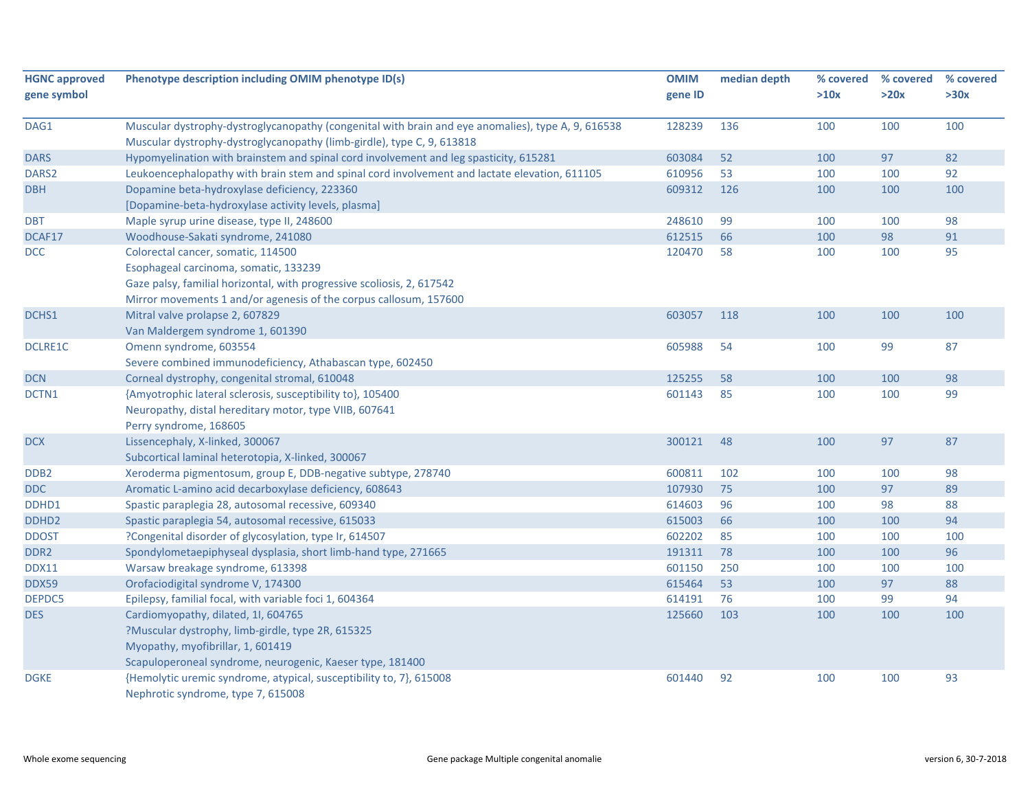| <b>HGNC approved</b><br>gene symbol | Phenotype description including OMIM phenotype ID(s)                                               | <b>OMIM</b><br>gene ID | median depth | % covered<br>>10x | % covered<br>>20x | % covered<br>>30x |
|-------------------------------------|----------------------------------------------------------------------------------------------------|------------------------|--------------|-------------------|-------------------|-------------------|
| DAG1                                | Muscular dystrophy-dystroglycanopathy (congenital with brain and eye anomalies), type A, 9, 616538 | 128239                 | 136          | 100               | 100               | 100               |
|                                     | Muscular dystrophy-dystroglycanopathy (limb-girdle), type C, 9, 613818                             |                        |              |                   |                   |                   |
| <b>DARS</b>                         | Hypomyelination with brainstem and spinal cord involvement and leg spasticity, 615281              | 603084                 | 52           | 100               | 97                | 82                |
| DARS <sub>2</sub>                   | Leukoencephalopathy with brain stem and spinal cord involvement and lactate elevation, 611105      | 610956                 | 53           | 100               | 100               | 92                |
| <b>DBH</b>                          | Dopamine beta-hydroxylase deficiency, 223360                                                       | 609312                 | 126          | 100               | 100               | 100               |
|                                     | [Dopamine-beta-hydroxylase activity levels, plasma]                                                |                        |              |                   |                   |                   |
| <b>DBT</b>                          | Maple syrup urine disease, type II, 248600                                                         | 248610                 | 99           | 100               | 100               | 98                |
| DCAF17                              | Woodhouse-Sakati syndrome, 241080                                                                  | 612515                 | 66           | 100               | 98                | 91                |
| <b>DCC</b>                          | Colorectal cancer, somatic, 114500                                                                 | 120470                 | 58           | 100               | 100               | 95                |
|                                     | Esophageal carcinoma, somatic, 133239                                                              |                        |              |                   |                   |                   |
|                                     | Gaze palsy, familial horizontal, with progressive scoliosis, 2, 617542                             |                        |              |                   |                   |                   |
|                                     | Mirror movements 1 and/or agenesis of the corpus callosum, 157600                                  |                        |              |                   |                   |                   |
| DCHS1                               | Mitral valve prolapse 2, 607829                                                                    | 603057                 | 118          | 100               | 100               | 100               |
|                                     | Van Maldergem syndrome 1, 601390                                                                   |                        |              |                   |                   |                   |
| <b>DCLRE1C</b>                      | Omenn syndrome, 603554                                                                             | 605988                 | 54           | 100               | 99                | 87                |
|                                     | Severe combined immunodeficiency, Athabascan type, 602450                                          |                        |              |                   |                   |                   |
| <b>DCN</b>                          | Corneal dystrophy, congenital stromal, 610048                                                      | 125255                 | 58           | 100               | 100               | 98                |
| DCTN1                               | {Amyotrophic lateral sclerosis, susceptibility to}, 105400                                         | 601143                 | 85           | 100               | 100               | 99                |
|                                     | Neuropathy, distal hereditary motor, type VIIB, 607641                                             |                        |              |                   |                   |                   |
|                                     | Perry syndrome, 168605                                                                             |                        |              |                   |                   |                   |
| DCX                                 | Lissencephaly, X-linked, 300067                                                                    | 300121                 | 48           | 100               | 97                | 87                |
|                                     | Subcortical laminal heterotopia, X-linked, 300067                                                  |                        |              |                   |                   |                   |
| DDB <sub>2</sub>                    | Xeroderma pigmentosum, group E, DDB-negative subtype, 278740                                       | 600811                 | 102          | 100               | 100               | 98                |
| <b>DDC</b>                          | Aromatic L-amino acid decarboxylase deficiency, 608643                                             | 107930                 | 75           | 100               | 97                | 89                |
| DDHD1                               | Spastic paraplegia 28, autosomal recessive, 609340                                                 | 614603                 | 96           | 100               | 98                | 88                |
| DDHD <sub>2</sub>                   | Spastic paraplegia 54, autosomal recessive, 615033                                                 | 615003                 | 66           | 100               | 100               | 94                |
| <b>DDOST</b>                        | ?Congenital disorder of glycosylation, type Ir, 614507                                             | 602202                 | 85           | 100               | 100               | 100               |
| DDR <sub>2</sub>                    | Spondylometaepiphyseal dysplasia, short limb-hand type, 271665                                     | 191311                 | 78           | 100               | 100               | 96                |
| <b>DDX11</b>                        | Warsaw breakage syndrome, 613398                                                                   | 601150                 | 250          | 100               | 100               | 100               |
| DDX59                               | Orofaciodigital syndrome V, 174300                                                                 | 615464                 | 53           | 100               | 97                | 88                |
| DEPDC5                              | Epilepsy, familial focal, with variable foci 1, 604364                                             | 614191                 | 76           | 100               | 99                | 94                |
| <b>DES</b>                          | Cardiomyopathy, dilated, 1I, 604765                                                                | 125660                 | 103          | 100               | 100               | 100               |
|                                     | ?Muscular dystrophy, limb-girdle, type 2R, 615325                                                  |                        |              |                   |                   |                   |
|                                     | Myopathy, myofibrillar, 1, 601419                                                                  |                        |              |                   |                   |                   |
|                                     | Scapuloperoneal syndrome, neurogenic, Kaeser type, 181400                                          |                        |              |                   |                   |                   |
| <b>DGKE</b>                         | {Hemolytic uremic syndrome, atypical, susceptibility to, 7}, 615008                                | 601440                 | 92           | 100               | 100               | 93                |
|                                     | Nephrotic syndrome, type 7, 615008                                                                 |                        |              |                   |                   |                   |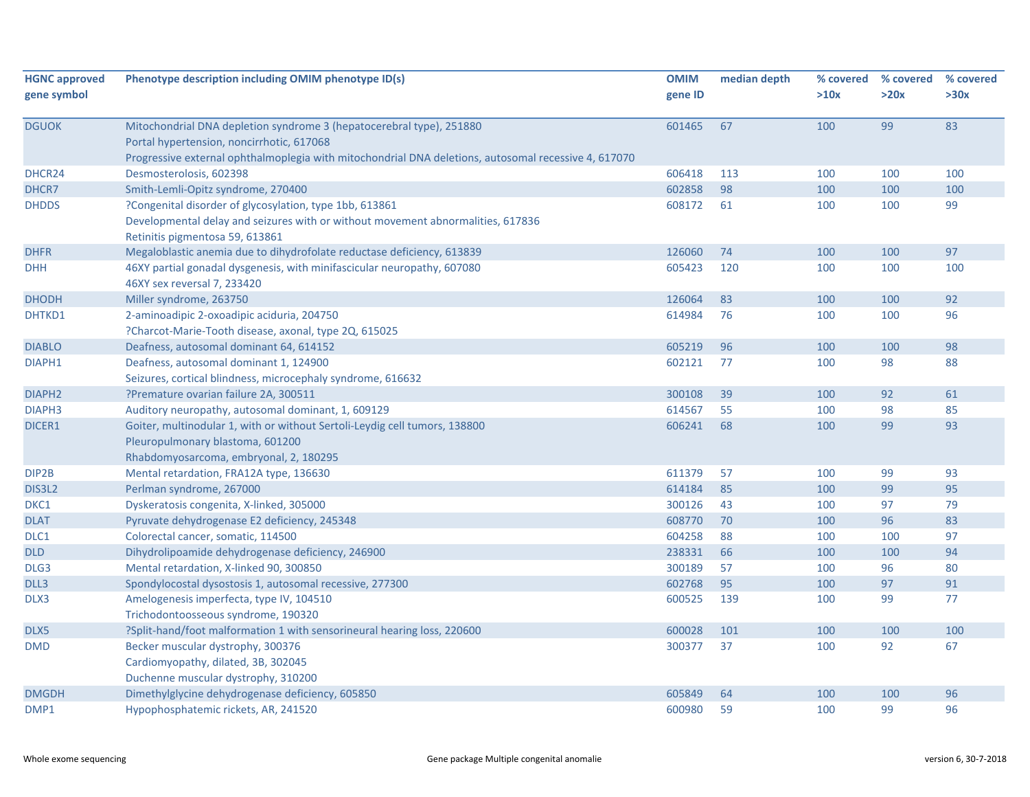| <b>HGNC approved</b><br>gene symbol | Phenotype description including OMIM phenotype ID(s)                                                                                                                                                                      | <b>OMIM</b><br>gene ID | median depth | % covered<br>>10x | % covered<br>>20x | % covered<br>>30x |
|-------------------------------------|---------------------------------------------------------------------------------------------------------------------------------------------------------------------------------------------------------------------------|------------------------|--------------|-------------------|-------------------|-------------------|
| <b>DGUOK</b>                        | Mitochondrial DNA depletion syndrome 3 (hepatocerebral type), 251880<br>Portal hypertension, noncirrhotic, 617068<br>Progressive external ophthalmoplegia with mitochondrial DNA deletions, autosomal recessive 4, 617070 | 601465                 | 67           | 100               | 99                | 83                |
| DHCR24                              | Desmosterolosis, 602398                                                                                                                                                                                                   | 606418                 | 113          | 100               | 100               | 100               |
| DHCR7                               | Smith-Lemli-Opitz syndrome, 270400                                                                                                                                                                                        | 602858                 | 98           | 100               | 100               | 100               |
| <b>DHDDS</b>                        | ?Congenital disorder of glycosylation, type 1bb, 613861<br>Developmental delay and seizures with or without movement abnormalities, 617836<br>Retinitis pigmentosa 59, 613861                                             | 608172                 | 61           | 100               | 100               | 99                |
| <b>DHFR</b>                         | Megaloblastic anemia due to dihydrofolate reductase deficiency, 613839                                                                                                                                                    | 126060                 | 74           | 100               | 100               | 97                |
| <b>DHH</b>                          | 46XY partial gonadal dysgenesis, with minifascicular neuropathy, 607080<br>46XY sex reversal 7, 233420                                                                                                                    | 605423                 | 120          | 100               | 100               | 100               |
| <b>DHODH</b>                        | Miller syndrome, 263750                                                                                                                                                                                                   | 126064                 | 83           | 100               | 100               | 92                |
| DHTKD1                              | 2-aminoadipic 2-oxoadipic aciduria, 204750<br>?Charcot-Marie-Tooth disease, axonal, type 2Q, 615025                                                                                                                       | 614984                 | 76           | 100               | 100               | 96                |
| <b>DIABLO</b>                       | Deafness, autosomal dominant 64, 614152                                                                                                                                                                                   | 605219                 | 96           | 100               | 100               | 98                |
| DIAPH1                              | Deafness, autosomal dominant 1, 124900<br>Seizures, cortical blindness, microcephaly syndrome, 616632                                                                                                                     | 602121                 | 77           | 100               | 98                | 88                |
| DIAPH <sub>2</sub>                  | ?Premature ovarian failure 2A, 300511                                                                                                                                                                                     | 300108                 | 39           | 100               | 92                | 61                |
| DIAPH <sub>3</sub>                  | Auditory neuropathy, autosomal dominant, 1, 609129                                                                                                                                                                        | 614567                 | 55           | 100               | 98                | 85                |
| DICER1                              | Goiter, multinodular 1, with or without Sertoli-Leydig cell tumors, 138800<br>Pleuropulmonary blastoma, 601200<br>Rhabdomyosarcoma, embryonal, 2, 180295                                                                  | 606241                 | 68           | 100               | 99                | 93                |
| DIP2B                               | Mental retardation, FRA12A type, 136630                                                                                                                                                                                   | 611379                 | 57           | 100               | 99                | 93                |
| DIS3L2                              | Perlman syndrome, 267000                                                                                                                                                                                                  | 614184                 | 85           | 100               | 99                | 95                |
| DKC1                                | Dyskeratosis congenita, X-linked, 305000                                                                                                                                                                                  | 300126                 | 43           | 100               | 97                | 79                |
| <b>DLAT</b>                         | Pyruvate dehydrogenase E2 deficiency, 245348                                                                                                                                                                              | 608770                 | 70           | 100               | 96                | 83                |
| DLC1                                | Colorectal cancer, somatic, 114500                                                                                                                                                                                        | 604258                 | 88           | 100               | 100               | 97                |
| <b>DLD</b>                          | Dihydrolipoamide dehydrogenase deficiency, 246900                                                                                                                                                                         | 238331                 | 66           | 100               | 100               | 94                |
| DLG3                                | Mental retardation, X-linked 90, 300850                                                                                                                                                                                   | 300189                 | 57           | 100               | 96                | 80                |
| DLL3                                | Spondylocostal dysostosis 1, autosomal recessive, 277300                                                                                                                                                                  | 602768                 | 95           | 100               | 97                | 91                |
| DLX3                                | Amelogenesis imperfecta, type IV, 104510<br>Trichodontoosseous syndrome, 190320                                                                                                                                           | 600525                 | 139          | 100               | 99                | 77                |
| DLX5                                | ?Split-hand/foot malformation 1 with sensorineural hearing loss, 220600                                                                                                                                                   | 600028                 | 101          | 100               | 100               | 100               |
| <b>DMD</b>                          | Becker muscular dystrophy, 300376<br>Cardiomyopathy, dilated, 3B, 302045<br>Duchenne muscular dystrophy, 310200                                                                                                           | 300377                 | 37           | 100               | 92                | 67                |
| <b>DMGDH</b>                        | Dimethylglycine dehydrogenase deficiency, 605850                                                                                                                                                                          | 605849                 | 64           | 100               | 100               | 96                |
| DMP1                                | Hypophosphatemic rickets, AR, 241520                                                                                                                                                                                      | 600980                 | 59           | 100               | 99                | 96                |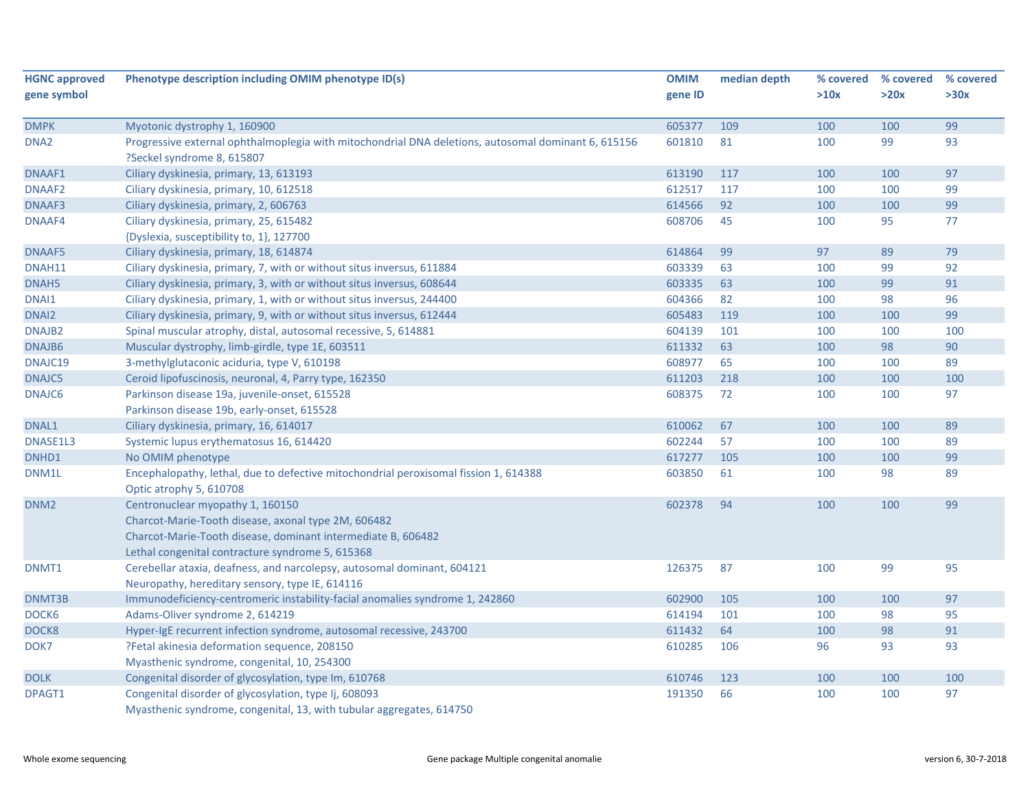| <b>HGNC approved</b> | Phenotype description including OMIM phenotype ID(s)                                                                                                                                                        | <b>OMIM</b> | median depth | % covered | % covered | % covered |
|----------------------|-------------------------------------------------------------------------------------------------------------------------------------------------------------------------------------------------------------|-------------|--------------|-----------|-----------|-----------|
| gene symbol          |                                                                                                                                                                                                             | gene ID     |              | >10x      | >20x      | >30x      |
| <b>DMPK</b>          | Myotonic dystrophy 1, 160900                                                                                                                                                                                | 605377      | 109          | 100       | 100       | 99        |
| DNA <sub>2</sub>     | Progressive external ophthalmoplegia with mitochondrial DNA deletions, autosomal dominant 6, 615156<br>?Seckel syndrome 8, 615807                                                                           | 601810      | 81           | 100       | 99        | 93        |
| DNAAF1               | Ciliary dyskinesia, primary, 13, 613193                                                                                                                                                                     | 613190      | 117          | 100       | 100       | 97        |
| DNAAF <sub>2</sub>   | Ciliary dyskinesia, primary, 10, 612518                                                                                                                                                                     | 612517      | 117          | 100       | 100       | 99        |
| DNAAF3               | Ciliary dyskinesia, primary, 2, 606763                                                                                                                                                                      | 614566      | 92           | 100       | 100       | 99        |
| DNAAF4               | Ciliary dyskinesia, primary, 25, 615482                                                                                                                                                                     | 608706      | 45           | 100       | 95        | 77        |
|                      | {Dyslexia, susceptibility to, 1}, 127700                                                                                                                                                                    |             |              |           |           |           |
| DNAAF5               | Ciliary dyskinesia, primary, 18, 614874                                                                                                                                                                     | 614864      | 99           | 97        | 89        | 79        |
| DNAH11               | Ciliary dyskinesia, primary, 7, with or without situs inversus, 611884                                                                                                                                      | 603339      | 63           | 100       | 99        | 92        |
| DNAH5                | Ciliary dyskinesia, primary, 3, with or without situs inversus, 608644                                                                                                                                      | 603335      | 63           | 100       | 99        | 91        |
| DNAI1                | Ciliary dyskinesia, primary, 1, with or without situs inversus, 244400                                                                                                                                      | 604366      | 82           | 100       | 98        | 96        |
| DNAI2                | Ciliary dyskinesia, primary, 9, with or without situs inversus, 612444                                                                                                                                      | 605483      | 119          | 100       | 100       | 99        |
| DNAJB <sub>2</sub>   | Spinal muscular atrophy, distal, autosomal recessive, 5, 614881                                                                                                                                             | 604139      | 101          | 100       | 100       | 100       |
| DNAJB6               | Muscular dystrophy, limb-girdle, type 1E, 603511                                                                                                                                                            | 611332      | 63           | 100       | 98        | 90        |
| DNAJC19              | 3-methylglutaconic aciduria, type V, 610198                                                                                                                                                                 | 608977      | 65           | 100       | 100       | 89        |
| DNAJC5               | Ceroid lipofuscinosis, neuronal, 4, Parry type, 162350                                                                                                                                                      | 611203      | 218          | 100       | 100       | 100       |
| DNAJC6               | Parkinson disease 19a, juvenile-onset, 615528                                                                                                                                                               | 608375      | 72           | 100       | 100       | 97        |
|                      | Parkinson disease 19b, early-onset, 615528                                                                                                                                                                  |             |              |           |           |           |
| DNAL1                | Ciliary dyskinesia, primary, 16, 614017                                                                                                                                                                     | 610062      | 67           | 100       | 100       | 89        |
| DNASE1L3             | Systemic lupus erythematosus 16, 614420                                                                                                                                                                     | 602244      | 57           | 100       | 100       | 89        |
| DNHD1                | No OMIM phenotype                                                                                                                                                                                           | 617277      | 105          | 100       | 100       | 99        |
| DNM1L                | Encephalopathy, lethal, due to defective mitochondrial peroxisomal fission 1, 614388<br>Optic atrophy 5, 610708                                                                                             | 603850      | 61           | 100       | 98        | 89        |
| DNM <sub>2</sub>     | Centronuclear myopathy 1, 160150<br>Charcot-Marie-Tooth disease, axonal type 2M, 606482<br>Charcot-Marie-Tooth disease, dominant intermediate B, 606482<br>Lethal congenital contracture syndrome 5, 615368 | 602378      | 94           | 100       | 100       | 99        |
| DNMT1                | Cerebellar ataxia, deafness, and narcolepsy, autosomal dominant, 604121<br>Neuropathy, hereditary sensory, type IE, 614116                                                                                  | 126375      | 87           | 100       | 99        | 95        |
| DNMT3B               | Immunodeficiency-centromeric instability-facial anomalies syndrome 1, 242860                                                                                                                                | 602900      | 105          | 100       | 100       | 97        |
| DOCK6                | Adams-Oliver syndrome 2, 614219                                                                                                                                                                             | 614194      | 101          | 100       | 98        | 95        |
| DOCK8                | Hyper-IgE recurrent infection syndrome, autosomal recessive, 243700                                                                                                                                         | 611432      | 64           | 100       | 98        | 91        |
| DOK7                 | ?Fetal akinesia deformation sequence, 208150<br>Myasthenic syndrome, congenital, 10, 254300                                                                                                                 | 610285      | 106          | 96        | 93        | 93        |
| <b>DOLK</b>          | Congenital disorder of glycosylation, type Im, 610768                                                                                                                                                       | 610746      | 123          | 100       | 100       | 100       |
| DPAGT1               | Congenital disorder of glycosylation, type Ij, 608093<br>Myasthenic syndrome, congenital, 13, with tubular aggregates, 614750                                                                               | 191350      | 66           | 100       | 100       | 97        |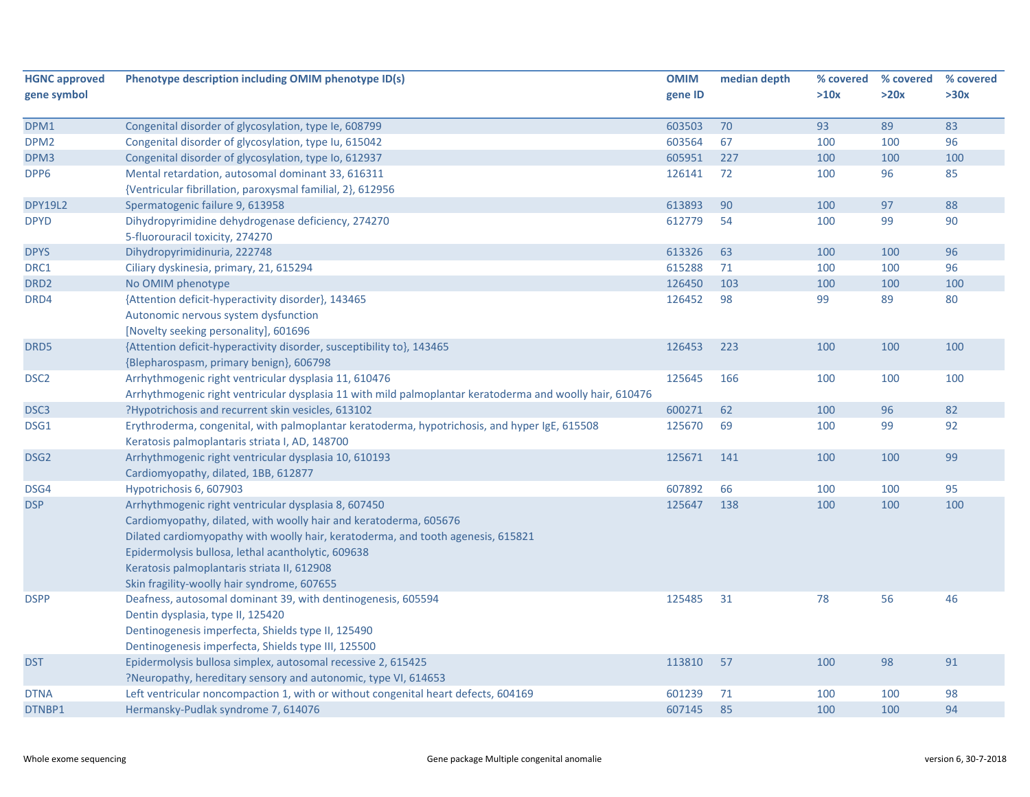| <b>HGNC approved</b> | Phenotype description including OMIM phenotype ID(s)                                                            | <b>OMIM</b> | median depth | % covered | % covered | % covered |
|----------------------|-----------------------------------------------------------------------------------------------------------------|-------------|--------------|-----------|-----------|-----------|
| gene symbol          |                                                                                                                 | gene ID     |              | >10x      | >20x      | >30x      |
|                      |                                                                                                                 |             |              |           |           |           |
| DPM1                 | Congenital disorder of glycosylation, type Ie, 608799                                                           | 603503      | 70           | 93        | 89        | 83        |
| DPM <sub>2</sub>     | Congenital disorder of glycosylation, type Iu, 615042                                                           | 603564      | 67           | 100       | 100       | 96        |
| DPM3                 | Congenital disorder of glycosylation, type Io, 612937                                                           | 605951      | 227          | 100       | 100       | 100       |
| DPP6                 | Mental retardation, autosomal dominant 33, 616311<br>{Ventricular fibrillation, paroxysmal familial, 2}, 612956 | 126141      | 72           | 100       | 96        | 85        |
|                      |                                                                                                                 | 613893      | 90           |           | 97        | 88        |
| <b>DPY19L2</b>       | Spermatogenic failure 9, 613958                                                                                 |             | 54           | 100       | 99        | 90        |
| <b>DPYD</b>          | Dihydropyrimidine dehydrogenase deficiency, 274270<br>5-fluorouracil toxicity, 274270                           | 612779      |              | 100       |           |           |
| <b>DPYS</b>          | Dihydropyrimidinuria, 222748                                                                                    | 613326      | 63           | 100       | 100       | 96        |
| DRC1                 | Ciliary dyskinesia, primary, 21, 615294                                                                         | 615288      | 71           | 100       | 100       | 96        |
| DRD <sub>2</sub>     | No OMIM phenotype                                                                                               | 126450      | 103          | 100       | 100       | 100       |
| DRD4                 | {Attention deficit-hyperactivity disorder}, 143465                                                              | 126452      | 98           | 99        | 89        | 80        |
|                      | Autonomic nervous system dysfunction                                                                            |             |              |           |           |           |
|                      | [Novelty seeking personality], 601696                                                                           |             |              |           |           |           |
| DRD5                 | {Attention deficit-hyperactivity disorder, susceptibility to}, 143465                                           | 126453      | 223          | 100       | 100       | 100       |
|                      | {Blepharospasm, primary benign}, 606798                                                                         |             |              |           |           |           |
| DSC <sub>2</sub>     | Arrhythmogenic right ventricular dysplasia 11, 610476                                                           | 125645      | 166          | 100       | 100       | 100       |
|                      | Arrhythmogenic right ventricular dysplasia 11 with mild palmoplantar keratoderma and woolly hair, 610476        |             |              |           |           |           |
| DSC <sub>3</sub>     | ?Hypotrichosis and recurrent skin vesicles, 613102                                                              | 600271      | 62           | 100       | 96        | 82        |
| DSG1                 | Erythroderma, congenital, with palmoplantar keratoderma, hypotrichosis, and hyper IgE, 615508                   | 125670      | 69           | 100       | 99        | 92        |
|                      | Keratosis palmoplantaris striata I, AD, 148700                                                                  |             |              |           |           |           |
| DSG <sub>2</sub>     | Arrhythmogenic right ventricular dysplasia 10, 610193                                                           | 125671      | 141          | 100       | 100       | 99        |
|                      | Cardiomyopathy, dilated, 1BB, 612877                                                                            |             |              |           |           |           |
| DSG4                 | Hypotrichosis 6, 607903                                                                                         | 607892      | 66           | 100       | 100       | 95        |
| <b>DSP</b>           | Arrhythmogenic right ventricular dysplasia 8, 607450                                                            | 125647      | 138          | 100       | 100       | 100       |
|                      | Cardiomyopathy, dilated, with woolly hair and keratoderma, 605676                                               |             |              |           |           |           |
|                      | Dilated cardiomyopathy with woolly hair, keratoderma, and tooth agenesis, 615821                                |             |              |           |           |           |
|                      | Epidermolysis bullosa, lethal acantholytic, 609638                                                              |             |              |           |           |           |
|                      | Keratosis palmoplantaris striata II, 612908                                                                     |             |              |           |           |           |
|                      | Skin fragility-woolly hair syndrome, 607655                                                                     |             |              |           |           |           |
| <b>DSPP</b>          | Deafness, autosomal dominant 39, with dentinogenesis, 605594                                                    | 125485      | 31           | 78        | 56        | 46        |
|                      | Dentin dysplasia, type II, 125420                                                                               |             |              |           |           |           |
|                      | Dentinogenesis imperfecta, Shields type II, 125490                                                              |             |              |           |           |           |
|                      | Dentinogenesis imperfecta, Shields type III, 125500                                                             |             |              |           |           |           |
| <b>DST</b>           | Epidermolysis bullosa simplex, autosomal recessive 2, 615425                                                    | 113810      | 57           | 100       | 98        | 91        |
|                      | ?Neuropathy, hereditary sensory and autonomic, type VI, 614653                                                  |             |              |           |           |           |
| <b>DTNA</b>          | Left ventricular noncompaction 1, with or without congenital heart defects, 604169                              | 601239      | 71           | 100       | 100       | 98        |
| DTNBP1               | Hermansky-Pudlak syndrome 7, 614076                                                                             | 607145      | 85           | 100       | 100       | 94        |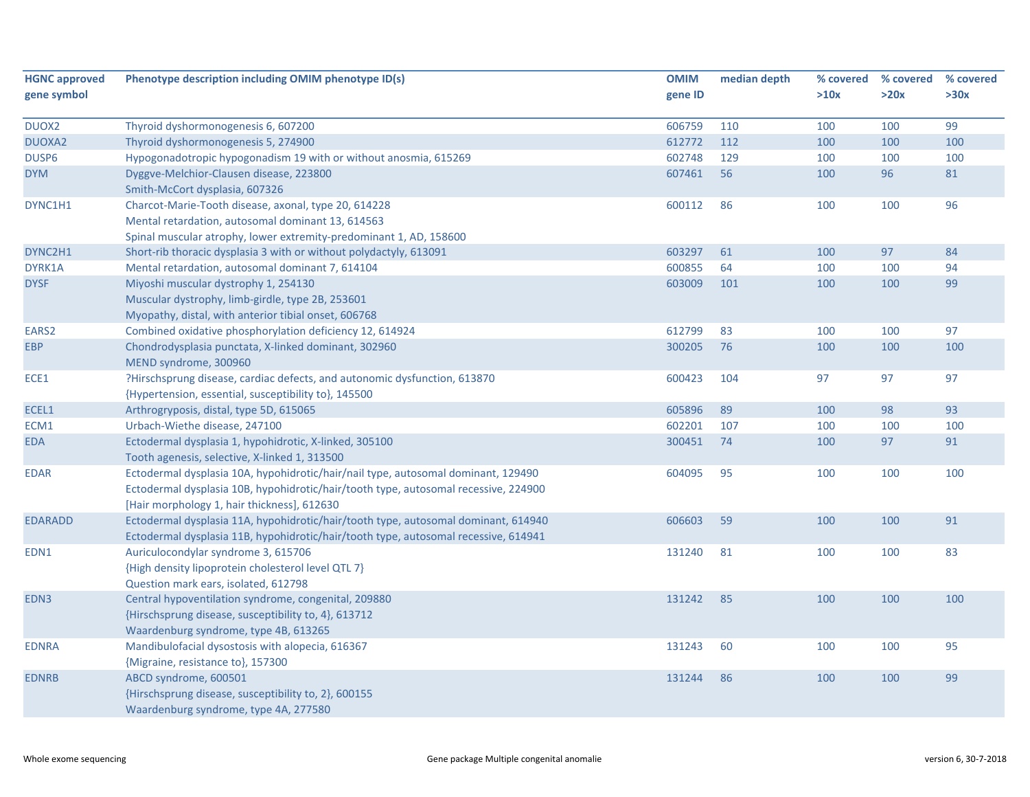| <b>HGNC approved</b> | Phenotype description including OMIM phenotype ID(s)                                | <b>OMIM</b> | median depth | % covered | % covered | % covered |
|----------------------|-------------------------------------------------------------------------------------|-------------|--------------|-----------|-----------|-----------|
| gene symbol          |                                                                                     | gene ID     |              | >10x      | >20x      | >30x      |
| DUOX2                | Thyroid dyshormonogenesis 6, 607200                                                 | 606759      | 110          | 100       | 100       | 99        |
| <b>DUOXA2</b>        | Thyroid dyshormonogenesis 5, 274900                                                 | 612772      | 112          | 100       | 100       | 100       |
| DUSP6                | Hypogonadotropic hypogonadism 19 with or without anosmia, 615269                    | 602748      | 129          | 100       | 100       | 100       |
| <b>DYM</b>           | Dyggve-Melchior-Clausen disease, 223800                                             | 607461      | 56           | 100       | 96        | 81        |
|                      | Smith-McCort dysplasia, 607326                                                      |             |              |           |           |           |
| DYNC1H1              | Charcot-Marie-Tooth disease, axonal, type 20, 614228                                | 600112      | 86           | 100       | 100       | 96        |
|                      | Mental retardation, autosomal dominant 13, 614563                                   |             |              |           |           |           |
|                      | Spinal muscular atrophy, lower extremity-predominant 1, AD, 158600                  |             |              |           |           |           |
| DYNC2H1              | Short-rib thoracic dysplasia 3 with or without polydactyly, 613091                  | 603297      | 61           | 100       | 97        | 84        |
| DYRK1A               | Mental retardation, autosomal dominant 7, 614104                                    | 600855      | 64           | 100       | 100       | 94        |
| <b>DYSF</b>          | Miyoshi muscular dystrophy 1, 254130                                                | 603009      | 101          | 100       | 100       | 99        |
|                      | Muscular dystrophy, limb-girdle, type 2B, 253601                                    |             |              |           |           |           |
|                      | Myopathy, distal, with anterior tibial onset, 606768                                |             |              |           |           |           |
| EARS2                | Combined oxidative phosphorylation deficiency 12, 614924                            | 612799      | 83           | 100       | 100       | 97        |
| <b>EBP</b>           | Chondrodysplasia punctata, X-linked dominant, 302960                                | 300205      | 76           | 100       | 100       | 100       |
|                      | MEND syndrome, 300960                                                               |             |              |           |           |           |
| ECE1                 | ?Hirschsprung disease, cardiac defects, and autonomic dysfunction, 613870           | 600423      | 104          | 97        | 97        | 97        |
|                      | {Hypertension, essential, susceptibility to}, 145500                                |             |              |           |           |           |
| ECEL1                | Arthrogryposis, distal, type 5D, 615065                                             | 605896      | 89           | 100       | 98        | 93        |
| ECM1                 | Urbach-Wiethe disease, 247100                                                       | 602201      | 107          | 100       | 100       | 100       |
| <b>EDA</b>           | Ectodermal dysplasia 1, hypohidrotic, X-linked, 305100                              | 300451      | 74           | 100       | 97        | 91        |
|                      | Tooth agenesis, selective, X-linked 1, 313500                                       |             |              |           |           |           |
| <b>EDAR</b>          | Ectodermal dysplasia 10A, hypohidrotic/hair/nail type, autosomal dominant, 129490   | 604095      | 95           | 100       | 100       | 100       |
|                      | Ectodermal dysplasia 10B, hypohidrotic/hair/tooth type, autosomal recessive, 224900 |             |              |           |           |           |
|                      | [Hair morphology 1, hair thickness], 612630                                         |             |              |           |           |           |
| <b>EDARADD</b>       | Ectodermal dysplasia 11A, hypohidrotic/hair/tooth type, autosomal dominant, 614940  | 606603      | 59           | 100       | 100       | 91        |
|                      | Ectodermal dysplasia 11B, hypohidrotic/hair/tooth type, autosomal recessive, 614941 |             |              |           |           |           |
| EDN1                 | Auriculocondylar syndrome 3, 615706                                                 | 131240      | 81           | 100       | 100       | 83        |
|                      | {High density lipoprotein cholesterol level QTL 7}                                  |             |              |           |           |           |
|                      | Question mark ears, isolated, 612798                                                |             |              |           |           |           |
| EDN3                 | Central hypoventilation syndrome, congenital, 209880                                | 131242      | 85           | 100       | 100       | 100       |
|                      | {Hirschsprung disease, susceptibility to, 4}, 613712                                |             |              |           |           |           |
|                      | Waardenburg syndrome, type 4B, 613265                                               |             |              |           |           |           |
| <b>EDNRA</b>         | Mandibulofacial dysostosis with alopecia, 616367                                    | 131243      | 60           | 100       | 100       | 95        |
|                      | {Migraine, resistance to}, 157300                                                   |             |              |           |           |           |
| <b>EDNRB</b>         | ABCD syndrome, 600501                                                               | 131244      | 86           | 100       | 100       | 99        |
|                      | {Hirschsprung disease, susceptibility to, 2}, 600155                                |             |              |           |           |           |
|                      | Waardenburg syndrome, type 4A, 277580                                               |             |              |           |           |           |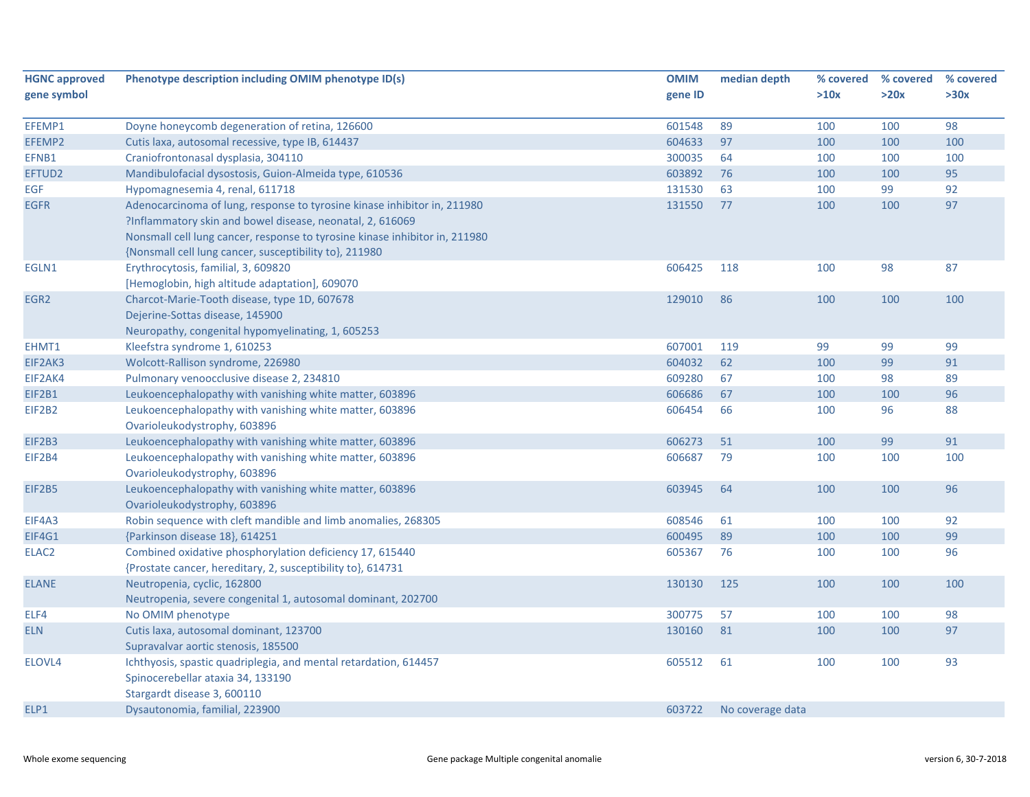| <b>HGNC approved</b> | Phenotype description including OMIM phenotype ID(s)                        | <b>OMIM</b> | median depth     | % covered | % covered | % covered |
|----------------------|-----------------------------------------------------------------------------|-------------|------------------|-----------|-----------|-----------|
| gene symbol          |                                                                             | gene ID     |                  | >10x      | >20x      | >30x      |
|                      |                                                                             |             |                  |           |           |           |
| EFEMP1               | Doyne honeycomb degeneration of retina, 126600                              | 601548      | 89               | 100       | 100       | 98        |
| EFEMP2               | Cutis laxa, autosomal recessive, type IB, 614437                            | 604633      | 97               | 100       | 100       | 100       |
| EFNB1                | Craniofrontonasal dysplasia, 304110                                         | 300035      | 64               | 100       | 100       | 100       |
| EFTUD2               | Mandibulofacial dysostosis, Guion-Almeida type, 610536                      | 603892      | 76               | 100       | 100       | 95        |
| EGF                  | Hypomagnesemia 4, renal, 611718                                             | 131530      | 63               | 100       | 99        | 92        |
| <b>EGFR</b>          | Adenocarcinoma of lung, response to tyrosine kinase inhibitor in, 211980    | 131550      | 77               | 100       | 100       | 97        |
|                      | ?Inflammatory skin and bowel disease, neonatal, 2, 616069                   |             |                  |           |           |           |
|                      | Nonsmall cell lung cancer, response to tyrosine kinase inhibitor in, 211980 |             |                  |           |           |           |
|                      | {Nonsmall cell lung cancer, susceptibility to}, 211980                      |             |                  |           |           |           |
| EGLN1                | Erythrocytosis, familial, 3, 609820                                         | 606425      | 118              | 100       | 98        | 87        |
|                      | [Hemoglobin, high altitude adaptation], 609070                              |             |                  |           |           |           |
| EGR2                 | Charcot-Marie-Tooth disease, type 1D, 607678                                | 129010      | 86               | 100       | 100       | 100       |
|                      | Dejerine-Sottas disease, 145900                                             |             |                  |           |           |           |
|                      | Neuropathy, congenital hypomyelinating, 1, 605253                           |             |                  |           |           |           |
| EHMT1                | Kleefstra syndrome 1, 610253                                                | 607001      | 119              | 99        | 99        | 99        |
| EIF2AK3              | Wolcott-Rallison syndrome, 226980                                           | 604032      | 62               | 100       | 99        | 91        |
| EIF2AK4              | Pulmonary venoocclusive disease 2, 234810                                   | 609280      | 67               | 100       | 98        | 89        |
| EIF2B1               | Leukoencephalopathy with vanishing white matter, 603896                     | 606686      | 67               | 100       | 100       | 96        |
| EIF2B2               | Leukoencephalopathy with vanishing white matter, 603896                     | 606454      | 66               | 100       | 96        | 88        |
|                      | Ovarioleukodystrophy, 603896                                                |             |                  |           |           |           |
| EIF2B3               | Leukoencephalopathy with vanishing white matter, 603896                     | 606273      | 51               | 100       | 99        | 91        |
| EIF2B4               | Leukoencephalopathy with vanishing white matter, 603896                     | 606687      | 79               | 100       | 100       | 100       |
|                      | Ovarioleukodystrophy, 603896                                                |             |                  |           |           |           |
| <b>EIF2B5</b>        | Leukoencephalopathy with vanishing white matter, 603896                     | 603945      | 64               | 100       | 100       | 96        |
|                      | Ovarioleukodystrophy, 603896                                                |             |                  |           |           |           |
| EIF4A3               | Robin sequence with cleft mandible and limb anomalies, 268305               | 608546      | 61               | 100       | 100       | 92        |
| EIF4G1               | {Parkinson disease 18}, 614251                                              | 600495      | 89               | 100       | 100       | 99        |
| ELAC <sub>2</sub>    | Combined oxidative phosphorylation deficiency 17, 615440                    | 605367      | 76               | 100       | 100       | 96        |
|                      | {Prostate cancer, hereditary, 2, susceptibility to}, 614731                 |             |                  |           |           |           |
| <b>ELANE</b>         | Neutropenia, cyclic, 162800                                                 | 130130      | 125              | 100       | 100       | 100       |
|                      | Neutropenia, severe congenital 1, autosomal dominant, 202700                |             |                  |           |           |           |
| ELF4                 | No OMIM phenotype                                                           | 300775      | 57               | 100       | 100       | 98        |
| <b>ELN</b>           | Cutis laxa, autosomal dominant, 123700                                      | 130160      | 81               | 100       | 100       | 97        |
|                      | Supravalvar aortic stenosis, 185500                                         |             |                  |           |           |           |
| ELOVL4               | Ichthyosis, spastic quadriplegia, and mental retardation, 614457            | 605512      | 61               | 100       | 100       | 93        |
|                      | Spinocerebellar ataxia 34, 133190                                           |             |                  |           |           |           |
|                      | Stargardt disease 3, 600110                                                 |             |                  |           |           |           |
| ELP1                 | Dysautonomia, familial, 223900                                              | 603722      | No coverage data |           |           |           |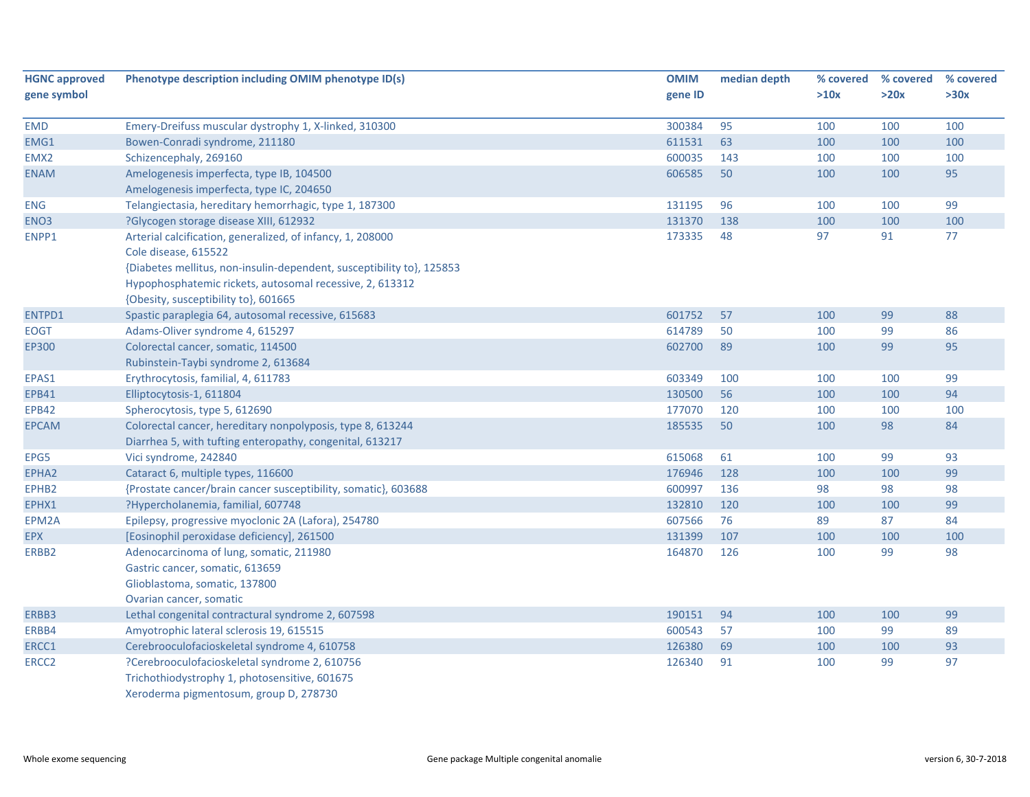| <b>HGNC approved</b> | Phenotype description including OMIM phenotype ID(s)                  | <b>OMIM</b> | median depth | % covered | % covered | % covered |
|----------------------|-----------------------------------------------------------------------|-------------|--------------|-----------|-----------|-----------|
| gene symbol          |                                                                       | gene ID     |              | >10x      | >20x      | >30x      |
| <b>EMD</b>           | Emery-Dreifuss muscular dystrophy 1, X-linked, 310300                 | 300384      | 95           | 100       | 100       | 100       |
| EMG1                 | Bowen-Conradi syndrome, 211180                                        | 611531      | 63           | 100       | 100       | 100       |
| EMX <sub>2</sub>     | Schizencephaly, 269160                                                | 600035      | 143          | 100       | 100       | 100       |
| <b>ENAM</b>          | Amelogenesis imperfecta, type IB, 104500                              | 606585      | 50           | 100       | 100       | 95        |
|                      | Amelogenesis imperfecta, type IC, 204650                              |             |              |           |           |           |
| <b>ENG</b>           | Telangiectasia, hereditary hemorrhagic, type 1, 187300                | 131195      | 96           | 100       | 100       | 99        |
| ENO <sub>3</sub>     | ?Glycogen storage disease XIII, 612932                                | 131370      | 138          | 100       | 100       | 100       |
| ENPP1                | Arterial calcification, generalized, of infancy, 1, 208000            | 173335      | 48           | 97        | 91        | 77        |
|                      | Cole disease, 615522                                                  |             |              |           |           |           |
|                      | {Diabetes mellitus, non-insulin-dependent, susceptibility to}, 125853 |             |              |           |           |           |
|                      | Hypophosphatemic rickets, autosomal recessive, 2, 613312              |             |              |           |           |           |
|                      | {Obesity, susceptibility to}, 601665                                  |             |              |           |           |           |
| ENTPD1               | Spastic paraplegia 64, autosomal recessive, 615683                    | 601752      | 57           | 100       | 99        | 88        |
| <b>EOGT</b>          | Adams-Oliver syndrome 4, 615297                                       | 614789      | 50           | 100       | 99        | 86        |
| EP300                | Colorectal cancer, somatic, 114500                                    | 602700      | 89           | 100       | 99        | 95        |
|                      | Rubinstein-Taybi syndrome 2, 613684                                   |             |              |           |           |           |
| EPAS1                | Erythrocytosis, familial, 4, 611783                                   | 603349      | 100          | 100       | 100       | 99        |
| <b>EPB41</b>         | Elliptocytosis-1, 611804                                              | 130500      | 56           | 100       | 100       | 94        |
| <b>EPB42</b>         | Spherocytosis, type 5, 612690                                         | 177070      | 120          | 100       | 100       | 100       |
| <b>EPCAM</b>         | Colorectal cancer, hereditary nonpolyposis, type 8, 613244            | 185535      | 50           | 100       | 98        | 84        |
|                      | Diarrhea 5, with tufting enteropathy, congenital, 613217              |             |              |           |           |           |
| EPG5                 | Vici syndrome, 242840                                                 | 615068      | 61           | 100       | 99        | 93        |
| EPHA <sub>2</sub>    | Cataract 6, multiple types, 116600                                    | 176946      | 128          | 100       | 100       | 99        |
| EPHB2                | {Prostate cancer/brain cancer susceptibility, somatic}, 603688        | 600997      | 136          | 98        | 98        | 98        |
| EPHX1                | ?Hypercholanemia, familial, 607748                                    | 132810      | 120          | 100       | 100       | 99        |
| EPM2A                | Epilepsy, progressive myoclonic 2A (Lafora), 254780                   | 607566      | 76           | 89        | 87        | 84        |
| <b>EPX</b>           | [Eosinophil peroxidase deficiency], 261500                            | 131399      | 107          | 100       | 100       | 100       |
| ERBB2                | Adenocarcinoma of lung, somatic, 211980                               | 164870      | 126          | 100       | 99        | 98        |
|                      | Gastric cancer, somatic, 613659                                       |             |              |           |           |           |
|                      | Glioblastoma, somatic, 137800                                         |             |              |           |           |           |
|                      | Ovarian cancer, somatic                                               |             |              |           |           |           |
| ERBB3                | Lethal congenital contractural syndrome 2, 607598                     | 190151      | 94           | 100       | 100       | 99        |
| ERBB4                | Amyotrophic lateral sclerosis 19, 615515                              | 600543      | 57           | 100       | 99        | 89        |
| ERCC1                | Cerebrooculofacioskeletal syndrome 4, 610758                          | 126380      | 69           | 100       | 100       | 93        |
| ERCC <sub>2</sub>    | ?Cerebrooculofacioskeletal syndrome 2, 610756                         | 126340      | 91           | 100       | 99        | 97        |
|                      | Trichothiodystrophy 1, photosensitive, 601675                         |             |              |           |           |           |
|                      | Xeroderma pigmentosum, group D, 278730                                |             |              |           |           |           |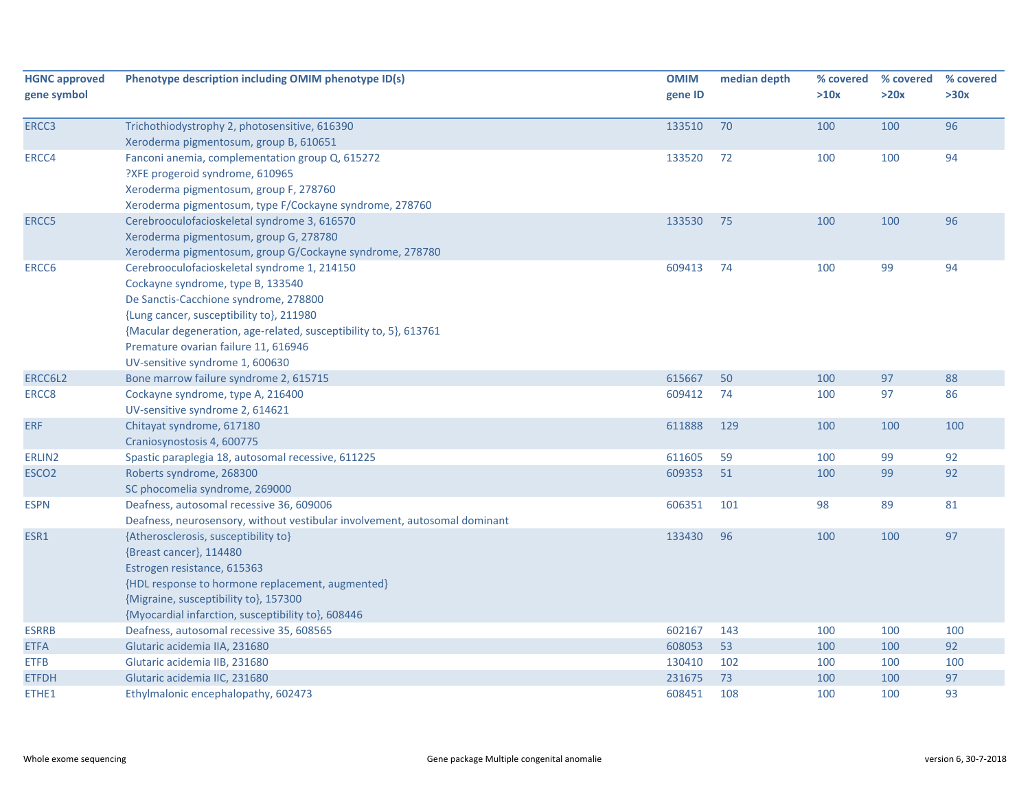| <b>HGNC approved</b> | Phenotype description including OMIM phenotype ID(s)                       | <b>OMIM</b> | median depth | % covered | % covered | % covered |
|----------------------|----------------------------------------------------------------------------|-------------|--------------|-----------|-----------|-----------|
| gene symbol          |                                                                            | gene ID     |              | >10x      | >20x      | >30x      |
| ERCC3                | Trichothiodystrophy 2, photosensitive, 616390                              | 133510      | 70           | 100       | 100       | 96        |
|                      | Xeroderma pigmentosum, group B, 610651                                     |             |              |           |           |           |
| ERCC4                | Fanconi anemia, complementation group Q, 615272                            | 133520      | 72           | 100       | 100       | 94        |
|                      | ?XFE progeroid syndrome, 610965                                            |             |              |           |           |           |
|                      | Xeroderma pigmentosum, group F, 278760                                     |             |              |           |           |           |
|                      | Xeroderma pigmentosum, type F/Cockayne syndrome, 278760                    |             |              |           |           |           |
| ERCC5                | Cerebrooculofacioskeletal syndrome 3, 616570                               | 133530      | 75           | 100       | 100       | 96        |
|                      | Xeroderma pigmentosum, group G, 278780                                     |             |              |           |           |           |
|                      | Xeroderma pigmentosum, group G/Cockayne syndrome, 278780                   |             |              |           |           |           |
| ERCC6                | Cerebrooculofacioskeletal syndrome 1, 214150                               | 609413      | 74           | 100       | 99        | 94        |
|                      | Cockayne syndrome, type B, 133540                                          |             |              |           |           |           |
|                      | De Sanctis-Cacchione syndrome, 278800                                      |             |              |           |           |           |
|                      | {Lung cancer, susceptibility to}, 211980                                   |             |              |           |           |           |
|                      | {Macular degeneration, age-related, susceptibility to, 5}, 613761          |             |              |           |           |           |
|                      | Premature ovarian failure 11, 616946                                       |             |              |           |           |           |
|                      | UV-sensitive syndrome 1, 600630                                            |             |              |           |           |           |
| ERCC6L2              | Bone marrow failure syndrome 2, 615715                                     | 615667      | 50           | 100       | 97        | 88        |
| ERCC <sub>8</sub>    | Cockayne syndrome, type A, 216400                                          | 609412      | 74           | 100       | 97        | 86        |
|                      | UV-sensitive syndrome 2, 614621                                            |             |              |           |           |           |
| <b>ERF</b>           | Chitayat syndrome, 617180                                                  | 611888      | 129          | 100       | 100       | 100       |
|                      | Craniosynostosis 4, 600775                                                 |             |              |           |           |           |
| ERLIN2               | Spastic paraplegia 18, autosomal recessive, 611225                         | 611605      | 59           | 100       | 99        | 92        |
| ESCO <sub>2</sub>    | Roberts syndrome, 268300                                                   | 609353      | 51           | 100       | 99        | 92        |
|                      | SC phocomelia syndrome, 269000                                             |             |              |           |           |           |
| <b>ESPN</b>          | Deafness, autosomal recessive 36, 609006                                   | 606351      | 101          | 98        | 89        | 81        |
|                      | Deafness, neurosensory, without vestibular involvement, autosomal dominant |             |              |           |           |           |
| ESR1                 | {Atherosclerosis, susceptibility to}                                       | 133430      | 96           | 100       | 100       | 97        |
|                      | {Breast cancer}, 114480                                                    |             |              |           |           |           |
|                      | Estrogen resistance, 615363                                                |             |              |           |           |           |
|                      | {HDL response to hormone replacement, augmented}                           |             |              |           |           |           |
|                      | {Migraine, susceptibility to}, 157300                                      |             |              |           |           |           |
|                      | {Myocardial infarction, susceptibility to}, 608446                         |             |              |           |           |           |
| <b>ESRRB</b>         | Deafness, autosomal recessive 35, 608565                                   | 602167      | 143          | 100       | 100       | 100       |
| <b>ETFA</b>          | Glutaric acidemia IIA, 231680                                              | 608053      | 53           | 100       | 100       | 92        |
| <b>ETFB</b>          | Glutaric acidemia IIB, 231680                                              | 130410      | 102          | 100       | 100       | 100       |
| <b>ETFDH</b>         | Glutaric acidemia IIC, 231680                                              | 231675      | 73           | 100       | 100       | 97        |
| ETHE1                | Ethylmalonic encephalopathy, 602473                                        | 608451      | 108          | 100       | 100       | 93        |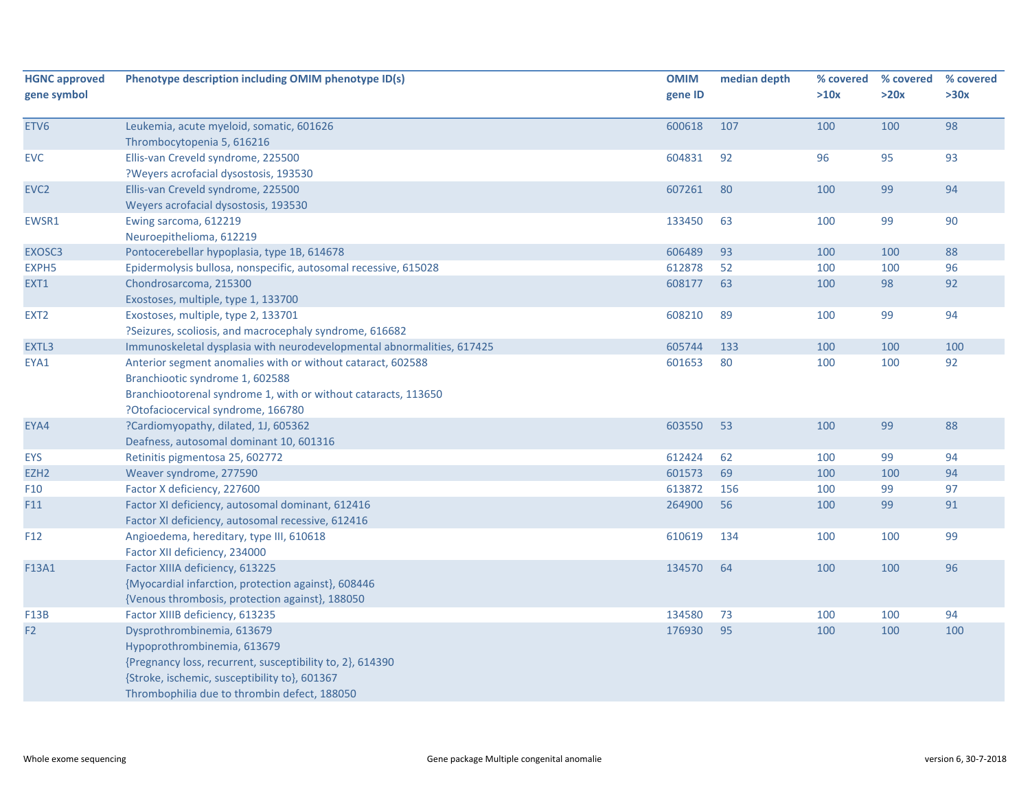| <b>HGNC approved</b><br>gene symbol | Phenotype description including OMIM phenotype ID(s)                                                                                                                                                                    | <b>OMIM</b><br>gene ID | median depth | % covered<br>>10x | % covered<br>>20x | % covered<br>>30x |
|-------------------------------------|-------------------------------------------------------------------------------------------------------------------------------------------------------------------------------------------------------------------------|------------------------|--------------|-------------------|-------------------|-------------------|
|                                     |                                                                                                                                                                                                                         |                        |              |                   |                   |                   |
| ETV6                                | Leukemia, acute myeloid, somatic, 601626<br>Thrombocytopenia 5, 616216                                                                                                                                                  | 600618                 | 107          | 100               | 100               | 98                |
| <b>EVC</b>                          | Ellis-van Creveld syndrome, 225500<br>?Weyers acrofacial dysostosis, 193530                                                                                                                                             | 604831                 | 92           | 96                | 95                | 93                |
| EVC <sub>2</sub>                    | Ellis-van Creveld syndrome, 225500<br>Weyers acrofacial dysostosis, 193530                                                                                                                                              | 607261                 | 80           | 100               | 99                | 94                |
| EWSR1                               | Ewing sarcoma, 612219<br>Neuroepithelioma, 612219                                                                                                                                                                       | 133450                 | 63           | 100               | 99                | 90                |
| EXOSC3                              | Pontocerebellar hypoplasia, type 1B, 614678                                                                                                                                                                             | 606489                 | 93           | 100               | 100               | 88                |
| EXPH <sub>5</sub>                   | Epidermolysis bullosa, nonspecific, autosomal recessive, 615028                                                                                                                                                         | 612878                 | 52           | 100               | 100               | 96                |
| EXT1                                | Chondrosarcoma, 215300<br>Exostoses, multiple, type 1, 133700                                                                                                                                                           | 608177                 | 63           | 100               | 98                | 92                |
| EXT <sub>2</sub>                    | Exostoses, multiple, type 2, 133701<br>?Seizures, scoliosis, and macrocephaly syndrome, 616682                                                                                                                          | 608210                 | 89           | 100               | 99                | 94                |
| EXTL3                               | Immunoskeletal dysplasia with neurodevelopmental abnormalities, 617425                                                                                                                                                  | 605744                 | 133          | 100               | 100               | 100               |
| EYA1                                | Anterior segment anomalies with or without cataract, 602588<br>Branchiootic syndrome 1, 602588<br>Branchiootorenal syndrome 1, with or without cataracts, 113650<br>?Otofaciocervical syndrome, 166780                  | 601653                 | 80           | 100               | 100               | 92                |
| EYA4                                | ?Cardiomyopathy, dilated, 1J, 605362<br>Deafness, autosomal dominant 10, 601316                                                                                                                                         | 603550                 | 53           | 100               | 99                | 88                |
| <b>EYS</b>                          | Retinitis pigmentosa 25, 602772                                                                                                                                                                                         | 612424                 | 62           | 100               | 99                | 94                |
| EZH <sub>2</sub>                    | Weaver syndrome, 277590                                                                                                                                                                                                 | 601573                 | 69           | 100               | 100               | 94                |
| F <sub>10</sub>                     | Factor X deficiency, 227600                                                                                                                                                                                             | 613872                 | 156          | 100               | 99                | 97                |
| F11                                 | Factor XI deficiency, autosomal dominant, 612416<br>Factor XI deficiency, autosomal recessive, 612416                                                                                                                   | 264900                 | 56           | 100               | 99                | 91                |
| F <sub>12</sub>                     | Angioedema, hereditary, type III, 610618<br>Factor XII deficiency, 234000                                                                                                                                               | 610619                 | 134          | 100               | 100               | 99                |
| F13A1                               | Factor XIIIA deficiency, 613225<br>{Myocardial infarction, protection against}, 608446<br>{Venous thrombosis, protection against}, 188050                                                                               | 134570                 | 64           | 100               | 100               | 96                |
| <b>F13B</b>                         | Factor XIIIB deficiency, 613235                                                                                                                                                                                         | 134580                 | 73           | 100               | 100               | 94                |
| F <sub>2</sub>                      | Dysprothrombinemia, 613679<br>Hypoprothrombinemia, 613679<br>{Pregnancy loss, recurrent, susceptibility to, 2}, 614390<br>{Stroke, ischemic, susceptibility to}, 601367<br>Thrombophilia due to thrombin defect, 188050 | 176930                 | 95           | 100               | 100               | 100               |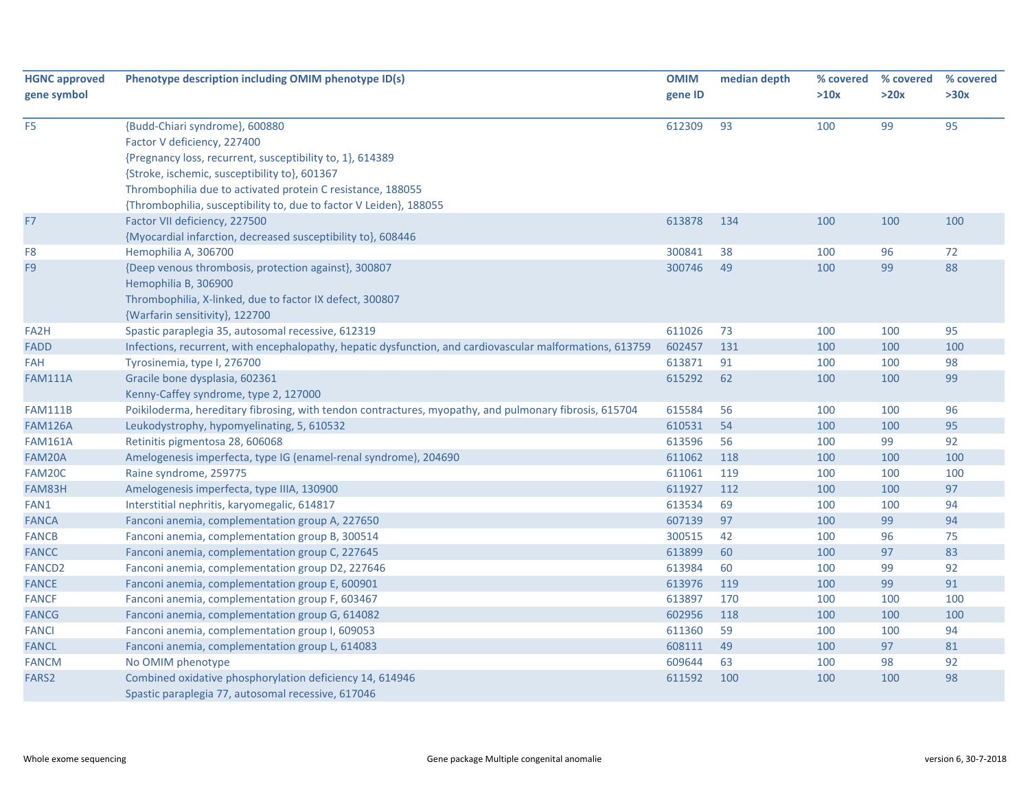| <b>HGNC approved</b><br>gene symbol | Phenotype description including OMIM phenotype ID(s)                                                      | <b>OMIM</b><br>gene ID | median depth | % covered<br>>10x | % covered<br>>20x | % covered<br>>30x |
|-------------------------------------|-----------------------------------------------------------------------------------------------------------|------------------------|--------------|-------------------|-------------------|-------------------|
|                                     |                                                                                                           |                        |              |                   |                   |                   |
| F <sub>5</sub>                      | {Budd-Chiari syndrome}, 600880                                                                            | 612309                 | 93           | 100               | 99                | 95                |
|                                     | Factor V deficiency, 227400                                                                               |                        |              |                   |                   |                   |
|                                     | {Pregnancy loss, recurrent, susceptibility to, 1}, 614389                                                 |                        |              |                   |                   |                   |
|                                     | {Stroke, ischemic, susceptibility to}, 601367                                                             |                        |              |                   |                   |                   |
|                                     | Thrombophilia due to activated protein C resistance, 188055                                               |                        |              |                   |                   |                   |
|                                     | {Thrombophilia, susceptibility to, due to factor V Leiden}, 188055                                        |                        |              |                   |                   |                   |
| F7                                  | Factor VII deficiency, 227500                                                                             | 613878                 | 134          | 100               | 100               | 100               |
|                                     | {Myocardial infarction, decreased susceptibility to}, 608446                                              |                        |              |                   |                   |                   |
| F <sub>8</sub>                      | Hemophilia A, 306700                                                                                      | 300841                 | 38           | 100               | 96                | 72                |
| F <sub>9</sub>                      | {Deep venous thrombosis, protection against}, 300807                                                      | 300746                 | 49           | 100               | 99                | 88                |
|                                     | Hemophilia B, 306900                                                                                      |                        |              |                   |                   |                   |
|                                     | Thrombophilia, X-linked, due to factor IX defect, 300807                                                  |                        |              |                   |                   |                   |
|                                     | {Warfarin sensitivity}, 122700                                                                            |                        |              |                   |                   |                   |
| FA <sub>2</sub> H                   | Spastic paraplegia 35, autosomal recessive, 612319                                                        | 611026                 | 73           | 100               | 100               | 95                |
| FADD                                | Infections, recurrent, with encephalopathy, hepatic dysfunction, and cardiovascular malformations, 613759 | 602457                 | 131          | 100               | 100               | 100               |
| FAH                                 | Tyrosinemia, type I, 276700                                                                               | 613871                 | 91           | 100               | 100               | 98                |
| <b>FAM111A</b>                      | Gracile bone dysplasia, 602361                                                                            | 615292                 | 62           | 100               | 100               | 99                |
|                                     | Kenny-Caffey syndrome, type 2, 127000                                                                     |                        |              |                   |                   |                   |
| <b>FAM111B</b>                      | Poikiloderma, hereditary fibrosing, with tendon contractures, myopathy, and pulmonary fibrosis, 615704    | 615584                 | 56           | 100               | 100               | 96                |
| <b>FAM126A</b>                      | Leukodystrophy, hypomyelinating, 5, 610532                                                                | 610531                 | 54           | 100               | 100               | 95                |
| <b>FAM161A</b>                      | Retinitis pigmentosa 28, 606068                                                                           | 613596                 | 56           | 100               | 99                | 92                |
| FAM20A                              | Amelogenesis imperfecta, type IG (enamel-renal syndrome), 204690                                          | 611062                 | 118          | 100               | 100               | 100               |
| FAM20C                              | Raine syndrome, 259775                                                                                    | 611061                 | 119          | 100               | 100               | 100               |
| FAM83H                              | Amelogenesis imperfecta, type IIIA, 130900                                                                | 611927                 | 112          | 100               | 100               | 97                |
| FAN1                                | Interstitial nephritis, karyomegalic, 614817                                                              | 613534                 | 69           | 100               | 100               | 94                |
| <b>FANCA</b>                        | Fanconi anemia, complementation group A, 227650                                                           | 607139                 | 97           | 100               | 99                | 94                |
| <b>FANCB</b>                        | Fanconi anemia, complementation group B, 300514                                                           | 300515                 | 42           | 100               | 96                | 75                |
| <b>FANCC</b>                        | Fanconi anemia, complementation group C, 227645                                                           | 613899                 | 60           | 100               | 97                | 83                |
| <b>FANCD2</b>                       | Fanconi anemia, complementation group D2, 227646                                                          | 613984                 | 60           | 100               | 99                | 92                |
| <b>FANCE</b>                        | Fanconi anemia, complementation group E, 600901                                                           | 613976                 | 119          | 100               | 99                | 91                |
| <b>FANCF</b>                        | Fanconi anemia, complementation group F, 603467                                                           | 613897                 | 170          | 100               | 100               | 100               |
| <b>FANCG</b>                        | Fanconi anemia, complementation group G, 614082                                                           | 602956                 | 118          | 100               | 100               | 100               |
| <b>FANCI</b>                        | Fanconi anemia, complementation group I, 609053                                                           | 611360                 | 59           | 100               | 100               | 94                |
| <b>FANCL</b>                        | Fanconi anemia, complementation group L, 614083                                                           | 608111                 | 49           | 100               | 97                | 81                |
| <b>FANCM</b>                        | No OMIM phenotype                                                                                         | 609644                 | 63           | 100               | 98                | 92                |
| FARS <sub>2</sub>                   | Combined oxidative phosphorylation deficiency 14, 614946                                                  | 611592                 | 100          | 100               | 100               | 98                |
|                                     | Spastic paraplegia 77, autosomal recessive, 617046                                                        |                        |              |                   |                   |                   |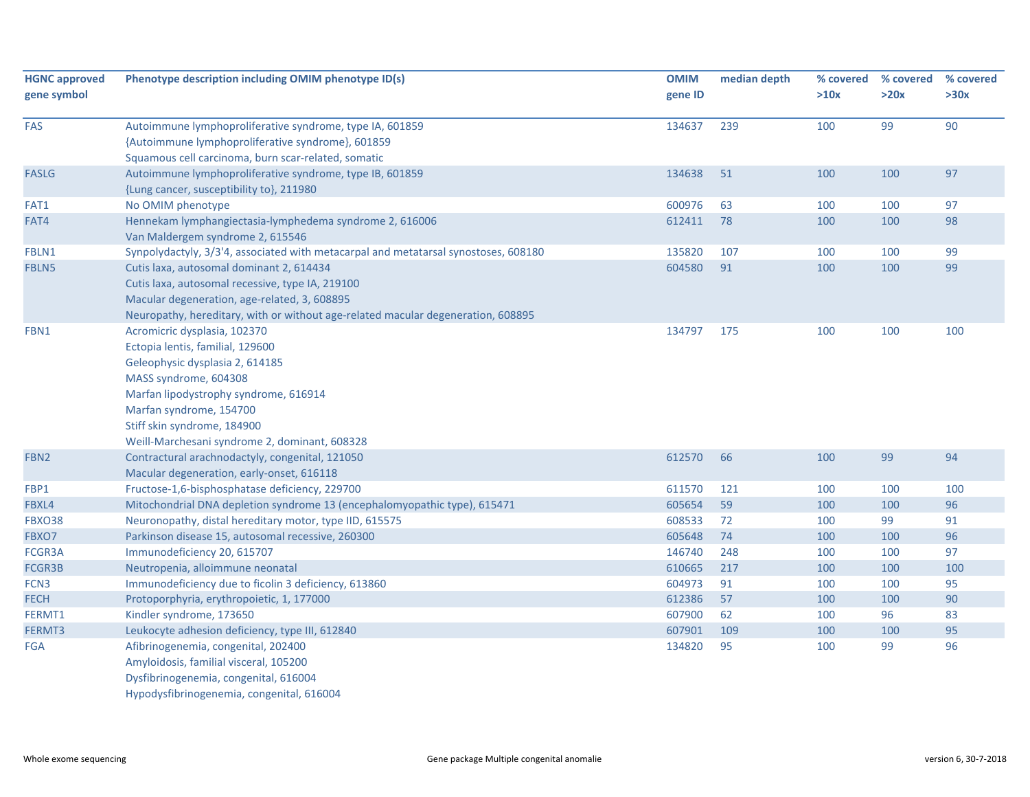| <b>HGNC approved</b> | Phenotype description including OMIM phenotype ID(s)                                | <b>OMIM</b> | median depth | % covered | % covered | % covered |
|----------------------|-------------------------------------------------------------------------------------|-------------|--------------|-----------|-----------|-----------|
| gene symbol          |                                                                                     | gene ID     |              | >10x      | >20x      | >30x      |
| FAS                  | Autoimmune lymphoproliferative syndrome, type IA, 601859                            | 134637      | 239          | 100       | 99        | 90        |
|                      | {Autoimmune lymphoproliferative syndrome}, 601859                                   |             |              |           |           |           |
|                      | Squamous cell carcinoma, burn scar-related, somatic                                 |             |              |           |           |           |
| <b>FASLG</b>         | Autoimmune lymphoproliferative syndrome, type IB, 601859                            | 134638      | 51           | 100       | 100       | 97        |
|                      | {Lung cancer, susceptibility to}, 211980                                            |             |              |           |           |           |
| FAT1                 | No OMIM phenotype                                                                   | 600976      | 63           | 100       | 100       | 97        |
| FAT4                 | Hennekam lymphangiectasia-lymphedema syndrome 2, 616006                             | 612411      | 78           | 100       | 100       | 98        |
|                      | Van Maldergem syndrome 2, 615546                                                    |             |              |           |           |           |
| FBLN1                | Synpolydactyly, 3/3'4, associated with metacarpal and metatarsal synostoses, 608180 | 135820      | 107          | 100       | 100       | 99        |
| FBLN5                | Cutis laxa, autosomal dominant 2, 614434                                            | 604580      | 91           | 100       | 100       | 99        |
|                      | Cutis laxa, autosomal recessive, type IA, 219100                                    |             |              |           |           |           |
|                      | Macular degeneration, age-related, 3, 608895                                        |             |              |           |           |           |
|                      | Neuropathy, hereditary, with or without age-related macular degeneration, 608895    |             |              |           |           |           |
| FBN1                 | Acromicric dysplasia, 102370                                                        | 134797      | 175          | 100       | 100       | 100       |
|                      | Ectopia lentis, familial, 129600                                                    |             |              |           |           |           |
|                      | Geleophysic dysplasia 2, 614185                                                     |             |              |           |           |           |
|                      | MASS syndrome, 604308                                                               |             |              |           |           |           |
|                      | Marfan lipodystrophy syndrome, 616914                                               |             |              |           |           |           |
|                      | Marfan syndrome, 154700                                                             |             |              |           |           |           |
|                      | Stiff skin syndrome, 184900                                                         |             |              |           |           |           |
|                      | Weill-Marchesani syndrome 2, dominant, 608328                                       |             |              |           |           |           |
| FBN <sub>2</sub>     | Contractural arachnodactyly, congenital, 121050                                     | 612570      | 66           | 100       | 99        | 94        |
|                      | Macular degeneration, early-onset, 616118                                           |             |              |           |           |           |
| FBP1                 | Fructose-1,6-bisphosphatase deficiency, 229700                                      | 611570      | 121          | 100       | 100       | 100       |
| FBXL4                | Mitochondrial DNA depletion syndrome 13 (encephalomyopathic type), 615471           | 605654      | 59           | 100       | 100       | 96        |
| <b>FBXO38</b>        | Neuronopathy, distal hereditary motor, type IID, 615575                             | 608533      | 72           | 100       | 99        | 91        |
| FBXO7                | Parkinson disease 15, autosomal recessive, 260300                                   | 605648      | 74           | 100       | 100       | 96        |
| FCGR3A               | Immunodeficiency 20, 615707                                                         | 146740      | 248          | 100       | 100       | 97        |
| FCGR3B               | Neutropenia, alloimmune neonatal                                                    | 610665      | 217          | 100       | 100       | 100       |
| FCN3                 | Immunodeficiency due to ficolin 3 deficiency, 613860                                | 604973      | 91           | 100       | 100       | 95        |
| <b>FECH</b>          | Protoporphyria, erythropoietic, 1, 177000                                           | 612386      | 57           | 100       | 100       | 90        |
| FERMT1               | Kindler syndrome, 173650                                                            | 607900      | 62           | 100       | 96        | 83        |
| FERMT3               | Leukocyte adhesion deficiency, type III, 612840                                     | 607901      | 109          | 100       | 100       | 95        |
| <b>FGA</b>           | Afibrinogenemia, congenital, 202400                                                 | 134820      | 95           | 100       | 99        | 96        |
|                      | Amyloidosis, familial visceral, 105200                                              |             |              |           |           |           |
|                      | Dysfibrinogenemia, congenital, 616004                                               |             |              |           |           |           |
|                      | Hypodysfibrinogenemia, congenital, 616004                                           |             |              |           |           |           |
|                      |                                                                                     |             |              |           |           |           |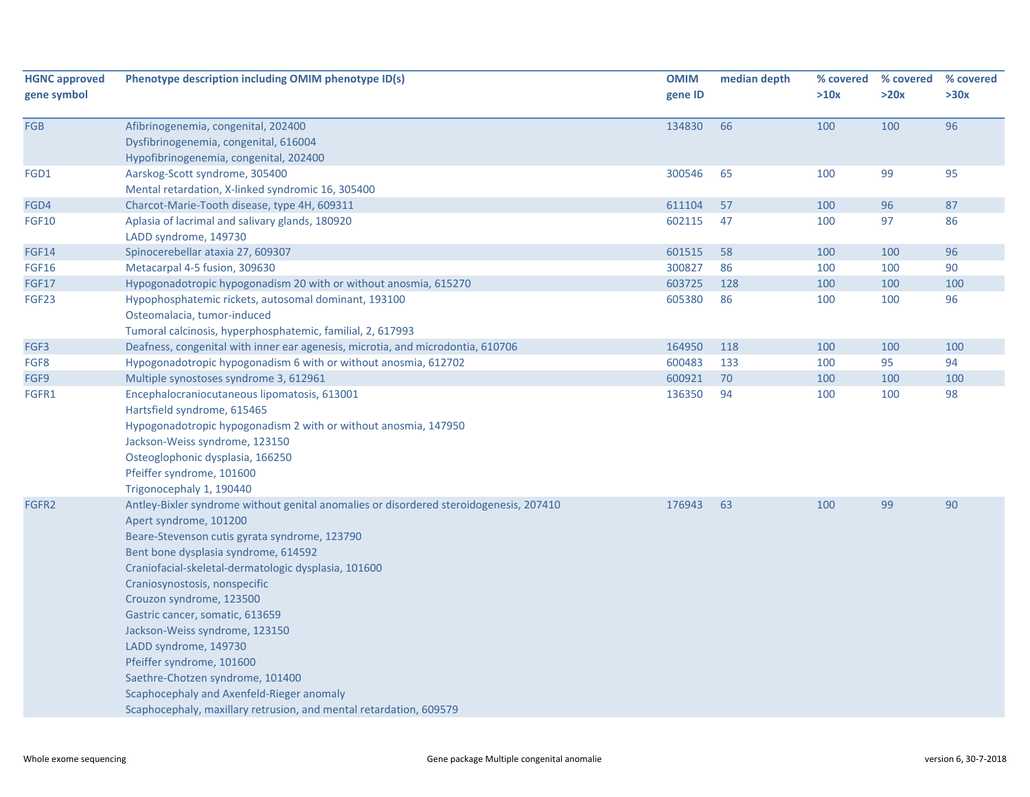| <b>HGNC approved</b> | Phenotype description including OMIM phenotype ID(s)                                   | <b>OMIM</b> | median depth | % covered | % covered | % covered |
|----------------------|----------------------------------------------------------------------------------------|-------------|--------------|-----------|-----------|-----------|
| gene symbol          |                                                                                        | gene ID     |              | >10x      | >20x      | >30x      |
|                      |                                                                                        |             |              |           |           |           |
| FGB                  | Afibrinogenemia, congenital, 202400                                                    | 134830      | 66           | 100       | 100       | 96        |
|                      | Dysfibrinogenemia, congenital, 616004                                                  |             |              |           |           |           |
|                      | Hypofibrinogenemia, congenital, 202400                                                 |             |              |           |           |           |
| FGD1                 | Aarskog-Scott syndrome, 305400                                                         | 300546      | 65           | 100       | 99        | 95        |
|                      | Mental retardation, X-linked syndromic 16, 305400                                      |             |              |           |           |           |
| FGD4                 | Charcot-Marie-Tooth disease, type 4H, 609311                                           | 611104      | 57           | 100       | 96        | 87        |
| FGF10                | Aplasia of lacrimal and salivary glands, 180920                                        | 602115      | 47           | 100       | 97        | 86        |
|                      | LADD syndrome, 149730                                                                  |             |              |           |           |           |
| FGF14                | Spinocerebellar ataxia 27, 609307                                                      | 601515      | 58           | 100       | 100       | 96        |
| FGF16                | Metacarpal 4-5 fusion, 309630                                                          | 300827      | 86           | 100       | 100       | 90        |
| <b>FGF17</b>         | Hypogonadotropic hypogonadism 20 with or without anosmia, 615270                       | 603725      | 128          | 100       | 100       | 100       |
| FGF23                | Hypophosphatemic rickets, autosomal dominant, 193100                                   | 605380      | 86           | 100       | 100       | 96        |
|                      | Osteomalacia, tumor-induced                                                            |             |              |           |           |           |
|                      | Tumoral calcinosis, hyperphosphatemic, familial, 2, 617993                             |             |              |           |           |           |
| FGF3                 | Deafness, congenital with inner ear agenesis, microtia, and microdontia, 610706        | 164950      | 118          | 100       | 100       | 100       |
| FGF8                 | Hypogonadotropic hypogonadism 6 with or without anosmia, 612702                        | 600483      | 133          | 100       | 95        | 94        |
| FGF9                 | Multiple synostoses syndrome 3, 612961                                                 | 600921      | 70           | 100       | 100       | 100       |
| FGFR1                | Encephalocraniocutaneous lipomatosis, 613001                                           | 136350      | 94           | 100       | 100       | 98        |
|                      | Hartsfield syndrome, 615465                                                            |             |              |           |           |           |
|                      | Hypogonadotropic hypogonadism 2 with or without anosmia, 147950                        |             |              |           |           |           |
|                      | Jackson-Weiss syndrome, 123150                                                         |             |              |           |           |           |
|                      | Osteoglophonic dysplasia, 166250                                                       |             |              |           |           |           |
|                      | Pfeiffer syndrome, 101600                                                              |             |              |           |           |           |
|                      | Trigonocephaly 1, 190440                                                               |             |              |           |           |           |
| FGFR <sub>2</sub>    | Antley-Bixler syndrome without genital anomalies or disordered steroidogenesis, 207410 | 176943      | 63           | 100       | 99        | 90        |
|                      | Apert syndrome, 101200                                                                 |             |              |           |           |           |
|                      | Beare-Stevenson cutis gyrata syndrome, 123790                                          |             |              |           |           |           |
|                      | Bent bone dysplasia syndrome, 614592                                                   |             |              |           |           |           |
|                      | Craniofacial-skeletal-dermatologic dysplasia, 101600                                   |             |              |           |           |           |
|                      | Craniosynostosis, nonspecific                                                          |             |              |           |           |           |
|                      | Crouzon syndrome, 123500                                                               |             |              |           |           |           |
|                      | Gastric cancer, somatic, 613659<br>Jackson-Weiss syndrome, 123150                      |             |              |           |           |           |
|                      |                                                                                        |             |              |           |           |           |
|                      | LADD syndrome, 149730                                                                  |             |              |           |           |           |
|                      | Pfeiffer syndrome, 101600<br>Saethre-Chotzen syndrome, 101400                          |             |              |           |           |           |
|                      | Scaphocephaly and Axenfeld-Rieger anomaly                                              |             |              |           |           |           |
|                      | Scaphocephaly, maxillary retrusion, and mental retardation, 609579                     |             |              |           |           |           |
|                      |                                                                                        |             |              |           |           |           |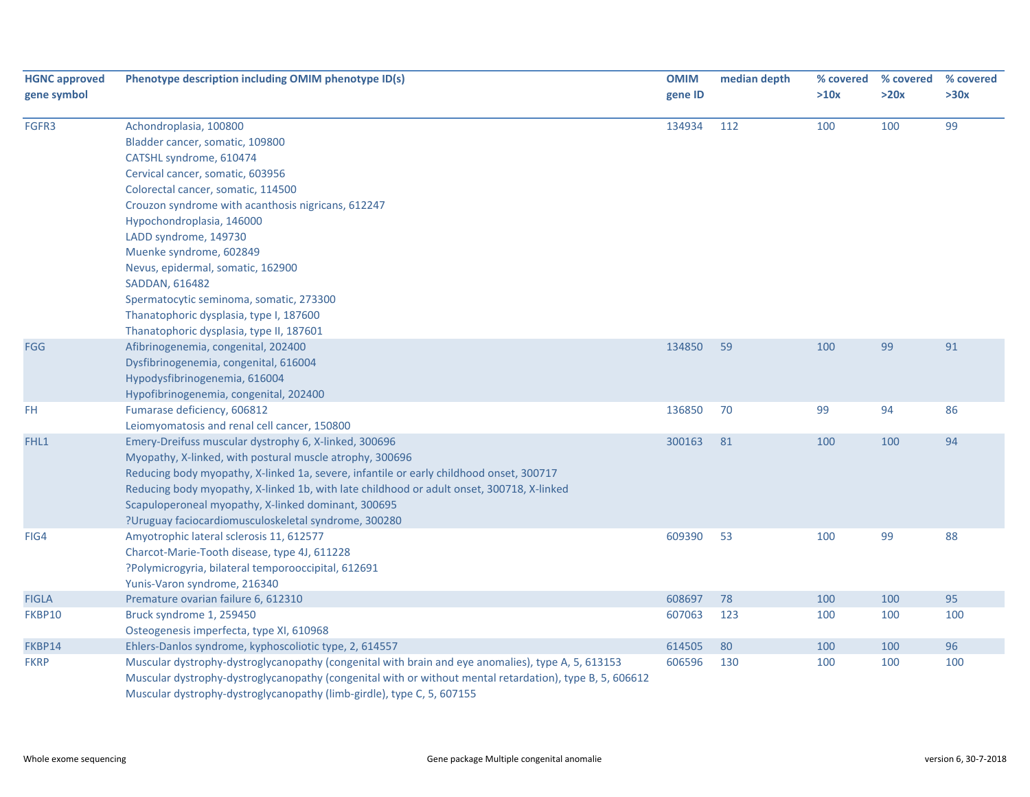| <b>HGNC approved</b><br>gene symbol | Phenotype description including OMIM phenotype ID(s)                                                     | <b>OMIM</b><br>gene ID | median depth | % covered<br>>10x | % covered<br>>20x | % covered<br>>30x |
|-------------------------------------|----------------------------------------------------------------------------------------------------------|------------------------|--------------|-------------------|-------------------|-------------------|
|                                     |                                                                                                          |                        |              |                   |                   |                   |
| FGFR3                               | Achondroplasia, 100800                                                                                   | 134934                 | 112          | 100               | 100               | 99                |
|                                     | Bladder cancer, somatic, 109800                                                                          |                        |              |                   |                   |                   |
|                                     | CATSHL syndrome, 610474                                                                                  |                        |              |                   |                   |                   |
|                                     | Cervical cancer, somatic, 603956                                                                         |                        |              |                   |                   |                   |
|                                     | Colorectal cancer, somatic, 114500                                                                       |                        |              |                   |                   |                   |
|                                     | Crouzon syndrome with acanthosis nigricans, 612247                                                       |                        |              |                   |                   |                   |
|                                     | Hypochondroplasia, 146000                                                                                |                        |              |                   |                   |                   |
|                                     | LADD syndrome, 149730                                                                                    |                        |              |                   |                   |                   |
|                                     | Muenke syndrome, 602849                                                                                  |                        |              |                   |                   |                   |
|                                     | Nevus, epidermal, somatic, 162900                                                                        |                        |              |                   |                   |                   |
|                                     | SADDAN, 616482                                                                                           |                        |              |                   |                   |                   |
|                                     | Spermatocytic seminoma, somatic, 273300                                                                  |                        |              |                   |                   |                   |
|                                     | Thanatophoric dysplasia, type I, 187600                                                                  |                        |              |                   |                   |                   |
|                                     | Thanatophoric dysplasia, type II, 187601                                                                 |                        |              |                   |                   |                   |
| <b>FGG</b>                          | Afibrinogenemia, congenital, 202400                                                                      | 134850                 | 59           | 100               | 99                | 91                |
|                                     | Dysfibrinogenemia, congenital, 616004                                                                    |                        |              |                   |                   |                   |
|                                     | Hypodysfibrinogenemia, 616004                                                                            |                        |              |                   |                   |                   |
|                                     | Hypofibrinogenemia, congenital, 202400                                                                   |                        |              |                   |                   |                   |
| FH                                  | Fumarase deficiency, 606812                                                                              | 136850                 | 70           | 99                | 94                | 86                |
|                                     | Leiomyomatosis and renal cell cancer, 150800                                                             |                        |              |                   |                   |                   |
| FHL1                                | Emery-Dreifuss muscular dystrophy 6, X-linked, 300696                                                    | 300163                 | 81           | 100               | 100               | 94                |
|                                     | Myopathy, X-linked, with postural muscle atrophy, 300696                                                 |                        |              |                   |                   |                   |
|                                     | Reducing body myopathy, X-linked 1a, severe, infantile or early childhood onset, 300717                  |                        |              |                   |                   |                   |
|                                     | Reducing body myopathy, X-linked 1b, with late childhood or adult onset, 300718, X-linked                |                        |              |                   |                   |                   |
|                                     | Scapuloperoneal myopathy, X-linked dominant, 300695                                                      |                        |              |                   |                   |                   |
|                                     | ?Uruguay faciocardiomusculoskeletal syndrome, 300280                                                     |                        |              |                   |                   |                   |
| FIG4                                | Amyotrophic lateral sclerosis 11, 612577                                                                 | 609390                 | 53           | 100               | 99                | 88                |
|                                     | Charcot-Marie-Tooth disease, type 4J, 611228                                                             |                        |              |                   |                   |                   |
|                                     | ?Polymicrogyria, bilateral temporooccipital, 612691                                                      |                        |              |                   |                   |                   |
|                                     | Yunis-Varon syndrome, 216340                                                                             |                        |              |                   |                   |                   |
| <b>FIGLA</b>                        | Premature ovarian failure 6, 612310                                                                      | 608697                 | 78           | 100               | 100               | 95                |
| FKBP10                              | Bruck syndrome 1, 259450                                                                                 | 607063                 | 123          | 100               | 100               | 100               |
|                                     | Osteogenesis imperfecta, type XI, 610968                                                                 |                        |              |                   |                   |                   |
| FKBP14                              | Ehlers-Danlos syndrome, kyphoscoliotic type, 2, 614557                                                   | 614505                 | 80           | 100               | 100               | 96                |
| <b>FKRP</b>                         | Muscular dystrophy-dystroglycanopathy (congenital with brain and eye anomalies), type A, 5, 613153       | 606596                 | 130          | 100               | 100               | 100               |
|                                     | Muscular dystrophy-dystroglycanopathy (congenital with or without mental retardation), type B, 5, 606612 |                        |              |                   |                   |                   |
|                                     | Muscular dystrophy-dystroglycanopathy (limb-girdle), type C, 5, 607155                                   |                        |              |                   |                   |                   |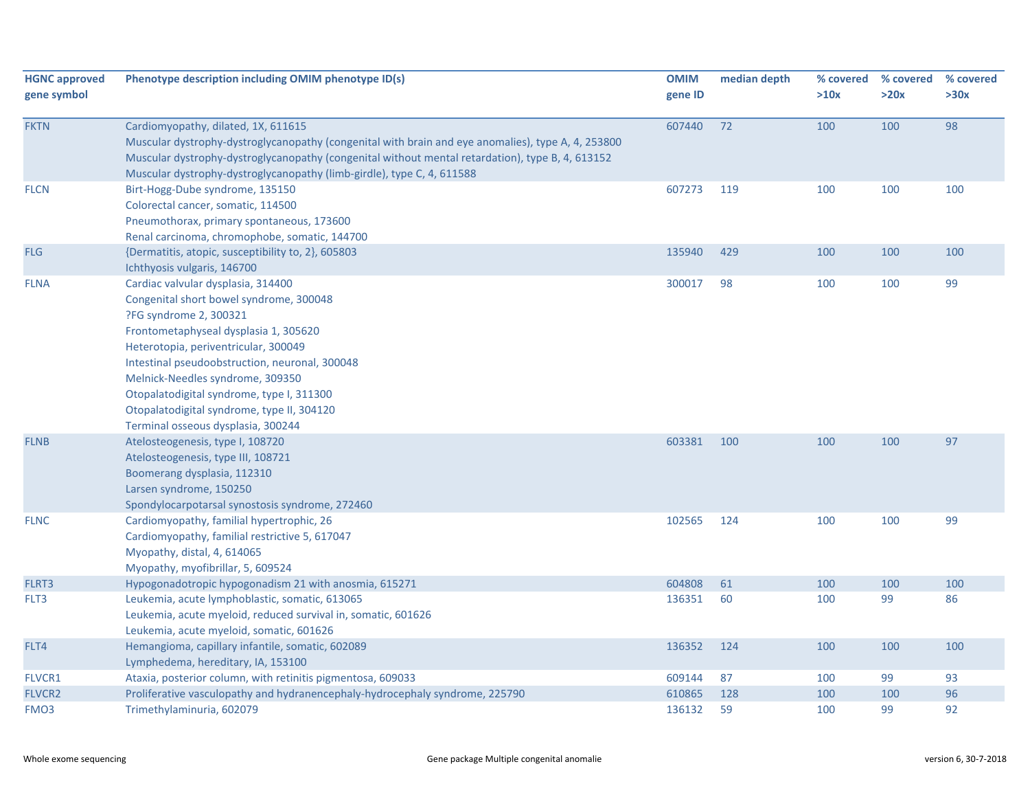| <b>HGNC approved</b> | Phenotype description including OMIM phenotype ID(s)                                               | <b>OMIM</b> | median depth | % covered | % covered | % covered |
|----------------------|----------------------------------------------------------------------------------------------------|-------------|--------------|-----------|-----------|-----------|
| gene symbol          |                                                                                                    | gene ID     |              | >10x      | >20x      | >30x      |
|                      |                                                                                                    |             |              |           |           |           |
| <b>FKTN</b>          | Cardiomyopathy, dilated, 1X, 611615                                                                | 607440      | 72           | 100       | 100       | 98        |
|                      | Muscular dystrophy-dystroglycanopathy (congenital with brain and eye anomalies), type A, 4, 253800 |             |              |           |           |           |
|                      | Muscular dystrophy-dystroglycanopathy (congenital without mental retardation), type B, 4, 613152   |             |              |           |           |           |
|                      | Muscular dystrophy-dystroglycanopathy (limb-girdle), type C, 4, 611588                             |             |              |           |           |           |
| <b>FLCN</b>          | Birt-Hogg-Dube syndrome, 135150                                                                    | 607273      | 119          | 100       | 100       | 100       |
|                      | Colorectal cancer, somatic, 114500                                                                 |             |              |           |           |           |
|                      | Pneumothorax, primary spontaneous, 173600                                                          |             |              |           |           |           |
|                      | Renal carcinoma, chromophobe, somatic, 144700                                                      |             | 429          |           | 100       | 100       |
| <b>FLG</b>           | {Dermatitis, atopic, susceptibility to, 2}, 605803<br>Ichthyosis vulgaris, 146700                  | 135940      |              | 100       |           |           |
| <b>FLNA</b>          | Cardiac valvular dysplasia, 314400                                                                 | 300017      | 98           | 100       | 100       | 99        |
|                      | Congenital short bowel syndrome, 300048                                                            |             |              |           |           |           |
|                      | ?FG syndrome 2, 300321                                                                             |             |              |           |           |           |
|                      | Frontometaphyseal dysplasia 1, 305620                                                              |             |              |           |           |           |
|                      | Heterotopia, periventricular, 300049                                                               |             |              |           |           |           |
|                      | Intestinal pseudoobstruction, neuronal, 300048                                                     |             |              |           |           |           |
|                      | Melnick-Needles syndrome, 309350                                                                   |             |              |           |           |           |
|                      | Otopalatodigital syndrome, type I, 311300                                                          |             |              |           |           |           |
|                      | Otopalatodigital syndrome, type II, 304120                                                         |             |              |           |           |           |
|                      | Terminal osseous dysplasia, 300244                                                                 |             |              |           |           |           |
| <b>FLNB</b>          | Atelosteogenesis, type I, 108720                                                                   | 603381      | 100          | 100       | 100       | 97        |
|                      | Atelosteogenesis, type III, 108721                                                                 |             |              |           |           |           |
|                      | Boomerang dysplasia, 112310                                                                        |             |              |           |           |           |
|                      | Larsen syndrome, 150250                                                                            |             |              |           |           |           |
|                      | Spondylocarpotarsal synostosis syndrome, 272460                                                    |             |              |           |           |           |
| <b>FLNC</b>          | Cardiomyopathy, familial hypertrophic, 26                                                          | 102565      | 124          | 100       | 100       | 99        |
|                      | Cardiomyopathy, familial restrictive 5, 617047                                                     |             |              |           |           |           |
|                      | Myopathy, distal, 4, 614065                                                                        |             |              |           |           |           |
|                      | Myopathy, myofibrillar, 5, 609524                                                                  |             |              |           |           |           |
| FLRT3                | Hypogonadotropic hypogonadism 21 with anosmia, 615271                                              | 604808      | 61           | 100       | 100       | 100       |
| FLT3                 | Leukemia, acute lymphoblastic, somatic, 613065                                                     | 136351      | 60           | 100       | 99        | 86        |
|                      | Leukemia, acute myeloid, reduced survival in, somatic, 601626                                      |             |              |           |           |           |
|                      | Leukemia, acute myeloid, somatic, 601626                                                           |             |              |           |           |           |
| FLT4                 | Hemangioma, capillary infantile, somatic, 602089                                                   | 136352      | 124          | 100       | 100       | 100       |
|                      | Lymphedema, hereditary, IA, 153100                                                                 |             |              |           |           |           |
| FLVCR1               | Ataxia, posterior column, with retinitis pigmentosa, 609033                                        | 609144      | 87           | 100       | 99        | 93        |
| <b>FLVCR2</b>        | Proliferative vasculopathy and hydranencephaly-hydrocephaly syndrome, 225790                       | 610865      | 128          | 100       | 100       | 96        |
| FMO <sub>3</sub>     | Trimethylaminuria, 602079                                                                          | 136132      | 59           | 100       | 99        | 92        |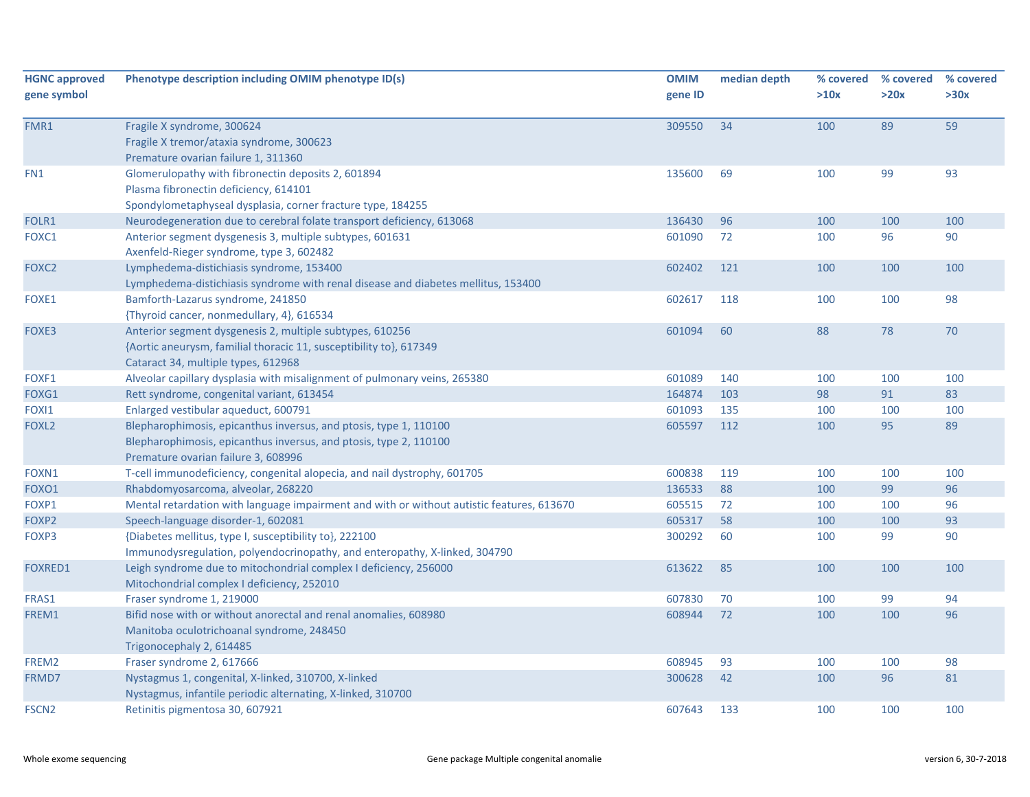| <b>HGNC approved</b><br>gene symbol | Phenotype description including OMIM phenotype ID(s)                                                                                                                          | <b>OMIM</b><br>gene ID | median depth | % covered<br>>10x | % covered<br>>20x | % covered<br>>30x |
|-------------------------------------|-------------------------------------------------------------------------------------------------------------------------------------------------------------------------------|------------------------|--------------|-------------------|-------------------|-------------------|
| FMR1                                | Fragile X syndrome, 300624<br>Fragile X tremor/ataxia syndrome, 300623<br>Premature ovarian failure 1, 311360                                                                 | 309550                 | 34           | 100               | 89                | 59                |
| FN1                                 | Glomerulopathy with fibronectin deposits 2, 601894<br>Plasma fibronectin deficiency, 614101<br>Spondylometaphyseal dysplasia, corner fracture type, 184255                    | 135600                 | 69           | 100               | 99                | 93                |
| FOLR1                               | Neurodegeneration due to cerebral folate transport deficiency, 613068                                                                                                         | 136430                 | 96           | 100               | 100               | 100               |
| FOXC1                               | Anterior segment dysgenesis 3, multiple subtypes, 601631<br>Axenfeld-Rieger syndrome, type 3, 602482                                                                          | 601090                 | 72           | 100               | 96                | 90                |
| FOXC2                               | Lymphedema-distichiasis syndrome, 153400<br>Lymphedema-distichiasis syndrome with renal disease and diabetes mellitus, 153400                                                 | 602402                 | 121          | 100               | 100               | 100               |
| FOXE1                               | Bamforth-Lazarus syndrome, 241850<br>{Thyroid cancer, nonmedullary, 4}, 616534                                                                                                | 602617                 | 118          | 100               | 100               | 98                |
| FOXE3                               | Anterior segment dysgenesis 2, multiple subtypes, 610256<br>{Aortic aneurysm, familial thoracic 11, susceptibility to}, 617349<br>Cataract 34, multiple types, 612968         | 601094                 | 60           | 88                | 78                | 70                |
| FOXF1                               | Alveolar capillary dysplasia with misalignment of pulmonary veins, 265380                                                                                                     | 601089                 | 140          | 100               | 100               | 100               |
| FOXG1                               | Rett syndrome, congenital variant, 613454                                                                                                                                     | 164874                 | 103          | 98                | 91                | 83                |
| FOXI1                               | Enlarged vestibular aqueduct, 600791                                                                                                                                          | 601093                 | 135          | 100               | 100               | 100               |
| FOXL <sub>2</sub>                   | Blepharophimosis, epicanthus inversus, and ptosis, type 1, 110100<br>Blepharophimosis, epicanthus inversus, and ptosis, type 2, 110100<br>Premature ovarian failure 3, 608996 | 605597                 | 112          | 100               | 95                | 89                |
| FOXN1                               | T-cell immunodeficiency, congenital alopecia, and nail dystrophy, 601705                                                                                                      | 600838                 | 119          | 100               | 100               | 100               |
| FOXO1                               | Rhabdomyosarcoma, alveolar, 268220                                                                                                                                            | 136533                 | 88           | 100               | 99                | 96                |
| FOXP1                               | Mental retardation with language impairment and with or without autistic features, 613670                                                                                     | 605515                 | 72           | 100               | 100               | 96                |
| FOXP2                               | Speech-language disorder-1, 602081                                                                                                                                            | 605317                 | 58           | 100               | 100               | 93                |
| FOXP3                               | {Diabetes mellitus, type I, susceptibility to}, 222100<br>Immunodysregulation, polyendocrinopathy, and enteropathy, X-linked, 304790                                          | 300292                 | 60           | 100               | 99                | 90                |
| <b>FOXRED1</b>                      | Leigh syndrome due to mitochondrial complex I deficiency, 256000<br>Mitochondrial complex I deficiency, 252010                                                                | 613622                 | 85           | 100               | 100               | 100               |
| FRAS1                               | Fraser syndrome 1, 219000                                                                                                                                                     | 607830                 | 70           | 100               | 99                | 94                |
| FREM1                               | Bifid nose with or without anorectal and renal anomalies, 608980<br>Manitoba oculotrichoanal syndrome, 248450<br>Trigonocephaly 2, 614485                                     | 608944                 | 72           | 100               | 100               | 96                |
| FREM2                               | Fraser syndrome 2, 617666                                                                                                                                                     | 608945                 | 93           | 100               | 100               | 98                |
| FRMD7                               | Nystagmus 1, congenital, X-linked, 310700, X-linked<br>Nystagmus, infantile periodic alternating, X-linked, 310700                                                            | 300628                 | 42           | 100               | 96                | 81                |
| FSCN <sub>2</sub>                   | Retinitis pigmentosa 30, 607921                                                                                                                                               | 607643                 | 133          | 100               | 100               | 100               |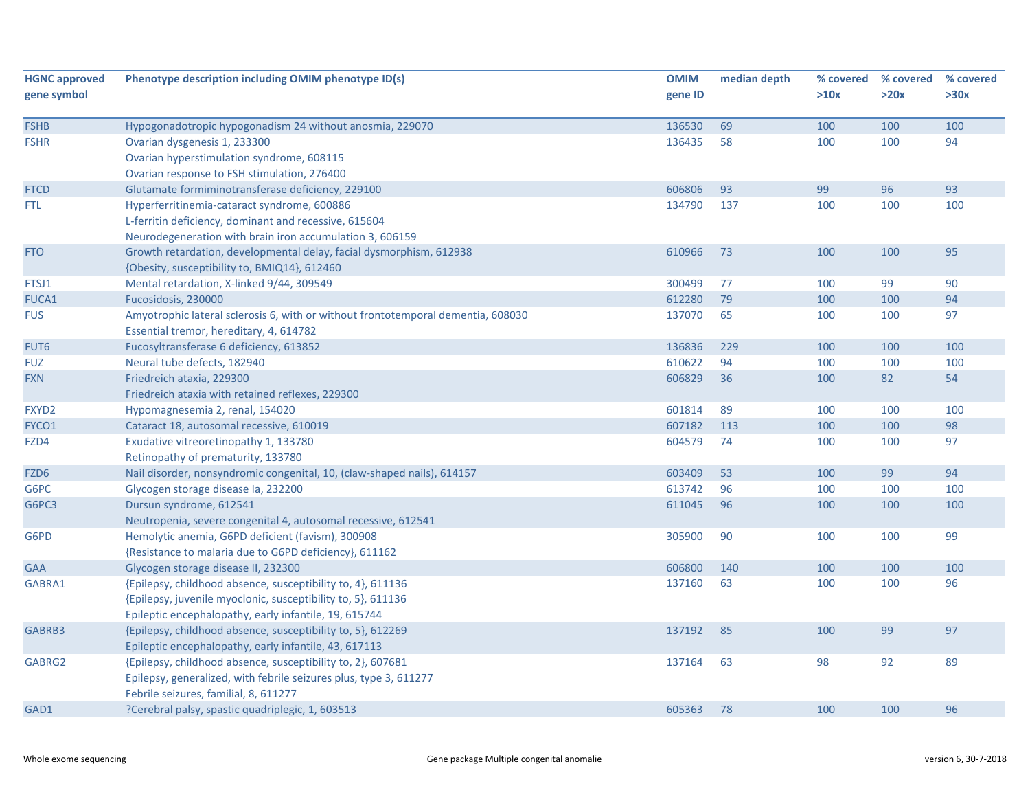| <b>HGNC approved</b> | Phenotype description including OMIM phenotype ID(s)                             | <b>OMIM</b> | median depth | % covered | % covered | % covered |
|----------------------|----------------------------------------------------------------------------------|-------------|--------------|-----------|-----------|-----------|
| gene symbol          |                                                                                  | gene ID     |              | >10x      | >20x      | >30x      |
| <b>FSHB</b>          | Hypogonadotropic hypogonadism 24 without anosmia, 229070                         | 136530      | 69           | 100       | 100       | 100       |
| <b>FSHR</b>          | Ovarian dysgenesis 1, 233300                                                     | 136435      | 58           | 100       | 100       | 94        |
|                      | Ovarian hyperstimulation syndrome, 608115                                        |             |              |           |           |           |
|                      | Ovarian response to FSH stimulation, 276400                                      |             |              |           |           |           |
| <b>FTCD</b>          | Glutamate formiminotransferase deficiency, 229100                                | 606806      | 93           | 99        | 96        | 93        |
| <b>FTL</b>           | Hyperferritinemia-cataract syndrome, 600886                                      | 134790      | 137          | 100       | 100       | 100       |
|                      | L-ferritin deficiency, dominant and recessive, 615604                            |             |              |           |           |           |
|                      | Neurodegeneration with brain iron accumulation 3, 606159                         |             |              |           |           |           |
| <b>FTO</b>           | Growth retardation, developmental delay, facial dysmorphism, 612938              | 610966      | 73           | 100       | 100       | 95        |
|                      | {Obesity, susceptibility to, BMIQ14}, 612460                                     |             |              |           |           |           |
| FTSJ1                | Mental retardation, X-linked 9/44, 309549                                        | 300499      | 77           | 100       | 99        | 90        |
| FUCA1                | Fucosidosis, 230000                                                              | 612280      | 79           | 100       | 100       | 94        |
| <b>FUS</b>           | Amyotrophic lateral sclerosis 6, with or without frontotemporal dementia, 608030 | 137070      | 65           | 100       | 100       | 97        |
|                      | Essential tremor, hereditary, 4, 614782                                          |             |              |           |           |           |
| FUT <sub>6</sub>     | Fucosyltransferase 6 deficiency, 613852                                          | 136836      | 229          | 100       | 100       | 100       |
| <b>FUZ</b>           | Neural tube defects, 182940                                                      | 610622      | 94           | 100       | 100       | 100       |
| <b>FXN</b>           | Friedreich ataxia, 229300                                                        | 606829      | 36           | 100       | 82        | 54        |
|                      | Friedreich ataxia with retained reflexes, 229300                                 |             |              |           |           |           |
| FXYD2                | Hypomagnesemia 2, renal, 154020                                                  | 601814      | 89           | 100       | 100       | 100       |
| FYCO1                | Cataract 18, autosomal recessive, 610019                                         | 607182      | 113          | 100       | 100       | 98        |
| FZD4                 | Exudative vitreoretinopathy 1, 133780                                            | 604579      | 74           | 100       | 100       | 97        |
|                      | Retinopathy of prematurity, 133780                                               |             |              |           |           |           |
| FZD6                 | Nail disorder, nonsyndromic congenital, 10, (claw-shaped nails), 614157          | 603409      | 53           | 100       | 99        | 94        |
| G6PC                 | Glycogen storage disease la, 232200                                              | 613742      | 96           | 100       | 100       | 100       |
| G6PC3                | Dursun syndrome, 612541                                                          | 611045      | 96           | 100       | 100       | 100       |
|                      | Neutropenia, severe congenital 4, autosomal recessive, 612541                    |             |              |           |           |           |
| G6PD                 | Hemolytic anemia, G6PD deficient (favism), 300908                                | 305900      | 90           | 100       | 100       | 99        |
|                      | {Resistance to malaria due to G6PD deficiency}, 611162                           |             |              |           |           |           |
| <b>GAA</b>           | Glycogen storage disease II, 232300                                              | 606800      | 140          | 100       | 100       | 100       |
| GABRA1               | {Epilepsy, childhood absence, susceptibility to, 4}, 611136                      | 137160      | 63           | 100       | 100       | 96        |
|                      | {Epilepsy, juvenile myoclonic, susceptibility to, 5}, 611136                     |             |              |           |           |           |
|                      | Epileptic encephalopathy, early infantile, 19, 615744                            |             |              |           |           |           |
| GABRB3               | {Epilepsy, childhood absence, susceptibility to, 5}, 612269                      | 137192      | 85           | 100       | 99        | 97        |
|                      | Epileptic encephalopathy, early infantile, 43, 617113                            |             |              |           |           |           |
| GABRG2               | {Epilepsy, childhood absence, susceptibility to, 2}, 607681                      | 137164      | 63           | 98        | 92        | 89        |
|                      | Epilepsy, generalized, with febrile seizures plus, type 3, 611277                |             |              |           |           |           |
|                      | Febrile seizures, familial, 8, 611277                                            |             |              |           |           |           |
| GAD1                 | ?Cerebral palsy, spastic quadriplegic, 1, 603513                                 | 605363      | 78           | 100       | 100       | 96        |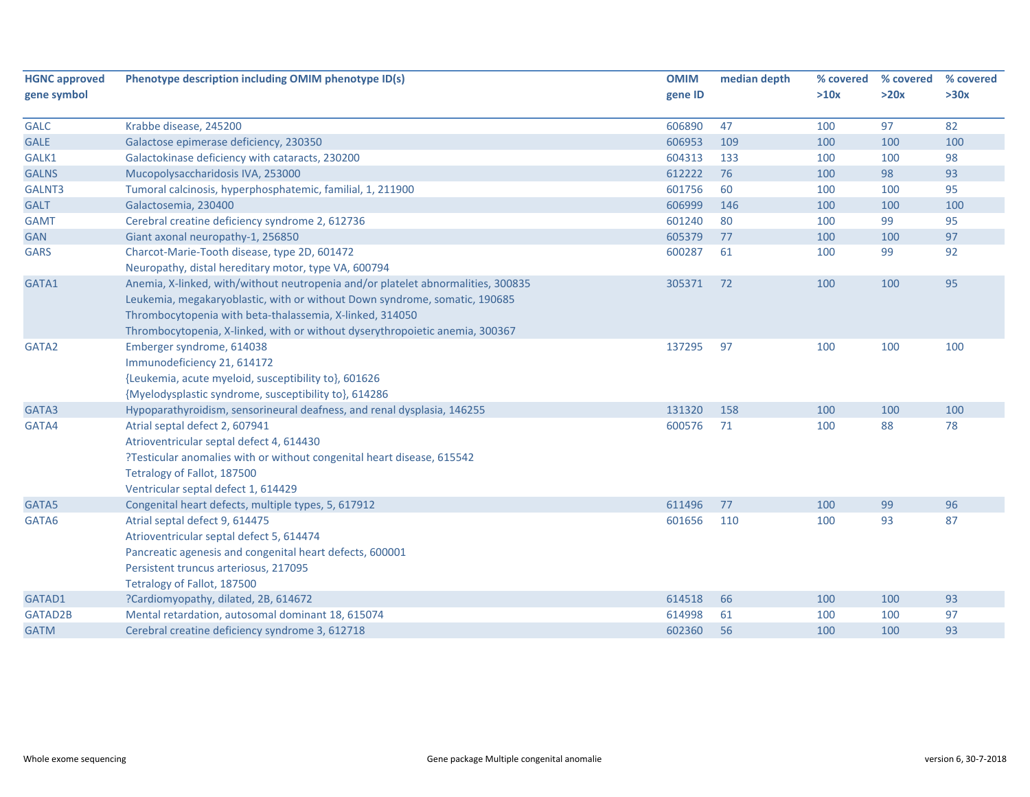| <b>HGNC approved</b> | Phenotype description including OMIM phenotype ID(s)                                                                                                                                                                                                                                                       | <b>OMIM</b> | median depth | % covered | % covered | % covered |
|----------------------|------------------------------------------------------------------------------------------------------------------------------------------------------------------------------------------------------------------------------------------------------------------------------------------------------------|-------------|--------------|-----------|-----------|-----------|
| gene symbol          |                                                                                                                                                                                                                                                                                                            | gene ID     |              | >10x      | >20x      | >30x      |
| <b>GALC</b>          | Krabbe disease, 245200                                                                                                                                                                                                                                                                                     | 606890      | 47           | 100       | 97        | 82        |
| <b>GALE</b>          | Galactose epimerase deficiency, 230350                                                                                                                                                                                                                                                                     | 606953      | 109          | 100       | 100       | 100       |
| GALK1                | Galactokinase deficiency with cataracts, 230200                                                                                                                                                                                                                                                            | 604313      | 133          | 100       | 100       | 98        |
| <b>GALNS</b>         | Mucopolysaccharidosis IVA, 253000                                                                                                                                                                                                                                                                          | 612222      | 76           | 100       | 98        | 93        |
| GALNT3               | Tumoral calcinosis, hyperphosphatemic, familial, 1, 211900                                                                                                                                                                                                                                                 | 601756      | 60           | 100       | 100       | 95        |
| <b>GALT</b>          | Galactosemia, 230400                                                                                                                                                                                                                                                                                       | 606999      | 146          | 100       | 100       | 100       |
| <b>GAMT</b>          | Cerebral creatine deficiency syndrome 2, 612736                                                                                                                                                                                                                                                            | 601240      | 80           | 100       | 99        | 95        |
| <b>GAN</b>           | Giant axonal neuropathy-1, 256850                                                                                                                                                                                                                                                                          | 605379      | 77           | 100       | 100       | 97        |
| <b>GARS</b>          | Charcot-Marie-Tooth disease, type 2D, 601472                                                                                                                                                                                                                                                               | 600287      | 61           | 100       | 99        | 92        |
|                      | Neuropathy, distal hereditary motor, type VA, 600794                                                                                                                                                                                                                                                       |             |              |           |           |           |
| GATA1                | Anemia, X-linked, with/without neutropenia and/or platelet abnormalities, 300835<br>Leukemia, megakaryoblastic, with or without Down syndrome, somatic, 190685<br>Thrombocytopenia with beta-thalassemia, X-linked, 314050<br>Thrombocytopenia, X-linked, with or without dyserythropoietic anemia, 300367 | 305371      | 72           | 100       | 100       | 95        |
| GATA2                | Emberger syndrome, 614038<br>Immunodeficiency 21, 614172<br>{Leukemia, acute myeloid, susceptibility to}, 601626<br>{Myelodysplastic syndrome, susceptibility to}, 614286                                                                                                                                  | 137295      | 97           | 100       | 100       | 100       |
| GATA3                | Hypoparathyroidism, sensorineural deafness, and renal dysplasia, 146255                                                                                                                                                                                                                                    | 131320      | 158          | 100       | 100       | 100       |
| GATA4                | Atrial septal defect 2, 607941<br>Atrioventricular septal defect 4, 614430<br>?Testicular anomalies with or without congenital heart disease, 615542<br>Tetralogy of Fallot, 187500<br>Ventricular septal defect 1, 614429                                                                                 | 600576      | 71           | 100       | 88        | 78        |
| GATA5                | Congenital heart defects, multiple types, 5, 617912                                                                                                                                                                                                                                                        | 611496      | 77           | 100       | 99        | 96        |
| GATA6                | Atrial septal defect 9, 614475<br>Atrioventricular septal defect 5, 614474<br>Pancreatic agenesis and congenital heart defects, 600001<br>Persistent truncus arteriosus, 217095<br>Tetralogy of Fallot, 187500                                                                                             | 601656      | 110          | 100       | 93        | 87        |
| GATAD1               | ?Cardiomyopathy, dilated, 2B, 614672                                                                                                                                                                                                                                                                       | 614518      | 66           | 100       | 100       | 93        |
| GATAD2B              | Mental retardation, autosomal dominant 18, 615074                                                                                                                                                                                                                                                          | 614998      | 61           | 100       | 100       | 97        |
| <b>GATM</b>          | Cerebral creatine deficiency syndrome 3, 612718                                                                                                                                                                                                                                                            | 602360      | 56           | 100       | 100       | 93        |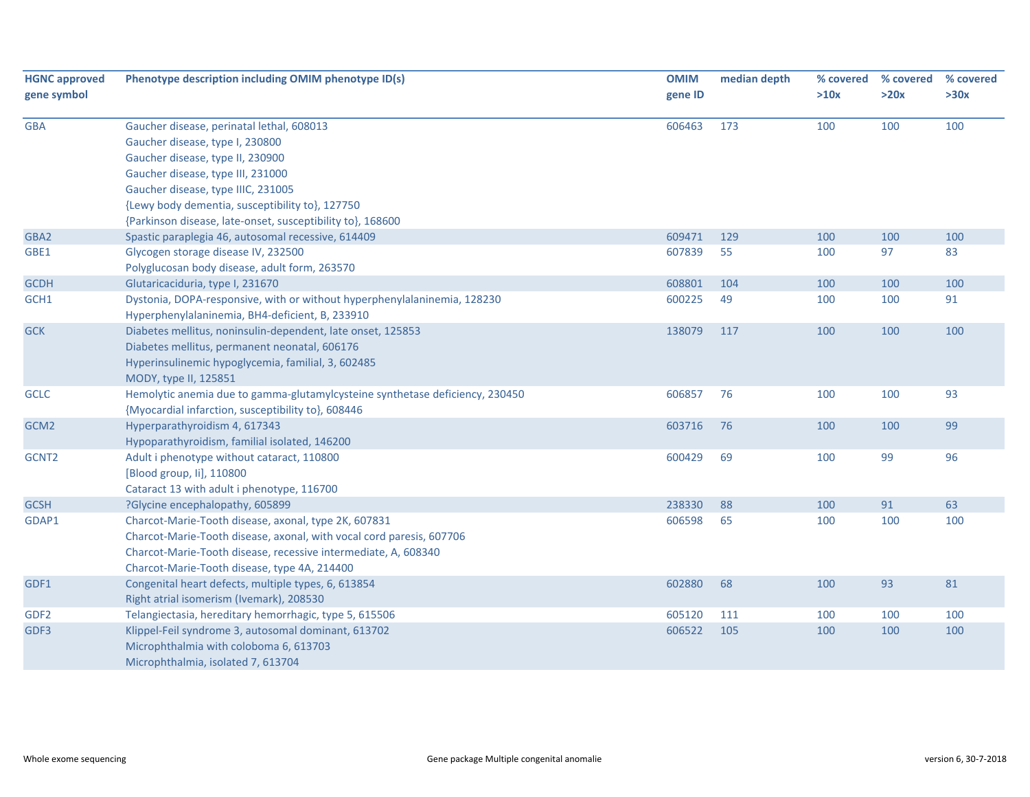| <b>HGNC approved</b> | Phenotype description including OMIM phenotype ID(s)                                                                                                                                                                                           | <b>OMIM</b> | median depth | % covered | % covered | % covered |
|----------------------|------------------------------------------------------------------------------------------------------------------------------------------------------------------------------------------------------------------------------------------------|-------------|--------------|-----------|-----------|-----------|
| gene symbol          |                                                                                                                                                                                                                                                | gene ID     |              | >10x      | >20x      | >30x      |
| <b>GBA</b>           | Gaucher disease, perinatal lethal, 608013                                                                                                                                                                                                      | 606463      | 173          | 100       | 100       | 100       |
|                      | Gaucher disease, type I, 230800                                                                                                                                                                                                                |             |              |           |           |           |
|                      | Gaucher disease, type II, 230900                                                                                                                                                                                                               |             |              |           |           |           |
|                      | Gaucher disease, type III, 231000                                                                                                                                                                                                              |             |              |           |           |           |
|                      | Gaucher disease, type IIIC, 231005                                                                                                                                                                                                             |             |              |           |           |           |
|                      | {Lewy body dementia, susceptibility to}, 127750                                                                                                                                                                                                |             |              |           |           |           |
|                      | {Parkinson disease, late-onset, susceptibility to}, 168600                                                                                                                                                                                     |             |              |           |           |           |
| GBA2                 | Spastic paraplegia 46, autosomal recessive, 614409                                                                                                                                                                                             | 609471      | 129          | 100       | 100       | 100       |
| GBE1                 | Glycogen storage disease IV, 232500                                                                                                                                                                                                            | 607839      | 55           | 100       | 97        | 83        |
|                      | Polyglucosan body disease, adult form, 263570                                                                                                                                                                                                  |             |              |           |           |           |
| <b>GCDH</b>          | Glutaricaciduria, type I, 231670                                                                                                                                                                                                               | 608801      | 104          | 100       | 100       | 100       |
| GCH1                 | Dystonia, DOPA-responsive, with or without hyperphenylalaninemia, 128230<br>Hyperphenylalaninemia, BH4-deficient, B, 233910                                                                                                                    | 600225      | 49           | 100       | 100       | 91        |
| <b>GCK</b>           | Diabetes mellitus, noninsulin-dependent, late onset, 125853<br>Diabetes mellitus, permanent neonatal, 606176<br>Hyperinsulinemic hypoglycemia, familial, 3, 602485<br>MODY, type II, 125851                                                    | 138079      | 117          | 100       | 100       | 100       |
| <b>GCLC</b>          | Hemolytic anemia due to gamma-glutamylcysteine synthetase deficiency, 230450                                                                                                                                                                   | 606857      | 76           | 100       | 100       | 93        |
|                      | {Myocardial infarction, susceptibility to}, 608446                                                                                                                                                                                             |             |              |           |           |           |
| GCM2                 | Hyperparathyroidism 4, 617343<br>Hypoparathyroidism, familial isolated, 146200                                                                                                                                                                 | 603716      | 76           | 100       | 100       | 99        |
| GCNT <sub>2</sub>    | Adult i phenotype without cataract, 110800<br>[Blood group, li], 110800<br>Cataract 13 with adult i phenotype, 116700                                                                                                                          | 600429      | 69           | 100       | 99        | 96        |
| <b>GCSH</b>          | ?Glycine encephalopathy, 605899                                                                                                                                                                                                                | 238330      | 88           | 100       | 91        | 63        |
| GDAP1                | Charcot-Marie-Tooth disease, axonal, type 2K, 607831<br>Charcot-Marie-Tooth disease, axonal, with vocal cord paresis, 607706<br>Charcot-Marie-Tooth disease, recessive intermediate, A, 608340<br>Charcot-Marie-Tooth disease, type 4A, 214400 | 606598      | 65           | 100       | 100       | 100       |
| GDF1                 | Congenital heart defects, multiple types, 6, 613854<br>Right atrial isomerism (Ivemark), 208530                                                                                                                                                | 602880      | 68           | 100       | 93        | 81        |
| GDF <sub>2</sub>     | Telangiectasia, hereditary hemorrhagic, type 5, 615506                                                                                                                                                                                         | 605120      | 111          | 100       | 100       | 100       |
| GDF3                 | Klippel-Feil syndrome 3, autosomal dominant, 613702<br>Microphthalmia with coloboma 6, 613703<br>Microphthalmia, isolated 7, 613704                                                                                                            | 606522      | 105          | 100       | 100       | 100       |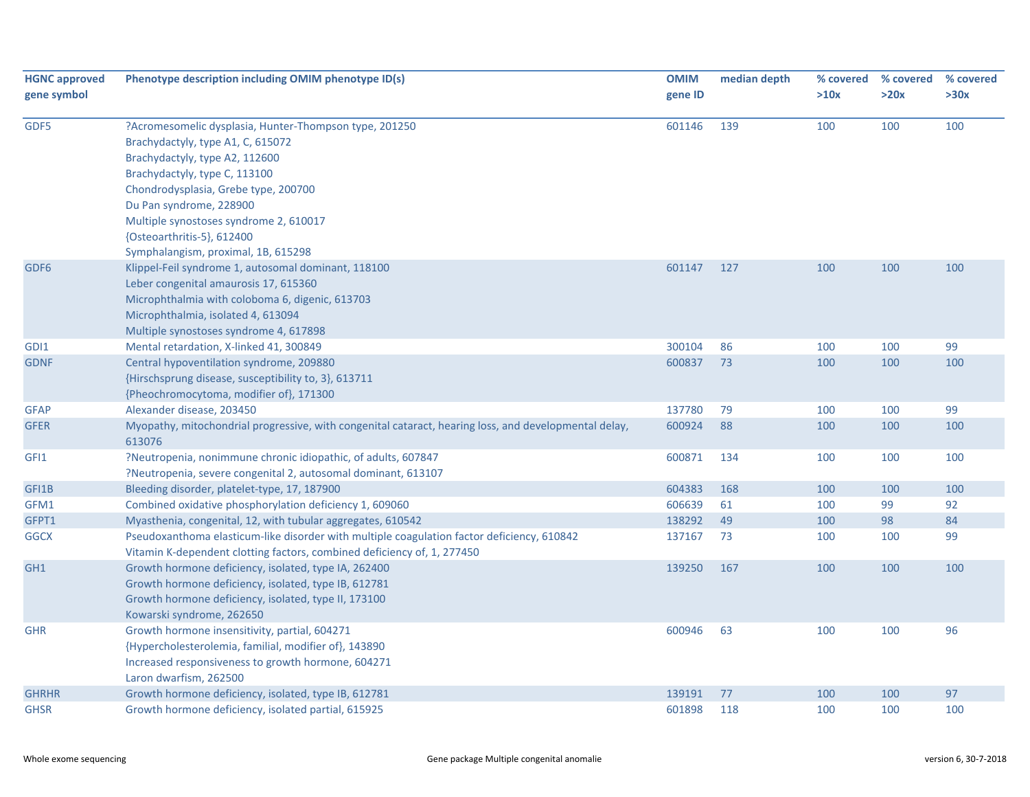| <b>HGNC approved</b><br>gene symbol | Phenotype description including OMIM phenotype ID(s)                                                                                                                                                                                                                                                                                             | <b>OMIM</b><br>gene ID | median depth | % covered<br>>10x | % covered<br>>20x | % covered<br>>30x |
|-------------------------------------|--------------------------------------------------------------------------------------------------------------------------------------------------------------------------------------------------------------------------------------------------------------------------------------------------------------------------------------------------|------------------------|--------------|-------------------|-------------------|-------------------|
| GDF5                                | ?Acromesomelic dysplasia, Hunter-Thompson type, 201250<br>Brachydactyly, type A1, C, 615072<br>Brachydactyly, type A2, 112600<br>Brachydactyly, type C, 113100<br>Chondrodysplasia, Grebe type, 200700<br>Du Pan syndrome, 228900<br>Multiple synostoses syndrome 2, 610017<br>{Osteoarthritis-5}, 612400<br>Symphalangism, proximal, 1B, 615298 | 601146                 | 139          | 100               | 100               | 100               |
| GDF <sub>6</sub>                    | Klippel-Feil syndrome 1, autosomal dominant, 118100<br>Leber congenital amaurosis 17, 615360<br>Microphthalmia with coloboma 6, digenic, 613703<br>Microphthalmia, isolated 4, 613094<br>Multiple synostoses syndrome 4, 617898                                                                                                                  | 601147                 | 127          | 100               | 100               | 100               |
| GDI1<br><b>GDNF</b>                 | Mental retardation, X-linked 41, 300849<br>Central hypoventilation syndrome, 209880<br>{Hirschsprung disease, susceptibility to, 3}, 613711<br>{Pheochromocytoma, modifier of}, 171300                                                                                                                                                           | 300104<br>600837       | 86<br>73     | 100<br>100        | 100<br>100        | 99<br>100         |
| <b>GFAP</b>                         | Alexander disease, 203450                                                                                                                                                                                                                                                                                                                        | 137780                 | 79           | 100               | 100               | 99                |
| <b>GFER</b>                         | Myopathy, mitochondrial progressive, with congenital cataract, hearing loss, and developmental delay,<br>613076                                                                                                                                                                                                                                  | 600924                 | 88           | 100               | 100               | 100               |
| GFI1                                | ?Neutropenia, nonimmune chronic idiopathic, of adults, 607847<br>?Neutropenia, severe congenital 2, autosomal dominant, 613107                                                                                                                                                                                                                   | 600871                 | 134          | 100               | 100               | 100               |
| GFI1B                               | Bleeding disorder, platelet-type, 17, 187900                                                                                                                                                                                                                                                                                                     | 604383                 | 168          | 100               | 100               | 100               |
| GFM1                                | Combined oxidative phosphorylation deficiency 1, 609060                                                                                                                                                                                                                                                                                          | 606639                 | 61           | 100               | 99                | 92                |
| GFPT1                               | Myasthenia, congenital, 12, with tubular aggregates, 610542                                                                                                                                                                                                                                                                                      | 138292                 | 49           | 100               | 98                | 84                |
| <b>GGCX</b>                         | Pseudoxanthoma elasticum-like disorder with multiple coagulation factor deficiency, 610842<br>Vitamin K-dependent clotting factors, combined deficiency of, 1, 277450                                                                                                                                                                            | 137167                 | 73           | 100               | 100               | 99                |
| GH <sub>1</sub>                     | Growth hormone deficiency, isolated, type IA, 262400<br>Growth hormone deficiency, isolated, type IB, 612781<br>Growth hormone deficiency, isolated, type II, 173100<br>Kowarski syndrome, 262650                                                                                                                                                | 139250                 | 167          | 100               | 100               | 100               |
| <b>GHR</b>                          | Growth hormone insensitivity, partial, 604271<br>{Hypercholesterolemia, familial, modifier of}, 143890<br>Increased responsiveness to growth hormone, 604271<br>Laron dwarfism, 262500                                                                                                                                                           | 600946                 | 63           | 100               | 100               | 96                |
| <b>GHRHR</b>                        | Growth hormone deficiency, isolated, type IB, 612781                                                                                                                                                                                                                                                                                             | 139191                 | 77           | 100               | 100               | 97                |
| <b>GHSR</b>                         | Growth hormone deficiency, isolated partial, 615925                                                                                                                                                                                                                                                                                              | 601898                 | 118          | 100               | 100               | 100               |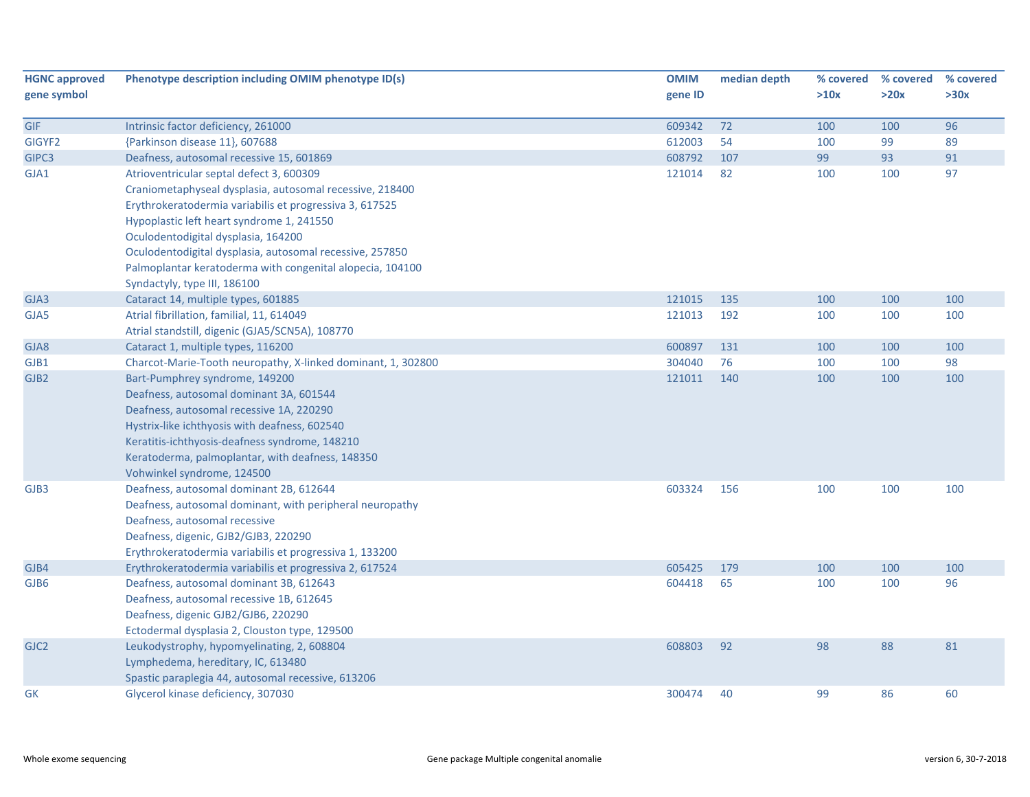| <b>HGNC approved</b> | Phenotype description including OMIM phenotype ID(s)         | <b>OMIM</b> | median depth | % covered | % covered | % covered |
|----------------------|--------------------------------------------------------------|-------------|--------------|-----------|-----------|-----------|
| gene symbol          |                                                              | gene ID     |              | >10x      | >20x      | >30x      |
| GIF                  | Intrinsic factor deficiency, 261000                          | 609342      | 72           | 100       | 100       | 96        |
| GIGYF2               | {Parkinson disease 11}, 607688                               | 612003      | 54           | 100       | 99        | 89        |
| GIPC3                | Deafness, autosomal recessive 15, 601869                     | 608792      | 107          | 99        | 93        | 91        |
| GJA1                 | Atrioventricular septal defect 3, 600309                     | 121014      | 82           | 100       | 100       | 97        |
|                      | Craniometaphyseal dysplasia, autosomal recessive, 218400     |             |              |           |           |           |
|                      | Erythrokeratodermia variabilis et progressiva 3, 617525      |             |              |           |           |           |
|                      | Hypoplastic left heart syndrome 1, 241550                    |             |              |           |           |           |
|                      | Oculodentodigital dysplasia, 164200                          |             |              |           |           |           |
|                      | Oculodentodigital dysplasia, autosomal recessive, 257850     |             |              |           |           |           |
|                      | Palmoplantar keratoderma with congenital alopecia, 104100    |             |              |           |           |           |
|                      | Syndactyly, type III, 186100                                 |             |              |           |           |           |
| GJA3                 | Cataract 14, multiple types, 601885                          | 121015      | 135          | 100       | 100       | 100       |
| GJA5                 | Atrial fibrillation, familial, 11, 614049                    | 121013      | 192          | 100       | 100       | 100       |
|                      | Atrial standstill, digenic (GJA5/SCN5A), 108770              |             |              |           |           |           |
| GJA8                 | Cataract 1, multiple types, 116200                           | 600897      | 131          | 100       | 100       | 100       |
| GJB1                 | Charcot-Marie-Tooth neuropathy, X-linked dominant, 1, 302800 | 304040      | 76           | 100       | 100       | 98        |
| GJB <sub>2</sub>     | Bart-Pumphrey syndrome, 149200                               | 121011      | 140          | 100       | 100       | 100       |
|                      | Deafness, autosomal dominant 3A, 601544                      |             |              |           |           |           |
|                      | Deafness, autosomal recessive 1A, 220290                     |             |              |           |           |           |
|                      | Hystrix-like ichthyosis with deafness, 602540                |             |              |           |           |           |
|                      | Keratitis-ichthyosis-deafness syndrome, 148210               |             |              |           |           |           |
|                      | Keratoderma, palmoplantar, with deafness, 148350             |             |              |           |           |           |
|                      | Vohwinkel syndrome, 124500                                   |             |              |           |           |           |
| GJB3                 | Deafness, autosomal dominant 2B, 612644                      | 603324      | 156          | 100       | 100       | 100       |
|                      | Deafness, autosomal dominant, with peripheral neuropathy     |             |              |           |           |           |
|                      | Deafness, autosomal recessive                                |             |              |           |           |           |
|                      | Deafness, digenic, GJB2/GJB3, 220290                         |             |              |           |           |           |
|                      | Erythrokeratodermia variabilis et progressiva 1, 133200      |             |              |           |           |           |
| GJB4                 | Erythrokeratodermia variabilis et progressiva 2, 617524      | 605425      | 179          | 100       | 100       | 100       |
| GJB6                 | Deafness, autosomal dominant 3B, 612643                      | 604418      | 65           | 100       | 100       | 96        |
|                      | Deafness, autosomal recessive 1B, 612645                     |             |              |           |           |           |
|                      | Deafness, digenic GJB2/GJB6, 220290                          |             |              |           |           |           |
|                      | Ectodermal dysplasia 2, Clouston type, 129500                |             |              |           |           |           |
| GJC <sub>2</sub>     | Leukodystrophy, hypomyelinating, 2, 608804                   | 608803      | 92           | 98        | 88        | 81        |
|                      | Lymphedema, hereditary, IC, 613480                           |             |              |           |           |           |
|                      | Spastic paraplegia 44, autosomal recessive, 613206           |             |              |           |           |           |
| <b>GK</b>            | Glycerol kinase deficiency, 307030                           | 300474      | 40           | 99        | 86        | 60        |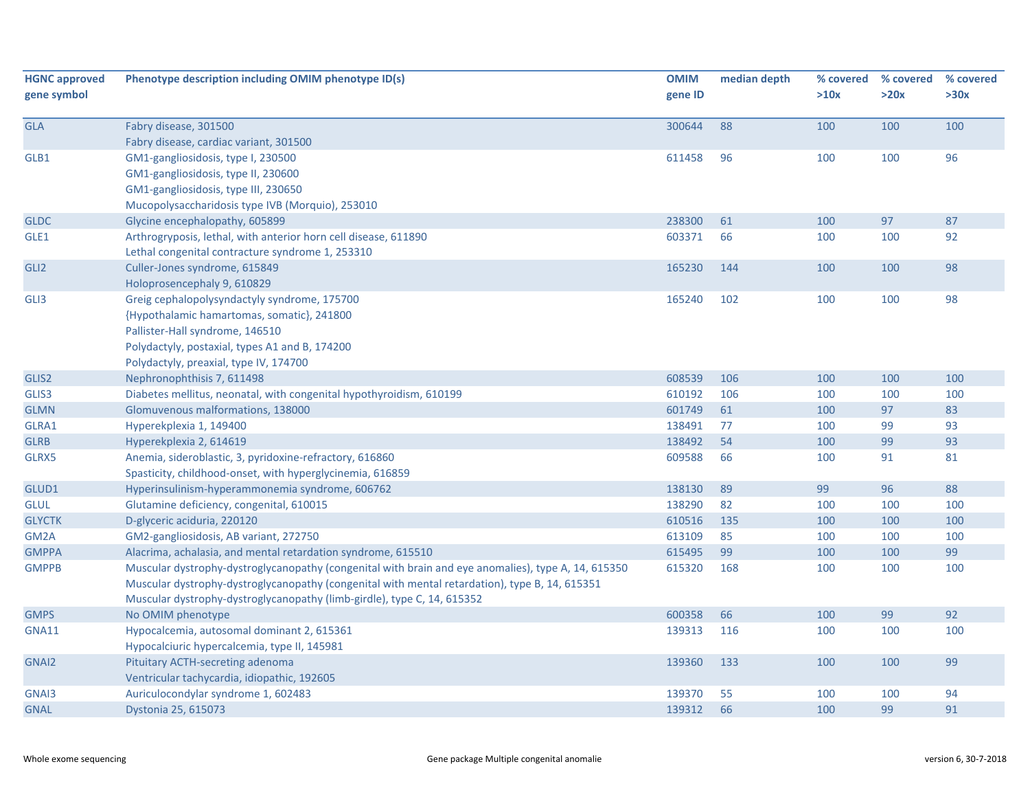| <b>HGNC approved</b><br>gene symbol | Phenotype description including OMIM phenotype ID(s)                                                                                                                                                  | <b>OMIM</b><br>gene ID | median depth | % covered<br>>10x | % covered<br>>20x | % covered<br>>30x |
|-------------------------------------|-------------------------------------------------------------------------------------------------------------------------------------------------------------------------------------------------------|------------------------|--------------|-------------------|-------------------|-------------------|
| <b>GLA</b>                          | Fabry disease, 301500                                                                                                                                                                                 | 300644                 | 88           | 100               | 100               | 100               |
|                                     | Fabry disease, cardiac variant, 301500                                                                                                                                                                |                        |              |                   |                   |                   |
| GLB1                                | GM1-gangliosidosis, type I, 230500                                                                                                                                                                    | 611458                 | 96           | 100               | 100               | 96                |
|                                     | GM1-gangliosidosis, type II, 230600                                                                                                                                                                   |                        |              |                   |                   |                   |
|                                     | GM1-gangliosidosis, type III, 230650                                                                                                                                                                  |                        |              |                   |                   |                   |
|                                     | Mucopolysaccharidosis type IVB (Morquio), 253010                                                                                                                                                      |                        |              |                   |                   |                   |
| <b>GLDC</b>                         | Glycine encephalopathy, 605899                                                                                                                                                                        | 238300                 | 61           | 100               | 97                | 87                |
| GLE1                                | Arthrogryposis, lethal, with anterior horn cell disease, 611890<br>Lethal congenital contracture syndrome 1, 253310                                                                                   | 603371                 | 66           | 100               | 100               | 92                |
| GLI <sub>2</sub>                    | Culler-Jones syndrome, 615849                                                                                                                                                                         | 165230                 | 144          | 100               | 100               | 98                |
|                                     | Holoprosencephaly 9, 610829                                                                                                                                                                           |                        |              |                   |                   |                   |
| GLI3                                | Greig cephalopolysyndactyly syndrome, 175700                                                                                                                                                          | 165240                 | 102          | 100               | 100               | 98                |
|                                     | {Hypothalamic hamartomas, somatic}, 241800                                                                                                                                                            |                        |              |                   |                   |                   |
|                                     | Pallister-Hall syndrome, 146510                                                                                                                                                                       |                        |              |                   |                   |                   |
|                                     | Polydactyly, postaxial, types A1 and B, 174200                                                                                                                                                        |                        |              |                   |                   |                   |
|                                     | Polydactyly, preaxial, type IV, 174700                                                                                                                                                                |                        |              |                   |                   |                   |
| GLIS2                               | Nephronophthisis 7, 611498                                                                                                                                                                            | 608539                 | 106          | 100               | 100               | 100               |
| GLIS3                               | Diabetes mellitus, neonatal, with congenital hypothyroidism, 610199                                                                                                                                   | 610192                 | 106          | 100               | 100               | 100               |
| <b>GLMN</b>                         | Glomuvenous malformations, 138000                                                                                                                                                                     | 601749                 | 61           | 100               | 97                | 83                |
| GLRA1                               | Hyperekplexia 1, 149400                                                                                                                                                                               | 138491                 | 77           | 100               | 99                | 93                |
| <b>GLRB</b>                         | Hyperekplexia 2, 614619                                                                                                                                                                               | 138492                 | 54           | 100               | 99                | 93                |
| GLRX5                               | Anemia, sideroblastic, 3, pyridoxine-refractory, 616860                                                                                                                                               | 609588                 | 66           | 100               | 91                | 81                |
|                                     | Spasticity, childhood-onset, with hyperglycinemia, 616859                                                                                                                                             |                        |              |                   |                   |                   |
| GLUD1                               | Hyperinsulinism-hyperammonemia syndrome, 606762                                                                                                                                                       | 138130                 | 89           | 99                | 96                | 88                |
| <b>GLUL</b>                         | Glutamine deficiency, congenital, 610015                                                                                                                                                              | 138290                 | 82           | 100               | 100               | 100               |
| <b>GLYCTK</b>                       | D-glyceric aciduria, 220120                                                                                                                                                                           | 610516                 | 135          | 100               | 100               | 100               |
| GM <sub>2</sub> A                   | GM2-gangliosidosis, AB variant, 272750                                                                                                                                                                | 613109                 | 85           | 100               | 100               | 100               |
| <b>GMPPA</b>                        | Alacrima, achalasia, and mental retardation syndrome, 615510                                                                                                                                          | 615495                 | 99           | 100               | 100               | 99                |
| <b>GMPPB</b>                        | Muscular dystrophy-dystroglycanopathy (congenital with brain and eye anomalies), type A, 14, 615350<br>Muscular dystrophy-dystroglycanopathy (congenital with mental retardation), type B, 14, 615351 | 615320                 | 168          | 100               | 100               | 100               |
|                                     | Muscular dystrophy-dystroglycanopathy (limb-girdle), type C, 14, 615352                                                                                                                               |                        |              |                   |                   |                   |
| <b>GMPS</b>                         | No OMIM phenotype                                                                                                                                                                                     | 600358                 | 66           | 100               | 99                | 92                |
| <b>GNA11</b>                        | Hypocalcemia, autosomal dominant 2, 615361<br>Hypocalciuric hypercalcemia, type II, 145981                                                                                                            | 139313                 | 116          | 100               | 100               | 100               |
| GNAI <sub>2</sub>                   | Pituitary ACTH-secreting adenoma                                                                                                                                                                      | 139360                 | 133          | 100               | 100               | 99                |
|                                     | Ventricular tachycardia, idiopathic, 192605                                                                                                                                                           |                        |              |                   |                   |                   |
| GNAI3                               | Auriculocondylar syndrome 1, 602483                                                                                                                                                                   | 139370                 | 55           | 100               | 100               | 94                |
| <b>GNAL</b>                         | Dystonia 25, 615073                                                                                                                                                                                   | 139312                 | 66           | 100               | 99                | 91                |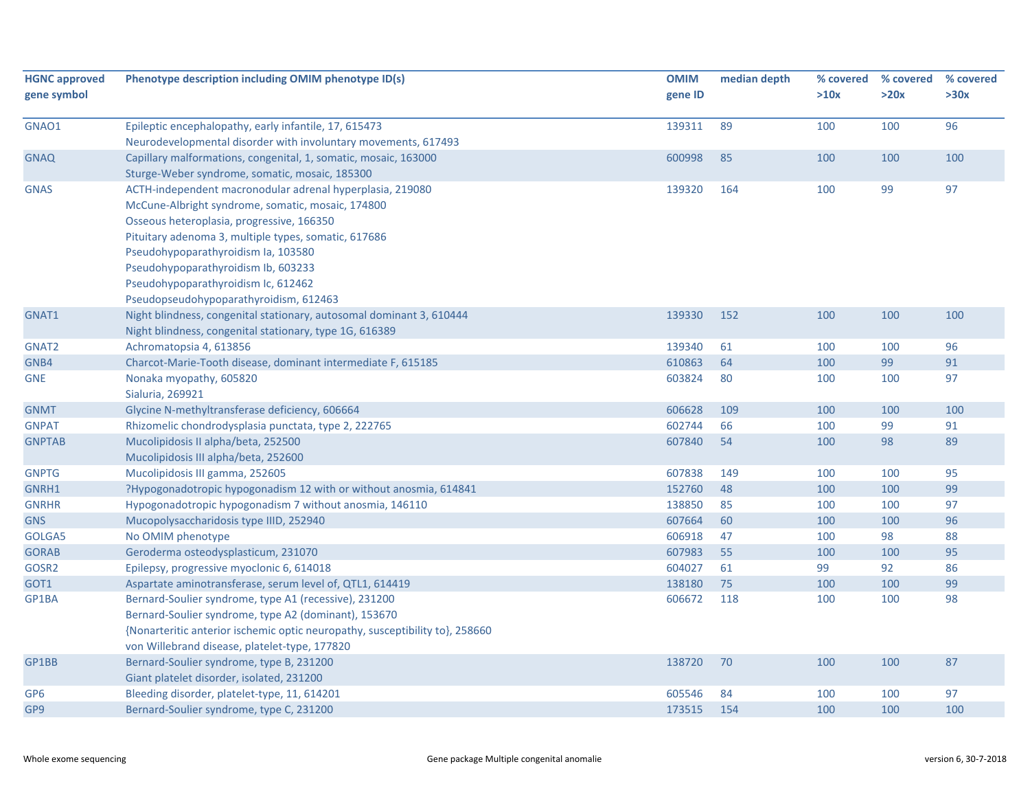| <b>HGNC approved</b><br>gene symbol | Phenotype description including OMIM phenotype ID(s)                                                                              | <b>OMIM</b><br>gene ID | median depth | % covered<br>>10x | % covered<br>>20x | % covered<br>>30x |
|-------------------------------------|-----------------------------------------------------------------------------------------------------------------------------------|------------------------|--------------|-------------------|-------------------|-------------------|
| GNAO1                               | Epileptic encephalopathy, early infantile, 17, 615473                                                                             | 139311                 | 89           | 100               | 100               | 96                |
| <b>GNAQ</b>                         | Neurodevelopmental disorder with involuntary movements, 617493<br>Capillary malformations, congenital, 1, somatic, mosaic, 163000 | 600998                 | 85           | 100               | 100               | 100               |
|                                     | Sturge-Weber syndrome, somatic, mosaic, 185300                                                                                    |                        |              |                   |                   |                   |
| <b>GNAS</b>                         | ACTH-independent macronodular adrenal hyperplasia, 219080                                                                         | 139320                 | 164          | 100               | 99                | 97                |
|                                     | McCune-Albright syndrome, somatic, mosaic, 174800                                                                                 |                        |              |                   |                   |                   |
|                                     | Osseous heteroplasia, progressive, 166350                                                                                         |                        |              |                   |                   |                   |
|                                     | Pituitary adenoma 3, multiple types, somatic, 617686                                                                              |                        |              |                   |                   |                   |
|                                     | Pseudohypoparathyroidism Ia, 103580                                                                                               |                        |              |                   |                   |                   |
|                                     | Pseudohypoparathyroidism Ib, 603233                                                                                               |                        |              |                   |                   |                   |
|                                     | Pseudohypoparathyroidism Ic, 612462                                                                                               |                        |              |                   |                   |                   |
|                                     | Pseudopseudohypoparathyroidism, 612463                                                                                            |                        |              |                   |                   |                   |
| GNAT1                               | Night blindness, congenital stationary, autosomal dominant 3, 610444                                                              | 139330                 | 152          | 100               | 100               | 100               |
|                                     | Night blindness, congenital stationary, type 1G, 616389                                                                           |                        |              |                   |                   |                   |
| GNAT <sub>2</sub>                   | Achromatopsia 4, 613856                                                                                                           | 139340                 | 61           | 100               | 100               | 96                |
| GNB4                                | Charcot-Marie-Tooth disease, dominant intermediate F, 615185                                                                      | 610863                 | 64           | 100               | 99                | 91                |
| <b>GNE</b>                          | Nonaka myopathy, 605820                                                                                                           | 603824                 | 80           | 100               | 100               | 97                |
|                                     | Sialuria, 269921                                                                                                                  |                        |              |                   |                   |                   |
| <b>GNMT</b>                         | Glycine N-methyltransferase deficiency, 606664                                                                                    | 606628                 | 109          | 100               | 100               | 100               |
| <b>GNPAT</b>                        | Rhizomelic chondrodysplasia punctata, type 2, 222765                                                                              | 602744                 | 66           | 100               | 99                | 91                |
| <b>GNPTAB</b>                       | Mucolipidosis II alpha/beta, 252500                                                                                               | 607840                 | 54           | 100               | 98                | 89                |
|                                     | Mucolipidosis III alpha/beta, 252600                                                                                              |                        |              |                   |                   |                   |
| <b>GNPTG</b>                        | Mucolipidosis III gamma, 252605                                                                                                   | 607838                 | 149          | 100               | 100               | 95                |
| GNRH1                               | ?Hypogonadotropic hypogonadism 12 with or without anosmia, 614841                                                                 | 152760                 | 48           | 100               | 100               | 99                |
| <b>GNRHR</b>                        | Hypogonadotropic hypogonadism 7 without anosmia, 146110                                                                           | 138850                 | 85           | 100               | 100               | 97                |
| <b>GNS</b>                          | Mucopolysaccharidosis type IIID, 252940                                                                                           | 607664                 | 60           | 100               | 100               | 96                |
| GOLGA5                              | No OMIM phenotype                                                                                                                 | 606918                 | 47           | 100               | 98                | 88                |
| <b>GORAB</b>                        | Geroderma osteodysplasticum, 231070                                                                                               | 607983                 | 55           | 100               | 100               | 95                |
| GOSR2                               | Epilepsy, progressive myoclonic 6, 614018                                                                                         | 604027                 | 61           | 99                | 92                | 86                |
| GOT1                                | Aspartate aminotransferase, serum level of, QTL1, 614419                                                                          | 138180                 | 75           | 100               | 100               | 99                |
| GP1BA                               | Bernard-Soulier syndrome, type A1 (recessive), 231200                                                                             | 606672                 | 118          | 100               | 100               | 98                |
|                                     | Bernard-Soulier syndrome, type A2 (dominant), 153670                                                                              |                        |              |                   |                   |                   |
|                                     | {Nonarteritic anterior ischemic optic neuropathy, susceptibility to }, 258660                                                     |                        |              |                   |                   |                   |
|                                     | von Willebrand disease, platelet-type, 177820                                                                                     |                        |              |                   |                   |                   |
| GP1BB                               | Bernard-Soulier syndrome, type B, 231200                                                                                          | 138720                 | 70           | 100               | 100               | 87                |
|                                     | Giant platelet disorder, isolated, 231200                                                                                         |                        |              |                   |                   |                   |
| GP <sub>6</sub>                     | Bleeding disorder, platelet-type, 11, 614201                                                                                      | 605546                 | 84           | 100               | 100               | 97                |
| GP9                                 | Bernard-Soulier syndrome, type C, 231200                                                                                          | 173515                 | 154          | 100               | 100               | 100               |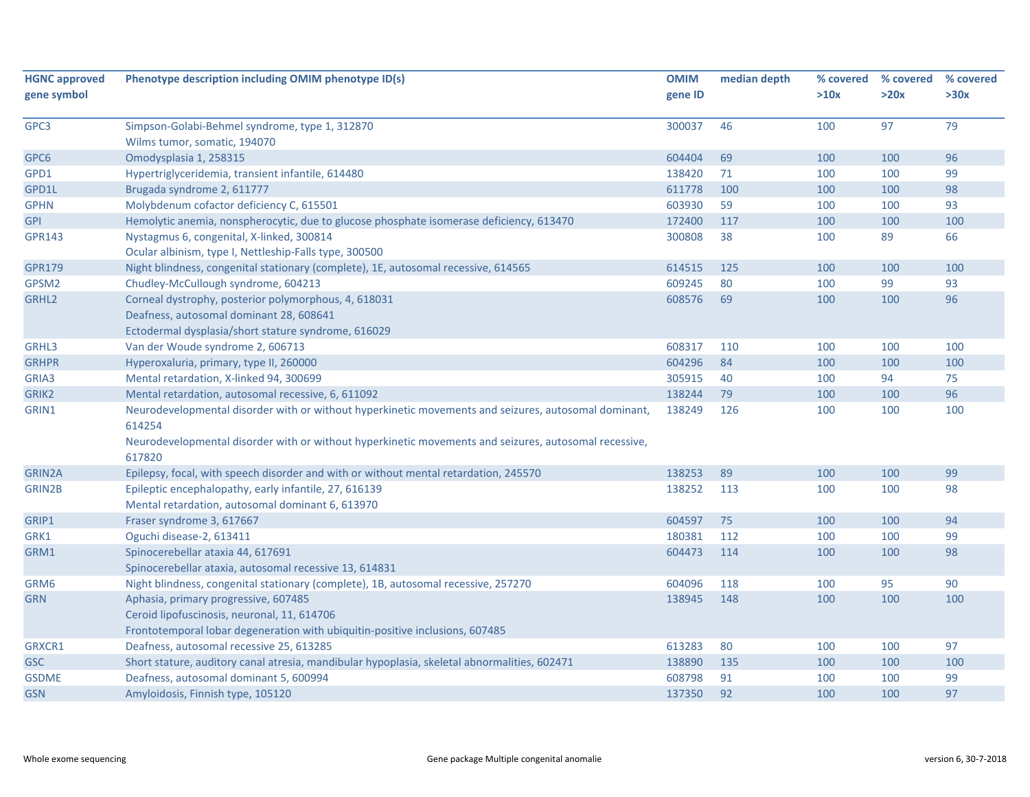| gene symbol<br>>10x<br>>20x<br>>30x<br>gene ID<br>79<br>Simpson-Golabi-Behmel syndrome, type 1, 312870<br>300037<br>46<br>100<br>97<br>Wilms tumor, somatic, 194070<br>96<br>Omodysplasia 1, 258315<br>604404<br>69<br>100<br>100<br>Hypertriglyceridemia, transient infantile, 614480<br>138420<br>100<br>100<br>99<br>GPD1<br>71<br>611778<br>100<br>100<br>98<br>Brugada syndrome 2, 611777<br>100<br>Molybdenum cofactor deficiency C, 615501<br>59<br>603930<br>100<br>100<br>93 |  |
|---------------------------------------------------------------------------------------------------------------------------------------------------------------------------------------------------------------------------------------------------------------------------------------------------------------------------------------------------------------------------------------------------------------------------------------------------------------------------------------|--|
| GPC3<br>GPC6<br>GPD1L<br><b>GPHN</b>                                                                                                                                                                                                                                                                                                                                                                                                                                                  |  |
|                                                                                                                                                                                                                                                                                                                                                                                                                                                                                       |  |
|                                                                                                                                                                                                                                                                                                                                                                                                                                                                                       |  |
|                                                                                                                                                                                                                                                                                                                                                                                                                                                                                       |  |
|                                                                                                                                                                                                                                                                                                                                                                                                                                                                                       |  |
|                                                                                                                                                                                                                                                                                                                                                                                                                                                                                       |  |
|                                                                                                                                                                                                                                                                                                                                                                                                                                                                                       |  |
|                                                                                                                                                                                                                                                                                                                                                                                                                                                                                       |  |
| <b>GPI</b><br>Hemolytic anemia, nonspherocytic, due to glucose phosphate isomerase deficiency, 613470<br>172400<br>117<br>100<br>100<br>100                                                                                                                                                                                                                                                                                                                                           |  |
| <b>GPR143</b><br>Nystagmus 6, congenital, X-linked, 300814<br>300808<br>38<br>100<br>89<br>66                                                                                                                                                                                                                                                                                                                                                                                         |  |
| Ocular albinism, type I, Nettleship-Falls type, 300500                                                                                                                                                                                                                                                                                                                                                                                                                                |  |
| <b>GPR179</b><br>Night blindness, congenital stationary (complete), 1E, autosomal recessive, 614565<br>614515<br>125<br>100<br>100<br>100                                                                                                                                                                                                                                                                                                                                             |  |
| GPSM2<br>Chudley-McCullough syndrome, 604213<br>609245<br>80<br>100<br>99<br>93                                                                                                                                                                                                                                                                                                                                                                                                       |  |
| 608576<br>96<br>GRHL2<br>Corneal dystrophy, posterior polymorphous, 4, 618031<br>69<br>100<br>100                                                                                                                                                                                                                                                                                                                                                                                     |  |
| Deafness, autosomal dominant 28, 608641                                                                                                                                                                                                                                                                                                                                                                                                                                               |  |
| Ectodermal dysplasia/short stature syndrome, 616029                                                                                                                                                                                                                                                                                                                                                                                                                                   |  |
| GRHL3<br>Van der Woude syndrome 2, 606713<br>608317<br>110<br>100<br>100<br>100                                                                                                                                                                                                                                                                                                                                                                                                       |  |
| 604296<br>Hyperoxaluria, primary, type II, 260000<br>84<br>100<br>100<br>100<br><b>GRHPR</b>                                                                                                                                                                                                                                                                                                                                                                                          |  |
| Mental retardation, X-linked 94, 300699<br>305915<br>94<br>75<br>GRIA3<br>40<br>100                                                                                                                                                                                                                                                                                                                                                                                                   |  |
| 96<br>GRIK2<br>Mental retardation, autosomal recessive, 6, 611092<br>138244<br>79<br>100<br>100                                                                                                                                                                                                                                                                                                                                                                                       |  |
| Neurodevelopmental disorder with or without hyperkinetic movements and seizures, autosomal dominant,<br>138249<br>126<br>100<br>100<br>100<br>GRIN1                                                                                                                                                                                                                                                                                                                                   |  |
| 614254                                                                                                                                                                                                                                                                                                                                                                                                                                                                                |  |
| Neurodevelopmental disorder with or without hyperkinetic movements and seizures, autosomal recessive,                                                                                                                                                                                                                                                                                                                                                                                 |  |
| 617820                                                                                                                                                                                                                                                                                                                                                                                                                                                                                |  |
| Epilepsy, focal, with speech disorder and with or without mental retardation, 245570<br>99<br>138253<br>89<br>100<br>100<br><b>GRIN2A</b>                                                                                                                                                                                                                                                                                                                                             |  |
| Epileptic encephalopathy, early infantile, 27, 616139<br>98<br>GRIN2B<br>138252<br>113<br>100<br>100                                                                                                                                                                                                                                                                                                                                                                                  |  |
| Mental retardation, autosomal dominant 6, 613970                                                                                                                                                                                                                                                                                                                                                                                                                                      |  |
| 75<br>GRIP1<br>Fraser syndrome 3, 617667<br>604597<br>100<br>100<br>94                                                                                                                                                                                                                                                                                                                                                                                                                |  |
| Oguchi disease-2, 613411<br>180381<br>100<br>99<br>GRK1<br>112<br>100                                                                                                                                                                                                                                                                                                                                                                                                                 |  |
| 604473<br>98<br>Spinocerebellar ataxia 44, 617691<br>114<br>100<br>100<br>GRM1                                                                                                                                                                                                                                                                                                                                                                                                        |  |
| Spinocerebellar ataxia, autosomal recessive 13, 614831                                                                                                                                                                                                                                                                                                                                                                                                                                |  |
| 95<br>90<br>GRM6<br>Night blindness, congenital stationary (complete), 1B, autosomal recessive, 257270<br>604096<br>118<br>100                                                                                                                                                                                                                                                                                                                                                        |  |
| 138945<br>148<br>Aphasia, primary progressive, 607485<br>100<br>100<br>100<br><b>GRN</b>                                                                                                                                                                                                                                                                                                                                                                                              |  |
| Ceroid lipofuscinosis, neuronal, 11, 614706                                                                                                                                                                                                                                                                                                                                                                                                                                           |  |
| Frontotemporal lobar degeneration with ubiquitin-positive inclusions, 607485                                                                                                                                                                                                                                                                                                                                                                                                          |  |
| Deafness, autosomal recessive 25, 613285<br>613283<br>80<br>100<br>100<br>97<br>GRXCR1                                                                                                                                                                                                                                                                                                                                                                                                |  |
| 100<br>Short stature, auditory canal atresia, mandibular hypoplasia, skeletal abnormalities, 602471<br>138890<br>135<br>100<br>100<br><b>GSC</b>                                                                                                                                                                                                                                                                                                                                      |  |
| Deafness, autosomal dominant 5, 600994<br>608798<br>91<br>100<br>100<br>99<br><b>GSDME</b>                                                                                                                                                                                                                                                                                                                                                                                            |  |
| 92<br>97<br>Amyloidosis, Finnish type, 105120<br>137350<br>100<br>100<br><b>GSN</b>                                                                                                                                                                                                                                                                                                                                                                                                   |  |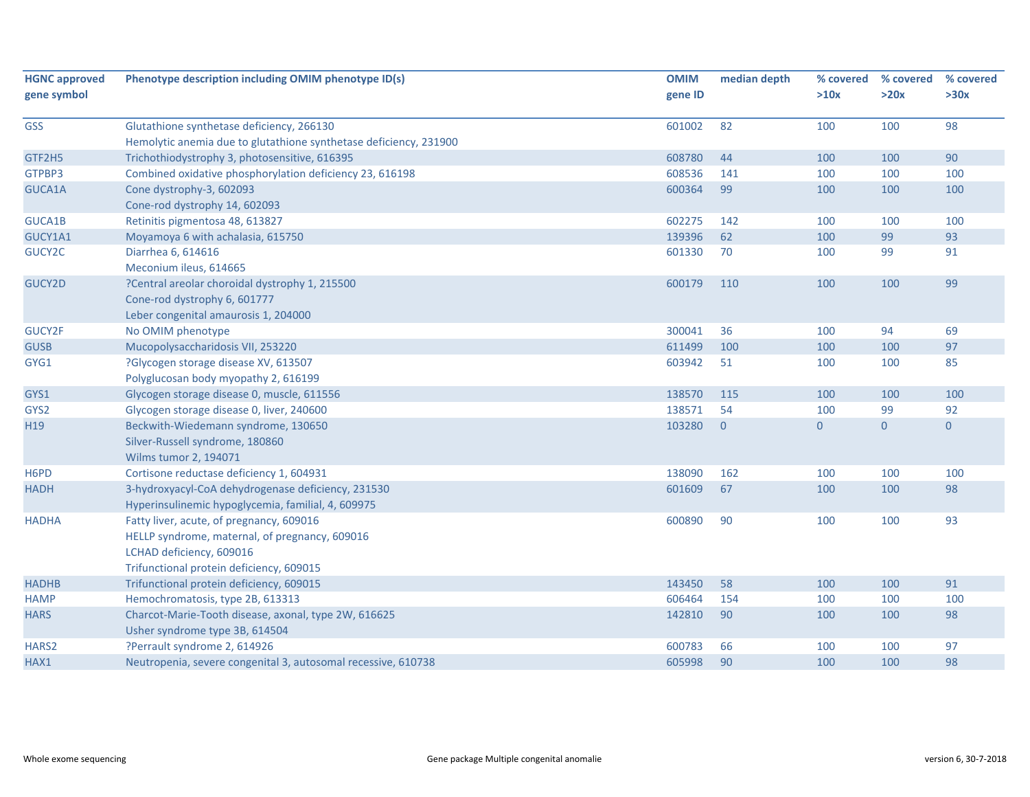| <b>HGNC approved</b>          | Phenotype description including OMIM phenotype ID(s)              | <b>OMIM</b> | median depth   | % covered        | % covered      | % covered      |
|-------------------------------|-------------------------------------------------------------------|-------------|----------------|------------------|----------------|----------------|
| gene symbol                   |                                                                   | gene ID     |                | >10x             | >20x           | >30x           |
| <b>GSS</b>                    | Glutathione synthetase deficiency, 266130                         | 601002      | 82             | 100              | 100            | 98             |
|                               | Hemolytic anemia due to glutathione synthetase deficiency, 231900 |             |                |                  |                |                |
| GTF2H5                        | Trichothiodystrophy 3, photosensitive, 616395                     | 608780      | 44             | 100              | 100            | 90             |
| GTPBP3                        | Combined oxidative phosphorylation deficiency 23, 616198          | 608536      | 141            | 100              | 100            | 100            |
| GUCA1A                        | Cone dystrophy-3, 602093                                          | 600364      | 99             | 100              | 100            | 100            |
|                               | Cone-rod dystrophy 14, 602093                                     |             |                |                  |                |                |
| GUCA1B                        | Retinitis pigmentosa 48, 613827                                   | 602275      | 142            | 100              | 100            | 100            |
| GUCY1A1                       | Moyamoya 6 with achalasia, 615750                                 | 139396      | 62             | 100              | 99             | 93             |
| GUCY2C                        | Diarrhea 6, 614616                                                | 601330      | 70             | 100              | 99             | 91             |
|                               | Meconium ileus, 614665                                            |             |                |                  |                |                |
| GUCY2D                        | ?Central areolar choroidal dystrophy 1, 215500                    | 600179      | 110            | 100              | 100            | 99             |
|                               | Cone-rod dystrophy 6, 601777                                      |             |                |                  |                |                |
|                               | Leber congenital amaurosis 1, 204000                              |             |                |                  |                |                |
| GUCY2F                        | No OMIM phenotype                                                 | 300041      | 36             | 100              | 94             | 69             |
| <b>GUSB</b>                   | Mucopolysaccharidosis VII, 253220                                 | 611499      | 100            | 100              | 100            | 97             |
| GYG1                          | ?Glycogen storage disease XV, 613507                              | 603942      | 51             | 100              | 100            | 85             |
|                               | Polyglucosan body myopathy 2, 616199                              |             |                |                  |                |                |
| GYS1                          | Glycogen storage disease 0, muscle, 611556                        | 138570      | 115            | 100              | 100            | 100            |
| GYS2                          | Glycogen storage disease 0, liver, 240600                         | 138571      | 54             | 100              | 99             | 92             |
| H19                           | Beckwith-Wiedemann syndrome, 130650                               | 103280      | $\overline{0}$ | $\boldsymbol{0}$ | $\overline{0}$ | $\overline{0}$ |
|                               | Silver-Russell syndrome, 180860                                   |             |                |                  |                |                |
|                               | Wilms tumor 2, 194071                                             |             |                |                  |                |                |
| H <sub>6</sub> P <sub>D</sub> | Cortisone reductase deficiency 1, 604931                          | 138090      | 162            | 100              | 100            | 100            |
| <b>HADH</b>                   | 3-hydroxyacyl-CoA dehydrogenase deficiency, 231530                | 601609      | 67             | 100              | 100            | 98             |
|                               | Hyperinsulinemic hypoglycemia, familial, 4, 609975                |             |                |                  |                |                |
| <b>HADHA</b>                  | Fatty liver, acute, of pregnancy, 609016                          | 600890      | 90             | 100              | 100            | 93             |
|                               | HELLP syndrome, maternal, of pregnancy, 609016                    |             |                |                  |                |                |
|                               | LCHAD deficiency, 609016                                          |             |                |                  |                |                |
|                               | Trifunctional protein deficiency, 609015                          |             |                |                  |                |                |
| <b>HADHB</b>                  | Trifunctional protein deficiency, 609015                          | 143450      | 58             | 100              | 100            | 91             |
| <b>HAMP</b>                   | Hemochromatosis, type 2B, 613313                                  | 606464      | 154            | 100              | 100            | 100            |
| <b>HARS</b>                   | Charcot-Marie-Tooth disease, axonal, type 2W, 616625              | 142810      | 90             | 100              | 100            | 98             |
|                               | Usher syndrome type 3B, 614504                                    |             |                |                  |                |                |
| HARS2                         | ?Perrault syndrome 2, 614926                                      | 600783      | 66             | 100              | 100            | 97             |
| HAX1                          | Neutropenia, severe congenital 3, autosomal recessive, 610738     | 605998      | 90             | 100              | 100            | 98             |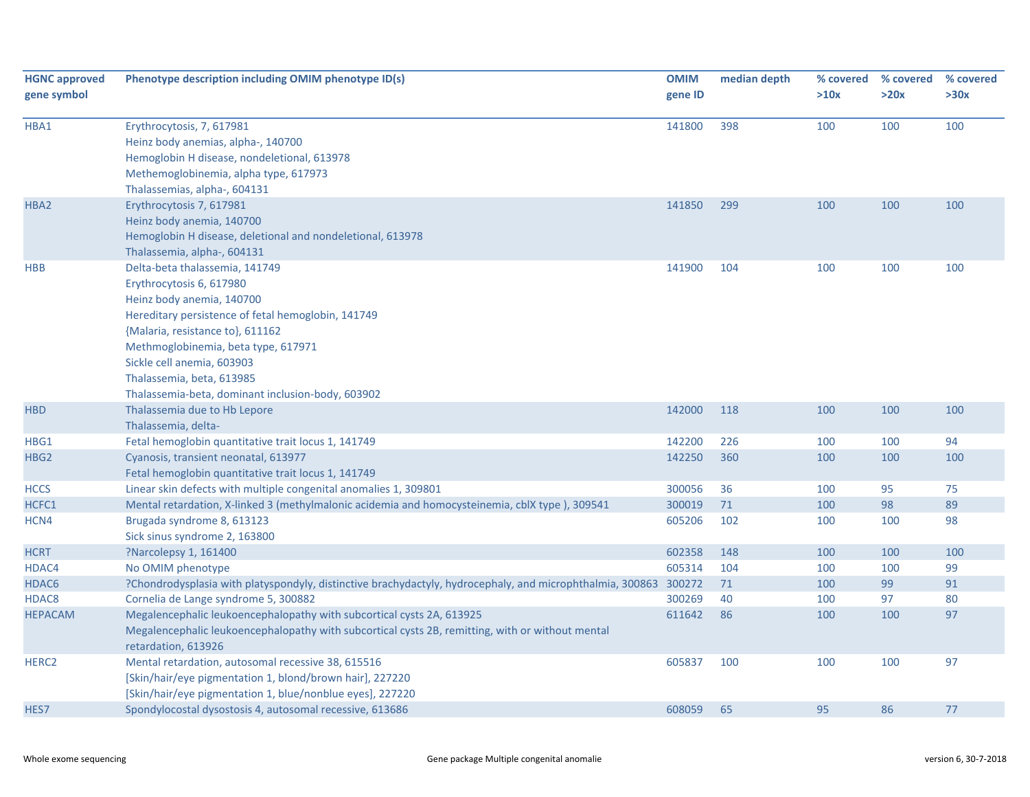| <b>HGNC approved</b> | Phenotype description including OMIM phenotype ID(s)                                                                                                                                                                                                                                                                                     | <b>OMIM</b> | median depth | % covered | % covered | % covered |
|----------------------|------------------------------------------------------------------------------------------------------------------------------------------------------------------------------------------------------------------------------------------------------------------------------------------------------------------------------------------|-------------|--------------|-----------|-----------|-----------|
| gene symbol          |                                                                                                                                                                                                                                                                                                                                          | gene ID     |              | >10x      | >20x      | >30x      |
| HBA1                 | Erythrocytosis, 7, 617981<br>Heinz body anemias, alpha-, 140700<br>Hemoglobin H disease, nondeletional, 613978<br>Methemoglobinemia, alpha type, 617973<br>Thalassemias, alpha-, 604131                                                                                                                                                  | 141800      | 398          | 100       | 100       | 100       |
| HBA2                 | Erythrocytosis 7, 617981<br>Heinz body anemia, 140700<br>Hemoglobin H disease, deletional and nondeletional, 613978<br>Thalassemia, alpha-, 604131                                                                                                                                                                                       | 141850      | 299          | 100       | 100       | 100       |
| <b>HBB</b>           | Delta-beta thalassemia, 141749<br>Erythrocytosis 6, 617980<br>Heinz body anemia, 140700<br>Hereditary persistence of fetal hemoglobin, 141749<br>{Malaria, resistance to}, 611162<br>Methmoglobinemia, beta type, 617971<br>Sickle cell anemia, 603903<br>Thalassemia, beta, 613985<br>Thalassemia-beta, dominant inclusion-body, 603902 | 141900      | 104          | 100       | 100       | 100       |
| <b>HBD</b>           | Thalassemia due to Hb Lepore<br>Thalassemia, delta-                                                                                                                                                                                                                                                                                      | 142000      | 118          | 100       | 100       | 100       |
| HBG1                 | Fetal hemoglobin quantitative trait locus 1, 141749                                                                                                                                                                                                                                                                                      | 142200      | 226          | 100       | 100       | 94        |
| HBG <sub>2</sub>     | Cyanosis, transient neonatal, 613977<br>Fetal hemoglobin quantitative trait locus 1, 141749                                                                                                                                                                                                                                              | 142250      | 360          | 100       | 100       | 100       |
| <b>HCCS</b>          | Linear skin defects with multiple congenital anomalies 1, 309801                                                                                                                                                                                                                                                                         | 300056      | 36           | 100       | 95        | 75        |
| HCFC1                | Mental retardation, X-linked 3 (methylmalonic acidemia and homocysteinemia, cblX type), 309541                                                                                                                                                                                                                                           | 300019      | 71           | 100       | 98        | 89        |
| HCN4                 | Brugada syndrome 8, 613123<br>Sick sinus syndrome 2, 163800                                                                                                                                                                                                                                                                              | 605206      | 102          | 100       | 100       | 98        |
| <b>HCRT</b>          | ?Narcolepsy 1, 161400                                                                                                                                                                                                                                                                                                                    | 602358      | 148          | 100       | 100       | 100       |
| HDAC4                | No OMIM phenotype                                                                                                                                                                                                                                                                                                                        | 605314      | 104          | 100       | 100       | 99        |
| HDAC <sub>6</sub>    | ?Chondrodysplasia with platyspondyly, distinctive brachydactyly, hydrocephaly, and microphthalmia, 300863 300272                                                                                                                                                                                                                         |             | 71           | 100       | 99        | 91        |
| HDAC8                | Cornelia de Lange syndrome 5, 300882                                                                                                                                                                                                                                                                                                     | 300269      | 40           | 100       | 97        | 80        |
| <b>HEPACAM</b>       | Megalencephalic leukoencephalopathy with subcortical cysts 2A, 613925<br>Megalencephalic leukoencephalopathy with subcortical cysts 2B, remitting, with or without mental<br>retardation, 613926                                                                                                                                         | 611642      | 86           | 100       | 100       | 97        |
| HERC <sub>2</sub>    | Mental retardation, autosomal recessive 38, 615516<br>[Skin/hair/eye pigmentation 1, blond/brown hair], 227220<br>[Skin/hair/eye pigmentation 1, blue/nonblue eyes], 227220                                                                                                                                                              | 605837      | 100          | 100       | 100       | 97        |
| HES7                 | Spondylocostal dysostosis 4, autosomal recessive, 613686                                                                                                                                                                                                                                                                                 | 608059      | 65           | 95        | 86        | 77        |
|                      |                                                                                                                                                                                                                                                                                                                                          |             |              |           |           |           |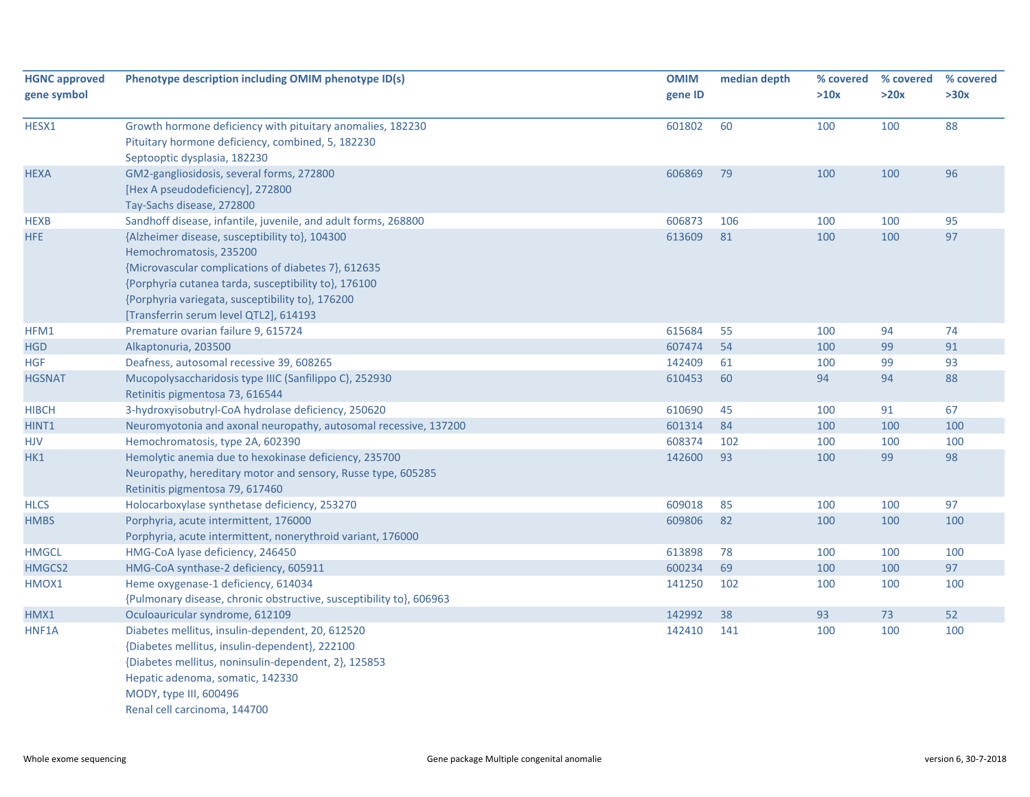| <b>HGNC approved</b><br>gene symbol | Phenotype description including OMIM phenotype ID(s)                                                                                                                                                                                                                                                                                                     | <b>OMIM</b><br>gene ID | median depth | % covered<br>>10x | % covered<br>>20x | % covered<br>>30x |
|-------------------------------------|----------------------------------------------------------------------------------------------------------------------------------------------------------------------------------------------------------------------------------------------------------------------------------------------------------------------------------------------------------|------------------------|--------------|-------------------|-------------------|-------------------|
| HESX1                               | Growth hormone deficiency with pituitary anomalies, 182230<br>Pituitary hormone deficiency, combined, 5, 182230<br>Septooptic dysplasia, 182230                                                                                                                                                                                                          | 601802                 | 60           | 100               | 100               | 88                |
| <b>HEXA</b>                         | GM2-gangliosidosis, several forms, 272800<br>[Hex A pseudodeficiency], 272800<br>Tay-Sachs disease, 272800                                                                                                                                                                                                                                               | 606869                 | 79           | 100               | 100               | 96                |
| <b>HEXB</b><br>HFE                  | Sandhoff disease, infantile, juvenile, and adult forms, 268800<br>{Alzheimer disease, susceptibility to}, 104300<br>Hemochromatosis, 235200<br>{Microvascular complications of diabetes 7}, 612635<br>{Porphyria cutanea tarda, susceptibility to}, 176100<br>{Porphyria variegata, susceptibility to}, 176200<br>[Transferrin serum level QTL2], 614193 | 606873<br>613609       | 106<br>81    | 100<br>100        | 100<br>100        | 95<br>97          |
| HFM1                                | Premature ovarian failure 9, 615724                                                                                                                                                                                                                                                                                                                      | 615684                 | 55           | 100               | 94                | 74                |
| <b>HGD</b>                          | Alkaptonuria, 203500                                                                                                                                                                                                                                                                                                                                     | 607474                 | 54           | 100               | 99                | 91                |
| <b>HGF</b>                          | Deafness, autosomal recessive 39, 608265                                                                                                                                                                                                                                                                                                                 | 142409                 | 61           | 100               | 99                | 93                |
| <b>HGSNAT</b>                       | Mucopolysaccharidosis type IIIC (Sanfilippo C), 252930<br>Retinitis pigmentosa 73, 616544                                                                                                                                                                                                                                                                | 610453                 | 60           | 94                | 94                | 88                |
| <b>HIBCH</b>                        | 3-hydroxyisobutryl-CoA hydrolase deficiency, 250620                                                                                                                                                                                                                                                                                                      | 610690                 | 45           | 100               | 91                | 67                |
| HINT1                               | Neuromyotonia and axonal neuropathy, autosomal recessive, 137200                                                                                                                                                                                                                                                                                         | 601314                 | 84           | 100               | 100               | 100               |
| <b>HJV</b>                          | Hemochromatosis, type 2A, 602390                                                                                                                                                                                                                                                                                                                         | 608374                 | 102          | 100               | 100               | 100               |
| HK1                                 | Hemolytic anemia due to hexokinase deficiency, 235700<br>Neuropathy, hereditary motor and sensory, Russe type, 605285<br>Retinitis pigmentosa 79, 617460                                                                                                                                                                                                 | 142600                 | 93           | 100               | 99                | 98                |
| <b>HLCS</b>                         | Holocarboxylase synthetase deficiency, 253270                                                                                                                                                                                                                                                                                                            | 609018                 | 85           | 100               | 100               | 97                |
| <b>HMBS</b>                         | Porphyria, acute intermittent, 176000<br>Porphyria, acute intermittent, nonerythroid variant, 176000                                                                                                                                                                                                                                                     | 609806                 | 82           | 100               | 100               | 100               |
| <b>HMGCL</b>                        | HMG-CoA lyase deficiency, 246450                                                                                                                                                                                                                                                                                                                         | 613898                 | 78           | 100               | 100               | 100               |
| HMGCS2                              | HMG-CoA synthase-2 deficiency, 605911                                                                                                                                                                                                                                                                                                                    | 600234                 | 69           | 100               | 100               | 97                |
| HMOX1                               | Heme oxygenase-1 deficiency, 614034<br>{Pulmonary disease, chronic obstructive, susceptibility to}, 606963                                                                                                                                                                                                                                               | 141250                 | 102          | 100               | 100               | 100               |
| HMX1                                | Oculoauricular syndrome, 612109                                                                                                                                                                                                                                                                                                                          | 142992                 | 38           | 93                | 73                | 52                |
| HNF1A                               | Diabetes mellitus, insulin-dependent, 20, 612520<br>{Diabetes mellitus, insulin-dependent}, 222100<br>{Diabetes mellitus, noninsulin-dependent, 2}, 125853<br>Hepatic adenoma, somatic, 142330<br>MODY, type III, 600496<br>Renal cell carcinoma, 144700                                                                                                 | 142410                 | 141          | 100               | 100               | 100               |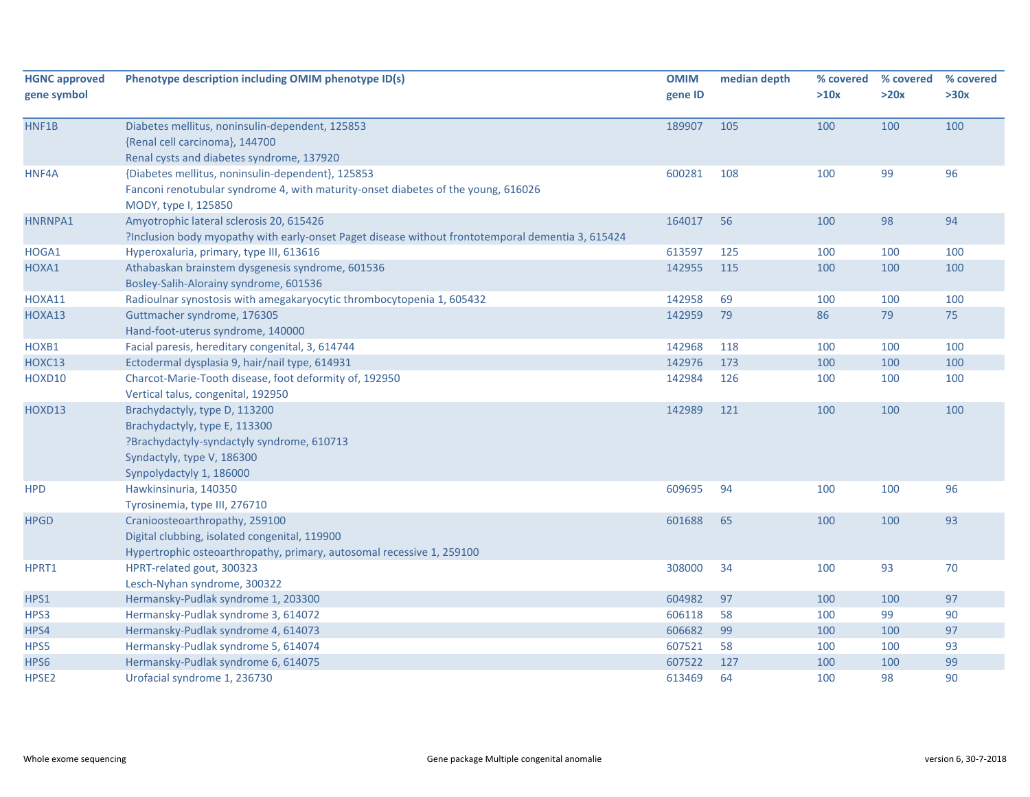| <b>HGNC approved</b> | Phenotype description including OMIM phenotype ID(s)                                                      | <b>OMIM</b> | median depth | % covered | % covered | % covered |
|----------------------|-----------------------------------------------------------------------------------------------------------|-------------|--------------|-----------|-----------|-----------|
| gene symbol          |                                                                                                           | gene ID     |              | >10x      | >20x      | >30x      |
| HNF1B                | Diabetes mellitus, noninsulin-dependent, 125853                                                           | 189907      | 105          | 100       | 100       | 100       |
|                      | {Renal cell carcinoma}, 144700                                                                            |             |              |           |           |           |
|                      | Renal cysts and diabetes syndrome, 137920                                                                 |             |              |           |           |           |
| HNF4A                | {Diabetes mellitus, noninsulin-dependent}, 125853                                                         | 600281      | 108          | 100       | 99        | 96        |
|                      | Fanconi renotubular syndrome 4, with maturity-onset diabetes of the young, 616026<br>MODY, type I, 125850 |             |              |           |           |           |
| HNRNPA1              | Amyotrophic lateral sclerosis 20, 615426                                                                  | 164017      | 56           | 100       | 98        | 94        |
|                      | ?Inclusion body myopathy with early-onset Paget disease without frontotemporal dementia 3, 615424         |             |              |           |           |           |
| HOGA1                | Hyperoxaluria, primary, type III, 613616                                                                  | 613597      | 125          | 100       | 100       | 100       |
| HOXA1                | Athabaskan brainstem dysgenesis syndrome, 601536                                                          | 142955      | 115          | 100       | 100       | 100       |
|                      | Bosley-Salih-Alorainy syndrome, 601536                                                                    |             |              |           |           |           |
| HOXA11               | Radioulnar synostosis with amegakaryocytic thrombocytopenia 1, 605432                                     | 142958      | 69           | 100       | 100       | 100       |
| HOXA13               | Guttmacher syndrome, 176305                                                                               | 142959      | 79           | 86        | 79        | 75        |
|                      | Hand-foot-uterus syndrome, 140000                                                                         |             |              |           |           |           |
| HOXB1                | Facial paresis, hereditary congenital, 3, 614744                                                          | 142968      | 118          | 100       | 100       | 100       |
| HOXC13               | Ectodermal dysplasia 9, hair/nail type, 614931                                                            | 142976      | 173          | 100       | 100       | 100       |
| HOXD10               | Charcot-Marie-Tooth disease, foot deformity of, 192950                                                    | 142984      | 126          | 100       | 100       | 100       |
|                      | Vertical talus, congenital, 192950                                                                        |             |              |           |           |           |
| HOXD13               | Brachydactyly, type D, 113200                                                                             | 142989      | 121          | 100       | 100       | 100       |
|                      | Brachydactyly, type E, 113300                                                                             |             |              |           |           |           |
|                      | ?Brachydactyly-syndactyly syndrome, 610713                                                                |             |              |           |           |           |
|                      | Syndactyly, type V, 186300                                                                                |             |              |           |           |           |
|                      | Synpolydactyly 1, 186000                                                                                  |             |              |           |           |           |
| <b>HPD</b>           | Hawkinsinuria, 140350                                                                                     | 609695      | 94           | 100       | 100       | 96        |
|                      | Tyrosinemia, type III, 276710                                                                             |             |              |           |           |           |
| <b>HPGD</b>          | Cranioosteoarthropathy, 259100                                                                            | 601688      | 65           | 100       | 100       | 93        |
|                      | Digital clubbing, isolated congenital, 119900                                                             |             |              |           |           |           |
|                      | Hypertrophic osteoarthropathy, primary, autosomal recessive 1, 259100                                     |             |              |           |           |           |
| HPRT1                | HPRT-related gout, 300323                                                                                 | 308000      | 34           | 100       | 93        | 70        |
|                      | Lesch-Nyhan syndrome, 300322                                                                              |             |              |           |           |           |
| HPS1                 | Hermansky-Pudlak syndrome 1, 203300                                                                       | 604982      | 97           | 100       | 100       | 97        |
| HPS3                 | Hermansky-Pudlak syndrome 3, 614072                                                                       | 606118      | 58           | 100       | 99        | 90        |
| HPS4                 | Hermansky-Pudlak syndrome 4, 614073                                                                       | 606682      | 99           | 100       | 100       | 97        |
| HPS5                 | Hermansky-Pudlak syndrome 5, 614074                                                                       | 607521      | 58           | 100       | 100       | 93        |
| HPS6                 | Hermansky-Pudlak syndrome 6, 614075                                                                       | 607522      | 127          | 100       | 100       | 99        |
| HPSE2                | Urofacial syndrome 1, 236730                                                                              | 613469      | 64           | 100       | 98        | 90        |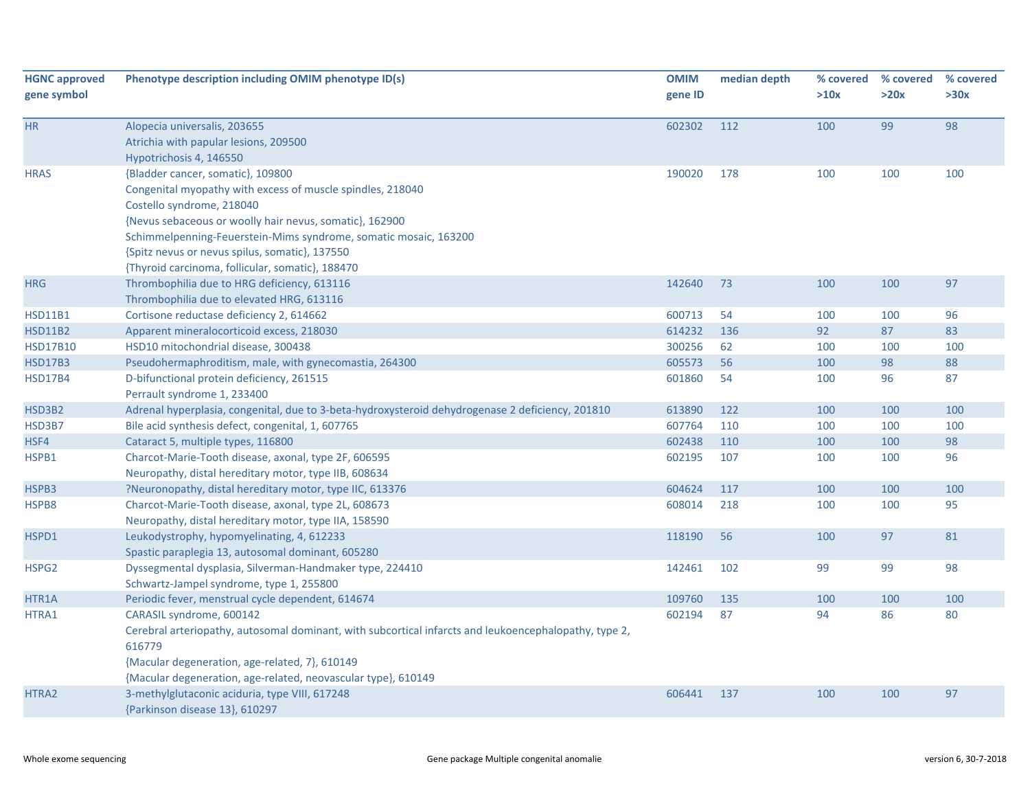| <b>HGNC approved</b> | Phenotype description including OMIM phenotype ID(s)                                                  | <b>OMIM</b> | median depth | % covered | % covered | % covered |
|----------------------|-------------------------------------------------------------------------------------------------------|-------------|--------------|-----------|-----------|-----------|
| gene symbol          |                                                                                                       | gene ID     |              | >10x      | >20x      | >30x      |
| HR                   | Alopecia universalis, 203655                                                                          | 602302      | 112          | 100       | 99        | 98        |
|                      | Atrichia with papular lesions, 209500                                                                 |             |              |           |           |           |
|                      | Hypotrichosis 4, 146550                                                                               |             |              |           |           |           |
| <b>HRAS</b>          | {Bladder cancer, somatic}, 109800                                                                     | 190020      | 178          | 100       | 100       | 100       |
|                      | Congenital myopathy with excess of muscle spindles, 218040                                            |             |              |           |           |           |
|                      | Costello syndrome, 218040                                                                             |             |              |           |           |           |
|                      | {Nevus sebaceous or woolly hair nevus, somatic}, 162900                                               |             |              |           |           |           |
|                      | Schimmelpenning-Feuerstein-Mims syndrome, somatic mosaic, 163200                                      |             |              |           |           |           |
|                      | {Spitz nevus or nevus spilus, somatic}, 137550                                                        |             |              |           |           |           |
|                      | {Thyroid carcinoma, follicular, somatic}, 188470                                                      |             |              |           |           |           |
| <b>HRG</b>           | Thrombophilia due to HRG deficiency, 613116                                                           | 142640      | 73           | 100       | 100       | 97        |
|                      | Thrombophilia due to elevated HRG, 613116                                                             |             |              |           |           |           |
| <b>HSD11B1</b>       | Cortisone reductase deficiency 2, 614662                                                              | 600713      | 54           | 100       | 100       | 96        |
| <b>HSD11B2</b>       | Apparent mineralocorticoid excess, 218030                                                             | 614232      | 136          | 92        | 87        | 83        |
| <b>HSD17B10</b>      | HSD10 mitochondrial disease, 300438                                                                   | 300256      | 62           | 100       | 100       | 100       |
| <b>HSD17B3</b>       | Pseudohermaphroditism, male, with gynecomastia, 264300                                                | 605573      | 56           | 100       | 98        | 88        |
| <b>HSD17B4</b>       | D-bifunctional protein deficiency, 261515                                                             | 601860      | 54           | 100       | 96        | 87        |
|                      | Perrault syndrome 1, 233400                                                                           |             |              |           |           |           |
| HSD3B2               | Adrenal hyperplasia, congenital, due to 3-beta-hydroxysteroid dehydrogenase 2 deficiency, 201810      | 613890      | 122          | 100       | 100       | 100       |
| HSD3B7               | Bile acid synthesis defect, congenital, 1, 607765                                                     | 607764      | 110          | 100       | 100       | 100       |
| HSF4                 | Cataract 5, multiple types, 116800                                                                    | 602438      | 110          | 100       | 100       | 98        |
| HSPB1                | Charcot-Marie-Tooth disease, axonal, type 2F, 606595                                                  | 602195      | 107          | 100       | 100       | 96        |
|                      | Neuropathy, distal hereditary motor, type IIB, 608634                                                 |             |              |           |           |           |
| HSPB3                | ?Neuronopathy, distal hereditary motor, type IIC, 613376                                              | 604624      | 117          | 100       | 100       | 100       |
| HSPB8                | Charcot-Marie-Tooth disease, axonal, type 2L, 608673                                                  | 608014      | 218          | 100       | 100       | 95        |
|                      | Neuropathy, distal hereditary motor, type IIA, 158590                                                 |             |              |           |           |           |
| HSPD1                | Leukodystrophy, hypomyelinating, 4, 612233                                                            | 118190      | 56           | 100       | 97        | 81        |
|                      | Spastic paraplegia 13, autosomal dominant, 605280                                                     |             |              |           |           |           |
| HSPG2                | Dyssegmental dysplasia, Silverman-Handmaker type, 224410                                              | 142461      | 102          | 99        | 99        | 98        |
|                      | Schwartz-Jampel syndrome, type 1, 255800                                                              |             |              |           |           |           |
| HTR1A                | Periodic fever, menstrual cycle dependent, 614674                                                     | 109760      | 135          | 100       | 100       | 100       |
| HTRA1                | CARASIL syndrome, 600142                                                                              | 602194      | 87           | 94        | 86        | 80        |
|                      | Cerebral arteriopathy, autosomal dominant, with subcortical infarcts and leukoencephalopathy, type 2, |             |              |           |           |           |
|                      | 616779                                                                                                |             |              |           |           |           |
|                      | {Macular degeneration, age-related, 7}, 610149                                                        |             |              |           |           |           |
|                      | {Macular degeneration, age-related, neovascular type}, 610149                                         |             |              |           |           |           |
| HTRA2                | 3-methylglutaconic aciduria, type VIII, 617248                                                        | 606441      | 137          | 100       | 100       | 97        |
|                      | {Parkinson disease 13}, 610297                                                                        |             |              |           |           |           |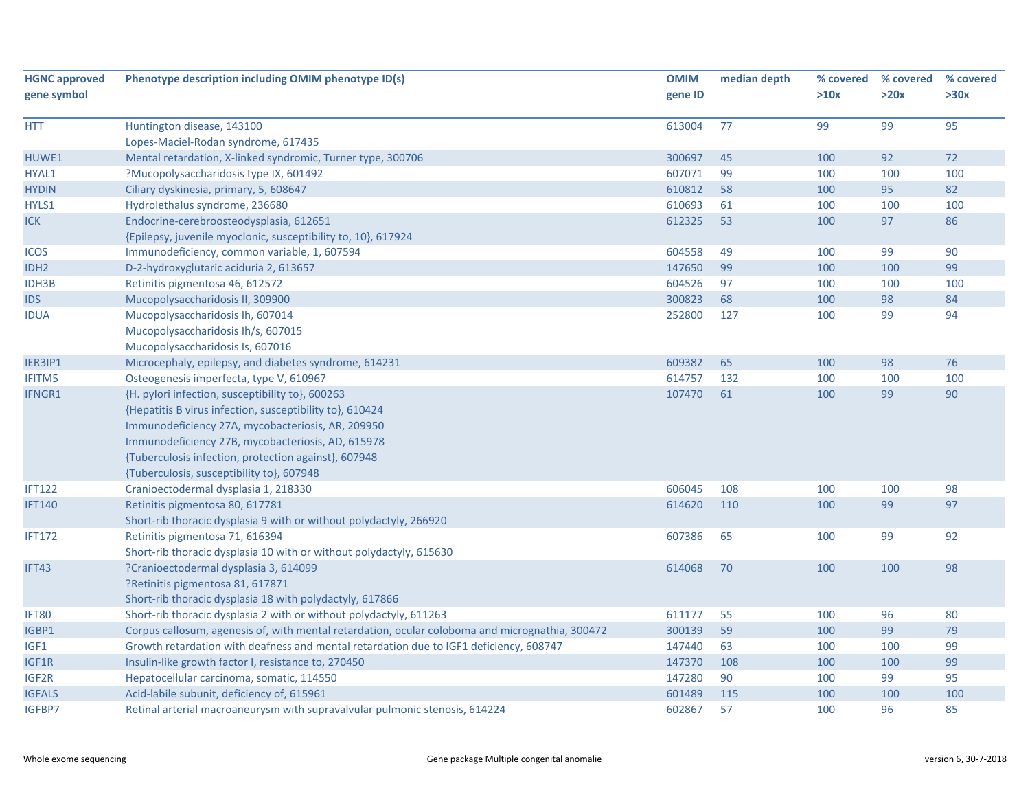| <b>HGNC approved</b> | Phenotype description including OMIM phenotype ID(s)                                            | <b>OMIM</b> | median depth | % covered | % covered | % covered |
|----------------------|-------------------------------------------------------------------------------------------------|-------------|--------------|-----------|-----------|-----------|
| gene symbol          |                                                                                                 | gene ID     |              | >10x      | >20x      | >30x      |
| <b>HTT</b>           | Huntington disease, 143100                                                                      | 613004      | 77           | 99        | 99        | 95        |
|                      | Lopes-Maciel-Rodan syndrome, 617435                                                             |             |              |           |           |           |
| HUWE1                | Mental retardation, X-linked syndromic, Turner type, 300706                                     | 300697      | 45           | 100       | 92        | 72        |
| HYAL1                | ?Mucopolysaccharidosis type IX, 601492                                                          | 607071      | 99           | 100       | 100       | 100       |
| <b>HYDIN</b>         | Ciliary dyskinesia, primary, 5, 608647                                                          | 610812      | 58           | 100       | 95        | 82        |
| HYLS1                | Hydrolethalus syndrome, 236680                                                                  | 610693      | 61           | 100       | 100       | 100       |
| <b>ICK</b>           | Endocrine-cerebroosteodysplasia, 612651                                                         | 612325      | 53           | 100       | 97        | 86        |
|                      | {Epilepsy, juvenile myoclonic, susceptibility to, 10}, 617924                                   |             |              |           |           |           |
| <b>ICOS</b>          | Immunodeficiency, common variable, 1, 607594                                                    | 604558      | 49           | 100       | 99        | 90        |
| IDH <sub>2</sub>     | D-2-hydroxyglutaric aciduria 2, 613657                                                          | 147650      | 99           | 100       | 100       | 99        |
| <b>IDH3B</b>         | Retinitis pigmentosa 46, 612572                                                                 | 604526      | 97           | 100       | 100       | 100       |
| <b>IDS</b>           | Mucopolysaccharidosis II, 309900                                                                | 300823      | 68           | 100       | 98        | 84        |
| <b>IDUA</b>          | Mucopolysaccharidosis Ih, 607014                                                                | 252800      | 127          | 100       | 99        | 94        |
|                      | Mucopolysaccharidosis Ih/s, 607015                                                              |             |              |           |           |           |
|                      | Mucopolysaccharidosis Is, 607016                                                                |             |              |           |           |           |
| IER3IP1              | Microcephaly, epilepsy, and diabetes syndrome, 614231                                           | 609382      | 65           | 100       | 98        | 76        |
| <b>IFITM5</b>        | Osteogenesis imperfecta, type V, 610967                                                         | 614757      | 132          | 100       | 100       | 100       |
| IFNGR1               | {H. pylori infection, susceptibility to}, 600263                                                | 107470      | 61           | 100       | 99        | 90        |
|                      | {Hepatitis B virus infection, susceptibility to}, 610424                                        |             |              |           |           |           |
|                      | Immunodeficiency 27A, mycobacteriosis, AR, 209950                                               |             |              |           |           |           |
|                      | Immunodeficiency 27B, mycobacteriosis, AD, 615978                                               |             |              |           |           |           |
|                      | {Tuberculosis infection, protection against}, 607948                                            |             |              |           |           |           |
|                      | {Tuberculosis, susceptibility to}, 607948                                                       |             |              |           |           |           |
| <b>IFT122</b>        | Cranioectodermal dysplasia 1, 218330                                                            | 606045      | 108          | 100       | 100       | 98        |
| <b>IFT140</b>        | Retinitis pigmentosa 80, 617781                                                                 | 614620      | 110          | 100       | 99        | 97        |
|                      | Short-rib thoracic dysplasia 9 with or without polydactyly, 266920                              |             |              |           |           |           |
| <b>IFT172</b>        | Retinitis pigmentosa 71, 616394                                                                 | 607386      | 65           | 100       | 99        | 92        |
|                      | Short-rib thoracic dysplasia 10 with or without polydactyly, 615630                             |             |              |           |           |           |
| IFT43                | ?Cranioectodermal dysplasia 3, 614099                                                           | 614068      | 70           | 100       | 100       | 98        |
|                      | ?Retinitis pigmentosa 81, 617871                                                                |             |              |           |           |           |
|                      | Short-rib thoracic dysplasia 18 with polydactyly, 617866                                        |             |              |           |           |           |
| IFT80                | Short-rib thoracic dysplasia 2 with or without polydactyly, 611263                              | 611177      | 55           | 100       | 96        | 80        |
| IGBP1                | Corpus callosum, agenesis of, with mental retardation, ocular coloboma and micrognathia, 300472 | 300139      | 59           | 100       | 99        | 79        |
| IGF1                 | Growth retardation with deafness and mental retardation due to IGF1 deficiency, 608747          | 147440      | 63           | 100       | 100       | 99        |
| IGF1R                | Insulin-like growth factor I, resistance to, 270450                                             | 147370      | 108          | 100       | 100       | 99        |
| IGF2R                | Hepatocellular carcinoma, somatic, 114550                                                       | 147280      | 90           | 100       | 99        | 95        |
| <b>IGFALS</b>        | Acid-labile subunit, deficiency of, 615961                                                      | 601489      | 115          | 100       | 100       | 100       |
| <b>IGFBP7</b>        | Retinal arterial macroaneurysm with supravalvular pulmonic stenosis, 614224                     | 602867      | 57           | 100       | 96        | 85        |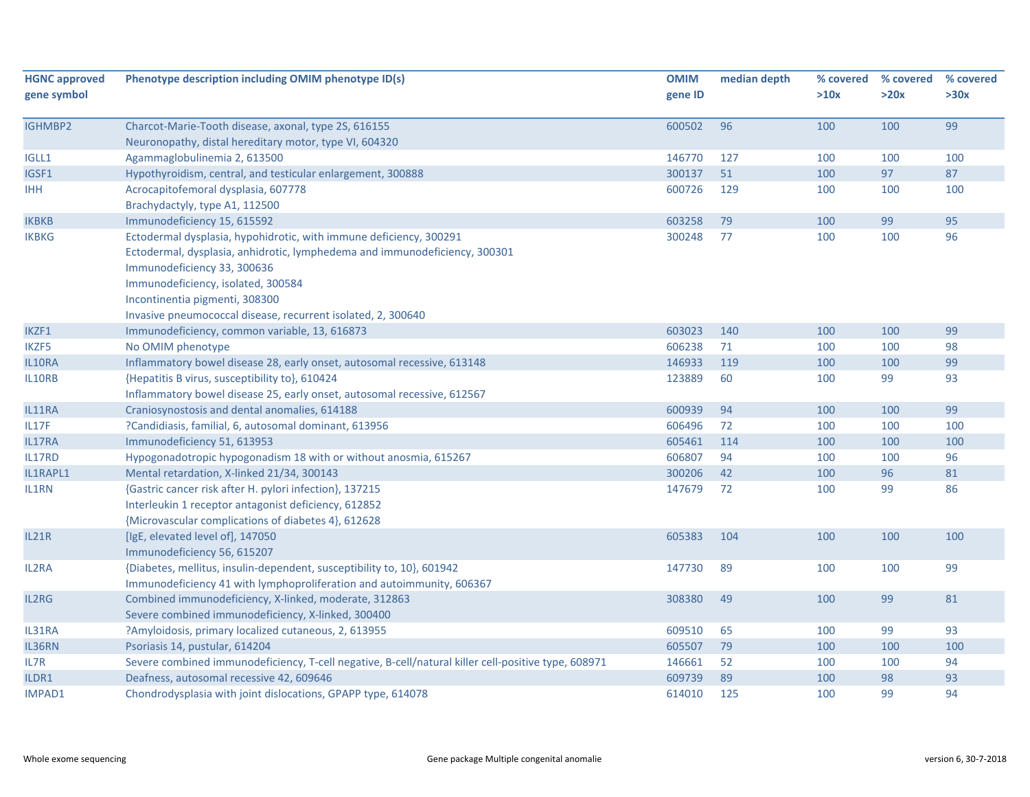| <b>HGNC approved</b> | Phenotype description including OMIM phenotype ID(s)                                                | <b>OMIM</b> | median depth | % covered | % covered | % covered |
|----------------------|-----------------------------------------------------------------------------------------------------|-------------|--------------|-----------|-----------|-----------|
| gene symbol          |                                                                                                     | gene ID     |              | >10x      | >20x      | >30x      |
| IGHMBP2              | Charcot-Marie-Tooth disease, axonal, type 2S, 616155                                                | 600502      | 96           | 100       | 100       | 99        |
|                      | Neuronopathy, distal hereditary motor, type VI, 604320                                              |             |              |           |           |           |
| IGLL1                | Agammaglobulinemia 2, 613500                                                                        | 146770      | 127          | 100       | 100       | 100       |
| IGSF1                | Hypothyroidism, central, and testicular enlargement, 300888                                         | 300137      | 51           | 100       | 97        | 87        |
| <b>IHH</b>           | Acrocapitofemoral dysplasia, 607778                                                                 | 600726      | 129          | 100       | 100       | 100       |
|                      | Brachydactyly, type A1, 112500                                                                      |             |              |           |           |           |
| <b>IKBKB</b>         | Immunodeficiency 15, 615592                                                                         | 603258      | 79           | 100       | 99        | 95        |
| <b>IKBKG</b>         | Ectodermal dysplasia, hypohidrotic, with immune deficiency, 300291                                  | 300248      | 77           | 100       | 100       | 96        |
|                      | Ectodermal, dysplasia, anhidrotic, lymphedema and immunodeficiency, 300301                          |             |              |           |           |           |
|                      | Immunodeficiency 33, 300636                                                                         |             |              |           |           |           |
|                      | Immunodeficiency, isolated, 300584                                                                  |             |              |           |           |           |
|                      | Incontinentia pigmenti, 308300                                                                      |             |              |           |           |           |
|                      | Invasive pneumococcal disease, recurrent isolated, 2, 300640                                        |             |              |           |           |           |
| IKZF1                | Immunodeficiency, common variable, 13, 616873                                                       | 603023      | 140          | 100       | 100       | 99        |
| IKZF5                | No OMIM phenotype                                                                                   | 606238      | 71           | 100       | 100       | 98        |
| IL10RA               | Inflammatory bowel disease 28, early onset, autosomal recessive, 613148                             | 146933      | 119          | 100       | 100       | 99        |
| IL10RB               | {Hepatitis B virus, susceptibility to}, 610424                                                      | 123889      | 60           | 100       | 99        | 93        |
|                      | Inflammatory bowel disease 25, early onset, autosomal recessive, 612567                             |             |              |           |           |           |
| IL11RA               | Craniosynostosis and dental anomalies, 614188                                                       | 600939      | 94           | 100       | 100       | 99        |
| IL17F                | ?Candidiasis, familial, 6, autosomal dominant, 613956                                               | 606496      | 72           | 100       | 100       | 100       |
| IL17RA               | Immunodeficiency 51, 613953                                                                         | 605461      | 114          | 100       | 100       | 100       |
| IL17RD               | Hypogonadotropic hypogonadism 18 with or without anosmia, 615267                                    | 606807      | 94           | 100       | 100       | 96        |
| IL1RAPL1             | Mental retardation, X-linked 21/34, 300143                                                          | 300206      | 42           | 100       | 96        | 81        |
| IL1RN                | {Gastric cancer risk after H. pylori infection}, 137215                                             | 147679      | 72           | 100       | 99        | 86        |
|                      | Interleukin 1 receptor antagonist deficiency, 612852                                                |             |              |           |           |           |
|                      | {Microvascular complications of diabetes 4}, 612628                                                 |             |              |           |           |           |
| IL21R                | [IgE, elevated level of], 147050                                                                    | 605383      | 104          | 100       | 100       | 100       |
|                      | Immunodeficiency 56, 615207                                                                         |             |              |           |           |           |
| <b>IL2RA</b>         | {Diabetes, mellitus, insulin-dependent, susceptibility to, 10}, 601942                              | 147730      | 89           | 100       | 100       | 99        |
|                      | Immunodeficiency 41 with lymphoproliferation and autoimmunity, 606367                               |             |              |           |           |           |
| IL2RG                | Combined immunodeficiency, X-linked, moderate, 312863                                               | 308380      | 49           | 100       | 99        | 81        |
|                      | Severe combined immunodeficiency, X-linked, 300400                                                  |             |              |           |           |           |
| IL31RA               | ?Amyloidosis, primary localized cutaneous, 2, 613955                                                | 609510      | 65           | 100       | 99        | 93        |
| IL36RN               | Psoriasis 14, pustular, 614204                                                                      | 605507      | 79           | 100       | 100       | 100       |
| IL7R                 | Severe combined immunodeficiency, T-cell negative, B-cell/natural killer cell-positive type, 608971 | 146661      | 52           | 100       | 100       | 94        |
| ILDR1                | Deafness, autosomal recessive 42, 609646                                                            | 609739      | 89           | 100       | 98        | 93        |
| IMPAD1               | Chondrodysplasia with joint dislocations, GPAPP type, 614078                                        | 614010      | 125          | 100       | 99        | 94        |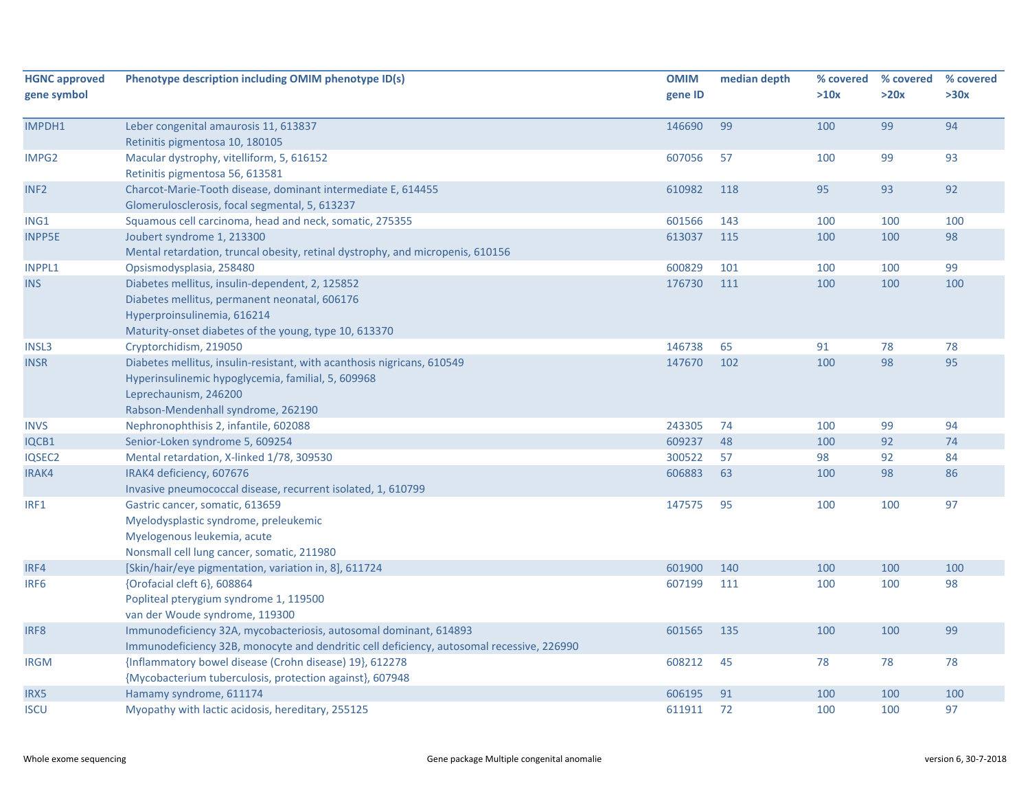| <b>HGNC approved</b> | Phenotype description including OMIM phenotype ID(s)                                      | <b>OMIM</b> | median depth | % covered | % covered | % covered |
|----------------------|-------------------------------------------------------------------------------------------|-------------|--------------|-----------|-----------|-----------|
| gene symbol          |                                                                                           | gene ID     |              | >10x      | >20x      | >30x      |
|                      |                                                                                           |             |              |           |           |           |
| IMPDH1               | Leber congenital amaurosis 11, 613837                                                     | 146690      | 99           | 100       | 99        | 94        |
|                      | Retinitis pigmentosa 10, 180105                                                           |             |              |           |           |           |
| IMPG2                | Macular dystrophy, vitelliform, 5, 616152                                                 | 607056      | 57           | 100       | 99        | 93        |
|                      | Retinitis pigmentosa 56, 613581                                                           |             |              |           |           |           |
| INF <sub>2</sub>     | Charcot-Marie-Tooth disease, dominant intermediate E, 614455                              | 610982      | 118          | 95        | 93        | 92        |
|                      | Glomerulosclerosis, focal segmental, 5, 613237                                            |             |              |           |           |           |
| ING1                 | Squamous cell carcinoma, head and neck, somatic, 275355                                   | 601566      | 143          | 100       | 100       | 100       |
| <b>INPP5E</b>        | Joubert syndrome 1, 213300                                                                | 613037      | 115          | 100       | 100       | 98        |
|                      | Mental retardation, truncal obesity, retinal dystrophy, and micropenis, 610156            |             |              |           |           |           |
| <b>INPPL1</b>        | Opsismodysplasia, 258480                                                                  | 600829      | 101          | 100       | 100       | 99        |
| <b>INS</b>           | Diabetes mellitus, insulin-dependent, 2, 125852                                           | 176730      | 111          | 100       | 100       | 100       |
|                      | Diabetes mellitus, permanent neonatal, 606176                                             |             |              |           |           |           |
|                      | Hyperproinsulinemia, 616214                                                               |             |              |           |           |           |
|                      | Maturity-onset diabetes of the young, type 10, 613370                                     |             |              |           |           |           |
| INSL3                | Cryptorchidism, 219050                                                                    | 146738      | 65           | 91        | 78        | 78        |
| <b>INSR</b>          | Diabetes mellitus, insulin-resistant, with acanthosis nigricans, 610549                   | 147670      | 102          | 100       | 98        | 95        |
|                      | Hyperinsulinemic hypoglycemia, familial, 5, 609968                                        |             |              |           |           |           |
|                      | Leprechaunism, 246200                                                                     |             |              |           |           |           |
|                      | Rabson-Mendenhall syndrome, 262190                                                        |             |              |           |           |           |
| <b>INVS</b>          | Nephronophthisis 2, infantile, 602088                                                     | 243305      | 74           | 100       | 99        | 94        |
| IQCB1                | Senior-Loken syndrome 5, 609254                                                           | 609237      | 48           | 100       | 92        | 74        |
| IQSEC2               | Mental retardation, X-linked 1/78, 309530                                                 | 300522      | 57           | 98        | 92        | 84        |
| IRAK4                | IRAK4 deficiency, 607676                                                                  | 606883      | 63           | 100       | 98        | 86        |
|                      | Invasive pneumococcal disease, recurrent isolated, 1, 610799                              |             |              |           |           |           |
| IRF1                 | Gastric cancer, somatic, 613659                                                           | 147575      | 95           | 100       | 100       | 97        |
|                      | Myelodysplastic syndrome, preleukemic                                                     |             |              |           |           |           |
|                      | Myelogenous leukemia, acute                                                               |             |              |           |           |           |
|                      | Nonsmall cell lung cancer, somatic, 211980                                                |             |              |           |           |           |
| IRF4                 | [Skin/hair/eye pigmentation, variation in, 8], 611724                                     | 601900      | 140          | 100       | 100       | 100       |
| IRF <sub>6</sub>     | {Orofacial cleft 6}, 608864                                                               | 607199      | 111          | 100       | 100       | 98        |
|                      | Popliteal pterygium syndrome 1, 119500                                                    |             |              |           |           |           |
|                      | van der Woude syndrome, 119300                                                            |             |              |           |           |           |
| IRF8                 | Immunodeficiency 32A, mycobacteriosis, autosomal dominant, 614893                         | 601565      | 135          | 100       | 100       | 99        |
|                      | Immunodeficiency 32B, monocyte and dendritic cell deficiency, autosomal recessive, 226990 |             |              |           |           |           |
| <b>IRGM</b>          | {Inflammatory bowel disease (Crohn disease) 19}, 612278                                   | 608212      | 45           | 78        | 78        | 78        |
|                      | {Mycobacterium tuberculosis, protection against}, 607948                                  |             |              |           |           |           |
| IRX5                 | Hamamy syndrome, 611174                                                                   | 606195      | 91           | 100       | 100       | 100       |
| <b>ISCU</b>          | Myopathy with lactic acidosis, hereditary, 255125                                         | 611911      | 72           | 100       | 100       | 97        |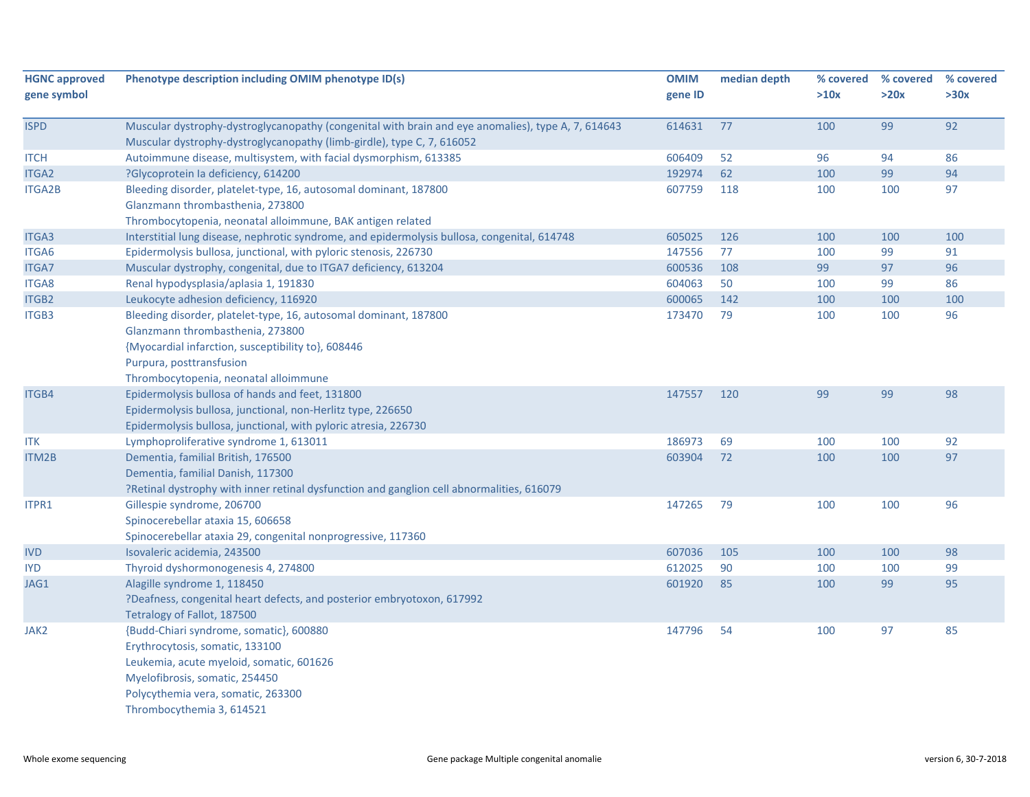| <b>HGNC approved</b><br>gene symbol | Phenotype description including OMIM phenotype ID(s)                                                                                                                                                                            | <b>OMIM</b><br>gene ID | median depth | % covered<br>>10x | % covered<br>>20x | % covered<br>>30x |
|-------------------------------------|---------------------------------------------------------------------------------------------------------------------------------------------------------------------------------------------------------------------------------|------------------------|--------------|-------------------|-------------------|-------------------|
| <b>ISPD</b>                         | Muscular dystrophy-dystroglycanopathy (congenital with brain and eye anomalies), type A, 7, 614643<br>Muscular dystrophy-dystroglycanopathy (limb-girdle), type C, 7, 616052                                                    | 614631                 | 77           | 100               | 99                | 92                |
| <b>ITCH</b>                         | Autoimmune disease, multisystem, with facial dysmorphism, 613385                                                                                                                                                                | 606409                 | 52           | 96                | 94                | 86                |
| ITGA2                               | ?Glycoprotein la deficiency, 614200                                                                                                                                                                                             | 192974                 | 62           | 100               | 99                | 94                |
| <b>ITGA2B</b>                       | Bleeding disorder, platelet-type, 16, autosomal dominant, 187800<br>Glanzmann thrombasthenia, 273800<br>Thrombocytopenia, neonatal alloimmune, BAK antigen related                                                              | 607759                 | 118          | 100               | 100               | 97                |
| ITGA3                               | Interstitial lung disease, nephrotic syndrome, and epidermolysis bullosa, congenital, 614748                                                                                                                                    | 605025                 | 126          | 100               | 100               | 100               |
| ITGA6                               | Epidermolysis bullosa, junctional, with pyloric stenosis, 226730                                                                                                                                                                | 147556                 | 77           | 100               | 99                | 91                |
| ITGA7                               | Muscular dystrophy, congenital, due to ITGA7 deficiency, 613204                                                                                                                                                                 | 600536                 | 108          | 99                | 97                | 96                |
| ITGA8                               | Renal hypodysplasia/aplasia 1, 191830                                                                                                                                                                                           | 604063                 | 50           | 100               | 99                | 86                |
| ITGB2                               | Leukocyte adhesion deficiency, 116920                                                                                                                                                                                           | 600065                 | 142          | 100               | 100               | 100               |
| ITGB3                               | Bleeding disorder, platelet-type, 16, autosomal dominant, 187800<br>Glanzmann thrombasthenia, 273800<br>{Myocardial infarction, susceptibility to}, 608446<br>Purpura, posttransfusion<br>Thrombocytopenia, neonatal alloimmune | 173470                 | 79           | 100               | 100               | 96                |
| ITGB4                               | Epidermolysis bullosa of hands and feet, 131800<br>Epidermolysis bullosa, junctional, non-Herlitz type, 226650<br>Epidermolysis bullosa, junctional, with pyloric atresia, 226730                                               | 147557                 | 120          | 99                | 99                | 98                |
| <b>ITK</b>                          | Lymphoproliferative syndrome 1, 613011                                                                                                                                                                                          | 186973                 | 69           | 100               | 100               | 92                |
| ITM2B                               | Dementia, familial British, 176500<br>Dementia, familial Danish, 117300<br>?Retinal dystrophy with inner retinal dysfunction and ganglion cell abnormalities, 616079                                                            | 603904                 | 72           | 100               | 100               | 97                |
| ITPR1                               | Gillespie syndrome, 206700<br>Spinocerebellar ataxia 15, 606658<br>Spinocerebellar ataxia 29, congenital nonprogressive, 117360                                                                                                 | 147265                 | 79           | 100               | 100               | 96                |
| <b>IVD</b>                          | Isovaleric acidemia, 243500                                                                                                                                                                                                     | 607036                 | 105          | 100               | 100               | 98                |
| <b>IYD</b>                          | Thyroid dyshormonogenesis 4, 274800                                                                                                                                                                                             | 612025                 | 90           | 100               | 100               | 99                |
| JAG1                                | Alagille syndrome 1, 118450<br>?Deafness, congenital heart defects, and posterior embryotoxon, 617992<br>Tetralogy of Fallot, 187500                                                                                            | 601920                 | 85           | 100               | 99                | 95                |
| JAK2                                | {Budd-Chiari syndrome, somatic}, 600880<br>Erythrocytosis, somatic, 133100<br>Leukemia, acute myeloid, somatic, 601626<br>Myelofibrosis, somatic, 254450<br>Polycythemia vera, somatic, 263300<br>Thrombocythemia 3, 614521     | 147796                 | 54           | 100               | 97                | 85                |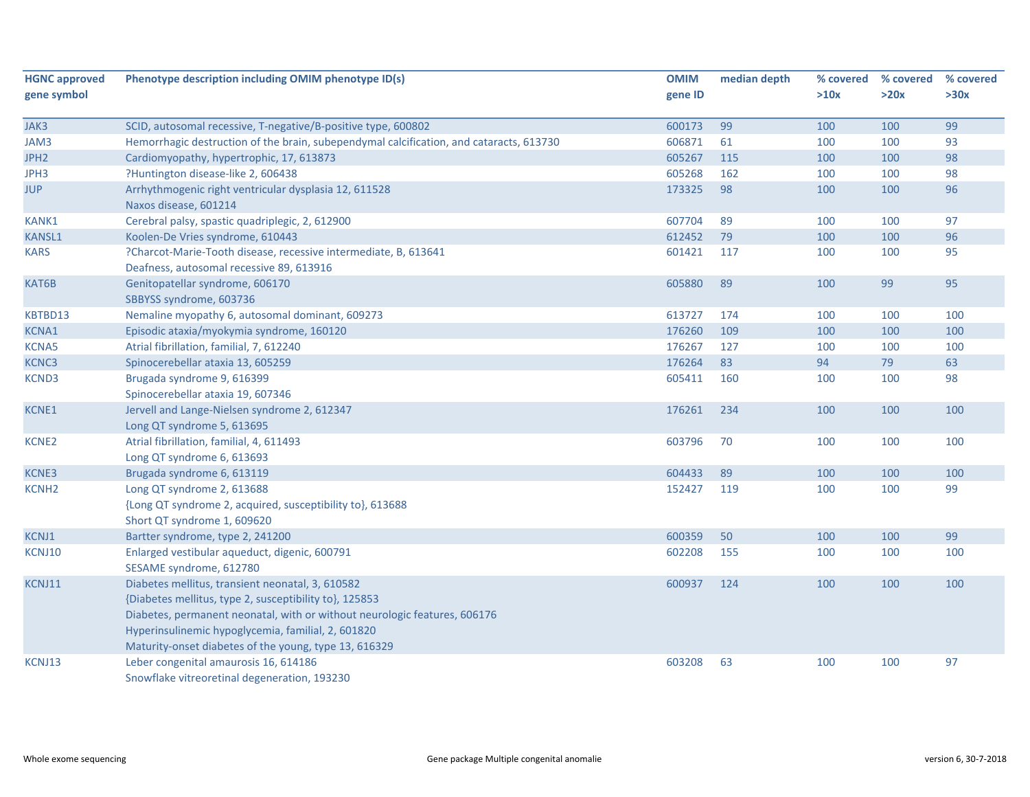| <b>HGNC approved</b> | Phenotype description including OMIM phenotype ID(s)                                                                                                                                                                                                                                                   | <b>OMIM</b> | median depth | % covered | % covered | % covered |
|----------------------|--------------------------------------------------------------------------------------------------------------------------------------------------------------------------------------------------------------------------------------------------------------------------------------------------------|-------------|--------------|-----------|-----------|-----------|
| gene symbol          |                                                                                                                                                                                                                                                                                                        | gene ID     |              | >10x      | >20x      | >30x      |
| JAK3                 | SCID, autosomal recessive, T-negative/B-positive type, 600802                                                                                                                                                                                                                                          | 600173      | 99           | 100       | 100       | 99        |
| JAM3                 | Hemorrhagic destruction of the brain, subependymal calcification, and cataracts, 613730                                                                                                                                                                                                                | 606871      | 61           | 100       | 100       | 93        |
| JPH <sub>2</sub>     | Cardiomyopathy, hypertrophic, 17, 613873                                                                                                                                                                                                                                                               | 605267      | 115          | 100       | 100       | 98        |
| JPH3                 | ?Huntington disease-like 2, 606438                                                                                                                                                                                                                                                                     | 605268      | 162          | 100       | 100       | 98        |
| <b>JUP</b>           | Arrhythmogenic right ventricular dysplasia 12, 611528<br>Naxos disease, 601214                                                                                                                                                                                                                         | 173325      | 98           | 100       | 100       | 96        |
| <b>KANK1</b>         | Cerebral palsy, spastic quadriplegic, 2, 612900                                                                                                                                                                                                                                                        | 607704      | 89           | 100       | 100       | 97        |
| <b>KANSL1</b>        | Koolen-De Vries syndrome, 610443                                                                                                                                                                                                                                                                       | 612452      | 79           | 100       | 100       | 96        |
| <b>KARS</b>          | ?Charcot-Marie-Tooth disease, recessive intermediate, B, 613641<br>Deafness, autosomal recessive 89, 613916                                                                                                                                                                                            | 601421      | 117          | 100       | 100       | 95        |
| KAT6B                | Genitopatellar syndrome, 606170<br>SBBYSS syndrome, 603736                                                                                                                                                                                                                                             | 605880      | 89           | 100       | 99        | 95        |
| KBTBD13              | Nemaline myopathy 6, autosomal dominant, 609273                                                                                                                                                                                                                                                        | 613727      | 174          | 100       | 100       | 100       |
| <b>KCNA1</b>         | Episodic ataxia/myokymia syndrome, 160120                                                                                                                                                                                                                                                              | 176260      | 109          | 100       | 100       | 100       |
| <b>KCNA5</b>         | Atrial fibrillation, familial, 7, 612240                                                                                                                                                                                                                                                               | 176267      | 127          | 100       | 100       | 100       |
| KCNC3                | Spinocerebellar ataxia 13, 605259                                                                                                                                                                                                                                                                      | 176264      | 83           | 94        | 79        | 63        |
| <b>KCND3</b>         | Brugada syndrome 9, 616399<br>Spinocerebellar ataxia 19, 607346                                                                                                                                                                                                                                        | 605411      | 160          | 100       | 100       | 98        |
| KCNE1                | Jervell and Lange-Nielsen syndrome 2, 612347<br>Long QT syndrome 5, 613695                                                                                                                                                                                                                             | 176261      | 234          | 100       | 100       | 100       |
| <b>KCNE2</b>         | Atrial fibrillation, familial, 4, 611493<br>Long QT syndrome 6, 613693                                                                                                                                                                                                                                 | 603796      | 70           | 100       | 100       | 100       |
| KCNE3                | Brugada syndrome 6, 613119                                                                                                                                                                                                                                                                             | 604433      | 89           | 100       | 100       | 100       |
| <b>KCNH2</b>         | Long QT syndrome 2, 613688                                                                                                                                                                                                                                                                             | 152427      | 119          | 100       | 100       | 99        |
|                      | {Long QT syndrome 2, acquired, susceptibility to}, 613688<br>Short QT syndrome 1, 609620                                                                                                                                                                                                               |             |              |           |           |           |
| KCNJ1                | Bartter syndrome, type 2, 241200                                                                                                                                                                                                                                                                       | 600359      | 50           | 100       | 100       | 99        |
| KCNJ10               | Enlarged vestibular aqueduct, digenic, 600791<br>SESAME syndrome, 612780                                                                                                                                                                                                                               | 602208      | 155          | 100       | 100       | 100       |
| KCNJ11               | Diabetes mellitus, transient neonatal, 3, 610582<br>{Diabetes mellitus, type 2, susceptibility to}, 125853<br>Diabetes, permanent neonatal, with or without neurologic features, 606176<br>Hyperinsulinemic hypoglycemia, familial, 2, 601820<br>Maturity-onset diabetes of the young, type 13, 616329 | 600937      | 124          | 100       | 100       | 100       |
| KCNJ13               | Leber congenital amaurosis 16, 614186<br>Snowflake vitreoretinal degeneration, 193230                                                                                                                                                                                                                  | 603208      | 63           | 100       | 100       | 97        |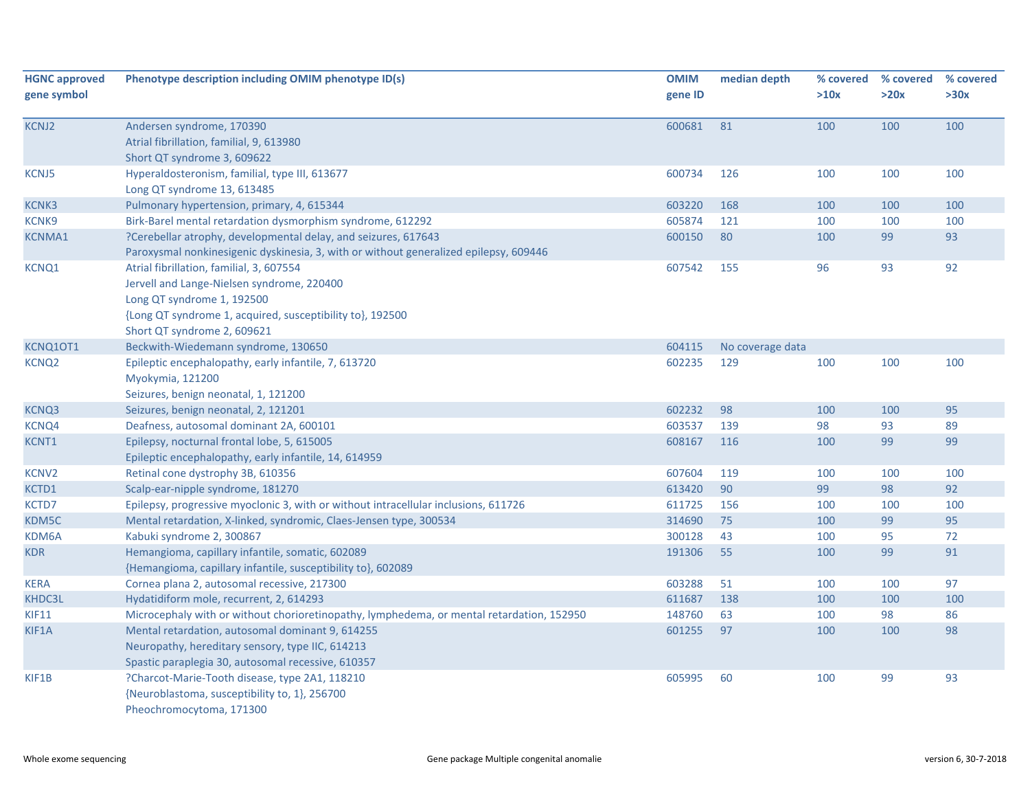| <b>HGNC approved</b><br>gene symbol | Phenotype description including OMIM phenotype ID(s)                                                                                                                                                             | <b>OMIM</b><br>gene ID | median depth     | % covered<br>>10x | % covered<br>>20x | % covered<br>>30x |
|-------------------------------------|------------------------------------------------------------------------------------------------------------------------------------------------------------------------------------------------------------------|------------------------|------------------|-------------------|-------------------|-------------------|
| <b>KCNJ2</b>                        | Andersen syndrome, 170390<br>Atrial fibrillation, familial, 9, 613980<br>Short QT syndrome 3, 609622                                                                                                             | 600681                 | 81               | 100               | 100               | 100               |
| <b>KCNJ5</b>                        | Hyperaldosteronism, familial, type III, 613677<br>Long QT syndrome 13, 613485                                                                                                                                    | 600734                 | 126              | 100               | 100               | 100               |
| KCNK3                               | Pulmonary hypertension, primary, 4, 615344                                                                                                                                                                       | 603220                 | 168              | 100               | 100               | 100               |
| KCNK9                               | Birk-Barel mental retardation dysmorphism syndrome, 612292                                                                                                                                                       | 605874                 | 121              | 100               | 100               | 100               |
| <b>KCNMA1</b>                       | ?Cerebellar atrophy, developmental delay, and seizures, 617643<br>Paroxysmal nonkinesigenic dyskinesia, 3, with or without generalized epilepsy, 609446                                                          | 600150                 | 80               | 100               | 99                | 93                |
| <b>KCNQ1</b>                        | Atrial fibrillation, familial, 3, 607554<br>Jervell and Lange-Nielsen syndrome, 220400<br>Long QT syndrome 1, 192500<br>{Long QT syndrome 1, acquired, susceptibility to}, 192500<br>Short QT syndrome 2, 609621 | 607542                 | 155              | 96                | 93                | 92                |
| KCNQ1OT1                            | Beckwith-Wiedemann syndrome, 130650                                                                                                                                                                              | 604115                 | No coverage data |                   |                   |                   |
| KCNQ <sub>2</sub>                   | Epileptic encephalopathy, early infantile, 7, 613720<br>Myokymia, 121200<br>Seizures, benign neonatal, 1, 121200                                                                                                 | 602235                 | 129              | 100               | 100               | 100               |
| KCNQ3                               | Seizures, benign neonatal, 2, 121201                                                                                                                                                                             | 602232                 | 98               | 100               | 100               | 95                |
| KCNQ4                               | Deafness, autosomal dominant 2A, 600101                                                                                                                                                                          | 603537                 | 139              | 98                | 93                | 89                |
| KCNT1                               | Epilepsy, nocturnal frontal lobe, 5, 615005<br>Epileptic encephalopathy, early infantile, 14, 614959                                                                                                             | 608167                 | 116              | 100               | 99                | 99                |
| KCNV <sub>2</sub>                   | Retinal cone dystrophy 3B, 610356                                                                                                                                                                                | 607604                 | 119              | 100               | 100               | 100               |
| KCTD1                               | Scalp-ear-nipple syndrome, 181270                                                                                                                                                                                | 613420                 | 90               | 99                | 98                | 92                |
| KCTD7                               | Epilepsy, progressive myoclonic 3, with or without intracellular inclusions, 611726                                                                                                                              | 611725                 | 156              | 100               | 100               | 100               |
| KDM5C                               | Mental retardation, X-linked, syndromic, Claes-Jensen type, 300534                                                                                                                                               | 314690                 | 75               | 100               | 99                | 95                |
| KDM6A                               | Kabuki syndrome 2, 300867                                                                                                                                                                                        | 300128                 | 43               | 100               | 95                | 72                |
| <b>KDR</b>                          | Hemangioma, capillary infantile, somatic, 602089<br>{Hemangioma, capillary infantile, susceptibility to}, 602089                                                                                                 | 191306                 | 55               | 100               | 99                | 91                |
| <b>KERA</b>                         | Cornea plana 2, autosomal recessive, 217300                                                                                                                                                                      | 603288                 | 51               | 100               | 100               | 97                |
| KHDC3L                              | Hydatidiform mole, recurrent, 2, 614293                                                                                                                                                                          | 611687                 | 138              | 100               | 100               | 100               |
| <b>KIF11</b>                        | Microcephaly with or without chorioretinopathy, lymphedema, or mental retardation, 152950                                                                                                                        | 148760                 | 63               | 100               | 98                | 86                |
| KIF1A                               | Mental retardation, autosomal dominant 9, 614255<br>Neuropathy, hereditary sensory, type IIC, 614213<br>Spastic paraplegia 30, autosomal recessive, 610357                                                       | 601255                 | 97               | 100               | 100               | 98                |
| KIF1B                               | ?Charcot-Marie-Tooth disease, type 2A1, 118210<br>{Neuroblastoma, susceptibility to, 1}, 256700<br>Pheochromocytoma, 171300                                                                                      | 605995                 | 60               | 100               | 99                | 93                |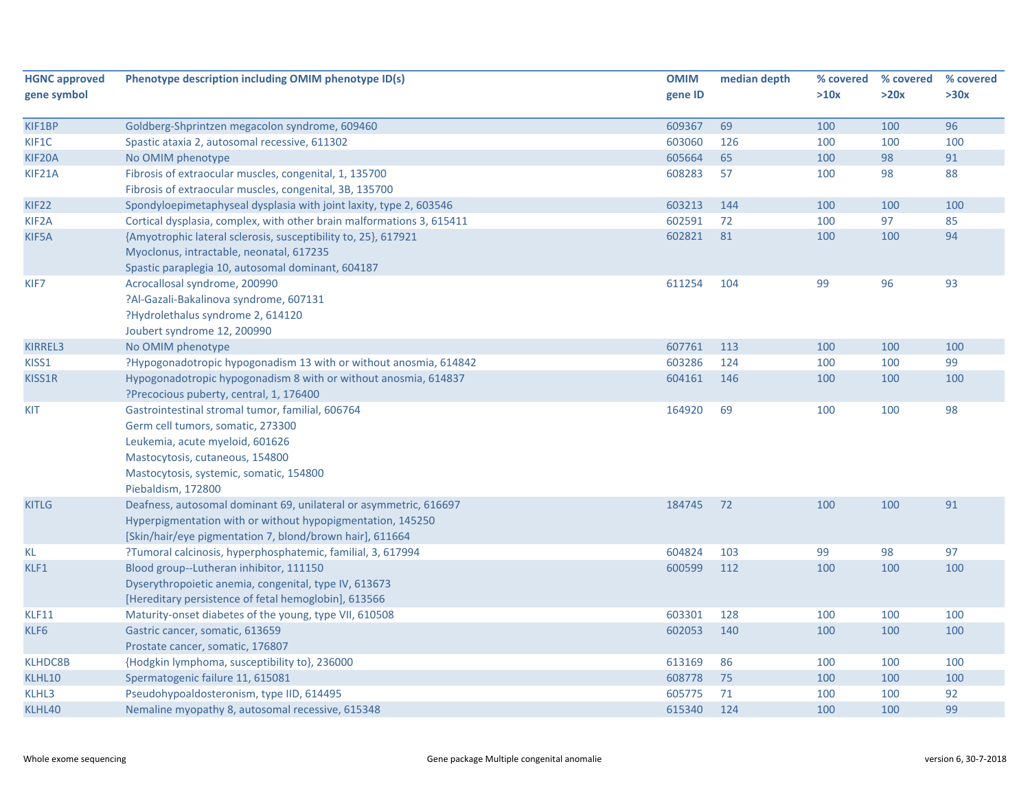| <b>HGNC approved</b> | Phenotype description including OMIM phenotype ID(s)                  | <b>OMIM</b> | median depth | % covered | % covered | % covered |
|----------------------|-----------------------------------------------------------------------|-------------|--------------|-----------|-----------|-----------|
| gene symbol          |                                                                       | gene ID     |              | >10x      | >20x      | >30x      |
|                      |                                                                       |             |              |           |           |           |
| KIF1BP               | Goldberg-Shprintzen megacolon syndrome, 609460                        | 609367      | 69           | 100       | 100       | 96        |
| KIF1C                | Spastic ataxia 2, autosomal recessive, 611302                         | 603060      | 126          | 100       | 100       | 100       |
| KIF20A               | No OMIM phenotype                                                     | 605664      | 65           | 100       | 98        | 91        |
| KIF21A               | Fibrosis of extraocular muscles, congenital, 1, 135700                | 608283      | 57           | 100       | 98        | 88        |
|                      | Fibrosis of extraocular muscles, congenital, 3B, 135700               |             |              |           |           |           |
| KIF <sub>22</sub>    | Spondyloepimetaphyseal dysplasia with joint laxity, type 2, 603546    | 603213      | 144          | 100       | 100       | 100       |
| KIF <sub>2</sub> A   | Cortical dysplasia, complex, with other brain malformations 3, 615411 | 602591      | 72           | 100       | 97        | 85        |
| KIF5A                | {Amyotrophic lateral sclerosis, susceptibility to, 25}, 617921        | 602821      | 81           | 100       | 100       | 94        |
|                      | Myoclonus, intractable, neonatal, 617235                              |             |              |           |           |           |
|                      | Spastic paraplegia 10, autosomal dominant, 604187                     |             |              |           |           |           |
| KIF7                 | Acrocallosal syndrome, 200990                                         | 611254      | 104          | 99        | 96        | 93        |
|                      | ?Al-Gazali-Bakalinova syndrome, 607131                                |             |              |           |           |           |
|                      | ?Hydrolethalus syndrome 2, 614120                                     |             |              |           |           |           |
|                      | Joubert syndrome 12, 200990                                           |             |              |           |           |           |
| KIRREL3              | No OMIM phenotype                                                     | 607761      | 113          | 100       | 100       | 100       |
| KISS1                | ?Hypogonadotropic hypogonadism 13 with or without anosmia, 614842     | 603286      | 124          | 100       | 100       | 99        |
| KISS1R               | Hypogonadotropic hypogonadism 8 with or without anosmia, 614837       | 604161      | 146          | 100       | 100       | 100       |
|                      | ?Precocious puberty, central, 1, 176400                               |             |              |           |           |           |
| KIT                  | Gastrointestinal stromal tumor, familial, 606764                      | 164920      | 69           | 100       | 100       | 98        |
|                      | Germ cell tumors, somatic, 273300                                     |             |              |           |           |           |
|                      | Leukemia, acute myeloid, 601626                                       |             |              |           |           |           |
|                      | Mastocytosis, cutaneous, 154800                                       |             |              |           |           |           |
|                      | Mastocytosis, systemic, somatic, 154800                               |             |              |           |           |           |
|                      | Piebaldism, 172800                                                    |             |              |           |           |           |
| <b>KITLG</b>         | Deafness, autosomal dominant 69, unilateral or asymmetric, 616697     | 184745      | 72           | 100       | 100       | 91        |
|                      | Hyperpigmentation with or without hypopigmentation, 145250            |             |              |           |           |           |
|                      | [Skin/hair/eye pigmentation 7, blond/brown hair], 611664              |             |              |           |           |           |
| KL                   | ?Tumoral calcinosis, hyperphosphatemic, familial, 3, 617994           | 604824      | 103          | 99        | 98        | 97        |
| KLF1                 | Blood group--Lutheran inhibitor, 111150                               | 600599      | 112          | 100       | 100       | 100       |
|                      | Dyserythropoietic anemia, congenital, type IV, 613673                 |             |              |           |           |           |
|                      | [Hereditary persistence of fetal hemoglobin], 613566                  |             |              |           |           |           |
| KLF11                | Maturity-onset diabetes of the young, type VII, 610508                | 603301      | 128          | 100       | 100       | 100       |
| KLF6                 | Gastric cancer, somatic, 613659                                       | 602053      | 140          | 100       | 100       | 100       |
|                      | Prostate cancer, somatic, 176807                                      |             |              |           |           |           |
| <b>KLHDC8B</b>       | {Hodgkin lymphoma, susceptibility to}, 236000                         | 613169      | 86           | 100       | 100       | 100       |
| KLHL10               | Spermatogenic failure 11, 615081                                      | 608778      | 75           | 100       | 100       | 100       |
| KLHL3                | Pseudohypoaldosteronism, type IID, 614495                             | 605775      | 71           | 100       | 100       | 92        |
| KLHL40               | Nemaline myopathy 8, autosomal recessive, 615348                      | 615340      | 124          | 100       | 100       | 99        |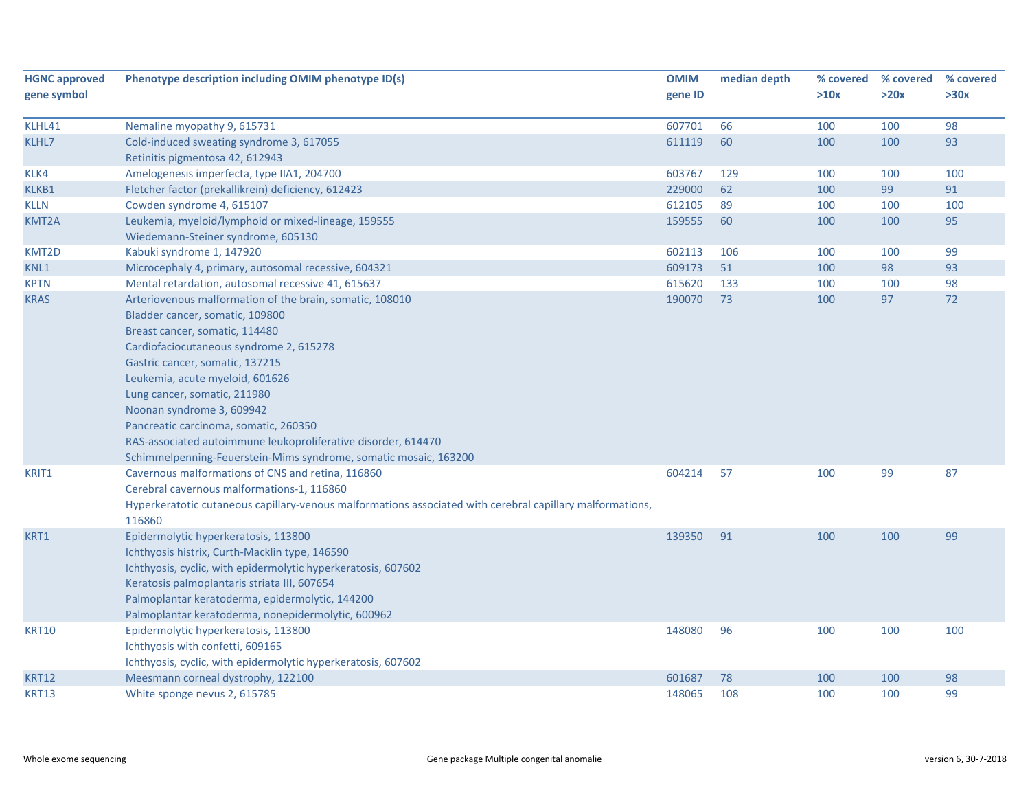| gene ID<br>>10x<br>>20x<br>>30x<br>98<br>607701<br>66<br>100<br>100<br>KLHL41<br>Nemaline myopathy 9, 615731<br>KLHL7<br>611119<br>60<br>100<br>100<br>93<br>Cold-induced sweating syndrome 3, 617055<br>Retinitis pigmentosa 42, 612943<br>Amelogenesis imperfecta, type IIA1, 204700<br>100<br>KLK4<br>603767<br>129<br>100<br>100<br>62<br>99<br>91<br>Fletcher factor (prekallikrein) deficiency, 612423<br>229000<br>100<br>KLKB1<br>612105<br>89<br>100<br><b>KLLN</b><br>Cowden syndrome 4, 615107<br>100<br>100<br>Leukemia, myeloid/lymphoid or mixed-lineage, 159555<br>159555<br>60<br>95<br>KMT2A<br>100<br>100<br>Wiedemann-Steiner syndrome, 605130<br>Kabuki syndrome 1, 147920<br>99<br>KMT2D<br>602113<br>106<br>100<br>100<br>609173<br>98<br>93<br>KNL1<br>Microcephaly 4, primary, autosomal recessive, 604321<br>51<br>100<br>Mental retardation, autosomal recessive 41, 615637<br>615620<br>133<br>100<br>98<br><b>KPTN</b><br>100<br>Arteriovenous malformation of the brain, somatic, 108010<br>190070<br>73<br>97<br>72<br><b>KRAS</b><br>100<br>Bladder cancer, somatic, 109800<br>Breast cancer, somatic, 114480<br>Cardiofaciocutaneous syndrome 2, 615278<br>Gastric cancer, somatic, 137215<br>Leukemia, acute myeloid, 601626<br>Lung cancer, somatic, 211980<br>Noonan syndrome 3, 609942<br>Pancreatic carcinoma, somatic, 260350<br>RAS-associated autoimmune leukoproliferative disorder, 614470<br>Schimmelpenning-Feuerstein-Mims syndrome, somatic mosaic, 163200<br>Cavernous malformations of CNS and retina, 116860<br>604214<br>57<br>99<br>87<br>KRIT1<br>100<br>Cerebral cavernous malformations-1, 116860<br>Hyperkeratotic cutaneous capillary-venous malformations associated with cerebral capillary malformations,<br>116860<br>KRT1<br>Epidermolytic hyperkeratosis, 113800<br>139350<br>91<br>100<br>100<br>99<br>Ichthyosis histrix, Curth-Macklin type, 146590<br>Ichthyosis, cyclic, with epidermolytic hyperkeratosis, 607602<br>Keratosis palmoplantaris striata III, 607654<br>Palmoplantar keratoderma, epidermolytic, 144200<br>Palmoplantar keratoderma, nonepidermolytic, 600962<br>Epidermolytic hyperkeratosis, 113800<br>148080<br>96<br>100<br>100<br>100<br><b>KRT10</b> | <b>HGNC approved</b> | Phenotype description including OMIM phenotype ID(s) | <b>OMIM</b> | median depth | % covered % covered | % covered |
|---------------------------------------------------------------------------------------------------------------------------------------------------------------------------------------------------------------------------------------------------------------------------------------------------------------------------------------------------------------------------------------------------------------------------------------------------------------------------------------------------------------------------------------------------------------------------------------------------------------------------------------------------------------------------------------------------------------------------------------------------------------------------------------------------------------------------------------------------------------------------------------------------------------------------------------------------------------------------------------------------------------------------------------------------------------------------------------------------------------------------------------------------------------------------------------------------------------------------------------------------------------------------------------------------------------------------------------------------------------------------------------------------------------------------------------------------------------------------------------------------------------------------------------------------------------------------------------------------------------------------------------------------------------------------------------------------------------------------------------------------------------------------------------------------------------------------------------------------------------------------------------------------------------------------------------------------------------------------------------------------------------------------------------------------------------------------------------------------------------------------------------------------------------------------------------------------------------------------------------------|----------------------|------------------------------------------------------|-------------|--------------|---------------------|-----------|
|                                                                                                                                                                                                                                                                                                                                                                                                                                                                                                                                                                                                                                                                                                                                                                                                                                                                                                                                                                                                                                                                                                                                                                                                                                                                                                                                                                                                                                                                                                                                                                                                                                                                                                                                                                                                                                                                                                                                                                                                                                                                                                                                                                                                                                             | gene symbol          |                                                      |             |              |                     |           |
|                                                                                                                                                                                                                                                                                                                                                                                                                                                                                                                                                                                                                                                                                                                                                                                                                                                                                                                                                                                                                                                                                                                                                                                                                                                                                                                                                                                                                                                                                                                                                                                                                                                                                                                                                                                                                                                                                                                                                                                                                                                                                                                                                                                                                                             |                      |                                                      |             |              |                     |           |
|                                                                                                                                                                                                                                                                                                                                                                                                                                                                                                                                                                                                                                                                                                                                                                                                                                                                                                                                                                                                                                                                                                                                                                                                                                                                                                                                                                                                                                                                                                                                                                                                                                                                                                                                                                                                                                                                                                                                                                                                                                                                                                                                                                                                                                             |                      |                                                      |             |              |                     |           |
|                                                                                                                                                                                                                                                                                                                                                                                                                                                                                                                                                                                                                                                                                                                                                                                                                                                                                                                                                                                                                                                                                                                                                                                                                                                                                                                                                                                                                                                                                                                                                                                                                                                                                                                                                                                                                                                                                                                                                                                                                                                                                                                                                                                                                                             |                      |                                                      |             |              |                     |           |
|                                                                                                                                                                                                                                                                                                                                                                                                                                                                                                                                                                                                                                                                                                                                                                                                                                                                                                                                                                                                                                                                                                                                                                                                                                                                                                                                                                                                                                                                                                                                                                                                                                                                                                                                                                                                                                                                                                                                                                                                                                                                                                                                                                                                                                             |                      |                                                      |             |              |                     |           |
|                                                                                                                                                                                                                                                                                                                                                                                                                                                                                                                                                                                                                                                                                                                                                                                                                                                                                                                                                                                                                                                                                                                                                                                                                                                                                                                                                                                                                                                                                                                                                                                                                                                                                                                                                                                                                                                                                                                                                                                                                                                                                                                                                                                                                                             |                      |                                                      |             |              |                     |           |
|                                                                                                                                                                                                                                                                                                                                                                                                                                                                                                                                                                                                                                                                                                                                                                                                                                                                                                                                                                                                                                                                                                                                                                                                                                                                                                                                                                                                                                                                                                                                                                                                                                                                                                                                                                                                                                                                                                                                                                                                                                                                                                                                                                                                                                             |                      |                                                      |             |              |                     |           |
|                                                                                                                                                                                                                                                                                                                                                                                                                                                                                                                                                                                                                                                                                                                                                                                                                                                                                                                                                                                                                                                                                                                                                                                                                                                                                                                                                                                                                                                                                                                                                                                                                                                                                                                                                                                                                                                                                                                                                                                                                                                                                                                                                                                                                                             |                      |                                                      |             |              |                     |           |
|                                                                                                                                                                                                                                                                                                                                                                                                                                                                                                                                                                                                                                                                                                                                                                                                                                                                                                                                                                                                                                                                                                                                                                                                                                                                                                                                                                                                                                                                                                                                                                                                                                                                                                                                                                                                                                                                                                                                                                                                                                                                                                                                                                                                                                             |                      |                                                      |             |              |                     |           |
|                                                                                                                                                                                                                                                                                                                                                                                                                                                                                                                                                                                                                                                                                                                                                                                                                                                                                                                                                                                                                                                                                                                                                                                                                                                                                                                                                                                                                                                                                                                                                                                                                                                                                                                                                                                                                                                                                                                                                                                                                                                                                                                                                                                                                                             |                      |                                                      |             |              |                     |           |
|                                                                                                                                                                                                                                                                                                                                                                                                                                                                                                                                                                                                                                                                                                                                                                                                                                                                                                                                                                                                                                                                                                                                                                                                                                                                                                                                                                                                                                                                                                                                                                                                                                                                                                                                                                                                                                                                                                                                                                                                                                                                                                                                                                                                                                             |                      |                                                      |             |              |                     |           |
|                                                                                                                                                                                                                                                                                                                                                                                                                                                                                                                                                                                                                                                                                                                                                                                                                                                                                                                                                                                                                                                                                                                                                                                                                                                                                                                                                                                                                                                                                                                                                                                                                                                                                                                                                                                                                                                                                                                                                                                                                                                                                                                                                                                                                                             |                      |                                                      |             |              |                     |           |
|                                                                                                                                                                                                                                                                                                                                                                                                                                                                                                                                                                                                                                                                                                                                                                                                                                                                                                                                                                                                                                                                                                                                                                                                                                                                                                                                                                                                                                                                                                                                                                                                                                                                                                                                                                                                                                                                                                                                                                                                                                                                                                                                                                                                                                             |                      |                                                      |             |              |                     |           |
|                                                                                                                                                                                                                                                                                                                                                                                                                                                                                                                                                                                                                                                                                                                                                                                                                                                                                                                                                                                                                                                                                                                                                                                                                                                                                                                                                                                                                                                                                                                                                                                                                                                                                                                                                                                                                                                                                                                                                                                                                                                                                                                                                                                                                                             |                      |                                                      |             |              |                     |           |
|                                                                                                                                                                                                                                                                                                                                                                                                                                                                                                                                                                                                                                                                                                                                                                                                                                                                                                                                                                                                                                                                                                                                                                                                                                                                                                                                                                                                                                                                                                                                                                                                                                                                                                                                                                                                                                                                                                                                                                                                                                                                                                                                                                                                                                             |                      |                                                      |             |              |                     |           |
|                                                                                                                                                                                                                                                                                                                                                                                                                                                                                                                                                                                                                                                                                                                                                                                                                                                                                                                                                                                                                                                                                                                                                                                                                                                                                                                                                                                                                                                                                                                                                                                                                                                                                                                                                                                                                                                                                                                                                                                                                                                                                                                                                                                                                                             |                      |                                                      |             |              |                     |           |
|                                                                                                                                                                                                                                                                                                                                                                                                                                                                                                                                                                                                                                                                                                                                                                                                                                                                                                                                                                                                                                                                                                                                                                                                                                                                                                                                                                                                                                                                                                                                                                                                                                                                                                                                                                                                                                                                                                                                                                                                                                                                                                                                                                                                                                             |                      |                                                      |             |              |                     |           |
|                                                                                                                                                                                                                                                                                                                                                                                                                                                                                                                                                                                                                                                                                                                                                                                                                                                                                                                                                                                                                                                                                                                                                                                                                                                                                                                                                                                                                                                                                                                                                                                                                                                                                                                                                                                                                                                                                                                                                                                                                                                                                                                                                                                                                                             |                      |                                                      |             |              |                     |           |
|                                                                                                                                                                                                                                                                                                                                                                                                                                                                                                                                                                                                                                                                                                                                                                                                                                                                                                                                                                                                                                                                                                                                                                                                                                                                                                                                                                                                                                                                                                                                                                                                                                                                                                                                                                                                                                                                                                                                                                                                                                                                                                                                                                                                                                             |                      |                                                      |             |              |                     |           |
|                                                                                                                                                                                                                                                                                                                                                                                                                                                                                                                                                                                                                                                                                                                                                                                                                                                                                                                                                                                                                                                                                                                                                                                                                                                                                                                                                                                                                                                                                                                                                                                                                                                                                                                                                                                                                                                                                                                                                                                                                                                                                                                                                                                                                                             |                      |                                                      |             |              |                     |           |
|                                                                                                                                                                                                                                                                                                                                                                                                                                                                                                                                                                                                                                                                                                                                                                                                                                                                                                                                                                                                                                                                                                                                                                                                                                                                                                                                                                                                                                                                                                                                                                                                                                                                                                                                                                                                                                                                                                                                                                                                                                                                                                                                                                                                                                             |                      |                                                      |             |              |                     |           |
|                                                                                                                                                                                                                                                                                                                                                                                                                                                                                                                                                                                                                                                                                                                                                                                                                                                                                                                                                                                                                                                                                                                                                                                                                                                                                                                                                                                                                                                                                                                                                                                                                                                                                                                                                                                                                                                                                                                                                                                                                                                                                                                                                                                                                                             |                      |                                                      |             |              |                     |           |
|                                                                                                                                                                                                                                                                                                                                                                                                                                                                                                                                                                                                                                                                                                                                                                                                                                                                                                                                                                                                                                                                                                                                                                                                                                                                                                                                                                                                                                                                                                                                                                                                                                                                                                                                                                                                                                                                                                                                                                                                                                                                                                                                                                                                                                             |                      |                                                      |             |              |                     |           |
|                                                                                                                                                                                                                                                                                                                                                                                                                                                                                                                                                                                                                                                                                                                                                                                                                                                                                                                                                                                                                                                                                                                                                                                                                                                                                                                                                                                                                                                                                                                                                                                                                                                                                                                                                                                                                                                                                                                                                                                                                                                                                                                                                                                                                                             |                      |                                                      |             |              |                     |           |
|                                                                                                                                                                                                                                                                                                                                                                                                                                                                                                                                                                                                                                                                                                                                                                                                                                                                                                                                                                                                                                                                                                                                                                                                                                                                                                                                                                                                                                                                                                                                                                                                                                                                                                                                                                                                                                                                                                                                                                                                                                                                                                                                                                                                                                             |                      |                                                      |             |              |                     |           |
|                                                                                                                                                                                                                                                                                                                                                                                                                                                                                                                                                                                                                                                                                                                                                                                                                                                                                                                                                                                                                                                                                                                                                                                                                                                                                                                                                                                                                                                                                                                                                                                                                                                                                                                                                                                                                                                                                                                                                                                                                                                                                                                                                                                                                                             |                      |                                                      |             |              |                     |           |
|                                                                                                                                                                                                                                                                                                                                                                                                                                                                                                                                                                                                                                                                                                                                                                                                                                                                                                                                                                                                                                                                                                                                                                                                                                                                                                                                                                                                                                                                                                                                                                                                                                                                                                                                                                                                                                                                                                                                                                                                                                                                                                                                                                                                                                             |                      |                                                      |             |              |                     |           |
|                                                                                                                                                                                                                                                                                                                                                                                                                                                                                                                                                                                                                                                                                                                                                                                                                                                                                                                                                                                                                                                                                                                                                                                                                                                                                                                                                                                                                                                                                                                                                                                                                                                                                                                                                                                                                                                                                                                                                                                                                                                                                                                                                                                                                                             |                      |                                                      |             |              |                     |           |
|                                                                                                                                                                                                                                                                                                                                                                                                                                                                                                                                                                                                                                                                                                                                                                                                                                                                                                                                                                                                                                                                                                                                                                                                                                                                                                                                                                                                                                                                                                                                                                                                                                                                                                                                                                                                                                                                                                                                                                                                                                                                                                                                                                                                                                             |                      |                                                      |             |              |                     |           |
|                                                                                                                                                                                                                                                                                                                                                                                                                                                                                                                                                                                                                                                                                                                                                                                                                                                                                                                                                                                                                                                                                                                                                                                                                                                                                                                                                                                                                                                                                                                                                                                                                                                                                                                                                                                                                                                                                                                                                                                                                                                                                                                                                                                                                                             |                      |                                                      |             |              |                     |           |
|                                                                                                                                                                                                                                                                                                                                                                                                                                                                                                                                                                                                                                                                                                                                                                                                                                                                                                                                                                                                                                                                                                                                                                                                                                                                                                                                                                                                                                                                                                                                                                                                                                                                                                                                                                                                                                                                                                                                                                                                                                                                                                                                                                                                                                             |                      |                                                      |             |              |                     |           |
|                                                                                                                                                                                                                                                                                                                                                                                                                                                                                                                                                                                                                                                                                                                                                                                                                                                                                                                                                                                                                                                                                                                                                                                                                                                                                                                                                                                                                                                                                                                                                                                                                                                                                                                                                                                                                                                                                                                                                                                                                                                                                                                                                                                                                                             |                      |                                                      |             |              |                     |           |
|                                                                                                                                                                                                                                                                                                                                                                                                                                                                                                                                                                                                                                                                                                                                                                                                                                                                                                                                                                                                                                                                                                                                                                                                                                                                                                                                                                                                                                                                                                                                                                                                                                                                                                                                                                                                                                                                                                                                                                                                                                                                                                                                                                                                                                             |                      |                                                      |             |              |                     |           |
|                                                                                                                                                                                                                                                                                                                                                                                                                                                                                                                                                                                                                                                                                                                                                                                                                                                                                                                                                                                                                                                                                                                                                                                                                                                                                                                                                                                                                                                                                                                                                                                                                                                                                                                                                                                                                                                                                                                                                                                                                                                                                                                                                                                                                                             |                      |                                                      |             |              |                     |           |
|                                                                                                                                                                                                                                                                                                                                                                                                                                                                                                                                                                                                                                                                                                                                                                                                                                                                                                                                                                                                                                                                                                                                                                                                                                                                                                                                                                                                                                                                                                                                                                                                                                                                                                                                                                                                                                                                                                                                                                                                                                                                                                                                                                                                                                             |                      |                                                      |             |              |                     |           |
| Ichthyosis with confetti, 609165                                                                                                                                                                                                                                                                                                                                                                                                                                                                                                                                                                                                                                                                                                                                                                                                                                                                                                                                                                                                                                                                                                                                                                                                                                                                                                                                                                                                                                                                                                                                                                                                                                                                                                                                                                                                                                                                                                                                                                                                                                                                                                                                                                                                            |                      |                                                      |             |              |                     |           |
| Ichthyosis, cyclic, with epidermolytic hyperkeratosis, 607602                                                                                                                                                                                                                                                                                                                                                                                                                                                                                                                                                                                                                                                                                                                                                                                                                                                                                                                                                                                                                                                                                                                                                                                                                                                                                                                                                                                                                                                                                                                                                                                                                                                                                                                                                                                                                                                                                                                                                                                                                                                                                                                                                                               |                      |                                                      |             |              |                     |           |
| Meesmann corneal dystrophy, 122100<br>98<br><b>KRT12</b><br>601687<br>78<br>100<br>100                                                                                                                                                                                                                                                                                                                                                                                                                                                                                                                                                                                                                                                                                                                                                                                                                                                                                                                                                                                                                                                                                                                                                                                                                                                                                                                                                                                                                                                                                                                                                                                                                                                                                                                                                                                                                                                                                                                                                                                                                                                                                                                                                      |                      |                                                      |             |              |                     |           |
| 99<br><b>KRT13</b><br>White sponge nevus 2, 615785<br>148065<br>108<br>100<br>100                                                                                                                                                                                                                                                                                                                                                                                                                                                                                                                                                                                                                                                                                                                                                                                                                                                                                                                                                                                                                                                                                                                                                                                                                                                                                                                                                                                                                                                                                                                                                                                                                                                                                                                                                                                                                                                                                                                                                                                                                                                                                                                                                           |                      |                                                      |             |              |                     |           |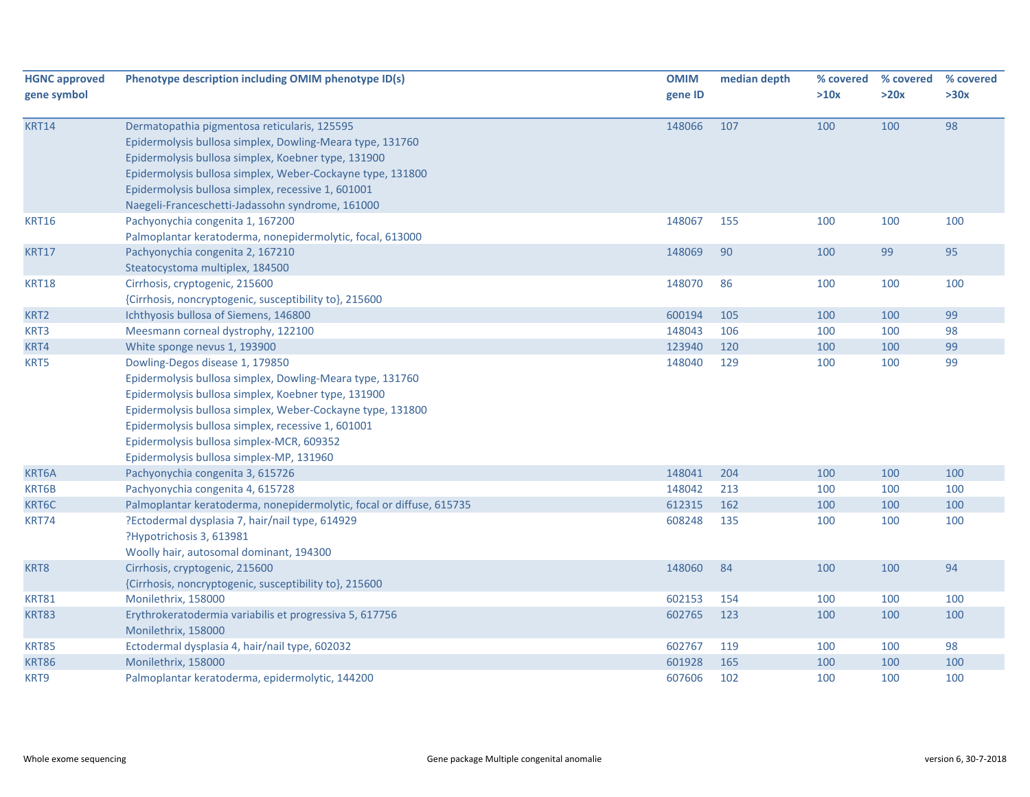| <b>HGNC approved</b> | Phenotype description including OMIM phenotype ID(s)                 | <b>OMIM</b> | median depth | % covered | % covered | % covered |
|----------------------|----------------------------------------------------------------------|-------------|--------------|-----------|-----------|-----------|
| gene symbol          |                                                                      | gene ID     |              | >10x      | >20x      | >30x      |
| <b>KRT14</b>         | Dermatopathia pigmentosa reticularis, 125595                         | 148066      | 107          | 100       | 100       | 98        |
|                      | Epidermolysis bullosa simplex, Dowling-Meara type, 131760            |             |              |           |           |           |
|                      | Epidermolysis bullosa simplex, Koebner type, 131900                  |             |              |           |           |           |
|                      | Epidermolysis bullosa simplex, Weber-Cockayne type, 131800           |             |              |           |           |           |
|                      | Epidermolysis bullosa simplex, recessive 1, 601001                   |             |              |           |           |           |
|                      | Naegeli-Franceschetti-Jadassohn syndrome, 161000                     |             |              |           |           |           |
| <b>KRT16</b>         | Pachyonychia congenita 1, 167200                                     | 148067      | 155          | 100       | 100       | 100       |
|                      | Palmoplantar keratoderma, nonepidermolytic, focal, 613000            |             |              |           |           |           |
| <b>KRT17</b>         | Pachyonychia congenita 2, 167210                                     | 148069      | 90           | 100       | 99        | 95        |
|                      | Steatocystoma multiplex, 184500                                      |             |              |           |           |           |
| <b>KRT18</b>         | Cirrhosis, cryptogenic, 215600                                       | 148070      | 86           | 100       | 100       | 100       |
|                      | {Cirrhosis, noncryptogenic, susceptibility to}, 215600               |             |              |           |           |           |
| KRT2                 | Ichthyosis bullosa of Siemens, 146800                                | 600194      | 105          | 100       | 100       | 99        |
| KRT3                 | Meesmann corneal dystrophy, 122100                                   | 148043      | 106          | 100       | 100       | 98        |
| KRT4                 | White sponge nevus 1, 193900                                         | 123940      | 120          | 100       | 100       | 99        |
| KRT5                 | Dowling-Degos disease 1, 179850                                      | 148040      | 129          | 100       | 100       | 99        |
|                      | Epidermolysis bullosa simplex, Dowling-Meara type, 131760            |             |              |           |           |           |
|                      | Epidermolysis bullosa simplex, Koebner type, 131900                  |             |              |           |           |           |
|                      | Epidermolysis bullosa simplex, Weber-Cockayne type, 131800           |             |              |           |           |           |
|                      | Epidermolysis bullosa simplex, recessive 1, 601001                   |             |              |           |           |           |
|                      | Epidermolysis bullosa simplex-MCR, 609352                            |             |              |           |           |           |
|                      | Epidermolysis bullosa simplex-MP, 131960                             |             |              |           |           |           |
| KRT6A                | Pachyonychia congenita 3, 615726                                     | 148041      | 204          | 100       | 100       | 100       |
| KRT6B                | Pachyonychia congenita 4, 615728                                     | 148042      | 213          | 100       | 100       | 100       |
| KRT6C                | Palmoplantar keratoderma, nonepidermolytic, focal or diffuse, 615735 | 612315      | 162          | 100       | 100       | 100       |
| KRT74                | ?Ectodermal dysplasia 7, hair/nail type, 614929                      | 608248      | 135          | 100       | 100       | 100       |
|                      | ?Hypotrichosis 3, 613981                                             |             |              |           |           |           |
|                      | Woolly hair, autosomal dominant, 194300                              |             |              |           |           |           |
| KRT8                 | Cirrhosis, cryptogenic, 215600                                       | 148060      | 84           | 100       | 100       | 94        |
|                      | {Cirrhosis, noncryptogenic, susceptibility to}, 215600               |             |              |           |           |           |
| <b>KRT81</b>         | Monilethrix, 158000                                                  | 602153      | 154          | 100       | 100       | 100       |
| <b>KRT83</b>         | Erythrokeratodermia variabilis et progressiva 5, 617756              | 602765      | 123          | 100       | 100       | 100       |
|                      | Monilethrix, 158000                                                  |             |              |           |           |           |
| <b>KRT85</b>         | Ectodermal dysplasia 4, hair/nail type, 602032                       | 602767      | 119          | 100       | 100       | 98        |
| <b>KRT86</b>         | Monilethrix, 158000                                                  | 601928      | 165          | 100       | 100       | 100       |
| KRT9                 | Palmoplantar keratoderma, epidermolytic, 144200                      | 607606      | 102          | 100       | 100       | 100       |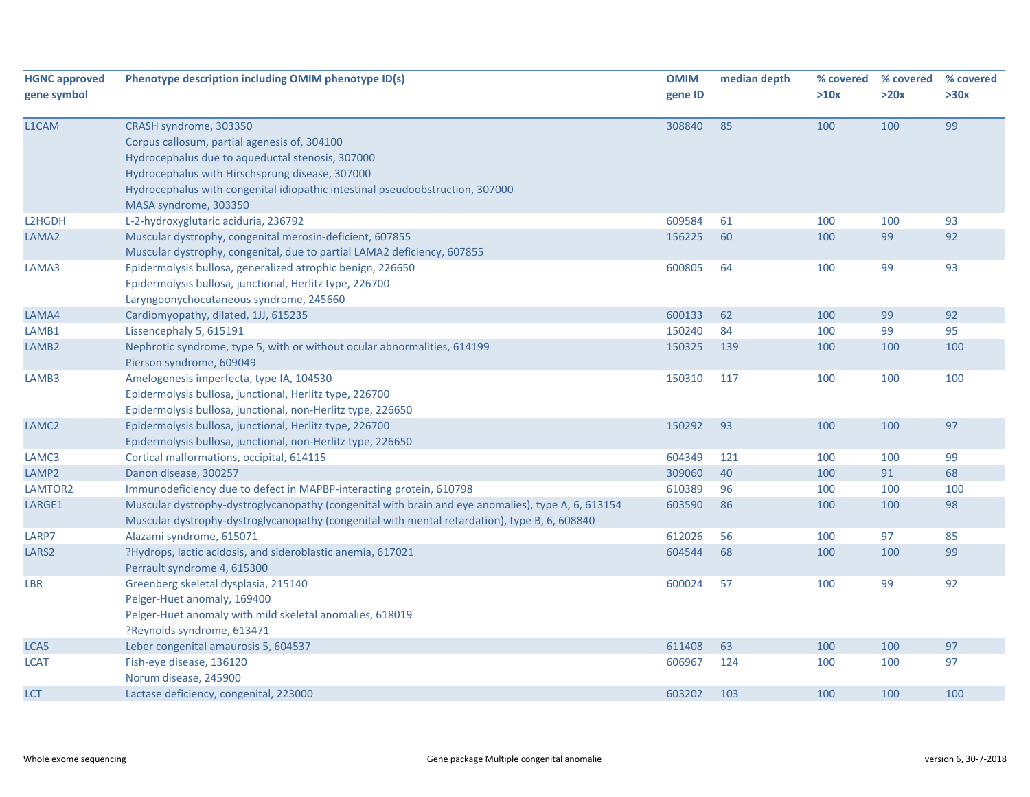| <b>HGNC approved</b><br>gene symbol | Phenotype description including OMIM phenotype ID(s)                                                                                                                                                                                                                                    | <b>OMIM</b><br>gene ID | median depth | % covered<br>>10x | % covered<br>>20x | % covered<br>>30x |
|-------------------------------------|-----------------------------------------------------------------------------------------------------------------------------------------------------------------------------------------------------------------------------------------------------------------------------------------|------------------------|--------------|-------------------|-------------------|-------------------|
| L1CAM                               | CRASH syndrome, 303350<br>Corpus callosum, partial agenesis of, 304100<br>Hydrocephalus due to aqueductal stenosis, 307000<br>Hydrocephalus with Hirschsprung disease, 307000<br>Hydrocephalus with congenital idiopathic intestinal pseudoobstruction, 307000<br>MASA syndrome, 303350 | 308840                 | 85           | 100               | 100               | 99                |
| L2HGDH                              | L-2-hydroxyglutaric aciduria, 236792                                                                                                                                                                                                                                                    | 609584                 | 61           | 100               | 100               | 93                |
| LAMA <sub>2</sub>                   | Muscular dystrophy, congenital merosin-deficient, 607855<br>Muscular dystrophy, congenital, due to partial LAMA2 deficiency, 607855                                                                                                                                                     | 156225                 | 60           | 100               | 99                | 92                |
| LAMA3                               | Epidermolysis bullosa, generalized atrophic benign, 226650<br>Epidermolysis bullosa, junctional, Herlitz type, 226700<br>Laryngoonychocutaneous syndrome, 245660                                                                                                                        | 600805                 | 64           | 100               | 99                | 93                |
| LAMA4                               | Cardiomyopathy, dilated, 1JJ, 615235                                                                                                                                                                                                                                                    | 600133                 | 62           | 100               | 99                | 92                |
| LAMB1                               | Lissencephaly 5, 615191                                                                                                                                                                                                                                                                 | 150240                 | 84           | 100               | 99                | 95                |
| LAMB <sub>2</sub>                   | Nephrotic syndrome, type 5, with or without ocular abnormalities, 614199<br>Pierson syndrome, 609049                                                                                                                                                                                    | 150325                 | 139          | 100               | 100               | 100               |
| LAMB3                               | Amelogenesis imperfecta, type IA, 104530<br>Epidermolysis bullosa, junctional, Herlitz type, 226700<br>Epidermolysis bullosa, junctional, non-Herlitz type, 226650                                                                                                                      | 150310                 | 117          | 100               | 100               | 100               |
| LAMC <sub>2</sub>                   | Epidermolysis bullosa, junctional, Herlitz type, 226700<br>Epidermolysis bullosa, junctional, non-Herlitz type, 226650                                                                                                                                                                  | 150292                 | 93           | 100               | 100               | 97                |
| LAMC3                               | Cortical malformations, occipital, 614115                                                                                                                                                                                                                                               | 604349                 | 121          | 100               | 100               | 99                |
| LAMP <sub>2</sub>                   | Danon disease, 300257                                                                                                                                                                                                                                                                   | 309060                 | 40           | 100               | 91                | 68                |
| LAMTOR2                             | Immunodeficiency due to defect in MAPBP-interacting protein, 610798                                                                                                                                                                                                                     | 610389                 | 96           | 100               | 100               | 100               |
| LARGE1                              | Muscular dystrophy-dystroglycanopathy (congenital with brain and eye anomalies), type A, 6, 613154<br>Muscular dystrophy-dystroglycanopathy (congenital with mental retardation), type B, 6, 608840                                                                                     | 603590                 | 86           | 100               | 100               | 98                |
| LARP7                               | Alazami syndrome, 615071                                                                                                                                                                                                                                                                | 612026                 | 56           | 100               | 97                | 85                |
| LARS <sub>2</sub>                   | ?Hydrops, lactic acidosis, and sideroblastic anemia, 617021<br>Perrault syndrome 4, 615300                                                                                                                                                                                              | 604544                 | 68           | 100               | 100               | 99                |
| <b>LBR</b>                          | Greenberg skeletal dysplasia, 215140<br>Pelger-Huet anomaly, 169400<br>Pelger-Huet anomaly with mild skeletal anomalies, 618019<br>?Reynolds syndrome, 613471                                                                                                                           | 600024                 | 57           | 100               | 99                | 92                |
| LCA5                                | Leber congenital amaurosis 5, 604537                                                                                                                                                                                                                                                    | 611408                 | 63           | 100               | 100               | 97                |
| <b>LCAT</b>                         | Fish-eye disease, 136120<br>Norum disease, 245900                                                                                                                                                                                                                                       | 606967                 | 124          | 100               | 100               | 97                |
| LCT                                 | Lactase deficiency, congenital, 223000                                                                                                                                                                                                                                                  | 603202                 | 103          | 100               | 100               | 100               |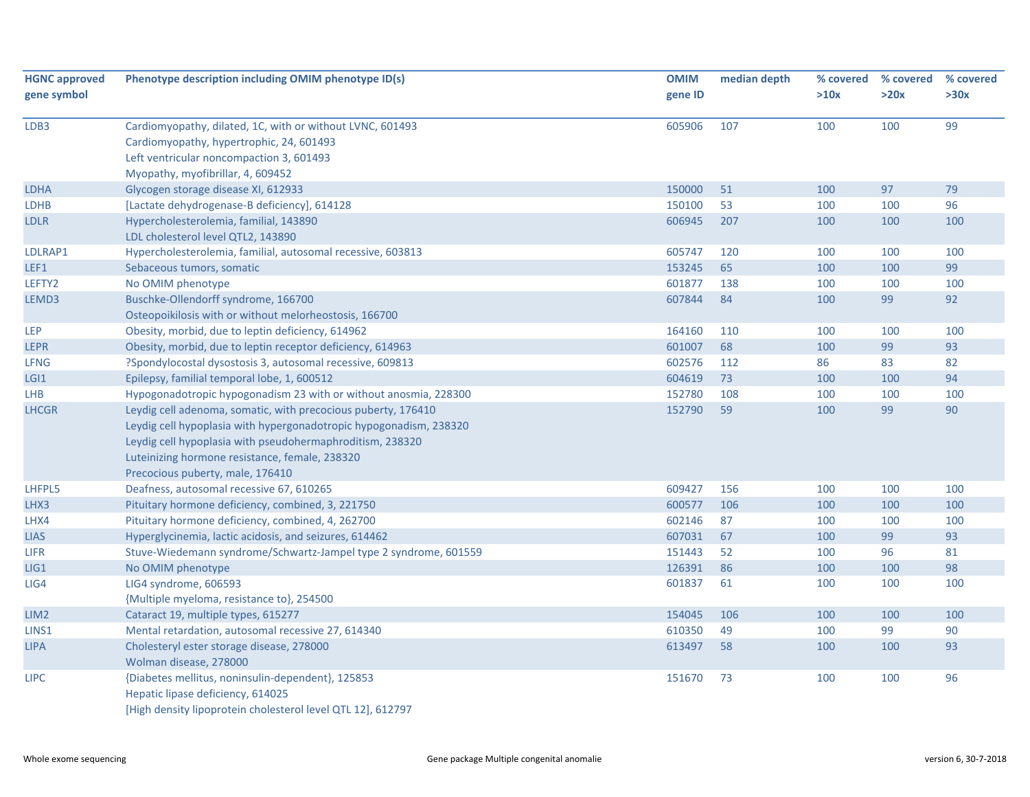| <b>HGNC approved</b>       | Phenotype description including OMIM phenotype ID(s)                                | <b>OMIM</b>      | median depth | % covered  | % covered | % covered |
|----------------------------|-------------------------------------------------------------------------------------|------------------|--------------|------------|-----------|-----------|
| gene symbol                |                                                                                     | gene ID          |              | >10x       | >20x      | >30x      |
| LDB3                       | Cardiomyopathy, dilated, 1C, with or without LVNC, 601493                           | 605906           | 107          | 100        | 100       | 99        |
|                            | Cardiomyopathy, hypertrophic, 24, 601493                                            |                  |              |            |           |           |
|                            | Left ventricular noncompaction 3, 601493                                            |                  |              |            |           |           |
|                            | Myopathy, myofibrillar, 4, 609452                                                   |                  |              |            | 97        | 79        |
| <b>LDHA</b><br><b>LDHB</b> | Glycogen storage disease XI, 612933<br>[Lactate dehydrogenase-B deficiency], 614128 | 150000<br>150100 | 51<br>53     | 100<br>100 | 100       | 96        |
| <b>LDLR</b>                | Hypercholesterolemia, familial, 143890                                              | 606945           | 207          | 100        | 100       | 100       |
|                            | LDL cholesterol level QTL2, 143890                                                  |                  |              |            |           |           |
| LDLRAP1                    | Hypercholesterolemia, familial, autosomal recessive, 603813                         | 605747           | 120          | 100        | 100       | 100       |
| LEF1                       | Sebaceous tumors, somatic                                                           | 153245           | 65           | 100        | 100       | 99        |
| LEFTY2                     | No OMIM phenotype                                                                   | 601877           | 138          | 100        | 100       | 100       |
| LEMD3                      | Buschke-Ollendorff syndrome, 166700                                                 | 607844           | 84           | 100        | 99        | 92        |
|                            | Osteopoikilosis with or without melorheostosis, 166700                              |                  |              |            |           |           |
| <b>LEP</b>                 | Obesity, morbid, due to leptin deficiency, 614962                                   | 164160           | 110          | 100        | 100       | 100       |
| LEPR                       | Obesity, morbid, due to leptin receptor deficiency, 614963                          | 601007           | 68           | 100        | 99        | 93        |
| <b>LFNG</b>                | ?Spondylocostal dysostosis 3, autosomal recessive, 609813                           | 602576           | 112          | 86         | 83        | 82        |
| LGI1                       | Epilepsy, familial temporal lobe, 1, 600512                                         | 604619           | 73           | 100        | 100       | 94        |
| LHB                        | Hypogonadotropic hypogonadism 23 with or without anosmia, 228300                    | 152780           | 108          | 100        | 100       | 100       |
| <b>LHCGR</b>               | Leydig cell adenoma, somatic, with precocious puberty, 176410                       | 152790           | 59           | 100        | 99        | 90        |
|                            | Leydig cell hypoplasia with hypergonadotropic hypogonadism, 238320                  |                  |              |            |           |           |
|                            | Leydig cell hypoplasia with pseudohermaphroditism, 238320                           |                  |              |            |           |           |
|                            | Luteinizing hormone resistance, female, 238320                                      |                  |              |            |           |           |
|                            | Precocious puberty, male, 176410                                                    |                  |              |            |           |           |
| LHFPL5                     | Deafness, autosomal recessive 67, 610265                                            | 609427           | 156          | 100        | 100       | 100       |
| LHX3                       | Pituitary hormone deficiency, combined, 3, 221750                                   | 600577           | 106          | 100        | 100       | 100       |
| LHX4                       | Pituitary hormone deficiency, combined, 4, 262700                                   | 602146           | 87           | 100        | 100       | 100       |
| <b>LIAS</b>                | Hyperglycinemia, lactic acidosis, and seizures, 614462                              | 607031           | 67           | 100        | 99        | 93        |
| <b>LIFR</b>                | Stuve-Wiedemann syndrome/Schwartz-Jampel type 2 syndrome, 601559                    | 151443           | 52           | 100        | 96        | 81        |
| LIG1                       | No OMIM phenotype                                                                   | 126391           | 86           | 100        | 100       | 98        |
| LIG4                       | LIG4 syndrome, 606593                                                               | 601837           | 61           | 100        | 100       | 100       |
|                            | {Multiple myeloma, resistance to}, 254500                                           |                  |              |            |           |           |
| LIM <sub>2</sub>           | Cataract 19, multiple types, 615277                                                 | 154045           | 106          | 100        | 100       | 100       |
| LINS1                      | Mental retardation, autosomal recessive 27, 614340                                  | 610350           | 49           | 100        | 99        | 90        |
| <b>LIPA</b>                | Cholesteryl ester storage disease, 278000<br>Wolman disease, 278000                 | 613497           | 58           | 100        | 100       | 93        |
| <b>LIPC</b>                | {Diabetes mellitus, noninsulin-dependent}, 125853                                   | 151670           | 73           | 100        | 100       | 96        |
|                            | Hepatic lipase deficiency, 614025                                                   |                  |              |            |           |           |
|                            | [High density lipoprotein cholesterol level QTL 12], 612797                         |                  |              |            |           |           |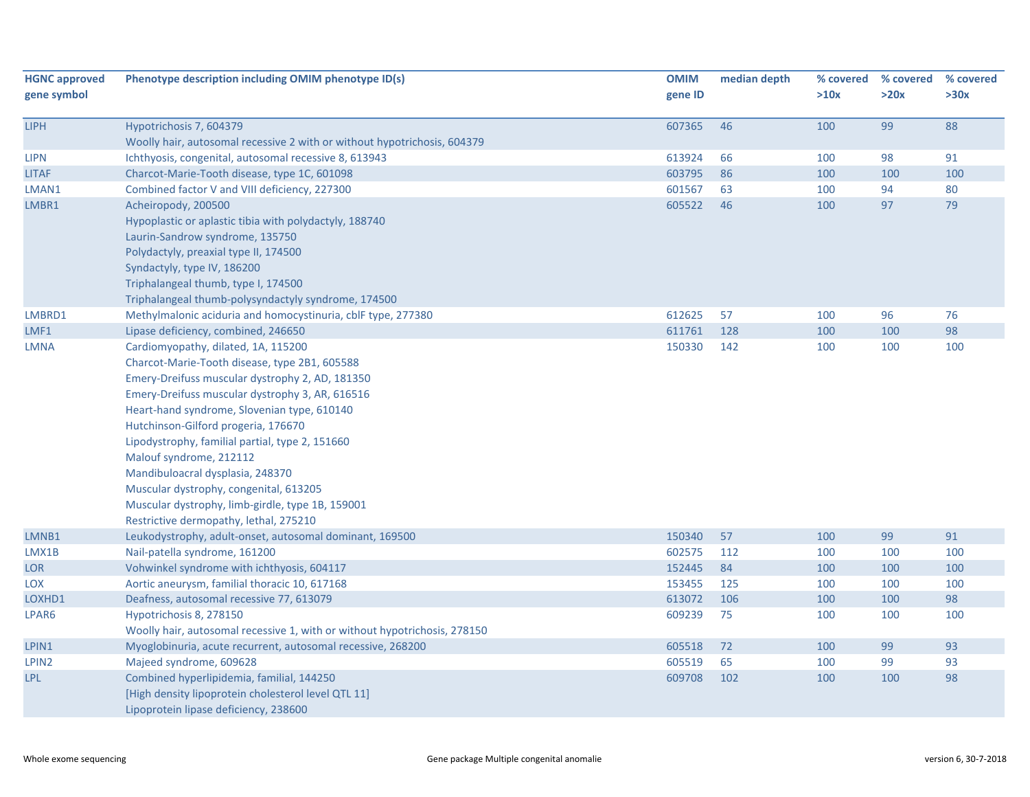| <b>HGNC approved</b> | Phenotype description including OMIM phenotype ID(s)                      | <b>OMIM</b> | median depth | % covered | % covered | % covered |
|----------------------|---------------------------------------------------------------------------|-------------|--------------|-----------|-----------|-----------|
| gene symbol          |                                                                           | gene ID     |              | >10x      | >20x      | >30x      |
| <b>LIPH</b>          | Hypotrichosis 7, 604379                                                   | 607365      | 46           | 100       | 99        | 88        |
|                      | Woolly hair, autosomal recessive 2 with or without hypotrichosis, 604379  |             |              |           |           |           |
| LIPN                 | Ichthyosis, congenital, autosomal recessive 8, 613943                     | 613924      | 66           | 100       | 98        | 91        |
| <b>LITAF</b>         | Charcot-Marie-Tooth disease, type 1C, 601098                              | 603795      | 86           | 100       | 100       | 100       |
| LMAN1                | Combined factor V and VIII deficiency, 227300                             | 601567      | 63           | 100       | 94        | 80        |
| LMBR1                | Acheiropody, 200500                                                       | 605522      | 46           | 100       | 97        | 79        |
|                      | Hypoplastic or aplastic tibia with polydactyly, 188740                    |             |              |           |           |           |
|                      | Laurin-Sandrow syndrome, 135750                                           |             |              |           |           |           |
|                      | Polydactyly, preaxial type II, 174500                                     |             |              |           |           |           |
|                      | Syndactyly, type IV, 186200                                               |             |              |           |           |           |
|                      | Triphalangeal thumb, type I, 174500                                       |             |              |           |           |           |
|                      | Triphalangeal thumb-polysyndactyly syndrome, 174500                       |             |              |           |           |           |
| LMBRD1               | Methylmalonic aciduria and homocystinuria, cblF type, 277380              | 612625      | 57           | 100       | 96        | 76        |
| LMF1                 | Lipase deficiency, combined, 246650                                       | 611761      | 128          | 100       | 100       | 98        |
| LMNA                 | Cardiomyopathy, dilated, 1A, 115200                                       | 150330      | 142          | 100       | 100       | 100       |
|                      | Charcot-Marie-Tooth disease, type 2B1, 605588                             |             |              |           |           |           |
|                      | Emery-Dreifuss muscular dystrophy 2, AD, 181350                           |             |              |           |           |           |
|                      | Emery-Dreifuss muscular dystrophy 3, AR, 616516                           |             |              |           |           |           |
|                      | Heart-hand syndrome, Slovenian type, 610140                               |             |              |           |           |           |
|                      | Hutchinson-Gilford progeria, 176670                                       |             |              |           |           |           |
|                      | Lipodystrophy, familial partial, type 2, 151660                           |             |              |           |           |           |
|                      | Malouf syndrome, 212112                                                   |             |              |           |           |           |
|                      | Mandibuloacral dysplasia, 248370                                          |             |              |           |           |           |
|                      | Muscular dystrophy, congenital, 613205                                    |             |              |           |           |           |
|                      | Muscular dystrophy, limb-girdle, type 1B, 159001                          |             |              |           |           |           |
|                      | Restrictive dermopathy, lethal, 275210                                    |             |              |           |           |           |
| LMNB1                | Leukodystrophy, adult-onset, autosomal dominant, 169500                   | 150340      | 57           | 100       | 99        | 91        |
| LMX1B                | Nail-patella syndrome, 161200                                             | 602575      | 112          | 100       | 100       | 100       |
| <b>LOR</b>           | Vohwinkel syndrome with ichthyosis, 604117                                | 152445      | 84           | 100       | 100       | 100       |
| <b>LOX</b>           | Aortic aneurysm, familial thoracic 10, 617168                             | 153455      | 125          | 100       | 100       | 100       |
| LOXHD1               | Deafness, autosomal recessive 77, 613079                                  | 613072      | 106          | 100       | 100       | 98        |
| LPAR6                | Hypotrichosis 8, 278150                                                   | 609239      | 75           | 100       | 100       | 100       |
|                      | Woolly hair, autosomal recessive 1, with or without hypotrichosis, 278150 |             |              |           |           |           |
| LPIN1                | Myoglobinuria, acute recurrent, autosomal recessive, 268200               | 605518      | 72           | 100       | 99        | 93        |
| LPIN2                | Majeed syndrome, 609628                                                   | 605519      | 65           | 100       | 99        | 93        |
| LPL                  | Combined hyperlipidemia, familial, 144250                                 | 609708      | 102          | 100       | 100       | 98        |
|                      | [High density lipoprotein cholesterol level QTL 11]                       |             |              |           |           |           |
|                      | Lipoprotein lipase deficiency, 238600                                     |             |              |           |           |           |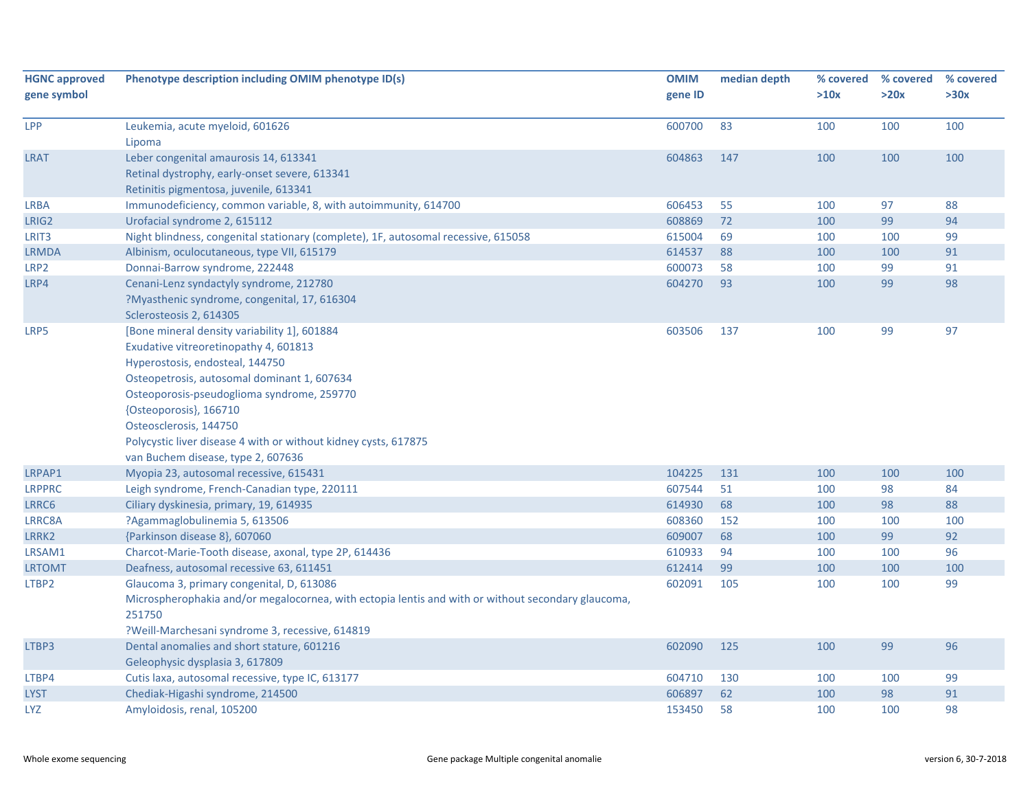| <b>HGNC approved</b><br>gene symbol | Phenotype description including OMIM phenotype ID(s)                                                                                                                                                                                                                                                                                                                               | <b>OMIM</b><br>gene ID | median depth | % covered<br>>10x | % covered<br>>20x | % covered<br>>30x |
|-------------------------------------|------------------------------------------------------------------------------------------------------------------------------------------------------------------------------------------------------------------------------------------------------------------------------------------------------------------------------------------------------------------------------------|------------------------|--------------|-------------------|-------------------|-------------------|
| <b>LPP</b>                          | Leukemia, acute myeloid, 601626<br>Lipoma                                                                                                                                                                                                                                                                                                                                          | 600700                 | 83           | 100               | 100               | 100               |
| <b>LRAT</b>                         | Leber congenital amaurosis 14, 613341<br>Retinal dystrophy, early-onset severe, 613341<br>Retinitis pigmentosa, juvenile, 613341                                                                                                                                                                                                                                                   | 604863                 | 147          | 100               | 100               | 100               |
| LRBA                                | Immunodeficiency, common variable, 8, with autoimmunity, 614700                                                                                                                                                                                                                                                                                                                    | 606453                 | 55           | 100               | 97                | 88                |
| LRIG2                               | Urofacial syndrome 2, 615112                                                                                                                                                                                                                                                                                                                                                       | 608869                 | 72           | 100               | 99                | 94                |
| LRIT <sub>3</sub>                   | Night blindness, congenital stationary (complete), 1F, autosomal recessive, 615058                                                                                                                                                                                                                                                                                                 | 615004                 | 69           | 100               | 100               | 99                |
| <b>LRMDA</b>                        | Albinism, oculocutaneous, type VII, 615179                                                                                                                                                                                                                                                                                                                                         | 614537                 | 88           | 100               | 100               | 91                |
| LRP <sub>2</sub>                    | Donnai-Barrow syndrome, 222448                                                                                                                                                                                                                                                                                                                                                     | 600073                 | 58           | 100               | 99                | 91                |
| LRP4                                | Cenani-Lenz syndactyly syndrome, 212780<br>?Myasthenic syndrome, congenital, 17, 616304<br>Sclerosteosis 2, 614305                                                                                                                                                                                                                                                                 | 604270                 | 93           | 100               | 99                | 98                |
| LRP5                                | [Bone mineral density variability 1], 601884<br>Exudative vitreoretinopathy 4, 601813<br>Hyperostosis, endosteal, 144750<br>Osteopetrosis, autosomal dominant 1, 607634<br>Osteoporosis-pseudoglioma syndrome, 259770<br>{Osteoporosis}, 166710<br>Osteosclerosis, 144750<br>Polycystic liver disease 4 with or without kidney cysts, 617875<br>van Buchem disease, type 2, 607636 | 603506                 | 137          | 100               | 99                | 97                |
| LRPAP1                              | Myopia 23, autosomal recessive, 615431                                                                                                                                                                                                                                                                                                                                             | 104225                 | 131          | 100               | 100               | 100               |
| <b>LRPPRC</b>                       | Leigh syndrome, French-Canadian type, 220111                                                                                                                                                                                                                                                                                                                                       | 607544                 | 51           | 100               | 98                | 84                |
| LRRC6                               | Ciliary dyskinesia, primary, 19, 614935                                                                                                                                                                                                                                                                                                                                            | 614930                 | 68           | 100               | 98                | 88                |
| LRRC8A                              | ?Agammaglobulinemia 5, 613506                                                                                                                                                                                                                                                                                                                                                      | 608360                 | 152          | 100               | 100               | 100               |
| LRRK2                               | {Parkinson disease 8}, 607060                                                                                                                                                                                                                                                                                                                                                      | 609007                 | 68           | 100               | 99                | 92                |
| LRSAM1                              | Charcot-Marie-Tooth disease, axonal, type 2P, 614436                                                                                                                                                                                                                                                                                                                               | 610933                 | 94           | 100               | 100               | 96                |
| <b>LRTOMT</b>                       | Deafness, autosomal recessive 63, 611451                                                                                                                                                                                                                                                                                                                                           | 612414                 | 99           | 100               | 100               | 100               |
| LTBP2                               | Glaucoma 3, primary congenital, D, 613086<br>Microspherophakia and/or megalocornea, with ectopia lentis and with or without secondary glaucoma,<br>251750<br>?Weill-Marchesani syndrome 3, recessive, 614819                                                                                                                                                                       | 602091                 | 105          | 100               | 100               | 99                |
| LTBP3                               | Dental anomalies and short stature, 601216<br>Geleophysic dysplasia 3, 617809                                                                                                                                                                                                                                                                                                      | 602090                 | 125          | 100               | 99                | 96                |
| LTBP4                               | Cutis laxa, autosomal recessive, type IC, 613177                                                                                                                                                                                                                                                                                                                                   | 604710                 | 130          | 100               | 100               | 99                |
| <b>LYST</b>                         | Chediak-Higashi syndrome, 214500                                                                                                                                                                                                                                                                                                                                                   | 606897                 | 62           | 100               | 98                | 91                |
| LYZ                                 | Amyloidosis, renal, 105200                                                                                                                                                                                                                                                                                                                                                         | 153450                 | 58           | 100               | 100               | 98                |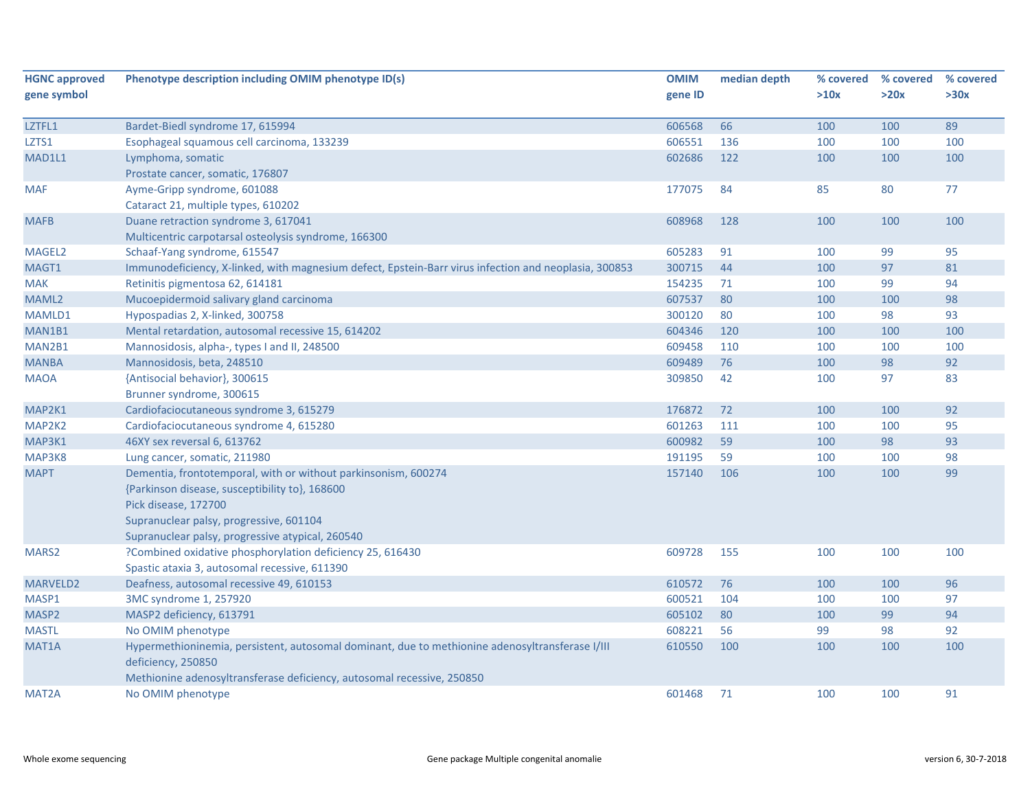| <b>HGNC approved</b> | Phenotype description including OMIM phenotype ID(s)                                                                                     | <b>OMIM</b> | median depth | % covered | % covered | % covered |
|----------------------|------------------------------------------------------------------------------------------------------------------------------------------|-------------|--------------|-----------|-----------|-----------|
| gene symbol          |                                                                                                                                          | gene ID     |              | >10x      | >20x      | >30x      |
| LZTFL1               | Bardet-Biedl syndrome 17, 615994                                                                                                         | 606568      | 66           | 100       | 100       | 89        |
| LZTS1                | Esophageal squamous cell carcinoma, 133239                                                                                               | 606551      | 136          | 100       | 100       | 100       |
| MAD1L1               | Lymphoma, somatic                                                                                                                        | 602686      | 122          | 100       | 100       | 100       |
|                      | Prostate cancer, somatic, 176807                                                                                                         |             |              |           |           |           |
| <b>MAF</b>           | Ayme-Gripp syndrome, 601088                                                                                                              | 177075      | 84           | 85        | 80        | 77        |
|                      | Cataract 21, multiple types, 610202                                                                                                      |             |              |           |           |           |
| <b>MAFB</b>          | Duane retraction syndrome 3, 617041                                                                                                      | 608968      | 128          | 100       | 100       | 100       |
|                      | Multicentric carpotarsal osteolysis syndrome, 166300                                                                                     |             |              |           |           |           |
| MAGEL2               | Schaaf-Yang syndrome, 615547                                                                                                             | 605283      | 91           | 100       | 99        | 95        |
| MAGT1                | Immunodeficiency, X-linked, with magnesium defect, Epstein-Barr virus infection and neoplasia, 300853                                    | 300715      | 44           | 100       | 97        | 81        |
| <b>MAK</b>           | Retinitis pigmentosa 62, 614181                                                                                                          | 154235      | 71           | 100       | 99        | 94        |
| MAML2                | Mucoepidermoid salivary gland carcinoma                                                                                                  | 607537      | 80           | 100       | 100       | 98        |
| MAMLD1               | Hypospadias 2, X-linked, 300758                                                                                                          | 300120      | 80           | 100       | 98        | 93        |
| MAN1B1               | Mental retardation, autosomal recessive 15, 614202                                                                                       | 604346      | 120          | 100       | 100       | 100       |
| MAN2B1               | Mannosidosis, alpha-, types I and II, 248500                                                                                             | 609458      | 110          | 100       | 100       | 100       |
| <b>MANBA</b>         | Mannosidosis, beta, 248510                                                                                                               | 609489      | 76           | 100       | 98        | 92        |
| <b>MAOA</b>          | {Antisocial behavior}, 300615                                                                                                            | 309850      | 42           | 100       | 97        | 83        |
|                      | Brunner syndrome, 300615                                                                                                                 |             |              |           |           |           |
| MAP2K1               | Cardiofaciocutaneous syndrome 3, 615279                                                                                                  | 176872      | 72           | 100       | 100       | 92        |
| MAP2K2               | Cardiofaciocutaneous syndrome 4, 615280                                                                                                  | 601263      | 111          | 100       | 100       | 95        |
| MAP3K1               | 46XY sex reversal 6, 613762                                                                                                              | 600982      | 59           | 100       | 98        | 93        |
| MAP3K8               | Lung cancer, somatic, 211980                                                                                                             | 191195      | 59           | 100       | 100       | 98        |
| <b>MAPT</b>          | Dementia, frontotemporal, with or without parkinsonism, 600274<br>{Parkinson disease, susceptibility to}, 168600<br>Pick disease, 172700 | 157140      | 106          | 100       | 100       | 99        |
|                      | Supranuclear palsy, progressive, 601104                                                                                                  |             |              |           |           |           |
|                      | Supranuclear palsy, progressive atypical, 260540                                                                                         |             |              |           |           |           |
| MARS <sub>2</sub>    | ?Combined oxidative phosphorylation deficiency 25, 616430                                                                                | 609728      | 155          | 100       | 100       | 100       |
|                      | Spastic ataxia 3, autosomal recessive, 611390                                                                                            |             |              |           |           |           |
| MARVELD2             | Deafness, autosomal recessive 49, 610153                                                                                                 | 610572      | 76           | 100       | 100       | 96        |
| MASP1                | 3MC syndrome 1, 257920                                                                                                                   | 600521      | 104          | 100       | 100       | 97        |
| MASP2                | MASP2 deficiency, 613791                                                                                                                 | 605102      | 80           | 100       | 99        | 94        |
| <b>MASTL</b>         | No OMIM phenotype                                                                                                                        | 608221      | 56           | 99        | 98        | 92        |
| MAT <sub>1</sub> A   | Hypermethioninemia, persistent, autosomal dominant, due to methionine adenosyltransferase I/III<br>deficiency, 250850                    | 610550      | 100          | 100       | 100       | 100       |
|                      | Methionine adenosyltransferase deficiency, autosomal recessive, 250850                                                                   |             |              |           |           |           |
| MAT2A                | No OMIM phenotype                                                                                                                        | 601468      | 71           | 100       | 100       | 91        |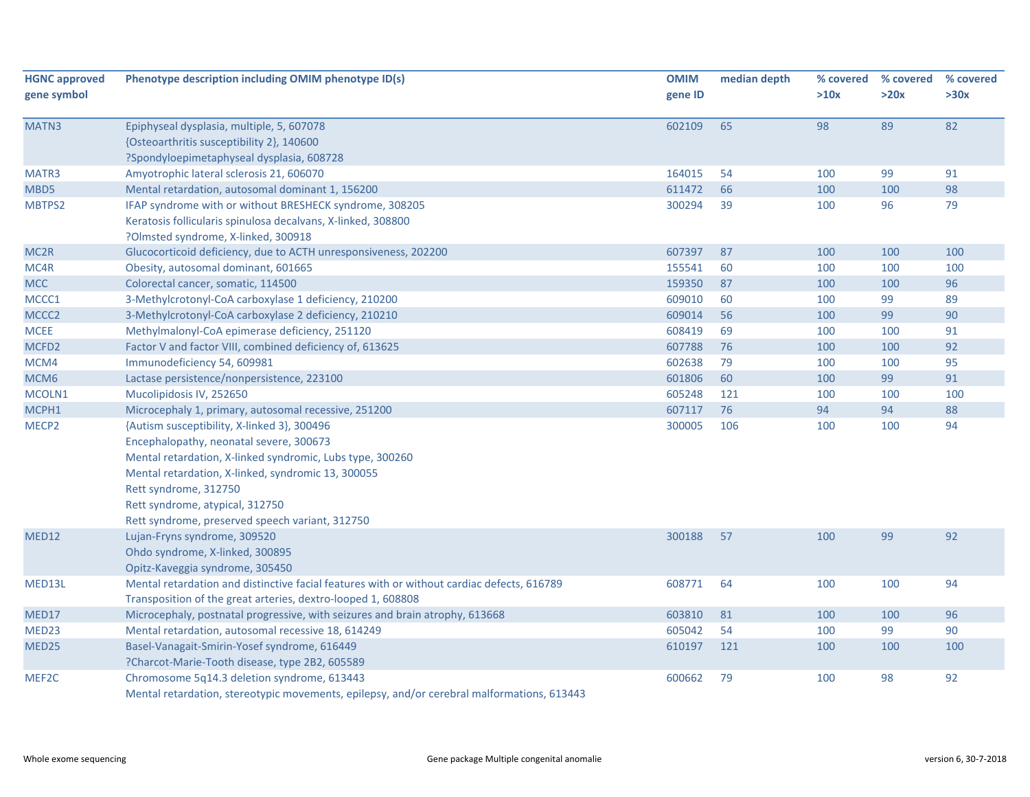| <b>HGNC approved</b> | Phenotype description including OMIM phenotype ID(s)                                       | <b>OMIM</b> | median depth | % covered | % covered | % covered |
|----------------------|--------------------------------------------------------------------------------------------|-------------|--------------|-----------|-----------|-----------|
| gene symbol          |                                                                                            | gene ID     |              | >10x      | >20x      | >30x      |
| MATN3                | Epiphyseal dysplasia, multiple, 5, 607078                                                  | 602109      | 65           | 98        | 89        | 82        |
|                      | {Osteoarthritis susceptibility 2}, 140600                                                  |             |              |           |           |           |
|                      | ?Spondyloepimetaphyseal dysplasia, 608728                                                  |             |              |           |           |           |
| MATR3                | Amyotrophic lateral sclerosis 21, 606070                                                   | 164015      | 54           | 100       | 99        | 91        |
| MBD5                 | Mental retardation, autosomal dominant 1, 156200                                           | 611472      | 66           | 100       | 100       | 98        |
| MBTPS2               | IFAP syndrome with or without BRESHECK syndrome, 308205                                    | 300294      | 39           | 100       | 96        | 79        |
|                      | Keratosis follicularis spinulosa decalvans, X-linked, 308800                               |             |              |           |           |           |
|                      | ?Olmsted syndrome, X-linked, 300918                                                        |             |              |           |           |           |
| MC <sub>2R</sub>     | Glucocorticoid deficiency, due to ACTH unresponsiveness, 202200                            | 607397      | 87           | 100       | 100       | 100       |
| MC4R                 | Obesity, autosomal dominant, 601665                                                        | 155541      | 60           | 100       | 100       | 100       |
| <b>MCC</b>           | Colorectal cancer, somatic, 114500                                                         | 159350      | 87           | 100       | 100       | 96        |
| MCCC1                | 3-Methylcrotonyl-CoA carboxylase 1 deficiency, 210200                                      | 609010      | 60           | 100       | 99        | 89        |
| MCCC2                | 3-Methylcrotonyl-CoA carboxylase 2 deficiency, 210210                                      | 609014      | 56           | 100       | 99        | 90        |
| <b>MCEE</b>          | Methylmalonyl-CoA epimerase deficiency, 251120                                             | 608419      | 69           | 100       | 100       | 91        |
| MCFD <sub>2</sub>    | Factor V and factor VIII, combined deficiency of, 613625                                   | 607788      | 76           | 100       | 100       | 92        |
| MCM4                 | Immunodeficiency 54, 609981                                                                | 602638      | 79           | 100       | 100       | 95        |
| MCM <sub>6</sub>     | Lactase persistence/nonpersistence, 223100                                                 | 601806      | 60           | 100       | 99        | 91        |
| MCOLN1               | Mucolipidosis IV, 252650                                                                   | 605248      | 121          | 100       | 100       | 100       |
| MCPH1                | Microcephaly 1, primary, autosomal recessive, 251200                                       | 607117      | 76           | 94        | 94        | 88        |
| MECP2                | {Autism susceptibility, X-linked 3}, 300496                                                | 300005      | 106          | 100       | 100       | 94        |
|                      | Encephalopathy, neonatal severe, 300673                                                    |             |              |           |           |           |
|                      | Mental retardation, X-linked syndromic, Lubs type, 300260                                  |             |              |           |           |           |
|                      | Mental retardation, X-linked, syndromic 13, 300055                                         |             |              |           |           |           |
|                      | Rett syndrome, 312750                                                                      |             |              |           |           |           |
|                      | Rett syndrome, atypical, 312750                                                            |             |              |           |           |           |
|                      | Rett syndrome, preserved speech variant, 312750                                            |             |              |           |           |           |
| MED12                | Lujan-Fryns syndrome, 309520                                                               | 300188      | 57           | 100       | 99        | 92        |
|                      | Ohdo syndrome, X-linked, 300895                                                            |             |              |           |           |           |
|                      | Opitz-Kaveggia syndrome, 305450                                                            |             |              |           |           |           |
| MED13L               | Mental retardation and distinctive facial features with or without cardiac defects, 616789 | 608771      | 64           | 100       | 100       | 94        |
|                      | Transposition of the great arteries, dextro-looped 1, 608808                               |             |              |           |           |           |
| MED17                | Microcephaly, postnatal progressive, with seizures and brain atrophy, 613668               | 603810      | 81           | 100       | 100       | 96        |
| MED <sub>23</sub>    | Mental retardation, autosomal recessive 18, 614249                                         | 605042      | 54           | 100       | 99        | 90        |
| MED25                | Basel-Vanagait-Smirin-Yosef syndrome, 616449                                               | 610197      | 121          | 100       | 100       | 100       |
|                      | ?Charcot-Marie-Tooth disease, type 2B2, 605589                                             |             |              |           |           |           |
| MEF2C                | Chromosome 5q14.3 deletion syndrome, 613443                                                | 600662      | 79           | 100       | 98        | 92        |
|                      | Mental retardation, stereotypic movements, enjlensy, and/or cerebral malformations, 613443 |             |              |           |           |           |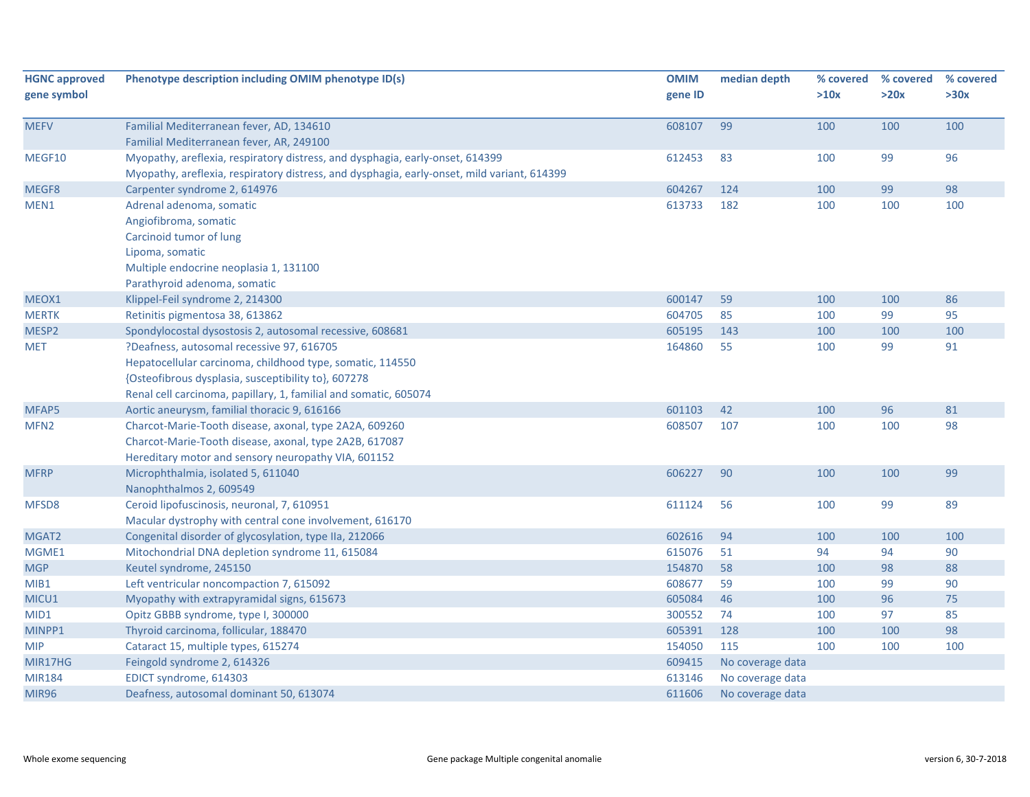| <b>HGNC approved</b><br>gene symbol | Phenotype description including OMIM phenotype ID(s)                                        | <b>OMIM</b><br>gene ID | median depth     | % covered<br>>10x | % covered<br>>20x | % covered<br>>30x |
|-------------------------------------|---------------------------------------------------------------------------------------------|------------------------|------------------|-------------------|-------------------|-------------------|
|                                     |                                                                                             |                        |                  |                   |                   |                   |
| <b>MEFV</b>                         | Familial Mediterranean fever, AD, 134610                                                    | 608107                 | 99               | 100               | 100               | 100               |
|                                     | Familial Mediterranean fever, AR, 249100                                                    |                        |                  |                   |                   |                   |
| MEGF10                              | Myopathy, areflexia, respiratory distress, and dysphagia, early-onset, 614399               | 612453                 | 83               | 100               | 99                | 96                |
|                                     | Myopathy, areflexia, respiratory distress, and dysphagia, early-onset, mild variant, 614399 |                        |                  |                   |                   |                   |
| MEGF8                               | Carpenter syndrome 2, 614976                                                                | 604267                 | 124              | 100               | 99                | 98                |
| MEN1                                | Adrenal adenoma, somatic                                                                    | 613733                 | 182              | 100               | 100               | 100               |
|                                     | Angiofibroma, somatic                                                                       |                        |                  |                   |                   |                   |
|                                     | Carcinoid tumor of lung                                                                     |                        |                  |                   |                   |                   |
|                                     | Lipoma, somatic                                                                             |                        |                  |                   |                   |                   |
|                                     | Multiple endocrine neoplasia 1, 131100                                                      |                        |                  |                   |                   |                   |
|                                     | Parathyroid adenoma, somatic                                                                |                        |                  |                   |                   |                   |
| MEOX1                               | Klippel-Feil syndrome 2, 214300                                                             | 600147                 | 59               | 100               | 100               | 86                |
| <b>MERTK</b>                        | Retinitis pigmentosa 38, 613862                                                             | 604705                 | 85               | 100               | 99                | 95                |
| MESP2                               | Spondylocostal dysostosis 2, autosomal recessive, 608681                                    | 605195                 | 143              | 100               | 100               | 100               |
| <b>MET</b>                          | ?Deafness, autosomal recessive 97, 616705                                                   | 164860                 | 55               | 100               | 99                | 91                |
|                                     | Hepatocellular carcinoma, childhood type, somatic, 114550                                   |                        |                  |                   |                   |                   |
|                                     | {Osteofibrous dysplasia, susceptibility to}, 607278                                         |                        |                  |                   |                   |                   |
|                                     | Renal cell carcinoma, papillary, 1, familial and somatic, 605074                            |                        |                  |                   |                   |                   |
| MFAP5                               | Aortic aneurysm, familial thoracic 9, 616166                                                | 601103                 | 42               | 100               | 96                | 81                |
| MFN <sub>2</sub>                    | Charcot-Marie-Tooth disease, axonal, type 2A2A, 609260                                      | 608507                 | 107              | 100               | 100               | 98                |
|                                     | Charcot-Marie-Tooth disease, axonal, type 2A2B, 617087                                      |                        |                  |                   |                   |                   |
|                                     | Hereditary motor and sensory neuropathy VIA, 601152                                         |                        |                  |                   |                   |                   |
| <b>MFRP</b>                         | Microphthalmia, isolated 5, 611040                                                          | 606227                 | 90               | 100               | 100               | 99                |
|                                     | Nanophthalmos 2, 609549                                                                     |                        |                  |                   |                   |                   |
| MFSD8                               | Ceroid lipofuscinosis, neuronal, 7, 610951                                                  | 611124                 | 56               | 100               | 99                | 89                |
|                                     | Macular dystrophy with central cone involvement, 616170                                     |                        |                  |                   |                   |                   |
| MGAT2                               | Congenital disorder of glycosylation, type IIa, 212066                                      | 602616                 | 94               | 100               | 100               | 100               |
| MGME1                               | Mitochondrial DNA depletion syndrome 11, 615084                                             | 615076                 | 51               | 94                | 94                | 90                |
| <b>MGP</b>                          | Keutel syndrome, 245150                                                                     | 154870                 | 58               | 100               | 98                | 88                |
| MIB1                                | Left ventricular noncompaction 7, 615092                                                    | 608677                 | 59               | 100               | 99                | 90                |
| MICU1                               | Myopathy with extrapyramidal signs, 615673                                                  | 605084                 | 46               | 100               | 96                | 75                |
| MID1                                | Opitz GBBB syndrome, type I, 300000                                                         | 300552                 | 74               | 100               | 97                | 85                |
| MINPP1                              | Thyroid carcinoma, follicular, 188470                                                       | 605391                 | 128              | 100               | 100               | 98                |
| <b>MIP</b>                          | Cataract 15, multiple types, 615274                                                         | 154050                 | 115              | 100               | 100               | 100               |
| MIR17HG                             | Feingold syndrome 2, 614326                                                                 | 609415                 | No coverage data |                   |                   |                   |
| <b>MIR184</b>                       | EDICT syndrome, 614303                                                                      | 613146                 | No coverage data |                   |                   |                   |
| <b>MIR96</b>                        | Deafness, autosomal dominant 50, 613074                                                     | 611606                 | No coverage data |                   |                   |                   |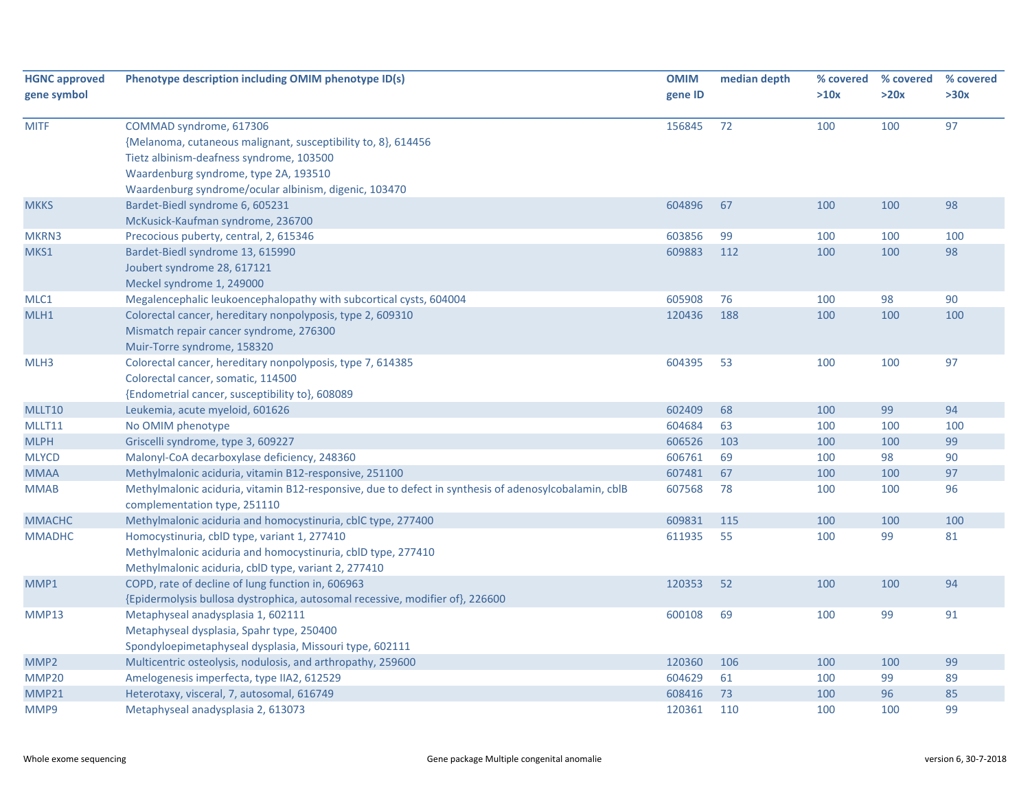| <b>HGNC approved</b><br>gene symbol | Phenotype description including OMIM phenotype ID(s)                                                                                                                                                                                   | <b>OMIM</b><br>gene ID | median depth | % covered<br>>10x | % covered<br>>20x | % covered<br>>30x |
|-------------------------------------|----------------------------------------------------------------------------------------------------------------------------------------------------------------------------------------------------------------------------------------|------------------------|--------------|-------------------|-------------------|-------------------|
| <b>MITF</b>                         | COMMAD syndrome, 617306<br>{Melanoma, cutaneous malignant, susceptibility to, 8}, 614456<br>Tietz albinism-deafness syndrome, 103500<br>Waardenburg syndrome, type 2A, 193510<br>Waardenburg syndrome/ocular albinism, digenic, 103470 | 156845                 | 72           | 100               | 100               | 97                |
| <b>MKKS</b>                         | Bardet-Biedl syndrome 6, 605231<br>McKusick-Kaufman syndrome, 236700                                                                                                                                                                   | 604896                 | 67           | 100               | 100               | 98                |
| MKRN3                               | Precocious puberty, central, 2, 615346                                                                                                                                                                                                 | 603856                 | 99           | 100               | 100               | 100               |
| MKS1                                | Bardet-Biedl syndrome 13, 615990<br>Joubert syndrome 28, 617121<br>Meckel syndrome 1, 249000                                                                                                                                           | 609883                 | 112          | 100               | 100               | 98                |
| MLC1                                | Megalencephalic leukoencephalopathy with subcortical cysts, 604004                                                                                                                                                                     | 605908                 | 76           | 100               | 98                | 90                |
| MLH1                                | Colorectal cancer, hereditary nonpolyposis, type 2, 609310<br>Mismatch repair cancer syndrome, 276300<br>Muir-Torre syndrome, 158320                                                                                                   | 120436                 | 188          | 100               | 100               | 100               |
| MLH3                                | Colorectal cancer, hereditary nonpolyposis, type 7, 614385<br>Colorectal cancer, somatic, 114500<br>{Endometrial cancer, susceptibility to}, 608089                                                                                    | 604395                 | 53           | 100               | 100               | 97                |
| MLLT10                              | Leukemia, acute myeloid, 601626                                                                                                                                                                                                        | 602409                 | 68           | 100               | 99                | 94                |
| MLLT11                              | No OMIM phenotype                                                                                                                                                                                                                      | 604684                 | 63           | 100               | 100               | 100               |
| <b>MLPH</b>                         | Griscelli syndrome, type 3, 609227                                                                                                                                                                                                     | 606526                 | 103          | 100               | 100               | 99                |
| <b>MLYCD</b>                        | Malonyl-CoA decarboxylase deficiency, 248360                                                                                                                                                                                           | 606761                 | 69           | 100               | 98                | 90                |
| <b>MMAA</b>                         | Methylmalonic aciduria, vitamin B12-responsive, 251100                                                                                                                                                                                 | 607481                 | 67           | 100               | 100               | 97                |
| <b>MMAB</b>                         | Methylmalonic aciduria, vitamin B12-responsive, due to defect in synthesis of adenosylcobalamin, cblB<br>complementation type, 251110                                                                                                  | 607568                 | 78           | 100               | 100               | 96                |
| <b>MMACHC</b>                       | Methylmalonic aciduria and homocystinuria, cblC type, 277400                                                                                                                                                                           | 609831                 | 115          | 100               | 100               | 100               |
| <b>MMADHC</b>                       | Homocystinuria, cblD type, variant 1, 277410<br>Methylmalonic aciduria and homocystinuria, cblD type, 277410<br>Methylmalonic aciduria, cblD type, variant 2, 277410                                                                   | 611935                 | 55           | 100               | 99                | 81                |
| MMP1                                | COPD, rate of decline of lung function in, 606963<br>{Epidermolysis bullosa dystrophica, autosomal recessive, modifier of}, 226600                                                                                                     | 120353                 | 52           | 100               | 100               | 94                |
| MMP13                               | Metaphyseal anadysplasia 1, 602111<br>Metaphyseal dysplasia, Spahr type, 250400<br>Spondyloepimetaphyseal dysplasia, Missouri type, 602111                                                                                             | 600108                 | 69           | 100               | 99                | 91                |
| MMP <sub>2</sub>                    | Multicentric osteolysis, nodulosis, and arthropathy, 259600                                                                                                                                                                            | 120360                 | 106          | 100               | 100               | 99                |
| MMP20                               | Amelogenesis imperfecta, type IIA2, 612529                                                                                                                                                                                             | 604629                 | 61           | 100               | 99                | 89                |
| MMP21                               | Heterotaxy, visceral, 7, autosomal, 616749                                                                                                                                                                                             | 608416                 | 73           | 100               | 96                | 85                |
| MMP9                                | Metaphyseal anadysplasia 2, 613073                                                                                                                                                                                                     | 120361                 | 110          | 100               | 100               | 99                |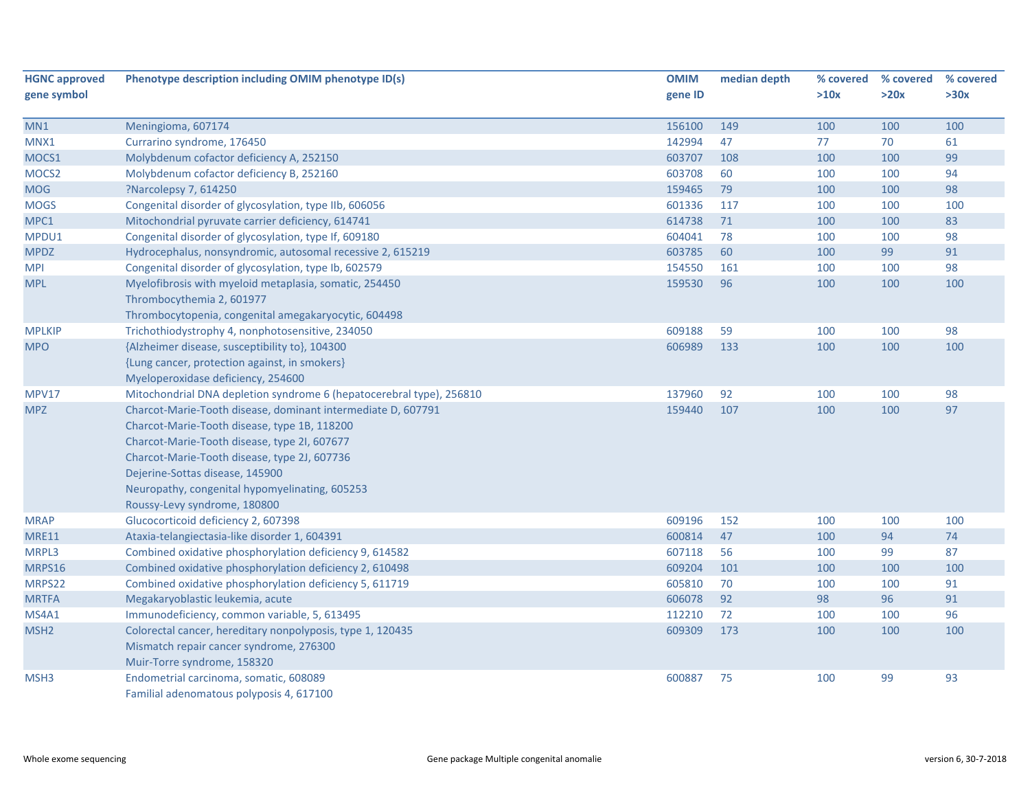| <b>HGNC approved</b> | Phenotype description including OMIM phenotype ID(s)                 | <b>OMIM</b> | median depth | % covered | % covered | % covered |
|----------------------|----------------------------------------------------------------------|-------------|--------------|-----------|-----------|-----------|
| gene symbol          |                                                                      | gene ID     |              | >10x      | >20x      | >30x      |
|                      |                                                                      |             |              |           |           |           |
| MN1                  | Meningioma, 607174                                                   | 156100      | 149          | 100       | 100       | 100       |
| MNX1                 | Currarino syndrome, 176450                                           | 142994      | 47           | 77        | 70        | 61        |
| MOCS1                | Molybdenum cofactor deficiency A, 252150                             | 603707      | 108          | 100       | 100       | 99        |
| MOCS <sub>2</sub>    | Molybdenum cofactor deficiency B, 252160                             | 603708      | 60           | 100       | 100       | 94        |
| <b>MOG</b>           | ?Narcolepsy 7, 614250                                                | 159465      | 79           | 100       | 100       | 98        |
| <b>MOGS</b>          | Congenital disorder of glycosylation, type IIb, 606056               | 601336      | 117          | 100       | 100       | 100       |
| MPC1                 | Mitochondrial pyruvate carrier deficiency, 614741                    | 614738      | 71           | 100       | 100       | 83        |
| MPDU1                | Congenital disorder of glycosylation, type If, 609180                | 604041      | 78           | 100       | 100       | 98        |
| <b>MPDZ</b>          | Hydrocephalus, nonsyndromic, autosomal recessive 2, 615219           | 603785      | 60           | 100       | 99        | 91        |
| <b>MPI</b>           | Congenital disorder of glycosylation, type Ib, 602579                | 154550      | 161          | 100       | 100       | 98        |
| <b>MPL</b>           | Myelofibrosis with myeloid metaplasia, somatic, 254450               | 159530      | 96           | 100       | 100       | 100       |
|                      | Thrombocythemia 2, 601977                                            |             |              |           |           |           |
|                      | Thrombocytopenia, congenital amegakaryocytic, 604498                 |             |              |           |           |           |
| <b>MPLKIP</b>        | Trichothiodystrophy 4, nonphotosensitive, 234050                     | 609188      | 59           | 100       | 100       | 98        |
| <b>MPO</b>           | {Alzheimer disease, susceptibility to}, 104300                       | 606989      | 133          | 100       | 100       | 100       |
|                      | {Lung cancer, protection against, in smokers}                        |             |              |           |           |           |
|                      | Myeloperoxidase deficiency, 254600                                   |             |              |           |           |           |
| <b>MPV17</b>         | Mitochondrial DNA depletion syndrome 6 (hepatocerebral type), 256810 | 137960      | 92           | 100       | 100       | 98        |
| <b>MPZ</b>           | Charcot-Marie-Tooth disease, dominant intermediate D, 607791         | 159440      | 107          | 100       | 100       | 97        |
|                      | Charcot-Marie-Tooth disease, type 1B, 118200                         |             |              |           |           |           |
|                      | Charcot-Marie-Tooth disease, type 2I, 607677                         |             |              |           |           |           |
|                      | Charcot-Marie-Tooth disease, type 2J, 607736                         |             |              |           |           |           |
|                      | Dejerine-Sottas disease, 145900                                      |             |              |           |           |           |
|                      | Neuropathy, congenital hypomyelinating, 605253                       |             |              |           |           |           |
|                      | Roussy-Levy syndrome, 180800                                         |             |              |           |           |           |
| <b>MRAP</b>          | Glucocorticoid deficiency 2, 607398                                  | 609196      | 152          | 100       | 100       | 100       |
| <b>MRE11</b>         | Ataxia-telangiectasia-like disorder 1, 604391                        | 600814      | 47           | 100       | 94        | 74        |
| MRPL3                | Combined oxidative phosphorylation deficiency 9, 614582              | 607118      | 56           | 100       | 99        | 87        |
| MRPS16               | Combined oxidative phosphorylation deficiency 2, 610498              | 609204      | 101          | 100       | 100       | 100       |
| MRPS22               | Combined oxidative phosphorylation deficiency 5, 611719              | 605810      | 70           | 100       | 100       | 91        |
| <b>MRTFA</b>         | Megakaryoblastic leukemia, acute                                     | 606078      | 92           | 98        | 96        | 91        |
| MS4A1                | Immunodeficiency, common variable, 5, 613495                         | 112210      | 72           | 100       | 100       | 96        |
| MSH <sub>2</sub>     | Colorectal cancer, hereditary nonpolyposis, type 1, 120435           | 609309      | 173          | 100       | 100       | 100       |
|                      | Mismatch repair cancer syndrome, 276300                              |             |              |           |           |           |
|                      | Muir-Torre syndrome, 158320                                          |             |              |           |           |           |
| MSH3                 | Endometrial carcinoma, somatic, 608089                               | 600887      | 75           | 100       | 99        | 93        |
|                      | Familial adenomatous polyposis 4, 617100                             |             |              |           |           |           |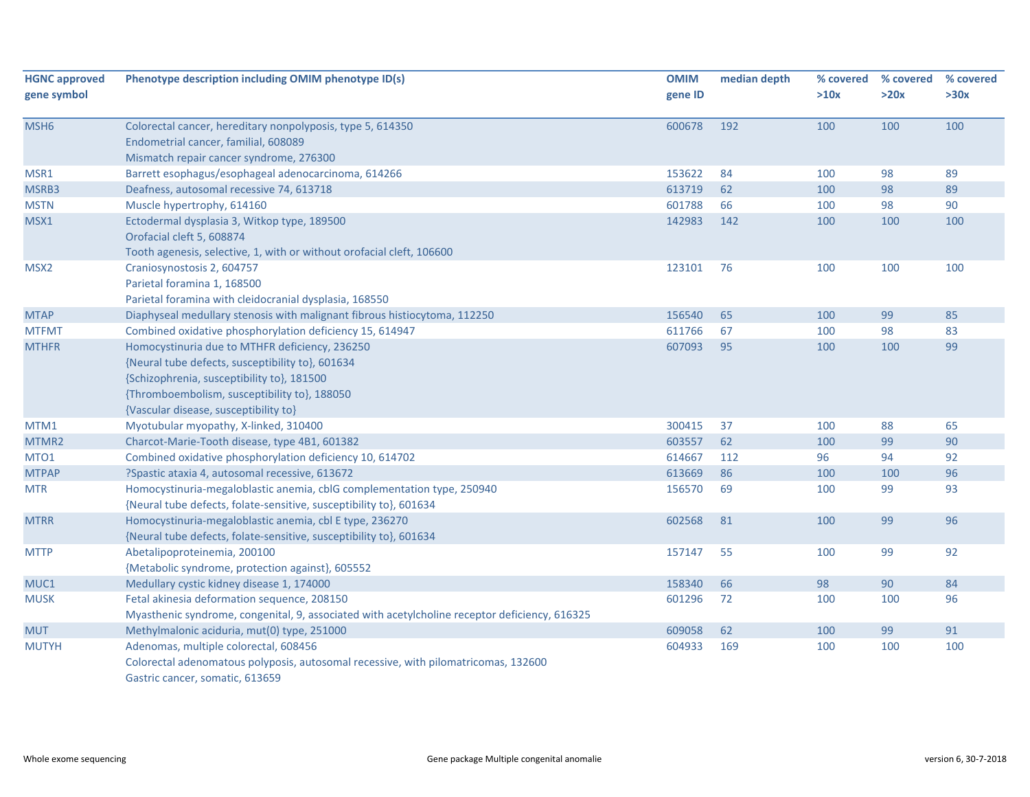| <b>HGNC approved</b> | Phenotype description including OMIM phenotype ID(s)                                          | <b>OMIM</b> | median depth | % covered | % covered | % covered |
|----------------------|-----------------------------------------------------------------------------------------------|-------------|--------------|-----------|-----------|-----------|
| gene symbol          |                                                                                               | gene ID     |              | >10x      | >20x      | >30x      |
| MSH <sub>6</sub>     | Colorectal cancer, hereditary nonpolyposis, type 5, 614350                                    | 600678      | 192          | 100       | 100       | 100       |
|                      | Endometrial cancer, familial, 608089                                                          |             |              |           |           |           |
|                      | Mismatch repair cancer syndrome, 276300                                                       |             |              |           |           |           |
| MSR1                 | Barrett esophagus/esophageal adenocarcinoma, 614266                                           | 153622      | 84           | 100       | 98        | 89        |
| MSRB3                | Deafness, autosomal recessive 74, 613718                                                      | 613719      | 62           | 100       | 98        | 89        |
| <b>MSTN</b>          | Muscle hypertrophy, 614160                                                                    | 601788      | 66           | 100       | 98        | 90        |
| MSX1                 | Ectodermal dysplasia 3, Witkop type, 189500                                                   | 142983      | 142          | 100       | 100       | 100       |
|                      | Orofacial cleft 5, 608874                                                                     |             |              |           |           |           |
|                      | Tooth agenesis, selective, 1, with or without orofacial cleft, 106600                         |             |              |           |           |           |
| MSX <sub>2</sub>     | Craniosynostosis 2, 604757                                                                    | 123101      | 76           | 100       | 100       | 100       |
|                      | Parietal foramina 1, 168500                                                                   |             |              |           |           |           |
|                      | Parietal foramina with cleidocranial dysplasia, 168550                                        |             |              |           |           |           |
| <b>MTAP</b>          | Diaphyseal medullary stenosis with malignant fibrous histiocytoma, 112250                     | 156540      | 65           | 100       | 99        | 85        |
| <b>MTFMT</b>         | Combined oxidative phosphorylation deficiency 15, 614947                                      | 611766      | 67           | 100       | 98        | 83        |
| <b>MTHFR</b>         | Homocystinuria due to MTHFR deficiency, 236250                                                | 607093      | 95           | 100       | 100       | 99        |
|                      | {Neural tube defects, susceptibility to}, 601634                                              |             |              |           |           |           |
|                      | {Schizophrenia, susceptibility to}, 181500                                                    |             |              |           |           |           |
|                      | {Thromboembolism, susceptibility to}, 188050                                                  |             |              |           |           |           |
|                      | {Vascular disease, susceptibility to}                                                         |             |              |           |           |           |
| MTM1                 | Myotubular myopathy, X-linked, 310400                                                         | 300415      | 37           | 100       | 88        | 65        |
| MTMR2                | Charcot-Marie-Tooth disease, type 4B1, 601382                                                 | 603557      | 62           | 100       | 99        | 90        |
| MTO <sub>1</sub>     | Combined oxidative phosphorylation deficiency 10, 614702                                      | 614667      | 112          | 96        | 94        | 92        |
| <b>MTPAP</b>         | ?Spastic ataxia 4, autosomal recessive, 613672                                                | 613669      | 86           | 100       | 100       | 96        |
| <b>MTR</b>           | Homocystinuria-megaloblastic anemia, cblG complementation type, 250940                        | 156570      | 69           | 100       | 99        | 93        |
|                      | {Neural tube defects, folate-sensitive, susceptibility to}, 601634                            |             |              |           |           |           |
| <b>MTRR</b>          | Homocystinuria-megaloblastic anemia, cbl E type, 236270                                       | 602568      | 81           | 100       | 99        | 96        |
|                      | {Neural tube defects, folate-sensitive, susceptibility to}, 601634                            |             |              |           |           |           |
| <b>MTTP</b>          | Abetalipoproteinemia, 200100                                                                  | 157147      | 55           | 100       | 99        | 92        |
|                      | {Metabolic syndrome, protection against}, 605552                                              |             |              |           |           |           |
| MUC1                 | Medullary cystic kidney disease 1, 174000                                                     | 158340      | 66           | 98        | 90        | 84        |
| <b>MUSK</b>          | Fetal akinesia deformation sequence, 208150                                                   | 601296      | 72           | 100       | 100       | 96        |
|                      | Myasthenic syndrome, congenital, 9, associated with acetylcholine receptor deficiency, 616325 |             |              |           |           |           |
| <b>MUT</b>           | Methylmalonic aciduria, mut(0) type, 251000                                                   | 609058      | 62           | 100       | 99        | 91        |
| <b>MUTYH</b>         | Adenomas, multiple colorectal, 608456                                                         | 604933      | 169          | 100       | 100       | 100       |
|                      | Colorectal adenomatous polyposis, autosomal recessive, with pilomatricomas, 132600            |             |              |           |           |           |
|                      | Gastric cancer, somatic, 613659                                                               |             |              |           |           |           |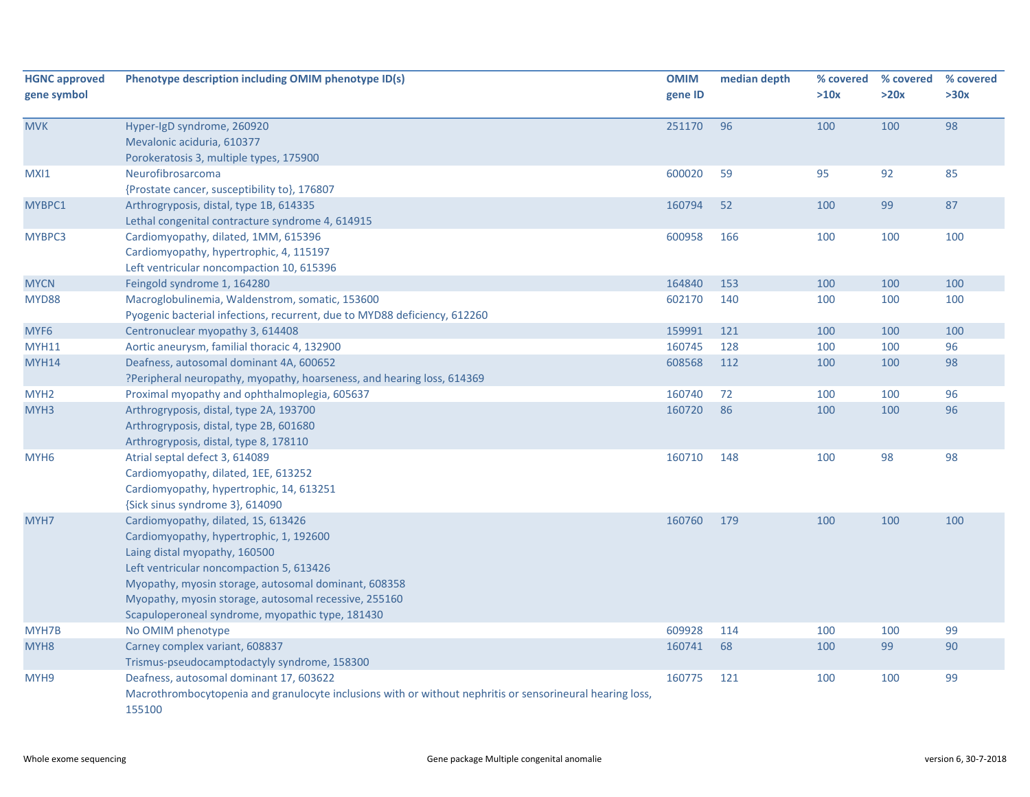| <b>HGNC approved</b><br>gene symbol | Phenotype description including OMIM phenotype ID(s)                                                                                                                                                                                                                                                                             | <b>OMIM</b><br>gene ID | median depth | % covered<br>>10x | % covered<br>>20x | % covered<br>>30x |
|-------------------------------------|----------------------------------------------------------------------------------------------------------------------------------------------------------------------------------------------------------------------------------------------------------------------------------------------------------------------------------|------------------------|--------------|-------------------|-------------------|-------------------|
| <b>MVK</b>                          | Hyper-IgD syndrome, 260920<br>Mevalonic aciduria, 610377<br>Porokeratosis 3, multiple types, 175900                                                                                                                                                                                                                              | 251170                 | 96           | 100               | 100               | 98                |
| MXI1                                | Neurofibrosarcoma<br>{Prostate cancer, susceptibility to}, 176807                                                                                                                                                                                                                                                                | 600020                 | 59           | 95                | 92                | 85                |
| MYBPC1                              | Arthrogryposis, distal, type 1B, 614335<br>Lethal congenital contracture syndrome 4, 614915                                                                                                                                                                                                                                      | 160794                 | 52           | 100               | 99                | 87                |
| MYBPC3                              | Cardiomyopathy, dilated, 1MM, 615396<br>Cardiomyopathy, hypertrophic, 4, 115197<br>Left ventricular noncompaction 10, 615396                                                                                                                                                                                                     | 600958                 | 166          | 100               | 100               | 100               |
| <b>MYCN</b>                         | Feingold syndrome 1, 164280                                                                                                                                                                                                                                                                                                      | 164840                 | 153          | 100               | 100               | 100               |
| <b>MYD88</b>                        | Macroglobulinemia, Waldenstrom, somatic, 153600<br>Pyogenic bacterial infections, recurrent, due to MYD88 deficiency, 612260                                                                                                                                                                                                     | 602170                 | 140          | 100               | 100               | 100               |
| MYF6                                | Centronuclear myopathy 3, 614408                                                                                                                                                                                                                                                                                                 | 159991                 | 121          | 100               | 100               | 100               |
| <b>MYH11</b>                        | Aortic aneurysm, familial thoracic 4, 132900                                                                                                                                                                                                                                                                                     | 160745                 | 128          | 100               | 100               | 96                |
| <b>MYH14</b>                        | Deafness, autosomal dominant 4A, 600652                                                                                                                                                                                                                                                                                          | 608568                 | 112          | 100               | 100               | 98                |
|                                     | ?Peripheral neuropathy, myopathy, hoarseness, and hearing loss, 614369                                                                                                                                                                                                                                                           |                        |              |                   |                   |                   |
| MYH <sub>2</sub>                    | Proximal myopathy and ophthalmoplegia, 605637                                                                                                                                                                                                                                                                                    | 160740                 | 72           | 100               | 100               | 96                |
| MYH3                                | Arthrogryposis, distal, type 2A, 193700<br>Arthrogryposis, distal, type 2B, 601680<br>Arthrogryposis, distal, type 8, 178110                                                                                                                                                                                                     | 160720                 | 86           | 100               | 100               | 96                |
| MYH <sub>6</sub>                    | Atrial septal defect 3, 614089<br>Cardiomyopathy, dilated, 1EE, 613252<br>Cardiomyopathy, hypertrophic, 14, 613251<br>{Sick sinus syndrome 3}, 614090                                                                                                                                                                            | 160710                 | 148          | 100               | 98                | 98                |
| MYH7                                | Cardiomyopathy, dilated, 1S, 613426<br>Cardiomyopathy, hypertrophic, 1, 192600<br>Laing distal myopathy, 160500<br>Left ventricular noncompaction 5, 613426<br>Myopathy, myosin storage, autosomal dominant, 608358<br>Myopathy, myosin storage, autosomal recessive, 255160<br>Scapuloperoneal syndrome, myopathic type, 181430 | 160760                 | 179          | 100               | 100               | 100               |
| MYH7B                               | No OMIM phenotype                                                                                                                                                                                                                                                                                                                | 609928                 | 114          | 100               | 100               | 99                |
| MYH <sub>8</sub>                    | Carney complex variant, 608837<br>Trismus-pseudocamptodactyly syndrome, 158300                                                                                                                                                                                                                                                   | 160741                 | 68           | 100               | 99                | 90                |
| MYH9                                | Deafness, autosomal dominant 17, 603622<br>Macrothrombocytopenia and granulocyte inclusions with or without nephritis or sensorineural hearing loss,<br>155100                                                                                                                                                                   | 160775                 | 121          | 100               | 100               | 99                |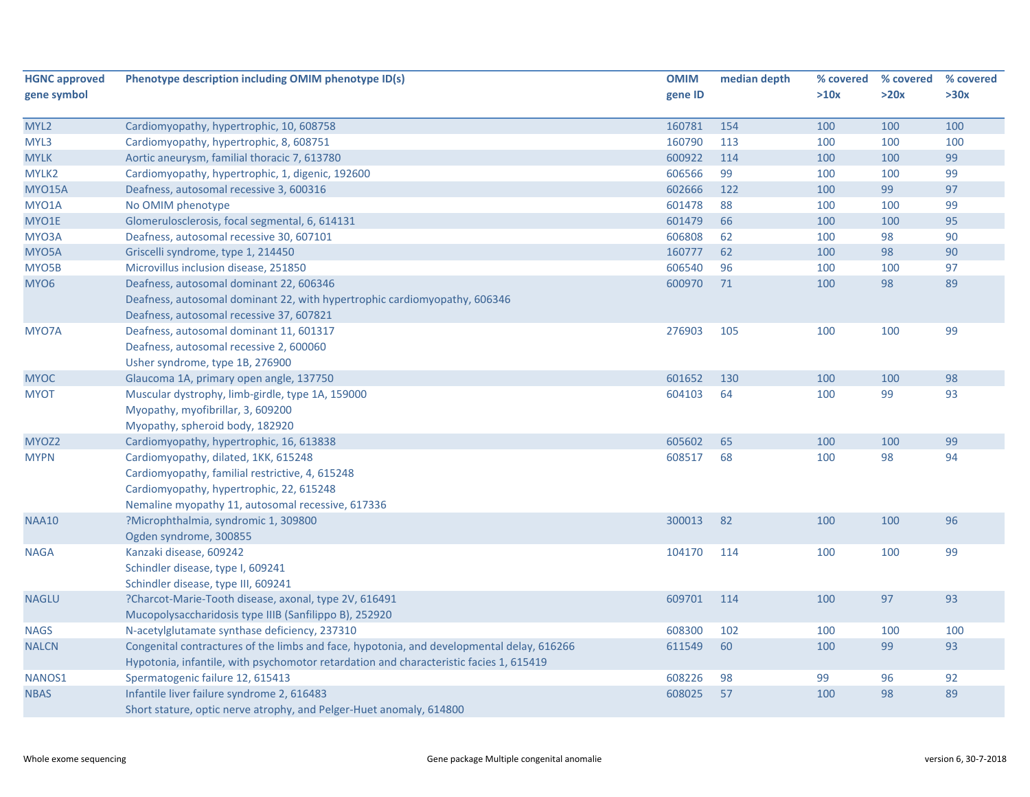| <b>HGNC approved</b> | Phenotype description including OMIM phenotype ID(s)                                      | <b>OMIM</b> | median depth | % covered | % covered | % covered |
|----------------------|-------------------------------------------------------------------------------------------|-------------|--------------|-----------|-----------|-----------|
| gene symbol          |                                                                                           | gene ID     |              | >10x      | >20x      | >30x      |
|                      |                                                                                           |             |              |           |           |           |
| MYL2                 | Cardiomyopathy, hypertrophic, 10, 608758                                                  | 160781      | 154          | 100       | 100       | 100       |
| MYL3                 | Cardiomyopathy, hypertrophic, 8, 608751                                                   | 160790      | 113          | 100       | 100       | 100       |
| <b>MYLK</b>          | Aortic aneurysm, familial thoracic 7, 613780                                              | 600922      | 114          | 100       | 100       | 99        |
| MYLK2                | Cardiomyopathy, hypertrophic, 1, digenic, 192600                                          | 606566      | 99           | 100       | 100       | 99        |
| <b>MYO15A</b>        | Deafness, autosomal recessive 3, 600316                                                   | 602666      | 122          | 100       | 99        | 97        |
| MYO1A                | No OMIM phenotype                                                                         | 601478      | 88           | 100       | 100       | 99        |
| MYO1E                | Glomerulosclerosis, focal segmental, 6, 614131                                            | 601479      | 66           | 100       | 100       | 95        |
| MYO3A                | Deafness, autosomal recessive 30, 607101                                                  | 606808      | 62           | 100       | 98        | 90        |
| MYO5A                | Griscelli syndrome, type 1, 214450                                                        | 160777      | 62           | 100       | 98        | 90        |
| MYO5B                | Microvillus inclusion disease, 251850                                                     | 606540      | 96           | 100       | 100       | 97        |
| MYO <sub>6</sub>     | Deafness, autosomal dominant 22, 606346                                                   | 600970      | 71           | 100       | 98        | 89        |
|                      | Deafness, autosomal dominant 22, with hypertrophic cardiomyopathy, 606346                 |             |              |           |           |           |
|                      | Deafness, autosomal recessive 37, 607821                                                  |             |              |           |           |           |
| MYO7A                | Deafness, autosomal dominant 11, 601317                                                   | 276903      | 105          | 100       | 100       | 99        |
|                      | Deafness, autosomal recessive 2, 600060                                                   |             |              |           |           |           |
|                      | Usher syndrome, type 1B, 276900                                                           |             |              |           |           |           |
| <b>MYOC</b>          | Glaucoma 1A, primary open angle, 137750                                                   | 601652      | 130          | 100       | 100       | 98        |
| <b>MYOT</b>          | Muscular dystrophy, limb-girdle, type 1A, 159000                                          | 604103      | 64           | 100       | 99        | 93        |
|                      | Myopathy, myofibrillar, 3, 609200                                                         |             |              |           |           |           |
|                      | Myopathy, spheroid body, 182920                                                           |             |              |           |           |           |
| MYOZ <sub>2</sub>    | Cardiomyopathy, hypertrophic, 16, 613838                                                  | 605602      | 65           | 100       | 100       | 99        |
| <b>MYPN</b>          | Cardiomyopathy, dilated, 1KK, 615248                                                      | 608517      | 68           | 100       | 98        | 94        |
|                      | Cardiomyopathy, familial restrictive, 4, 615248                                           |             |              |           |           |           |
|                      | Cardiomyopathy, hypertrophic, 22, 615248                                                  |             |              |           |           |           |
|                      | Nemaline myopathy 11, autosomal recessive, 617336                                         |             |              |           |           |           |
| <b>NAA10</b>         | ?Microphthalmia, syndromic 1, 309800                                                      | 300013      | 82           | 100       | 100       | 96        |
|                      | Ogden syndrome, 300855                                                                    |             |              |           |           |           |
| <b>NAGA</b>          | Kanzaki disease, 609242                                                                   | 104170      | 114          | 100       | 100       | 99        |
|                      | Schindler disease, type I, 609241                                                         |             |              |           |           |           |
|                      | Schindler disease, type III, 609241                                                       |             |              |           |           |           |
| <b>NAGLU</b>         | ?Charcot-Marie-Tooth disease, axonal, type 2V, 616491                                     | 609701      | 114          | 100       | 97        | 93        |
|                      | Mucopolysaccharidosis type IIIB (Sanfilippo B), 252920                                    |             |              |           |           |           |
| <b>NAGS</b>          | N-acetylglutamate synthase deficiency, 237310                                             | 608300      | 102          | 100       | 100       | 100       |
| <b>NALCN</b>         | Congenital contractures of the limbs and face, hypotonia, and developmental delay, 616266 | 611549      | 60           | 100       | 99        | 93        |
|                      | Hypotonia, infantile, with psychomotor retardation and characteristic facies 1, 615419    |             |              |           |           |           |
| NANOS1               | Spermatogenic failure 12, 615413                                                          | 608226      | 98           | 99        | 96        | 92        |
| <b>NBAS</b>          | Infantile liver failure syndrome 2, 616483                                                | 608025      | 57           | 100       | 98        | 89        |
|                      | Short stature, optic nerve atrophy, and Pelger-Huet anomaly, 614800                       |             |              |           |           |           |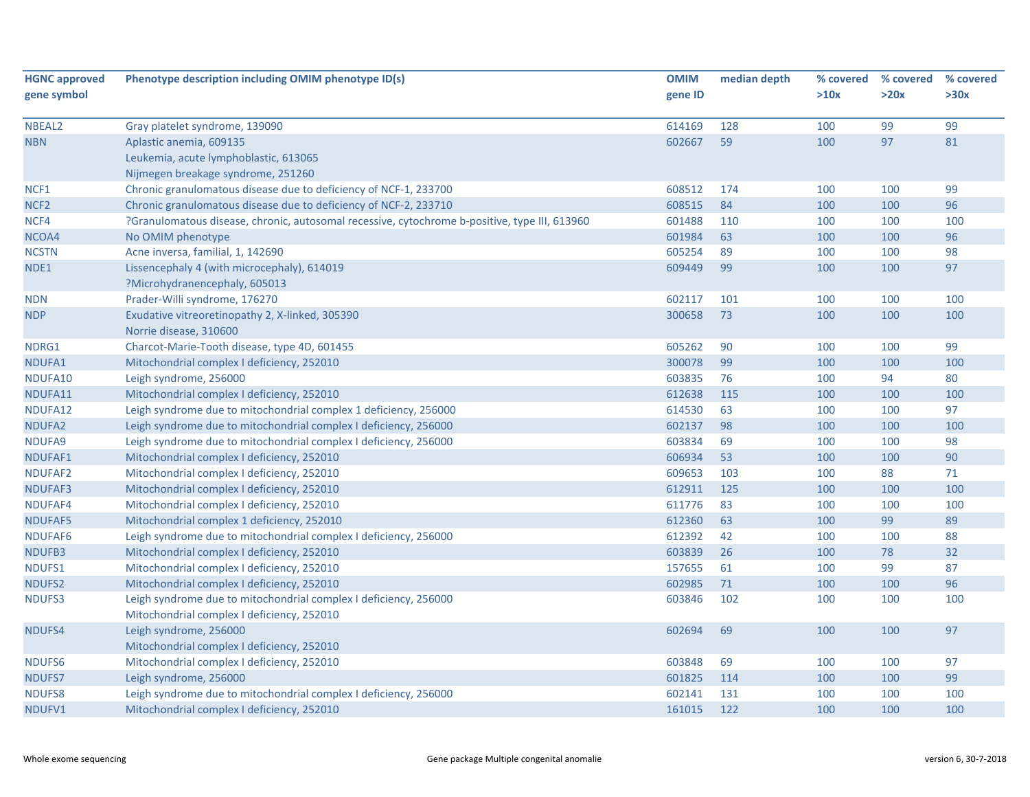| <b>HGNC approved</b> | Phenotype description including OMIM phenotype ID(s)                                          | <b>OMIM</b> | median depth | % covered | % covered | % covered |
|----------------------|-----------------------------------------------------------------------------------------------|-------------|--------------|-----------|-----------|-----------|
| gene symbol          |                                                                                               | gene ID     |              | >10x      | >20x      | >30x      |
|                      |                                                                                               |             |              |           |           |           |
| NBEAL <sub>2</sub>   | Gray platelet syndrome, 139090                                                                | 614169      | 128          | 100       | 99        | 99        |
| <b>NBN</b>           | Aplastic anemia, 609135                                                                       | 602667      | 59           | 100       | 97        | 81        |
|                      | Leukemia, acute lymphoblastic, 613065                                                         |             |              |           |           |           |
|                      | Nijmegen breakage syndrome, 251260                                                            |             |              |           |           |           |
| NCF <sub>1</sub>     | Chronic granulomatous disease due to deficiency of NCF-1, 233700                              | 608512      | 174          | 100       | 100       | 99        |
| NCF <sub>2</sub>     | Chronic granulomatous disease due to deficiency of NCF-2, 233710                              | 608515      | 84           | 100       | 100       | 96        |
| NCF4                 | ?Granulomatous disease, chronic, autosomal recessive, cytochrome b-positive, type III, 613960 | 601488      | 110          | 100       | 100       | 100       |
| NCOA4                | No OMIM phenotype                                                                             | 601984      | 63           | 100       | 100       | 96        |
| <b>NCSTN</b>         | Acne inversa, familial, 1, 142690                                                             | 605254      | 89           | 100       | 100       | 98        |
| NDE1                 | Lissencephaly 4 (with microcephaly), 614019                                                   | 609449      | 99           | 100       | 100       | 97        |
|                      | ?Microhydranencephaly, 605013                                                                 |             |              |           |           |           |
| <b>NDN</b>           | Prader-Willi syndrome, 176270                                                                 | 602117      | 101          | 100       | 100       | 100       |
| <b>NDP</b>           | Exudative vitreoretinopathy 2, X-linked, 305390                                               | 300658      | 73           | 100       | 100       | 100       |
|                      | Norrie disease, 310600                                                                        |             |              |           |           |           |
| NDRG1                | Charcot-Marie-Tooth disease, type 4D, 601455                                                  | 605262      | 90           | 100       | 100       | 99        |
| NDUFA1               | Mitochondrial complex I deficiency, 252010                                                    | 300078      | 99           | 100       | 100       | 100       |
| NDUFA10              | Leigh syndrome, 256000                                                                        | 603835      | 76           | 100       | 94        | 80        |
| NDUFA11              | Mitochondrial complex I deficiency, 252010                                                    | 612638      | 115          | 100       | 100       | 100       |
| NDUFA12              | Leigh syndrome due to mitochondrial complex 1 deficiency, 256000                              | 614530      | 63           | 100       | 100       | 97        |
| NDUFA2               | Leigh syndrome due to mitochondrial complex I deficiency, 256000                              | 602137      | 98           | 100       | 100       | 100       |
| NDUFA9               | Leigh syndrome due to mitochondrial complex I deficiency, 256000                              | 603834      | 69           | 100       | 100       | 98        |
| NDUFAF1              | Mitochondrial complex I deficiency, 252010                                                    | 606934      | 53           | 100       | 100       | 90        |
| NDUFAF2              | Mitochondrial complex I deficiency, 252010                                                    | 609653      | 103          | 100       | 88        | 71        |
| NDUFAF3              | Mitochondrial complex I deficiency, 252010                                                    | 612911      | 125          | 100       | 100       | 100       |
| NDUFAF4              | Mitochondrial complex I deficiency, 252010                                                    | 611776      | 83           | 100       | 100       | 100       |
| <b>NDUFAF5</b>       | Mitochondrial complex 1 deficiency, 252010                                                    | 612360      | 63           | 100       | 99        | 89        |
| NDUFAF6              | Leigh syndrome due to mitochondrial complex I deficiency, 256000                              | 612392      | 42           | 100       | 100       | 88        |
| NDUFB3               | Mitochondrial complex I deficiency, 252010                                                    | 603839      | 26           | 100       | 78        | 32        |
| NDUFS1               | Mitochondrial complex I deficiency, 252010                                                    | 157655      | 61           | 100       | 99        | 87        |
| NDUFS2               | Mitochondrial complex I deficiency, 252010                                                    | 602985      | 71           | 100       | 100       | 96        |
| NDUFS3               | Leigh syndrome due to mitochondrial complex I deficiency, 256000                              | 603846      | 102          | 100       | 100       | 100       |
|                      | Mitochondrial complex I deficiency, 252010                                                    |             |              |           |           |           |
| <b>NDUFS4</b>        | Leigh syndrome, 256000                                                                        | 602694      | 69           | 100       | 100       | 97        |
|                      | Mitochondrial complex I deficiency, 252010                                                    |             |              |           |           |           |
| NDUFS6               | Mitochondrial complex I deficiency, 252010                                                    | 603848      | 69           | 100       | 100       | 97        |
| NDUFS7               | Leigh syndrome, 256000                                                                        | 601825      | 114          | 100       | 100       | 99        |
| <b>NDUFS8</b>        | Leigh syndrome due to mitochondrial complex I deficiency, 256000                              | 602141      | 131          | 100       | 100       | 100       |
| NDUFV1               | Mitochondrial complex I deficiency, 252010                                                    | 161015      | 122          | 100       | 100       | 100       |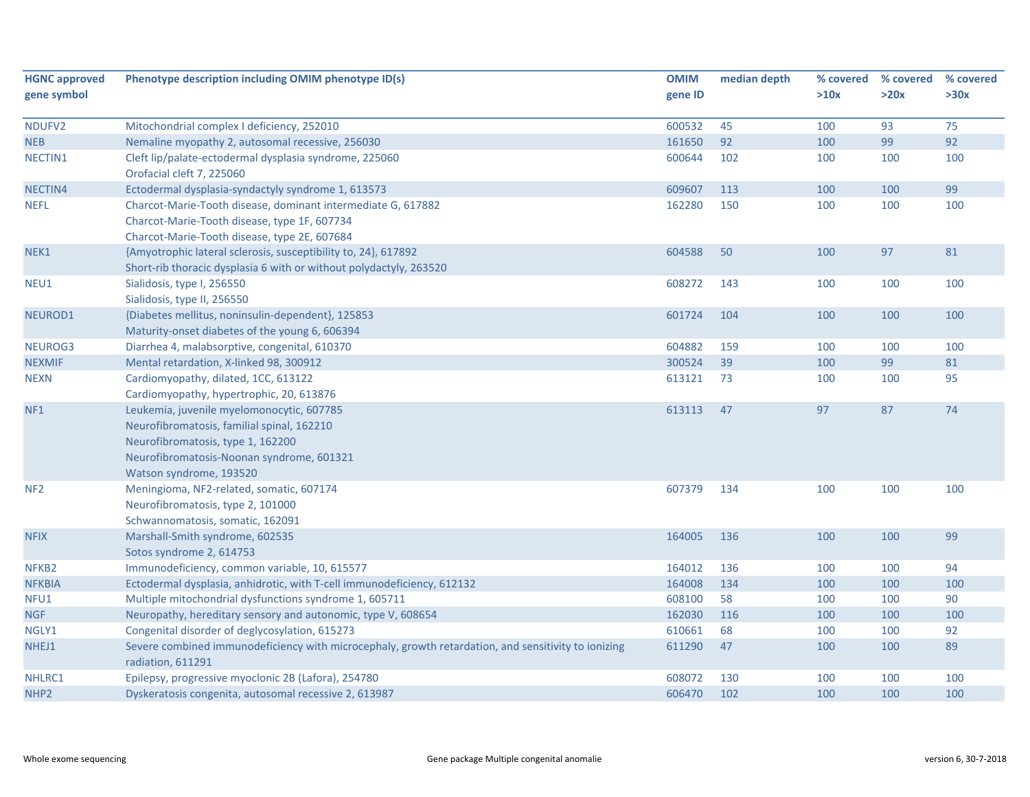| <b>HGNC approved</b> | Phenotype description including OMIM phenotype ID(s)                                                                     | <b>OMIM</b> | median depth | % covered | % covered | % covered |
|----------------------|--------------------------------------------------------------------------------------------------------------------------|-------------|--------------|-----------|-----------|-----------|
| gene symbol          |                                                                                                                          | gene ID     |              | >10x      | >20x      | >30x      |
| NDUFV2               | Mitochondrial complex I deficiency, 252010                                                                               | 600532      | 45           | 100       | 93        | 75        |
| <b>NEB</b>           | Nemaline myopathy 2, autosomal recessive, 256030                                                                         | 161650      | 92           | 100       | 99        | 92        |
| NECTIN1              | Cleft lip/palate-ectodermal dysplasia syndrome, 225060                                                                   | 600644      | 102          | 100       | 100       | 100       |
|                      | Orofacial cleft 7, 225060                                                                                                |             |              |           |           |           |
| NECTIN4              | Ectodermal dysplasia-syndactyly syndrome 1, 613573                                                                       | 609607      | 113          | 100       | 100       | 99        |
| <b>NEFL</b>          | Charcot-Marie-Tooth disease, dominant intermediate G, 617882                                                             | 162280      | 150          | 100       | 100       | 100       |
|                      | Charcot-Marie-Tooth disease, type 1F, 607734                                                                             |             |              |           |           |           |
|                      | Charcot-Marie-Tooth disease, type 2E, 607684                                                                             |             |              |           |           |           |
| NEK1                 | {Amyotrophic lateral sclerosis, susceptibility to, 24}, 617892                                                           | 604588      | 50           | 100       | 97        | 81        |
|                      | Short-rib thoracic dysplasia 6 with or without polydactyly, 263520                                                       |             |              |           |           |           |
| NEU1                 | Sialidosis, type I, 256550                                                                                               | 608272      | 143          | 100       | 100       | 100       |
|                      | Sialidosis, type II, 256550                                                                                              |             |              |           |           |           |
| NEUROD1              | {Diabetes mellitus, noninsulin-dependent}, 125853                                                                        | 601724      | 104          | 100       | 100       | 100       |
|                      | Maturity-onset diabetes of the young 6, 606394                                                                           |             |              |           |           |           |
| NEUROG3              | Diarrhea 4, malabsorptive, congenital, 610370                                                                            | 604882      | 159          | 100       | 100       | 100       |
| <b>NEXMIF</b>        | Mental retardation, X-linked 98, 300912                                                                                  | 300524      | 39           | 100       | 99        | 81        |
| <b>NEXN</b>          | Cardiomyopathy, dilated, 1CC, 613122                                                                                     | 613121      | 73           | 100       | 100       | 95        |
|                      | Cardiomyopathy, hypertrophic, 20, 613876                                                                                 |             |              |           |           |           |
| NF <sub>1</sub>      | Leukemia, juvenile myelomonocytic, 607785                                                                                | 613113      | 47           | 97        | 87        | 74        |
|                      | Neurofibromatosis, familial spinal, 162210                                                                               |             |              |           |           |           |
|                      | Neurofibromatosis, type 1, 162200                                                                                        |             |              |           |           |           |
|                      | Neurofibromatosis-Noonan syndrome, 601321                                                                                |             |              |           |           |           |
|                      | Watson syndrome, 193520                                                                                                  |             |              |           |           |           |
| NF <sub>2</sub>      | Meningioma, NF2-related, somatic, 607174                                                                                 | 607379      | 134          | 100       | 100       | 100       |
|                      | Neurofibromatosis, type 2, 101000                                                                                        |             |              |           |           |           |
|                      | Schwannomatosis, somatic, 162091                                                                                         |             |              |           |           |           |
| <b>NFIX</b>          | Marshall-Smith syndrome, 602535                                                                                          | 164005      | 136          | 100       | 100       | 99        |
|                      | Sotos syndrome 2, 614753                                                                                                 |             |              |           |           |           |
| NFKB <sub>2</sub>    | Immunodeficiency, common variable, 10, 615577                                                                            | 164012      | 136          | 100       | 100       | 94        |
| <b>NFKBIA</b>        | Ectodermal dysplasia, anhidrotic, with T-cell immunodeficiency, 612132                                                   | 164008      | 134          | 100       | 100       | 100       |
| NFU1                 | Multiple mitochondrial dysfunctions syndrome 1, 605711                                                                   | 608100      | 58           | 100       | 100       | 90        |
| <b>NGF</b>           | Neuropathy, hereditary sensory and autonomic, type V, 608654                                                             | 162030      | 116          | 100       | 100       | 100       |
| NGLY1                | Congenital disorder of deglycosylation, 615273                                                                           | 610661      | 68           | 100       | 100       | 92        |
| NHEJ1                | Severe combined immunodeficiency with microcephaly, growth retardation, and sensitivity to ionizing<br>radiation, 611291 | 611290      | 47           | 100       | 100       | 89        |
| NHLRC1               | Epilepsy, progressive myoclonic 2B (Lafora), 254780                                                                      | 608072      | 130          | 100       | 100       | 100       |
| NHP <sub>2</sub>     | Dyskeratosis congenita, autosomal recessive 2, 613987                                                                    | 606470      | 102          | 100       | 100       | 100       |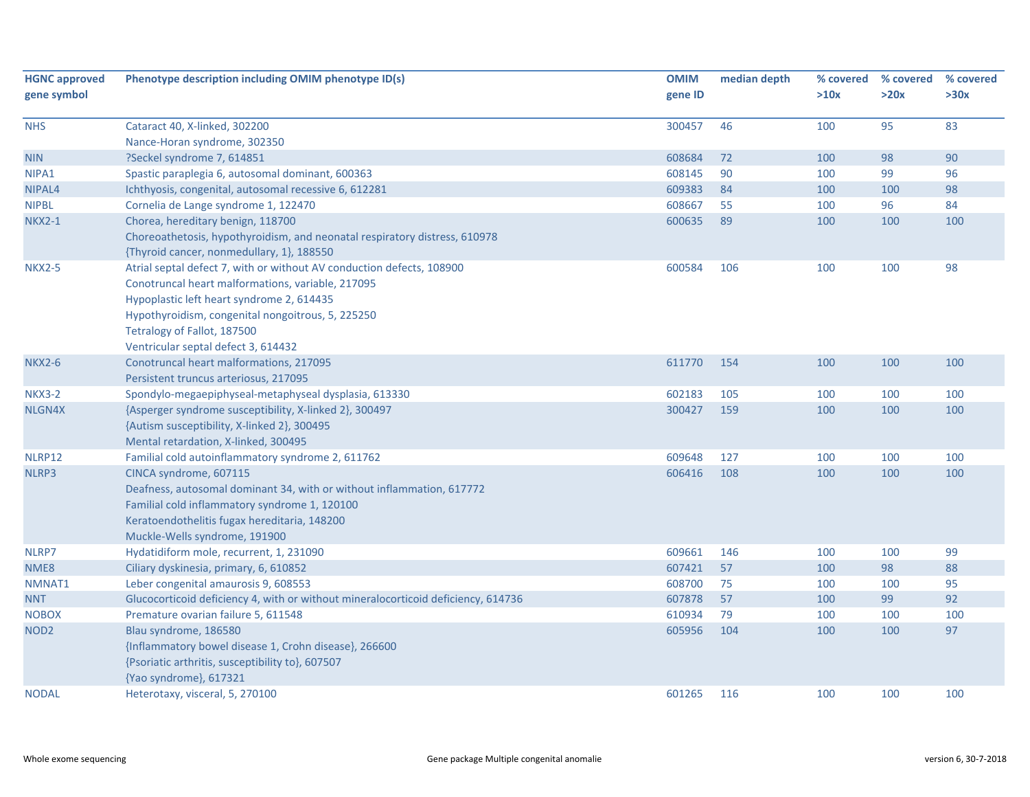| <b>HGNC approved</b> | Phenotype description including OMIM phenotype ID(s)                              | <b>OMIM</b> | median depth | % covered | % covered | % covered |
|----------------------|-----------------------------------------------------------------------------------|-------------|--------------|-----------|-----------|-----------|
| gene symbol          |                                                                                   | gene ID     |              | >10x      | >20x      | >30x      |
| <b>NHS</b>           | Cataract 40, X-linked, 302200                                                     | 300457      | 46           | 100       | 95        | 83        |
|                      | Nance-Horan syndrome, 302350                                                      |             |              |           |           |           |
| <b>NIN</b>           | ?Seckel syndrome 7, 614851                                                        | 608684      | 72           | 100       | 98        | 90        |
| NIPA1                | Spastic paraplegia 6, autosomal dominant, 600363                                  | 608145      | 90           | 100       | 99        | 96        |
| NIPAL4               | Ichthyosis, congenital, autosomal recessive 6, 612281                             | 609383      | 84           | 100       | 100       | 98        |
| <b>NIPBL</b>         | Cornelia de Lange syndrome 1, 122470                                              | 608667      | 55           | 100       | 96        | 84        |
| <b>NKX2-1</b>        | Chorea, hereditary benign, 118700                                                 | 600635      | 89           | 100       | 100       | 100       |
|                      | Choreoathetosis, hypothyroidism, and neonatal respiratory distress, 610978        |             |              |           |           |           |
|                      | {Thyroid cancer, nonmedullary, 1}, 188550                                         |             |              |           |           |           |
| <b>NKX2-5</b>        | Atrial septal defect 7, with or without AV conduction defects, 108900             | 600584      | 106          | 100       | 100       | 98        |
|                      | Conotruncal heart malformations, variable, 217095                                 |             |              |           |           |           |
|                      | Hypoplastic left heart syndrome 2, 614435                                         |             |              |           |           |           |
|                      | Hypothyroidism, congenital nongoitrous, 5, 225250                                 |             |              |           |           |           |
|                      | Tetralogy of Fallot, 187500                                                       |             |              |           |           |           |
|                      | Ventricular septal defect 3, 614432                                               |             |              |           |           |           |
| <b>NKX2-6</b>        | Conotruncal heart malformations, 217095                                           | 611770      | 154          | 100       | 100       | 100       |
|                      | Persistent truncus arteriosus, 217095                                             |             |              |           |           |           |
| <b>NKX3-2</b>        | Spondylo-megaepiphyseal-metaphyseal dysplasia, 613330                             | 602183      | 105          | 100       | 100       | 100       |
| NLGN4X               | {Asperger syndrome susceptibility, X-linked 2}, 300497                            | 300427      | 159          | 100       | 100       | 100       |
|                      | {Autism susceptibility, X-linked 2}, 300495                                       |             |              |           |           |           |
|                      | Mental retardation, X-linked, 300495                                              |             |              |           |           |           |
| NLRP12               | Familial cold autoinflammatory syndrome 2, 611762                                 | 609648      | 127          | 100       | 100       | 100       |
| NLRP3                | CINCA syndrome, 607115                                                            | 606416      | 108          | 100       | 100       | 100       |
|                      | Deafness, autosomal dominant 34, with or without inflammation, 617772             |             |              |           |           |           |
|                      | Familial cold inflammatory syndrome 1, 120100                                     |             |              |           |           |           |
|                      | Keratoendothelitis fugax hereditaria, 148200                                      |             |              |           |           |           |
|                      | Muckle-Wells syndrome, 191900                                                     |             |              |           |           |           |
| NLRP7                | Hydatidiform mole, recurrent, 1, 231090                                           | 609661      | 146          | 100       | 100       | 99        |
| NME8                 | Ciliary dyskinesia, primary, 6, 610852                                            | 607421      | 57           | 100       | 98        | 88        |
| NMNAT1               | Leber congenital amaurosis 9, 608553                                              | 608700      | 75           | 100       | 100       | 95        |
| <b>NNT</b>           | Glucocorticoid deficiency 4, with or without mineralocorticoid deficiency, 614736 | 607878      | 57           | 100       | 99        | 92        |
| <b>NOBOX</b>         | Premature ovarian failure 5, 611548                                               | 610934      | 79           | 100       | 100       | 100       |
| NOD <sub>2</sub>     | Blau syndrome, 186580                                                             | 605956      | 104          | 100       | 100       | 97        |
|                      | {Inflammatory bowel disease 1, Crohn disease}, 266600                             |             |              |           |           |           |
|                      | {Psoriatic arthritis, susceptibility to}, 607507                                  |             |              |           |           |           |
|                      | {Yao syndrome}, 617321                                                            |             |              |           |           |           |
| <b>NODAL</b>         | Heterotaxy, visceral, 5, 270100                                                   | 601265      | 116          | 100       | 100       | 100       |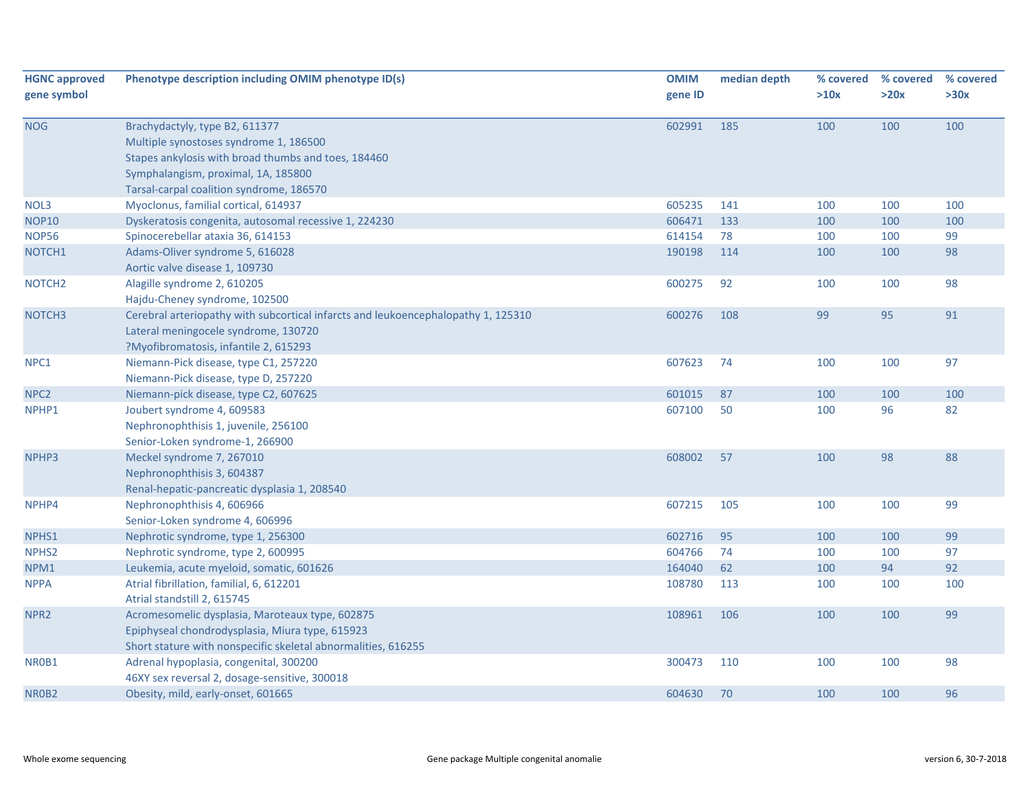| <b>HGNC approved</b> | Phenotype description including OMIM phenotype ID(s)                              | <b>OMIM</b> | median depth | % covered | % covered | % covered |
|----------------------|-----------------------------------------------------------------------------------|-------------|--------------|-----------|-----------|-----------|
| gene symbol          |                                                                                   | gene ID     |              | >10x      | >20x      | >30x      |
| <b>NOG</b>           | Brachydactyly, type B2, 611377                                                    | 602991      | 185          | 100       | 100       | 100       |
|                      | Multiple synostoses syndrome 1, 186500                                            |             |              |           |           |           |
|                      | Stapes ankylosis with broad thumbs and toes, 184460                               |             |              |           |           |           |
|                      | Symphalangism, proximal, 1A, 185800                                               |             |              |           |           |           |
|                      | Tarsal-carpal coalition syndrome, 186570                                          |             |              |           |           |           |
| NOL3                 | Myoclonus, familial cortical, 614937                                              | 605235      | 141          | 100       | 100       | 100       |
| <b>NOP10</b>         | Dyskeratosis congenita, autosomal recessive 1, 224230                             | 606471      | 133          | 100       | 100       | 100       |
| <b>NOP56</b>         | Spinocerebellar ataxia 36, 614153                                                 | 614154      | 78           | 100       | 100       | 99        |
| NOTCH1               | Adams-Oliver syndrome 5, 616028                                                   | 190198      | 114          | 100       | 100       | 98        |
|                      | Aortic valve disease 1, 109730                                                    |             |              |           |           |           |
| NOTCH <sub>2</sub>   | Alagille syndrome 2, 610205                                                       | 600275      | 92           | 100       | 100       | 98        |
|                      | Hajdu-Cheney syndrome, 102500                                                     |             |              |           |           |           |
| NOTCH <sub>3</sub>   | Cerebral arteriopathy with subcortical infarcts and leukoencephalopathy 1, 125310 | 600276      | 108          | 99        | 95        | 91        |
|                      | Lateral meningocele syndrome, 130720                                              |             |              |           |           |           |
|                      | ?Myofibromatosis, infantile 2, 615293                                             |             |              |           |           |           |
| NPC1                 | Niemann-Pick disease, type C1, 257220                                             | 607623      | 74           | 100       | 100       | 97        |
|                      | Niemann-Pick disease, type D, 257220                                              |             |              |           |           |           |
| NPC <sub>2</sub>     | Niemann-pick disease, type C2, 607625                                             | 601015      | 87           | 100       | 100       | 100       |
| NPHP1                | Joubert syndrome 4, 609583                                                        | 607100      | 50           | 100       | 96        | 82        |
|                      | Nephronophthisis 1, juvenile, 256100                                              |             |              |           |           |           |
|                      | Senior-Loken syndrome-1, 266900                                                   |             |              |           |           |           |
| NPHP3                | Meckel syndrome 7, 267010                                                         | 608002      | 57           | 100       | 98        | 88        |
|                      | Nephronophthisis 3, 604387                                                        |             |              |           |           |           |
|                      | Renal-hepatic-pancreatic dysplasia 1, 208540                                      |             |              |           |           |           |
| NPHP4                | Nephronophthisis 4, 606966                                                        | 607215      | 105          | 100       | 100       | 99        |
|                      | Senior-Loken syndrome 4, 606996                                                   |             |              |           |           |           |
| NPHS1                | Nephrotic syndrome, type 1, 256300                                                | 602716      | 95           | 100       | 100       | 99        |
| NPHS <sub>2</sub>    | Nephrotic syndrome, type 2, 600995                                                | 604766      | 74           | 100       | 100       | 97        |
| NPM1                 | Leukemia, acute myeloid, somatic, 601626                                          | 164040      | 62           | 100       | 94        | 92        |
| <b>NPPA</b>          | Atrial fibrillation, familial, 6, 612201                                          | 108780      | 113          | 100       | 100       | 100       |
|                      | Atrial standstill 2, 615745                                                       |             |              |           |           |           |
| NPR <sub>2</sub>     | Acromesomelic dysplasia, Maroteaux type, 602875                                   | 108961      | 106          | 100       | 100       | 99        |
|                      | Epiphyseal chondrodysplasia, Miura type, 615923                                   |             |              |           |           |           |
|                      | Short stature with nonspecific skeletal abnormalities, 616255                     |             |              |           |           |           |
| NR0B1                | Adrenal hypoplasia, congenital, 300200                                            | 300473      | 110          | 100       | 100       | 98        |
|                      | 46XY sex reversal 2, dosage-sensitive, 300018                                     |             |              |           |           |           |
| NR0B2                | Obesity, mild, early-onset, 601665                                                | 604630      | 70           | 100       | 100       | 96        |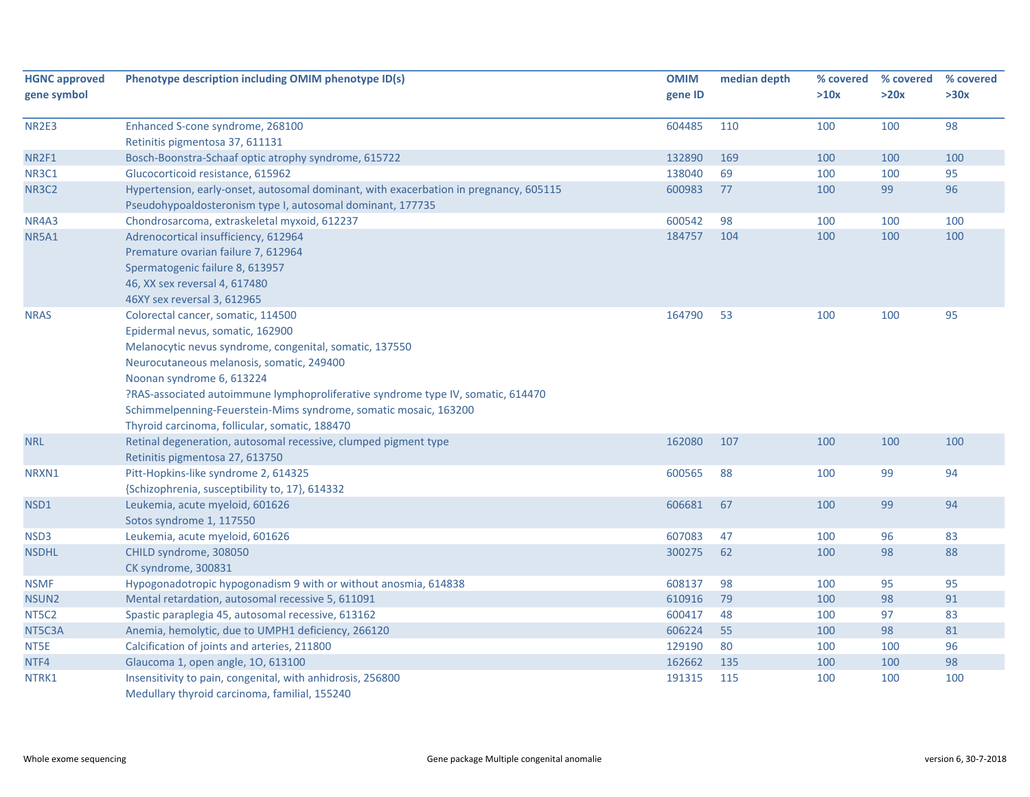| <b>HGNC approved</b> | Phenotype description including OMIM phenotype ID(s)                                  | <b>OMIM</b> | median depth | % covered | % covered | % covered |
|----------------------|---------------------------------------------------------------------------------------|-------------|--------------|-----------|-----------|-----------|
| gene symbol          |                                                                                       | gene ID     |              | >10x      | >20x      | >30x      |
| NR2E3                | Enhanced S-cone syndrome, 268100                                                      | 604485      | 110          | 100       | 100       | 98        |
|                      | Retinitis pigmentosa 37, 611131                                                       |             |              |           |           |           |
| NR2F1                | Bosch-Boonstra-Schaaf optic atrophy syndrome, 615722                                  | 132890      | 169          | 100       | 100       | 100       |
| <b>NR3C1</b>         | Glucocorticoid resistance, 615962                                                     | 138040      | 69           | 100       | 100       | 95        |
| <b>NR3C2</b>         | Hypertension, early-onset, autosomal dominant, with exacerbation in pregnancy, 605115 | 600983      | 77           | 100       | 99        | 96        |
|                      | Pseudohypoaldosteronism type I, autosomal dominant, 177735                            |             |              |           |           |           |
| NR4A3                | Chondrosarcoma, extraskeletal myxoid, 612237                                          | 600542      | 98           | 100       | 100       | 100       |
| <b>NR5A1</b>         | Adrenocortical insufficiency, 612964                                                  | 184757      | 104          | 100       | 100       | 100       |
|                      | Premature ovarian failure 7, 612964                                                   |             |              |           |           |           |
|                      | Spermatogenic failure 8, 613957                                                       |             |              |           |           |           |
|                      | 46, XX sex reversal 4, 617480                                                         |             |              |           |           |           |
|                      | 46XY sex reversal 3, 612965                                                           |             |              |           |           |           |
| <b>NRAS</b>          | Colorectal cancer, somatic, 114500                                                    | 164790      | 53           | 100       | 100       | 95        |
|                      | Epidermal nevus, somatic, 162900                                                      |             |              |           |           |           |
|                      | Melanocytic nevus syndrome, congenital, somatic, 137550                               |             |              |           |           |           |
|                      | Neurocutaneous melanosis, somatic, 249400                                             |             |              |           |           |           |
|                      | Noonan syndrome 6, 613224                                                             |             |              |           |           |           |
|                      | ?RAS-associated autoimmune lymphoproliferative syndrome type IV, somatic, 614470      |             |              |           |           |           |
|                      | Schimmelpenning-Feuerstein-Mims syndrome, somatic mosaic, 163200                      |             |              |           |           |           |
|                      | Thyroid carcinoma, follicular, somatic, 188470                                        |             |              |           |           |           |
| <b>NRL</b>           | Retinal degeneration, autosomal recessive, clumped pigment type                       | 162080      | 107          | 100       | 100       | 100       |
|                      | Retinitis pigmentosa 27, 613750                                                       |             |              |           |           |           |
| NRXN1                | Pitt-Hopkins-like syndrome 2, 614325                                                  | 600565      | 88           | 100       | 99        | 94        |
|                      | {Schizophrenia, susceptibility to, 17}, 614332                                        |             |              |           |           |           |
| NSD1                 | Leukemia, acute myeloid, 601626                                                       | 606681      | 67           | 100       | 99        | 94        |
|                      | Sotos syndrome 1, 117550                                                              |             |              |           |           |           |
| NSD3                 | Leukemia, acute myeloid, 601626                                                       | 607083      | 47           | 100       | 96        | 83        |
| <b>NSDHL</b>         | CHILD syndrome, 308050                                                                | 300275      | 62           | 100       | 98        | 88        |
|                      | CK syndrome, 300831                                                                   |             |              |           |           |           |
| <b>NSMF</b>          | Hypogonadotropic hypogonadism 9 with or without anosmia, 614838                       | 608137      | 98           | 100       | 95        | 95        |
| NSUN <sub>2</sub>    | Mental retardation, autosomal recessive 5, 611091                                     | 610916      | 79           | 100       | 98        | 91        |
| NT5C2                | Spastic paraplegia 45, autosomal recessive, 613162                                    | 600417      | 48           | 100       | 97        | 83        |
| NT5C3A               | Anemia, hemolytic, due to UMPH1 deficiency, 266120                                    | 606224      | 55           | 100       | 98        | 81        |
| NT5E                 | Calcification of joints and arteries, 211800                                          | 129190      | 80           | 100       | 100       | 96        |
| NTF4                 | Glaucoma 1, open angle, 10, 613100                                                    | 162662      | 135          | 100       | 100       | 98        |
| NTRK1                | Insensitivity to pain, congenital, with anhidrosis, 256800                            | 191315      | 115          | 100       | 100       | 100       |
|                      | Medullary thyroid carcinoma, familial, 155240                                         |             |              |           |           |           |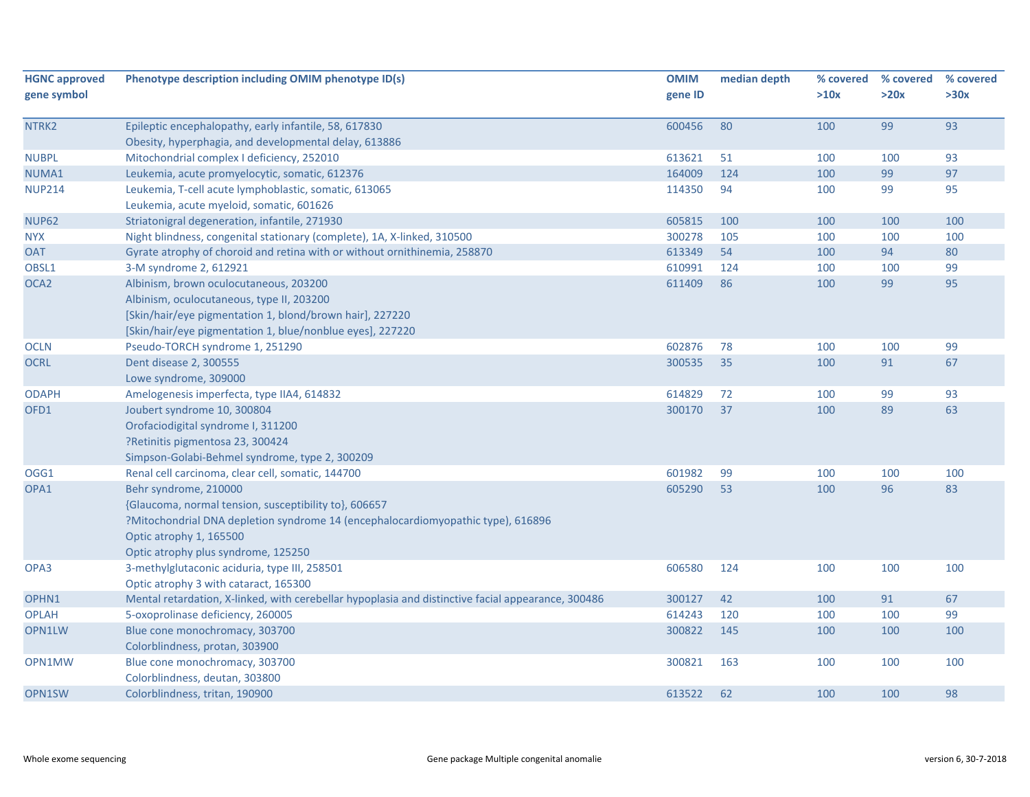| <b>HGNC approved</b> | Phenotype description including OMIM phenotype ID(s)                                               | <b>OMIM</b> | median depth | % covered | % covered | % covered |
|----------------------|----------------------------------------------------------------------------------------------------|-------------|--------------|-----------|-----------|-----------|
| gene symbol          |                                                                                                    | gene ID     |              | >10x      | >20x      | >30x      |
| NTRK2                | Epileptic encephalopathy, early infantile, 58, 617830                                              | 600456      | 80           | 100       | 99        | 93        |
|                      | Obesity, hyperphagia, and developmental delay, 613886                                              |             |              |           |           |           |
| <b>NUBPL</b>         | Mitochondrial complex I deficiency, 252010                                                         | 613621      | 51           | 100       | 100       | 93        |
| NUMA1                | Leukemia, acute promyelocytic, somatic, 612376                                                     | 164009      | 124          | 100       | 99        | 97        |
| <b>NUP214</b>        | Leukemia, T-cell acute lymphoblastic, somatic, 613065                                              | 114350      | 94           | 100       | 99        | 95        |
|                      | Leukemia, acute myeloid, somatic, 601626                                                           |             |              |           |           |           |
| <b>NUP62</b>         | Striatonigral degeneration, infantile, 271930                                                      | 605815      | 100          | 100       | 100       | 100       |
| <b>NYX</b>           | Night blindness, congenital stationary (complete), 1A, X-linked, 310500                            | 300278      | 105          | 100       | 100       | 100       |
| <b>OAT</b>           | Gyrate atrophy of choroid and retina with or without ornithinemia, 258870                          | 613349      | 54           | 100       | 94        | 80        |
| OBSL1                | 3-M syndrome 2, 612921                                                                             | 610991      | 124          | 100       | 100       | 99        |
| OCA <sub>2</sub>     | Albinism, brown oculocutaneous, 203200                                                             | 611409      | 86           | 100       | 99        | 95        |
|                      | Albinism, oculocutaneous, type II, 203200                                                          |             |              |           |           |           |
|                      | [Skin/hair/eye pigmentation 1, blond/brown hair], 227220                                           |             |              |           |           |           |
|                      | [Skin/hair/eye pigmentation 1, blue/nonblue eyes], 227220                                          |             |              |           |           |           |
| <b>OCLN</b>          | Pseudo-TORCH syndrome 1, 251290                                                                    | 602876      | 78           | 100       | 100       | 99        |
| <b>OCRL</b>          | Dent disease 2, 300555                                                                             | 300535      | 35           | 100       | 91        | 67        |
|                      | Lowe syndrome, 309000                                                                              |             |              |           |           |           |
| <b>ODAPH</b>         | Amelogenesis imperfecta, type IIA4, 614832                                                         | 614829      | 72           | 100       | 99        | 93        |
| OFD1                 | Joubert syndrome 10, 300804                                                                        | 300170      | 37           | 100       | 89        | 63        |
|                      | Orofaciodigital syndrome I, 311200                                                                 |             |              |           |           |           |
|                      | ?Retinitis pigmentosa 23, 300424                                                                   |             |              |           |           |           |
|                      | Simpson-Golabi-Behmel syndrome, type 2, 300209                                                     |             |              |           |           |           |
| OGG1                 | Renal cell carcinoma, clear cell, somatic, 144700                                                  | 601982      | 99           | 100       | 100       | 100       |
| OPA1                 | Behr syndrome, 210000                                                                              | 605290      | 53           | 100       | 96        | 83        |
|                      | {Glaucoma, normal tension, susceptibility to}, 606657                                              |             |              |           |           |           |
|                      | ?Mitochondrial DNA depletion syndrome 14 (encephalocardiomyopathic type), 616896                   |             |              |           |           |           |
|                      | Optic atrophy 1, 165500                                                                            |             |              |           |           |           |
|                      | Optic atrophy plus syndrome, 125250                                                                |             |              |           |           |           |
| OPA3                 | 3-methylglutaconic aciduria, type III, 258501                                                      | 606580      | 124          | 100       | 100       | 100       |
|                      | Optic atrophy 3 with cataract, 165300                                                              |             |              |           |           |           |
| OPHN1                | Mental retardation, X-linked, with cerebellar hypoplasia and distinctive facial appearance, 300486 | 300127      | 42           | 100       | 91        | 67        |
| <b>OPLAH</b>         | 5-oxoprolinase deficiency, 260005                                                                  | 614243      | 120          | 100       | 100       | 99        |
| OPN1LW               | Blue cone monochromacy, 303700                                                                     | 300822      | 145          | 100       | 100       | 100       |
|                      | Colorblindness, protan, 303900                                                                     |             |              |           |           |           |
| OPN1MW               | Blue cone monochromacy, 303700                                                                     | 300821      | 163          | 100       | 100       | 100       |
|                      | Colorblindness, deutan, 303800                                                                     |             |              |           |           |           |
| OPN1SW               | Colorblindness, tritan, 190900                                                                     | 613522      | 62           | 100       | 100       | 98        |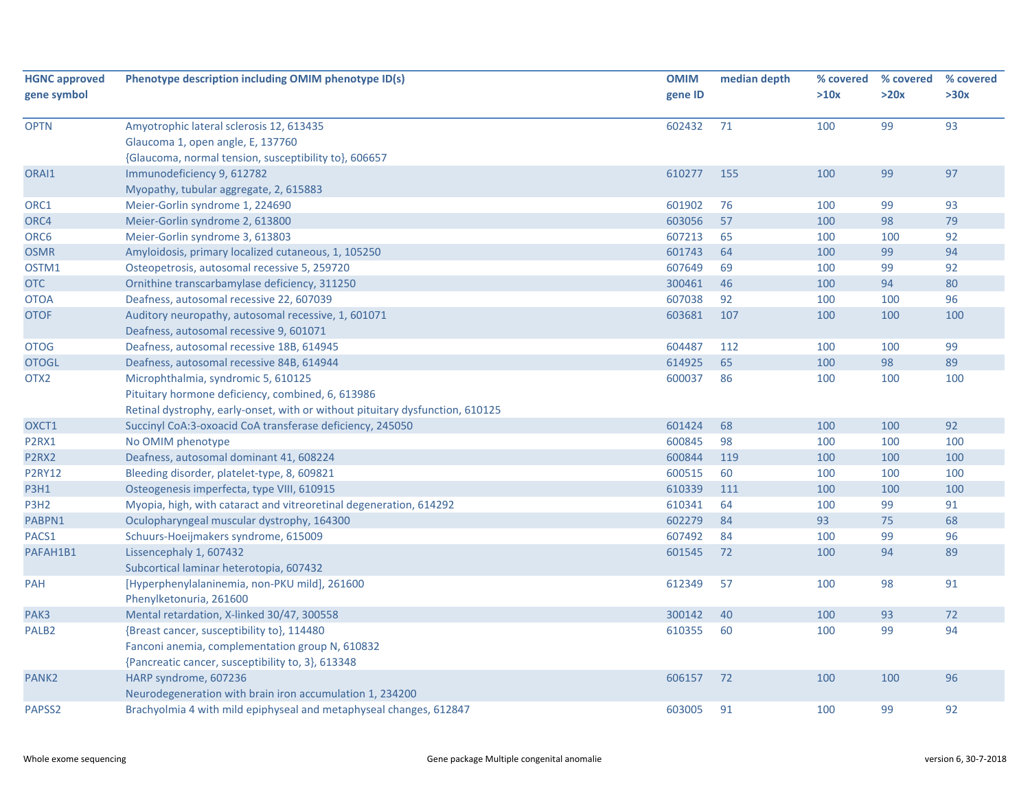| <b>HGNC approved</b><br>gene symbol | Phenotype description including OMIM phenotype ID(s)                          | <b>OMIM</b><br>gene ID | median depth | % covered<br>>10x | % covered<br>>20x | % covered<br>>30x |
|-------------------------------------|-------------------------------------------------------------------------------|------------------------|--------------|-------------------|-------------------|-------------------|
|                                     |                                                                               |                        |              |                   |                   |                   |
| <b>OPTN</b>                         | Amyotrophic lateral sclerosis 12, 613435                                      | 602432                 | 71           | 100               | 99                | 93                |
|                                     | Glaucoma 1, open angle, E, 137760                                             |                        |              |                   |                   |                   |
|                                     | {Glaucoma, normal tension, susceptibility to}, 606657                         |                        |              |                   |                   |                   |
| ORAI1                               | Immunodeficiency 9, 612782                                                    | 610277                 | 155          | 100               | 99                | 97                |
|                                     | Myopathy, tubular aggregate, 2, 615883                                        |                        |              |                   |                   |                   |
| ORC1                                | Meier-Gorlin syndrome 1, 224690                                               | 601902                 | 76           | 100               | 99                | 93                |
| ORC4                                | Meier-Gorlin syndrome 2, 613800                                               | 603056                 | 57           | 100               | 98                | 79                |
| ORC6                                | Meier-Gorlin syndrome 3, 613803                                               | 607213                 | 65           | 100               | 100               | 92                |
| <b>OSMR</b>                         | Amyloidosis, primary localized cutaneous, 1, 105250                           | 601743                 | 64           | 100               | 99                | 94                |
| OSTM1                               | Osteopetrosis, autosomal recessive 5, 259720                                  | 607649                 | 69           | 100               | 99                | 92                |
| <b>OTC</b>                          | Ornithine transcarbamylase deficiency, 311250                                 | 300461                 | 46           | 100               | 94                | 80                |
| <b>OTOA</b>                         | Deafness, autosomal recessive 22, 607039                                      | 607038                 | 92           | 100               | 100               | 96                |
| <b>OTOF</b>                         | Auditory neuropathy, autosomal recessive, 1, 601071                           | 603681                 | 107          | 100               | 100               | 100               |
|                                     | Deafness, autosomal recessive 9, 601071                                       |                        |              |                   |                   |                   |
| <b>OTOG</b>                         | Deafness, autosomal recessive 18B, 614945                                     | 604487                 | 112          | 100               | 100               | 99                |
| <b>OTOGL</b>                        | Deafness, autosomal recessive 84B, 614944                                     | 614925                 | 65           | 100               | 98                | 89                |
| OTX <sub>2</sub>                    | Microphthalmia, syndromic 5, 610125                                           | 600037                 | 86           | 100               | 100               | 100               |
|                                     | Pituitary hormone deficiency, combined, 6, 613986                             |                        |              |                   |                   |                   |
|                                     | Retinal dystrophy, early-onset, with or without pituitary dysfunction, 610125 |                        |              |                   |                   |                   |
| OXCT1                               | Succinyl CoA:3-oxoacid CoA transferase deficiency, 245050                     | 601424                 | 68           | 100               | 100               | 92                |
| P2RX1                               | No OMIM phenotype                                                             | 600845                 | 98           | 100               | 100               | 100               |
| P2RX2                               | Deafness, autosomal dominant 41, 608224                                       | 600844                 | 119          | 100               | 100               | 100               |
| <b>P2RY12</b>                       | Bleeding disorder, platelet-type, 8, 609821                                   | 600515                 | 60           | 100               | 100               | 100               |
| <b>P3H1</b>                         | Osteogenesis imperfecta, type VIII, 610915                                    | 610339                 | 111          | 100               | 100               | 100               |
| P3H <sub>2</sub>                    | Myopia, high, with cataract and vitreoretinal degeneration, 614292            | 610341                 | 64           | 100               | 99                | 91                |
| PABPN1                              | Oculopharyngeal muscular dystrophy, 164300                                    | 602279                 | 84           | 93                | 75                | 68                |
| PACS1                               | Schuurs-Hoeijmakers syndrome, 615009                                          | 607492                 | 84           | 100               | 99                | 96                |
| PAFAH1B1                            | Lissencephaly 1, 607432                                                       | 601545                 | 72           | 100               | 94                | 89                |
|                                     | Subcortical laminar heterotopia, 607432                                       |                        |              |                   |                   |                   |
| <b>PAH</b>                          | [Hyperphenylalaninemia, non-PKU mild], 261600                                 | 612349                 | 57           | 100               | 98                | 91                |
|                                     | Phenylketonuria, 261600                                                       |                        |              |                   |                   |                   |
| PAK3                                | Mental retardation, X-linked 30/47, 300558                                    | 300142                 | 40           | 100               | 93                | 72                |
| PALB <sub>2</sub>                   | {Breast cancer, susceptibility to}, 114480                                    | 610355                 | 60           | 100               | 99                | 94                |
|                                     | Fanconi anemia, complementation group N, 610832                               |                        |              |                   |                   |                   |
|                                     | {Pancreatic cancer, susceptibility to, 3}, 613348                             |                        |              |                   |                   |                   |
| PANK <sub>2</sub>                   | HARP syndrome, 607236                                                         | 606157                 | 72           | 100               | 100               | 96                |
|                                     | Neurodegeneration with brain iron accumulation 1, 234200                      |                        |              |                   |                   |                   |
| PAPSS2                              | Brachyolmia 4 with mild epiphyseal and metaphyseal changes, 612847            | 603005                 | 91           | 100               | 99                | 92                |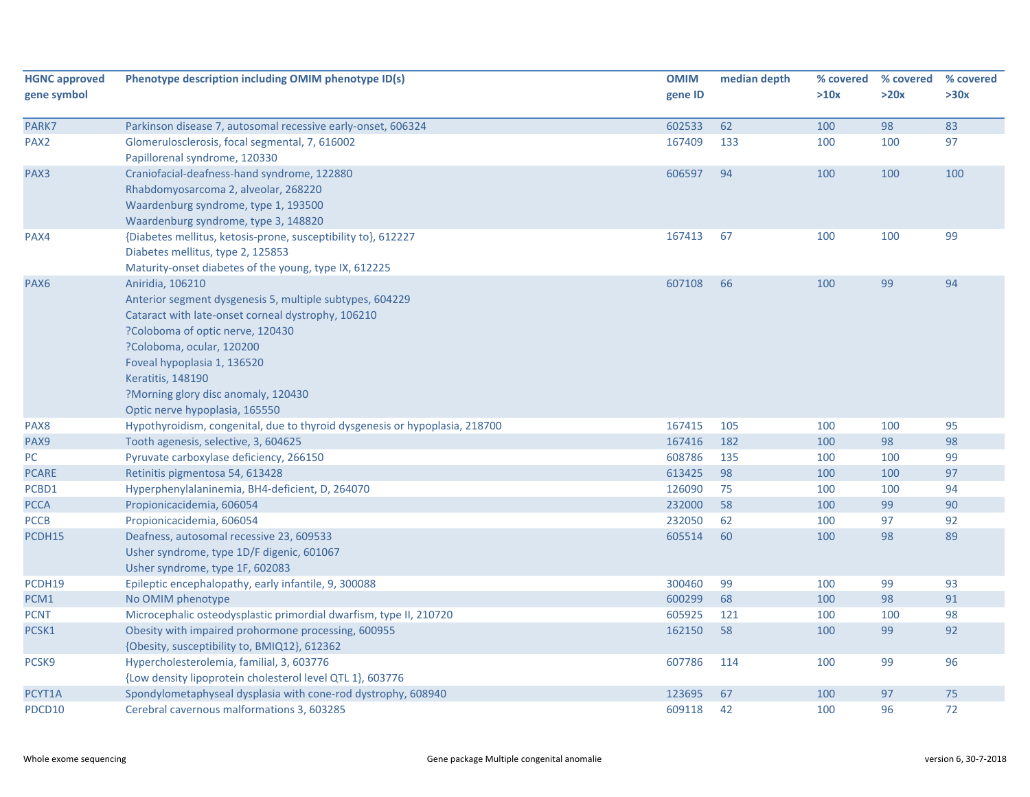| <b>HGNC approved</b> | Phenotype description including OMIM phenotype ID(s)                                                                                                                                                                                                                                                                                    | <b>OMIM</b> | median depth | % covered | % covered | % covered |
|----------------------|-----------------------------------------------------------------------------------------------------------------------------------------------------------------------------------------------------------------------------------------------------------------------------------------------------------------------------------------|-------------|--------------|-----------|-----------|-----------|
| gene symbol          |                                                                                                                                                                                                                                                                                                                                         | gene ID     |              | >10x      | >20x      | >30x      |
| PARK7                | Parkinson disease 7, autosomal recessive early-onset, 606324                                                                                                                                                                                                                                                                            | 602533      | 62           | 100       | 98        | 83        |
| PAX <sub>2</sub>     | Glomerulosclerosis, focal segmental, 7, 616002<br>Papillorenal syndrome, 120330                                                                                                                                                                                                                                                         | 167409      | 133          | 100       | 100       | 97        |
| PAX3                 | Craniofacial-deafness-hand syndrome, 122880<br>Rhabdomyosarcoma 2, alveolar, 268220<br>Waardenburg syndrome, type 1, 193500<br>Waardenburg syndrome, type 3, 148820                                                                                                                                                                     | 606597      | 94           | 100       | 100       | 100       |
| PAX4                 | {Diabetes mellitus, ketosis-prone, susceptibility to}, 612227<br>Diabetes mellitus, type 2, 125853<br>Maturity-onset diabetes of the young, type IX, 612225                                                                                                                                                                             | 167413      | 67           | 100       | 100       | 99        |
| PAX6                 | Aniridia, 106210<br>Anterior segment dysgenesis 5, multiple subtypes, 604229<br>Cataract with late-onset corneal dystrophy, 106210<br>?Coloboma of optic nerve, 120430<br>?Coloboma, ocular, 120200<br>Foveal hypoplasia 1, 136520<br><b>Keratitis, 148190</b><br>?Morning glory disc anomaly, 120430<br>Optic nerve hypoplasia, 165550 | 607108      | 66           | 100       | 99        | 94        |
| PAX8                 | Hypothyroidism, congenital, due to thyroid dysgenesis or hypoplasia, 218700                                                                                                                                                                                                                                                             | 167415      | 105          | 100       | 100       | 95        |
| PAX9                 | Tooth agenesis, selective, 3, 604625                                                                                                                                                                                                                                                                                                    | 167416      | 182          | 100       | 98        | 98        |
| ${\sf PC}$           | Pyruvate carboxylase deficiency, 266150                                                                                                                                                                                                                                                                                                 | 608786      | 135          | 100       | 100       | 99        |
| <b>PCARE</b>         | Retinitis pigmentosa 54, 613428                                                                                                                                                                                                                                                                                                         | 613425      | 98           | 100       | 100       | 97        |
| PCBD1                | Hyperphenylalaninemia, BH4-deficient, D, 264070                                                                                                                                                                                                                                                                                         | 126090      | 75           | 100       | 100       | 94        |
| <b>PCCA</b>          | Propionicacidemia, 606054                                                                                                                                                                                                                                                                                                               | 232000      | 58           | 100       | 99        | 90        |
| <b>PCCB</b>          | Propionicacidemia, 606054                                                                                                                                                                                                                                                                                                               | 232050      | 62           | 100       | 97        | 92        |
| PCDH15               | Deafness, autosomal recessive 23, 609533<br>Usher syndrome, type 1D/F digenic, 601067<br>Usher syndrome, type 1F, 602083                                                                                                                                                                                                                | 605514      | 60           | 100       | 98        | 89        |
| PCDH19               | Epileptic encephalopathy, early infantile, 9, 300088                                                                                                                                                                                                                                                                                    | 300460      | 99           | 100       | 99        | 93        |
| PCM1                 | No OMIM phenotype                                                                                                                                                                                                                                                                                                                       | 600299      | 68           | 100       | 98        | 91        |
| <b>PCNT</b>          | Microcephalic osteodysplastic primordial dwarfism, type II, 210720                                                                                                                                                                                                                                                                      | 605925      | 121          | 100       | 100       | 98        |
| PCSK1                | Obesity with impaired prohormone processing, 600955<br>{Obesity, susceptibility to, BMIQ12}, 612362                                                                                                                                                                                                                                     | 162150      | 58           | 100       | 99        | 92        |
| PCSK9                | Hypercholesterolemia, familial, 3, 603776<br>{Low density lipoprotein cholesterol level QTL 1}, 603776                                                                                                                                                                                                                                  | 607786      | 114          | 100       | 99        | 96        |
| PCYT1A               | Spondylometaphyseal dysplasia with cone-rod dystrophy, 608940                                                                                                                                                                                                                                                                           | 123695      | 67           | 100       | 97        | 75        |
| PDCD10               | Cerebral cavernous malformations 3, 603285                                                                                                                                                                                                                                                                                              | 609118      | 42           | 100       | 96        | 72        |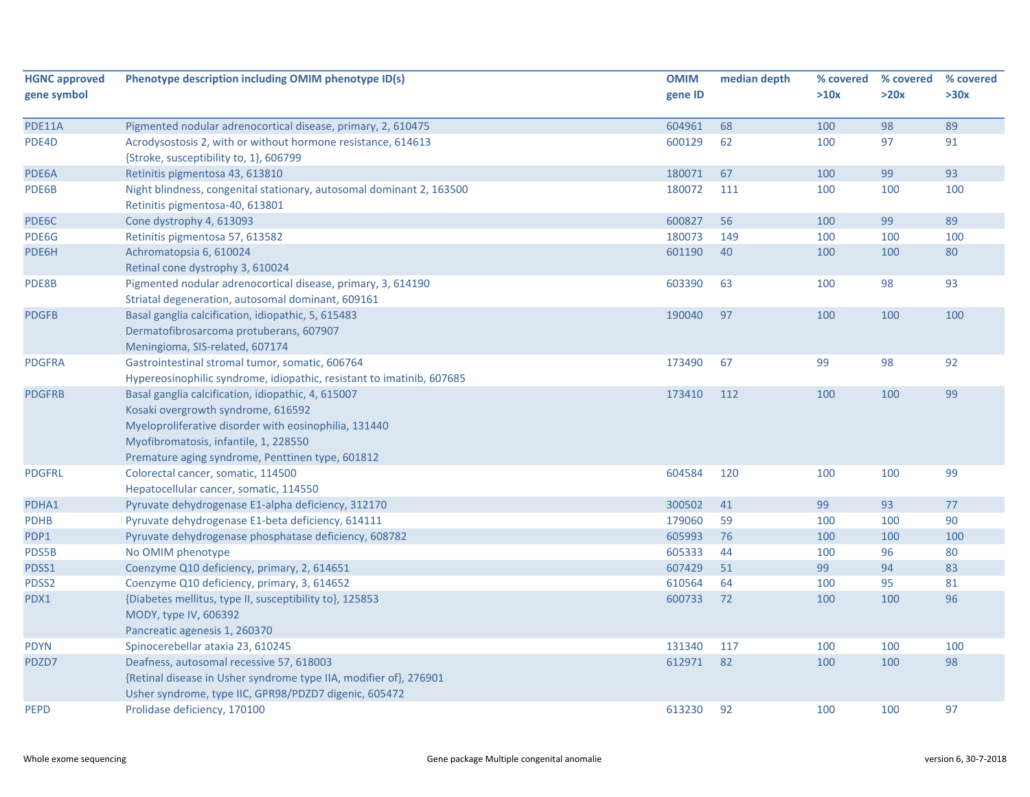| >10x<br>>20x<br>gene symbol<br>gene ID<br>604961<br>68<br>98<br>PDE11A<br>Pigmented nodular adrenocortical disease, primary, 2, 610475<br>100<br>600129<br>PDE4D<br>Acrodysostosis 2, with or without hormone resistance, 614613<br>62<br>100<br>97<br>{Stroke, susceptibility to, 1}, 606799 | >30x<br>89<br>91<br>93<br>100 |
|-----------------------------------------------------------------------------------------------------------------------------------------------------------------------------------------------------------------------------------------------------------------------------------------------|-------------------------------|
|                                                                                                                                                                                                                                                                                               |                               |
|                                                                                                                                                                                                                                                                                               |                               |
|                                                                                                                                                                                                                                                                                               |                               |
|                                                                                                                                                                                                                                                                                               |                               |
|                                                                                                                                                                                                                                                                                               |                               |
| 99<br>PDE6A<br>Retinitis pigmentosa 43, 613810<br>180071<br>67<br>100                                                                                                                                                                                                                         |                               |
| Night blindness, congenital stationary, autosomal dominant 2, 163500<br>180072<br>111<br>100<br>100<br>PDE6B                                                                                                                                                                                  |                               |
| Retinitis pigmentosa-40, 613801                                                                                                                                                                                                                                                               |                               |
| 600827<br>56<br>99<br>PDE6C<br>100<br>Cone dystrophy 4, 613093                                                                                                                                                                                                                                | 89                            |
| 180073<br>149<br>100<br>100<br>PDE6G<br>Retinitis pigmentosa 57, 613582                                                                                                                                                                                                                       | 100                           |
| 40<br>PDE6H<br>Achromatopsia 6, 610024<br>601190<br>100<br>100                                                                                                                                                                                                                                | 80                            |
| Retinal cone dystrophy 3, 610024                                                                                                                                                                                                                                                              |                               |
| Pigmented nodular adrenocortical disease, primary, 3, 614190<br>603390<br>63<br>100<br>98<br>PDE8B                                                                                                                                                                                            | 93                            |
| Striatal degeneration, autosomal dominant, 609161                                                                                                                                                                                                                                             |                               |
| <b>PDGFB</b><br>Basal ganglia calcification, idiopathic, 5, 615483<br>190040<br>97<br>100<br>100                                                                                                                                                                                              | 100                           |
| Dermatofibrosarcoma protuberans, 607907                                                                                                                                                                                                                                                       |                               |
| Meningioma, SIS-related, 607174                                                                                                                                                                                                                                                               |                               |
| 67<br>98<br><b>PDGFRA</b><br>Gastrointestinal stromal tumor, somatic, 606764<br>173490<br>99                                                                                                                                                                                                  | 92                            |
| Hypereosinophilic syndrome, idiopathic, resistant to imatinib, 607685                                                                                                                                                                                                                         |                               |
| 100<br>100<br><b>PDGFRB</b><br>Basal ganglia calcification, idiopathic, 4, 615007<br>173410<br>112                                                                                                                                                                                            | 99                            |
| Kosaki overgrowth syndrome, 616592                                                                                                                                                                                                                                                            |                               |
| Myeloproliferative disorder with eosinophilia, 131440                                                                                                                                                                                                                                         |                               |
| Myofibromatosis, infantile, 1, 228550                                                                                                                                                                                                                                                         |                               |
| Premature aging syndrome, Penttinen type, 601812                                                                                                                                                                                                                                              |                               |
| Colorectal cancer, somatic, 114500<br>604584<br>120<br>100<br>100<br><b>PDGFRL</b>                                                                                                                                                                                                            | 99                            |
| Hepatocellular cancer, somatic, 114550                                                                                                                                                                                                                                                        |                               |
| 99<br>93<br>PDHA1<br>Pyruvate dehydrogenase E1-alpha deficiency, 312170<br>300502<br>41                                                                                                                                                                                                       | $77$                          |
| Pyruvate dehydrogenase E1-beta deficiency, 614111<br>179060<br>59<br>100<br><b>PDHB</b><br>100                                                                                                                                                                                                | 90                            |
| 605993<br>76<br>PDP1<br>Pyruvate dehydrogenase phosphatase deficiency, 608782<br>100<br>100                                                                                                                                                                                                   | 100                           |
| PDS5B<br>No OMIM phenotype<br>605333<br>44<br>100<br>96                                                                                                                                                                                                                                       | 80                            |
| PDSS1<br>Coenzyme Q10 deficiency, primary, 2, 614651<br>607429<br>51<br>99<br>94                                                                                                                                                                                                              | 83                            |
| 610564<br>64<br>100<br>95<br>PDSS2<br>Coenzyme Q10 deficiency, primary, 3, 614652                                                                                                                                                                                                             | 81                            |
| 600733<br>PDX1<br>{Diabetes mellitus, type II, susceptibility to}, 125853<br>72<br>100<br>100                                                                                                                                                                                                 | 96                            |
| MODY, type IV, 606392                                                                                                                                                                                                                                                                         |                               |
| Pancreatic agenesis 1, 260370                                                                                                                                                                                                                                                                 |                               |
| Spinocerebellar ataxia 23, 610245<br>131340<br>117<br>100<br>100<br><b>PDYN</b>                                                                                                                                                                                                               | 100                           |
| 612971<br>Deafness, autosomal recessive 57, 618003<br>82<br>100<br>100<br>PDZD7                                                                                                                                                                                                               | 98                            |
| {Retinal disease in Usher syndrome type IIA, modifier of}, 276901                                                                                                                                                                                                                             |                               |
| Usher syndrome, type IIC, GPR98/PDZD7 digenic, 605472                                                                                                                                                                                                                                         |                               |
| <b>PEPD</b><br>613230<br>92<br>100<br>100<br>Prolidase deficiency, 170100                                                                                                                                                                                                                     | 97                            |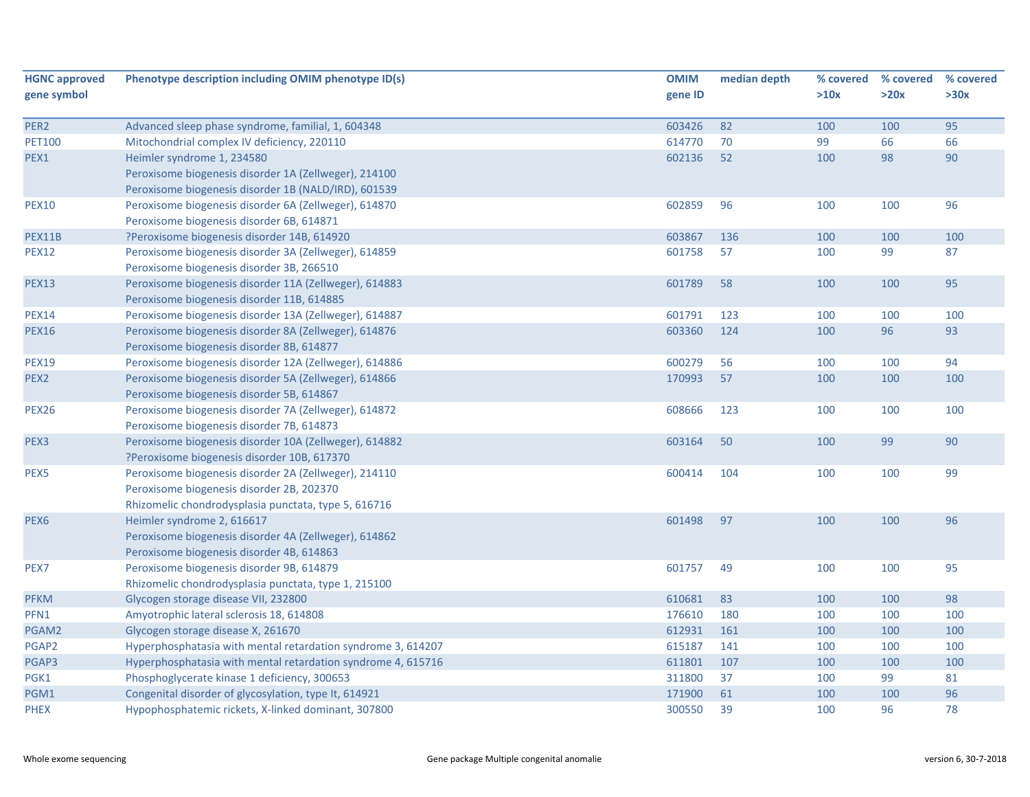| <b>HGNC approved</b> | Phenotype description including OMIM phenotype ID(s)         | <b>OMIM</b> | median depth | % covered | % covered | % covered |
|----------------------|--------------------------------------------------------------|-------------|--------------|-----------|-----------|-----------|
| gene symbol          |                                                              | gene ID     |              | >10x      | >20x      | >30x      |
| PER2                 | Advanced sleep phase syndrome, familial, 1, 604348           | 603426      | 82           | 100       | 100       | 95        |
| <b>PET100</b>        | Mitochondrial complex IV deficiency, 220110                  | 614770      | 70           | 99        | 66        | 66        |
| PEX1                 | Heimler syndrome 1, 234580                                   | 602136      | 52           | 100       | 98        | 90        |
|                      | Peroxisome biogenesis disorder 1A (Zellweger), 214100        |             |              |           |           |           |
|                      | Peroxisome biogenesis disorder 1B (NALD/IRD), 601539         |             |              |           |           |           |
| <b>PEX10</b>         | Peroxisome biogenesis disorder 6A (Zellweger), 614870        | 602859      | 96           | 100       | 100       | 96        |
|                      | Peroxisome biogenesis disorder 6B, 614871                    |             |              |           |           |           |
| PEX11B               | ?Peroxisome biogenesis disorder 14B, 614920                  | 603867      | 136          | 100       | 100       | 100       |
| <b>PEX12</b>         | Peroxisome biogenesis disorder 3A (Zellweger), 614859        | 601758      | 57           | 100       | 99        | 87        |
|                      | Peroxisome biogenesis disorder 3B, 266510                    |             |              |           |           |           |
| <b>PEX13</b>         | Peroxisome biogenesis disorder 11A (Zellweger), 614883       | 601789      | 58           | 100       | 100       | 95        |
|                      | Peroxisome biogenesis disorder 11B, 614885                   |             |              |           |           |           |
| <b>PEX14</b>         | Peroxisome biogenesis disorder 13A (Zellweger), 614887       | 601791      | 123          | 100       | 100       | 100       |
| <b>PEX16</b>         | Peroxisome biogenesis disorder 8A (Zellweger), 614876        | 603360      | 124          | 100       | 96        | 93        |
|                      | Peroxisome biogenesis disorder 8B, 614877                    |             |              |           |           |           |
| <b>PEX19</b>         | Peroxisome biogenesis disorder 12A (Zellweger), 614886       | 600279      | 56           | 100       | 100       | 94        |
| PEX <sub>2</sub>     | Peroxisome biogenesis disorder 5A (Zellweger), 614866        | 170993      | 57           | 100       | 100       | 100       |
|                      | Peroxisome biogenesis disorder 5B, 614867                    |             |              |           |           |           |
| <b>PEX26</b>         | Peroxisome biogenesis disorder 7A (Zellweger), 614872        | 608666      | 123          | 100       | 100       | 100       |
|                      | Peroxisome biogenesis disorder 7B, 614873                    |             |              |           |           |           |
| PEX <sub>3</sub>     | Peroxisome biogenesis disorder 10A (Zellweger), 614882       | 603164      | 50           | 100       | 99        | 90        |
|                      | ?Peroxisome biogenesis disorder 10B, 617370                  |             |              |           |           |           |
| PEX5                 | Peroxisome biogenesis disorder 2A (Zellweger), 214110        | 600414      | 104          | 100       | 100       | 99        |
|                      | Peroxisome biogenesis disorder 2B, 202370                    |             |              |           |           |           |
|                      | Rhizomelic chondrodysplasia punctata, type 5, 616716         |             |              |           |           |           |
| PEX <sub>6</sub>     | Heimler syndrome 2, 616617                                   | 601498      | 97           | 100       | 100       | 96        |
|                      | Peroxisome biogenesis disorder 4A (Zellweger), 614862        |             |              |           |           |           |
|                      | Peroxisome biogenesis disorder 4B, 614863                    |             |              |           |           |           |
| PEX7                 | Peroxisome biogenesis disorder 9B, 614879                    | 601757      | 49           | 100       | 100       | 95        |
|                      | Rhizomelic chondrodysplasia punctata, type 1, 215100         |             |              |           |           |           |
| <b>PFKM</b>          | Glycogen storage disease VII, 232800                         | 610681      | 83           | 100       | 100       | 98        |
| PFN1                 | Amyotrophic lateral sclerosis 18, 614808                     | 176610      | 180          | 100       | 100       | 100       |
| PGAM2                | Glycogen storage disease X, 261670                           | 612931      | 161          | 100       | 100       | 100       |
| PGAP2                | Hyperphosphatasia with mental retardation syndrome 3, 614207 | 615187      | 141          | 100       | 100       | 100       |
| PGAP3                | Hyperphosphatasia with mental retardation syndrome 4, 615716 | 611801      | 107          | 100       | 100       | 100       |
| PGK1                 | Phosphoglycerate kinase 1 deficiency, 300653                 | 311800      | 37           | 100       | 99        | 81        |
| PGM1                 | Congenital disorder of glycosylation, type It, 614921        | 171900      | 61           | 100       | 100       | 96        |
| <b>PHEX</b>          | Hypophosphatemic rickets, X-linked dominant, 307800          | 300550      | 39           | 100       | 96        | 78        |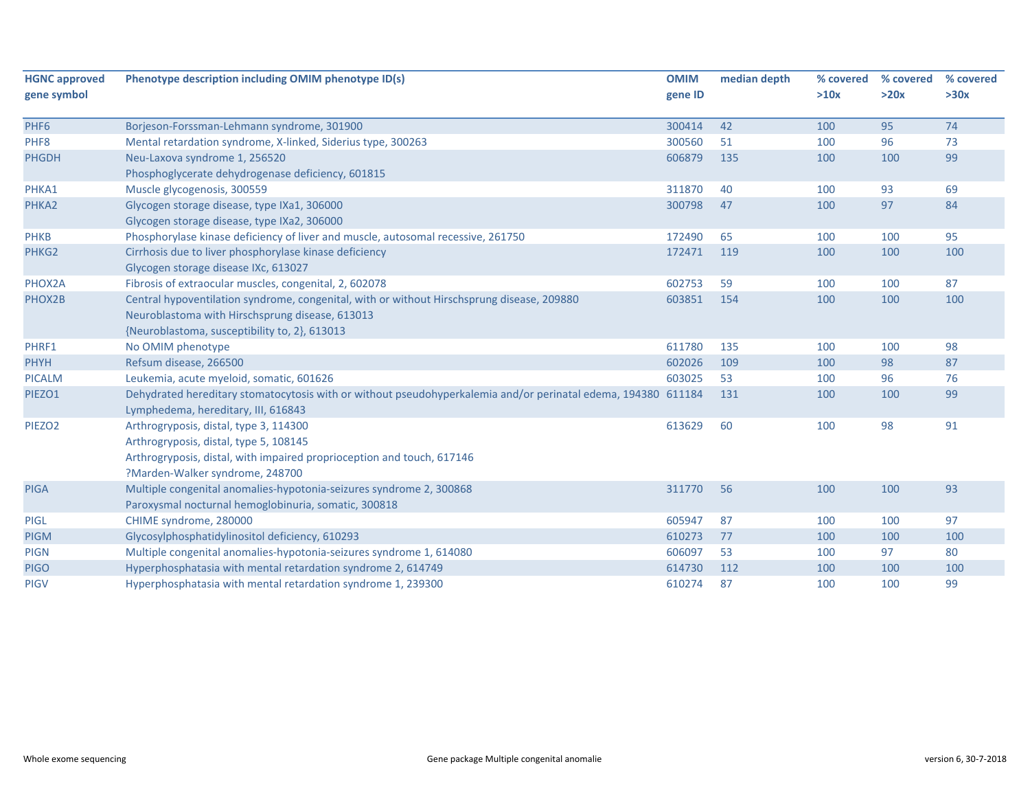| <b>HGNC approved</b><br>gene symbol | Phenotype description including OMIM phenotype ID(s)                                                          | <b>OMIM</b><br>gene ID | median depth | % covered<br>>10x | % covered<br>>20x | % covered<br>>30x |
|-------------------------------------|---------------------------------------------------------------------------------------------------------------|------------------------|--------------|-------------------|-------------------|-------------------|
|                                     |                                                                                                               |                        |              |                   |                   |                   |
| PHF <sub>6</sub>                    | Borjeson-Forssman-Lehmann syndrome, 301900                                                                    | 300414                 | 42           | 100               | 95                | 74                |
| PHF8                                | Mental retardation syndrome, X-linked, Siderius type, 300263                                                  | 300560                 | 51           | 100               | 96                | 73                |
| <b>PHGDH</b>                        | Neu-Laxova syndrome 1, 256520                                                                                 | 606879                 | 135          | 100               | 100               | 99                |
|                                     | Phosphoglycerate dehydrogenase deficiency, 601815                                                             |                        |              |                   |                   |                   |
| PHKA1                               | Muscle glycogenosis, 300559                                                                                   | 311870                 | 40           | 100               | 93                | 69                |
| PHKA2                               | Glycogen storage disease, type IXa1, 306000                                                                   | 300798                 | 47           | 100               | 97                | 84                |
|                                     | Glycogen storage disease, type IXa2, 306000                                                                   |                        |              |                   |                   |                   |
| <b>PHKB</b>                         | Phosphorylase kinase deficiency of liver and muscle, autosomal recessive, 261750                              | 172490                 | 65           | 100               | 100               | 95                |
| PHKG2                               | Cirrhosis due to liver phosphorylase kinase deficiency                                                        | 172471                 | 119          | 100               | 100               | 100               |
|                                     | Glycogen storage disease IXc, 613027                                                                          |                        |              |                   |                   |                   |
| PHOX2A                              | Fibrosis of extraocular muscles, congenital, 2, 602078                                                        | 602753                 | 59           | 100               | 100               | 87                |
| PHOX2B                              | Central hypoventilation syndrome, congenital, with or without Hirschsprung disease, 209880                    | 603851                 | 154          | 100               | 100               | 100               |
|                                     | Neuroblastoma with Hirschsprung disease, 613013                                                               |                        |              |                   |                   |                   |
|                                     | {Neuroblastoma, susceptibility to, 2}, 613013                                                                 |                        |              |                   |                   |                   |
| PHRF1                               | No OMIM phenotype                                                                                             | 611780                 | 135          | 100               | 100               | 98                |
| <b>PHYH</b>                         | Refsum disease, 266500                                                                                        | 602026                 | 109          | 100               | 98                | 87                |
| <b>PICALM</b>                       | Leukemia, acute myeloid, somatic, 601626                                                                      | 603025                 | 53           | 100               | 96                | 76                |
| PIEZO1                              | Dehydrated hereditary stomatocytosis with or without pseudohyperkalemia and/or perinatal edema, 194380 611184 |                        | 131          | 100               | 100               | 99                |
|                                     | Lymphedema, hereditary, III, 616843                                                                           |                        |              |                   |                   |                   |
| PIEZO <sub>2</sub>                  | Arthrogryposis, distal, type 3, 114300                                                                        | 613629                 | 60           | 100               | 98                | 91                |
|                                     | Arthrogryposis, distal, type 5, 108145                                                                        |                        |              |                   |                   |                   |
|                                     | Arthrogryposis, distal, with impaired proprioception and touch, 617146                                        |                        |              |                   |                   |                   |
|                                     | ?Marden-Walker syndrome, 248700                                                                               |                        |              |                   |                   |                   |
| <b>PIGA</b>                         | Multiple congenital anomalies-hypotonia-seizures syndrome 2, 300868                                           | 311770                 | 56           | 100               | 100               | 93                |
|                                     | Paroxysmal nocturnal hemoglobinuria, somatic, 300818                                                          |                        |              |                   |                   |                   |
| <b>PIGL</b>                         | CHIME syndrome, 280000                                                                                        | 605947                 | 87           | 100               | 100               | 97                |
| <b>PIGM</b>                         | Glycosylphosphatidylinositol deficiency, 610293                                                               | 610273                 | 77           | 100               | 100               | 100               |
| <b>PIGN</b>                         | Multiple congenital anomalies-hypotonia-seizures syndrome 1, 614080                                           | 606097                 | 53           | 100               | 97                | 80                |
| <b>PIGO</b>                         | Hyperphosphatasia with mental retardation syndrome 2, 614749                                                  | 614730                 | 112          | 100               | 100               | 100               |
| <b>PIGV</b>                         | Hyperphosphatasia with mental retardation syndrome 1, 239300                                                  | 610274                 | 87           | 100               | 100               | 99                |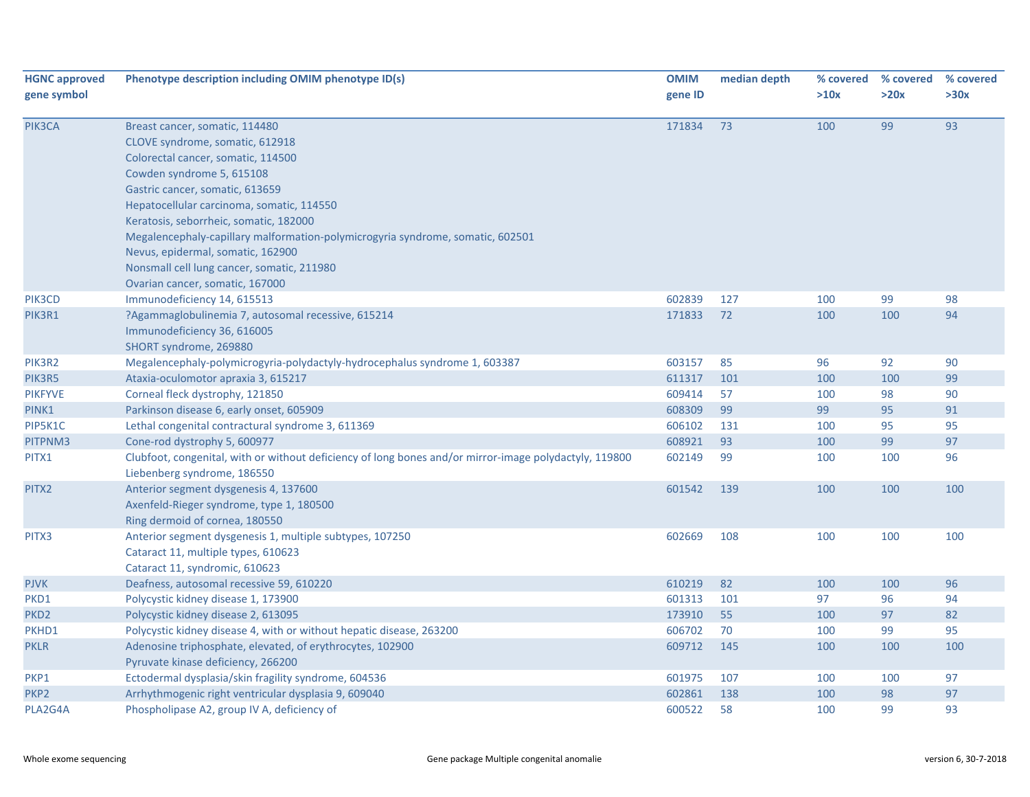| <b>HGNC approved</b><br>gene symbol | Phenotype description including OMIM phenotype ID(s)                                                                                                                                                                                                                                                                                                                                                                                                                   | <b>OMIM</b><br>gene ID | median depth | % covered<br>>10x | % covered<br>>20x | % covered<br>>30x |
|-------------------------------------|------------------------------------------------------------------------------------------------------------------------------------------------------------------------------------------------------------------------------------------------------------------------------------------------------------------------------------------------------------------------------------------------------------------------------------------------------------------------|------------------------|--------------|-------------------|-------------------|-------------------|
| PIK3CA                              | Breast cancer, somatic, 114480<br>CLOVE syndrome, somatic, 612918<br>Colorectal cancer, somatic, 114500<br>Cowden syndrome 5, 615108<br>Gastric cancer, somatic, 613659<br>Hepatocellular carcinoma, somatic, 114550<br>Keratosis, seborrheic, somatic, 182000<br>Megalencephaly-capillary malformation-polymicrogyria syndrome, somatic, 602501<br>Nevus, epidermal, somatic, 162900<br>Nonsmall cell lung cancer, somatic, 211980<br>Ovarian cancer, somatic, 167000 | 171834                 | 73           | 100               | 99                | 93                |
| PIK3CD                              | Immunodeficiency 14, 615513                                                                                                                                                                                                                                                                                                                                                                                                                                            | 602839                 | 127          | 100               | 99                | 98                |
| PIK3R1                              | ?Agammaglobulinemia 7, autosomal recessive, 615214<br>Immunodeficiency 36, 616005<br>SHORT syndrome, 269880                                                                                                                                                                                                                                                                                                                                                            | 171833                 | 72           | 100               | 100               | 94                |
| PIK3R2                              | Megalencephaly-polymicrogyria-polydactyly-hydrocephalus syndrome 1, 603387                                                                                                                                                                                                                                                                                                                                                                                             | 603157                 | 85           | 96                | 92                | 90                |
| PIK3R5                              | Ataxia-oculomotor apraxia 3, 615217                                                                                                                                                                                                                                                                                                                                                                                                                                    | 611317                 | 101          | 100               | 100               | 99                |
| <b>PIKFYVE</b>                      | Corneal fleck dystrophy, 121850                                                                                                                                                                                                                                                                                                                                                                                                                                        | 609414                 | 57           | 100               | 98                | 90                |
| PINK1                               | Parkinson disease 6, early onset, 605909                                                                                                                                                                                                                                                                                                                                                                                                                               | 608309                 | 99           | 99                | 95                | 91                |
| PIP5K1C                             | Lethal congenital contractural syndrome 3, 611369                                                                                                                                                                                                                                                                                                                                                                                                                      | 606102                 | 131          | 100               | 95                | 95                |
| PITPNM3                             | Cone-rod dystrophy 5, 600977                                                                                                                                                                                                                                                                                                                                                                                                                                           | 608921                 | 93           | 100               | 99                | 97                |
| PITX1                               | Clubfoot, congenital, with or without deficiency of long bones and/or mirror-image polydactyly, 119800<br>Liebenberg syndrome, 186550                                                                                                                                                                                                                                                                                                                                  | 602149                 | 99           | 100               | 100               | 96                |
| PITX2                               | Anterior segment dysgenesis 4, 137600<br>Axenfeld-Rieger syndrome, type 1, 180500<br>Ring dermoid of cornea, 180550                                                                                                                                                                                                                                                                                                                                                    | 601542                 | 139          | 100               | 100               | 100               |
| PITX3                               | Anterior segment dysgenesis 1, multiple subtypes, 107250<br>Cataract 11, multiple types, 610623<br>Cataract 11, syndromic, 610623                                                                                                                                                                                                                                                                                                                                      | 602669                 | 108          | 100               | 100               | 100               |
| <b>PJVK</b>                         | Deafness, autosomal recessive 59, 610220                                                                                                                                                                                                                                                                                                                                                                                                                               | 610219                 | 82           | 100               | 100               | 96                |
| PKD1                                | Polycystic kidney disease 1, 173900                                                                                                                                                                                                                                                                                                                                                                                                                                    | 601313                 | 101          | 97                | 96                | 94                |
| PKD <sub>2</sub>                    | Polycystic kidney disease 2, 613095                                                                                                                                                                                                                                                                                                                                                                                                                                    | 173910                 | 55           | 100               | 97                | 82                |
| PKHD1                               | Polycystic kidney disease 4, with or without hepatic disease, 263200                                                                                                                                                                                                                                                                                                                                                                                                   | 606702                 | 70           | 100               | 99                | 95                |
| <b>PKLR</b>                         | Adenosine triphosphate, elevated, of erythrocytes, 102900<br>Pyruvate kinase deficiency, 266200                                                                                                                                                                                                                                                                                                                                                                        | 609712                 | 145          | 100               | 100               | 100               |
| PKP1                                | Ectodermal dysplasia/skin fragility syndrome, 604536                                                                                                                                                                                                                                                                                                                                                                                                                   | 601975                 | 107          | 100               | 100               | 97                |
| PKP <sub>2</sub>                    | Arrhythmogenic right ventricular dysplasia 9, 609040                                                                                                                                                                                                                                                                                                                                                                                                                   | 602861                 | 138          | 100               | 98                | 97                |
| PLA2G4A                             | Phospholipase A2, group IV A, deficiency of                                                                                                                                                                                                                                                                                                                                                                                                                            | 600522                 | 58           | 100               | 99                | 93                |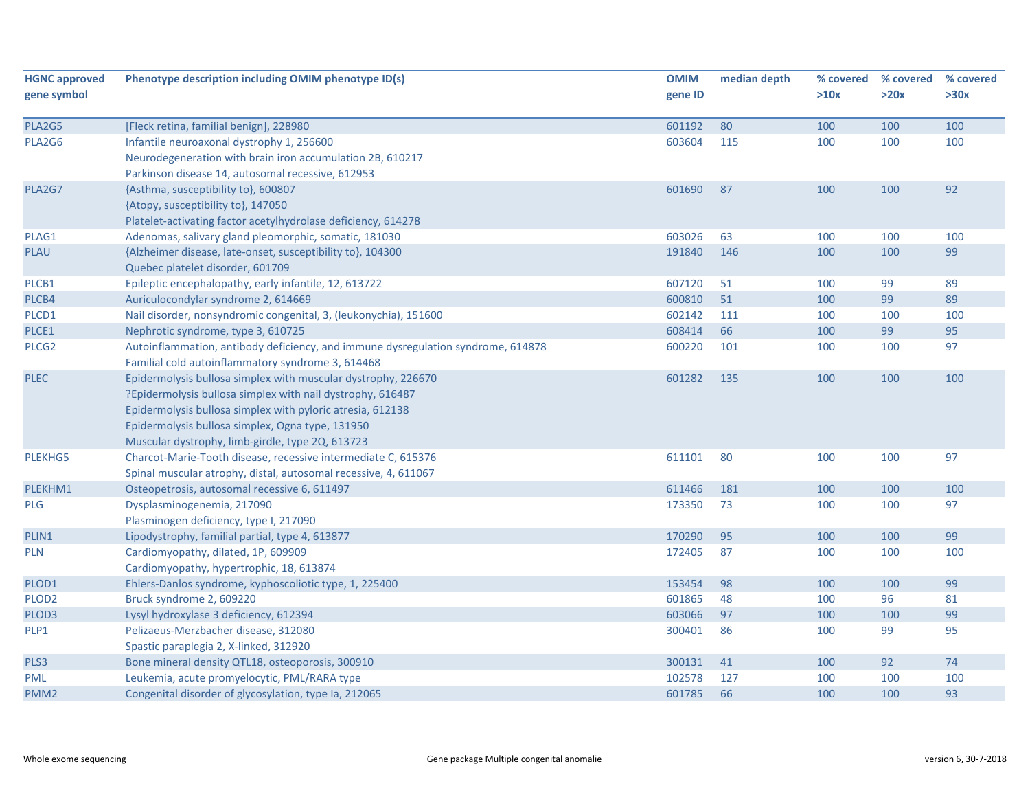| <b>HGNC approved</b> | Phenotype description including OMIM phenotype ID(s)                             | <b>OMIM</b> | median depth | % covered | % covered | % covered |
|----------------------|----------------------------------------------------------------------------------|-------------|--------------|-----------|-----------|-----------|
| gene symbol          |                                                                                  | gene ID     |              | >10x      | >20x      | >30x      |
|                      |                                                                                  |             |              |           |           |           |
| PLA2G5               | [Fleck retina, familial benign], 228980                                          | 601192      | 80           | 100       | 100       | 100       |
| PLA2G6               | Infantile neuroaxonal dystrophy 1, 256600                                        | 603604      | 115          | 100       | 100       | 100       |
|                      | Neurodegeneration with brain iron accumulation 2B, 610217                        |             |              |           |           |           |
|                      | Parkinson disease 14, autosomal recessive, 612953                                |             |              |           |           |           |
| PLA2G7               | {Asthma, susceptibility to}, 600807                                              | 601690      | 87           | 100       | 100       | 92        |
|                      | {Atopy, susceptibility to}, 147050                                               |             |              |           |           |           |
|                      | Platelet-activating factor acetylhydrolase deficiency, 614278                    |             |              |           |           |           |
| PLAG1                | Adenomas, salivary gland pleomorphic, somatic, 181030                            | 603026      | 63           | 100       | 100       | 100       |
| PLAU                 | {Alzheimer disease, late-onset, susceptibility to}, 104300                       | 191840      | 146          | 100       | 100       | 99        |
|                      | Quebec platelet disorder, 601709                                                 |             |              |           |           |           |
| PLCB1                | Epileptic encephalopathy, early infantile, 12, 613722                            | 607120      | 51           | 100       | 99        | 89        |
| PLCB4                | Auriculocondylar syndrome 2, 614669                                              | 600810      | 51           | 100       | 99        | 89        |
| PLCD1                | Nail disorder, nonsyndromic congenital, 3, (leukonychia), 151600                 | 602142      | 111          | 100       | 100       | 100       |
| PLCE1                | Nephrotic syndrome, type 3, 610725                                               | 608414      | 66           | 100       | 99        | 95        |
| PLCG <sub>2</sub>    | Autoinflammation, antibody deficiency, and immune dysregulation syndrome, 614878 | 600220      | 101          | 100       | 100       | 97        |
|                      | Familial cold autoinflammatory syndrome 3, 614468                                |             |              |           |           |           |
| <b>PLEC</b>          | Epidermolysis bullosa simplex with muscular dystrophy, 226670                    | 601282      | 135          | 100       | 100       | 100       |
|                      | ?Epidermolysis bullosa simplex with nail dystrophy, 616487                       |             |              |           |           |           |
|                      | Epidermolysis bullosa simplex with pyloric atresia, 612138                       |             |              |           |           |           |
|                      | Epidermolysis bullosa simplex, Ogna type, 131950                                 |             |              |           |           |           |
|                      | Muscular dystrophy, limb-girdle, type 2Q, 613723                                 |             |              |           |           |           |
| <b>PLEKHG5</b>       | Charcot-Marie-Tooth disease, recessive intermediate C, 615376                    | 611101      | 80           | 100       | 100       | 97        |
|                      | Spinal muscular atrophy, distal, autosomal recessive, 4, 611067                  |             |              |           |           |           |
| PLEKHM1              | Osteopetrosis, autosomal recessive 6, 611497                                     | 611466      | 181          | 100       | 100       | 100       |
| <b>PLG</b>           | Dysplasminogenemia, 217090                                                       | 173350      | 73           | 100       | 100       | 97        |
|                      | Plasminogen deficiency, type I, 217090                                           |             |              |           |           |           |
| PLIN1                | Lipodystrophy, familial partial, type 4, 613877                                  | 170290      | 95           | 100       | 100       | 99        |
| PLN                  | Cardiomyopathy, dilated, 1P, 609909                                              | 172405      | 87           | 100       | 100       | 100       |
|                      | Cardiomyopathy, hypertrophic, 18, 613874                                         |             |              |           |           |           |
| PLOD1                | Ehlers-Danlos syndrome, kyphoscoliotic type, 1, 225400                           | 153454      | 98           | 100       | 100       | 99        |
| PLOD <sub>2</sub>    | Bruck syndrome 2, 609220                                                         | 601865      | 48           | 100       | 96        | 81        |
| PLOD3                | Lysyl hydroxylase 3 deficiency, 612394                                           | 603066      | 97           | 100       | 100       | 99        |
| PLP1                 | Pelizaeus-Merzbacher disease, 312080                                             | 300401      | 86           | 100       | 99        | 95        |
|                      | Spastic paraplegia 2, X-linked, 312920                                           |             |              |           |           |           |
| PLS3                 | Bone mineral density QTL18, osteoporosis, 300910                                 | 300131      | 41           | 100       | 92        | 74        |
| <b>PML</b>           | Leukemia, acute promyelocytic, PML/RARA type                                     | 102578      | 127          | 100       | 100       | 100       |
| PMM <sub>2</sub>     | Congenital disorder of glycosylation, type Ia, 212065                            | 601785      | 66           | 100       | 100       | 93        |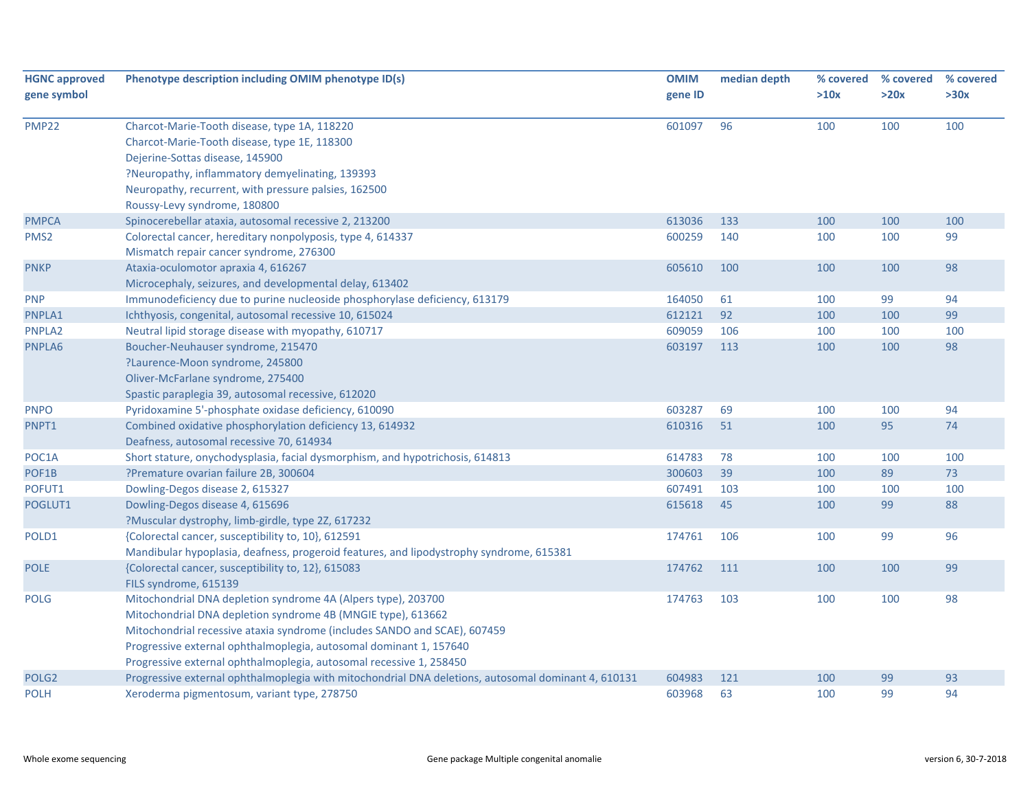| <b>HGNC approved</b> | Phenotype description including OMIM phenotype ID(s)                                                | <b>OMIM</b> | median depth | % covered | % covered | % covered |
|----------------------|-----------------------------------------------------------------------------------------------------|-------------|--------------|-----------|-----------|-----------|
| gene symbol          |                                                                                                     | gene ID     |              | >10x      | >20x      | >30x      |
| <b>PMP22</b>         | Charcot-Marie-Tooth disease, type 1A, 118220                                                        | 601097      | 96           | 100       | 100       | 100       |
|                      | Charcot-Marie-Tooth disease, type 1E, 118300                                                        |             |              |           |           |           |
|                      | Dejerine-Sottas disease, 145900                                                                     |             |              |           |           |           |
|                      | ?Neuropathy, inflammatory demyelinating, 139393                                                     |             |              |           |           |           |
|                      | Neuropathy, recurrent, with pressure palsies, 162500                                                |             |              |           |           |           |
|                      | Roussy-Levy syndrome, 180800                                                                        |             |              |           |           |           |
| <b>PMPCA</b>         | Spinocerebellar ataxia, autosomal recessive 2, 213200                                               | 613036      | 133          | 100       | 100       | 100       |
| PMS <sub>2</sub>     | Colorectal cancer, hereditary nonpolyposis, type 4, 614337                                          | 600259      | 140          | 100       | 100       | 99        |
|                      | Mismatch repair cancer syndrome, 276300                                                             |             |              |           |           |           |
| <b>PNKP</b>          | Ataxia-oculomotor apraxia 4, 616267                                                                 | 605610      | 100          | 100       | 100       | 98        |
|                      | Microcephaly, seizures, and developmental delay, 613402                                             |             |              |           |           |           |
| <b>PNP</b>           | Immunodeficiency due to purine nucleoside phosphorylase deficiency, 613179                          | 164050      | 61           | 100       | 99        | 94        |
| PNPLA1               | Ichthyosis, congenital, autosomal recessive 10, 615024                                              | 612121      | 92           | 100       | 100       | 99        |
| PNPLA2               | Neutral lipid storage disease with myopathy, 610717                                                 | 609059      | 106          | 100       | 100       | 100       |
| PNPLA6               | Boucher-Neuhauser syndrome, 215470                                                                  | 603197      | 113          | 100       | 100       | 98        |
|                      | ?Laurence-Moon syndrome, 245800                                                                     |             |              |           |           |           |
|                      | Oliver-McFarlane syndrome, 275400                                                                   |             |              |           |           |           |
|                      | Spastic paraplegia 39, autosomal recessive, 612020                                                  |             |              |           |           |           |
| <b>PNPO</b>          | Pyridoxamine 5'-phosphate oxidase deficiency, 610090                                                | 603287      | 69           | 100       | 100       | 94        |
| PNPT1                | Combined oxidative phosphorylation deficiency 13, 614932                                            | 610316      | 51           | 100       | 95        | 74        |
|                      | Deafness, autosomal recessive 70, 614934                                                            |             |              |           |           |           |
| POC1A                | Short stature, onychodysplasia, facial dysmorphism, and hypotrichosis, 614813                       | 614783      | 78           | 100       | 100       | 100       |
| POF1B                | ?Premature ovarian failure 2B, 300604                                                               | 300603      | 39           | 100       | 89        | 73        |
| POFUT1               | Dowling-Degos disease 2, 615327                                                                     | 607491      | 103          | 100       | 100       | 100       |
| POGLUT1              | Dowling-Degos disease 4, 615696                                                                     | 615618      | 45           | 100       | 99        | 88        |
|                      | ?Muscular dystrophy, limb-girdle, type 2Z, 617232                                                   |             |              |           |           |           |
| POLD1                | {Colorectal cancer, susceptibility to, 10}, 612591                                                  | 174761      | 106          | 100       | 99        | 96        |
|                      | Mandibular hypoplasia, deafness, progeroid features, and lipodystrophy syndrome, 615381             |             |              |           |           |           |
| <b>POLE</b>          | {Colorectal cancer, susceptibility to, 12}, 615083                                                  | 174762      | 111          | 100       | 100       | 99        |
|                      | FILS syndrome, 615139                                                                               |             |              |           |           |           |
| <b>POLG</b>          | Mitochondrial DNA depletion syndrome 4A (Alpers type), 203700                                       | 174763      | 103          | 100       | 100       | 98        |
|                      | Mitochondrial DNA depletion syndrome 4B (MNGIE type), 613662                                        |             |              |           |           |           |
|                      | Mitochondrial recessive ataxia syndrome (includes SANDO and SCAE), 607459                           |             |              |           |           |           |
|                      | Progressive external ophthalmoplegia, autosomal dominant 1, 157640                                  |             |              |           |           |           |
|                      | Progressive external ophthalmoplegia, autosomal recessive 1, 258450                                 |             |              |           |           |           |
| POLG <sub>2</sub>    | Progressive external ophthalmoplegia with mitochondrial DNA deletions, autosomal dominant 4, 610131 | 604983      | 121          | 100       | 99        | 93        |
| <b>POLH</b>          | Xeroderma pigmentosum, variant type, 278750                                                         | 603968      | 63           | 100       | 99        | 94        |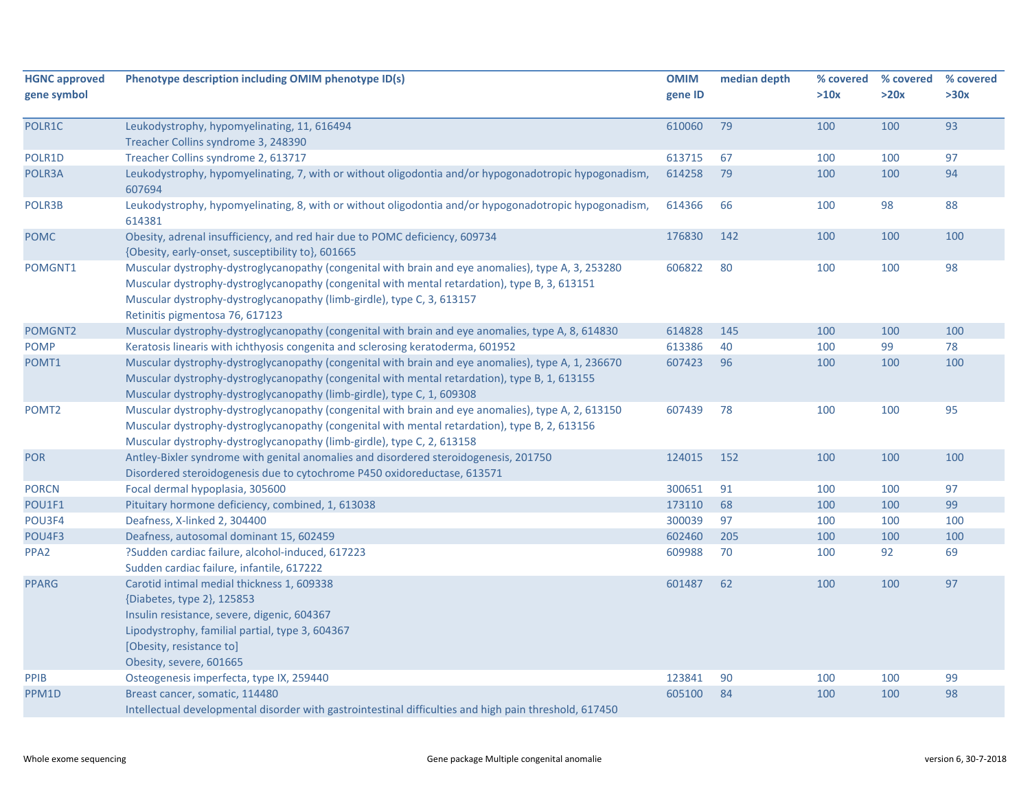| <b>HGNC approved</b><br>gene symbol | Phenotype description including OMIM phenotype ID(s)                                                                                                                                                                                                                                                             | <b>OMIM</b><br>gene ID | median depth | % covered<br>>10x | % covered<br>>20x | % covered<br>>30x |
|-------------------------------------|------------------------------------------------------------------------------------------------------------------------------------------------------------------------------------------------------------------------------------------------------------------------------------------------------------------|------------------------|--------------|-------------------|-------------------|-------------------|
| POLR1C                              | Leukodystrophy, hypomyelinating, 11, 616494<br>Treacher Collins syndrome 3, 248390                                                                                                                                                                                                                               | 610060                 | 79           | 100               | 100               | 93                |
| POLR1D                              | Treacher Collins syndrome 2, 613717                                                                                                                                                                                                                                                                              | 613715                 | 67           | 100               | 100               | 97                |
| POLR3A                              | Leukodystrophy, hypomyelinating, 7, with or without oligodontia and/or hypogonadotropic hypogonadism,<br>607694                                                                                                                                                                                                  | 614258                 | 79           | 100               | 100               | 94                |
| POLR3B                              | Leukodystrophy, hypomyelinating, 8, with or without oligodontia and/or hypogonadotropic hypogonadism,<br>614381                                                                                                                                                                                                  | 614366                 | 66           | 100               | 98                | 88                |
| <b>POMC</b>                         | Obesity, adrenal insufficiency, and red hair due to POMC deficiency, 609734<br>{Obesity, early-onset, susceptibility to}, 601665                                                                                                                                                                                 | 176830                 | 142          | 100               | 100               | 100               |
| POMGNT1                             | Muscular dystrophy-dystroglycanopathy (congenital with brain and eye anomalies), type A, 3, 253280<br>Muscular dystrophy-dystroglycanopathy (congenital with mental retardation), type B, 3, 613151<br>Muscular dystrophy-dystroglycanopathy (limb-girdle), type C, 3, 613157<br>Retinitis pigmentosa 76, 617123 | 606822                 | 80           | 100               | 100               | 98                |
| POMGNT2                             | Muscular dystrophy-dystroglycanopathy (congenital with brain and eye anomalies, type A, 8, 614830                                                                                                                                                                                                                | 614828                 | 145          | 100               | 100               | 100               |
| <b>POMP</b>                         | Keratosis linearis with ichthyosis congenita and sclerosing keratoderma, 601952                                                                                                                                                                                                                                  | 613386                 | 40           | 100               | 99                | 78                |
| POMT1                               | Muscular dystrophy-dystroglycanopathy (congenital with brain and eye anomalies), type A, 1, 236670<br>Muscular dystrophy-dystroglycanopathy (congenital with mental retardation), type B, 1, 613155<br>Muscular dystrophy-dystroglycanopathy (limb-girdle), type C, 1, 609308                                    | 607423                 | 96           | 100               | 100               | 100               |
| POMT <sub>2</sub>                   | Muscular dystrophy-dystroglycanopathy (congenital with brain and eye anomalies), type A, 2, 613150<br>Muscular dystrophy-dystroglycanopathy (congenital with mental retardation), type B, 2, 613156<br>Muscular dystrophy-dystroglycanopathy (limb-girdle), type C, 2, 613158                                    | 607439                 | 78           | 100               | 100               | 95                |
| <b>POR</b>                          | Antley-Bixler syndrome with genital anomalies and disordered steroidogenesis, 201750<br>Disordered steroidogenesis due to cytochrome P450 oxidoreductase, 613571                                                                                                                                                 | 124015                 | 152          | 100               | 100               | 100               |
| <b>PORCN</b>                        | Focal dermal hypoplasia, 305600                                                                                                                                                                                                                                                                                  | 300651                 | 91           | 100               | 100               | 97                |
| POU1F1                              | Pituitary hormone deficiency, combined, 1, 613038                                                                                                                                                                                                                                                                | 173110                 | 68           | 100               | 100               | 99                |
| POU3F4                              | Deafness, X-linked 2, 304400                                                                                                                                                                                                                                                                                     | 300039                 | 97           | 100               | 100               | 100               |
| POU4F3                              | Deafness, autosomal dominant 15, 602459                                                                                                                                                                                                                                                                          | 602460                 | 205          | 100               | 100               | 100               |
| PPA <sub>2</sub>                    | ?Sudden cardiac failure, alcohol-induced, 617223<br>Sudden cardiac failure, infantile, 617222                                                                                                                                                                                                                    | 609988                 | 70           | 100               | 92                | 69                |
| <b>PPARG</b>                        | Carotid intimal medial thickness 1, 609338<br>{Diabetes, type 2}, 125853<br>Insulin resistance, severe, digenic, 604367<br>Lipodystrophy, familial partial, type 3, 604367<br>[Obesity, resistance to]<br>Obesity, severe, 601665                                                                                | 601487                 | 62           | 100               | 100               | 97                |
| PPIB                                | Osteogenesis imperfecta, type IX, 259440                                                                                                                                                                                                                                                                         | 123841                 | 90           | 100               | 100               | 99                |
| PPM1D                               | Breast cancer, somatic, 114480<br>Intellectual developmental disorder with gastrointestinal difficulties and high pain threshold, 617450                                                                                                                                                                         | 605100                 | 84           | 100               | 100               | 98                |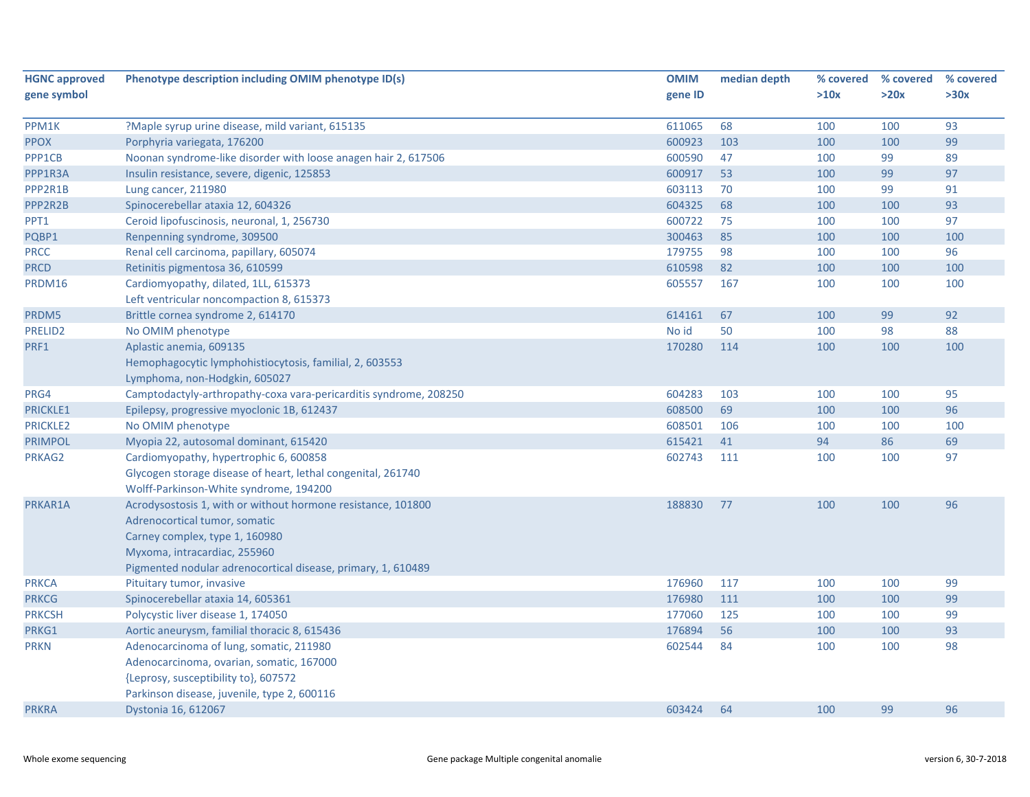| <b>HGNC approved</b> | Phenotype description including OMIM phenotype ID(s)              | <b>OMIM</b> | median depth | % covered | % covered | % covered |
|----------------------|-------------------------------------------------------------------|-------------|--------------|-----------|-----------|-----------|
| gene symbol          |                                                                   | gene ID     |              | >10x      | >20x      | >30x      |
|                      |                                                                   |             |              |           |           |           |
| PPM1K                | ?Maple syrup urine disease, mild variant, 615135                  | 611065      | 68           | 100       | 100       | 93        |
| <b>PPOX</b>          | Porphyria variegata, 176200                                       | 600923      | 103          | 100       | 100       | 99        |
| PPP1CB               | Noonan syndrome-like disorder with loose anagen hair 2, 617506    | 600590      | 47           | 100       | 99        | 89        |
| PPP1R3A              | Insulin resistance, severe, digenic, 125853                       | 600917      | 53           | 100       | 99        | 97        |
| PPP2R1B              | Lung cancer, 211980                                               | 603113      | 70           | 100       | 99        | 91        |
| PPP2R2B              | Spinocerebellar ataxia 12, 604326                                 | 604325      | 68           | 100       | 100       | 93        |
| PPT1                 | Ceroid lipofuscinosis, neuronal, 1, 256730                        | 600722      | 75           | 100       | 100       | 97        |
| PQBP1                | Renpenning syndrome, 309500                                       | 300463      | 85           | 100       | 100       | 100       |
| <b>PRCC</b>          | Renal cell carcinoma, papillary, 605074                           | 179755      | 98           | 100       | 100       | 96        |
| <b>PRCD</b>          | Retinitis pigmentosa 36, 610599                                   | 610598      | 82           | 100       | 100       | 100       |
| PRDM16               | Cardiomyopathy, dilated, 1LL, 615373                              | 605557      | 167          | 100       | 100       | 100       |
|                      | Left ventricular noncompaction 8, 615373                          |             |              |           |           |           |
| PRDM5                | Brittle cornea syndrome 2, 614170                                 | 614161      | 67           | 100       | 99        | 92        |
| PRELID2              | No OMIM phenotype                                                 | No id       | 50           | 100       | 98        | 88        |
| PRF1                 | Aplastic anemia, 609135                                           | 170280      | 114          | 100       | 100       | 100       |
|                      | Hemophagocytic lymphohistiocytosis, familial, 2, 603553           |             |              |           |           |           |
|                      | Lymphoma, non-Hodgkin, 605027                                     |             |              |           |           |           |
| PRG4                 | Camptodactyly-arthropathy-coxa vara-pericarditis syndrome, 208250 | 604283      | 103          | 100       | 100       | 95        |
| <b>PRICKLE1</b>      | Epilepsy, progressive myoclonic 1B, 612437                        | 608500      | 69           | 100       | 100       | 96        |
| <b>PRICKLE2</b>      | No OMIM phenotype                                                 | 608501      | 106          | 100       | 100       | 100       |
| <b>PRIMPOL</b>       | Myopia 22, autosomal dominant, 615420                             | 615421      | 41           | 94        | 86        | 69        |
| PRKAG2               | Cardiomyopathy, hypertrophic 6, 600858                            | 602743      | 111          | 100       | 100       | 97        |
|                      | Glycogen storage disease of heart, lethal congenital, 261740      |             |              |           |           |           |
|                      | Wolff-Parkinson-White syndrome, 194200                            |             |              |           |           |           |
| PRKAR1A              | Acrodysostosis 1, with or without hormone resistance, 101800      | 188830      | 77           | 100       | 100       | 96        |
|                      | Adrenocortical tumor, somatic                                     |             |              |           |           |           |
|                      | Carney complex, type 1, 160980                                    |             |              |           |           |           |
|                      | Myxoma, intracardiac, 255960                                      |             |              |           |           |           |
|                      | Pigmented nodular adrenocortical disease, primary, 1, 610489      |             |              |           |           |           |
| <b>PRKCA</b>         | Pituitary tumor, invasive                                         | 176960      | 117          | 100       | 100       | 99        |
| <b>PRKCG</b>         | Spinocerebellar ataxia 14, 605361                                 | 176980      | 111          | 100       | 100       | 99        |
| <b>PRKCSH</b>        | Polycystic liver disease 1, 174050                                | 177060      | 125          | 100       | 100       | 99        |
| PRKG1                | Aortic aneurysm, familial thoracic 8, 615436                      | 176894      | 56           | 100       | 100       | 93        |
| <b>PRKN</b>          | Adenocarcinoma of lung, somatic, 211980                           | 602544      | 84           | 100       | 100       | 98        |
|                      | Adenocarcinoma, ovarian, somatic, 167000                          |             |              |           |           |           |
|                      | {Leprosy, susceptibility to}, 607572                              |             |              |           |           |           |
|                      | Parkinson disease, juvenile, type 2, 600116                       |             |              |           |           |           |
| <b>PRKRA</b>         | Dystonia 16, 612067                                               | 603424      | 64           | 100       | 99        | 96        |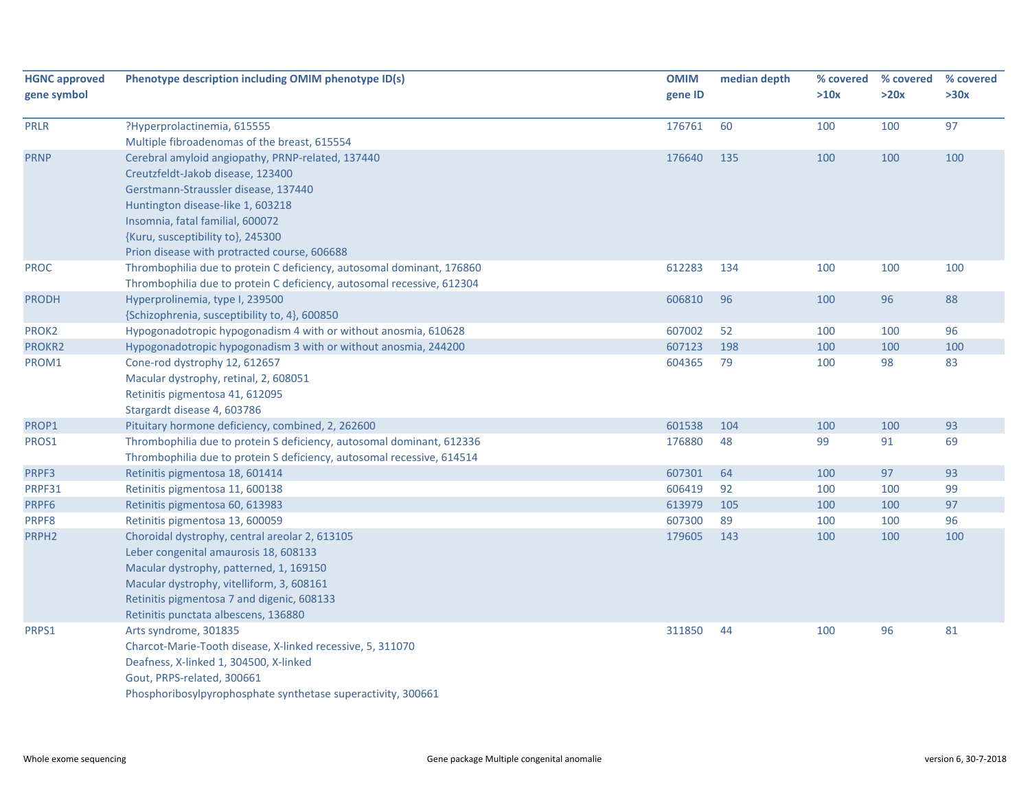| <b>HGNC approved</b> | Phenotype description including OMIM phenotype ID(s)                   | <b>OMIM</b> | median depth | % covered | % covered | % covered |
|----------------------|------------------------------------------------------------------------|-------------|--------------|-----------|-----------|-----------|
| gene symbol          |                                                                        | gene ID     |              | >10x      | >20x      | >30x      |
| <b>PRLR</b>          | ?Hyperprolactinemia, 615555                                            | 176761      | 60           | 100       | 100       | 97        |
|                      | Multiple fibroadenomas of the breast, 615554                           |             |              |           |           |           |
| <b>PRNP</b>          | Cerebral amyloid angiopathy, PRNP-related, 137440                      | 176640      | 135          | 100       | 100       | 100       |
|                      | Creutzfeldt-Jakob disease, 123400                                      |             |              |           |           |           |
|                      | Gerstmann-Straussler disease, 137440                                   |             |              |           |           |           |
|                      | Huntington disease-like 1, 603218                                      |             |              |           |           |           |
|                      | Insomnia, fatal familial, 600072                                       |             |              |           |           |           |
|                      | {Kuru, susceptibility to}, 245300                                      |             |              |           |           |           |
|                      | Prion disease with protracted course, 606688                           |             |              |           |           |           |
| <b>PROC</b>          | Thrombophilia due to protein C deficiency, autosomal dominant, 176860  | 612283      | 134          | 100       | 100       | 100       |
|                      | Thrombophilia due to protein C deficiency, autosomal recessive, 612304 |             |              |           |           |           |
| <b>PRODH</b>         | Hyperprolinemia, type I, 239500                                        | 606810      | 96           | 100       | 96        | 88        |
|                      | {Schizophrenia, susceptibility to, 4}, 600850                          |             |              |           |           |           |
| PROK2                | Hypogonadotropic hypogonadism 4 with or without anosmia, 610628        | 607002      | 52           | 100       | 100       | 96        |
| PROKR2               | Hypogonadotropic hypogonadism 3 with or without anosmia, 244200        | 607123      | 198          | 100       | 100       | 100       |
| PROM1                | Cone-rod dystrophy 12, 612657                                          | 604365      | 79           | 100       | 98        | 83        |
|                      | Macular dystrophy, retinal, 2, 608051                                  |             |              |           |           |           |
|                      | Retinitis pigmentosa 41, 612095                                        |             |              |           |           |           |
|                      | Stargardt disease 4, 603786                                            |             |              |           |           |           |
| PROP1                | Pituitary hormone deficiency, combined, 2, 262600                      | 601538      | 104          | 100       | 100       | 93        |
| PROS1                | Thrombophilia due to protein S deficiency, autosomal dominant, 612336  | 176880      | 48           | 99        | 91        | 69        |
|                      | Thrombophilia due to protein S deficiency, autosomal recessive, 614514 |             |              |           |           |           |
| PRPF3                | Retinitis pigmentosa 18, 601414                                        | 607301      | 64           | 100       | 97        | 93        |
| PRPF31               | Retinitis pigmentosa 11, 600138                                        | 606419      | 92           | 100       | 100       | 99        |
| PRPF6                | Retinitis pigmentosa 60, 613983                                        | 613979      | 105          | 100       | 100       | 97        |
| PRPF8                | Retinitis pigmentosa 13, 600059                                        | 607300      | 89           | 100       | 100       | 96        |
| PRPH <sub>2</sub>    | Choroidal dystrophy, central areolar 2, 613105                         | 179605      | 143          | 100       | 100       | 100       |
|                      | Leber congenital amaurosis 18, 608133                                  |             |              |           |           |           |
|                      | Macular dystrophy, patterned, 1, 169150                                |             |              |           |           |           |
|                      | Macular dystrophy, vitelliform, 3, 608161                              |             |              |           |           |           |
|                      | Retinitis pigmentosa 7 and digenic, 608133                             |             |              |           |           |           |
|                      | Retinitis punctata albescens, 136880                                   |             |              |           |           |           |
| PRPS1                | Arts syndrome, 301835                                                  | 311850      | 44           | 100       | 96        | 81        |
|                      | Charcot-Marie-Tooth disease, X-linked recessive, 5, 311070             |             |              |           |           |           |
|                      | Deafness, X-linked 1, 304500, X-linked                                 |             |              |           |           |           |
|                      | Gout, PRPS-related, 300661                                             |             |              |           |           |           |
|                      | Phosphoribosylpyrophosphate synthetase superactivity, 300661           |             |              |           |           |           |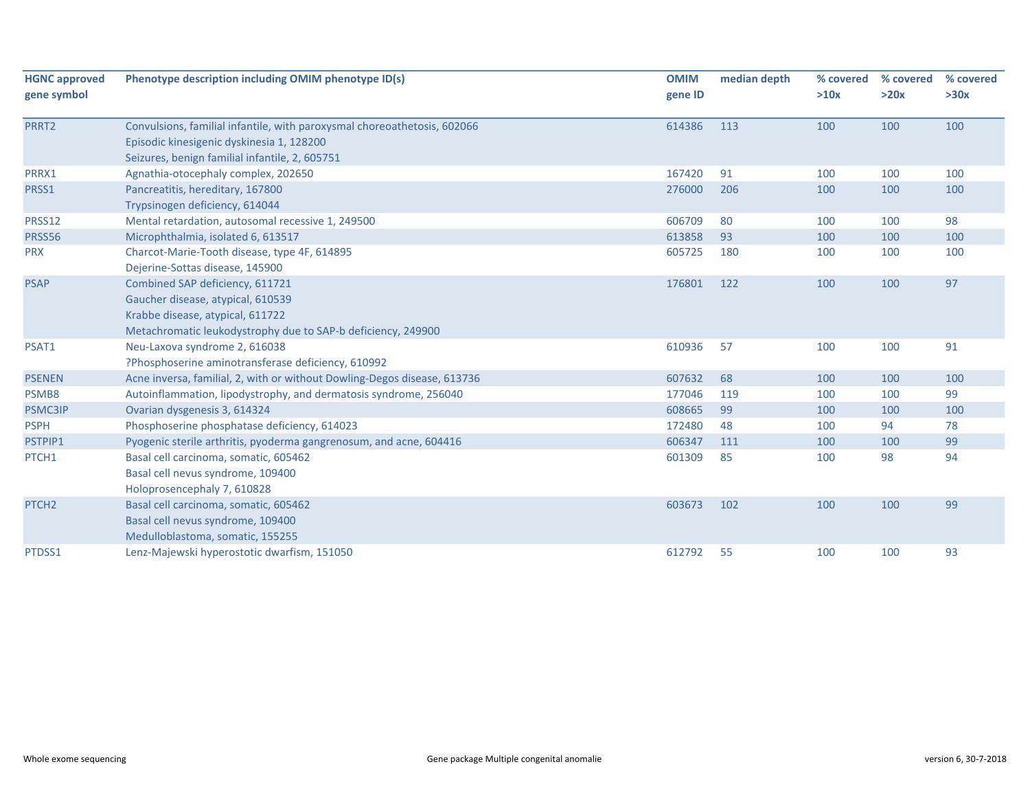| <b>HGNC approved</b><br>gene symbol | Phenotype description including OMIM phenotype ID(s)                                                                                                                     | <b>OMIM</b><br>gene ID | median depth | % covered<br>>10x | % covered<br>>20x | % covered<br>>30x |
|-------------------------------------|--------------------------------------------------------------------------------------------------------------------------------------------------------------------------|------------------------|--------------|-------------------|-------------------|-------------------|
| PRRT2                               | Convulsions, familial infantile, with paroxysmal choreoathetosis, 602066<br>Episodic kinesigenic dyskinesia 1, 128200<br>Seizures, benign familial infantile, 2, 605751  | 614386                 | 113          | 100               | 100               | 100               |
| PRRX1                               | Agnathia-otocephaly complex, 202650                                                                                                                                      | 167420                 | 91           | 100               | 100               | 100               |
| PRSS1                               | Pancreatitis, hereditary, 167800<br>Trypsinogen deficiency, 614044                                                                                                       | 276000                 | 206          | 100               | 100               | 100               |
| PRSS12                              | Mental retardation, autosomal recessive 1, 249500                                                                                                                        | 606709                 | 80           | 100               | 100               | 98                |
| <b>PRSS56</b>                       | Microphthalmia, isolated 6, 613517                                                                                                                                       | 613858                 | 93           | 100               | 100               | 100               |
| <b>PRX</b>                          | Charcot-Marie-Tooth disease, type 4F, 614895<br>Dejerine-Sottas disease, 145900                                                                                          | 605725                 | 180          | 100               | 100               | 100               |
| <b>PSAP</b>                         | Combined SAP deficiency, 611721<br>Gaucher disease, atypical, 610539<br>Krabbe disease, atypical, 611722<br>Metachromatic leukodystrophy due to SAP-b deficiency, 249900 | 176801                 | 122          | 100               | 100               | 97                |
| PSAT1                               | Neu-Laxova syndrome 2, 616038<br>?Phosphoserine aminotransferase deficiency, 610992                                                                                      | 610936                 | 57           | 100               | 100               | 91                |
| <b>PSENEN</b>                       | Acne inversa, familial, 2, with or without Dowling-Degos disease, 613736                                                                                                 | 607632                 | 68           | 100               | 100               | 100               |
| PSMB8                               | Autoinflammation, lipodystrophy, and dermatosis syndrome, 256040                                                                                                         | 177046                 | 119          | 100               | 100               | 99                |
| <b>PSMC3IP</b>                      | Ovarian dysgenesis 3, 614324                                                                                                                                             | 608665                 | 99           | 100               | 100               | 100               |
| <b>PSPH</b>                         | Phosphoserine phosphatase deficiency, 614023                                                                                                                             | 172480                 | 48           | 100               | 94                | 78                |
| PSTPIP1                             | Pyogenic sterile arthritis, pyoderma gangrenosum, and acne, 604416                                                                                                       | 606347                 | 111          | 100               | 100               | 99                |
| PTCH1                               | Basal cell carcinoma, somatic, 605462<br>Basal cell nevus syndrome, 109400<br>Holoprosencephaly 7, 610828                                                                | 601309                 | 85           | 100               | 98                | 94                |
| PTCH <sub>2</sub>                   | Basal cell carcinoma, somatic, 605462<br>Basal cell nevus syndrome, 109400<br>Medulloblastoma, somatic, 155255                                                           | 603673                 | 102          | 100               | 100               | 99                |
| PTDSS1                              | Lenz-Majewski hyperostotic dwarfism, 151050                                                                                                                              | 612792                 | 55           | 100               | 100               | 93                |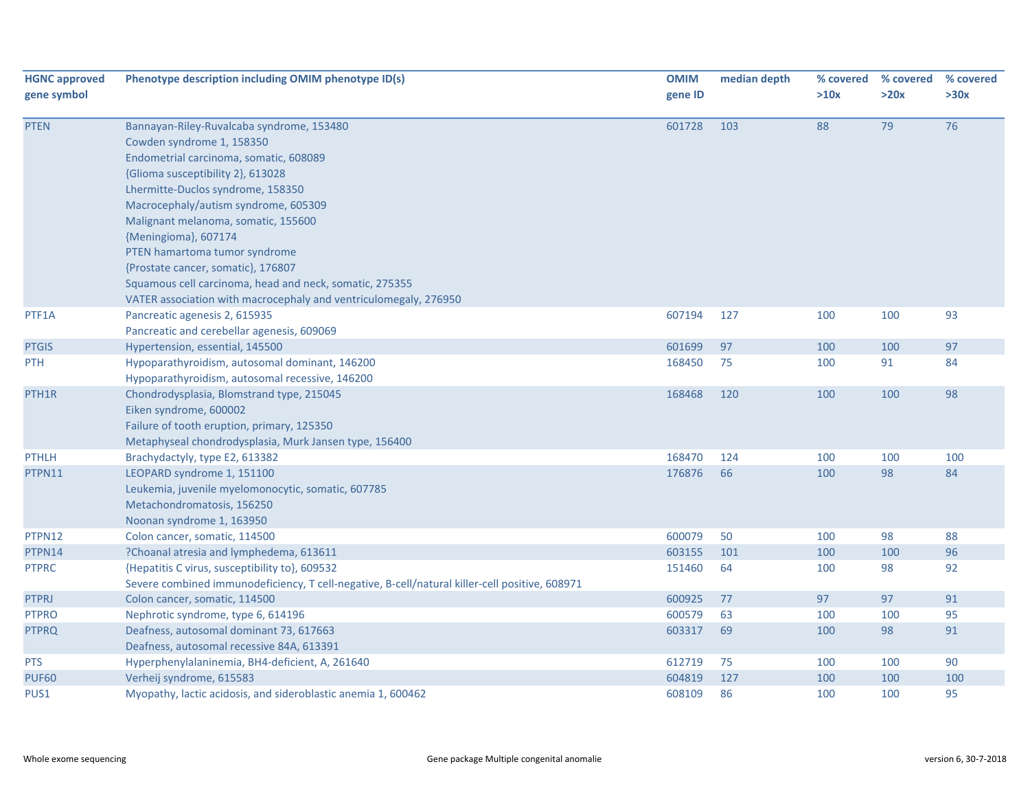| <b>HGNC approved</b><br>gene symbol | Phenotype description including OMIM phenotype ID(s)                                                                                                                                                                                                                                                                                                                                                                                                                                                    | <b>OMIM</b><br>gene ID | median depth | % covered<br>>10x | % covered<br>>20x | % covered<br>>30x |
|-------------------------------------|---------------------------------------------------------------------------------------------------------------------------------------------------------------------------------------------------------------------------------------------------------------------------------------------------------------------------------------------------------------------------------------------------------------------------------------------------------------------------------------------------------|------------------------|--------------|-------------------|-------------------|-------------------|
| <b>PTEN</b>                         | Bannayan-Riley-Ruvalcaba syndrome, 153480<br>Cowden syndrome 1, 158350<br>Endometrial carcinoma, somatic, 608089<br>{Glioma susceptibility 2}, 613028<br>Lhermitte-Duclos syndrome, 158350<br>Macrocephaly/autism syndrome, 605309<br>Malignant melanoma, somatic, 155600<br>{Meningioma}, 607174<br>PTEN hamartoma tumor syndrome<br>{Prostate cancer, somatic}, 176807<br>Squamous cell carcinoma, head and neck, somatic, 275355<br>VATER association with macrocephaly and ventriculomegaly, 276950 | 601728                 | 103          | 88                | 79                | 76                |
| PTF1A                               | Pancreatic agenesis 2, 615935<br>Pancreatic and cerebellar agenesis, 609069                                                                                                                                                                                                                                                                                                                                                                                                                             | 607194                 | 127          | 100               | 100               | 93                |
| <b>PTGIS</b>                        | Hypertension, essential, 145500                                                                                                                                                                                                                                                                                                                                                                                                                                                                         | 601699                 | 97           | 100               | 100               | 97                |
| <b>PTH</b>                          | Hypoparathyroidism, autosomal dominant, 146200<br>Hypoparathyroidism, autosomal recessive, 146200                                                                                                                                                                                                                                                                                                                                                                                                       | 168450                 | 75           | 100               | 91                | 84                |
| PTH <sub>1</sub> R                  | Chondrodysplasia, Blomstrand type, 215045<br>Eiken syndrome, 600002<br>Failure of tooth eruption, primary, 125350<br>Metaphyseal chondrodysplasia, Murk Jansen type, 156400                                                                                                                                                                                                                                                                                                                             | 168468                 | 120          | 100               | 100               | 98                |
| <b>PTHLH</b>                        | Brachydactyly, type E2, 613382                                                                                                                                                                                                                                                                                                                                                                                                                                                                          | 168470                 | 124          | 100               | 100               | 100               |
| PTPN11                              | LEOPARD syndrome 1, 151100<br>Leukemia, juvenile myelomonocytic, somatic, 607785<br>Metachondromatosis, 156250<br>Noonan syndrome 1, 163950                                                                                                                                                                                                                                                                                                                                                             | 176876                 | 66           | 100               | 98                | 84                |
| PTPN12                              | Colon cancer, somatic, 114500                                                                                                                                                                                                                                                                                                                                                                                                                                                                           | 600079                 | 50           | 100               | 98                | 88                |
| PTPN14                              | ?Choanal atresia and lymphedema, 613611                                                                                                                                                                                                                                                                                                                                                                                                                                                                 | 603155                 | 101          | 100               | 100               | 96                |
| <b>PTPRC</b>                        | {Hepatitis C virus, susceptibility to}, 609532<br>Severe combined immunodeficiency, T cell-negative, B-cell/natural killer-cell positive, 608971                                                                                                                                                                                                                                                                                                                                                        | 151460                 | 64           | 100               | 98                | 92                |
| <b>PTPRJ</b>                        | Colon cancer, somatic, 114500                                                                                                                                                                                                                                                                                                                                                                                                                                                                           | 600925                 | 77           | 97                | 97                | 91                |
| <b>PTPRO</b>                        | Nephrotic syndrome, type 6, 614196                                                                                                                                                                                                                                                                                                                                                                                                                                                                      | 600579                 | 63           | 100               | 100               | 95                |
| <b>PTPRQ</b>                        | Deafness, autosomal dominant 73, 617663<br>Deafness, autosomal recessive 84A, 613391                                                                                                                                                                                                                                                                                                                                                                                                                    | 603317                 | 69           | 100               | 98                | 91                |
| <b>PTS</b>                          | Hyperphenylalaninemia, BH4-deficient, A, 261640                                                                                                                                                                                                                                                                                                                                                                                                                                                         | 612719                 | 75           | 100               | 100               | 90                |
| <b>PUF60</b>                        | Verheij syndrome, 615583                                                                                                                                                                                                                                                                                                                                                                                                                                                                                | 604819                 | 127          | 100               | 100               | 100               |
| PUS1                                | Myopathy, lactic acidosis, and sideroblastic anemia 1, 600462                                                                                                                                                                                                                                                                                                                                                                                                                                           | 608109                 | 86           | 100               | 100               | 95                |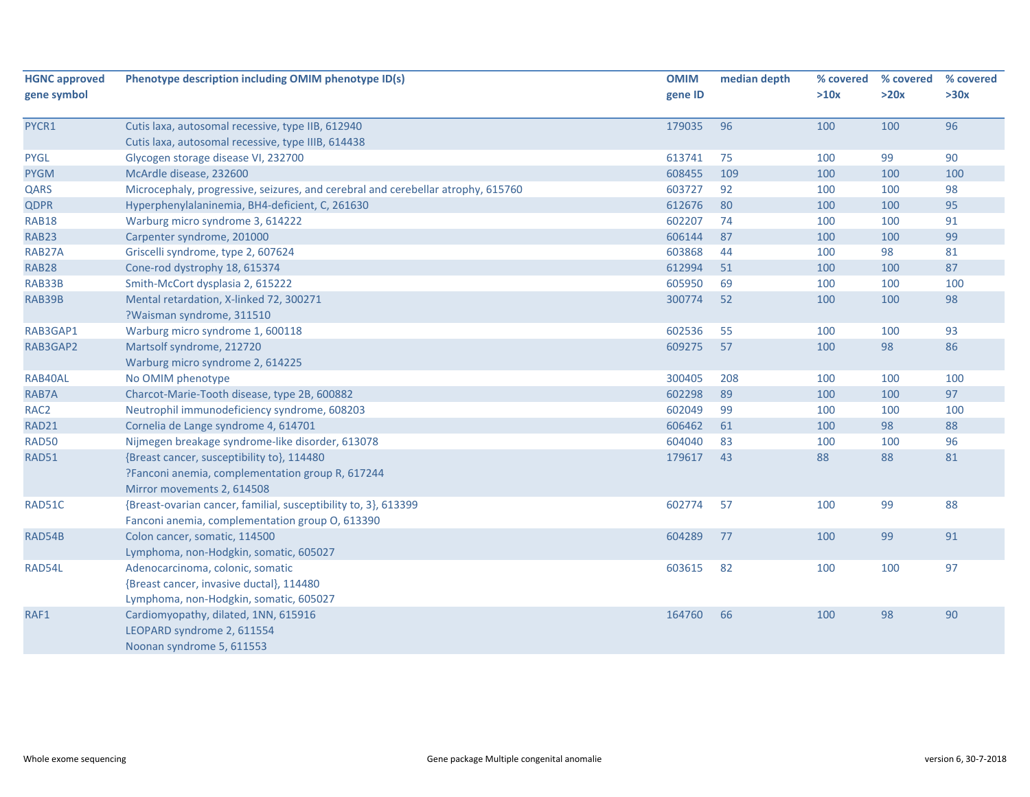| <b>HGNC approved</b> | Phenotype description including OMIM phenotype ID(s)                             | <b>OMIM</b> | median depth | % covered | % covered | % covered |
|----------------------|----------------------------------------------------------------------------------|-------------|--------------|-----------|-----------|-----------|
| gene symbol          |                                                                                  | gene ID     |              | >10x      | >20x      | >30x      |
| PYCR1                | Cutis laxa, autosomal recessive, type IIB, 612940                                | 179035      | 96           | 100       | 100       | 96        |
|                      | Cutis laxa, autosomal recessive, type IIIB, 614438                               |             |              |           |           |           |
| <b>PYGL</b>          | Glycogen storage disease VI, 232700                                              | 613741      | 75           | 100       | 99        | 90        |
| <b>PYGM</b>          | McArdle disease, 232600                                                          | 608455      | 109          | 100       | 100       | 100       |
| QARS                 | Microcephaly, progressive, seizures, and cerebral and cerebellar atrophy, 615760 | 603727      | 92           | 100       | 100       | 98        |
| <b>QDPR</b>          | Hyperphenylalaninemia, BH4-deficient, C, 261630                                  | 612676      | 80           | 100       | 100       | 95        |
| RAB18                | Warburg micro syndrome 3, 614222                                                 | 602207      | 74           | 100       | 100       | 91        |
| <b>RAB23</b>         | Carpenter syndrome, 201000                                                       | 606144      | 87           | 100       | 100       | 99        |
| RAB27A               | Griscelli syndrome, type 2, 607624                                               | 603868      | 44           | 100       | 98        | 81        |
| <b>RAB28</b>         | Cone-rod dystrophy 18, 615374                                                    | 612994      | 51           | 100       | 100       | 87        |
| RAB33B               | Smith-McCort dysplasia 2, 615222                                                 | 605950      | 69           | 100       | 100       | 100       |
| RAB39B               | Mental retardation, X-linked 72, 300271                                          | 300774      | 52           | 100       | 100       | 98        |
|                      | ?Waisman syndrome, 311510                                                        |             |              |           |           |           |
| RAB3GAP1             | Warburg micro syndrome 1, 600118                                                 | 602536      | 55           | 100       | 100       | 93        |
| RAB3GAP2             | Martsolf syndrome, 212720                                                        | 609275      | 57           | 100       | 98        | 86        |
|                      | Warburg micro syndrome 2, 614225                                                 |             |              |           |           |           |
| RAB40AL              | No OMIM phenotype                                                                | 300405      | 208          | 100       | 100       | 100       |
| RAB7A                | Charcot-Marie-Tooth disease, type 2B, 600882                                     | 602298      | 89           | 100       | 100       | 97        |
| RAC <sub>2</sub>     | Neutrophil immunodeficiency syndrome, 608203                                     | 602049      | 99           | 100       | 100       | 100       |
| RAD21                | Cornelia de Lange syndrome 4, 614701                                             | 606462      | 61           | 100       | 98        | 88        |
| <b>RAD50</b>         | Nijmegen breakage syndrome-like disorder, 613078                                 | 604040      | 83           | 100       | 100       | 96        |
| RAD51                | {Breast cancer, susceptibility to}, 114480                                       | 179617      | 43           | 88        | 88        | 81        |
|                      | ?Fanconi anemia, complementation group R, 617244                                 |             |              |           |           |           |
|                      | Mirror movements 2, 614508                                                       |             |              |           |           |           |
| RAD51C               | {Breast-ovarian cancer, familial, susceptibility to, 3}, 613399                  | 602774      | 57           | 100       | 99        | 88        |
|                      | Fanconi anemia, complementation group O, 613390                                  |             |              |           |           |           |
| RAD54B               | Colon cancer, somatic, 114500                                                    | 604289      | 77           | 100       | 99        | 91        |
|                      | Lymphoma, non-Hodgkin, somatic, 605027                                           |             |              |           |           |           |
| RAD54L               | Adenocarcinoma, colonic, somatic                                                 | 603615      | 82           | 100       | 100       | 97        |
|                      | {Breast cancer, invasive ductal}, 114480                                         |             |              |           |           |           |
|                      | Lymphoma, non-Hodgkin, somatic, 605027                                           |             |              |           |           |           |
| RAF1                 | Cardiomyopathy, dilated, 1NN, 615916                                             | 164760      | 66           | 100       | 98        | 90        |
|                      | LEOPARD syndrome 2, 611554                                                       |             |              |           |           |           |
|                      | Noonan syndrome 5, 611553                                                        |             |              |           |           |           |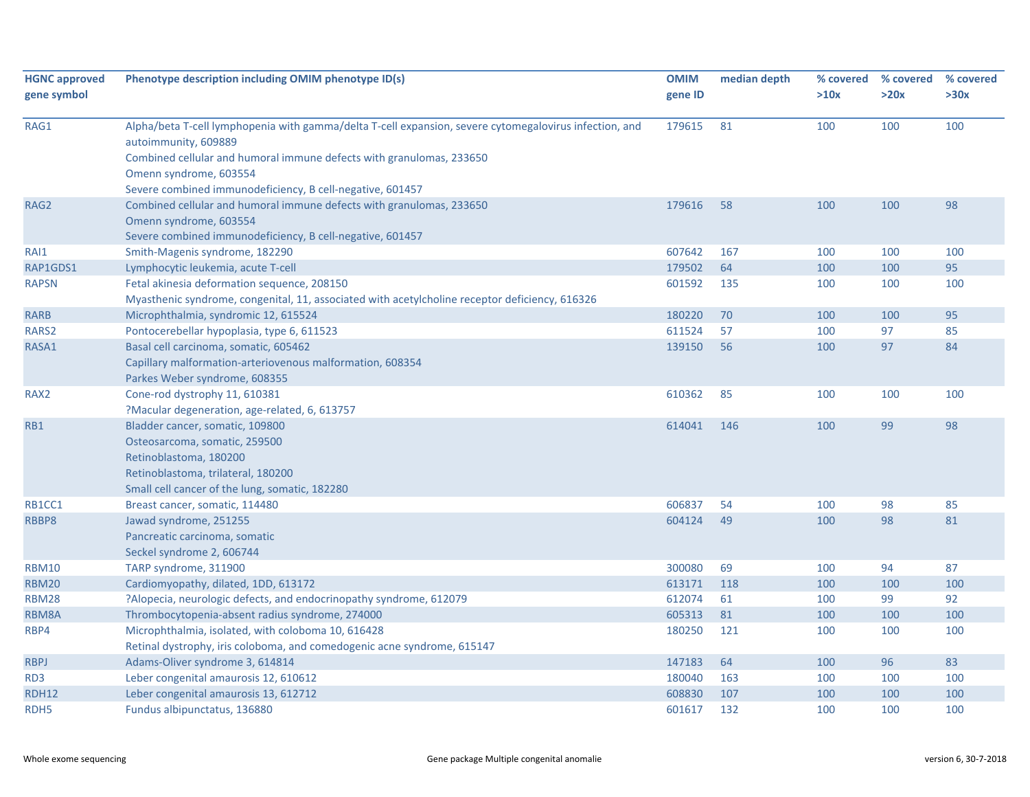| <b>HGNC approved</b> | Phenotype description including OMIM phenotype ID(s)                                                                           | <b>OMIM</b> | median depth | % covered | % covered | % covered |
|----------------------|--------------------------------------------------------------------------------------------------------------------------------|-------------|--------------|-----------|-----------|-----------|
| gene symbol          |                                                                                                                                | gene ID     |              | >10x      | >20x      | >30x      |
|                      |                                                                                                                                |             |              |           |           |           |
| RAG1                 | Alpha/beta T-cell lymphopenia with gamma/delta T-cell expansion, severe cytomegalovirus infection, and<br>autoimmunity, 609889 | 179615      | 81           | 100       | 100       | 100       |
|                      | Combined cellular and humoral immune defects with granulomas, 233650                                                           |             |              |           |           |           |
|                      | Omenn syndrome, 603554                                                                                                         |             |              |           |           |           |
|                      | Severe combined immunodeficiency, B cell-negative, 601457                                                                      |             |              |           |           |           |
| RAG2                 | Combined cellular and humoral immune defects with granulomas, 233650                                                           | 179616      | 58           | 100       | 100       | 98        |
|                      | Omenn syndrome, 603554                                                                                                         |             |              |           |           |           |
|                      | Severe combined immunodeficiency, B cell-negative, 601457                                                                      |             |              |           |           |           |
| RAI1                 | Smith-Magenis syndrome, 182290                                                                                                 | 607642      | 167          | 100       | 100       | 100       |
| RAP1GDS1             | Lymphocytic leukemia, acute T-cell                                                                                             | 179502      | 64           | 100       | 100       | 95        |
| <b>RAPSN</b>         | Fetal akinesia deformation sequence, 208150                                                                                    | 601592      | 135          | 100       | 100       | 100       |
|                      | Myasthenic syndrome, congenital, 11, associated with acetylcholine receptor deficiency, 616326                                 |             |              |           |           |           |
| <b>RARB</b>          | Microphthalmia, syndromic 12, 615524                                                                                           | 180220      | 70           | 100       | 100       | 95        |
| RARS2                | Pontocerebellar hypoplasia, type 6, 611523                                                                                     | 611524      | 57           | 100       | 97        | 85        |
| RASA1                | Basal cell carcinoma, somatic, 605462                                                                                          | 139150      | 56           | 100       | 97        | 84        |
|                      | Capillary malformation-arteriovenous malformation, 608354                                                                      |             |              |           |           |           |
|                      | Parkes Weber syndrome, 608355                                                                                                  |             |              |           |           |           |
| RAX <sub>2</sub>     | Cone-rod dystrophy 11, 610381                                                                                                  | 610362      | 85           | 100       | 100       | 100       |
|                      | ?Macular degeneration, age-related, 6, 613757                                                                                  |             |              |           |           |           |
| RB1                  | Bladder cancer, somatic, 109800                                                                                                | 614041      | 146          | 100       | 99        | 98        |
|                      | Osteosarcoma, somatic, 259500                                                                                                  |             |              |           |           |           |
|                      | Retinoblastoma, 180200                                                                                                         |             |              |           |           |           |
|                      | Retinoblastoma, trilateral, 180200                                                                                             |             |              |           |           |           |
|                      | Small cell cancer of the lung, somatic, 182280                                                                                 |             |              |           |           |           |
| RB1CC1               | Breast cancer, somatic, 114480                                                                                                 | 606837      | 54           | 100       | 98        | 85        |
| RBBP8                | Jawad syndrome, 251255                                                                                                         | 604124      | 49           | 100       | 98        | 81        |
|                      | Pancreatic carcinoma, somatic                                                                                                  |             |              |           |           |           |
|                      | Seckel syndrome 2, 606744                                                                                                      |             |              |           |           |           |
| <b>RBM10</b>         | TARP syndrome, 311900                                                                                                          | 300080      | 69           | 100       | 94        | 87        |
| <b>RBM20</b>         | Cardiomyopathy, dilated, 1DD, 613172                                                                                           | 613171      | 118          | 100       | 100       | 100       |
| <b>RBM28</b>         | ?Alopecia, neurologic defects, and endocrinopathy syndrome, 612079                                                             | 612074      | 61           | 100       | 99        | 92        |
| RBM8A                | Thrombocytopenia-absent radius syndrome, 274000                                                                                | 605313      | 81           | 100       | 100       | 100       |
| RBP4                 | Microphthalmia, isolated, with coloboma 10, 616428                                                                             | 180250      | 121          | 100       | 100       | 100       |
|                      | Retinal dystrophy, iris coloboma, and comedogenic acne syndrome, 615147                                                        |             |              |           |           |           |
| <b>RBPJ</b>          | Adams-Oliver syndrome 3, 614814                                                                                                | 147183      | 64           | 100       | 96        | 83        |
| RD <sub>3</sub>      | Leber congenital amaurosis 12, 610612                                                                                          | 180040      | 163          | 100       | 100       | 100       |
| <b>RDH12</b>         | Leber congenital amaurosis 13, 612712                                                                                          | 608830      | 107          | 100       | 100       | 100       |
| RDH <sub>5</sub>     | Fundus albipunctatus, 136880                                                                                                   | 601617      | 132          | 100       | 100       | 100       |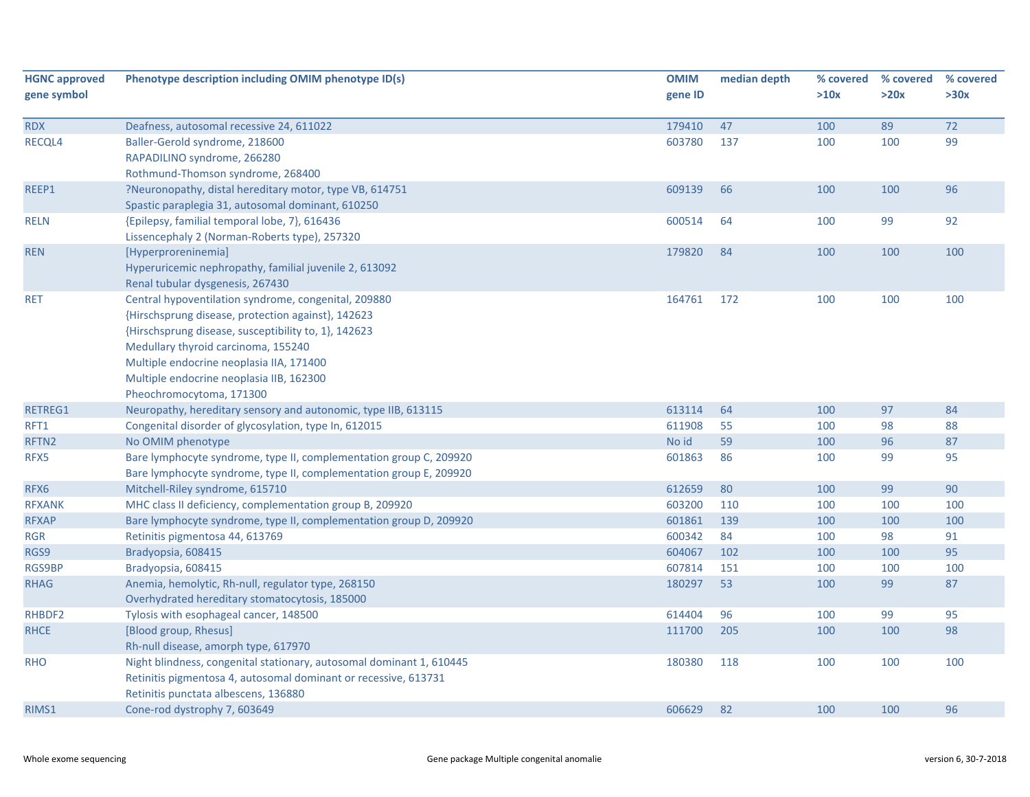| <b>HGNC approved</b> | Phenotype description including OMIM phenotype ID(s)                 | <b>OMIM</b>      | median depth | % covered  | % covered | % covered |
|----------------------|----------------------------------------------------------------------|------------------|--------------|------------|-----------|-----------|
| gene symbol          |                                                                      | gene ID          |              | >10x       | >20x      | >30x      |
| <b>RDX</b>           | Deafness, autosomal recessive 24, 611022                             | 179410           | 47           | 100        | 89        | 72        |
| RECQL4               | Baller-Gerold syndrome, 218600                                       | 603780           | 137          | 100        | 100       | 99        |
|                      | RAPADILINO syndrome, 266280                                          |                  |              |            |           |           |
|                      | Rothmund-Thomson syndrome, 268400                                    |                  |              |            |           |           |
| REEP1                | ?Neuronopathy, distal hereditary motor, type VB, 614751              | 609139           | 66           | 100        | 100       | 96        |
|                      | Spastic paraplegia 31, autosomal dominant, 610250                    |                  |              |            |           |           |
| <b>RELN</b>          | {Epilepsy, familial temporal lobe, 7}, 616436                        | 600514           | 64           | 100        | 99        | 92        |
|                      | Lissencephaly 2 (Norman-Roberts type), 257320                        |                  |              |            |           |           |
| <b>REN</b>           | [Hyperproreninemia]                                                  | 179820           | 84           | 100        | 100       | 100       |
|                      | Hyperuricemic nephropathy, familial juvenile 2, 613092               |                  |              |            |           |           |
|                      | Renal tubular dysgenesis, 267430                                     |                  |              |            |           |           |
| <b>RET</b>           | Central hypoventilation syndrome, congenital, 209880                 | 164761           | 172          | 100        | 100       | 100       |
|                      | {Hirschsprung disease, protection against}, 142623                   |                  |              |            |           |           |
|                      | {Hirschsprung disease, susceptibility to, 1}, 142623                 |                  |              |            |           |           |
|                      | Medullary thyroid carcinoma, 155240                                  |                  |              |            |           |           |
|                      | Multiple endocrine neoplasia IIA, 171400                             |                  |              |            |           |           |
|                      | Multiple endocrine neoplasia IIB, 162300                             |                  |              |            |           |           |
|                      | Pheochromocytoma, 171300                                             |                  |              |            |           |           |
| RETREG1              | Neuropathy, hereditary sensory and autonomic, type IIB, 613115       | 613114           | 64           | 100        | 97        | 84        |
| RFT1                 | Congenital disorder of glycosylation, type In, 612015                | 611908           | 55           | 100        | 98        | 88        |
| RFTN2                | No OMIM phenotype                                                    | No id            | 59           | 100        | 96        | 87        |
| RFX5                 | Bare lymphocyte syndrome, type II, complementation group C, 209920   | 601863           | 86           | 100        | 99        | 95        |
|                      | Bare lymphocyte syndrome, type II, complementation group E, 209920   |                  |              |            |           |           |
| RFX6                 | Mitchell-Riley syndrome, 615710                                      | 612659           | 80           | 100        | 99        | 90        |
| <b>RFXANK</b>        | MHC class II deficiency, complementation group B, 209920             | 603200           | 110          | 100        | 100       | 100       |
| <b>RFXAP</b>         | Bare lymphocyte syndrome, type II, complementation group D, 209920   | 601861           | 139          | 100        | 100       | 100       |
| <b>RGR</b>           | Retinitis pigmentosa 44, 613769                                      | 600342           | 84           | 100        | 98        | 91<br>95  |
| RGS9                 | Bradyopsia, 608415                                                   | 604067           | 102          | 100        | 100       |           |
| <b>RGS9BP</b>        | Bradyopsia, 608415                                                   | 607814<br>180297 | 151<br>53    | 100<br>100 | 100<br>99 | 100<br>87 |
| <b>RHAG</b>          | Anemia, hemolytic, Rh-null, regulator type, 268150                   |                  |              |            |           |           |
| RHBDF2               | Overhydrated hereditary stomatocytosis, 185000                       | 614404           | 96           | 100        | 99        | 95        |
| <b>RHCE</b>          | Tylosis with esophageal cancer, 148500<br>[Blood group, Rhesus]      | 111700           | 205          | 100        |           | 98        |
|                      | Rh-null disease, amorph type, 617970                                 |                  |              |            | 100       |           |
| <b>RHO</b>           | Night blindness, congenital stationary, autosomal dominant 1, 610445 | 180380           | 118          | 100        | 100       | 100       |
|                      | Retinitis pigmentosa 4, autosomal dominant or recessive, 613731      |                  |              |            |           |           |
|                      | Retinitis punctata albescens, 136880                                 |                  |              |            |           |           |
| RIMS1                | Cone-rod dystrophy 7, 603649                                         | 606629           | 82           | 100        | 100       | 96        |
|                      |                                                                      |                  |              |            |           |           |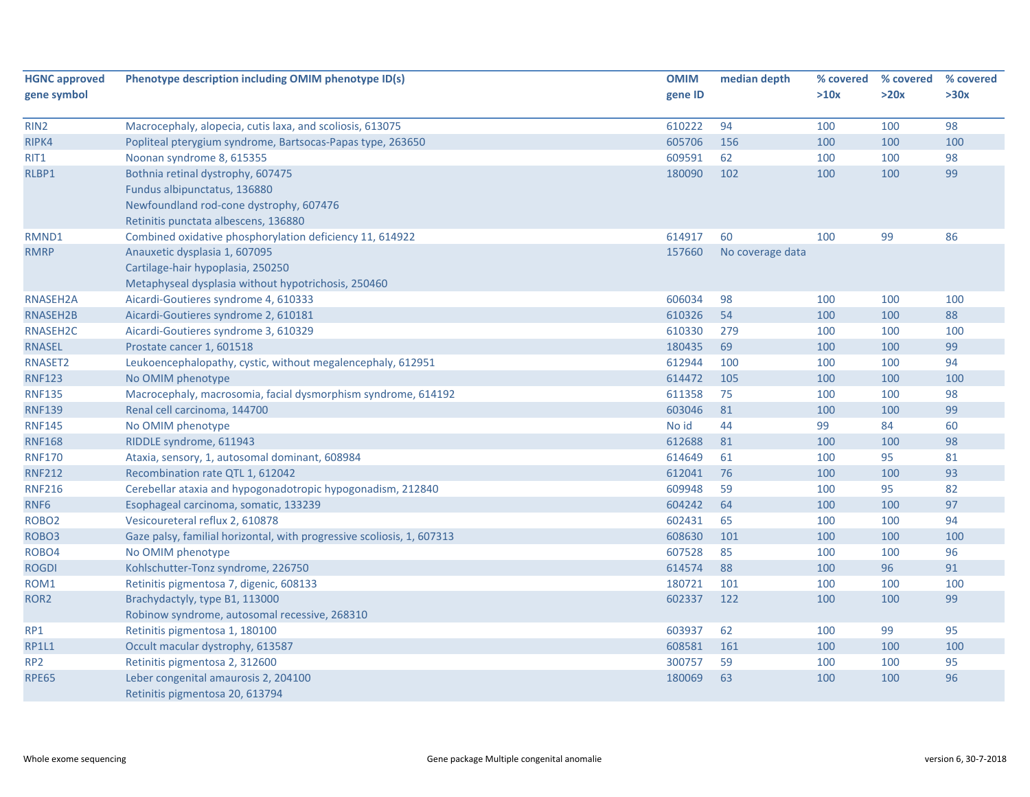| <b>HGNC approved</b> | Phenotype description including OMIM phenotype ID(s)                   | <b>OMIM</b> | median depth     | % covered | % covered | % covered |
|----------------------|------------------------------------------------------------------------|-------------|------------------|-----------|-----------|-----------|
| gene symbol          |                                                                        | gene ID     |                  | >10x      | >20x      | >30x      |
|                      |                                                                        |             |                  |           |           |           |
| RIN <sub>2</sub>     | Macrocephaly, alopecia, cutis laxa, and scoliosis, 613075              | 610222      | 94               | 100       | 100       | 98        |
| RIPK4                | Popliteal pterygium syndrome, Bartsocas-Papas type, 263650             | 605706      | 156              | 100       | 100       | 100       |
| RIT1                 | Noonan syndrome 8, 615355                                              | 609591      | 62               | 100       | 100       | 98        |
| RLBP1                | Bothnia retinal dystrophy, 607475                                      | 180090      | 102              | 100       | 100       | 99        |
|                      | Fundus albipunctatus, 136880                                           |             |                  |           |           |           |
|                      | Newfoundland rod-cone dystrophy, 607476                                |             |                  |           |           |           |
|                      | Retinitis punctata albescens, 136880                                   |             |                  |           |           |           |
| RMND1                | Combined oxidative phosphorylation deficiency 11, 614922               | 614917      | 60               | 100       | 99        | 86        |
| <b>RMRP</b>          | Anauxetic dysplasia 1, 607095                                          | 157660      | No coverage data |           |           |           |
|                      | Cartilage-hair hypoplasia, 250250                                      |             |                  |           |           |           |
|                      | Metaphyseal dysplasia without hypotrichosis, 250460                    |             |                  |           |           |           |
| RNASEH2A             | Aicardi-Goutieres syndrome 4, 610333                                   | 606034      | 98               | 100       | 100       | 100       |
| RNASEH2B             | Aicardi-Goutieres syndrome 2, 610181                                   | 610326      | 54               | 100       | 100       | 88        |
| RNASEH2C             | Aicardi-Goutieres syndrome 3, 610329                                   | 610330      | 279              | 100       | 100       | 100       |
| <b>RNASEL</b>        | Prostate cancer 1, 601518                                              | 180435      | 69               | 100       | 100       | 99        |
| RNASET2              | Leukoencephalopathy, cystic, without megalencephaly, 612951            | 612944      | 100              | 100       | 100       | 94        |
| <b>RNF123</b>        | No OMIM phenotype                                                      | 614472      | 105              | 100       | 100       | 100       |
| <b>RNF135</b>        | Macrocephaly, macrosomia, facial dysmorphism syndrome, 614192          | 611358      | 75               | 100       | 100       | 98        |
| <b>RNF139</b>        | Renal cell carcinoma, 144700                                           | 603046      | 81               | 100       | 100       | 99        |
| <b>RNF145</b>        | No OMIM phenotype                                                      | No id       | 44               | 99        | 84        | 60        |
| <b>RNF168</b>        | RIDDLE syndrome, 611943                                                | 612688      | 81               | 100       | 100       | 98        |
| <b>RNF170</b>        | Ataxia, sensory, 1, autosomal dominant, 608984                         | 614649      | 61               | 100       | 95        | 81        |
| <b>RNF212</b>        | Recombination rate QTL 1, 612042                                       | 612041      | 76               | 100       | 100       | 93        |
| <b>RNF216</b>        | Cerebellar ataxia and hypogonadotropic hypogonadism, 212840            | 609948      | 59               | 100       | 95        | 82        |
| RNF6                 | Esophageal carcinoma, somatic, 133239                                  | 604242      | 64               | 100       | 100       | 97        |
| ROBO <sub>2</sub>    | Vesicoureteral reflux 2, 610878                                        | 602431      | 65               | 100       | 100       | 94        |
| ROBO <sub>3</sub>    | Gaze palsy, familial horizontal, with progressive scoliosis, 1, 607313 | 608630      | 101              | 100       | 100       | 100       |
| ROBO4                | No OMIM phenotype                                                      | 607528      | 85               | 100       | 100       | 96        |
| <b>ROGDI</b>         | Kohlschutter-Tonz syndrome, 226750                                     | 614574      | 88               | 100       | 96        | 91        |
| ROM1                 | Retinitis pigmentosa 7, digenic, 608133                                | 180721      | 101              | 100       | 100       | 100       |
| ROR <sub>2</sub>     | Brachydactyly, type B1, 113000                                         | 602337      | 122              | 100       | 100       | 99        |
|                      | Robinow syndrome, autosomal recessive, 268310                          |             |                  |           |           |           |
| RP1                  | Retinitis pigmentosa 1, 180100                                         | 603937      | 62               | 100       | 99        | 95        |
| <b>RP1L1</b>         | Occult macular dystrophy, 613587                                       | 608581      | 161              | 100       | 100       | 100       |
| RP <sub>2</sub>      | Retinitis pigmentosa 2, 312600                                         | 300757      | 59               | 100       | 100       | 95        |
| <b>RPE65</b>         | Leber congenital amaurosis 2, 204100                                   | 180069      | 63               | 100       | 100       | 96        |
|                      | Retinitis pigmentosa 20, 613794                                        |             |                  |           |           |           |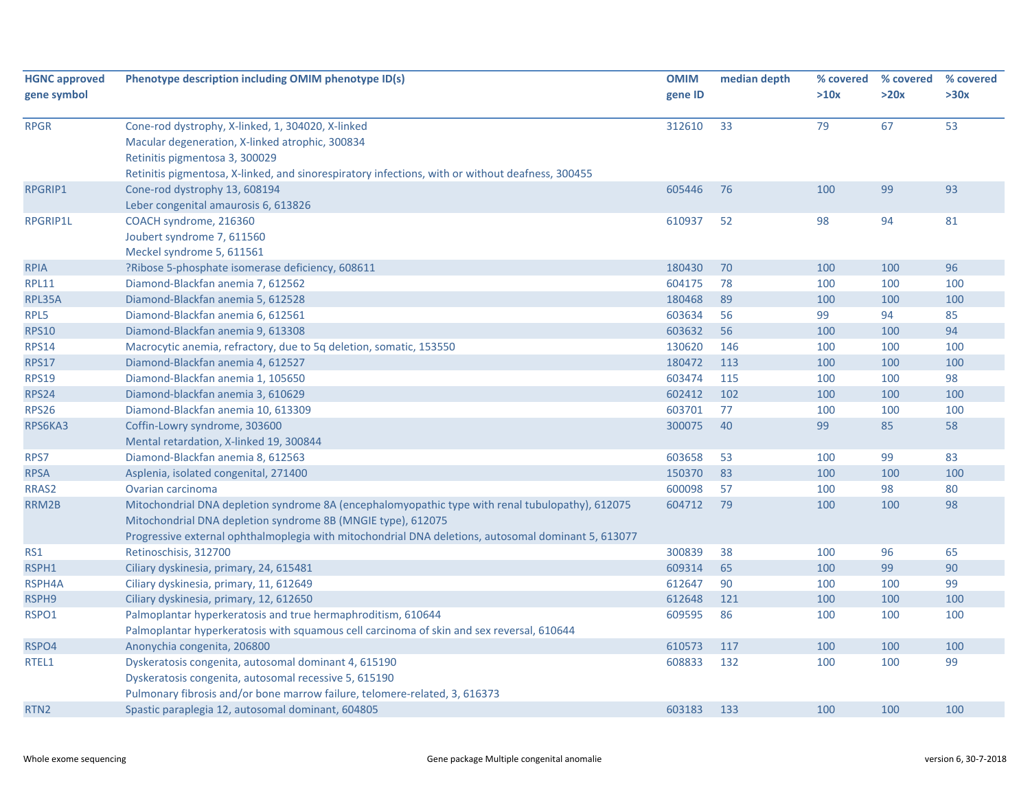| <b>HGNC approved</b><br>gene symbol | Phenotype description including OMIM phenotype ID(s)                                                                                                                                                                                                                    | <b>OMIM</b><br>gene ID | median depth | % covered<br>>10x | % covered<br>>20x | % covered<br>>30x |
|-------------------------------------|-------------------------------------------------------------------------------------------------------------------------------------------------------------------------------------------------------------------------------------------------------------------------|------------------------|--------------|-------------------|-------------------|-------------------|
| <b>RPGR</b>                         | Cone-rod dystrophy, X-linked, 1, 304020, X-linked<br>Macular degeneration, X-linked atrophic, 300834<br>Retinitis pigmentosa 3, 300029<br>Retinitis pigmentosa, X-linked, and sinorespiratory infections, with or without deafness, 300455                              | 312610                 | 33           | 79                | 67                | 53                |
| <b>RPGRIP1</b>                      | Cone-rod dystrophy 13, 608194<br>Leber congenital amaurosis 6, 613826                                                                                                                                                                                                   | 605446                 | 76           | 100               | 99                | 93                |
| <b>RPGRIP1L</b>                     | COACH syndrome, 216360<br>Joubert syndrome 7, 611560<br>Meckel syndrome 5, 611561                                                                                                                                                                                       | 610937                 | 52           | 98                | 94                | 81                |
| <b>RPIA</b>                         | ?Ribose 5-phosphate isomerase deficiency, 608611                                                                                                                                                                                                                        | 180430                 | 70           | 100               | 100               | 96                |
| <b>RPL11</b>                        | Diamond-Blackfan anemia 7, 612562                                                                                                                                                                                                                                       | 604175                 | 78           | 100               | 100               | 100               |
| RPL35A                              | Diamond-Blackfan anemia 5, 612528                                                                                                                                                                                                                                       | 180468                 | 89           | 100               | 100               | 100               |
| RPL5                                | Diamond-Blackfan anemia 6, 612561                                                                                                                                                                                                                                       | 603634                 | 56           | 99                | 94                | 85                |
| <b>RPS10</b>                        | Diamond-Blackfan anemia 9, 613308                                                                                                                                                                                                                                       | 603632                 | 56           | 100               | 100               | 94                |
| <b>RPS14</b>                        | Macrocytic anemia, refractory, due to 5q deletion, somatic, 153550                                                                                                                                                                                                      | 130620                 | 146          | 100               | 100               | 100               |
| <b>RPS17</b>                        | Diamond-Blackfan anemia 4, 612527                                                                                                                                                                                                                                       | 180472                 | 113          | 100               | 100               | 100               |
| <b>RPS19</b>                        | Diamond-Blackfan anemia 1, 105650                                                                                                                                                                                                                                       | 603474                 | 115          | 100               | 100               | 98                |
| <b>RPS24</b>                        | Diamond-blackfan anemia 3, 610629                                                                                                                                                                                                                                       | 602412                 | 102          | 100               | 100               | 100               |
| <b>RPS26</b>                        | Diamond-Blackfan anemia 10, 613309                                                                                                                                                                                                                                      | 603701                 | 77           | 100               | 100               | 100               |
| RPS6KA3                             | Coffin-Lowry syndrome, 303600<br>Mental retardation, X-linked 19, 300844                                                                                                                                                                                                | 300075                 | 40           | 99                | 85                | 58                |
| RPS7                                | Diamond-Blackfan anemia 8, 612563                                                                                                                                                                                                                                       | 603658                 | 53           | 100               | 99                | 83                |
| <b>RPSA</b>                         | Asplenia, isolated congenital, 271400                                                                                                                                                                                                                                   | 150370                 | 83           | 100               | 100               | 100               |
| RRAS2                               | Ovarian carcinoma                                                                                                                                                                                                                                                       | 600098                 | 57           | 100               | 98                | 80                |
| RRM2B                               | Mitochondrial DNA depletion syndrome 8A (encephalomyopathic type with renal tubulopathy), 612075<br>Mitochondrial DNA depletion syndrome 8B (MNGIE type), 612075<br>Progressive external ophthalmoplegia with mitochondrial DNA deletions, autosomal dominant 5, 613077 | 604712                 | 79           | 100               | 100               | 98                |
| RS1                                 | Retinoschisis, 312700                                                                                                                                                                                                                                                   | 300839                 | 38           | 100               | 96                | 65                |
| RSPH1                               | Ciliary dyskinesia, primary, 24, 615481                                                                                                                                                                                                                                 | 609314                 | 65           | 100               | 99                | 90                |
| RSPH4A                              | Ciliary dyskinesia, primary, 11, 612649                                                                                                                                                                                                                                 | 612647                 | 90           | 100               | 100               | 99                |
| RSPH9                               | Ciliary dyskinesia, primary, 12, 612650                                                                                                                                                                                                                                 | 612648                 | 121          | 100               | 100               | 100               |
| RSPO1                               | Palmoplantar hyperkeratosis and true hermaphroditism, 610644<br>Palmoplantar hyperkeratosis with squamous cell carcinoma of skin and sex reversal, 610644                                                                                                               | 609595                 | 86           | 100               | 100               | 100               |
| RSPO4                               | Anonychia congenita, 206800                                                                                                                                                                                                                                             | 610573                 | 117          | 100               | 100               | 100               |
| RTEL1                               | Dyskeratosis congenita, autosomal dominant 4, 615190<br>Dyskeratosis congenita, autosomal recessive 5, 615190                                                                                                                                                           | 608833                 | 132          | 100               | 100               | 99                |
|                                     | Pulmonary fibrosis and/or bone marrow failure, telomere-related, 3, 616373                                                                                                                                                                                              |                        |              |                   |                   |                   |
| RTN <sub>2</sub>                    | Spastic paraplegia 12, autosomal dominant, 604805                                                                                                                                                                                                                       | 603183                 | 133          | 100               | 100               | 100               |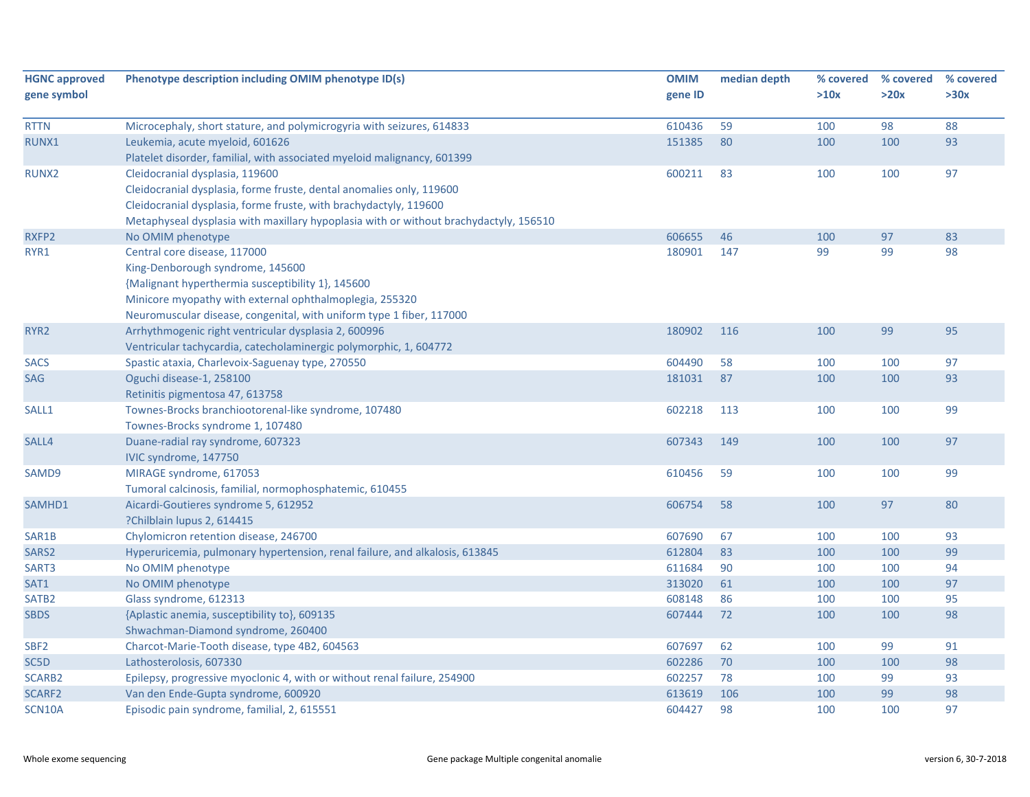| <b>HGNC approved</b> | Phenotype description including OMIM phenotype ID(s)                                  | <b>OMIM</b> | median depth | % covered | % covered | % covered |
|----------------------|---------------------------------------------------------------------------------------|-------------|--------------|-----------|-----------|-----------|
| gene symbol          |                                                                                       | gene ID     |              | >10x      | >20x      | >30x      |
|                      |                                                                                       |             |              |           |           | 88        |
| <b>RTTN</b>          | Microcephaly, short stature, and polymicrogyria with seizures, 614833                 | 610436      | 59           | 100       | 98        |           |
| RUNX1                | Leukemia, acute myeloid, 601626                                                       | 151385      | 80           | 100       | 100       | 93        |
|                      | Platelet disorder, familial, with associated myeloid malignancy, 601399               |             |              |           |           |           |
| RUNX2                | Cleidocranial dysplasia, 119600                                                       | 600211      | 83           | 100       | 100       | 97        |
|                      | Cleidocranial dysplasia, forme fruste, dental anomalies only, 119600                  |             |              |           |           |           |
|                      | Cleidocranial dysplasia, forme fruste, with brachydactyly, 119600                     |             |              |           |           |           |
|                      | Metaphyseal dysplasia with maxillary hypoplasia with or without brachydactyly, 156510 |             |              |           |           |           |
| RXFP2                | No OMIM phenotype                                                                     | 606655      | 46           | 100       | 97        | 83        |
| RYR1                 | Central core disease, 117000                                                          | 180901      | 147          | 99        | 99        | 98        |
|                      | King-Denborough syndrome, 145600                                                      |             |              |           |           |           |
|                      | {Malignant hyperthermia susceptibility 1}, 145600                                     |             |              |           |           |           |
|                      | Minicore myopathy with external ophthalmoplegia, 255320                               |             |              |           |           |           |
|                      | Neuromuscular disease, congenital, with uniform type 1 fiber, 117000                  |             |              |           |           |           |
| RYR <sub>2</sub>     | Arrhythmogenic right ventricular dysplasia 2, 600996                                  | 180902      | 116          | 100       | 99        | 95        |
|                      | Ventricular tachycardia, catecholaminergic polymorphic, 1, 604772                     |             |              |           |           |           |
| <b>SACS</b>          | Spastic ataxia, Charlevoix-Saguenay type, 270550                                      | 604490      | 58           | 100       | 100       | 97        |
| SAG                  | Oguchi disease-1, 258100                                                              | 181031      | 87           | 100       | 100       | 93        |
|                      | Retinitis pigmentosa 47, 613758                                                       |             |              |           |           |           |
| SALL1                | Townes-Brocks branchiootorenal-like syndrome, 107480                                  | 602218      | 113          | 100       | 100       | 99        |
|                      | Townes-Brocks syndrome 1, 107480                                                      |             |              |           |           |           |
| SALL4                | Duane-radial ray syndrome, 607323                                                     | 607343      | 149          | 100       | 100       | 97        |
|                      | IVIC syndrome, 147750                                                                 |             |              |           |           |           |
| SAMD9                | MIRAGE syndrome, 617053                                                               | 610456      | 59           | 100       | 100       | 99        |
|                      | Tumoral calcinosis, familial, normophosphatemic, 610455                               |             |              |           |           |           |
| SAMHD1               | Aicardi-Goutieres syndrome 5, 612952                                                  | 606754      | 58           | 100       | 97        | 80        |
|                      | ?Chilblain lupus 2, 614415                                                            |             |              |           |           |           |
| SAR1B                | Chylomicron retention disease, 246700                                                 | 607690      | 67           | 100       | 100       | 93        |
| SARS2                | Hyperuricemia, pulmonary hypertension, renal failure, and alkalosis, 613845           | 612804      | 83           | 100       | 100       | 99        |
| SART3                | No OMIM phenotype                                                                     | 611684      | 90           | 100       | 100       | 94        |
| SAT1                 | No OMIM phenotype                                                                     | 313020      | 61           | 100       | 100       | 97        |
| SATB <sub>2</sub>    | Glass syndrome, 612313                                                                | 608148      | 86           | 100       | 100       | 95        |
| <b>SBDS</b>          | {Aplastic anemia, susceptibility to}, 609135                                          | 607444      | 72           | 100       | 100       | 98        |
|                      | Shwachman-Diamond syndrome, 260400                                                    |             |              |           |           |           |
| SBF <sub>2</sub>     | Charcot-Marie-Tooth disease, type 4B2, 604563                                         | 607697      | 62           | 100       | 99        | 91        |
| SC5D                 | Lathosterolosis, 607330                                                               | 602286      | 70           | 100       | 100       | 98        |
| SCARB2               | Epilepsy, progressive myoclonic 4, with or without renal failure, 254900              | 602257      | 78           | 100       | 99        | 93        |
| SCARF2               | Van den Ende-Gupta syndrome, 600920                                                   | 613619      | 106          | 100       | 99        | 98        |
| SCN10A               | Episodic pain syndrome, familial, 2, 615551                                           | 604427      | 98           | 100       | 100       | 97        |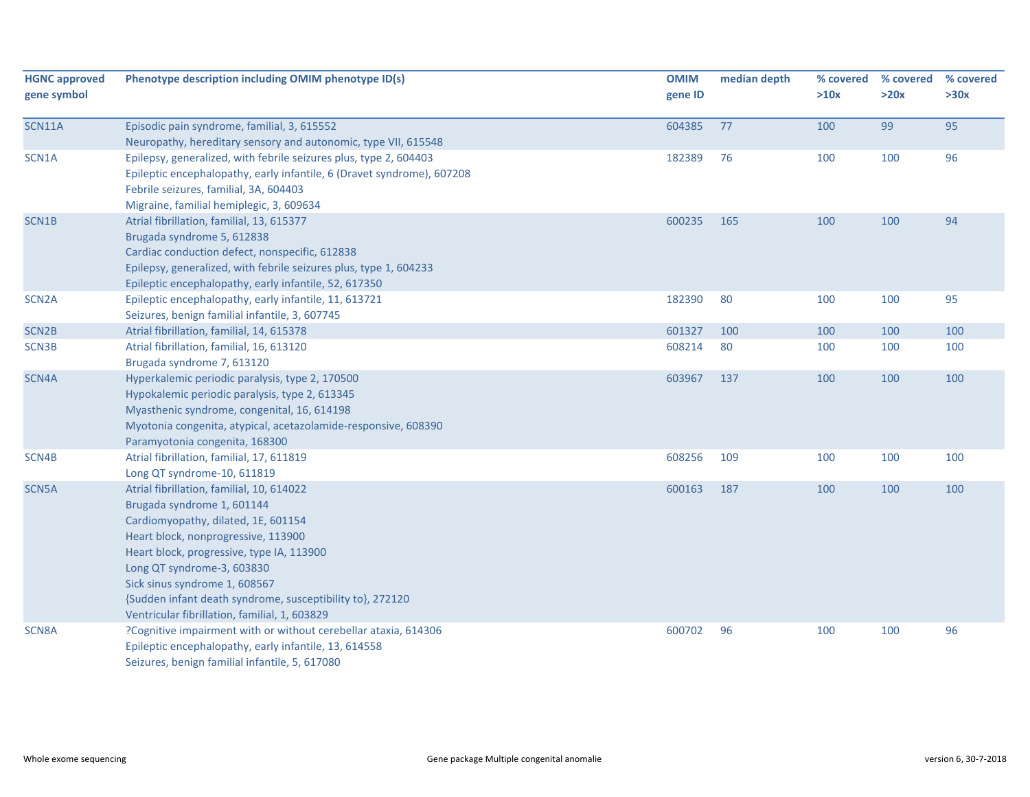| <b>HGNC approved</b><br>gene symbol | Phenotype description including OMIM phenotype ID(s)                                                                                                                                                                                                                                                                                                                            | <b>OMIM</b><br>gene ID | median depth | % covered<br>>10x | % covered<br>>20x | % covered<br>>30x |
|-------------------------------------|---------------------------------------------------------------------------------------------------------------------------------------------------------------------------------------------------------------------------------------------------------------------------------------------------------------------------------------------------------------------------------|------------------------|--------------|-------------------|-------------------|-------------------|
| <b>SCN11A</b>                       | Episodic pain syndrome, familial, 3, 615552                                                                                                                                                                                                                                                                                                                                     | 604385                 | 77           | 100               | 99                | 95                |
|                                     | Neuropathy, hereditary sensory and autonomic, type VII, 615548                                                                                                                                                                                                                                                                                                                  |                        |              |                   |                   |                   |
| SCN1A                               | Epilepsy, generalized, with febrile seizures plus, type 2, 604403<br>Epileptic encephalopathy, early infantile, 6 (Dravet syndrome), 607208<br>Febrile seizures, familial, 3A, 604403<br>Migraine, familial hemiplegic, 3, 609634                                                                                                                                               | 182389                 | 76           | 100               | 100               | 96                |
| SCN1B                               | Atrial fibrillation, familial, 13, 615377<br>Brugada syndrome 5, 612838<br>Cardiac conduction defect, nonspecific, 612838<br>Epilepsy, generalized, with febrile seizures plus, type 1, 604233<br>Epileptic encephalopathy, early infantile, 52, 617350                                                                                                                         | 600235                 | 165          | 100               | 100               | 94                |
| SCN <sub>2</sub> A                  | Epileptic encephalopathy, early infantile, 11, 613721<br>Seizures, benign familial infantile, 3, 607745                                                                                                                                                                                                                                                                         | 182390                 | 80           | 100               | 100               | 95                |
| SCN <sub>2B</sub>                   | Atrial fibrillation, familial, 14, 615378                                                                                                                                                                                                                                                                                                                                       | 601327                 | 100          | 100               | 100               | 100               |
| SCN3B                               | Atrial fibrillation, familial, 16, 613120<br>Brugada syndrome 7, 613120                                                                                                                                                                                                                                                                                                         | 608214                 | 80           | 100               | 100               | 100               |
| SCN4A                               | Hyperkalemic periodic paralysis, type 2, 170500<br>Hypokalemic periodic paralysis, type 2, 613345<br>Myasthenic syndrome, congenital, 16, 614198<br>Myotonia congenita, atypical, acetazolamide-responsive, 608390<br>Paramyotonia congenita, 168300                                                                                                                            | 603967                 | 137          | 100               | 100               | 100               |
| SCN4B                               | Atrial fibrillation, familial, 17, 611819<br>Long QT syndrome-10, 611819                                                                                                                                                                                                                                                                                                        | 608256                 | 109          | 100               | 100               | 100               |
| SCN5A                               | Atrial fibrillation, familial, 10, 614022<br>Brugada syndrome 1, 601144<br>Cardiomyopathy, dilated, 1E, 601154<br>Heart block, nonprogressive, 113900<br>Heart block, progressive, type IA, 113900<br>Long QT syndrome-3, 603830<br>Sick sinus syndrome 1, 608567<br>{Sudden infant death syndrome, susceptibility to}, 272120<br>Ventricular fibrillation, familial, 1, 603829 | 600163                 | 187          | 100               | 100               | 100               |
| SCN8A                               | ?Cognitive impairment with or without cerebellar ataxia, 614306<br>Epileptic encephalopathy, early infantile, 13, 614558<br>Seizures, benign familial infantile, 5, 617080                                                                                                                                                                                                      | 600702                 | 96           | 100               | 100               | 96                |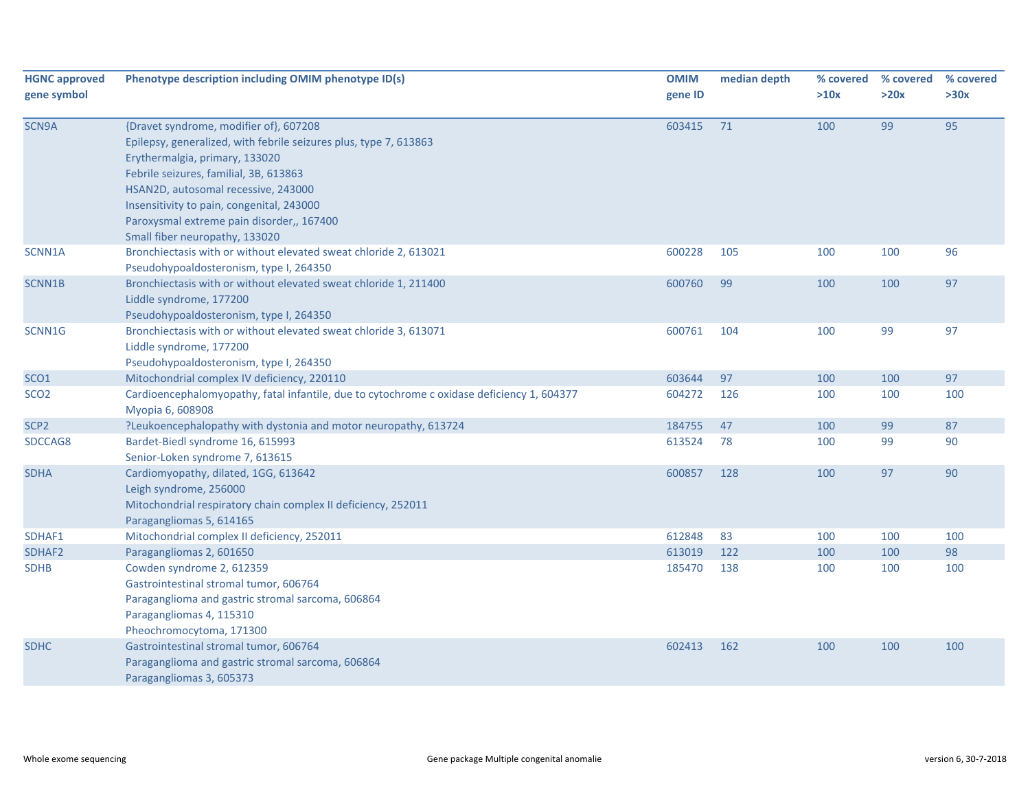| <b>HGNC approved</b><br>gene symbol | Phenotype description including OMIM phenotype ID(s)                                                                                                                                                                                                                                                                                                       | <b>OMIM</b><br>gene ID | median depth | % covered<br>>10x | % covered<br>>20x | % covered<br>>30x |
|-------------------------------------|------------------------------------------------------------------------------------------------------------------------------------------------------------------------------------------------------------------------------------------------------------------------------------------------------------------------------------------------------------|------------------------|--------------|-------------------|-------------------|-------------------|
| SCN9A                               | {Dravet syndrome, modifier of}, 607208<br>Epilepsy, generalized, with febrile seizures plus, type 7, 613863<br>Erythermalgia, primary, 133020<br>Febrile seizures, familial, 3B, 613863<br>HSAN2D, autosomal recessive, 243000<br>Insensitivity to pain, congenital, 243000<br>Paroxysmal extreme pain disorder,, 167400<br>Small fiber neuropathy, 133020 | 603415                 | 71           | 100               | 99                | 95                |
| SCNN1A                              | Bronchiectasis with or without elevated sweat chloride 2, 613021<br>Pseudohypoaldosteronism, type I, 264350                                                                                                                                                                                                                                                | 600228                 | 105          | 100               | 100               | 96                |
| SCNN1B                              | Bronchiectasis with or without elevated sweat chloride 1, 211400<br>Liddle syndrome, 177200<br>Pseudohypoaldosteronism, type I, 264350                                                                                                                                                                                                                     | 600760                 | 99           | 100               | 100               | 97                |
| SCNN1G                              | Bronchiectasis with or without elevated sweat chloride 3, 613071<br>Liddle syndrome, 177200<br>Pseudohypoaldosteronism, type I, 264350                                                                                                                                                                                                                     | 600761                 | 104          | 100               | 99                | 97                |
| SCO <sub>1</sub>                    | Mitochondrial complex IV deficiency, 220110                                                                                                                                                                                                                                                                                                                | 603644                 | 97           | 100               | 100               | 97                |
| SCO <sub>2</sub>                    | Cardioencephalomyopathy, fatal infantile, due to cytochrome c oxidase deficiency 1, 604377<br>Myopia 6, 608908                                                                                                                                                                                                                                             | 604272                 | 126          | 100               | 100               | 100               |
| SCP <sub>2</sub>                    | ?Leukoencephalopathy with dystonia and motor neuropathy, 613724                                                                                                                                                                                                                                                                                            | 184755                 | 47           | 100               | 99                | 87                |
| SDCCAG8                             | Bardet-Biedl syndrome 16, 615993<br>Senior-Loken syndrome 7, 613615                                                                                                                                                                                                                                                                                        | 613524                 | 78           | 100               | 99                | 90                |
| <b>SDHA</b>                         | Cardiomyopathy, dilated, 1GG, 613642<br>Leigh syndrome, 256000<br>Mitochondrial respiratory chain complex II deficiency, 252011<br>Paragangliomas 5, 614165                                                                                                                                                                                                | 600857                 | 128          | 100               | 97                | 90                |
| SDHAF1                              | Mitochondrial complex II deficiency, 252011                                                                                                                                                                                                                                                                                                                | 612848                 | 83           | 100               | 100               | 100               |
| SDHAF2                              | Paragangliomas 2, 601650                                                                                                                                                                                                                                                                                                                                   | 613019                 | 122          | 100               | 100               | 98                |
| <b>SDHB</b>                         | Cowden syndrome 2, 612359<br>Gastrointestinal stromal tumor, 606764<br>Paraganglioma and gastric stromal sarcoma, 606864<br>Paragangliomas 4, 115310<br>Pheochromocytoma, 171300                                                                                                                                                                           | 185470                 | 138          | 100               | 100               | 100               |
| <b>SDHC</b>                         | Gastrointestinal stromal tumor, 606764<br>Paraganglioma and gastric stromal sarcoma, 606864<br>Paragangliomas 3, 605373                                                                                                                                                                                                                                    | 602413                 | 162          | 100               | 100               | 100               |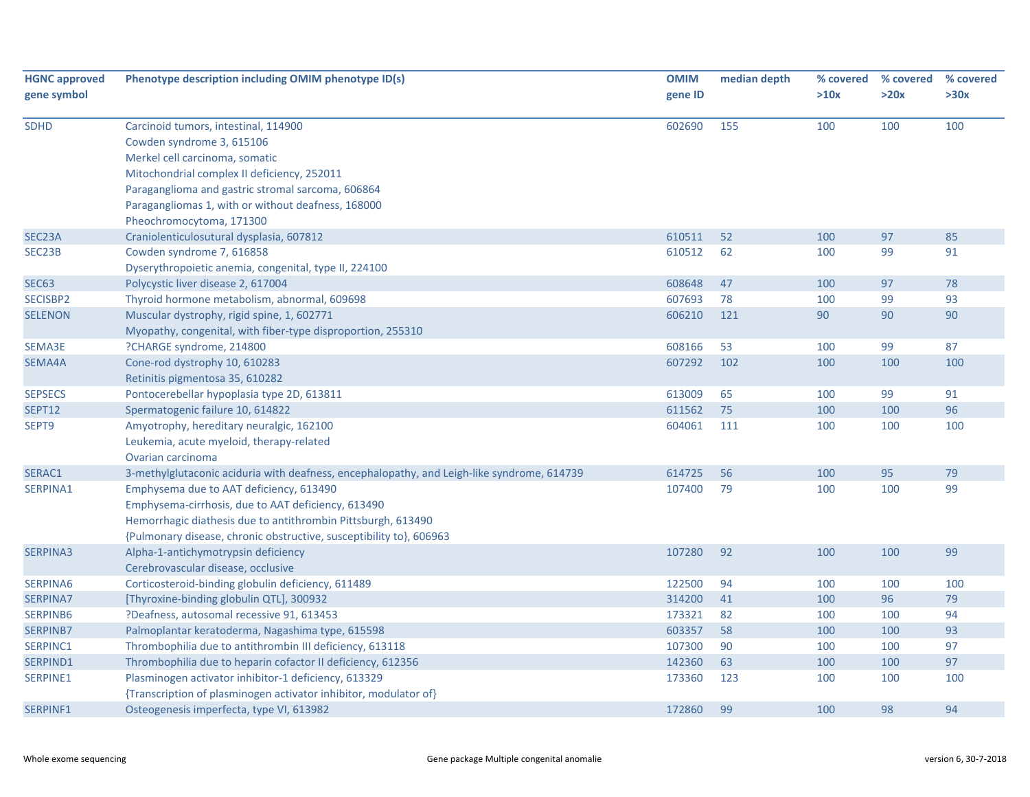| <b>HGNC approved</b><br>gene symbol | Phenotype description including OMIM phenotype ID(s)                                                                                                                                                                                                                                      | <b>OMIM</b><br>gene ID | median depth | % covered<br>>10x | % covered<br>>20x | % covered<br>>30x |
|-------------------------------------|-------------------------------------------------------------------------------------------------------------------------------------------------------------------------------------------------------------------------------------------------------------------------------------------|------------------------|--------------|-------------------|-------------------|-------------------|
| <b>SDHD</b>                         | Carcinoid tumors, intestinal, 114900<br>Cowden syndrome 3, 615106<br>Merkel cell carcinoma, somatic<br>Mitochondrial complex II deficiency, 252011<br>Paraganglioma and gastric stromal sarcoma, 606864<br>Paragangliomas 1, with or without deafness, 168000<br>Pheochromocytoma, 171300 | 602690                 | 155          | 100               | 100               | 100               |
| SEC23A                              | Craniolenticulosutural dysplasia, 607812                                                                                                                                                                                                                                                  | 610511                 | 52           | 100               | 97                | 85                |
| SEC23B                              | Cowden syndrome 7, 616858<br>Dyserythropoietic anemia, congenital, type II, 224100                                                                                                                                                                                                        | 610512                 | 62           | 100               | 99                | 91                |
| <b>SEC63</b>                        | Polycystic liver disease 2, 617004                                                                                                                                                                                                                                                        | 608648                 | 47           | 100               | 97                | 78                |
| SECISBP2                            | Thyroid hormone metabolism, abnormal, 609698                                                                                                                                                                                                                                              | 607693                 | 78           | 100               | 99                | 93                |
| <b>SELENON</b>                      | Muscular dystrophy, rigid spine, 1, 602771<br>Myopathy, congenital, with fiber-type disproportion, 255310                                                                                                                                                                                 | 606210                 | 121          | 90                | 90                | 90                |
| SEMA3E                              | ?CHARGE syndrome, 214800                                                                                                                                                                                                                                                                  | 608166                 | 53           | 100               | 99                | 87                |
| SEMA4A                              | Cone-rod dystrophy 10, 610283<br>Retinitis pigmentosa 35, 610282                                                                                                                                                                                                                          | 607292                 | 102          | 100               | 100               | 100               |
| <b>SEPSECS</b>                      | Pontocerebellar hypoplasia type 2D, 613811                                                                                                                                                                                                                                                | 613009                 | 65           | 100               | 99                | 91                |
| <b>SEPT12</b>                       | Spermatogenic failure 10, 614822                                                                                                                                                                                                                                                          | 611562                 | 75           | 100               | 100               | 96                |
| SEPT9                               | Amyotrophy, hereditary neuralgic, 162100<br>Leukemia, acute myeloid, therapy-related<br>Ovarian carcinoma                                                                                                                                                                                 | 604061                 | 111          | 100               | 100               | 100               |
| SERAC1                              | 3-methylglutaconic aciduria with deafness, encephalopathy, and Leigh-like syndrome, 614739                                                                                                                                                                                                | 614725                 | 56           | 100               | 95                | 79                |
| SERPINA1                            | Emphysema due to AAT deficiency, 613490<br>Emphysema-cirrhosis, due to AAT deficiency, 613490<br>Hemorrhagic diathesis due to antithrombin Pittsburgh, 613490<br>{Pulmonary disease, chronic obstructive, susceptibility to}, 606963                                                      | 107400                 | 79           | 100               | 100               | 99                |
| <b>SERPINA3</b>                     | Alpha-1-antichymotrypsin deficiency<br>Cerebrovascular disease, occlusive                                                                                                                                                                                                                 | 107280                 | 92           | 100               | 100               | 99                |
| SERPINA6                            | Corticosteroid-binding globulin deficiency, 611489                                                                                                                                                                                                                                        | 122500                 | 94           | 100               | 100               | 100               |
| <b>SERPINA7</b>                     | [Thyroxine-binding globulin QTL], 300932                                                                                                                                                                                                                                                  | 314200                 | 41           | 100               | 96                | 79                |
| SERPINB6                            | ?Deafness, autosomal recessive 91, 613453                                                                                                                                                                                                                                                 | 173321                 | 82           | 100               | 100               | 94                |
| <b>SERPINB7</b>                     | Palmoplantar keratoderma, Nagashima type, 615598                                                                                                                                                                                                                                          | 603357                 | 58           | 100               | 100               | 93                |
| SERPINC1                            | Thrombophilia due to antithrombin III deficiency, 613118                                                                                                                                                                                                                                  | 107300                 | 90           | 100               | 100               | 97                |
| SERPIND1                            | Thrombophilia due to heparin cofactor II deficiency, 612356                                                                                                                                                                                                                               | 142360                 | 63           | 100               | 100               | 97                |
| SERPINE1                            | Plasminogen activator inhibitor-1 deficiency, 613329<br>{Transcription of plasminogen activator inhibitor, modulator of}                                                                                                                                                                  | 173360                 | 123          | 100               | 100               | 100               |
| SERPINF1                            | Osteogenesis imperfecta, type VI, 613982                                                                                                                                                                                                                                                  | 172860                 | 99           | 100               | 98                | 94                |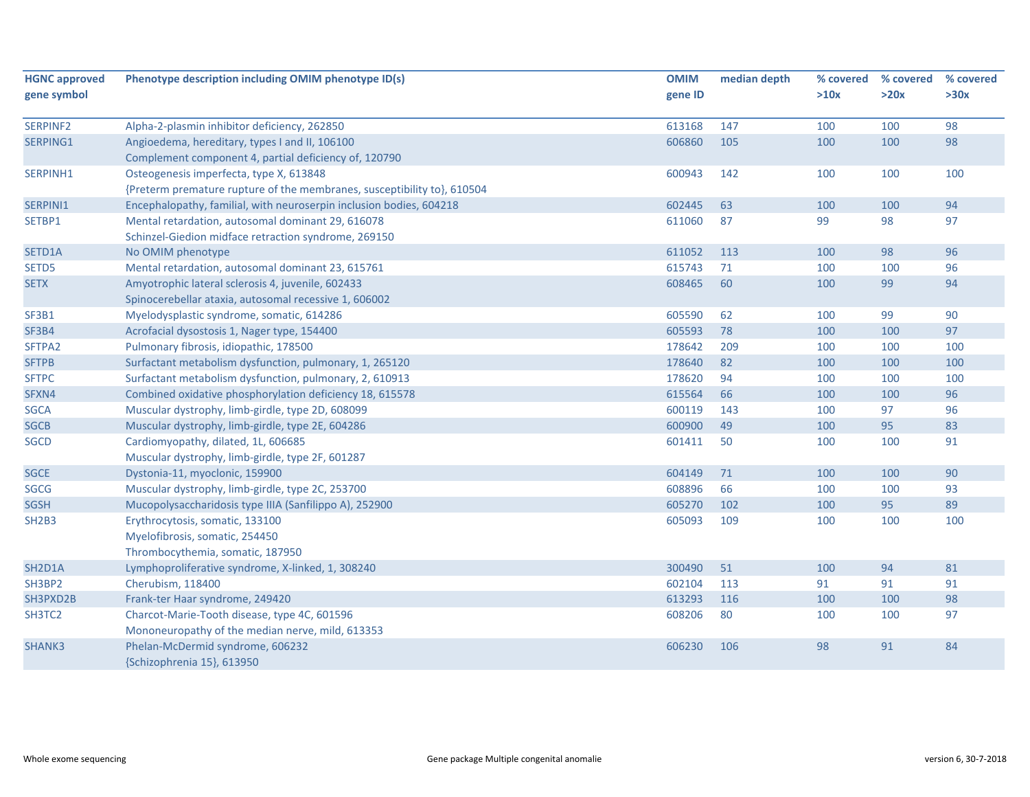| <b>HGNC approved</b> | Phenotype description including OMIM phenotype ID(s)                    | <b>OMIM</b> | median depth | % covered | % covered | % covered |
|----------------------|-------------------------------------------------------------------------|-------------|--------------|-----------|-----------|-----------|
| gene symbol          |                                                                         | gene ID     |              | >10x      | >20x      | >30x      |
|                      |                                                                         |             |              |           |           |           |
| SERPINF2             | Alpha-2-plasmin inhibitor deficiency, 262850                            | 613168      | 147          | 100       | 100       | 98        |
| SERPING1             | Angioedema, hereditary, types I and II, 106100                          | 606860      | 105          | 100       | 100       | 98        |
|                      | Complement component 4, partial deficiency of, 120790                   |             |              |           |           |           |
| SERPINH1             | Osteogenesis imperfecta, type X, 613848                                 | 600943      | 142          | 100       | 100       | 100       |
|                      | {Preterm premature rupture of the membranes, susceptibility to}, 610504 |             |              |           |           |           |
| SERPINI1             | Encephalopathy, familial, with neuroserpin inclusion bodies, 604218     | 602445      | 63           | 100       | 100       | 94        |
| SETBP1               | Mental retardation, autosomal dominant 29, 616078                       | 611060      | 87           | 99        | 98        | 97        |
|                      | Schinzel-Giedion midface retraction syndrome, 269150                    |             |              |           |           |           |
| SETD1A               | No OMIM phenotype                                                       | 611052      | 113          | 100       | 98        | 96        |
| SETD5                | Mental retardation, autosomal dominant 23, 615761                       | 615743      | 71           | 100       | 100       | 96        |
| <b>SETX</b>          | Amyotrophic lateral sclerosis 4, juvenile, 602433                       | 608465      | 60           | 100       | 99        | 94        |
|                      | Spinocerebellar ataxia, autosomal recessive 1, 606002                   |             |              |           |           |           |
| SF3B1                | Myelodysplastic syndrome, somatic, 614286                               | 605590      | 62           | 100       | 99        | 90        |
| SF3B4                | Acrofacial dysostosis 1, Nager type, 154400                             | 605593      | 78           | 100       | 100       | 97        |
| SFTPA2               | Pulmonary fibrosis, idiopathic, 178500                                  | 178642      | 209          | 100       | 100       | 100       |
| <b>SFTPB</b>         | Surfactant metabolism dysfunction, pulmonary, 1, 265120                 | 178640      | 82           | 100       | 100       | 100       |
| <b>SFTPC</b>         | Surfactant metabolism dysfunction, pulmonary, 2, 610913                 | 178620      | 94           | 100       | 100       | 100       |
| SFXN4                | Combined oxidative phosphorylation deficiency 18, 615578                | 615564      | 66           | 100       | 100       | 96        |
| <b>SGCA</b>          | Muscular dystrophy, limb-girdle, type 2D, 608099                        | 600119      | 143          | 100       | 97        | 96        |
| <b>SGCB</b>          | Muscular dystrophy, limb-girdle, type 2E, 604286                        | 600900      | 49           | 100       | 95        | 83        |
| <b>SGCD</b>          | Cardiomyopathy, dilated, 1L, 606685                                     | 601411      | 50           | 100       | 100       | 91        |
|                      | Muscular dystrophy, limb-girdle, type 2F, 601287                        |             |              |           |           |           |
| <b>SGCE</b>          | Dystonia-11, myoclonic, 159900                                          | 604149      | 71           | 100       | 100       | 90        |
| <b>SGCG</b>          | Muscular dystrophy, limb-girdle, type 2C, 253700                        | 608896      | 66           | 100       | 100       | 93        |
| <b>SGSH</b>          | Mucopolysaccharidosis type IIIA (Sanfilippo A), 252900                  | 605270      | 102          | 100       | 95        | 89        |
| <b>SH2B3</b>         | Erythrocytosis, somatic, 133100                                         | 605093      | 109          | 100       | 100       | 100       |
|                      | Myelofibrosis, somatic, 254450                                          |             |              |           |           |           |
|                      | Thrombocythemia, somatic, 187950                                        |             |              |           |           |           |
| SH2D1A               | Lymphoproliferative syndrome, X-linked, 1, 308240                       | 300490      | 51           | 100       | 94        | 81        |
| SH3BP2               | Cherubism, 118400                                                       | 602104      | 113          | 91        | 91        | 91        |
| SH3PXD2B             | Frank-ter Haar syndrome, 249420                                         | 613293      | 116          | 100       | 100       | 98        |
| SH3TC2               | Charcot-Marie-Tooth disease, type 4C, 601596                            | 608206      | 80           | 100       | 100       | 97        |
|                      | Mononeuropathy of the median nerve, mild, 613353                        |             |              |           |           |           |
| SHANK3               | Phelan-McDermid syndrome, 606232                                        | 606230      | 106          | 98        | 91        | 84        |
|                      | {Schizophrenia 15}, 613950                                              |             |              |           |           |           |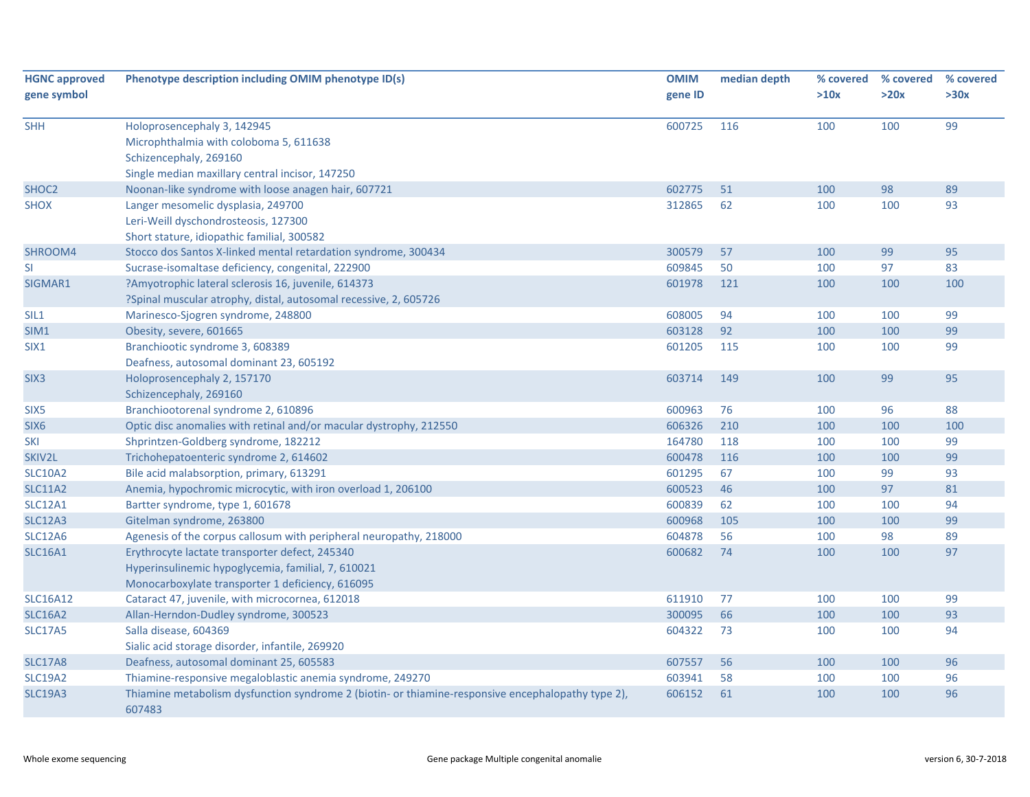| <b>HGNC approved</b><br>gene symbol | Phenotype description including OMIM phenotype ID(s)                                                                                                     | <b>OMIM</b><br>gene ID | median depth | % covered<br>>10x | % covered<br>>20x | % covered<br>>30x |
|-------------------------------------|----------------------------------------------------------------------------------------------------------------------------------------------------------|------------------------|--------------|-------------------|-------------------|-------------------|
| <b>SHH</b>                          | Holoprosencephaly 3, 142945<br>Microphthalmia with coloboma 5, 611638<br>Schizencephaly, 269160<br>Single median maxillary central incisor, 147250       | 600725                 | 116          | 100               | 100               | 99                |
| SHOC <sub>2</sub>                   | Noonan-like syndrome with loose anagen hair, 607721                                                                                                      | 602775                 | 51           | 100               | 98                | 89                |
| <b>SHOX</b>                         | Langer mesomelic dysplasia, 249700<br>Leri-Weill dyschondrosteosis, 127300<br>Short stature, idiopathic familial, 300582                                 | 312865                 | 62           | 100               | 100               | 93                |
| SHROOM4                             | Stocco dos Santos X-linked mental retardation syndrome, 300434                                                                                           | 300579                 | 57           | 100               | 99                | 95                |
| SI                                  | Sucrase-isomaltase deficiency, congenital, 222900                                                                                                        | 609845                 | 50           | 100               | 97                | 83                |
| SIGMAR1                             | ?Amyotrophic lateral sclerosis 16, juvenile, 614373<br>?Spinal muscular atrophy, distal, autosomal recessive, 2, 605726                                  | 601978                 | 121          | 100               | 100               | 100               |
| SIL <sub>1</sub>                    | Marinesco-Sjogren syndrome, 248800                                                                                                                       | 608005                 | 94           | 100               | 100               | 99                |
| SIM1                                | Obesity, severe, 601665                                                                                                                                  | 603128                 | 92           | 100               | 100               | 99                |
| SIX1                                | Branchiootic syndrome 3, 608389<br>Deafness, autosomal dominant 23, 605192                                                                               | 601205                 | 115          | 100               | 100               | 99                |
| SIX <sub>3</sub>                    | Holoprosencephaly 2, 157170<br>Schizencephaly, 269160                                                                                                    | 603714                 | 149          | 100               | 99                | 95                |
| SIX <sub>5</sub>                    | Branchiootorenal syndrome 2, 610896                                                                                                                      | 600963                 | 76           | 100               | 96                | 88                |
| SIX <sub>6</sub>                    | Optic disc anomalies with retinal and/or macular dystrophy, 212550                                                                                       | 606326                 | 210          | 100               | 100               | 100               |
| <b>SKI</b>                          | Shprintzen-Goldberg syndrome, 182212                                                                                                                     | 164780                 | 118          | 100               | 100               | 99                |
| SKIV2L                              | Trichohepatoenteric syndrome 2, 614602                                                                                                                   | 600478                 | 116          | 100               | 100               | 99                |
| <b>SLC10A2</b>                      | Bile acid malabsorption, primary, 613291                                                                                                                 | 601295                 | 67           | 100               | 99                | 93                |
| <b>SLC11A2</b>                      | Anemia, hypochromic microcytic, with iron overload 1, 206100                                                                                             | 600523                 | 46           | 100               | 97                | 81                |
| <b>SLC12A1</b>                      | Bartter syndrome, type 1, 601678                                                                                                                         | 600839                 | 62           | 100               | 100               | 94                |
| <b>SLC12A3</b>                      | Gitelman syndrome, 263800                                                                                                                                | 600968                 | 105          | 100               | 100               | 99                |
| <b>SLC12A6</b>                      | Agenesis of the corpus callosum with peripheral neuropathy, 218000                                                                                       | 604878                 | 56           | 100               | 98                | 89                |
| <b>SLC16A1</b>                      | Erythrocyte lactate transporter defect, 245340<br>Hyperinsulinemic hypoglycemia, familial, 7, 610021<br>Monocarboxylate transporter 1 deficiency, 616095 | 600682                 | 74           | 100               | 100               | 97                |
| <b>SLC16A12</b>                     | Cataract 47, juvenile, with microcornea, 612018                                                                                                          | 611910                 | 77           | 100               | 100               | 99                |
| <b>SLC16A2</b>                      | Allan-Herndon-Dudley syndrome, 300523                                                                                                                    | 300095                 | 66           | 100               | 100               | 93                |
| <b>SLC17A5</b>                      | Salla disease, 604369<br>Sialic acid storage disorder, infantile, 269920                                                                                 | 604322                 | 73           | 100               | 100               | 94                |
| <b>SLC17A8</b>                      | Deafness, autosomal dominant 25, 605583                                                                                                                  | 607557                 | 56           | 100               | 100               | 96                |
| <b>SLC19A2</b>                      | Thiamine-responsive megaloblastic anemia syndrome, 249270                                                                                                | 603941                 | 58           | 100               | 100               | 96                |
| <b>SLC19A3</b>                      | Thiamine metabolism dysfunction syndrome 2 (biotin- or thiamine-responsive encephalopathy type 2),<br>607483                                             | 606152                 | 61           | 100               | 100               | 96                |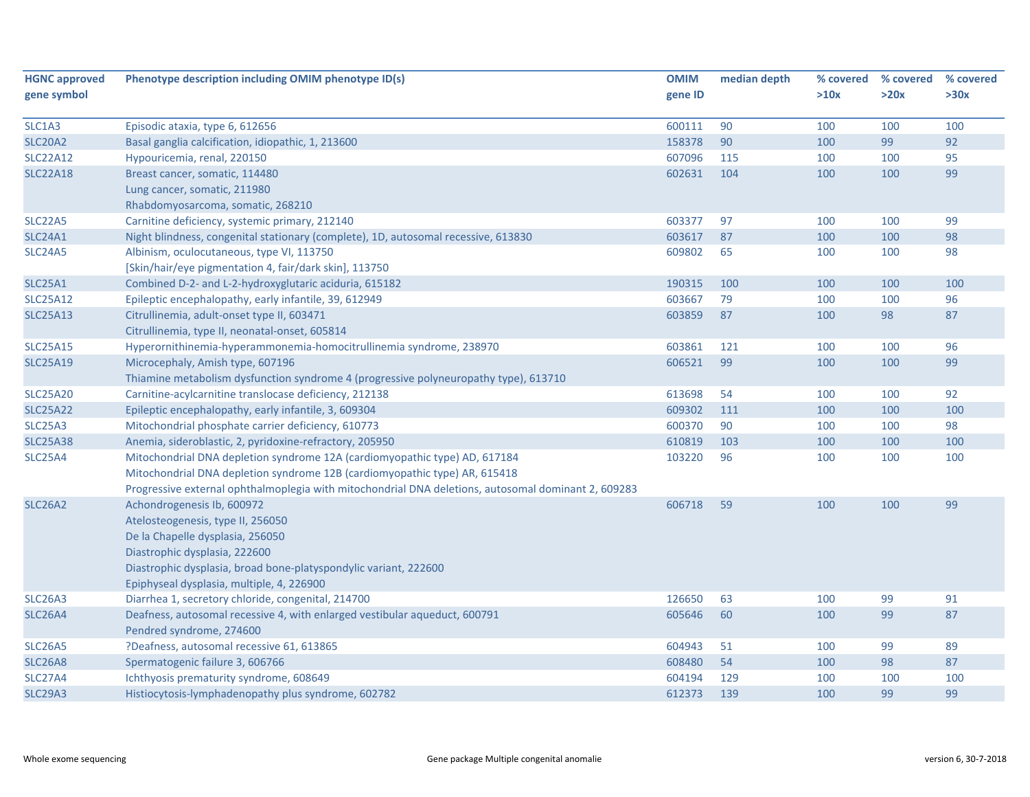| <b>HGNC approved</b>             | Phenotype description including OMIM phenotype ID(s)                                                | <b>OMIM</b> | median depth | % covered | % covered | % covered |
|----------------------------------|-----------------------------------------------------------------------------------------------------|-------------|--------------|-----------|-----------|-----------|
| gene symbol                      |                                                                                                     | gene ID     |              | >10x      | >20x      | >30x      |
| SLC1A3                           | Episodic ataxia, type 6, 612656                                                                     | 600111      | 90           | 100       | 100       | 100       |
| <b>SLC20A2</b>                   | Basal ganglia calcification, idiopathic, 1, 213600                                                  | 158378      | 90           | 100       | 99        | 92        |
| <b>SLC22A12</b>                  | Hypouricemia, renal, 220150                                                                         | 607096      | 115          | 100       | 100       | 95        |
| <b>SLC22A18</b>                  | Breast cancer, somatic, 114480                                                                      | 602631      | 104          | 100       | 100       | 99        |
|                                  | Lung cancer, somatic, 211980                                                                        |             |              |           |           |           |
|                                  | Rhabdomyosarcoma, somatic, 268210                                                                   |             |              |           |           |           |
| <b>SLC22A5</b>                   | Carnitine deficiency, systemic primary, 212140                                                      | 603377      | 97           | 100       | 100       | 99        |
| <b>SLC24A1</b>                   | Night blindness, congenital stationary (complete), 1D, autosomal recessive, 613830                  | 603617      | 87           | 100       | 100       | 98        |
| SLC <sub>24</sub> A <sub>5</sub> | Albinism, oculocutaneous, type VI, 113750                                                           | 609802      | 65           | 100       | 100       | 98        |
|                                  | [Skin/hair/eye pigmentation 4, fair/dark skin], 113750                                              |             |              |           |           |           |
| <b>SLC25A1</b>                   | Combined D-2- and L-2-hydroxyglutaric aciduria, 615182                                              | 190315      | 100          | 100       | 100       | 100       |
| <b>SLC25A12</b>                  | Epileptic encephalopathy, early infantile, 39, 612949                                               | 603667      | 79           | 100       | 100       | 96        |
| <b>SLC25A13</b>                  | Citrullinemia, adult-onset type II, 603471                                                          | 603859      | 87           | 100       | 98        | 87        |
|                                  | Citrullinemia, type II, neonatal-onset, 605814                                                      |             |              |           |           |           |
| <b>SLC25A15</b>                  | Hyperornithinemia-hyperammonemia-homocitrullinemia syndrome, 238970                                 | 603861      | 121          | 100       | 100       | 96        |
| <b>SLC25A19</b>                  | Microcephaly, Amish type, 607196                                                                    | 606521      | 99           | 100       | 100       | 99        |
|                                  | Thiamine metabolism dysfunction syndrome 4 (progressive polyneuropathy type), 613710                |             |              |           |           |           |
| <b>SLC25A20</b>                  | Carnitine-acylcarnitine translocase deficiency, 212138                                              | 613698      | 54           | 100       | 100       | 92        |
| <b>SLC25A22</b>                  | Epileptic encephalopathy, early infantile, 3, 609304                                                | 609302      | 111          | 100       | 100       | 100       |
| <b>SLC25A3</b>                   | Mitochondrial phosphate carrier deficiency, 610773                                                  | 600370      | 90           | 100       | 100       | 98        |
| <b>SLC25A38</b>                  | Anemia, sideroblastic, 2, pyridoxine-refractory, 205950                                             | 610819      | 103          | 100       | 100       | 100       |
| <b>SLC25A4</b>                   | Mitochondrial DNA depletion syndrome 12A (cardiomyopathic type) AD, 617184                          | 103220      | 96           | 100       | 100       | 100       |
|                                  | Mitochondrial DNA depletion syndrome 12B (cardiomyopathic type) AR, 615418                          |             |              |           |           |           |
|                                  | Progressive external ophthalmoplegia with mitochondrial DNA deletions, autosomal dominant 2, 609283 |             |              |           |           |           |
| <b>SLC26A2</b>                   | Achondrogenesis Ib, 600972                                                                          | 606718      | 59           | 100       | 100       | 99        |
|                                  | Atelosteogenesis, type II, 256050                                                                   |             |              |           |           |           |
|                                  | De la Chapelle dysplasia, 256050                                                                    |             |              |           |           |           |
|                                  | Diastrophic dysplasia, 222600                                                                       |             |              |           |           |           |
|                                  | Diastrophic dysplasia, broad bone-platyspondylic variant, 222600                                    |             |              |           |           |           |
|                                  | Epiphyseal dysplasia, multiple, 4, 226900                                                           |             |              |           |           |           |
| <b>SLC26A3</b>                   | Diarrhea 1, secretory chloride, congenital, 214700                                                  | 126650      | 63           | 100       | 99        | 91        |
| <b>SLC26A4</b>                   | Deafness, autosomal recessive 4, with enlarged vestibular aqueduct, 600791                          | 605646      | 60           | 100       | 99        | 87        |
|                                  | Pendred syndrome, 274600                                                                            |             |              |           |           |           |
| SLC <sub>26</sub> A <sub>5</sub> | ?Deafness, autosomal recessive 61, 613865                                                           | 604943      | 51           | 100       | 99        | 89        |
| <b>SLC26A8</b>                   | Spermatogenic failure 3, 606766                                                                     | 608480      | 54           | 100       | 98        | 87        |
| <b>SLC27A4</b>                   | Ichthyosis prematurity syndrome, 608649                                                             | 604194      | 129          | 100       | 100       | 100       |
| SLC <sub>29</sub> A <sub>3</sub> | Histiocytosis-lymphadenopathy plus syndrome, 602782                                                 | 612373      | 139          | 100       | 99        | 99        |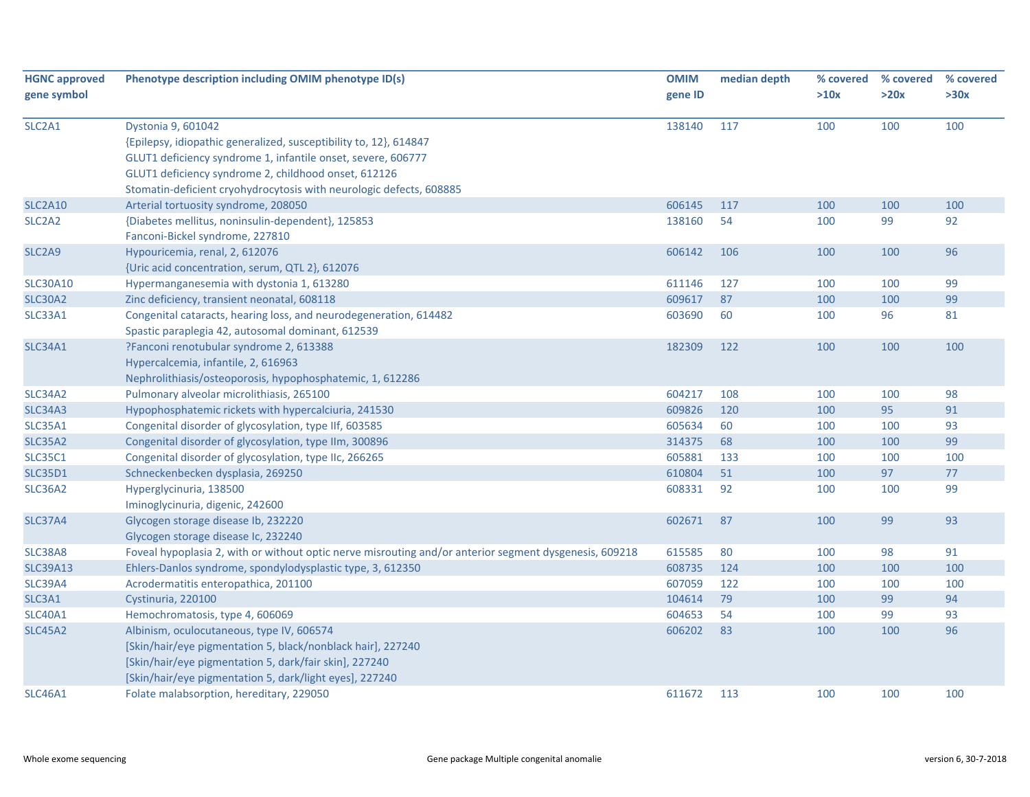| <b>HGNC approved</b>            | Phenotype description including OMIM phenotype ID(s)                                                   | <b>OMIM</b> | median depth | % covered | % covered<br>>20x | % covered<br>>30x |
|---------------------------------|--------------------------------------------------------------------------------------------------------|-------------|--------------|-----------|-------------------|-------------------|
| gene symbol                     |                                                                                                        | gene ID     |              | >10x      |                   |                   |
| SLC2A1                          | Dystonia 9, 601042                                                                                     | 138140      | 117          | 100       | 100               | 100               |
|                                 | {Epilepsy, idiopathic generalized, susceptibility to, 12}, 614847                                      |             |              |           |                   |                   |
|                                 | GLUT1 deficiency syndrome 1, infantile onset, severe, 606777                                           |             |              |           |                   |                   |
|                                 | GLUT1 deficiency syndrome 2, childhood onset, 612126                                                   |             |              |           |                   |                   |
|                                 | Stomatin-deficient cryohydrocytosis with neurologic defects, 608885                                    |             |              |           |                   |                   |
| <b>SLC2A10</b>                  | Arterial tortuosity syndrome, 208050                                                                   | 606145      | 117          | 100       | 100               | 100               |
| SLC <sub>2</sub> A <sub>2</sub> | {Diabetes mellitus, noninsulin-dependent}, 125853                                                      | 138160      | 54           | 100       | 99                | 92                |
|                                 | Fanconi-Bickel syndrome, 227810                                                                        |             |              |           |                   |                   |
| SLC <sub>2</sub> A <sub>9</sub> | Hypouricemia, renal, 2, 612076                                                                         | 606142      | 106          | 100       | 100               | 96                |
|                                 | {Uric acid concentration, serum, QTL 2}, 612076                                                        |             |              |           |                   |                   |
| <b>SLC30A10</b>                 | Hypermanganesemia with dystonia 1, 613280                                                              | 611146      | 127          | 100       | 100               | 99                |
| <b>SLC30A2</b>                  | Zinc deficiency, transient neonatal, 608118                                                            | 609617      | 87           | 100       | 100               | 99                |
| SLC33A1                         | Congenital cataracts, hearing loss, and neurodegeneration, 614482                                      | 603690      | 60           | 100       | 96                | 81                |
|                                 | Spastic paraplegia 42, autosomal dominant, 612539                                                      |             |              |           |                   |                   |
| <b>SLC34A1</b>                  | ?Fanconi renotubular syndrome 2, 613388                                                                | 182309      | 122          | 100       | 100               | 100               |
|                                 | Hypercalcemia, infantile, 2, 616963                                                                    |             |              |           |                   |                   |
|                                 | Nephrolithiasis/osteoporosis, hypophosphatemic, 1, 612286                                              |             |              |           |                   |                   |
| <b>SLC34A2</b>                  | Pulmonary alveolar microlithiasis, 265100                                                              | 604217      | 108          | 100       | 100               | 98                |
| <b>SLC34A3</b>                  | Hypophosphatemic rickets with hypercalciuria, 241530                                                   | 609826      | 120          | 100       | 95                | 91                |
| <b>SLC35A1</b>                  | Congenital disorder of glycosylation, type IIf, 603585                                                 | 605634      | 60           | 100       | 100               | 93                |
| <b>SLC35A2</b>                  | Congenital disorder of glycosylation, type IIm, 300896                                                 | 314375      | 68           | 100       | 100               | 99                |
| <b>SLC35C1</b>                  | Congenital disorder of glycosylation, type IIc, 266265                                                 | 605881      | 133          | 100       | 100               | 100               |
| <b>SLC35D1</b>                  | Schneckenbecken dysplasia, 269250                                                                      | 610804      | 51           | 100       | 97                | 77                |
| <b>SLC36A2</b>                  | Hyperglycinuria, 138500                                                                                | 608331      | 92           | 100       | 100               | 99                |
|                                 | Iminoglycinuria, digenic, 242600                                                                       |             |              |           |                   |                   |
| <b>SLC37A4</b>                  | Glycogen storage disease Ib, 232220                                                                    | 602671      | 87           | 100       | 99                | 93                |
|                                 | Glycogen storage disease Ic, 232240                                                                    |             |              |           |                   |                   |
| SLC38A8                         | Foveal hypoplasia 2, with or without optic nerve misrouting and/or anterior segment dysgenesis, 609218 | 615585      | 80           | 100       | 98                | 91                |
| <b>SLC39A13</b>                 | Ehlers-Danlos syndrome, spondylodysplastic type, 3, 612350                                             | 608735      | 124          | 100       | 100               | 100               |
| <b>SLC39A4</b>                  | Acrodermatitis enteropathica, 201100                                                                   | 607059      | 122          | 100       | 100               | 100               |
| SLC3A1                          | Cystinuria, 220100                                                                                     | 104614      | 79           | 100       | 99                | 94                |
| <b>SLC40A1</b>                  | Hemochromatosis, type 4, 606069                                                                        | 604653      | 54           | 100       | 99                | 93                |
| <b>SLC45A2</b>                  | Albinism, oculocutaneous, type IV, 606574                                                              | 606202      | 83           | 100       | 100               | 96                |
|                                 | [Skin/hair/eye pigmentation 5, black/nonblack hair], 227240                                            |             |              |           |                   |                   |
|                                 | [Skin/hair/eye pigmentation 5, dark/fair skin], 227240                                                 |             |              |           |                   |                   |
|                                 | [Skin/hair/eye pigmentation 5, dark/light eyes], 227240                                                |             |              |           |                   |                   |
| <b>SLC46A1</b>                  | Folate malabsorption, hereditary, 229050                                                               | 611672      | 113          | 100       | 100               | 100               |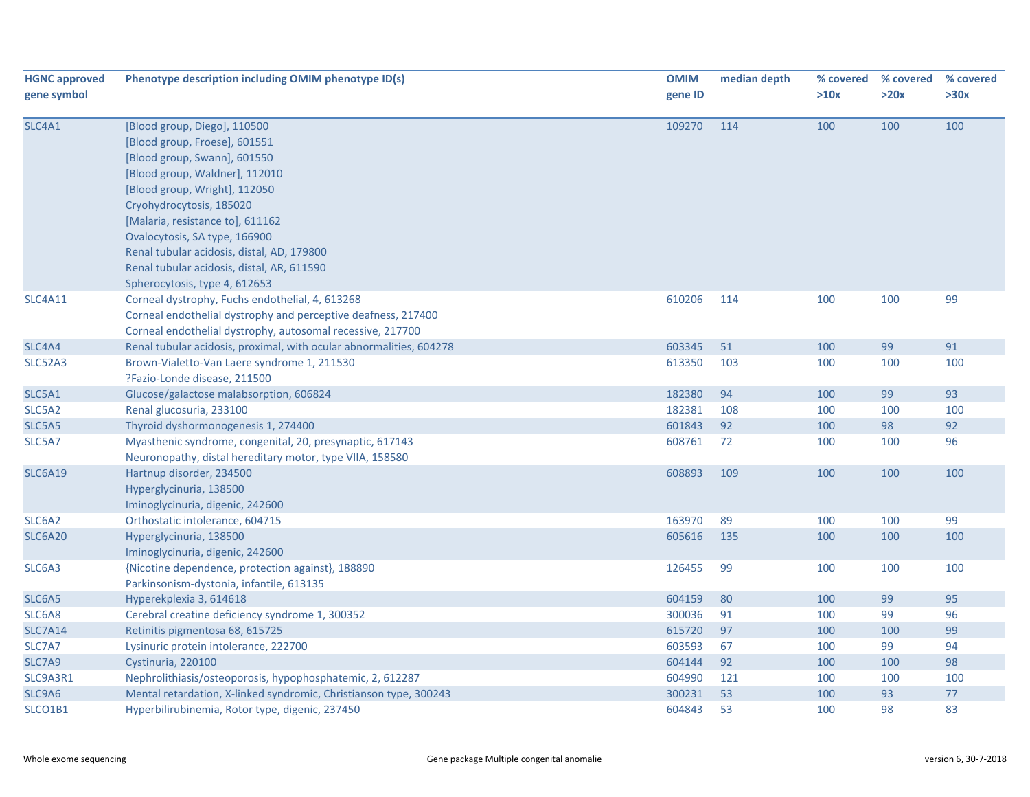| <b>HGNC approved</b><br>gene symbol | Phenotype description including OMIM phenotype ID(s)                                                                                                                                                                                                                                                                                                                                           | <b>OMIM</b><br>gene ID | median depth | % covered<br>>10x | % covered<br>>20x | % covered<br>>30x |
|-------------------------------------|------------------------------------------------------------------------------------------------------------------------------------------------------------------------------------------------------------------------------------------------------------------------------------------------------------------------------------------------------------------------------------------------|------------------------|--------------|-------------------|-------------------|-------------------|
| SLC4A1                              | [Blood group, Diego], 110500<br>[Blood group, Froese], 601551<br>[Blood group, Swann], 601550<br>[Blood group, Waldner], 112010<br>[Blood group, Wright], 112050<br>Cryohydrocytosis, 185020<br>[Malaria, resistance to], 611162<br>Ovalocytosis, SA type, 166900<br>Renal tubular acidosis, distal, AD, 179800<br>Renal tubular acidosis, distal, AR, 611590<br>Spherocytosis, type 4, 612653 | 109270                 | 114          | 100               | 100               | 100               |
| <b>SLC4A11</b>                      | Corneal dystrophy, Fuchs endothelial, 4, 613268<br>Corneal endothelial dystrophy and perceptive deafness, 217400<br>Corneal endothelial dystrophy, autosomal recessive, 217700                                                                                                                                                                                                                 | 610206                 | 114          | 100               | 100               | 99                |
| SLC4A4                              | Renal tubular acidosis, proximal, with ocular abnormalities, 604278                                                                                                                                                                                                                                                                                                                            | 603345                 | 51           | 100               | 99                | 91                |
| SLC52A3                             | Brown-Vialetto-Van Laere syndrome 1, 211530<br>?Fazio-Londe disease, 211500                                                                                                                                                                                                                                                                                                                    | 613350                 | 103          | 100               | 100               | 100               |
| SLC5A1                              | Glucose/galactose malabsorption, 606824                                                                                                                                                                                                                                                                                                                                                        | 182380                 | 94           | 100               | 99                | 93                |
| SLC5A2                              | Renal glucosuria, 233100                                                                                                                                                                                                                                                                                                                                                                       | 182381                 | 108          | 100               | 100               | 100               |
| SLC5A5                              | Thyroid dyshormonogenesis 1, 274400                                                                                                                                                                                                                                                                                                                                                            | 601843                 | 92           | 100               | 98                | 92                |
| SLC5A7                              | Myasthenic syndrome, congenital, 20, presynaptic, 617143<br>Neuronopathy, distal hereditary motor, type VIIA, 158580                                                                                                                                                                                                                                                                           | 608761                 | 72           | 100               | 100               | 96                |
| <b>SLC6A19</b>                      | Hartnup disorder, 234500<br>Hyperglycinuria, 138500<br>Iminoglycinuria, digenic, 242600                                                                                                                                                                                                                                                                                                        | 608893                 | 109          | 100               | 100               | 100               |
| SLC6A2                              | Orthostatic intolerance, 604715                                                                                                                                                                                                                                                                                                                                                                | 163970                 | 89           | 100               | 100               | 99                |
| <b>SLC6A20</b>                      | Hyperglycinuria, 138500<br>Iminoglycinuria, digenic, 242600                                                                                                                                                                                                                                                                                                                                    | 605616                 | 135          | 100               | 100               | 100               |
| SLC6A3                              | {Nicotine dependence, protection against}, 188890<br>Parkinsonism-dystonia, infantile, 613135                                                                                                                                                                                                                                                                                                  | 126455                 | 99           | 100               | 100               | 100               |
| SLC6A5                              | Hyperekplexia 3, 614618                                                                                                                                                                                                                                                                                                                                                                        | 604159                 | 80           | 100               | 99                | 95                |
| SLC6A8                              | Cerebral creatine deficiency syndrome 1, 300352                                                                                                                                                                                                                                                                                                                                                | 300036                 | 91           | 100               | 99                | 96                |
| <b>SLC7A14</b>                      | Retinitis pigmentosa 68, 615725                                                                                                                                                                                                                                                                                                                                                                | 615720                 | 97           | 100               | 100               | 99                |
| SLC7A7                              | Lysinuric protein intolerance, 222700                                                                                                                                                                                                                                                                                                                                                          | 603593                 | 67           | 100               | 99                | 94                |
| SLC7A9                              | Cystinuria, 220100                                                                                                                                                                                                                                                                                                                                                                             | 604144                 | 92           | 100               | 100               | 98                |
| SLC9A3R1                            | Nephrolithiasis/osteoporosis, hypophosphatemic, 2, 612287                                                                                                                                                                                                                                                                                                                                      | 604990                 | 121          | 100               | 100               | 100               |
| SLC9A6                              | Mental retardation, X-linked syndromic, Christianson type, 300243                                                                                                                                                                                                                                                                                                                              | 300231                 | 53           | 100               | 93                | $77\,$            |
| SLCO1B1                             | Hyperbilirubinemia, Rotor type, digenic, 237450                                                                                                                                                                                                                                                                                                                                                | 604843                 | 53           | 100               | 98                | 83                |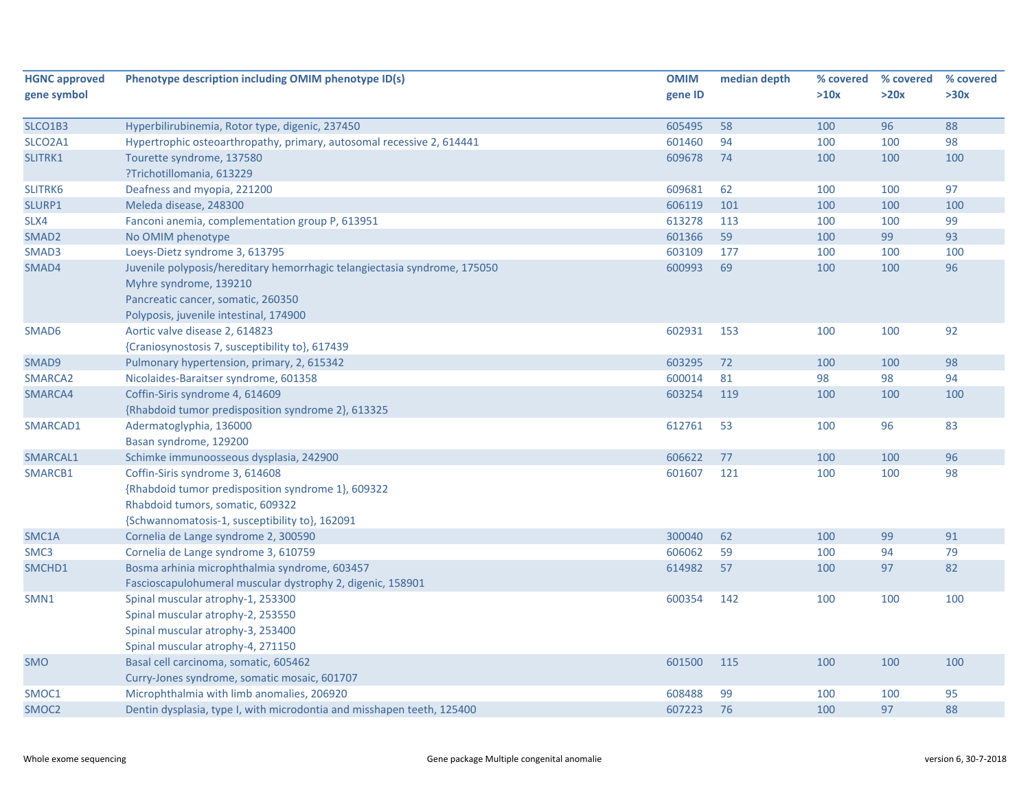| <b>HGNC approved</b> | Phenotype description including OMIM phenotype ID(s)                      | <b>OMIM</b> | median depth | % covered | % covered | % covered |
|----------------------|---------------------------------------------------------------------------|-------------|--------------|-----------|-----------|-----------|
| gene symbol          |                                                                           | gene ID     |              | >10x      | >20x      | >30x      |
| SLCO1B3              | Hyperbilirubinemia, Rotor type, digenic, 237450                           | 605495      | 58           | 100       | 96        | 88        |
| SLCO2A1              | Hypertrophic osteoarthropathy, primary, autosomal recessive 2, 614441     | 601460      | 94           | 100       | 100       | 98        |
| SLITRK1              | Tourette syndrome, 137580                                                 | 609678      | 74           | 100       | 100       | 100       |
|                      | ?Trichotillomania, 613229                                                 |             |              |           |           |           |
| SLITRK6              | Deafness and myopia, 221200                                               | 609681      | 62           | 100       | 100       | 97        |
| SLURP1               | Meleda disease, 248300                                                    | 606119      | 101          | 100       | 100       | 100       |
| SLX4                 | Fanconi anemia, complementation group P, 613951                           | 613278      | 113          | 100       | 100       | 99        |
| SMAD <sub>2</sub>    |                                                                           | 601366      | 59           | 100       | 99        | 93        |
|                      | No OMIM phenotype<br>Loeys-Dietz syndrome 3, 613795                       | 603109      | 177          |           | 100       | 100       |
| SMAD3                |                                                                           | 600993      | 69           | 100       |           | 96        |
| SMAD4                | Juvenile polyposis/hereditary hemorrhagic telangiectasia syndrome, 175050 |             |              | 100       | 100       |           |
|                      | Myhre syndrome, 139210                                                    |             |              |           |           |           |
|                      | Pancreatic cancer, somatic, 260350                                        |             |              |           |           |           |
| SMAD6                | Polyposis, juvenile intestinal, 174900<br>Aortic valve disease 2, 614823  | 602931      | 153          | 100       | 100       | 92        |
|                      |                                                                           |             |              |           |           |           |
|                      | {Craniosynostosis 7, susceptibility to}, 617439                           |             |              |           |           | 98        |
| SMAD9                | Pulmonary hypertension, primary, 2, 615342                                | 603295      | 72           | 100       | 100       |           |
| SMARCA2              | Nicolaides-Baraitser syndrome, 601358                                     | 600014      | 81           | 98        | 98        | 94        |
| SMARCA4              | Coffin-Siris syndrome 4, 614609                                           | 603254      | 119          | 100       | 100       | 100       |
|                      | {Rhabdoid tumor predisposition syndrome 2}, 613325                        |             |              |           |           |           |
| SMARCAD1             | Adermatoglyphia, 136000                                                   | 612761      | 53           | 100       | 96        | 83        |
|                      | Basan syndrome, 129200                                                    |             |              |           |           |           |
| SMARCAL1             | Schimke immunoosseous dysplasia, 242900                                   | 606622      | 77           | 100       | 100       | 96        |
| SMARCB1              | Coffin-Siris syndrome 3, 614608                                           | 601607      | 121          | 100       | 100       | 98        |
|                      | {Rhabdoid tumor predisposition syndrome 1}, 609322                        |             |              |           |           |           |
|                      | Rhabdoid tumors, somatic, 609322                                          |             |              |           |           |           |
|                      | {Schwannomatosis-1, susceptibility to}, 162091                            |             |              |           |           |           |
| SMC1A                | Cornelia de Lange syndrome 2, 300590                                      | 300040      | 62           | 100       | 99        | 91        |
| SMC <sub>3</sub>     | Cornelia de Lange syndrome 3, 610759                                      | 606062      | 59           | 100       | 94        | 79        |
| SMCHD1               | Bosma arhinia microphthalmia syndrome, 603457                             | 614982      | 57           | 100       | 97        | 82        |
|                      | Fascioscapulohumeral muscular dystrophy 2, digenic, 158901                |             |              |           |           |           |
| SMN1                 | Spinal muscular atrophy-1, 253300                                         | 600354      | 142          | 100       | 100       | 100       |
|                      | Spinal muscular atrophy-2, 253550                                         |             |              |           |           |           |
|                      | Spinal muscular atrophy-3, 253400                                         |             |              |           |           |           |
|                      | Spinal muscular atrophy-4, 271150                                         |             |              |           |           |           |
| <b>SMO</b>           | Basal cell carcinoma, somatic, 605462                                     | 601500      | 115          | 100       | 100       | 100       |
|                      | Curry-Jones syndrome, somatic mosaic, 601707                              |             |              |           |           |           |
| SMOC1                | Microphthalmia with limb anomalies, 206920                                | 608488      | 99           | 100       | 100       | 95        |
| SMOC <sub>2</sub>    | Dentin dysplasia, type I, with microdontia and misshapen teeth, 125400    | 607223      | 76           | 100       | 97        | 88        |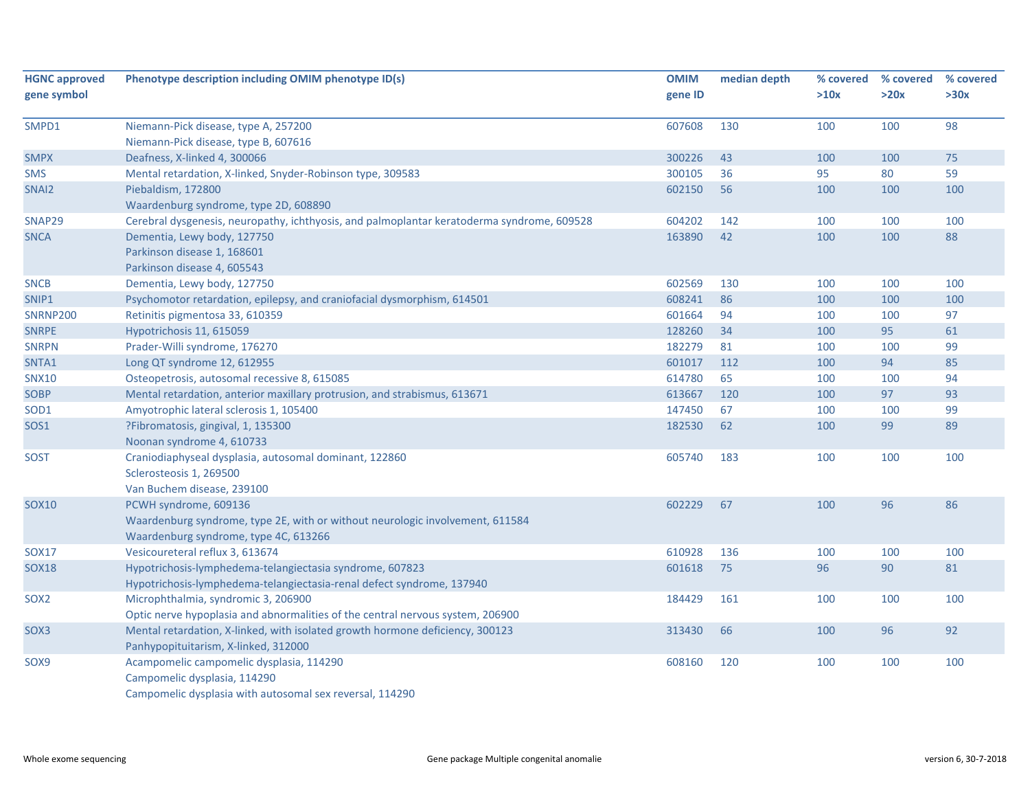| <b>HGNC approved</b><br>gene symbol | Phenotype description including OMIM phenotype ID(s)                                       | <b>OMIM</b><br>gene ID | median depth | % covered<br>>10x | % covered<br>>20x | % covered<br>>30x |
|-------------------------------------|--------------------------------------------------------------------------------------------|------------------------|--------------|-------------------|-------------------|-------------------|
|                                     |                                                                                            |                        |              |                   |                   |                   |
| SMPD1                               | Niemann-Pick disease, type A, 257200                                                       | 607608                 | 130          | 100               | 100               | 98                |
|                                     | Niemann-Pick disease, type B, 607616                                                       |                        |              |                   |                   |                   |
| <b>SMPX</b>                         | Deafness, X-linked 4, 300066                                                               | 300226                 | 43           | 100               | 100               | 75                |
| <b>SMS</b>                          | Mental retardation, X-linked, Snyder-Robinson type, 309583                                 | 300105                 | 36           | 95                | 80                | 59                |
| SNAI2                               | Piebaldism, 172800                                                                         | 602150                 | 56           | 100               | 100               | 100               |
|                                     | Waardenburg syndrome, type 2D, 608890                                                      |                        |              |                   |                   |                   |
| SNAP29                              | Cerebral dysgenesis, neuropathy, ichthyosis, and palmoplantar keratoderma syndrome, 609528 | 604202                 | 142          | 100               | 100               | 100               |
| <b>SNCA</b>                         | Dementia, Lewy body, 127750                                                                | 163890                 | 42           | 100               | 100               | 88                |
|                                     | Parkinson disease 1, 168601                                                                |                        |              |                   |                   |                   |
|                                     | Parkinson disease 4, 605543                                                                |                        |              |                   |                   |                   |
| <b>SNCB</b>                         | Dementia, Lewy body, 127750                                                                | 602569                 | 130          | 100               | 100               | 100               |
| SNIP1                               | Psychomotor retardation, epilepsy, and craniofacial dysmorphism, 614501                    | 608241                 | 86           | 100               | 100               | 100               |
| <b>SNRNP200</b>                     | Retinitis pigmentosa 33, 610359                                                            | 601664                 | 94           | 100               | 100               | 97                |
| <b>SNRPE</b>                        | Hypotrichosis 11, 615059                                                                   | 128260                 | 34           | 100               | 95                | 61                |
| <b>SNRPN</b>                        | Prader-Willi syndrome, 176270                                                              | 182279                 | 81           | 100               | 100               | 99                |
| SNTA1                               | Long QT syndrome 12, 612955                                                                | 601017                 | 112          | 100               | 94                | 85                |
| <b>SNX10</b>                        | Osteopetrosis, autosomal recessive 8, 615085                                               | 614780                 | 65           | 100               | 100               | 94                |
| SOBP                                | Mental retardation, anterior maxillary protrusion, and strabismus, 613671                  | 613667                 | 120          | 100               | 97                | 93                |
| SOD1                                | Amyotrophic lateral sclerosis 1, 105400                                                    | 147450                 | 67           | 100               | 100               | 99                |
| SOS1                                | ?Fibromatosis, gingival, 1, 135300                                                         | 182530                 | 62           | 100               | 99                | 89                |
|                                     | Noonan syndrome 4, 610733                                                                  |                        |              |                   |                   |                   |
| <b>SOST</b>                         | Craniodiaphyseal dysplasia, autosomal dominant, 122860                                     | 605740                 | 183          | 100               | 100               | 100               |
|                                     | Sclerosteosis 1, 269500                                                                    |                        |              |                   |                   |                   |
|                                     | Van Buchem disease, 239100                                                                 |                        |              |                   |                   |                   |
| <b>SOX10</b>                        | PCWH syndrome, 609136                                                                      | 602229                 | 67           | 100               | 96                | 86                |
|                                     | Waardenburg syndrome, type 2E, with or without neurologic involvement, 611584              |                        |              |                   |                   |                   |
|                                     | Waardenburg syndrome, type 4C, 613266                                                      |                        |              |                   |                   |                   |
| <b>SOX17</b>                        | Vesicoureteral reflux 3, 613674                                                            | 610928                 | 136          | 100               | 100               | 100               |
| <b>SOX18</b>                        | Hypotrichosis-lymphedema-telangiectasia syndrome, 607823                                   | 601618                 | 75           | 96                | 90                | 81                |
|                                     | Hypotrichosis-lymphedema-telangiectasia-renal defect syndrome, 137940                      |                        |              |                   |                   |                   |
| SOX <sub>2</sub>                    | Microphthalmia, syndromic 3, 206900                                                        | 184429                 | 161          | 100               | 100               | 100               |
|                                     | Optic nerve hypoplasia and abnormalities of the central nervous system, 206900             |                        |              |                   |                   |                   |
| SOX3                                | Mental retardation, X-linked, with isolated growth hormone deficiency, 300123              | 313430                 | 66           | 100               | 96                | 92                |
|                                     | Panhypopituitarism, X-linked, 312000                                                       |                        |              |                   |                   |                   |
| SOX9                                | Acampomelic campomelic dysplasia, 114290                                                   | 608160                 | 120          | 100               | 100               | 100               |
|                                     | Campomelic dysplasia, 114290                                                               |                        |              |                   |                   |                   |
|                                     | Campomelic dysplasia with autosomal sex reversal, 114290                                   |                        |              |                   |                   |                   |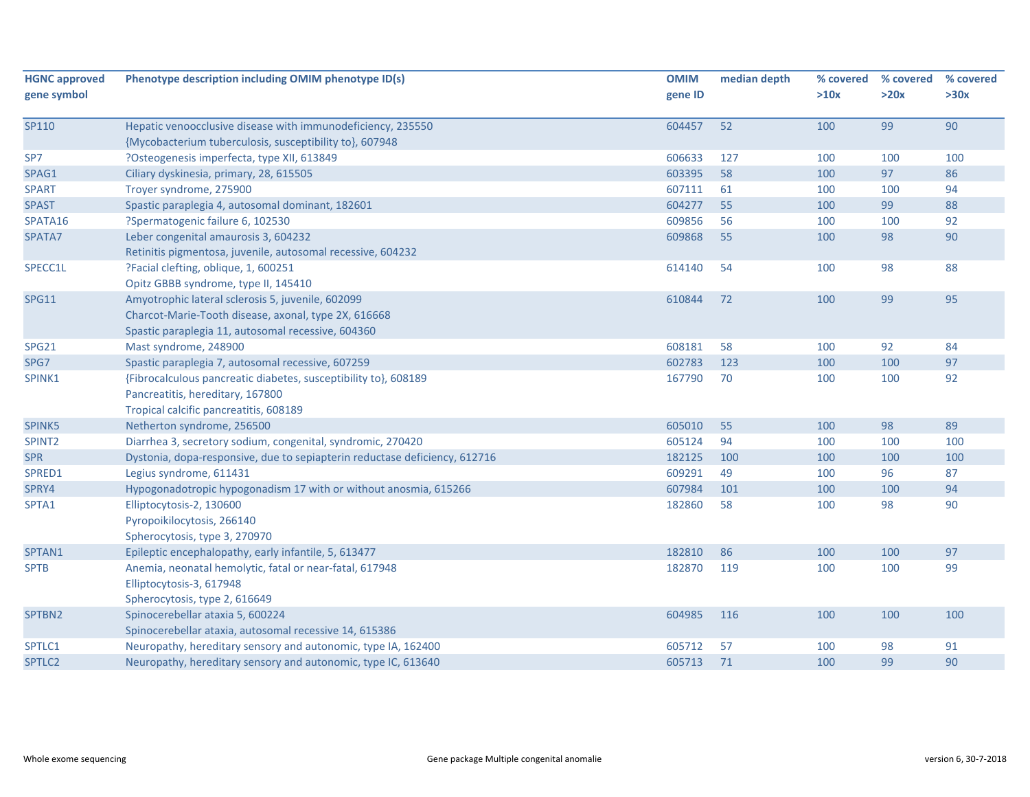| <b>HGNC approved</b> | Phenotype description including OMIM phenotype ID(s)                       | <b>OMIM</b> | median depth | % covered | % covered | % covered |
|----------------------|----------------------------------------------------------------------------|-------------|--------------|-----------|-----------|-----------|
| gene symbol          |                                                                            | gene ID     |              | >10x      | >20x      | >30x      |
|                      |                                                                            |             |              |           |           |           |
| SP110                | Hepatic venoocclusive disease with immunodeficiency, 235550                | 604457      | 52           | 100       | 99        | 90        |
|                      | {Mycobacterium tuberculosis, susceptibility to}, 607948                    |             |              |           |           |           |
| SP7                  | ?Osteogenesis imperfecta, type XII, 613849                                 | 606633      | 127          | 100       | 100       | 100       |
| SPAG1                | Ciliary dyskinesia, primary, 28, 615505                                    | 603395      | 58           | 100       | 97        | 86        |
| <b>SPART</b>         | Troyer syndrome, 275900                                                    | 607111      | 61           | 100       | 100       | 94        |
| <b>SPAST</b>         | Spastic paraplegia 4, autosomal dominant, 182601                           | 604277      | 55           | 100       | 99        | 88        |
| SPATA16              | ?Spermatogenic failure 6, 102530                                           | 609856      | 56           | 100       | 100       | 92        |
| SPATA7               | Leber congenital amaurosis 3, 604232                                       | 609868      | 55           | 100       | 98        | 90        |
|                      | Retinitis pigmentosa, juvenile, autosomal recessive, 604232                |             |              |           |           |           |
| SPECC1L              | ?Facial clefting, oblique, 1, 600251                                       | 614140      | 54           | 100       | 98        | 88        |
|                      | Opitz GBBB syndrome, type II, 145410                                       |             |              |           |           |           |
| <b>SPG11</b>         | Amyotrophic lateral sclerosis 5, juvenile, 602099                          | 610844      | 72           | 100       | 99        | 95        |
|                      | Charcot-Marie-Tooth disease, axonal, type 2X, 616668                       |             |              |           |           |           |
|                      | Spastic paraplegia 11, autosomal recessive, 604360                         |             |              |           |           |           |
| SPG21                | Mast syndrome, 248900                                                      | 608181      | 58           | 100       | 92        | 84        |
| SPG7                 | Spastic paraplegia 7, autosomal recessive, 607259                          | 602783      | 123          | 100       | 100       | 97        |
| SPINK1               | {Fibrocalculous pancreatic diabetes, susceptibility to}, 608189            | 167790      | 70           | 100       | 100       | 92        |
|                      | Pancreatitis, hereditary, 167800                                           |             |              |           |           |           |
|                      | Tropical calcific pancreatitis, 608189                                     |             |              |           |           |           |
| SPINK5               | Netherton syndrome, 256500                                                 | 605010      | 55           | 100       | 98        | 89        |
| SPINT2               | Diarrhea 3, secretory sodium, congenital, syndromic, 270420                | 605124      | 94           | 100       | 100       | 100       |
| <b>SPR</b>           | Dystonia, dopa-responsive, due to sepiapterin reductase deficiency, 612716 | 182125      | 100          | 100       | 100       | 100       |
| SPRED1               | Legius syndrome, 611431                                                    | 609291      | 49           | 100       | 96        | 87        |
| SPRY4                | Hypogonadotropic hypogonadism 17 with or without anosmia, 615266           | 607984      | 101          | 100       | 100       | 94        |
| SPTA1                | Elliptocytosis-2, 130600                                                   | 182860      | 58           | 100       | 98        | 90        |
|                      | Pyropoikilocytosis, 266140                                                 |             |              |           |           |           |
|                      | Spherocytosis, type 3, 270970                                              |             |              |           |           |           |
| SPTAN1               | Epileptic encephalopathy, early infantile, 5, 613477                       | 182810      | 86           | 100       | 100       | 97        |
| <b>SPTB</b>          | Anemia, neonatal hemolytic, fatal or near-fatal, 617948                    | 182870      | 119          | 100       | 100       | 99        |
|                      | Elliptocytosis-3, 617948                                                   |             |              |           |           |           |
|                      | Spherocytosis, type 2, 616649                                              |             |              |           |           |           |
| SPTBN2               | Spinocerebellar ataxia 5, 600224                                           | 604985      | 116          | 100       | 100       | 100       |
|                      | Spinocerebellar ataxia, autosomal recessive 14, 615386                     |             |              |           |           |           |
| SPTLC1               | Neuropathy, hereditary sensory and autonomic, type IA, 162400              | 605712      | 57           | 100       | 98        | 91        |
| SPTLC2               | Neuropathy, hereditary sensory and autonomic, type IC, 613640              | 605713      | 71           | 100       | 99        | 90        |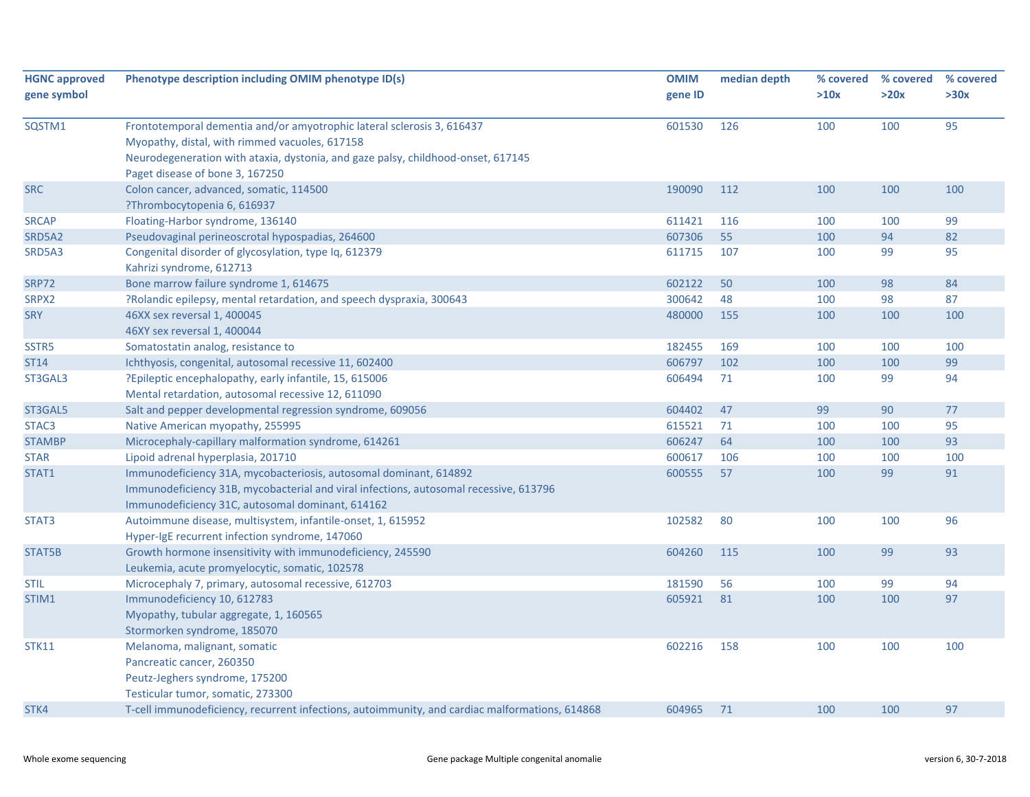| 100<br>95<br>Frontotemporal dementia and/or amyotrophic lateral sclerosis 3, 616437<br>601530<br>126<br>100<br>Myopathy, distal, with rimmed vacuoles, 617158<br>Neurodegeneration with ataxia, dystonia, and gaze palsy, childhood-onset, 617145<br>Paget disease of bone 3, 167250<br>Colon cancer, advanced, somatic, 114500<br>190090<br>112<br>100<br>100<br>100<br>?Thrombocytopenia 6, 616937<br>Floating-Harbor syndrome, 136140<br>611421<br>100<br>99<br>116<br>100<br>607306<br>55<br>94<br>82<br>Pseudovaginal perineoscrotal hypospadias, 264600<br>100<br>611715<br>107<br>99<br>95<br>Congenital disorder of glycosylation, type Iq, 612379<br>100<br>Kahrizi syndrome, 612713<br>Bone marrow failure syndrome 1, 614675<br>602122<br>50<br>98<br>84<br>100<br>?Rolandic epilepsy, mental retardation, and speech dyspraxia, 300643<br>300642<br>48<br>87<br>100<br>98<br>480000<br>155<br>100<br>100<br>46XX sex reversal 1, 400045<br>100<br>46XY sex reversal 1, 400044<br>Somatostatin analog, resistance to<br>182455<br>169<br>100<br>100<br>100<br>606797<br>102<br>99<br>Ichthyosis, congenital, autosomal recessive 11, 602400<br>100<br>100<br>?Epileptic encephalopathy, early infantile, 15, 615006<br>606494<br>71<br>100<br>99<br>94<br>Mental retardation, autosomal recessive 12, 611090<br>Salt and pepper developmental regression syndrome, 609056<br>604402<br>47<br>99<br>90<br>77<br>615521<br>95<br>Native American myopathy, 255995<br>71<br>100<br>100<br>93<br>Microcephaly-capillary malformation syndrome, 614261<br>606247<br>64<br>100<br>100<br>106<br>Lipoid adrenal hyperplasia, 201710<br>600617<br>100<br>100<br>100<br>99<br>91<br>Immunodeficiency 31A, mycobacteriosis, autosomal dominant, 614892<br>600555<br>57<br>100<br>Immunodeficiency 31B, mycobacterial and viral infections, autosomal recessive, 613796<br>Immunodeficiency 31C, autosomal dominant, 614162<br>Autoimmune disease, multisystem, infantile-onset, 1, 615952<br>102582<br>80<br>100<br>100<br>96<br>Hyper-IgE recurrent infection syndrome, 147060<br>Growth hormone insensitivity with immunodeficiency, 245590<br>604260<br>115<br>100<br>99<br>93<br>Leukemia, acute promyelocytic, somatic, 102578<br>181590<br>94<br>Microcephaly 7, primary, autosomal recessive, 612703<br>56<br>100<br>99<br>97<br>Immunodeficiency 10, 612783<br>605921<br>81<br>100<br>100<br>Myopathy, tubular aggregate, 1, 160565<br>Stormorken syndrome, 185070<br>100<br>Melanoma, malignant, somatic<br>602216<br>158<br>100<br>100<br>Pancreatic cancer, 260350<br>Peutz-Jeghers syndrome, 175200<br>Testicular tumor, somatic, 273300<br>97<br>STK4<br>T-cell immunodeficiency, recurrent infections, autoimmunity, and cardiac malformations, 614868<br>604965<br>71<br>100<br>100 | <b>HGNC approved</b><br>gene symbol | Phenotype description including OMIM phenotype ID(s) | <b>OMIM</b><br>gene ID | median depth | % covered<br>>10x | % covered<br>>20x | % covered<br>>30x |
|-----------------------------------------------------------------------------------------------------------------------------------------------------------------------------------------------------------------------------------------------------------------------------------------------------------------------------------------------------------------------------------------------------------------------------------------------------------------------------------------------------------------------------------------------------------------------------------------------------------------------------------------------------------------------------------------------------------------------------------------------------------------------------------------------------------------------------------------------------------------------------------------------------------------------------------------------------------------------------------------------------------------------------------------------------------------------------------------------------------------------------------------------------------------------------------------------------------------------------------------------------------------------------------------------------------------------------------------------------------------------------------------------------------------------------------------------------------------------------------------------------------------------------------------------------------------------------------------------------------------------------------------------------------------------------------------------------------------------------------------------------------------------------------------------------------------------------------------------------------------------------------------------------------------------------------------------------------------------------------------------------------------------------------------------------------------------------------------------------------------------------------------------------------------------------------------------------------------------------------------------------------------------------------------------------------------------------------------------------------------------------------------------------------------------------------------------------------------------------------------------------------------------------------------------------------------------------------------------------------------------------------------------------------------------------------------------------------------------------------------------------------------------------------------------------|-------------------------------------|------------------------------------------------------|------------------------|--------------|-------------------|-------------------|-------------------|
|                                                                                                                                                                                                                                                                                                                                                                                                                                                                                                                                                                                                                                                                                                                                                                                                                                                                                                                                                                                                                                                                                                                                                                                                                                                                                                                                                                                                                                                                                                                                                                                                                                                                                                                                                                                                                                                                                                                                                                                                                                                                                                                                                                                                                                                                                                                                                                                                                                                                                                                                                                                                                                                                                                                                                                                                     | SQSTM1                              |                                                      |                        |              |                   |                   |                   |
|                                                                                                                                                                                                                                                                                                                                                                                                                                                                                                                                                                                                                                                                                                                                                                                                                                                                                                                                                                                                                                                                                                                                                                                                                                                                                                                                                                                                                                                                                                                                                                                                                                                                                                                                                                                                                                                                                                                                                                                                                                                                                                                                                                                                                                                                                                                                                                                                                                                                                                                                                                                                                                                                                                                                                                                                     | <b>SRC</b>                          |                                                      |                        |              |                   |                   |                   |
|                                                                                                                                                                                                                                                                                                                                                                                                                                                                                                                                                                                                                                                                                                                                                                                                                                                                                                                                                                                                                                                                                                                                                                                                                                                                                                                                                                                                                                                                                                                                                                                                                                                                                                                                                                                                                                                                                                                                                                                                                                                                                                                                                                                                                                                                                                                                                                                                                                                                                                                                                                                                                                                                                                                                                                                                     | <b>SRCAP</b>                        |                                                      |                        |              |                   |                   |                   |
|                                                                                                                                                                                                                                                                                                                                                                                                                                                                                                                                                                                                                                                                                                                                                                                                                                                                                                                                                                                                                                                                                                                                                                                                                                                                                                                                                                                                                                                                                                                                                                                                                                                                                                                                                                                                                                                                                                                                                                                                                                                                                                                                                                                                                                                                                                                                                                                                                                                                                                                                                                                                                                                                                                                                                                                                     | SRD5A2                              |                                                      |                        |              |                   |                   |                   |
|                                                                                                                                                                                                                                                                                                                                                                                                                                                                                                                                                                                                                                                                                                                                                                                                                                                                                                                                                                                                                                                                                                                                                                                                                                                                                                                                                                                                                                                                                                                                                                                                                                                                                                                                                                                                                                                                                                                                                                                                                                                                                                                                                                                                                                                                                                                                                                                                                                                                                                                                                                                                                                                                                                                                                                                                     | SRD5A3                              |                                                      |                        |              |                   |                   |                   |
|                                                                                                                                                                                                                                                                                                                                                                                                                                                                                                                                                                                                                                                                                                                                                                                                                                                                                                                                                                                                                                                                                                                                                                                                                                                                                                                                                                                                                                                                                                                                                                                                                                                                                                                                                                                                                                                                                                                                                                                                                                                                                                                                                                                                                                                                                                                                                                                                                                                                                                                                                                                                                                                                                                                                                                                                     | <b>SRP72</b>                        |                                                      |                        |              |                   |                   |                   |
|                                                                                                                                                                                                                                                                                                                                                                                                                                                                                                                                                                                                                                                                                                                                                                                                                                                                                                                                                                                                                                                                                                                                                                                                                                                                                                                                                                                                                                                                                                                                                                                                                                                                                                                                                                                                                                                                                                                                                                                                                                                                                                                                                                                                                                                                                                                                                                                                                                                                                                                                                                                                                                                                                                                                                                                                     | SRPX2                               |                                                      |                        |              |                   |                   |                   |
|                                                                                                                                                                                                                                                                                                                                                                                                                                                                                                                                                                                                                                                                                                                                                                                                                                                                                                                                                                                                                                                                                                                                                                                                                                                                                                                                                                                                                                                                                                                                                                                                                                                                                                                                                                                                                                                                                                                                                                                                                                                                                                                                                                                                                                                                                                                                                                                                                                                                                                                                                                                                                                                                                                                                                                                                     | <b>SRY</b>                          |                                                      |                        |              |                   |                   |                   |
|                                                                                                                                                                                                                                                                                                                                                                                                                                                                                                                                                                                                                                                                                                                                                                                                                                                                                                                                                                                                                                                                                                                                                                                                                                                                                                                                                                                                                                                                                                                                                                                                                                                                                                                                                                                                                                                                                                                                                                                                                                                                                                                                                                                                                                                                                                                                                                                                                                                                                                                                                                                                                                                                                                                                                                                                     | SSTR5                               |                                                      |                        |              |                   |                   |                   |
|                                                                                                                                                                                                                                                                                                                                                                                                                                                                                                                                                                                                                                                                                                                                                                                                                                                                                                                                                                                                                                                                                                                                                                                                                                                                                                                                                                                                                                                                                                                                                                                                                                                                                                                                                                                                                                                                                                                                                                                                                                                                                                                                                                                                                                                                                                                                                                                                                                                                                                                                                                                                                                                                                                                                                                                                     | ST14                                |                                                      |                        |              |                   |                   |                   |
|                                                                                                                                                                                                                                                                                                                                                                                                                                                                                                                                                                                                                                                                                                                                                                                                                                                                                                                                                                                                                                                                                                                                                                                                                                                                                                                                                                                                                                                                                                                                                                                                                                                                                                                                                                                                                                                                                                                                                                                                                                                                                                                                                                                                                                                                                                                                                                                                                                                                                                                                                                                                                                                                                                                                                                                                     | ST3GAL3                             |                                                      |                        |              |                   |                   |                   |
|                                                                                                                                                                                                                                                                                                                                                                                                                                                                                                                                                                                                                                                                                                                                                                                                                                                                                                                                                                                                                                                                                                                                                                                                                                                                                                                                                                                                                                                                                                                                                                                                                                                                                                                                                                                                                                                                                                                                                                                                                                                                                                                                                                                                                                                                                                                                                                                                                                                                                                                                                                                                                                                                                                                                                                                                     | ST3GAL5                             |                                                      |                        |              |                   |                   |                   |
|                                                                                                                                                                                                                                                                                                                                                                                                                                                                                                                                                                                                                                                                                                                                                                                                                                                                                                                                                                                                                                                                                                                                                                                                                                                                                                                                                                                                                                                                                                                                                                                                                                                                                                                                                                                                                                                                                                                                                                                                                                                                                                                                                                                                                                                                                                                                                                                                                                                                                                                                                                                                                                                                                                                                                                                                     | STAC <sub>3</sub>                   |                                                      |                        |              |                   |                   |                   |
|                                                                                                                                                                                                                                                                                                                                                                                                                                                                                                                                                                                                                                                                                                                                                                                                                                                                                                                                                                                                                                                                                                                                                                                                                                                                                                                                                                                                                                                                                                                                                                                                                                                                                                                                                                                                                                                                                                                                                                                                                                                                                                                                                                                                                                                                                                                                                                                                                                                                                                                                                                                                                                                                                                                                                                                                     | <b>STAMBP</b>                       |                                                      |                        |              |                   |                   |                   |
|                                                                                                                                                                                                                                                                                                                                                                                                                                                                                                                                                                                                                                                                                                                                                                                                                                                                                                                                                                                                                                                                                                                                                                                                                                                                                                                                                                                                                                                                                                                                                                                                                                                                                                                                                                                                                                                                                                                                                                                                                                                                                                                                                                                                                                                                                                                                                                                                                                                                                                                                                                                                                                                                                                                                                                                                     | <b>STAR</b>                         |                                                      |                        |              |                   |                   |                   |
|                                                                                                                                                                                                                                                                                                                                                                                                                                                                                                                                                                                                                                                                                                                                                                                                                                                                                                                                                                                                                                                                                                                                                                                                                                                                                                                                                                                                                                                                                                                                                                                                                                                                                                                                                                                                                                                                                                                                                                                                                                                                                                                                                                                                                                                                                                                                                                                                                                                                                                                                                                                                                                                                                                                                                                                                     | STAT1                               |                                                      |                        |              |                   |                   |                   |
|                                                                                                                                                                                                                                                                                                                                                                                                                                                                                                                                                                                                                                                                                                                                                                                                                                                                                                                                                                                                                                                                                                                                                                                                                                                                                                                                                                                                                                                                                                                                                                                                                                                                                                                                                                                                                                                                                                                                                                                                                                                                                                                                                                                                                                                                                                                                                                                                                                                                                                                                                                                                                                                                                                                                                                                                     | STAT3                               |                                                      |                        |              |                   |                   |                   |
|                                                                                                                                                                                                                                                                                                                                                                                                                                                                                                                                                                                                                                                                                                                                                                                                                                                                                                                                                                                                                                                                                                                                                                                                                                                                                                                                                                                                                                                                                                                                                                                                                                                                                                                                                                                                                                                                                                                                                                                                                                                                                                                                                                                                                                                                                                                                                                                                                                                                                                                                                                                                                                                                                                                                                                                                     | STAT5B                              |                                                      |                        |              |                   |                   |                   |
|                                                                                                                                                                                                                                                                                                                                                                                                                                                                                                                                                                                                                                                                                                                                                                                                                                                                                                                                                                                                                                                                                                                                                                                                                                                                                                                                                                                                                                                                                                                                                                                                                                                                                                                                                                                                                                                                                                                                                                                                                                                                                                                                                                                                                                                                                                                                                                                                                                                                                                                                                                                                                                                                                                                                                                                                     | <b>STIL</b>                         |                                                      |                        |              |                   |                   |                   |
|                                                                                                                                                                                                                                                                                                                                                                                                                                                                                                                                                                                                                                                                                                                                                                                                                                                                                                                                                                                                                                                                                                                                                                                                                                                                                                                                                                                                                                                                                                                                                                                                                                                                                                                                                                                                                                                                                                                                                                                                                                                                                                                                                                                                                                                                                                                                                                                                                                                                                                                                                                                                                                                                                                                                                                                                     | STIM1                               |                                                      |                        |              |                   |                   |                   |
|                                                                                                                                                                                                                                                                                                                                                                                                                                                                                                                                                                                                                                                                                                                                                                                                                                                                                                                                                                                                                                                                                                                                                                                                                                                                                                                                                                                                                                                                                                                                                                                                                                                                                                                                                                                                                                                                                                                                                                                                                                                                                                                                                                                                                                                                                                                                                                                                                                                                                                                                                                                                                                                                                                                                                                                                     |                                     |                                                      |                        |              |                   |                   |                   |
|                                                                                                                                                                                                                                                                                                                                                                                                                                                                                                                                                                                                                                                                                                                                                                                                                                                                                                                                                                                                                                                                                                                                                                                                                                                                                                                                                                                                                                                                                                                                                                                                                                                                                                                                                                                                                                                                                                                                                                                                                                                                                                                                                                                                                                                                                                                                                                                                                                                                                                                                                                                                                                                                                                                                                                                                     | <b>STK11</b>                        |                                                      |                        |              |                   |                   |                   |
|                                                                                                                                                                                                                                                                                                                                                                                                                                                                                                                                                                                                                                                                                                                                                                                                                                                                                                                                                                                                                                                                                                                                                                                                                                                                                                                                                                                                                                                                                                                                                                                                                                                                                                                                                                                                                                                                                                                                                                                                                                                                                                                                                                                                                                                                                                                                                                                                                                                                                                                                                                                                                                                                                                                                                                                                     |                                     |                                                      |                        |              |                   |                   |                   |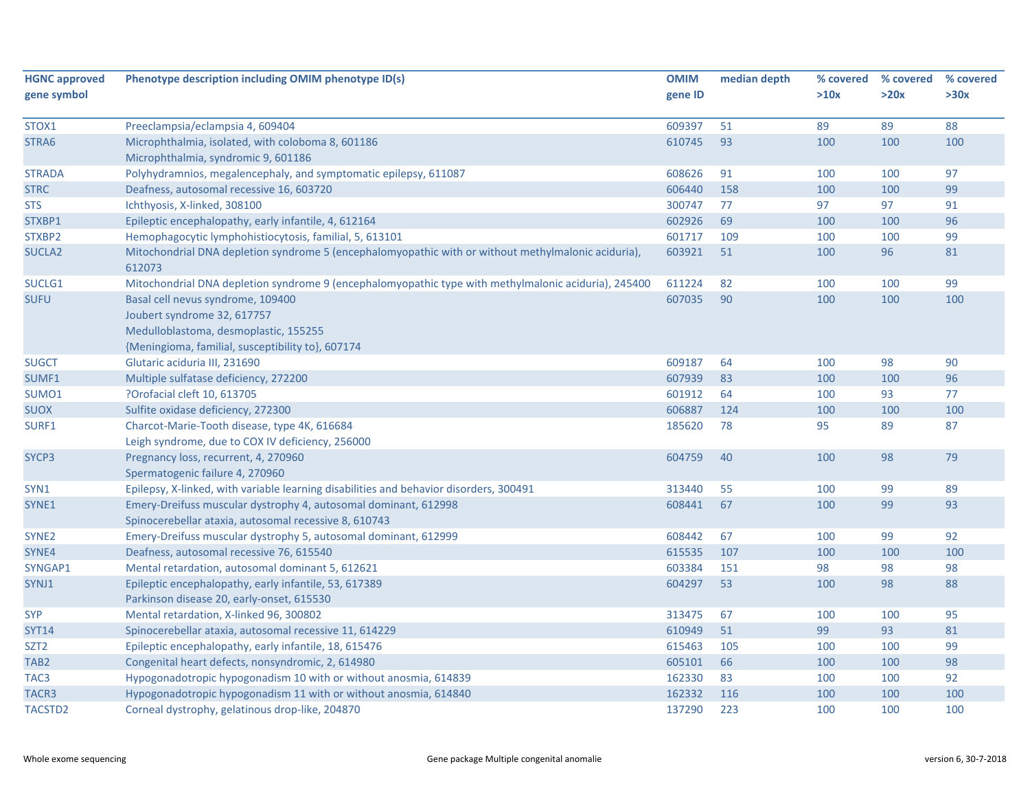| <b>HGNC approved</b> | Phenotype description including OMIM phenotype ID(s)                                                          | <b>OMIM</b> | median depth | % covered | % covered | % covered |
|----------------------|---------------------------------------------------------------------------------------------------------------|-------------|--------------|-----------|-----------|-----------|
| gene symbol          |                                                                                                               | gene ID     |              | >10x      | >20x      | >30x      |
| STOX1                | Preeclampsia/eclampsia 4, 609404                                                                              | 609397      | 51           | 89        | 89        | 88        |
| STRA6                | Microphthalmia, isolated, with coloboma 8, 601186                                                             | 610745      | 93           | 100       | 100       | 100       |
|                      | Microphthalmia, syndromic 9, 601186                                                                           |             |              |           |           |           |
| <b>STRADA</b>        | Polyhydramnios, megalencephaly, and symptomatic epilepsy, 611087                                              | 608626      | 91           | 100       | 100       | 97        |
| <b>STRC</b>          | Deafness, autosomal recessive 16, 603720                                                                      | 606440      | 158          | 100       | 100       | 99        |
| <b>STS</b>           | Ichthyosis, X-linked, 308100                                                                                  | 300747      | 77           | 97        | 97        | 91        |
| STXBP1               | Epileptic encephalopathy, early infantile, 4, 612164                                                          | 602926      | 69           | 100       | 100       | 96        |
| STXBP2               | Hemophagocytic lymphohistiocytosis, familial, 5, 613101                                                       | 601717      | 109          | 100       | 100       | 99        |
| <b>SUCLA2</b>        | Mitochondrial DNA depletion syndrome 5 (encephalomyopathic with or without methylmalonic aciduria),<br>612073 | 603921      | 51           | 100       | 96        | 81        |
| SUCLG1               | Mitochondrial DNA depletion syndrome 9 (encephalomyopathic type with methylmalonic aciduria), 245400          | 611224      | 82           | 100       | 100       | 99        |
| <b>SUFU</b>          | Basal cell nevus syndrome, 109400                                                                             | 607035      | 90           | 100       | 100       | 100       |
|                      | Joubert syndrome 32, 617757                                                                                   |             |              |           |           |           |
|                      | Medulloblastoma, desmoplastic, 155255                                                                         |             |              |           |           |           |
|                      | {Meningioma, familial, susceptibility to}, 607174                                                             |             |              |           |           |           |
| <b>SUGCT</b>         | Glutaric aciduria III, 231690                                                                                 | 609187      | 64           | 100       | 98        | 90        |
| SUMF1                | Multiple sulfatase deficiency, 272200                                                                         | 607939      | 83           | 100       | 100       | 96        |
| SUMO1                | ?Orofacial cleft 10, 613705                                                                                   | 601912      | 64           | 100       | 93        | 77        |
| <b>SUOX</b>          | Sulfite oxidase deficiency, 272300                                                                            | 606887      | 124          | 100       | 100       | 100       |
| SURF1                | Charcot-Marie-Tooth disease, type 4K, 616684                                                                  | 185620      | 78           | 95        | 89        | 87        |
|                      | Leigh syndrome, due to COX IV deficiency, 256000                                                              |             |              |           |           |           |
| SYCP3                | Pregnancy loss, recurrent, 4, 270960                                                                          | 604759      | 40           | 100       | 98        | 79        |
|                      | Spermatogenic failure 4, 270960                                                                               |             |              |           |           |           |
| SYN1                 | Epilepsy, X-linked, with variable learning disabilities and behavior disorders, 300491                        | 313440      | 55           | 100       | 99        | 89        |
| SYNE1                | Emery-Dreifuss muscular dystrophy 4, autosomal dominant, 612998                                               | 608441      | 67           | 100       | 99        | 93        |
|                      | Spinocerebellar ataxia, autosomal recessive 8, 610743                                                         |             |              |           |           |           |
| SYNE <sub>2</sub>    | Emery-Dreifuss muscular dystrophy 5, autosomal dominant, 612999                                               | 608442      | 67           | 100       | 99        | 92        |
| SYNE4                | Deafness, autosomal recessive 76, 615540                                                                      | 615535      | 107          | 100       | 100       | 100       |
| SYNGAP1              | Mental retardation, autosomal dominant 5, 612621                                                              | 603384      | 151          | 98        | 98        | 98        |
| SYNJ1                | Epileptic encephalopathy, early infantile, 53, 617389                                                         | 604297      | 53           | 100       | 98        | 88        |
|                      | Parkinson disease 20, early-onset, 615530                                                                     |             |              |           |           |           |
| <b>SYP</b>           | Mental retardation, X-linked 96, 300802                                                                       | 313475      | 67           | 100       | 100       | 95        |
| <b>SYT14</b>         | Spinocerebellar ataxia, autosomal recessive 11, 614229                                                        | 610949      | 51           | 99        | 93        | 81        |
| SZT2                 | Epileptic encephalopathy, early infantile, 18, 615476                                                         | 615463      | 105          | 100       | 100       | 99        |
| TAB <sub>2</sub>     | Congenital heart defects, nonsyndromic, 2, 614980                                                             | 605101      | 66           | 100       | 100       | 98        |
| TAC <sub>3</sub>     | Hypogonadotropic hypogonadism 10 with or without anosmia, 614839                                              | 162330      | 83           | 100       | 100       | 92        |
| TACR3                | Hypogonadotropic hypogonadism 11 with or without anosmia, 614840                                              | 162332      | 116          | 100       | 100       | 100       |
| <b>TACSTD2</b>       | Corneal dystrophy, gelatinous drop-like, 204870                                                               | 137290      | 223          | 100       | 100       | 100       |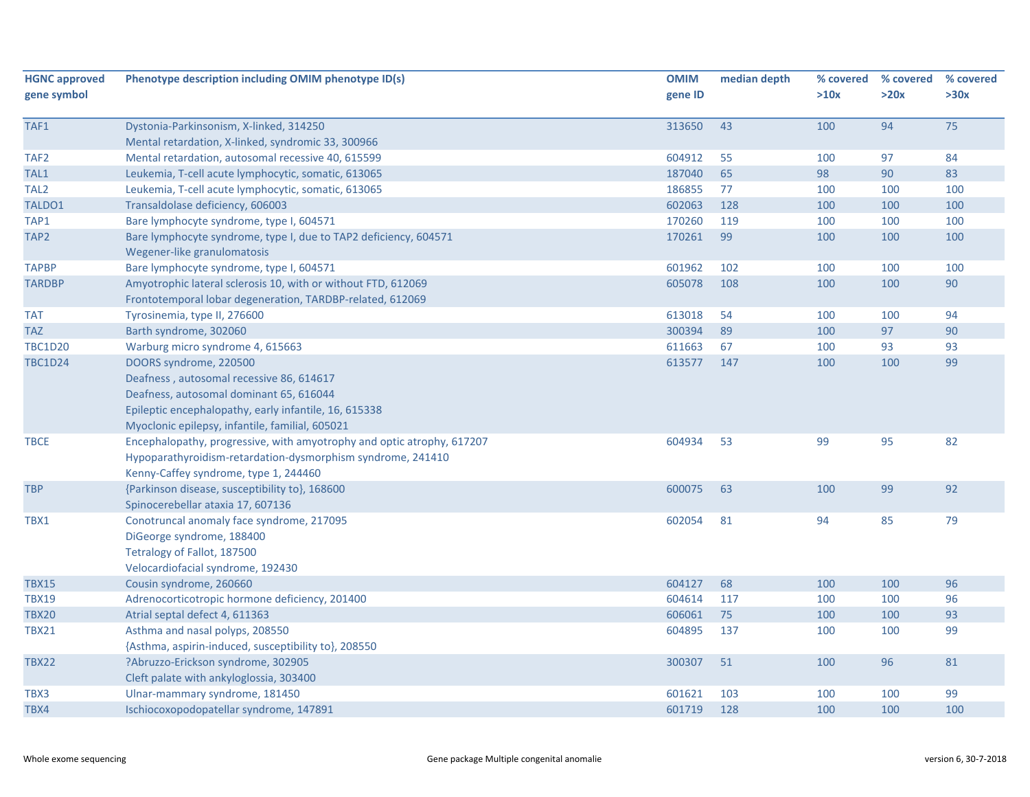| <b>HGNC approved</b><br>gene symbol | Phenotype description including OMIM phenotype ID(s)                   | <b>OMIM</b><br>gene ID | median depth | % covered<br>>10x | % covered<br>>20x | % covered<br>>30x |
|-------------------------------------|------------------------------------------------------------------------|------------------------|--------------|-------------------|-------------------|-------------------|
|                                     |                                                                        |                        |              |                   |                   |                   |
| TAF1                                | Dystonia-Parkinsonism, X-linked, 314250                                | 313650                 | 43           | 100               | 94                | 75                |
|                                     | Mental retardation, X-linked, syndromic 33, 300966                     |                        |              |                   |                   |                   |
| TAF <sub>2</sub>                    | Mental retardation, autosomal recessive 40, 615599                     | 604912                 | 55           | 100               | 97                | 84                |
| TAL1                                | Leukemia, T-cell acute lymphocytic, somatic, 613065                    | 187040                 | 65           | 98                | 90                | 83                |
| TAL <sub>2</sub>                    | Leukemia, T-cell acute lymphocytic, somatic, 613065                    | 186855                 | 77           | 100               | 100               | 100               |
| TALDO1                              | Transaldolase deficiency, 606003                                       | 602063                 | 128          | 100               | 100               | 100               |
| TAP1                                | Bare lymphocyte syndrome, type I, 604571                               | 170260                 | 119          | 100               | 100               | 100               |
| TAP <sub>2</sub>                    | Bare lymphocyte syndrome, type I, due to TAP2 deficiency, 604571       | 170261                 | 99           | 100               | 100               | 100               |
|                                     | Wegener-like granulomatosis                                            |                        |              |                   |                   |                   |
| <b>TAPBP</b>                        | Bare lymphocyte syndrome, type I, 604571                               | 601962                 | 102          | 100               | 100               | 100               |
| <b>TARDBP</b>                       | Amyotrophic lateral sclerosis 10, with or without FTD, 612069          | 605078                 | 108          | 100               | 100               | 90                |
|                                     | Frontotemporal lobar degeneration, TARDBP-related, 612069              |                        |              |                   |                   |                   |
| <b>TAT</b>                          | Tyrosinemia, type II, 276600                                           | 613018                 | 54           | 100               | 100               | 94                |
| <b>TAZ</b>                          | Barth syndrome, 302060                                                 | 300394                 | 89           | 100               | 97                | 90                |
| <b>TBC1D20</b>                      | Warburg micro syndrome 4, 615663                                       | 611663                 | 67           | 100               | 93                | 93                |
| <b>TBC1D24</b>                      | DOORS syndrome, 220500                                                 | 613577                 | 147          | 100               | 100               | 99                |
|                                     | Deafness, autosomal recessive 86, 614617                               |                        |              |                   |                   |                   |
|                                     | Deafness, autosomal dominant 65, 616044                                |                        |              |                   |                   |                   |
|                                     | Epileptic encephalopathy, early infantile, 16, 615338                  |                        |              |                   |                   |                   |
|                                     | Myoclonic epilepsy, infantile, familial, 605021                        |                        |              |                   |                   |                   |
| <b>TBCE</b>                         | Encephalopathy, progressive, with amyotrophy and optic atrophy, 617207 | 604934                 | 53           | 99                | 95                | 82                |
|                                     | Hypoparathyroidism-retardation-dysmorphism syndrome, 241410            |                        |              |                   |                   |                   |
|                                     | Kenny-Caffey syndrome, type 1, 244460                                  |                        |              |                   |                   |                   |
| <b>TBP</b>                          | {Parkinson disease, susceptibility to}, 168600                         | 600075                 | 63           | 100               | 99                | 92                |
|                                     | Spinocerebellar ataxia 17, 607136                                      |                        |              |                   |                   |                   |
| TBX1                                | Conotruncal anomaly face syndrome, 217095                              | 602054                 | 81           | 94                | 85                | 79                |
|                                     | DiGeorge syndrome, 188400                                              |                        |              |                   |                   |                   |
|                                     | Tetralogy of Fallot, 187500                                            |                        |              |                   |                   |                   |
|                                     | Velocardiofacial syndrome, 192430                                      |                        |              |                   |                   |                   |
| <b>TBX15</b>                        | Cousin syndrome, 260660                                                | 604127                 | 68           | 100               | 100               | 96                |
| <b>TBX19</b>                        | Adrenocorticotropic hormone deficiency, 201400                         | 604614                 | 117          | 100               | 100               | 96                |
| <b>TBX20</b>                        | Atrial septal defect 4, 611363                                         | 606061                 | 75           | 100               | 100               | 93                |
| <b>TBX21</b>                        | Asthma and nasal polyps, 208550                                        | 604895                 | 137          | 100               | 100               | 99                |
|                                     | {Asthma, aspirin-induced, susceptibility to}, 208550                   |                        |              |                   |                   |                   |
| <b>TBX22</b>                        | ?Abruzzo-Erickson syndrome, 302905                                     | 300307                 | 51           | 100               | 96                | 81                |
|                                     | Cleft palate with ankyloglossia, 303400                                |                        |              |                   |                   |                   |
| TBX3                                | Ulnar-mammary syndrome, 181450                                         | 601621                 | 103          | 100               | 100               | 99                |
| TBX4                                | Ischiocoxopodopatellar syndrome, 147891                                | 601719                 | 128          | 100               | 100               | 100               |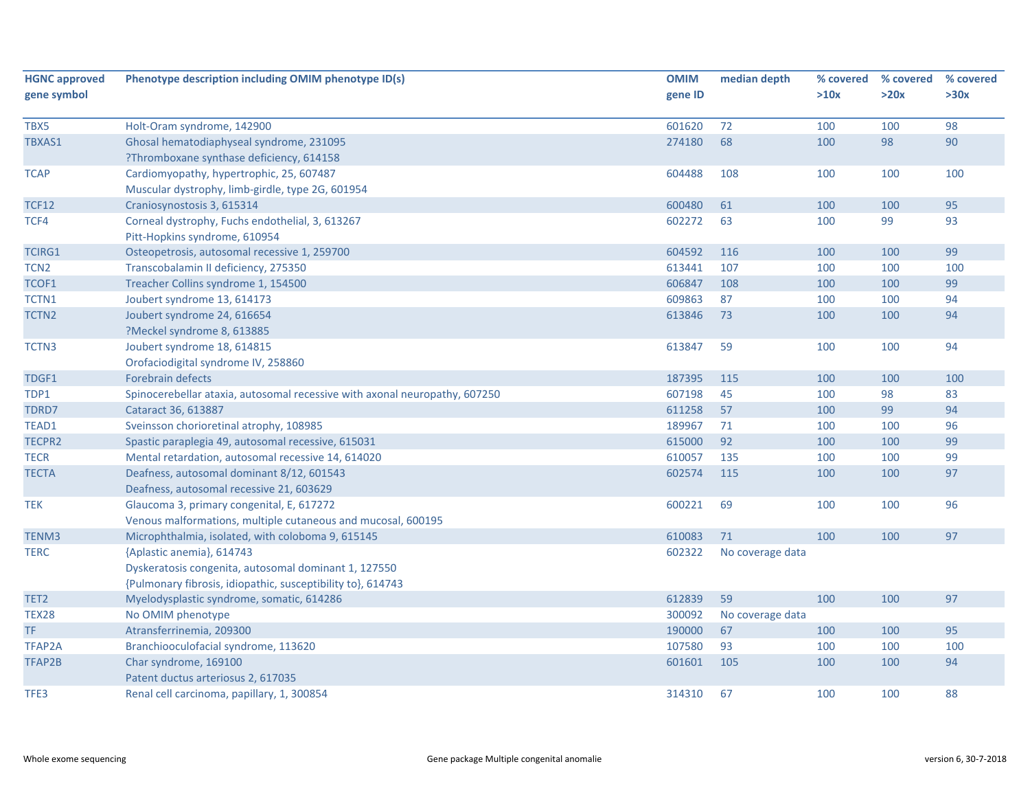| <b>HGNC approved</b> | Phenotype description including OMIM phenotype ID(s)                       | <b>OMIM</b> | median depth     | % covered | % covered | % covered |
|----------------------|----------------------------------------------------------------------------|-------------|------------------|-----------|-----------|-----------|
| gene symbol          |                                                                            | gene ID     |                  | >10x      | >20x      | >30x      |
|                      |                                                                            |             |                  |           |           |           |
| TBX5                 | Holt-Oram syndrome, 142900                                                 | 601620      | 72               | 100       | 100       | 98        |
| TBXAS1               | Ghosal hematodiaphyseal syndrome, 231095                                   | 274180      | 68               | 100       | 98        | 90        |
|                      | ?Thromboxane synthase deficiency, 614158                                   |             |                  |           |           |           |
| <b>TCAP</b>          | Cardiomyopathy, hypertrophic, 25, 607487                                   | 604488      | 108              | 100       | 100       | 100       |
|                      | Muscular dystrophy, limb-girdle, type 2G, 601954                           |             |                  |           |           |           |
| <b>TCF12</b>         | Craniosynostosis 3, 615314                                                 | 600480      | 61               | 100       | 100       | 95        |
| TCF4                 | Corneal dystrophy, Fuchs endothelial, 3, 613267                            | 602272      | 63               | 100       | 99        | 93        |
|                      | Pitt-Hopkins syndrome, 610954                                              |             |                  |           |           |           |
| TCIRG1               | Osteopetrosis, autosomal recessive 1, 259700                               | 604592      | 116              | 100       | 100       | 99        |
| TCN <sub>2</sub>     | Transcobalamin II deficiency, 275350                                       | 613441      | 107              | 100       | 100       | 100       |
| TCOF1                | Treacher Collins syndrome 1, 154500                                        | 606847      | 108              | 100       | 100       | 99        |
| TCTN1                | Joubert syndrome 13, 614173                                                | 609863      | 87               | 100       | 100       | 94        |
| TCTN2                | Joubert syndrome 24, 616654                                                | 613846      | 73               | 100       | 100       | 94        |
|                      | ?Meckel syndrome 8, 613885                                                 |             |                  |           |           |           |
| TCTN3                | Joubert syndrome 18, 614815                                                | 613847      | 59               | 100       | 100       | 94        |
|                      | Orofaciodigital syndrome IV, 258860                                        |             |                  |           |           |           |
| TDGF1                | Forebrain defects                                                          | 187395      | 115              | 100       | 100       | 100       |
| TDP1                 | Spinocerebellar ataxia, autosomal recessive with axonal neuropathy, 607250 | 607198      | 45               | 100       | 98        | 83        |
| TDRD7                | Cataract 36, 613887                                                        | 611258      | 57               | 100       | 99        | 94        |
| TEAD1                | Sveinsson chorioretinal atrophy, 108985                                    | 189967      | 71               | 100       | 100       | 96        |
| TECPR2               | Spastic paraplegia 49, autosomal recessive, 615031                         | 615000      | 92               | 100       | 100       | 99        |
| <b>TECR</b>          | Mental retardation, autosomal recessive 14, 614020                         | 610057      | 135              | 100       | 100       | 99        |
| <b>TECTA</b>         | Deafness, autosomal dominant 8/12, 601543                                  | 602574      | 115              | 100       | 100       | 97        |
|                      | Deafness, autosomal recessive 21, 603629                                   |             |                  |           |           |           |
| <b>TEK</b>           | Glaucoma 3, primary congenital, E, 617272                                  | 600221      | 69               | 100       | 100       | 96        |
|                      | Venous malformations, multiple cutaneous and mucosal, 600195               |             |                  |           |           |           |
| TENM3                | Microphthalmia, isolated, with coloboma 9, 615145                          | 610083      | 71               | 100       | 100       | 97        |
| <b>TERC</b>          | {Aplastic anemia}, 614743                                                  | 602322      | No coverage data |           |           |           |
|                      | Dyskeratosis congenita, autosomal dominant 1, 127550                       |             |                  |           |           |           |
|                      | {Pulmonary fibrosis, idiopathic, susceptibility to}, 614743                |             |                  |           |           |           |
| TET2                 | Myelodysplastic syndrome, somatic, 614286                                  | 612839      | 59               | 100       | 100       | 97        |
| <b>TEX28</b>         | No OMIM phenotype                                                          | 300092      | No coverage data |           |           |           |
| TF                   | Atransferrinemia, 209300                                                   | 190000      | 67               | 100       | 100       | 95        |
| TFAP2A               | Branchiooculofacial syndrome, 113620                                       | 107580      | 93               | 100       | 100       | 100       |
| TFAP2B               | Char syndrome, 169100                                                      | 601601      | 105              | 100       | 100       | 94        |
|                      | Patent ductus arteriosus 2, 617035                                         |             |                  |           |           |           |
| TFE3                 | Renal cell carcinoma, papillary, 1, 300854                                 | 314310      | 67               | 100       | 100       | 88        |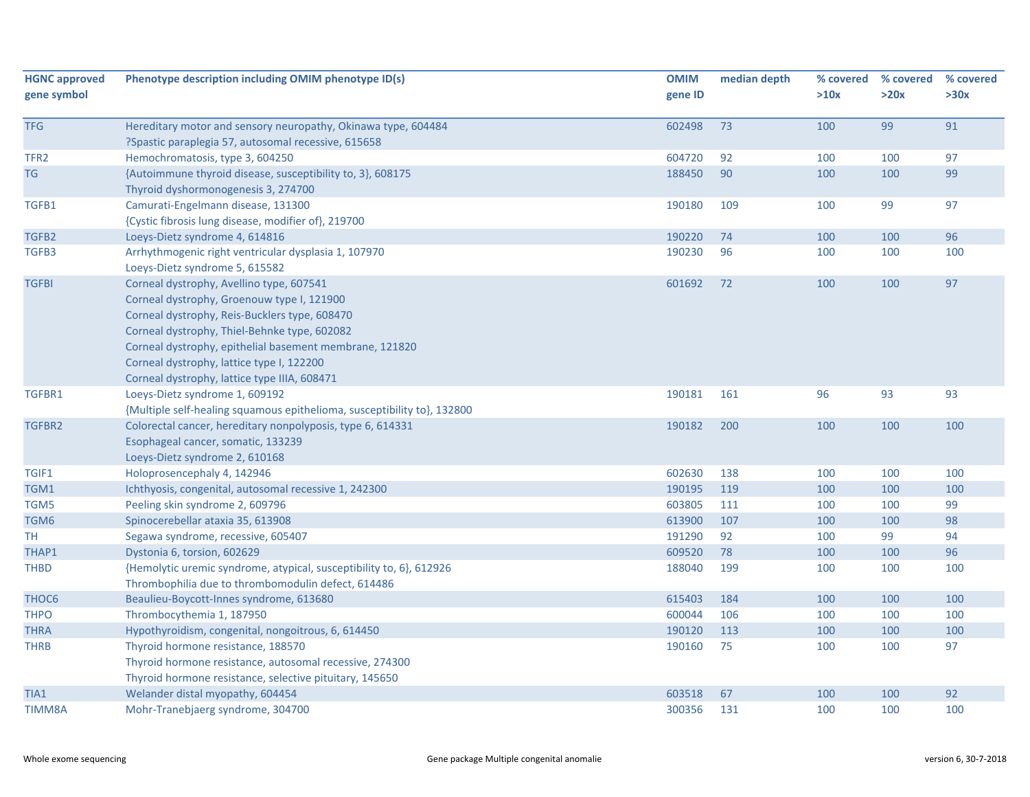| <b>HGNC approved</b><br>gene symbol | Phenotype description including OMIM phenotype ID(s)                                                                                                                                                                                                                                                                                            | <b>OMIM</b><br>gene ID | median depth | % covered<br>>10x | % covered<br>>20x | % covered<br>>30x |
|-------------------------------------|-------------------------------------------------------------------------------------------------------------------------------------------------------------------------------------------------------------------------------------------------------------------------------------------------------------------------------------------------|------------------------|--------------|-------------------|-------------------|-------------------|
| <b>TFG</b>                          | Hereditary motor and sensory neuropathy, Okinawa type, 604484<br>?Spastic paraplegia 57, autosomal recessive, 615658                                                                                                                                                                                                                            | 602498                 | 73           | 100               | 99                | 91                |
| TFR <sub>2</sub>                    | Hemochromatosis, type 3, 604250                                                                                                                                                                                                                                                                                                                 | 604720                 | 92           | 100               | 100               | 97                |
| <b>TG</b>                           | {Autoimmune thyroid disease, susceptibility to, 3}, 608175<br>Thyroid dyshormonogenesis 3, 274700                                                                                                                                                                                                                                               | 188450                 | 90           | 100               | 100               | 99                |
| TGFB1                               | Camurati-Engelmann disease, 131300<br>{Cystic fibrosis lung disease, modifier of}, 219700                                                                                                                                                                                                                                                       | 190180                 | 109          | 100               | 99                | 97                |
| TGFB2                               | Loeys-Dietz syndrome 4, 614816                                                                                                                                                                                                                                                                                                                  | 190220                 | 74           | 100               | 100               | 96                |
| TGFB3                               | Arrhythmogenic right ventricular dysplasia 1, 107970<br>Loeys-Dietz syndrome 5, 615582                                                                                                                                                                                                                                                          | 190230                 | 96           | 100               | 100               | 100               |
| <b>TGFBI</b>                        | Corneal dystrophy, Avellino type, 607541<br>Corneal dystrophy, Groenouw type I, 121900<br>Corneal dystrophy, Reis-Bucklers type, 608470<br>Corneal dystrophy, Thiel-Behnke type, 602082<br>Corneal dystrophy, epithelial basement membrane, 121820<br>Corneal dystrophy, lattice type I, 122200<br>Corneal dystrophy, lattice type IIIA, 608471 | 601692                 | 72           | 100               | 100               | 97                |
| TGFBR1                              | Loeys-Dietz syndrome 1, 609192<br>{Multiple self-healing squamous epithelioma, susceptibility to}, 132800                                                                                                                                                                                                                                       | 190181                 | 161          | 96                | 93                | 93                |
| TGFBR2                              | Colorectal cancer, hereditary nonpolyposis, type 6, 614331<br>Esophageal cancer, somatic, 133239<br>Loeys-Dietz syndrome 2, 610168                                                                                                                                                                                                              | 190182                 | 200          | 100               | 100               | 100               |
| TGIF1                               | Holoprosencephaly 4, 142946                                                                                                                                                                                                                                                                                                                     | 602630                 | 138          | 100               | 100               | 100               |
| TGM1                                | Ichthyosis, congenital, autosomal recessive 1, 242300                                                                                                                                                                                                                                                                                           | 190195                 | 119          | 100               | 100               | 100               |
| TGM5                                | Peeling skin syndrome 2, 609796                                                                                                                                                                                                                                                                                                                 | 603805                 | 111          | 100               | 100               | 99                |
| TGM6                                | Spinocerebellar ataxia 35, 613908                                                                                                                                                                                                                                                                                                               | 613900                 | 107          | 100               | 100               | 98                |
| TH                                  | Segawa syndrome, recessive, 605407                                                                                                                                                                                                                                                                                                              | 191290                 | 92           | 100               | 99                | 94                |
| THAP1                               | Dystonia 6, torsion, 602629                                                                                                                                                                                                                                                                                                                     | 609520                 | 78           | 100               | 100               | 96                |
| <b>THBD</b>                         | {Hemolytic uremic syndrome, atypical, susceptibility to, 6}, 612926<br>Thrombophilia due to thrombomodulin defect, 614486                                                                                                                                                                                                                       | 188040                 | 199          | 100               | 100               | 100               |
| THOC <sub>6</sub>                   | Beaulieu-Boycott-Innes syndrome, 613680                                                                                                                                                                                                                                                                                                         | 615403                 | 184          | 100               | 100               | 100               |
| <b>THPO</b>                         | Thrombocythemia 1, 187950                                                                                                                                                                                                                                                                                                                       | 600044                 | 106          | 100               | 100               | 100               |
| <b>THRA</b>                         | Hypothyroidism, congenital, nongoitrous, 6, 614450                                                                                                                                                                                                                                                                                              | 190120                 | 113          | 100               | 100               | 100               |
| <b>THRB</b>                         | Thyroid hormone resistance, 188570<br>Thyroid hormone resistance, autosomal recessive, 274300<br>Thyroid hormone resistance, selective pituitary, 145650                                                                                                                                                                                        | 190160                 | 75           | 100               | 100               | 97                |
| TIA1                                | Welander distal myopathy, 604454                                                                                                                                                                                                                                                                                                                | 603518                 | 67           | 100               | 100               | 92                |
| <b>TIMM8A</b>                       | Mohr-Tranebjaerg syndrome, 304700                                                                                                                                                                                                                                                                                                               | 300356                 | 131          | 100               | 100               | 100               |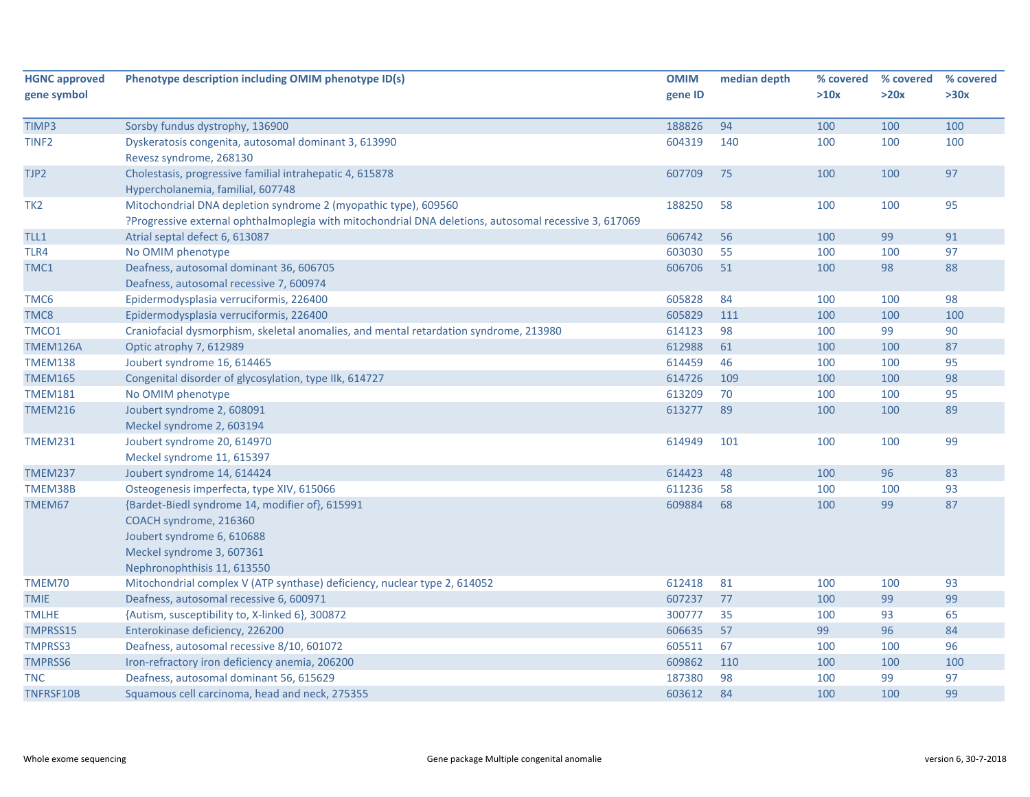| <b>HGNC approved</b> | Phenotype description including OMIM phenotype ID(s)                                                                                                                    | <b>OMIM</b> | median depth | % covered | % covered | % covered |
|----------------------|-------------------------------------------------------------------------------------------------------------------------------------------------------------------------|-------------|--------------|-----------|-----------|-----------|
| gene symbol          |                                                                                                                                                                         | gene ID     |              | >10x      | >20x      | >30x      |
| TIMP3                | Sorsby fundus dystrophy, 136900                                                                                                                                         | 188826      | 94           | 100       | 100       | 100       |
| TINF <sub>2</sub>    | Dyskeratosis congenita, autosomal dominant 3, 613990<br>Revesz syndrome, 268130                                                                                         | 604319      | 140          | 100       | 100       | 100       |
| TJP2                 | Cholestasis, progressive familial intrahepatic 4, 615878<br>Hypercholanemia, familial, 607748                                                                           | 607709      | 75           | 100       | 100       | 97        |
| TK <sub>2</sub>      | Mitochondrial DNA depletion syndrome 2 (myopathic type), 609560<br>Progressive external ophthalmoplegia with mitochondrial DNA deletions, autosomal recessive 3, 617069 | 188250      | 58           | 100       | 100       | 95        |
| TLL1                 | Atrial septal defect 6, 613087                                                                                                                                          | 606742      | 56           | 100       | 99        | 91        |
| TLR4                 | No OMIM phenotype                                                                                                                                                       | 603030      | 55           | 100       | 100       | 97        |
| TMC1                 | Deafness, autosomal dominant 36, 606705<br>Deafness, autosomal recessive 7, 600974                                                                                      | 606706      | 51           | 100       | 98        | 88        |
| TMC6                 | Epidermodysplasia verruciformis, 226400                                                                                                                                 | 605828      | 84           | 100       | 100       | 98        |
| TMC8                 | Epidermodysplasia verruciformis, 226400                                                                                                                                 | 605829      | 111          | 100       | 100       | 100       |
| TMCO1                | Craniofacial dysmorphism, skeletal anomalies, and mental retardation syndrome, 213980                                                                                   | 614123      | 98           | 100       | 99        | 90        |
| TMEM126A             | Optic atrophy 7, 612989                                                                                                                                                 | 612988      | 61           | 100       | 100       | 87        |
| <b>TMEM138</b>       | Joubert syndrome 16, 614465                                                                                                                                             | 614459      | 46           | 100       | 100       | 95        |
| <b>TMEM165</b>       | Congenital disorder of glycosylation, type IIk, 614727                                                                                                                  | 614726      | 109          | 100       | 100       | 98        |
| <b>TMEM181</b>       | No OMIM phenotype                                                                                                                                                       | 613209      | 70           | 100       | 100       | 95        |
| <b>TMEM216</b>       | Joubert syndrome 2, 608091                                                                                                                                              | 613277      | 89           | 100       | 100       | 89        |
|                      | Meckel syndrome 2, 603194                                                                                                                                               |             |              |           |           |           |
| <b>TMEM231</b>       | Joubert syndrome 20, 614970<br>Meckel syndrome 11, 615397                                                                                                               | 614949      | 101          | 100       | 100       | 99        |
| TMEM237              | Joubert syndrome 14, 614424                                                                                                                                             | 614423      | 48           | 100       | 96        | 83        |
| TMEM38B              | Osteogenesis imperfecta, type XIV, 615066                                                                                                                               | 611236      | 58           | 100       | 100       | 93        |
| TMEM67               | {Bardet-Biedl syndrome 14, modifier of}, 615991<br>COACH syndrome, 216360<br>Joubert syndrome 6, 610688<br>Meckel syndrome 3, 607361<br>Nephronophthisis 11, 613550     | 609884      | 68           | 100       | 99        | 87        |
| TMEM70               | Mitochondrial complex V (ATP synthase) deficiency, nuclear type 2, 614052                                                                                               | 612418      | 81           | 100       | 100       | 93        |
| <b>TMIE</b>          | Deafness, autosomal recessive 6, 600971                                                                                                                                 | 607237      | 77           | 100       | 99        | 99        |
| <b>TMLHE</b>         | {Autism, susceptibility to, X-linked 6}, 300872                                                                                                                         | 300777      | 35           | 100       | 93        | 65        |
| TMPRSS15             | Enterokinase deficiency, 226200                                                                                                                                         | 606635      | 57           | 99        | 96        | 84        |
| <b>TMPRSS3</b>       | Deafness, autosomal recessive 8/10, 601072                                                                                                                              | 605511      | 67           | 100       | 100       | 96        |
| <b>TMPRSS6</b>       | Iron-refractory iron deficiency anemia, 206200                                                                                                                          | 609862      | 110          | 100       | 100       | 100       |
| <b>TNC</b>           | Deafness, autosomal dominant 56, 615629                                                                                                                                 | 187380      | 98           | 100       | 99        | 97        |
| TNFRSF10B            | Squamous cell carcinoma, head and neck, 275355                                                                                                                          | 603612      | 84           | 100       | 100       | 99        |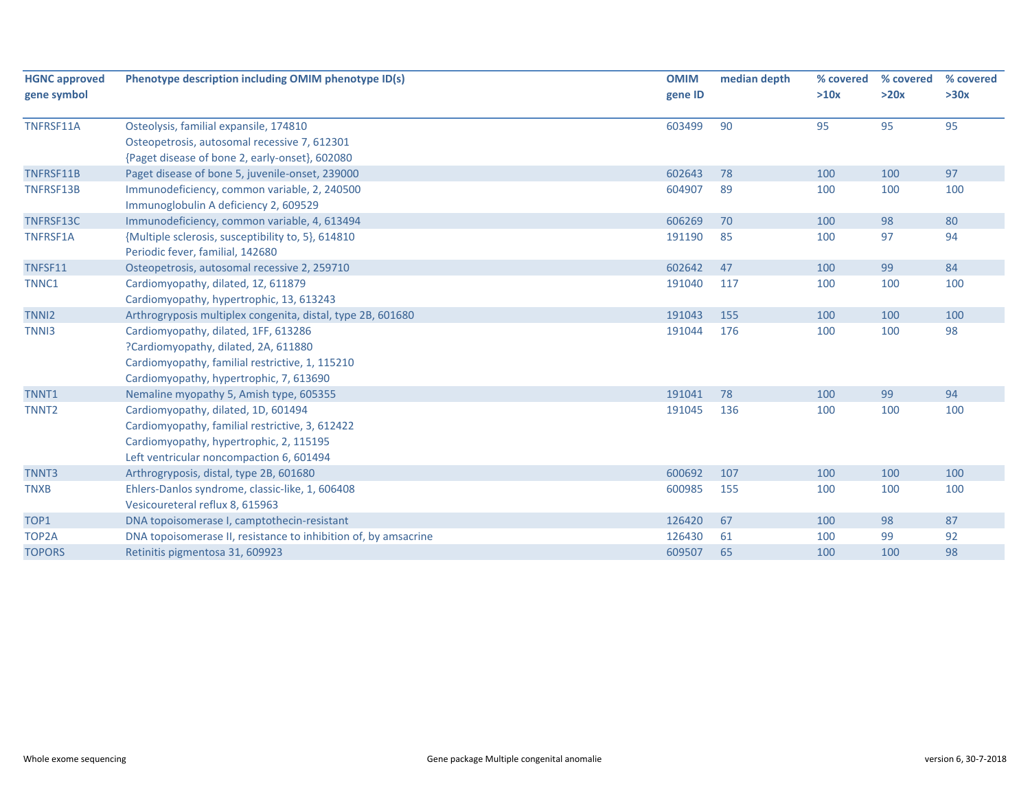| <b>HGNC approved</b> | Phenotype description including OMIM phenotype ID(s)            | <b>OMIM</b> | median depth | % covered | % covered | % covered |
|----------------------|-----------------------------------------------------------------|-------------|--------------|-----------|-----------|-----------|
| gene symbol          |                                                                 | gene ID     |              | >10x      | >20x      | >30x      |
| TNFRSF11A            | Osteolysis, familial expansile, 174810                          | 603499      | 90           | 95        | 95        | 95        |
|                      | Osteopetrosis, autosomal recessive 7, 612301                    |             |              |           |           |           |
|                      | {Paget disease of bone 2, early-onset}, 602080                  |             |              |           |           |           |
| TNFRSF11B            | Paget disease of bone 5, juvenile-onset, 239000                 | 602643      | 78           | 100       | 100       | 97        |
| TNFRSF13B            | Immunodeficiency, common variable, 2, 240500                    | 604907      | 89           | 100       | 100       | 100       |
|                      | Immunoglobulin A deficiency 2, 609529                           |             |              |           |           |           |
| TNFRSF13C            | Immunodeficiency, common variable, 4, 613494                    | 606269      | 70           | 100       | 98        | 80        |
| TNFRSF1A             | {Multiple sclerosis, susceptibility to, 5}, 614810              | 191190      | 85           | 100       | 97        | 94        |
|                      | Periodic fever, familial, 142680                                |             |              |           |           |           |
| TNFSF11              | Osteopetrosis, autosomal recessive 2, 259710                    | 602642      | 47           | 100       | 99        | 84        |
| TNNC1                | Cardiomyopathy, dilated, 1Z, 611879                             | 191040      | 117          | 100       | 100       | 100       |
|                      | Cardiomyopathy, hypertrophic, 13, 613243                        |             |              |           |           |           |
| TNN <sub>12</sub>    | Arthrogryposis multiplex congenita, distal, type 2B, 601680     | 191043      | 155          | 100       | 100       | 100       |
| TNN <sub>13</sub>    | Cardiomyopathy, dilated, 1FF, 613286                            | 191044      | 176          | 100       | 100       | 98        |
|                      | ?Cardiomyopathy, dilated, 2A, 611880                            |             |              |           |           |           |
|                      | Cardiomyopathy, familial restrictive, 1, 115210                 |             |              |           |           |           |
|                      | Cardiomyopathy, hypertrophic, 7, 613690                         |             |              |           |           |           |
| TNNT1                | Nemaline myopathy 5, Amish type, 605355                         | 191041      | 78           | 100       | 99        | 94        |
| TNNT <sub>2</sub>    | Cardiomyopathy, dilated, 1D, 601494                             | 191045      | 136          | 100       | 100       | 100       |
|                      | Cardiomyopathy, familial restrictive, 3, 612422                 |             |              |           |           |           |
|                      | Cardiomyopathy, hypertrophic, 2, 115195                         |             |              |           |           |           |
|                      | Left ventricular noncompaction 6, 601494                        |             |              |           |           |           |
| TNNT3                | Arthrogryposis, distal, type 2B, 601680                         | 600692      | 107          | 100       | 100       | 100       |
| <b>TNXB</b>          | Ehlers-Danlos syndrome, classic-like, 1, 606408                 | 600985      | 155          | 100       | 100       | 100       |
|                      | Vesicoureteral reflux 8, 615963                                 |             |              |           |           |           |
| TOP1                 | DNA topoisomerase I, camptothecin-resistant                     | 126420      | 67           | 100       | 98        | 87        |
| TOP2A                | DNA topoisomerase II, resistance to inhibition of, by amsacrine | 126430      | 61           | 100       | 99        | 92        |
| <b>TOPORS</b>        | Retinitis pigmentosa 31, 609923                                 | 609507      | 65           | 100       | 100       | 98        |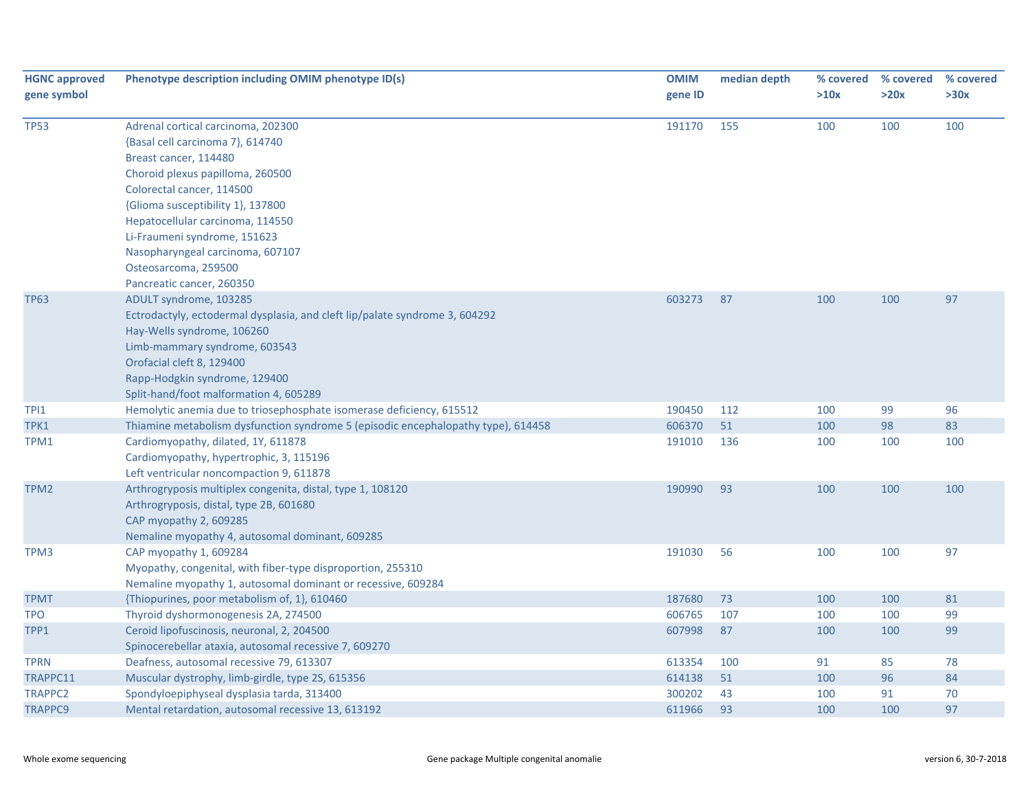| <b>HGNC approved</b><br>gene symbol | Phenotype description including OMIM phenotype ID(s)                                                                                                                                                                                                                                                                                  | <b>OMIM</b><br>gene ID | median depth | % covered<br>>10x | % covered<br>>20x | % covered<br>>30x |
|-------------------------------------|---------------------------------------------------------------------------------------------------------------------------------------------------------------------------------------------------------------------------------------------------------------------------------------------------------------------------------------|------------------------|--------------|-------------------|-------------------|-------------------|
| <b>TP53</b>                         | Adrenal cortical carcinoma, 202300<br>{Basal cell carcinoma 7}, 614740<br>Breast cancer, 114480<br>Choroid plexus papilloma, 260500<br>Colorectal cancer, 114500<br>{Glioma susceptibility 1}, 137800<br>Hepatocellular carcinoma, 114550<br>Li-Fraumeni syndrome, 151623<br>Nasopharyngeal carcinoma, 607107<br>Osteosarcoma, 259500 | 191170                 | 155          | 100               | 100               | 100               |
| <b>TP63</b>                         | Pancreatic cancer, 260350<br>ADULT syndrome, 103285<br>Ectrodactyly, ectodermal dysplasia, and cleft lip/palate syndrome 3, 604292<br>Hay-Wells syndrome, 106260<br>Limb-mammary syndrome, 603543<br>Orofacial cleft 8, 129400<br>Rapp-Hodgkin syndrome, 129400<br>Split-hand/foot malformation 4, 605289                             | 603273                 | 87           | 100               | 100               | 97                |
| TPI1                                | Hemolytic anemia due to triosephosphate isomerase deficiency, 615512                                                                                                                                                                                                                                                                  | 190450                 | 112          | 100               | 99                | 96                |
| TPK1                                | Thiamine metabolism dysfunction syndrome 5 (episodic encephalopathy type), 614458                                                                                                                                                                                                                                                     | 606370                 | 51           | 100               | 98                | 83                |
| TPM1                                | Cardiomyopathy, dilated, 1Y, 611878<br>Cardiomyopathy, hypertrophic, 3, 115196<br>Left ventricular noncompaction 9, 611878                                                                                                                                                                                                            | 191010                 | 136          | 100               | 100               | 100               |
| TPM2                                | Arthrogryposis multiplex congenita, distal, type 1, 108120<br>Arthrogryposis, distal, type 2B, 601680<br>CAP myopathy 2, 609285<br>Nemaline myopathy 4, autosomal dominant, 609285                                                                                                                                                    | 190990                 | 93           | 100               | 100               | 100               |
| TPM3                                | CAP myopathy 1, 609284<br>Myopathy, congenital, with fiber-type disproportion, 255310<br>Nemaline myopathy 1, autosomal dominant or recessive, 609284                                                                                                                                                                                 | 191030                 | 56           | 100               | 100               | 97                |
| <b>TPMT</b>                         | {Thiopurines, poor metabolism of, 1}, 610460                                                                                                                                                                                                                                                                                          | 187680                 | 73           | 100               | 100               | 81                |
| <b>TPO</b>                          | Thyroid dyshormonogenesis 2A, 274500                                                                                                                                                                                                                                                                                                  | 606765                 | 107          | 100               | 100               | 99                |
| TPP1                                | Ceroid lipofuscinosis, neuronal, 2, 204500<br>Spinocerebellar ataxia, autosomal recessive 7, 609270                                                                                                                                                                                                                                   | 607998                 | 87           | 100               | 100               | 99                |
| <b>TPRN</b>                         | Deafness, autosomal recessive 79, 613307                                                                                                                                                                                                                                                                                              | 613354                 | 100          | 91                | 85                | 78                |
| TRAPPC11                            | Muscular dystrophy, limb-girdle, type 2S, 615356                                                                                                                                                                                                                                                                                      | 614138                 | 51           | 100               | 96                | 84                |
| <b>TRAPPC2</b>                      | Spondyloepiphyseal dysplasia tarda, 313400                                                                                                                                                                                                                                                                                            | 300202                 | 43           | 100               | 91                | 70                |
| <b>TRAPPC9</b>                      | Mental retardation, autosomal recessive 13, 613192                                                                                                                                                                                                                                                                                    | 611966                 | 93           | 100               | 100               | 97                |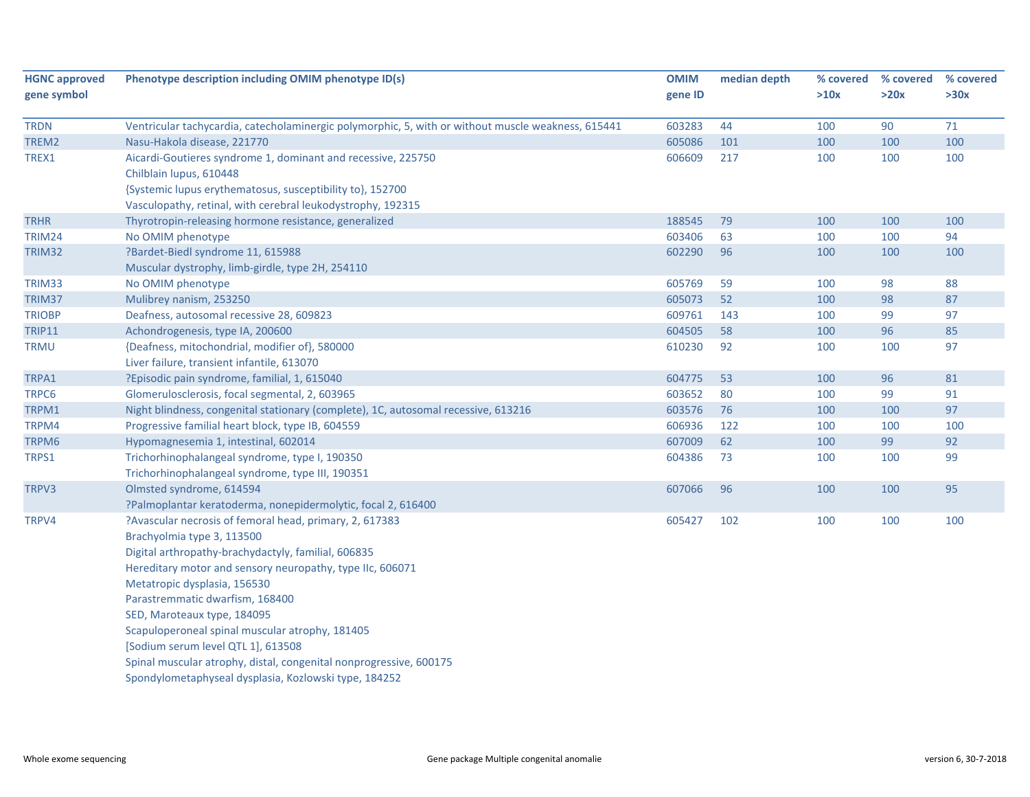| <b>HGNC approved</b> | Phenotype description including OMIM phenotype ID(s)                                               | <b>OMIM</b> | median depth | % covered | % covered | % covered |
|----------------------|----------------------------------------------------------------------------------------------------|-------------|--------------|-----------|-----------|-----------|
| gene symbol          |                                                                                                    | gene ID     |              | >10x      | >20x      | >30x      |
| <b>TRDN</b>          | Ventricular tachycardia, catecholaminergic polymorphic, 5, with or without muscle weakness, 615441 | 603283      | 44           | 100       | 90        | 71        |
| TREM2                | Nasu-Hakola disease, 221770                                                                        | 605086      | 101          | 100       | 100       | 100       |
| TREX1                | Aicardi-Goutieres syndrome 1, dominant and recessive, 225750                                       | 606609      | 217          | 100       | 100       | 100       |
|                      | Chilblain lupus, 610448                                                                            |             |              |           |           |           |
|                      | {Systemic lupus erythematosus, susceptibility to}, 152700                                          |             |              |           |           |           |
|                      | Vasculopathy, retinal, with cerebral leukodystrophy, 192315                                        |             |              |           |           |           |
| <b>TRHR</b>          | Thyrotropin-releasing hormone resistance, generalized                                              | 188545      | 79           | 100       | 100       | 100       |
| <b>TRIM24</b>        | No OMIM phenotype                                                                                  | 603406      | 63           | 100       | 100       | 94        |
| TRIM32               | ?Bardet-Biedl syndrome 11, 615988                                                                  | 602290      | 96           | 100       | 100       | 100       |
|                      | Muscular dystrophy, limb-girdle, type 2H, 254110                                                   |             |              |           |           |           |
| TRIM33               | No OMIM phenotype                                                                                  | 605769      | 59           | 100       | 98        | 88        |
| TRIM37               | Mulibrey nanism, 253250                                                                            | 605073      | 52           | 100       | 98        | 87        |
| <b>TRIOBP</b>        | Deafness, autosomal recessive 28, 609823                                                           | 609761      | 143          | 100       | 99        | 97        |
| <b>TRIP11</b>        | Achondrogenesis, type IA, 200600                                                                   | 604505      | 58           | 100       | 96        | 85        |
| <b>TRMU</b>          | {Deafness, mitochondrial, modifier of}, 580000                                                     | 610230      | 92           | 100       | 100       | 97        |
|                      | Liver failure, transient infantile, 613070                                                         |             |              |           |           |           |
| TRPA1                | ?Episodic pain syndrome, familial, 1, 615040                                                       | 604775      | 53           | 100       | 96        | 81        |
| TRPC6                | Glomerulosclerosis, focal segmental, 2, 603965                                                     | 603652      | 80           | 100       | 99        | 91        |
| TRPM1                | Night blindness, congenital stationary (complete), 1C, autosomal recessive, 613216                 | 603576      | 76           | 100       | 100       | 97        |
| TRPM4                | Progressive familial heart block, type IB, 604559                                                  | 606936      | 122          | 100       | 100       | 100       |
| TRPM6                | Hypomagnesemia 1, intestinal, 602014                                                               | 607009      | 62           | 100       | 99        | 92        |
| TRPS1                | Trichorhinophalangeal syndrome, type I, 190350                                                     | 604386      | 73           | 100       | 100       | 99        |
|                      | Trichorhinophalangeal syndrome, type III, 190351                                                   |             |              |           |           |           |
| TRPV3                | Olmsted syndrome, 614594                                                                           | 607066      | 96           | 100       | 100       | 95        |
|                      | ?Palmoplantar keratoderma, nonepidermolytic, focal 2, 616400                                       |             |              |           |           |           |
| TRPV4                | ?Avascular necrosis of femoral head, primary, 2, 617383                                            | 605427      | 102          | 100       | 100       | 100       |
|                      | Brachyolmia type 3, 113500                                                                         |             |              |           |           |           |
|                      | Digital arthropathy-brachydactyly, familial, 606835                                                |             |              |           |           |           |
|                      | Hereditary motor and sensory neuropathy, type IIc, 606071                                          |             |              |           |           |           |
|                      | Metatropic dysplasia, 156530                                                                       |             |              |           |           |           |
|                      | Parastremmatic dwarfism, 168400                                                                    |             |              |           |           |           |
|                      | SED, Maroteaux type, 184095                                                                        |             |              |           |           |           |
|                      | Scapuloperoneal spinal muscular atrophy, 181405                                                    |             |              |           |           |           |
|                      | [Sodium serum level QTL 1], 613508                                                                 |             |              |           |           |           |
|                      | Spinal muscular atrophy, distal, congenital nonprogressive, 600175                                 |             |              |           |           |           |
|                      | Spondylometaphyseal dysplasia, Kozlowski type, 184252                                              |             |              |           |           |           |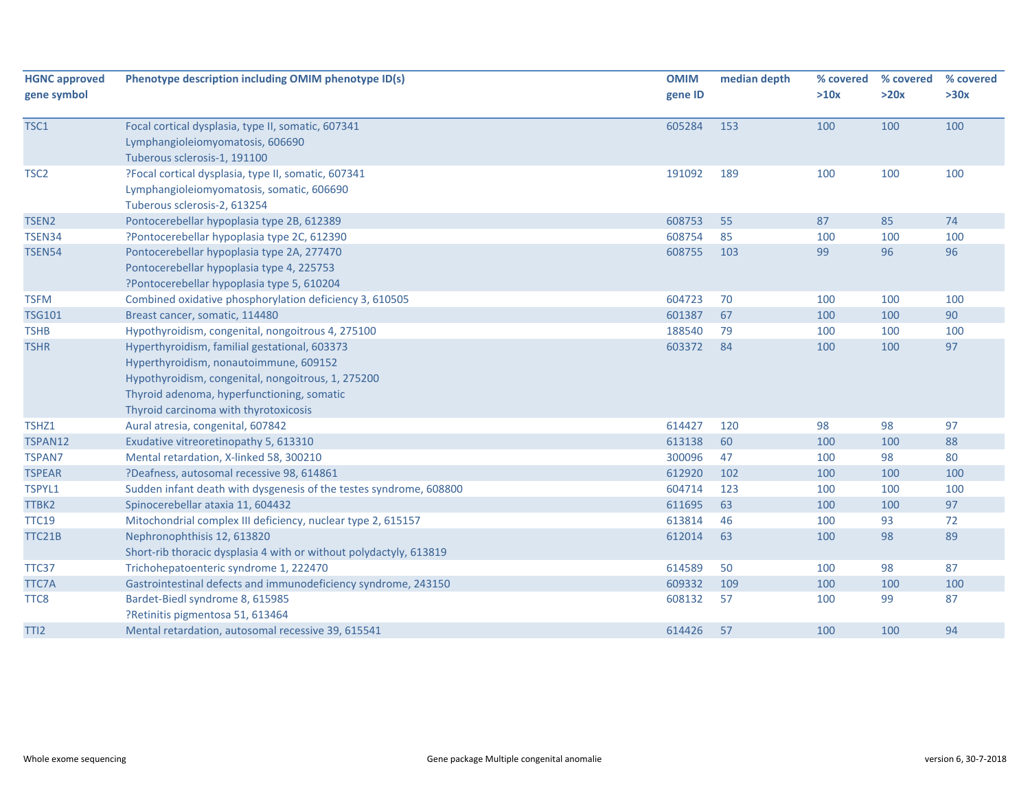| <b>HGNC approved</b> | Phenotype description including OMIM phenotype ID(s)               | <b>OMIM</b> | median depth | % covered | % covered | % covered |
|----------------------|--------------------------------------------------------------------|-------------|--------------|-----------|-----------|-----------|
| gene symbol          |                                                                    | gene ID     |              | >10x      | >20x      | >30x      |
| TSC1                 | Focal cortical dysplasia, type II, somatic, 607341                 | 605284      | 153          | 100       | 100       | 100       |
|                      | Lymphangioleiomyomatosis, 606690                                   |             |              |           |           |           |
|                      | Tuberous sclerosis-1, 191100                                       |             |              |           |           |           |
| TSC <sub>2</sub>     | ?Focal cortical dysplasia, type II, somatic, 607341                | 191092      | 189          | 100       | 100       | 100       |
|                      | Lymphangioleiomyomatosis, somatic, 606690                          |             |              |           |           |           |
|                      | Tuberous sclerosis-2, 613254                                       |             |              |           |           |           |
| TSEN <sub>2</sub>    | Pontocerebellar hypoplasia type 2B, 612389                         | 608753      | 55           | 87        | 85        | 74        |
| TSEN34               | ?Pontocerebellar hypoplasia type 2C, 612390                        | 608754      | 85           | 100       | 100       | 100       |
| <b>TSEN54</b>        | Pontocerebellar hypoplasia type 2A, 277470                         | 608755      | 103          | 99        | 96        | 96        |
|                      | Pontocerebellar hypoplasia type 4, 225753                          |             |              |           |           |           |
|                      | ?Pontocerebellar hypoplasia type 5, 610204                         |             |              |           |           |           |
| <b>TSFM</b>          | Combined oxidative phosphorylation deficiency 3, 610505            | 604723      | 70           | 100       | 100       | 100       |
| <b>TSG101</b>        | Breast cancer, somatic, 114480                                     | 601387      | 67           | 100       | 100       | 90        |
| <b>TSHB</b>          | Hypothyroidism, congenital, nongoitrous 4, 275100                  | 188540      | 79           | 100       | 100       | 100       |
| <b>TSHR</b>          | Hyperthyroidism, familial gestational, 603373                      | 603372      | 84           | 100       | 100       | 97        |
|                      | Hyperthyroidism, nonautoimmune, 609152                             |             |              |           |           |           |
|                      | Hypothyroidism, congenital, nongoitrous, 1, 275200                 |             |              |           |           |           |
|                      | Thyroid adenoma, hyperfunctioning, somatic                         |             |              |           |           |           |
|                      | Thyroid carcinoma with thyrotoxicosis                              |             |              |           |           |           |
| TSHZ1                | Aural atresia, congenital, 607842                                  | 614427      | 120          | 98        | 98        | 97        |
| TSPAN12              | Exudative vitreoretinopathy 5, 613310                              | 613138      | 60           | 100       | 100       | 88        |
| <b>TSPAN7</b>        | Mental retardation, X-linked 58, 300210                            | 300096      | 47           | 100       | 98        | 80        |
| <b>TSPEAR</b>        | ?Deafness, autosomal recessive 98, 614861                          | 612920      | 102          | 100       | 100       | 100       |
| TSPYL1               | Sudden infant death with dysgenesis of the testes syndrome, 608800 | 604714      | 123          | 100       | 100       | 100       |
| TTBK2                | Spinocerebellar ataxia 11, 604432                                  | 611695      | 63           | 100       | 100       | 97        |
| <b>TTC19</b>         | Mitochondrial complex III deficiency, nuclear type 2, 615157       | 613814      | 46           | 100       | 93        | 72        |
| TTC21B               | Nephronophthisis 12, 613820                                        | 612014      | 63           | 100       | 98        | 89        |
|                      | Short-rib thoracic dysplasia 4 with or without polydactyly, 613819 |             |              |           |           |           |
| TTC37                | Trichohepatoenteric syndrome 1, 222470                             | 614589      | 50           | 100       | 98        | 87        |
| TTC7A                | Gastrointestinal defects and immunodeficiency syndrome, 243150     | 609332      | 109          | 100       | 100       | 100       |
| TTC8                 | Bardet-Biedl syndrome 8, 615985                                    | 608132      | 57           | 100       | 99        | 87        |
|                      | ?Retinitis pigmentosa 51, 613464                                   |             |              |           |           |           |
| TTI <sub>2</sub>     | Mental retardation, autosomal recessive 39, 615541                 | 614426      | 57           | 100       | 100       | 94        |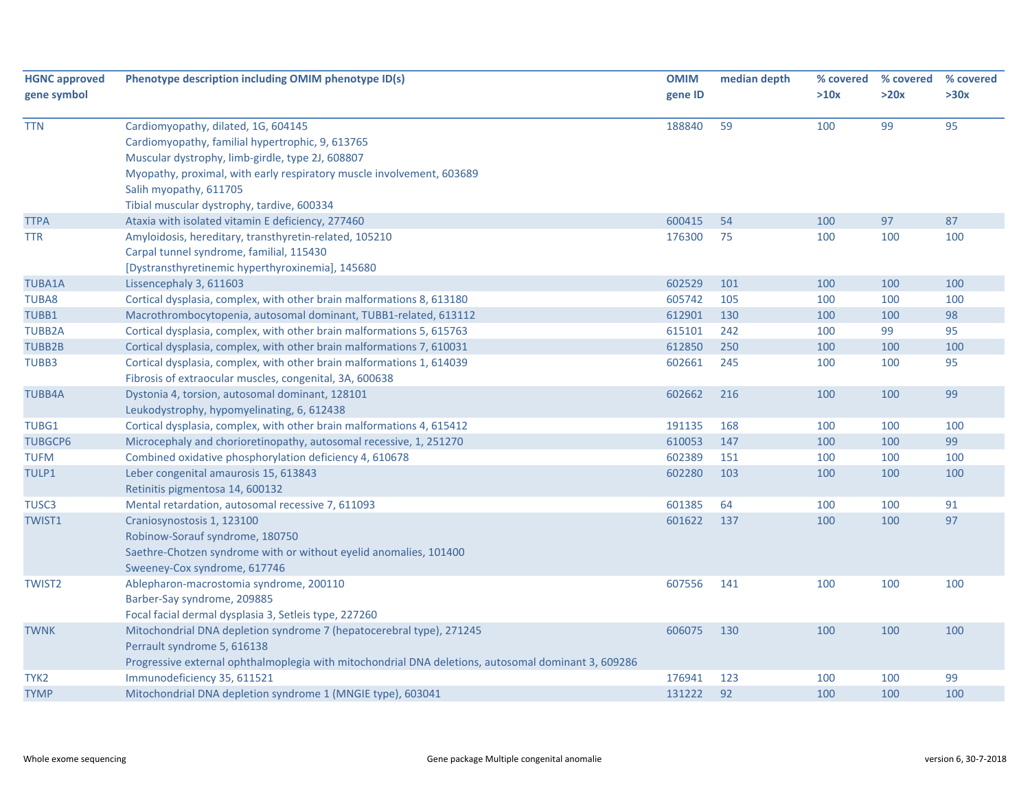| <b>HGNC approved</b> | Phenotype description including OMIM phenotype ID(s)                                                | <b>OMIM</b>      | median depth | % covered  | % covered  | % covered |
|----------------------|-----------------------------------------------------------------------------------------------------|------------------|--------------|------------|------------|-----------|
| gene symbol          |                                                                                                     | gene ID          |              | >10x       | >20x       | >30x      |
| <b>TTN</b>           | Cardiomyopathy, dilated, 1G, 604145                                                                 | 188840           | 59           | 100        | 99         | 95        |
|                      | Cardiomyopathy, familial hypertrophic, 9, 613765                                                    |                  |              |            |            |           |
|                      | Muscular dystrophy, limb-girdle, type 2J, 608807                                                    |                  |              |            |            |           |
|                      | Myopathy, proximal, with early respiratory muscle involvement, 603689                               |                  |              |            |            |           |
|                      | Salih myopathy, 611705                                                                              |                  |              |            |            |           |
|                      | Tibial muscular dystrophy, tardive, 600334                                                          |                  |              |            |            |           |
| <b>TTPA</b>          | Ataxia with isolated vitamin E deficiency, 277460                                                   | 600415           | 54           | 100        | 97         | 87        |
| TTR                  | Amyloidosis, hereditary, transthyretin-related, 105210                                              | 176300           | 75           | 100        | 100        | 100       |
|                      | Carpal tunnel syndrome, familial, 115430                                                            |                  |              |            |            |           |
|                      | [Dystransthyretinemic hyperthyroxinemia], 145680                                                    |                  |              |            |            |           |
| <b>TUBA1A</b>        | Lissencephaly 3, 611603                                                                             | 602529           | 101          | 100        | 100        | 100       |
| TUBA8                | Cortical dysplasia, complex, with other brain malformations 8, 613180                               | 605742           | 105          | 100        | 100        | 100       |
| TUBB1                | Macrothrombocytopenia, autosomal dominant, TUBB1-related, 613112                                    | 612901           | 130          | 100        | 100        | 98        |
| <b>TUBB2A</b>        | Cortical dysplasia, complex, with other brain malformations 5, 615763                               | 615101           | 242          | 100        | 99         | 95        |
| <b>TUBB2B</b>        | Cortical dysplasia, complex, with other brain malformations 7, 610031                               | 612850           | 250          | 100        | 100        | 100       |
| TUBB3                | Cortical dysplasia, complex, with other brain malformations 1, 614039                               | 602661           | 245          | 100        | 100        | 95        |
|                      | Fibrosis of extraocular muscles, congenital, 3A, 600638                                             |                  |              |            |            |           |
| <b>TUBB4A</b>        | Dystonia 4, torsion, autosomal dominant, 128101                                                     | 602662           | 216          | 100        | 100        | 99        |
|                      | Leukodystrophy, hypomyelinating, 6, 612438                                                          |                  |              |            |            |           |
| TUBG1                | Cortical dysplasia, complex, with other brain malformations 4, 615412                               | 191135           | 168          | 100        | 100        | 100       |
| <b>TUBGCP6</b>       | Microcephaly and chorioretinopathy, autosomal recessive, 1, 251270                                  | 610053           | 147          | 100        | 100        | 99        |
| <b>TUFM</b>          | Combined oxidative phosphorylation deficiency 4, 610678                                             | 602389           | 151          | 100        | 100        | 100       |
| TULP1                | Leber congenital amaurosis 15, 613843                                                               | 602280           | 103          | 100        | 100        | 100       |
|                      | Retinitis pigmentosa 14, 600132                                                                     |                  |              |            |            |           |
| TUSC <sub>3</sub>    | Mental retardation, autosomal recessive 7, 611093                                                   | 601385           | 64           | 100        | 100        | 91        |
| TWIST1               | Craniosynostosis 1, 123100                                                                          | 601622           | 137          | 100        | 100        | 97        |
|                      | Robinow-Sorauf syndrome, 180750                                                                     |                  |              |            |            |           |
|                      | Saethre-Chotzen syndrome with or without eyelid anomalies, 101400                                   |                  |              |            |            |           |
|                      | Sweeney-Cox syndrome, 617746                                                                        |                  |              |            |            |           |
| <b>TWIST2</b>        | Ablepharon-macrostomia syndrome, 200110                                                             | 607556           | 141          | 100        | 100        | 100       |
|                      | Barber-Say syndrome, 209885                                                                         |                  |              |            |            |           |
|                      | Focal facial dermal dysplasia 3, Setleis type, 227260                                               |                  |              |            |            |           |
| <b>TWNK</b>          | Mitochondrial DNA depletion syndrome 7 (hepatocerebral type), 271245                                | 606075           | 130          | 100        | 100        | 100       |
|                      | Perrault syndrome 5, 616138                                                                         |                  |              |            |            |           |
|                      | Progressive external ophthalmoplegia with mitochondrial DNA deletions, autosomal dominant 3, 609286 |                  |              |            |            | 99        |
| TYK2                 | Immunodeficiency 35, 611521<br>Mitochondrial DNA depletion syndrome 1 (MNGIE type), 603041          | 176941<br>131222 | 123<br>92    | 100<br>100 | 100<br>100 | 100       |
| <b>TYMP</b>          |                                                                                                     |                  |              |            |            |           |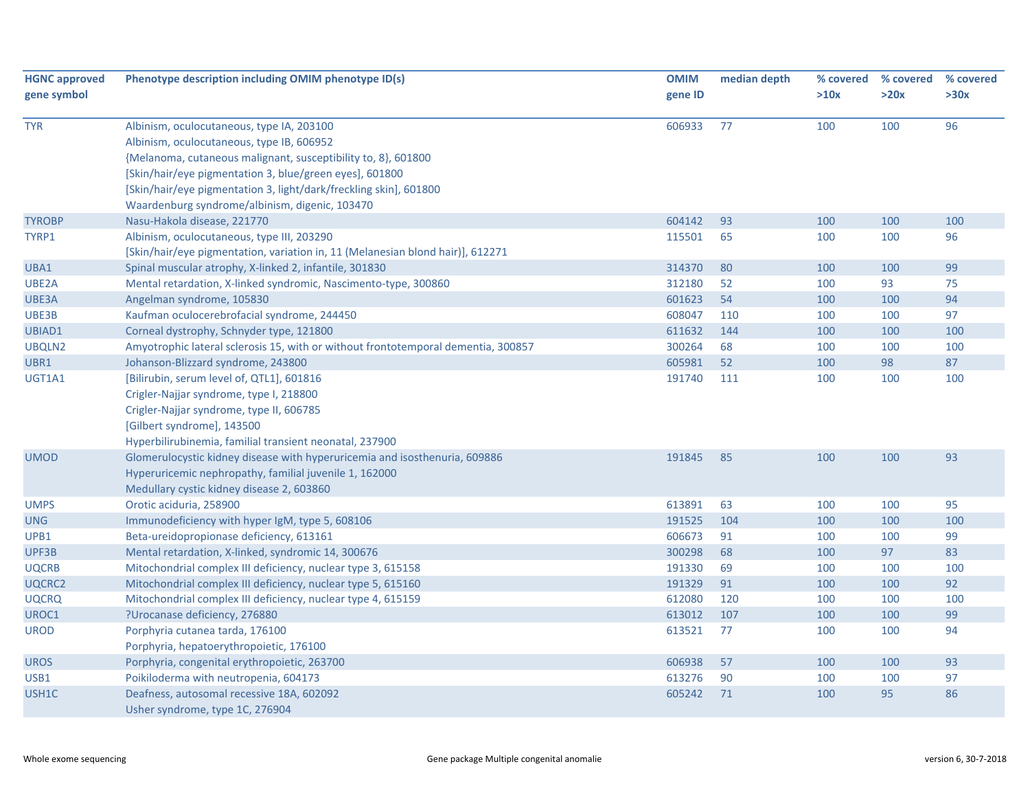| <b>HGNC approved</b><br>gene symbol | Phenotype description including OMIM phenotype ID(s)                                                                                                                                                                                                                                                                                      | <b>OMIM</b><br>gene ID | median depth | % covered<br>>10x | % covered<br>>20x | % covered<br>>30x |
|-------------------------------------|-------------------------------------------------------------------------------------------------------------------------------------------------------------------------------------------------------------------------------------------------------------------------------------------------------------------------------------------|------------------------|--------------|-------------------|-------------------|-------------------|
| <b>TYR</b>                          | Albinism, oculocutaneous, type IA, 203100<br>Albinism, oculocutaneous, type IB, 606952<br>{Melanoma, cutaneous malignant, susceptibility to, 8}, 601800<br>[Skin/hair/eye pigmentation 3, blue/green eyes], 601800<br>[Skin/hair/eye pigmentation 3, light/dark/freckling skin], 601800<br>Waardenburg syndrome/albinism, digenic, 103470 | 606933                 | 77           | 100               | 100               | 96                |
| <b>TYROBP</b>                       | Nasu-Hakola disease, 221770                                                                                                                                                                                                                                                                                                               | 604142                 | 93           | 100               | 100               | 100               |
| TYRP1                               | Albinism, oculocutaneous, type III, 203290<br>[Skin/hair/eye pigmentation, variation in, 11 (Melanesian blond hair)], 612271                                                                                                                                                                                                              | 115501                 | 65           | 100               | 100               | 96                |
| UBA1                                | Spinal muscular atrophy, X-linked 2, infantile, 301830                                                                                                                                                                                                                                                                                    | 314370                 | 80           | 100               | 100               | 99                |
| UBE2A                               | Mental retardation, X-linked syndromic, Nascimento-type, 300860                                                                                                                                                                                                                                                                           | 312180                 | 52           | 100               | 93                | 75                |
| UBE3A                               | Angelman syndrome, 105830                                                                                                                                                                                                                                                                                                                 | 601623                 | 54           | 100               | 100               | 94                |
| UBE3B                               | Kaufman oculocerebrofacial syndrome, 244450                                                                                                                                                                                                                                                                                               | 608047                 | 110          | 100               | 100               | 97                |
| UBIAD1                              | Corneal dystrophy, Schnyder type, 121800                                                                                                                                                                                                                                                                                                  | 611632                 | 144          | 100               | 100               | 100               |
| UBQLN2                              | Amyotrophic lateral sclerosis 15, with or without frontotemporal dementia, 300857                                                                                                                                                                                                                                                         | 300264                 | 68           | 100               | 100               | 100               |
| UBR1                                | Johanson-Blizzard syndrome, 243800                                                                                                                                                                                                                                                                                                        | 605981                 | 52           | 100               | 98                | 87                |
| UGT1A1                              | [Bilirubin, serum level of, QTL1], 601816<br>Crigler-Najjar syndrome, type I, 218800<br>Crigler-Najjar syndrome, type II, 606785<br>[Gilbert syndrome], 143500<br>Hyperbilirubinemia, familial transient neonatal, 237900                                                                                                                 | 191740                 | 111          | 100               | 100               | 100               |
| <b>UMOD</b>                         | Glomerulocystic kidney disease with hyperuricemia and isosthenuria, 609886<br>Hyperuricemic nephropathy, familial juvenile 1, 162000<br>Medullary cystic kidney disease 2, 603860                                                                                                                                                         | 191845                 | 85           | 100               | 100               | 93                |
| <b>UMPS</b>                         | Orotic aciduria, 258900                                                                                                                                                                                                                                                                                                                   | 613891                 | 63           | 100               | 100               | 95                |
| <b>UNG</b>                          | Immunodeficiency with hyper IgM, type 5, 608106                                                                                                                                                                                                                                                                                           | 191525                 | 104          | 100               | 100               | 100               |
| UPB1                                | Beta-ureidopropionase deficiency, 613161                                                                                                                                                                                                                                                                                                  | 606673                 | 91           | 100               | 100               | 99                |
| UPF3B                               | Mental retardation, X-linked, syndromic 14, 300676                                                                                                                                                                                                                                                                                        | 300298                 | 68           | 100               | 97                | 83                |
| <b>UQCRB</b>                        | Mitochondrial complex III deficiency, nuclear type 3, 615158                                                                                                                                                                                                                                                                              | 191330                 | 69           | 100               | 100               | 100               |
| UQCRC2                              | Mitochondrial complex III deficiency, nuclear type 5, 615160                                                                                                                                                                                                                                                                              | 191329                 | 91           | 100               | 100               | 92                |
| <b>UQCRQ</b>                        | Mitochondrial complex III deficiency, nuclear type 4, 615159                                                                                                                                                                                                                                                                              | 612080                 | 120          | 100               | 100               | 100               |
| UROC1                               | ?Urocanase deficiency, 276880                                                                                                                                                                                                                                                                                                             | 613012                 | 107          | 100               | 100               | 99                |
| <b>UROD</b>                         | Porphyria cutanea tarda, 176100<br>Porphyria, hepatoerythropoietic, 176100                                                                                                                                                                                                                                                                | 613521                 | 77           | 100               | 100               | 94                |
| <b>UROS</b>                         | Porphyria, congenital erythropoietic, 263700                                                                                                                                                                                                                                                                                              | 606938                 | 57           | 100               | 100               | 93                |
| USB1                                | Poikiloderma with neutropenia, 604173                                                                                                                                                                                                                                                                                                     | 613276                 | 90           | 100               | 100               | 97                |
| USH1C                               | Deafness, autosomal recessive 18A, 602092<br>Usher syndrome, type 1C, 276904                                                                                                                                                                                                                                                              | 605242                 | 71           | 100               | 95                | 86                |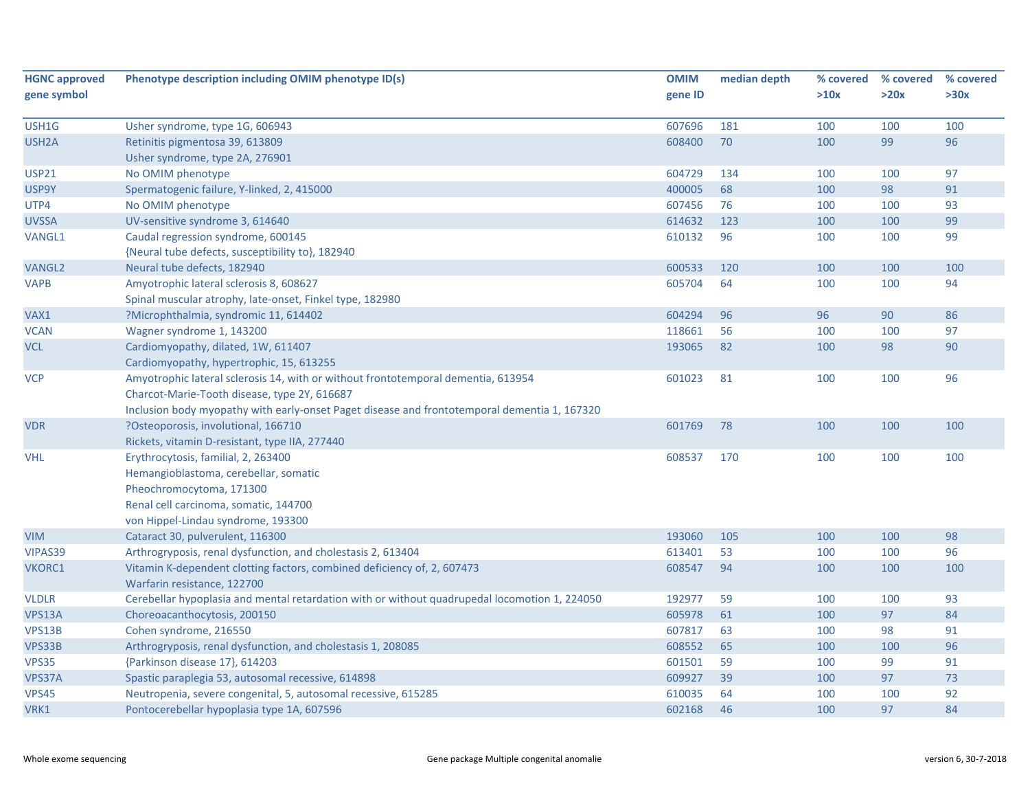| <b>HGNC approved</b> | Phenotype description including OMIM phenotype ID(s)                                          | <b>OMIM</b> | median depth | % covered | % covered | % covered |
|----------------------|-----------------------------------------------------------------------------------------------|-------------|--------------|-----------|-----------|-----------|
| gene symbol          |                                                                                               | gene ID     |              | >10x      | >20x      | >30x      |
|                      |                                                                                               |             |              |           |           |           |
| USH1G                | Usher syndrome, type 1G, 606943                                                               | 607696      | 181          | 100       | 100       | 100       |
| USH <sub>2</sub> A   | Retinitis pigmentosa 39, 613809                                                               | 608400      | 70           | 100       | 99        | 96        |
|                      | Usher syndrome, type 2A, 276901                                                               |             |              |           |           |           |
| <b>USP21</b>         | No OMIM phenotype                                                                             | 604729      | 134          | 100       | 100       | 97        |
| USP9Y                | Spermatogenic failure, Y-linked, 2, 415000                                                    | 400005      | 68           | 100       | 98        | 91        |
| UTP4                 | No OMIM phenotype                                                                             | 607456      | 76           | 100       | 100       | 93        |
| <b>UVSSA</b>         | UV-sensitive syndrome 3, 614640                                                               | 614632      | 123          | 100       | 100       | 99        |
| VANGL1               | Caudal regression syndrome, 600145                                                            | 610132      | 96           | 100       | 100       | 99        |
|                      | {Neural tube defects, susceptibility to}, 182940                                              |             |              |           |           |           |
| <b>VANGL2</b>        | Neural tube defects, 182940                                                                   | 600533      | 120          | 100       | 100       | 100       |
| <b>VAPB</b>          | Amyotrophic lateral sclerosis 8, 608627                                                       | 605704      | 64           | 100       | 100       | 94        |
|                      | Spinal muscular atrophy, late-onset, Finkel type, 182980                                      |             |              |           |           |           |
| VAX1                 | ?Microphthalmia, syndromic 11, 614402                                                         | 604294      | 96           | 96        | 90        | 86        |
| <b>VCAN</b>          | Wagner syndrome 1, 143200                                                                     | 118661      | 56           | 100       | 100       | 97        |
| <b>VCL</b>           | Cardiomyopathy, dilated, 1W, 611407                                                           | 193065      | 82           | 100       | 98        | 90        |
|                      | Cardiomyopathy, hypertrophic, 15, 613255                                                      |             |              |           |           |           |
| <b>VCP</b>           | Amyotrophic lateral sclerosis 14, with or without frontotemporal dementia, 613954             | 601023      | 81           | 100       | 100       | 96        |
|                      | Charcot-Marie-Tooth disease, type 2Y, 616687                                                  |             |              |           |           |           |
|                      | Inclusion body myopathy with early-onset Paget disease and frontotemporal dementia 1, 167320  |             |              |           |           |           |
| <b>VDR</b>           | ?Osteoporosis, involutional, 166710                                                           | 601769      | 78           | 100       | 100       | 100       |
|                      | Rickets, vitamin D-resistant, type IIA, 277440                                                |             |              |           |           |           |
| <b>VHL</b>           | Erythrocytosis, familial, 2, 263400                                                           | 608537      | 170          | 100       | 100       | 100       |
|                      | Hemangioblastoma, cerebellar, somatic                                                         |             |              |           |           |           |
|                      | Pheochromocytoma, 171300                                                                      |             |              |           |           |           |
|                      | Renal cell carcinoma, somatic, 144700                                                         |             |              |           |           |           |
|                      | von Hippel-Lindau syndrome, 193300                                                            |             |              |           |           |           |
| <b>VIM</b>           | Cataract 30, pulverulent, 116300                                                              | 193060      | 105          | 100       | 100       | 98        |
| VIPAS39              | Arthrogryposis, renal dysfunction, and cholestasis 2, 613404                                  | 613401      | 53           | 100       | 100       | 96        |
| VKORC1               | Vitamin K-dependent clotting factors, combined deficiency of, 2, 607473                       | 608547      | 94           | 100       | 100       | 100       |
|                      | Warfarin resistance, 122700                                                                   |             |              |           |           |           |
| <b>VLDLR</b>         | Cerebellar hypoplasia and mental retardation with or without quadrupedal locomotion 1, 224050 | 192977      | 59           | 100       | 100       | 93        |
| VPS13A               | Choreoacanthocytosis, 200150                                                                  | 605978      | 61           | 100       | 97        | 84        |
| VPS13B               | Cohen syndrome, 216550                                                                        | 607817      | 63           | 100       | 98        | 91        |
| VPS33B               | Arthrogryposis, renal dysfunction, and cholestasis 1, 208085                                  | 608552      | 65           | 100       | 100       | 96        |
| VPS35                | {Parkinson disease 17}, 614203                                                                | 601501      | 59           | 100       | 99        | 91        |
| VPS37A               | Spastic paraplegia 53, autosomal recessive, 614898                                            | 609927      | 39           | 100       | 97        | 73        |
| VPS45                | Neutropenia, severe congenital, 5, autosomal recessive, 615285                                | 610035      | 64           | 100       | 100       | 92        |
| VRK1                 | Pontocerebellar hypoplasia type 1A, 607596                                                    | 602168      | 46           | 100       | 97        | 84        |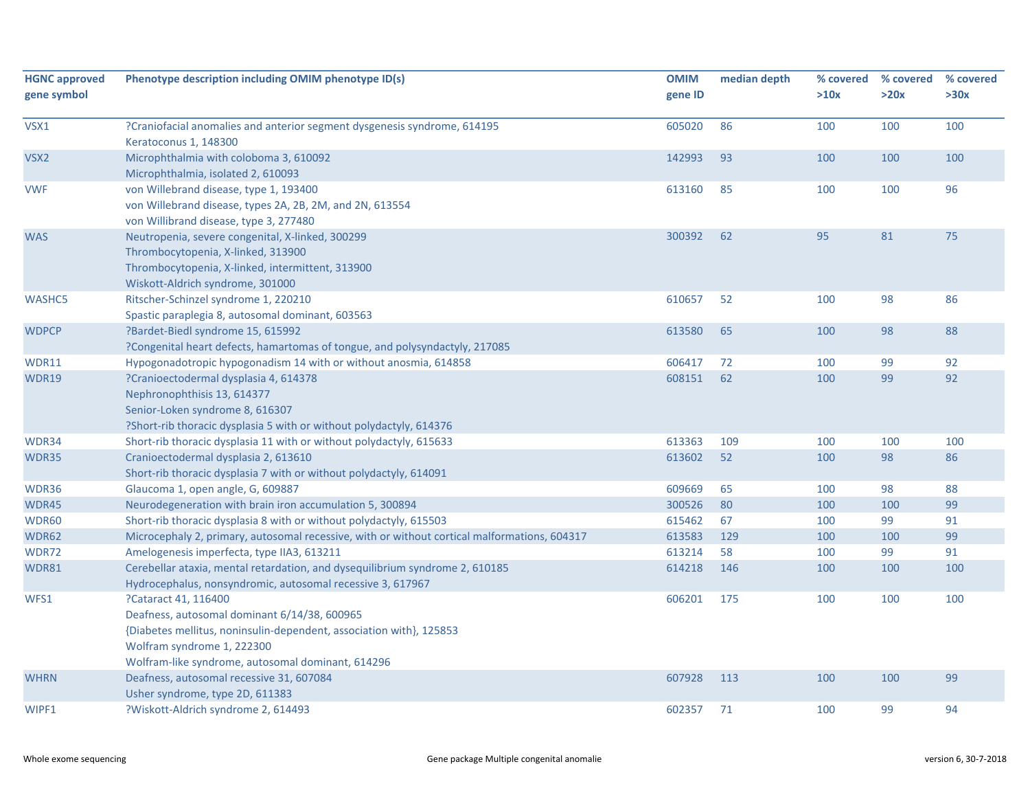| <b>HGNC approved</b><br>gene symbol | Phenotype description including OMIM phenotype ID(s)                                                                                                                                                                           | <b>OMIM</b><br>gene ID | median depth | % covered<br>>10x | % covered<br>>20x | % covered<br>>30x |
|-------------------------------------|--------------------------------------------------------------------------------------------------------------------------------------------------------------------------------------------------------------------------------|------------------------|--------------|-------------------|-------------------|-------------------|
| VSX1                                | ?Craniofacial anomalies and anterior segment dysgenesis syndrome, 614195<br>Keratoconus 1, 148300                                                                                                                              | 605020                 | 86           | 100               | 100               | 100               |
| VSX <sub>2</sub>                    | Microphthalmia with coloboma 3, 610092<br>Microphthalmia, isolated 2, 610093                                                                                                                                                   | 142993                 | 93           | 100               | 100               | 100               |
| <b>VWF</b>                          | von Willebrand disease, type 1, 193400<br>von Willebrand disease, types 2A, 2B, 2M, and 2N, 613554<br>von Willibrand disease, type 3, 277480                                                                                   | 613160                 | 85           | 100               | 100               | 96                |
| <b>WAS</b>                          | Neutropenia, severe congenital, X-linked, 300299<br>Thrombocytopenia, X-linked, 313900<br>Thrombocytopenia, X-linked, intermittent, 313900<br>Wiskott-Aldrich syndrome, 301000                                                 | 300392                 | 62           | 95                | 81                | 75                |
| <b>WASHC5</b>                       | Ritscher-Schinzel syndrome 1, 220210<br>Spastic paraplegia 8, autosomal dominant, 603563                                                                                                                                       | 610657                 | 52           | 100               | 98                | 86                |
| <b>WDPCP</b>                        | ?Bardet-Biedl syndrome 15, 615992<br>?Congenital heart defects, hamartomas of tongue, and polysyndactyly, 217085                                                                                                               | 613580                 | 65           | 100               | 98                | 88                |
| WDR11                               | Hypogonadotropic hypogonadism 14 with or without anosmia, 614858                                                                                                                                                               | 606417                 | 72           | 100               | 99                | 92                |
| WDR19                               | ?Cranioectodermal dysplasia 4, 614378<br>Nephronophthisis 13, 614377<br>Senior-Loken syndrome 8, 616307<br>?Short-rib thoracic dysplasia 5 with or without polydactyly, 614376                                                 | 608151                 | 62           | 100               | 99                | 92                |
| WDR34                               | Short-rib thoracic dysplasia 11 with or without polydactyly, 615633                                                                                                                                                            | 613363                 | 109          | 100               | 100               | 100               |
| WDR35                               | Cranioectodermal dysplasia 2, 613610<br>Short-rib thoracic dysplasia 7 with or without polydactyly, 614091                                                                                                                     | 613602                 | 52           | 100               | 98                | 86                |
| WDR36                               | Glaucoma 1, open angle, G, 609887                                                                                                                                                                                              | 609669                 | 65           | 100               | 98                | 88                |
| WDR45                               | Neurodegeneration with brain iron accumulation 5, 300894                                                                                                                                                                       | 300526                 | 80           | 100               | 100               | 99                |
| WDR60                               | Short-rib thoracic dysplasia 8 with or without polydactyly, 615503                                                                                                                                                             | 615462                 | 67           | 100               | 99                | 91                |
| WDR62                               | Microcephaly 2, primary, autosomal recessive, with or without cortical malformations, 604317                                                                                                                                   | 613583                 | 129          | 100               | 100               | 99                |
| WDR72                               | Amelogenesis imperfecta, type IIA3, 613211                                                                                                                                                                                     | 613214                 | 58           | 100               | 99                | 91                |
| <b>WDR81</b>                        | Cerebellar ataxia, mental retardation, and dysequilibrium syndrome 2, 610185<br>Hydrocephalus, nonsyndromic, autosomal recessive 3, 617967                                                                                     | 614218                 | 146          | 100               | 100               | 100               |
| WFS1                                | ?Cataract 41, 116400<br>Deafness, autosomal dominant 6/14/38, 600965<br>{Diabetes mellitus, noninsulin-dependent, association with}, 125853<br>Wolfram syndrome 1, 222300<br>Wolfram-like syndrome, autosomal dominant, 614296 | 606201                 | 175          | 100               | 100               | 100               |
| <b>WHRN</b>                         | Deafness, autosomal recessive 31, 607084<br>Usher syndrome, type 2D, 611383                                                                                                                                                    | 607928                 | 113          | 100               | 100               | 99                |
| WIPF1                               | ?Wiskott-Aldrich syndrome 2, 614493                                                                                                                                                                                            | 602357                 | 71           | 100               | 99                | 94                |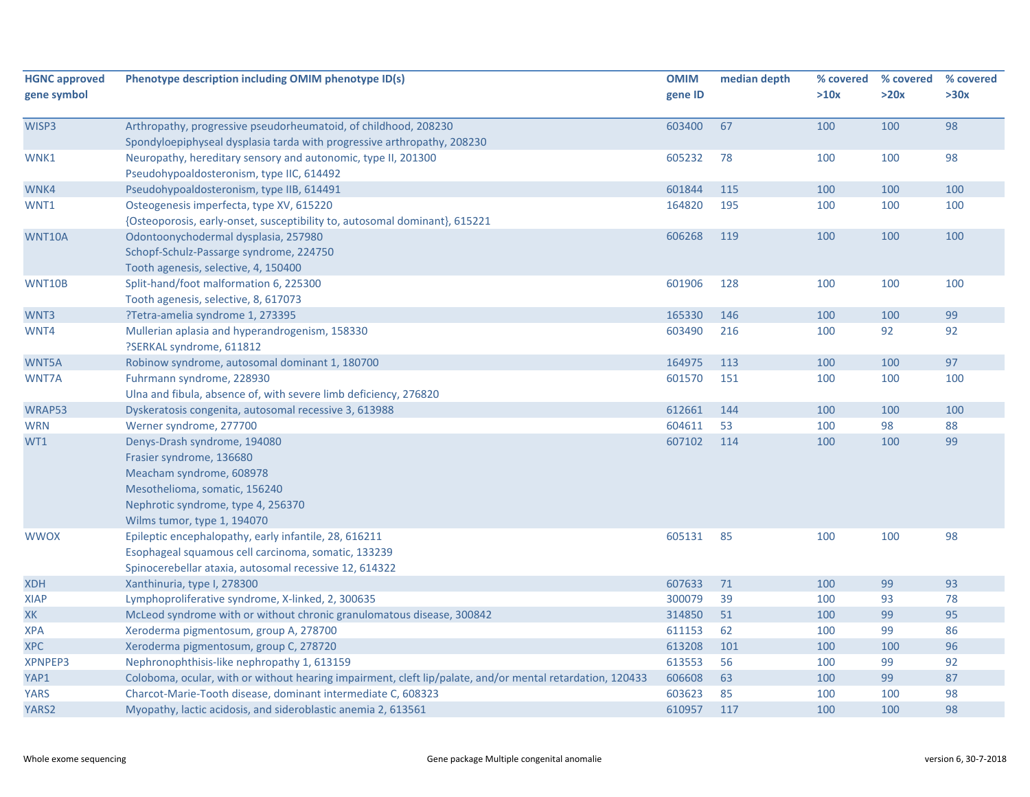| <b>HGNC approved</b><br>gene symbol | Phenotype description including OMIM phenotype ID(s)                                                                                                                                       | <b>OMIM</b><br>gene ID | median depth | % covered<br>>10x | % covered<br>>20x | % covered<br>>30x |
|-------------------------------------|--------------------------------------------------------------------------------------------------------------------------------------------------------------------------------------------|------------------------|--------------|-------------------|-------------------|-------------------|
| WISP3                               | Arthropathy, progressive pseudorheumatoid, of childhood, 208230<br>Spondyloepiphyseal dysplasia tarda with progressive arthropathy, 208230                                                 | 603400                 | 67           | 100               | 100               | 98                |
| WNK1                                | Neuropathy, hereditary sensory and autonomic, type II, 201300<br>Pseudohypoaldosteronism, type IIC, 614492                                                                                 | 605232                 | 78           | 100               | 100               | 98                |
| WNK4                                | Pseudohypoaldosteronism, type IIB, 614491                                                                                                                                                  | 601844                 | 115          | 100               | 100               | 100               |
| WNT1                                | Osteogenesis imperfecta, type XV, 615220<br>{Osteoporosis, early-onset, susceptibility to, autosomal dominant}, 615221                                                                     | 164820                 | 195          | 100               | 100               | 100               |
| WNT10A                              | Odontoonychodermal dysplasia, 257980<br>Schopf-Schulz-Passarge syndrome, 224750<br>Tooth agenesis, selective, 4, 150400                                                                    | 606268                 | 119          | 100               | 100               | 100               |
| WNT10B                              | Split-hand/foot malformation 6, 225300<br>Tooth agenesis, selective, 8, 617073                                                                                                             | 601906                 | 128          | 100               | 100               | 100               |
| WNT3                                | ?Tetra-amelia syndrome 1, 273395                                                                                                                                                           | 165330                 | 146          | 100               | 100               | 99                |
| WNT4                                | Mullerian aplasia and hyperandrogenism, 158330<br>?SERKAL syndrome, 611812                                                                                                                 | 603490                 | 216          | 100               | 92                | 92                |
| WNT5A                               | Robinow syndrome, autosomal dominant 1, 180700                                                                                                                                             | 164975                 | 113          | 100               | 100               | 97                |
| WNT7A                               | Fuhrmann syndrome, 228930<br>Ulna and fibula, absence of, with severe limb deficiency, 276820                                                                                              | 601570                 | 151          | 100               | 100               | 100               |
| WRAP53                              | Dyskeratosis congenita, autosomal recessive 3, 613988                                                                                                                                      | 612661                 | 144          | 100               | 100               | 100               |
| <b>WRN</b>                          | Werner syndrome, 277700                                                                                                                                                                    | 604611                 | 53           | 100               | 98                | 88                |
| WT1                                 | Denys-Drash syndrome, 194080<br>Frasier syndrome, 136680<br>Meacham syndrome, 608978<br>Mesothelioma, somatic, 156240<br>Nephrotic syndrome, type 4, 256370<br>Wilms tumor, type 1, 194070 | 607102                 | 114          | 100               | 100               | 99                |
| <b>WWOX</b>                         | Epileptic encephalopathy, early infantile, 28, 616211<br>Esophageal squamous cell carcinoma, somatic, 133239<br>Spinocerebellar ataxia, autosomal recessive 12, 614322                     | 605131                 | 85           | 100               | 100               | 98                |
| <b>XDH</b>                          | Xanthinuria, type I, 278300                                                                                                                                                                | 607633                 | 71           | 100               | 99                | 93                |
| XIAP                                | Lymphoproliferative syndrome, X-linked, 2, 300635                                                                                                                                          | 300079                 | 39           | 100               | 93                | 78                |
| XK                                  | McLeod syndrome with or without chronic granulomatous disease, 300842                                                                                                                      | 314850                 | 51           | 100               | 99                | 95                |
| <b>XPA</b>                          | Xeroderma pigmentosum, group A, 278700                                                                                                                                                     | 611153                 | 62           | 100               | 99                | 86                |
| <b>XPC</b>                          | Xeroderma pigmentosum, group C, 278720                                                                                                                                                     | 613208                 | 101          | 100               | 100               | 96                |
| XPNPEP3                             | Nephronophthisis-like nephropathy 1, 613159                                                                                                                                                | 613553                 | 56           | 100               | 99                | 92                |
| YAP1                                | Coloboma, ocular, with or without hearing impairment, cleft lip/palate, and/or mental retardation, 120433                                                                                  | 606608                 | 63           | 100               | 99                | 87                |
| <b>YARS</b>                         | Charcot-Marie-Tooth disease, dominant intermediate C, 608323                                                                                                                               | 603623                 | 85           | 100               | 100               | 98                |
| YARS2                               | Myopathy, lactic acidosis, and sideroblastic anemia 2, 613561                                                                                                                              | 610957                 | 117          | 100               | 100               | 98                |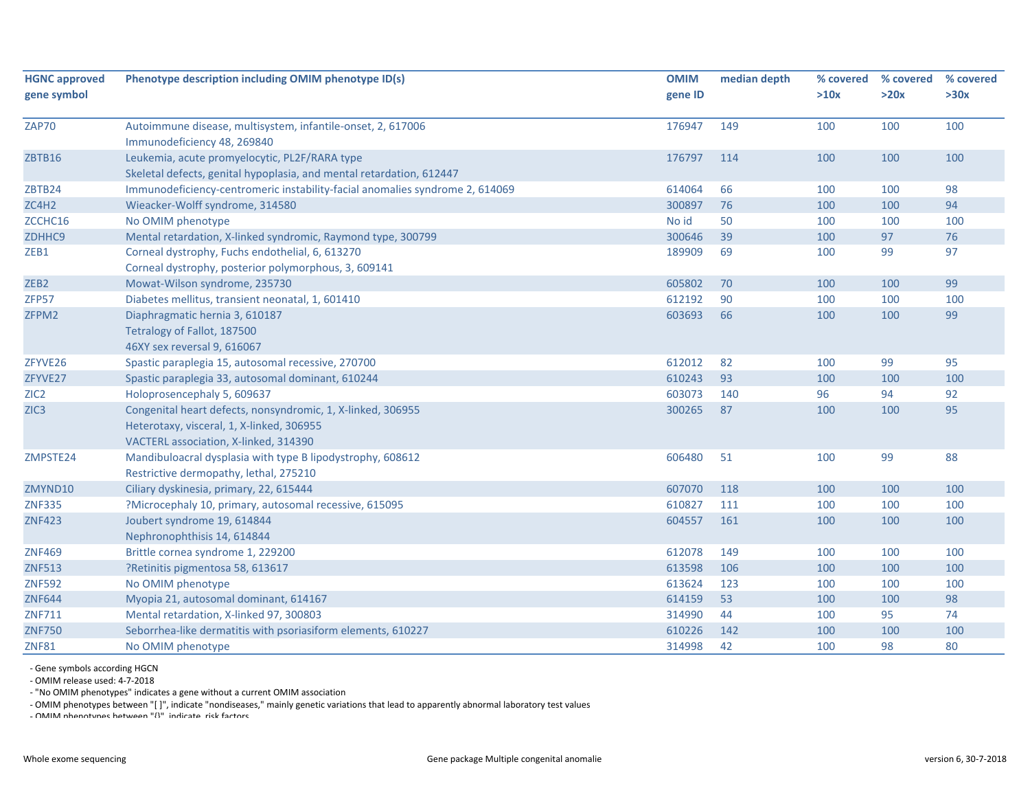| <b>HGNC approved</b> | Phenotype description including OMIM phenotype ID(s)                         | <b>OMIM</b> | median depth | % covered | % covered | % covered |
|----------------------|------------------------------------------------------------------------------|-------------|--------------|-----------|-----------|-----------|
| gene symbol          |                                                                              | gene ID     |              | >10x      | >20x      | >30x      |
| ZAP70                | Autoimmune disease, multisystem, infantile-onset, 2, 617006                  | 176947      | 149          | 100       | 100       | 100       |
|                      | Immunodeficiency 48, 269840                                                  |             |              |           |           |           |
| <b>ZBTB16</b>        | Leukemia, acute promyelocytic, PL2F/RARA type                                | 176797      | 114          | 100       | 100       | 100       |
|                      | Skeletal defects, genital hypoplasia, and mental retardation, 612447         |             |              |           |           |           |
| ZBTB24               | Immunodeficiency-centromeric instability-facial anomalies syndrome 2, 614069 | 614064      | 66           | 100       | 100       | 98        |
| ZC4H2                | Wieacker-Wolff syndrome, 314580                                              | 300897      | 76           | 100       | 100       | 94        |
| ZCCHC16              | No OMIM phenotype                                                            | No id       | 50           | 100       | 100       | 100       |
| ZDHHC9               | Mental retardation, X-linked syndromic, Raymond type, 300799                 | 300646      | 39           | 100       | 97        | 76        |
| ZEB1                 | Corneal dystrophy, Fuchs endothelial, 6, 613270                              | 189909      | 69           | 100       | 99        | 97        |
|                      | Corneal dystrophy, posterior polymorphous, 3, 609141                         |             |              |           |           |           |
| ZEB <sub>2</sub>     | Mowat-Wilson syndrome, 235730                                                | 605802      | 70           | 100       | 100       | 99        |
| ZFP57                | Diabetes mellitus, transient neonatal, 1, 601410                             | 612192      | 90           | 100       | 100       | 100       |
| ZFPM2                | Diaphragmatic hernia 3, 610187                                               | 603693      | 66           | 100       | 100       | 99        |
|                      | Tetralogy of Fallot, 187500                                                  |             |              |           |           |           |
|                      | 46XY sex reversal 9, 616067                                                  |             |              |           |           |           |
| ZFYVE26              | Spastic paraplegia 15, autosomal recessive, 270700                           | 612012      | 82           | 100       | 99        | 95        |
| ZFYVE27              | Spastic paraplegia 33, autosomal dominant, 610244                            | 610243      | 93           | 100       | 100       | 100       |
| ZIC <sub>2</sub>     | Holoprosencephaly 5, 609637                                                  | 603073      | 140          | 96        | 94        | 92        |
| ZIC <sub>3</sub>     | Congenital heart defects, nonsyndromic, 1, X-linked, 306955                  | 300265      | 87           | 100       | 100       | 95        |
|                      | Heterotaxy, visceral, 1, X-linked, 306955                                    |             |              |           |           |           |
|                      | VACTERL association, X-linked, 314390                                        |             |              |           |           |           |
| ZMPSTE24             | Mandibuloacral dysplasia with type B lipodystrophy, 608612                   | 606480      | 51           | 100       | 99        | 88        |
|                      | Restrictive dermopathy, lethal, 275210                                       |             |              |           |           |           |
| ZMYND10              | Ciliary dyskinesia, primary, 22, 615444                                      | 607070      | 118          | 100       | 100       | 100       |
| <b>ZNF335</b>        | ?Microcephaly 10, primary, autosomal recessive, 615095                       | 610827      | 111          | 100       | 100       | 100       |
| <b>ZNF423</b>        | Joubert syndrome 19, 614844                                                  | 604557      | 161          | 100       | 100       | 100       |
|                      | Nephronophthisis 14, 614844                                                  |             |              |           |           |           |
| <b>ZNF469</b>        | Brittle cornea syndrome 1, 229200                                            | 612078      | 149          | 100       | 100       | 100       |
| <b>ZNF513</b>        | ?Retinitis pigmentosa 58, 613617                                             | 613598      | 106          | 100       | 100       | 100       |
| <b>ZNF592</b>        | No OMIM phenotype                                                            | 613624      | 123          | 100       | 100       | 100       |
| <b>ZNF644</b>        | Myopia 21, autosomal dominant, 614167                                        | 614159      | 53           | 100       | 100       | 98        |
| ZNF711               | Mental retardation, X-linked 97, 300803                                      | 314990      | 44           | 100       | 95        | 74        |
| <b>ZNF750</b>        | Seborrhea-like dermatitis with psoriasiform elements, 610227                 | 610226      | 142          | 100       | 100       | 100       |
| <b>ZNF81</b>         | No OMIM phenotype                                                            | 314998      | 42           | 100       | 98        | 80        |

‐ Gene symbols according HGCN

‐ OMIM release used: 4‐7‐2018

‐ "No OMIM phenotypes" indicates <sup>a</sup> gene without <sup>a</sup> current OMIM association

‐ OMIM phenotypes between "[ ]", indicate "nondiseases," mainly genetic variations that lead to apparently abnormal laboratory test values

‐ OMIM phenotypes between "{}" indicate risk factors